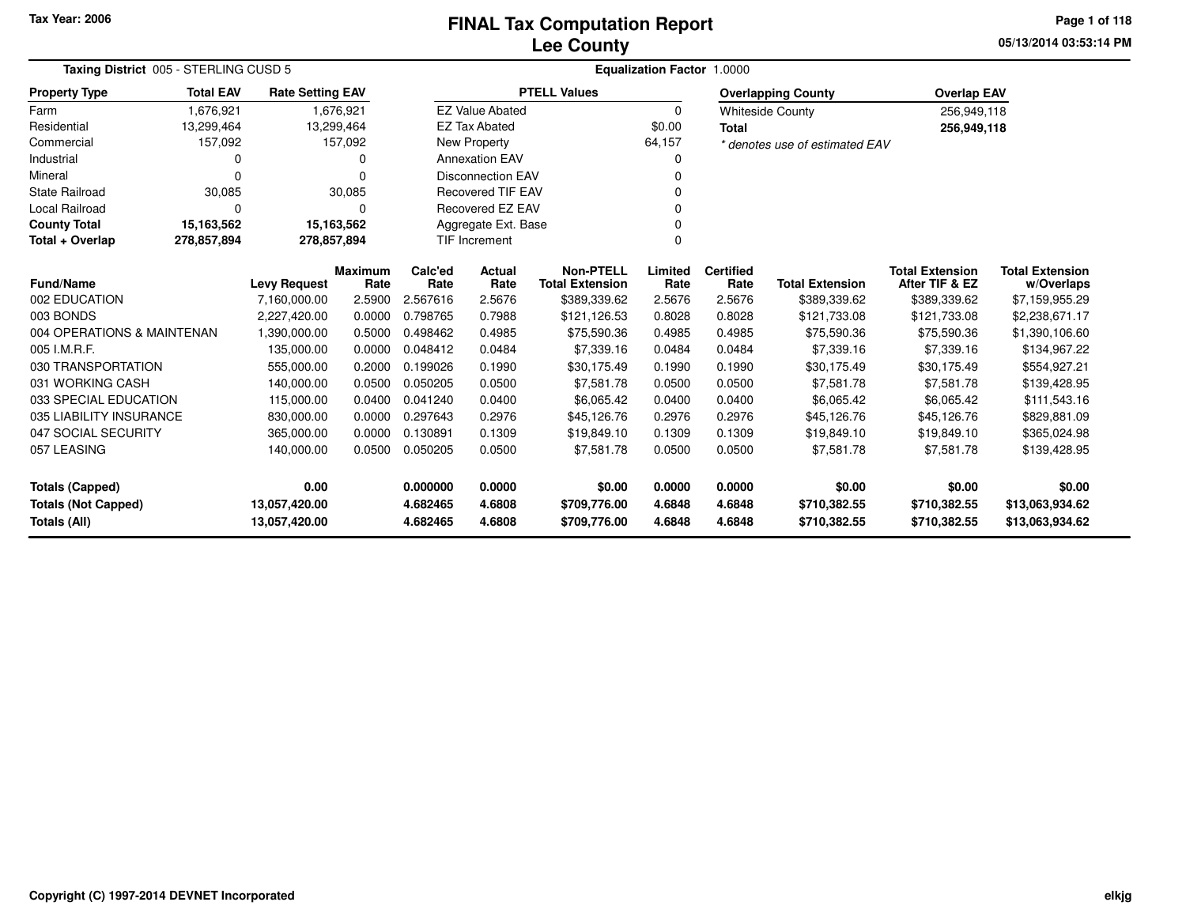### **Lee CountyFINAL Tax Computation Report** FINAL Tax Computation Report

**05/13/2014 03:53:14 PM Page 1 of 118**

| Taxing District 005 - STERLING CUSD 5             |                                           |                                                 |                                   | Equalization Factor 1.0000 |                        |                                            |                  |                          |                                |                                          |                                      |  |  |
|---------------------------------------------------|-------------------------------------------|-------------------------------------------------|-----------------------------------|----------------------------|------------------------|--------------------------------------------|------------------|--------------------------|--------------------------------|------------------------------------------|--------------------------------------|--|--|
| <b>Property Type</b>                              | <b>Total EAV</b>                          | <b>Rate Setting EAV</b>                         |                                   |                            |                        | <b>PTELL Values</b>                        |                  |                          | <b>Overlapping County</b>      | <b>Overlap EAV</b>                       |                                      |  |  |
| Farm                                              | 1.676.921                                 |                                                 | 1,676,921                         |                            | <b>EZ Value Abated</b> |                                            | $\Omega$         |                          | <b>Whiteside County</b>        | 256,949,118                              |                                      |  |  |
| Residential                                       | 13,299,464                                |                                                 | 13,299,464                        |                            | <b>EZ Tax Abated</b>   |                                            | \$0.00           | <b>Total</b>             |                                | 256,949,118                              |                                      |  |  |
| Commercial                                        | 157,092                                   |                                                 | 157,092                           |                            | New Property           |                                            | 64,157           |                          | * denotes use of estimated EAV |                                          |                                      |  |  |
| Industrial                                        | 0                                         |                                                 | 0                                 |                            | <b>Annexation EAV</b>  |                                            |                  |                          |                                |                                          |                                      |  |  |
| Mineral                                           | <b>Disconnection EAV</b><br>0<br>$\Omega$ |                                                 |                                   |                            |                        |                                            |                  |                          |                                |                                          |                                      |  |  |
| <b>State Railroad</b>                             | 30,085                                    |                                                 | 30,085                            | <b>Recovered TIF EAV</b>   |                        |                                            |                  |                          |                                |                                          |                                      |  |  |
| Local Railroad                                    | 0                                         |                                                 | $\Omega$                          |                            | Recovered EZ EAV       |                                            |                  |                          |                                |                                          |                                      |  |  |
| <b>County Total</b>                               | 15,163,562                                |                                                 | 15,163,562<br>Aggregate Ext. Base |                            |                        |                                            |                  |                          |                                |                                          |                                      |  |  |
| Total + Overlap                                   | 278,857,894                               | 278,857,894<br><b>TIF Increment</b><br>$\Omega$ |                                   |                            |                        |                                            |                  |                          |                                |                                          |                                      |  |  |
| <b>Fund/Name</b>                                  |                                           | <b>Levy Request</b>                             | <b>Maximum</b><br>Rate            | Calc'ed<br>Rate            | Actual<br>Rate         | <b>Non-PTELL</b><br><b>Total Extension</b> | Limited<br>Rate  | <b>Certified</b><br>Rate | <b>Total Extension</b>         | <b>Total Extension</b><br>After TIF & EZ | <b>Total Extension</b><br>w/Overlaps |  |  |
| 002 EDUCATION                                     |                                           | 7,160,000.00                                    | 2.5900                            | 2.567616                   | 2.5676                 | \$389,339.62                               | 2.5676           | 2.5676                   | \$389,339.62                   | \$389,339.62                             | \$7,159,955.29                       |  |  |
| 003 BONDS                                         |                                           | 2,227,420.00                                    | 0.0000                            | 0.798765                   | 0.7988                 | \$121,126.53                               | 0.8028           | 0.8028                   | \$121,733.08                   | \$121,733.08                             | \$2,238,671.17                       |  |  |
| 004 OPERATIONS & MAINTENAN                        |                                           | 1,390,000.00                                    | 0.5000                            | 0.498462                   | 0.4985                 | \$75,590.36                                | 0.4985           | 0.4985                   | \$75,590.36                    | \$75,590.36                              | \$1,390,106.60                       |  |  |
| 005 I.M.R.F.                                      |                                           | 135,000.00                                      | 0.0000                            | 0.048412                   | 0.0484                 | \$7,339.16                                 | 0.0484           | 0.0484                   | \$7,339.16                     | \$7,339.16                               | \$134,967.22                         |  |  |
| 030 TRANSPORTATION                                |                                           | 555,000.00                                      | 0.2000                            | 0.199026                   | 0.1990                 | \$30,175.49                                | 0.1990           | 0.1990                   | \$30,175.49                    | \$30,175.49                              | \$554,927.21                         |  |  |
| 031 WORKING CASH                                  |                                           | 140,000.00                                      | 0.0500                            | 0.050205                   | 0.0500                 | \$7,581.78                                 | 0.0500           | 0.0500                   | \$7,581.78                     | \$7,581.78                               | \$139,428.95                         |  |  |
| 033 SPECIAL EDUCATION                             |                                           | 115,000.00                                      | 0.0400                            | 0.041240                   | 0.0400                 | \$6,065.42                                 | 0.0400           | 0.0400                   | \$6,065.42                     | \$6,065.42                               | \$111,543.16                         |  |  |
| 035 LIABILITY INSURANCE                           |                                           | 830,000.00                                      | 0.0000                            | 0.297643                   | 0.2976                 | \$45,126.76                                | 0.2976           | 0.2976                   | \$45,126.76                    | \$45,126.76                              | \$829,881.09                         |  |  |
| 047 SOCIAL SECURITY                               |                                           | 365.000.00                                      | 0.0000                            | 0.130891                   | 0.1309                 | \$19,849.10                                | 0.1309           | 0.1309                   | \$19,849.10                    | \$19,849.10                              | \$365,024.98                         |  |  |
| 057 LEASING                                       |                                           | 140,000.00                                      | 0.0500                            | 0.050205                   | 0.0500                 | \$7,581.78                                 | 0.0500           | 0.0500                   | \$7,581.78                     | \$7,581.78                               | \$139,428.95                         |  |  |
| <b>Totals (Capped)</b>                            |                                           | 0.00                                            |                                   | 0.000000                   | 0.0000                 | \$0.00                                     | 0.0000           | 0.0000                   | \$0.00                         | \$0.00                                   | \$0.00                               |  |  |
| <b>Totals (Not Capped)</b><br><b>Totals (All)</b> |                                           | 13,057,420.00<br>13,057,420.00                  |                                   | 4.682465<br>4.682465       | 4.6808<br>4.6808       | \$709,776.00<br>\$709,776.00               | 4.6848<br>4.6848 | 4.6848<br>4.6848         | \$710,382.55<br>\$710,382.55   | \$710,382.55<br>\$710,382.55             | \$13,063,934.62<br>\$13,063,934.62   |  |  |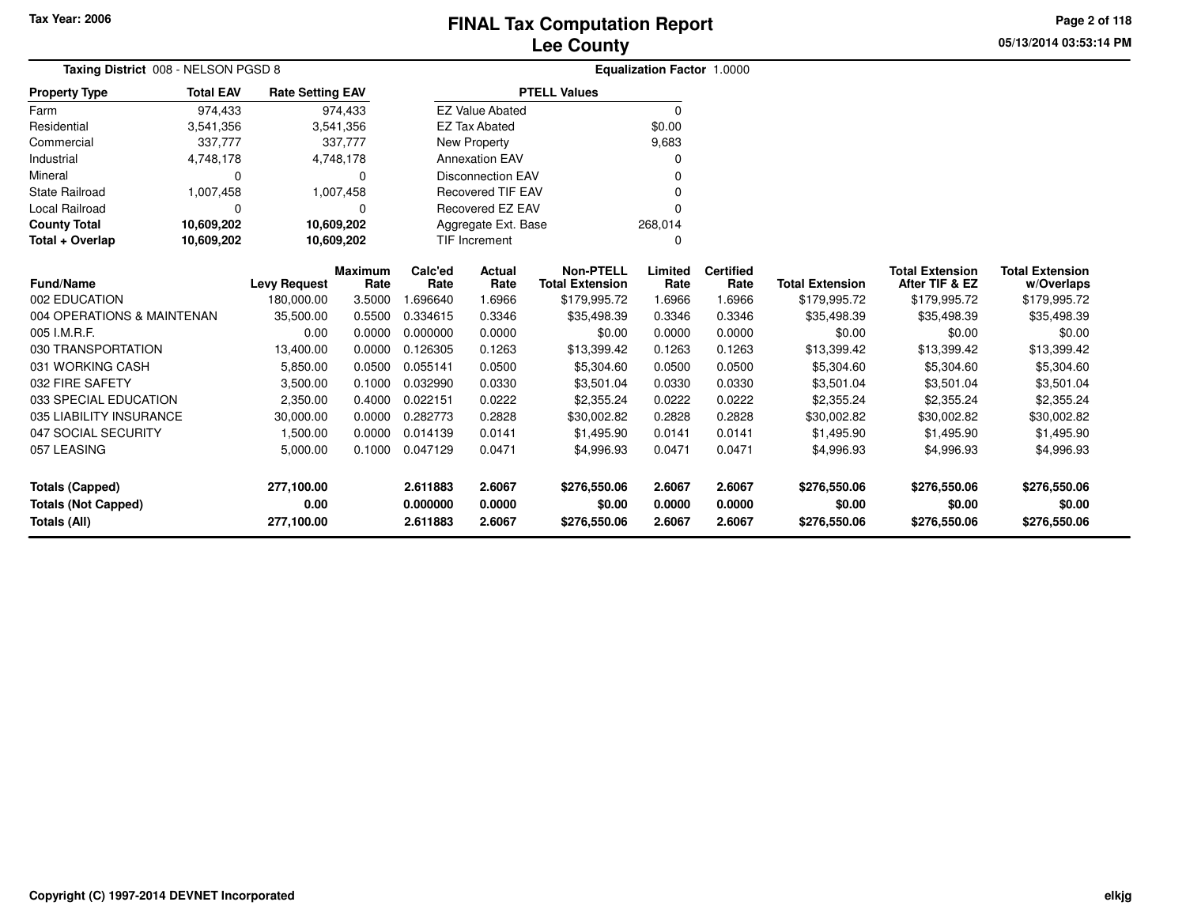**05/13/2014 03:53:14 PM Page 2 of 118**

| Taxing District 008 - NELSON PGSD 8 |                  |                         |                |                         |                          |                        | <b>Equalization Factor 1.0000</b> |                  |                        |                        |                        |
|-------------------------------------|------------------|-------------------------|----------------|-------------------------|--------------------------|------------------------|-----------------------------------|------------------|------------------------|------------------------|------------------------|
| <b>Property Type</b>                | <b>Total EAV</b> | <b>Rate Setting EAV</b> |                |                         |                          | <b>PTELL Values</b>    |                                   |                  |                        |                        |                        |
| Farm                                | 974,433          |                         | 974,433        |                         | <b>EZ Value Abated</b>   |                        | $\Omega$                          |                  |                        |                        |                        |
| Residential                         | 3,541,356        |                         | 3,541,356      |                         | <b>EZ Tax Abated</b>     |                        | \$0.00                            |                  |                        |                        |                        |
| Commercial                          | 337,777          |                         | 337,777        |                         | New Property             |                        | 9,683                             |                  |                        |                        |                        |
| Industrial                          | 4,748,178        |                         | 4,748,178      |                         | <b>Annexation EAV</b>    |                        |                                   |                  |                        |                        |                        |
| Mineral                             | 0                |                         | 0              |                         | <b>Disconnection EAV</b> |                        |                                   |                  |                        |                        |                        |
| <b>State Railroad</b>               | 1,007,458        |                         | 1,007,458      |                         | <b>Recovered TIF EAV</b> |                        |                                   |                  |                        |                        |                        |
| <b>Local Railroad</b>               | 0                |                         | O              | <b>Recovered EZ EAV</b> |                          |                        |                                   |                  |                        |                        |                        |
| <b>County Total</b>                 | 10,609,202       | 10,609,202              |                |                         | Aggregate Ext. Base      |                        | 268,014                           |                  |                        |                        |                        |
| Total + Overlap                     | 10,609,202       | 10,609,202              |                |                         | <b>TIF Increment</b>     | n                      |                                   |                  |                        |                        |                        |
|                                     |                  |                         | <b>Maximum</b> | Calc'ed                 | <b>Actual</b>            | <b>Non-PTELL</b>       | Limited                           | <b>Certified</b> |                        | <b>Total Extension</b> | <b>Total Extension</b> |
| <b>Fund/Name</b>                    |                  | <b>Levy Request</b>     | Rate           | Rate                    | Rate                     | <b>Total Extension</b> | Rate                              | Rate             | <b>Total Extension</b> | After TIF & EZ         | w/Overlaps             |
| 002 EDUCATION                       |                  | 180,000.00              | 3.5000         | 1.696640                | 1.6966                   | \$179,995.72           | 1.6966                            | 1.6966           | \$179,995.72           | \$179,995.72           | \$179,995.72           |
| 004 OPERATIONS & MAINTENAN          |                  | 35,500.00               | 0.5500         | 0.334615                | 0.3346                   | \$35,498.39            | 0.3346                            | 0.3346           | \$35,498.39            | \$35,498.39            | \$35,498.39            |
| 005 I.M.R.F.                        |                  | 0.00                    | 0.0000         | 0.000000                | 0.0000                   | \$0.00                 | 0.0000                            | 0.0000           | \$0.00                 | \$0.00                 | \$0.00                 |
| 030 TRANSPORTATION                  |                  | 13,400.00               | 0.0000         | 0.126305                | 0.1263                   | \$13,399.42            | 0.1263                            | 0.1263           | \$13,399.42            | \$13,399.42            | \$13,399.42            |
| 031 WORKING CASH                    |                  | 5,850.00                | 0.0500         | 0.055141                | 0.0500                   | \$5,304.60             | 0.0500                            | 0.0500           | \$5,304.60             | \$5,304.60             | \$5,304.60             |
| 032 FIRE SAFETY                     |                  | 3,500.00                | 0.1000         | 0.032990                | 0.0330                   | \$3,501.04             | 0.0330                            | 0.0330           | \$3,501.04             | \$3,501.04             | \$3,501.04             |
| 033 SPECIAL EDUCATION               |                  | 2,350.00                | 0.4000         | 0.022151                | 0.0222                   | \$2,355.24             | 0.0222                            | 0.0222           | \$2,355.24             | \$2,355.24             | \$2,355.24             |
| 035 LIABILITY INSURANCE             |                  | 30,000.00               | 0.0000         | 0.282773                | 0.2828                   | \$30,002.82            | 0.2828                            | 0.2828           | \$30,002.82            | \$30,002.82            | \$30,002.82            |
| 047 SOCIAL SECURITY                 |                  | 1,500.00                | 0.0000         | 0.014139                | 0.0141                   | \$1.495.90             | 0.0141                            | 0.0141           | \$1,495.90             | \$1,495.90             | \$1,495.90             |
| 057 LEASING                         |                  | 5,000.00                | 0.1000         | 0.047129                | 0.0471                   | \$4,996.93             | 0.0471                            | 0.0471           | \$4,996.93             | \$4,996.93             | \$4,996.93             |
| <b>Totals (Capped)</b>              |                  | 277,100.00              |                | 2.611883                | 2.6067                   | \$276,550.06           | 2.6067                            | 2.6067           | \$276,550.06           | \$276,550.06           | \$276,550.06           |
| <b>Totals (Not Capped)</b>          |                  | 0.00                    |                | 0.000000                | 0.0000                   | \$0.00                 | 0.0000                            | 0.0000           | \$0.00                 | \$0.00                 | \$0.00                 |
| Totals (All)                        |                  | 277,100.00              |                | 2.611883                | 2.6067                   | \$276,550.06           | 2.6067                            | 2.6067           | \$276,550.06           | \$276,550.06           | \$276,550.06           |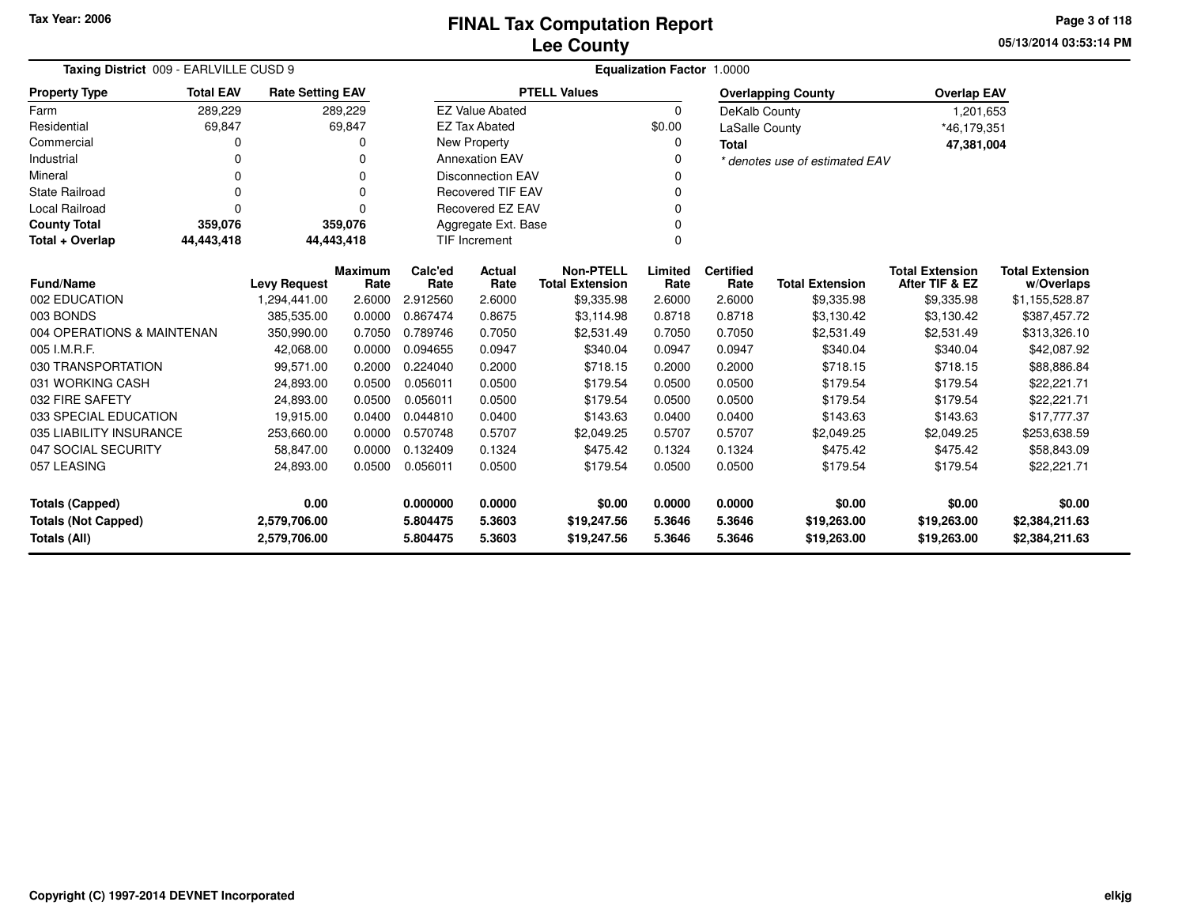**05/13/2014 03:53:14 PMPage 3 of 118**

| Taxing District 009 - EARLVILLE CUSD 9     |                                                                                        |                                                                                                          |          |          | Equalization Factor 1.0000 |                        |          |                        |                                |                    |                |
|--------------------------------------------|----------------------------------------------------------------------------------------|----------------------------------------------------------------------------------------------------------|----------|----------|----------------------------|------------------------|----------|------------------------|--------------------------------|--------------------|----------------|
| <b>Property Type</b>                       | <b>Total EAV</b><br><b>Rate Setting EAV</b><br>289,229<br>289,229                      |                                                                                                          |          |          |                            | <b>PTELL Values</b>    |          |                        | <b>Overlapping County</b>      | <b>Overlap EAV</b> |                |
| Farm                                       |                                                                                        |                                                                                                          |          |          | <b>EZ Value Abated</b>     |                        | $\Omega$ | DeKalb County          |                                | 1,201,653          |                |
| Residential                                | 69,847                                                                                 |                                                                                                          | 69,847   |          | <b>EZ Tax Abated</b>       |                        | \$0.00   | LaSalle County         |                                | *46,179,351        |                |
| Commercial                                 | 0                                                                                      |                                                                                                          | O        |          | <b>New Property</b>        |                        | O        | <b>Total</b>           |                                | 47,381,004         |                |
| Industrial                                 | 0                                                                                      |                                                                                                          | $\Omega$ |          | <b>Annexation EAV</b>      |                        |          |                        | * denotes use of estimated EAV |                    |                |
| Mineral                                    | 0                                                                                      |                                                                                                          | O        |          | <b>Disconnection EAV</b>   |                        |          |                        |                                |                    |                |
| <b>State Railroad</b>                      | 0                                                                                      |                                                                                                          | $\Omega$ |          | Recovered TIF EAV          |                        |          |                        |                                |                    |                |
| Local Railroad                             | 0                                                                                      |                                                                                                          | $\Omega$ |          | Recovered EZ EAV           |                        |          |                        |                                |                    |                |
| <b>County Total</b>                        | 359,076                                                                                |                                                                                                          | 359,076  |          | Aggregate Ext. Base        |                        |          |                        |                                |                    |                |
| Total + Overlap                            | 44,443,418                                                                             | 44,443,418                                                                                               |          |          | <b>TIF Increment</b>       |                        |          |                        |                                |                    |                |
|                                            | <b>Non-PTELL</b><br>Calc'ed<br>Limited<br><b>Certified</b><br><b>Maximum</b><br>Actual |                                                                                                          |          |          |                            |                        |          | <b>Total Extension</b> | <b>Total Extension</b>         |                    |                |
| <b>Fund/Name</b>                           |                                                                                        | <b>Levy Request</b>                                                                                      | Rate     | Rate     | Rate                       | <b>Total Extension</b> | Rate     | Rate                   | <b>Total Extension</b>         | After TIF & EZ     | w/Overlaps     |
| 002 EDUCATION                              |                                                                                        | 1,294,441.00                                                                                             | 2.6000   | 2.912560 | 2.6000                     | \$9,335.98             | 2.6000   | 2.6000                 | \$9,335.98                     | \$9,335.98         | \$1,155,528.87 |
| 003 BONDS                                  |                                                                                        | 385,535.00<br>0.0000<br>0.867474<br>0.8675<br>\$3,114.98<br>0.8718<br>0.8718<br>\$3,130.42<br>\$3,130.42 |          |          |                            | \$387,457.72           |          |                        |                                |                    |                |
| 004 OPERATIONS & MAINTENAN                 |                                                                                        | 350,990.00                                                                                               | 0.7050   | 0.789746 | 0.7050                     | \$2,531.49             | 0.7050   | 0.7050                 | \$2,531.49                     | \$2,531.49         | \$313,326.10   |
| 005 I.M.R.F.                               |                                                                                        | 42,068.00                                                                                                | 0.0000   | 0.094655 | 0.0947                     | \$340.04               | 0.0947   | 0.0947                 | \$340.04                       | \$340.04           | \$42,087.92    |
| 030 TRANSPORTATION                         |                                                                                        | 99,571.00                                                                                                | 0.2000   | 0.224040 | 0.2000                     | \$718.15               | 0.2000   | 0.2000                 | \$718.15                       | \$718.15           | \$88,886.84    |
| 031 WORKING CASH                           |                                                                                        | 24,893.00                                                                                                | 0.0500   | 0.056011 | 0.0500                     | \$179.54               | 0.0500   | 0.0500                 | \$179.54                       | \$179.54           | \$22,221.71    |
| 032 FIRE SAFETY                            |                                                                                        | 24,893.00                                                                                                | 0.0500   | 0.056011 | 0.0500                     | \$179.54               | 0.0500   | 0.0500                 | \$179.54                       | \$179.54           | \$22,221.71    |
| 033 SPECIAL EDUCATION                      |                                                                                        | 19,915.00                                                                                                | 0.0400   | 0.044810 | 0.0400                     | \$143.63               | 0.0400   | 0.0400                 | \$143.63                       | \$143.63           | \$17,777.37    |
| 035 LIABILITY INSURANCE                    |                                                                                        | 253,660.00                                                                                               | 0.0000   | 0.570748 | 0.5707                     | \$2,049.25             | 0.5707   | 0.5707                 | \$2,049.25                     | \$2,049.25         | \$253,638.59   |
| 047 SOCIAL SECURITY                        |                                                                                        | 58,847.00                                                                                                | 0.0000   | 0.132409 | 0.1324                     | \$475.42               | 0.1324   | 0.1324                 | \$475.42                       | \$475.42           | \$58,843.09    |
| 057 LEASING<br>0.0500<br>24,893.00         |                                                                                        | 0.056011                                                                                                 | 0.0500   | \$179.54 | 0.0500                     | 0.0500                 | \$179.54 | \$179.54               | \$22,221.71                    |                    |                |
| 0.00<br><b>Totals (Capped)</b>             |                                                                                        |                                                                                                          |          | 0.000000 | 0.0000                     | \$0.00                 | 0.0000   | 0.0000                 | \$0.00                         | \$0.00             | \$0.00         |
| <b>Totals (Not Capped)</b><br>2,579,706.00 |                                                                                        |                                                                                                          |          | 5.804475 | 5.3603                     | \$19,247.56            | 5.3646   | 5.3646                 | \$19,263.00                    | \$19,263.00        | \$2,384,211.63 |
| <b>Totals (All)</b>                        |                                                                                        | 2,579,706.00                                                                                             |          | 5.804475 | 5.3603                     | \$19,247.56            | 5.3646   | 5.3646                 | \$19,263.00                    | \$19,263.00        | \$2,384,211.63 |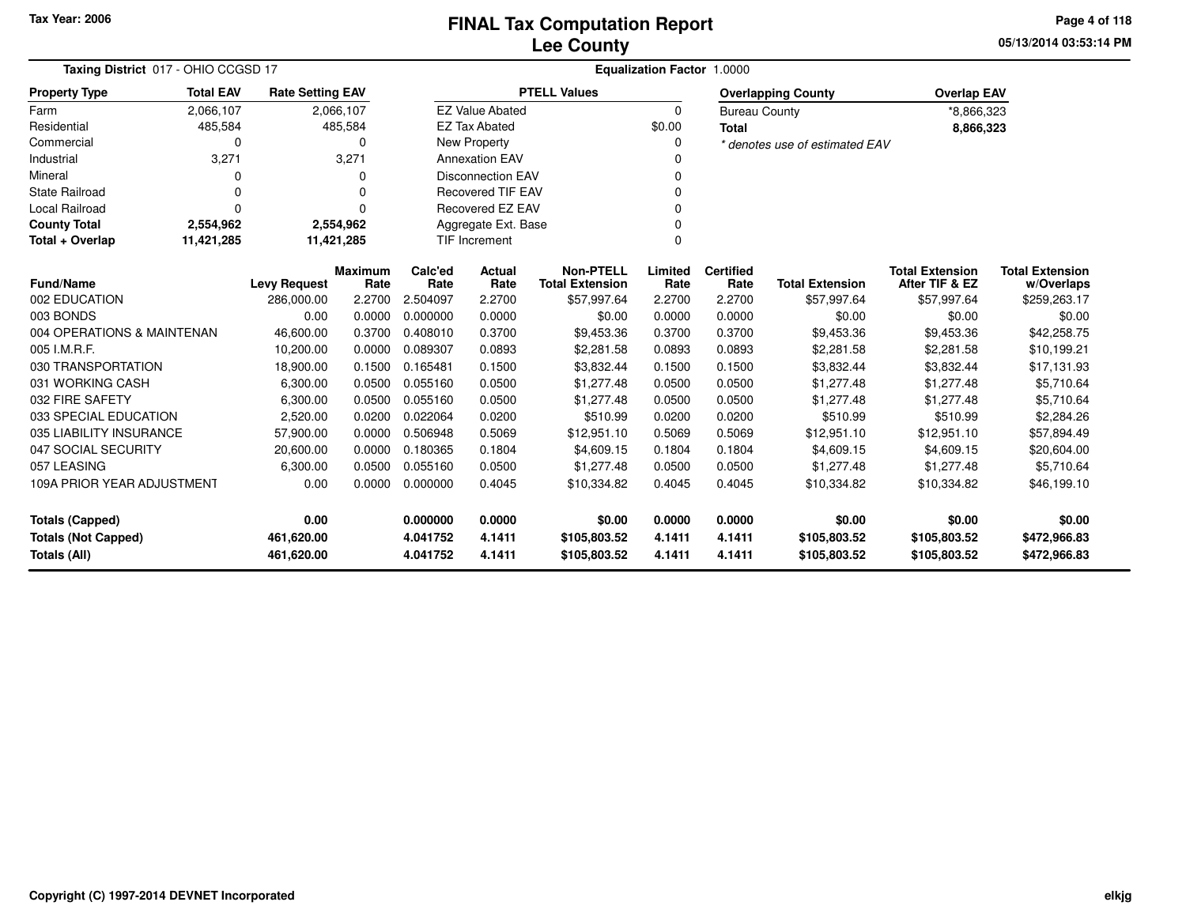**05/13/2014 03:53:14 PM Page 4 of 118**

| Taxing District 017 - OHIO CCGSD 17                                 | Equalization Factor 1.0000                                                       |                     |                        |                          |                          |                                            |                 |                          |                                |                                          |                                      |
|---------------------------------------------------------------------|----------------------------------------------------------------------------------|---------------------|------------------------|--------------------------|--------------------------|--------------------------------------------|-----------------|--------------------------|--------------------------------|------------------------------------------|--------------------------------------|
| <b>Property Type</b>                                                | <b>Total EAV</b><br><b>Rate Setting EAV</b><br>2,066,107<br>2,066,107<br>485,584 |                     |                        |                          |                          | <b>PTELL Values</b>                        |                 |                          | <b>Overlapping County</b>      | <b>Overlap EAV</b>                       |                                      |
| Farm                                                                |                                                                                  |                     |                        |                          | <b>EZ Value Abated</b>   |                                            | $\Omega$        | <b>Bureau County</b>     |                                | *8,866,323                               |                                      |
| Residential                                                         | 485,584                                                                          |                     |                        |                          | <b>EZ Tax Abated</b>     |                                            | \$0.00          | <b>Total</b>             |                                | 8,866,323                                |                                      |
| Commercial                                                          | 0                                                                                |                     | 0                      |                          | <b>New Property</b>      |                                            | $\Omega$        |                          | * denotes use of estimated EAV |                                          |                                      |
| Industrial                                                          | 3,271                                                                            |                     | 3,271                  |                          | <b>Annexation EAV</b>    |                                            |                 |                          |                                |                                          |                                      |
| Mineral                                                             | 0                                                                                |                     | U                      |                          | <b>Disconnection EAV</b> |                                            |                 |                          |                                |                                          |                                      |
| <b>State Railroad</b>                                               | 0                                                                                |                     | 0                      | <b>Recovered TIF EAV</b> |                          |                                            |                 |                          |                                |                                          |                                      |
| <b>Local Railroad</b>                                               | $\Omega$                                                                         |                     | 0                      |                          | Recovered EZ EAV         |                                            | <sup>0</sup>    |                          |                                |                                          |                                      |
| <b>County Total</b>                                                 | 2,554,962                                                                        |                     | 2,554,962              |                          | Aggregate Ext. Base      |                                            |                 |                          |                                |                                          |                                      |
| 11,421,285<br>11,421,285<br><b>TIF Increment</b><br>Total + Overlap |                                                                                  |                     |                        |                          |                          | $\Omega$                                   |                 |                          |                                |                                          |                                      |
| <b>Fund/Name</b>                                                    |                                                                                  | <b>Levy Request</b> | <b>Maximum</b><br>Rate | Calc'ed<br>Rate          | Actual<br>Rate           | <b>Non-PTELL</b><br><b>Total Extension</b> | Limited<br>Rate | <b>Certified</b><br>Rate | <b>Total Extension</b>         | <b>Total Extension</b><br>After TIF & EZ | <b>Total Extension</b><br>w/Overlaps |
| 002 EDUCATION                                                       |                                                                                  | 286,000.00          | 2.2700                 | 2.504097                 | 2.2700                   | \$57,997.64                                | 2.2700          | 2.2700                   | \$57,997.64                    | \$57,997.64                              | \$259,263.17                         |
| 003 BONDS                                                           |                                                                                  | 0.00                | 0.0000                 | 0.000000                 | 0.0000                   | \$0.00                                     | 0.0000          | 0.0000                   | \$0.00                         | \$0.00                                   | \$0.00                               |
| 004 OPERATIONS & MAINTENAN                                          |                                                                                  | 46,600.00           | 0.3700                 | 0.408010                 | 0.3700                   | \$9,453.36                                 | 0.3700          | 0.3700                   | \$9,453.36                     | \$9,453.36                               | \$42,258.75                          |
| 005 I.M.R.F.                                                        |                                                                                  | 10,200.00           | 0.0000                 | 0.089307                 | 0.0893                   | \$2,281.58                                 | 0.0893          | 0.0893                   | \$2,281.58                     | \$2,281.58                               | \$10,199.21                          |
| 030 TRANSPORTATION                                                  |                                                                                  | 18,900.00           | 0.1500                 | 0.165481                 | 0.1500                   | \$3,832.44                                 | 0.1500          | 0.1500                   | \$3,832.44                     | \$3,832.44                               | \$17,131.93                          |
| 031 WORKING CASH                                                    |                                                                                  | 6,300.00            | 0.0500                 | 0.055160                 | 0.0500                   | \$1,277.48                                 | 0.0500          | 0.0500                   | \$1,277.48                     | \$1,277.48                               | \$5,710.64                           |
| 032 FIRE SAFETY                                                     |                                                                                  | 6,300.00            | 0.0500                 | 0.055160                 | 0.0500                   | \$1,277.48                                 | 0.0500          | 0.0500                   | \$1,277.48                     | \$1,277.48                               | \$5,710.64                           |
| 033 SPECIAL EDUCATION                                               |                                                                                  | 2,520.00            | 0.0200                 | 0.022064                 | 0.0200                   | \$510.99                                   | 0.0200          | 0.0200                   | \$510.99                       | \$510.99                                 | \$2,284.26                           |
| 035 LIABILITY INSURANCE                                             |                                                                                  | 57,900.00           | 0.0000                 | 0.506948                 | 0.5069                   | \$12,951.10                                | 0.5069          | 0.5069                   | \$12,951.10                    | \$12,951.10                              | \$57,894.49                          |
| 047 SOCIAL SECURITY                                                 |                                                                                  | 20,600.00           | 0.0000                 | 0.180365                 | 0.1804                   | \$4,609.15                                 | 0.1804          | 0.1804                   | \$4,609.15                     | \$4,609.15                               | \$20,604.00                          |
| 057 LEASING                                                         |                                                                                  | 6,300.00            | 0.0500                 | 0.055160                 | 0.0500                   | \$1,277.48                                 | 0.0500          | 0.0500                   | \$1,277.48                     | \$1,277.48                               | \$5,710.64                           |
| 109A PRIOR YEAR ADJUSTMENT                                          |                                                                                  | 0.00                | 0.0000                 | 0.000000                 | 0.4045                   | \$10,334.82                                | 0.4045          | 0.4045                   | \$10,334.82                    | \$10,334.82                              | \$46,199.10                          |
| 0.00<br><b>Totals (Capped)</b>                                      |                                                                                  |                     |                        | 0.000000                 | 0.0000                   | \$0.00                                     | 0.0000          | 0.0000                   | \$0.00                         | \$0.00                                   | \$0.00                               |
| <b>Totals (Not Capped)</b><br>461,620.00                            |                                                                                  |                     |                        | 4.041752                 | 4.1411                   | \$105,803.52                               | 4.1411          | 4.1411                   | \$105,803.52                   | \$105,803.52                             | \$472,966.83                         |
| Totals (All)                                                        |                                                                                  | 461,620.00          |                        | 4.041752                 | 4.1411                   | \$105,803.52                               | 4.1411          | 4.1411                   | \$105,803.52                   | \$105,803.52                             | \$472,966.83                         |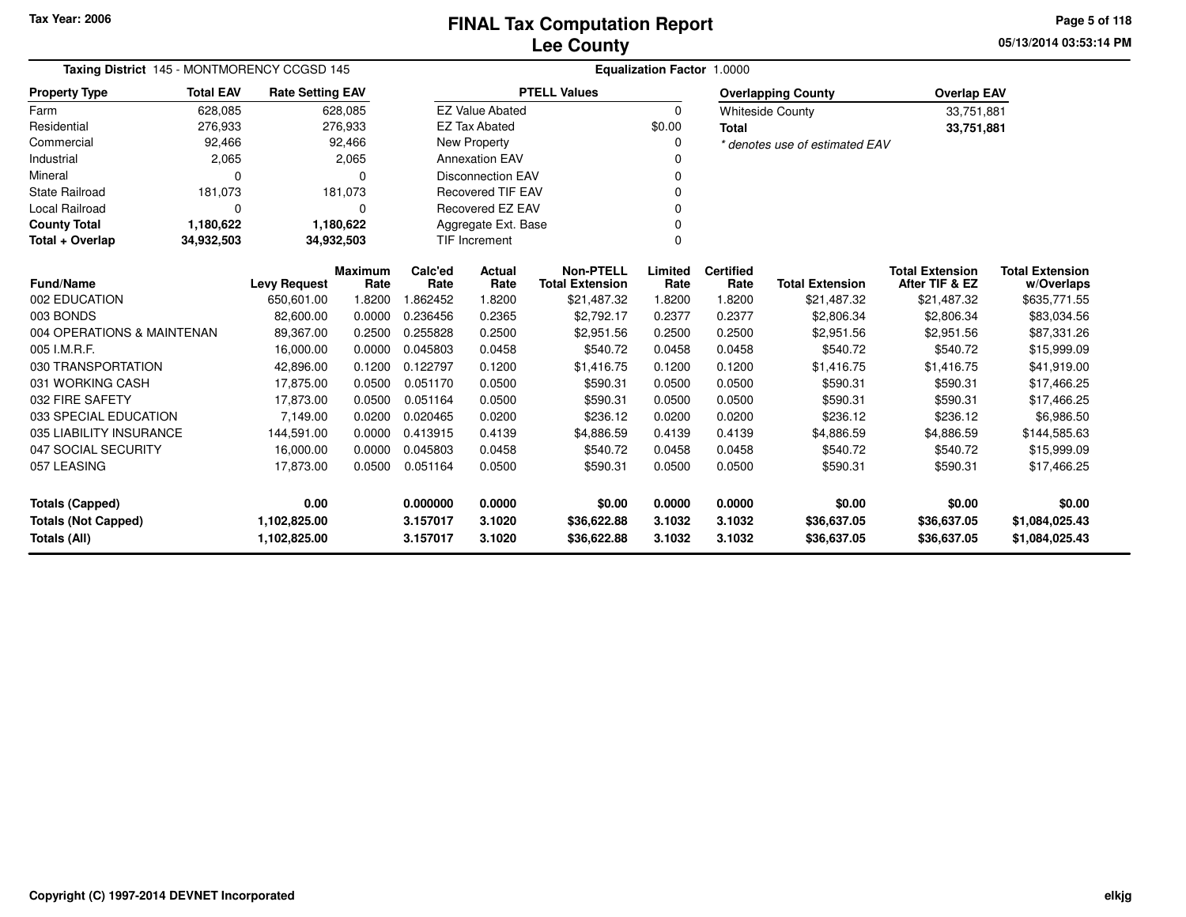**05/13/2014 03:53:14 PM Page 5 of 118**

| Taxing District 145 - MONTMORENCY CCGSD 145                                     |                                               | Equalization Factor 1.0000 |                |          |                          |                        |          |                  |                                |                        |                        |
|---------------------------------------------------------------------------------|-----------------------------------------------|----------------------------|----------------|----------|--------------------------|------------------------|----------|------------------|--------------------------------|------------------------|------------------------|
| <b>Property Type</b>                                                            | <b>Total EAV</b>                              | <b>Rate Setting EAV</b>    |                |          |                          | <b>PTELL Values</b>    |          |                  | <b>Overlapping County</b>      | <b>Overlap EAV</b>     |                        |
| Farm                                                                            | 628,085                                       |                            | 628,085        |          | <b>EZ Value Abated</b>   |                        | $\Omega$ |                  | <b>Whiteside County</b>        | 33,751,881             |                        |
| Residential                                                                     | 276,933                                       |                            | 276,933        |          | <b>EZ Tax Abated</b>     |                        | \$0.00   | <b>Total</b>     |                                | 33,751,881             |                        |
| Commercial                                                                      | 92,466                                        |                            | 92,466         |          | New Property             |                        | $\Omega$ |                  | * denotes use of estimated EAV |                        |                        |
| Industrial                                                                      | 2,065                                         |                            | 2,065          |          | <b>Annexation EAV</b>    |                        |          |                  |                                |                        |                        |
| Mineral                                                                         | O                                             |                            | n              |          | <b>Disconnection EAV</b> |                        | 0        |                  |                                |                        |                        |
| <b>State Railroad</b>                                                           | 181,073                                       |                            | 181,073        |          | <b>Recovered TIF EAV</b> |                        |          |                  |                                |                        |                        |
| Local Railroad                                                                  | $\Omega$                                      |                            | 0              |          | Recovered EZ EAV         |                        | 0        |                  |                                |                        |                        |
| <b>County Total</b>                                                             | 1,180,622<br>1,180,622<br>Aggregate Ext. Base |                            |                |          |                          |                        |          |                  |                                |                        |                        |
| <b>TIF Increment</b><br>$\Omega$<br>Total + Overlap<br>34,932,503<br>34,932,503 |                                               |                            |                |          |                          |                        |          |                  |                                |                        |                        |
|                                                                                 |                                               |                            | <b>Maximum</b> | Calc'ed  | Actual                   | <b>Non-PTELL</b>       | Limited  | <b>Certified</b> |                                | <b>Total Extension</b> | <b>Total Extension</b> |
| <b>Fund/Name</b>                                                                |                                               | <b>Levy Request</b>        | Rate           | Rate     | Rate                     | <b>Total Extension</b> | Rate     | Rate             | <b>Total Extension</b>         | After TIF & EZ         | w/Overlaps             |
| 002 EDUCATION                                                                   |                                               | 650,601.00                 | 1.8200         | 1.862452 | 1.8200                   | \$21,487.32            | 1.8200   | 1.8200           | \$21,487.32                    | \$21,487.32            | \$635,771.55           |
| 003 BONDS                                                                       |                                               | 82,600.00                  | 0.0000         | 0.236456 | 0.2365                   | \$2,792.17             | 0.2377   | 0.2377           | \$2,806.34                     | \$2,806.34             | \$83,034.56            |
| 004 OPERATIONS & MAINTENAN                                                      |                                               | 89,367.00                  | 0.2500         | 0.255828 | 0.2500                   | \$2,951.56             | 0.2500   | 0.2500           | \$2,951.56                     | \$2,951.56             | \$87,331.26            |
| 005 I.M.R.F.                                                                    |                                               | 16,000.00                  | 0.0000         | 0.045803 | 0.0458                   | \$540.72               | 0.0458   | 0.0458           | \$540.72                       | \$540.72               | \$15,999.09            |
| 030 TRANSPORTATION                                                              |                                               | 42,896.00                  | 0.1200         | 0.122797 | 0.1200                   | \$1,416.75             | 0.1200   | 0.1200           | \$1,416.75                     | \$1,416.75             | \$41,919.00            |
| 031 WORKING CASH                                                                |                                               | 17,875.00                  | 0.0500         | 0.051170 | 0.0500                   | \$590.31               | 0.0500   | 0.0500           | \$590.31                       | \$590.31               | \$17,466.25            |
| 032 FIRE SAFETY                                                                 |                                               | 17,873.00                  | 0.0500         | 0.051164 | 0.0500                   | \$590.31               | 0.0500   | 0.0500           | \$590.31                       | \$590.31               | \$17,466.25            |
| 033 SPECIAL EDUCATION                                                           |                                               | 7,149.00                   | 0.0200         | 0.020465 | 0.0200                   | \$236.12               | 0.0200   | 0.0200           | \$236.12                       | \$236.12               | \$6,986.50             |
| 035 LIABILITY INSURANCE                                                         |                                               | 144,591.00                 | 0.0000         | 0.413915 | 0.4139                   | \$4,886.59             | 0.4139   | 0.4139           | \$4,886.59                     | \$4,886.59             | \$144,585.63           |
| 047 SOCIAL SECURITY                                                             |                                               | 16,000.00                  | 0.0000         | 0.045803 | 0.0458                   | \$540.72               | 0.0458   | 0.0458           | \$540.72                       | \$540.72               | \$15,999.09            |
| 057 LEASING                                                                     |                                               | 17,873.00                  | 0.0500         | 0.051164 | 0.0500                   | \$590.31               | 0.0500   | 0.0500           | \$590.31                       | \$590.31               | \$17,466.25            |
| <b>Totals (Capped)</b>                                                          |                                               | 0.00                       |                | 0.000000 | 0.0000                   | \$0.00                 | 0.0000   | 0.0000           | \$0.00                         | \$0.00                 | \$0.00                 |
|                                                                                 |                                               | 1,102,825.00               |                | 3.157017 | 3.1020                   | \$36,622.88            | 3.1032   | 3.1032           | \$36,637.05                    | \$36,637.05            | \$1,084,025.43         |
| <b>Totals (Not Capped)</b><br>Totals (All)                                      |                                               | 1,102,825.00               |                | 3.157017 | 3.1020                   | \$36,622.88            | 3.1032   | 3.1032           | \$36,637.05                    | \$36,637.05            | \$1,084,025.43         |

 $\overline{\phantom{0}}$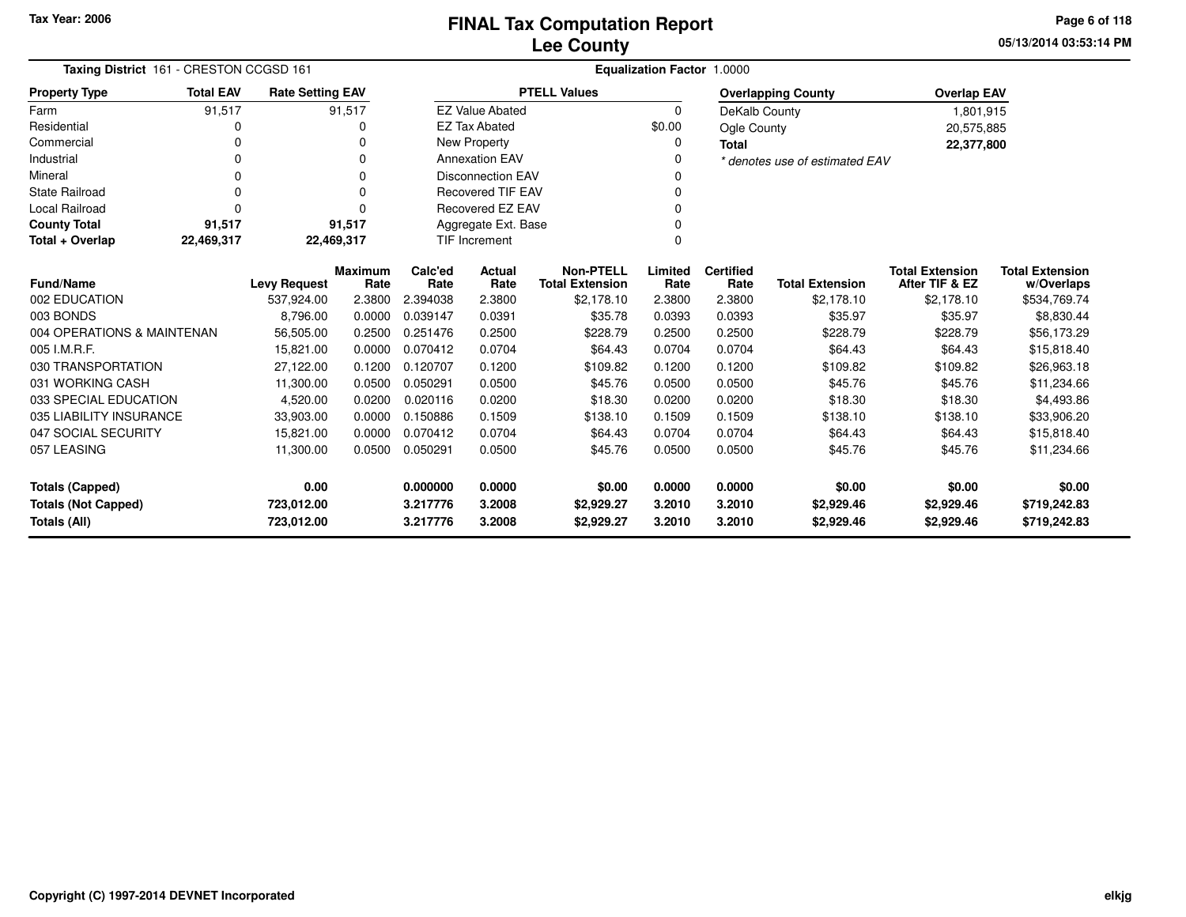**05/13/2014 03:53:14 PM Page 6 of 118**

| Taxing District 161 - CRESTON CCGSD 161 |                                                       | Equalization Factor 1.0000 |                        |                 |                          |                                            |                 |                          |                                |                                          |                                      |
|-----------------------------------------|-------------------------------------------------------|----------------------------|------------------------|-----------------|--------------------------|--------------------------------------------|-----------------|--------------------------|--------------------------------|------------------------------------------|--------------------------------------|
| <b>Property Type</b>                    | <b>Total EAV</b><br><b>Rate Setting EAV</b><br>91,517 |                            |                        |                 |                          | <b>PTELL Values</b>                        |                 |                          | <b>Overlapping County</b>      | <b>Overlap EAV</b>                       |                                      |
| Farm                                    |                                                       |                            | 91,517                 |                 | <b>EZ Value Abated</b>   |                                            | 0               | DeKalb County            |                                | 1,801,915                                |                                      |
| Residential                             | 0                                                     |                            | 0                      |                 | <b>EZ Tax Abated</b>     |                                            | \$0.00          | Ogle County              |                                | 20,575,885                               |                                      |
| Commercial                              | 0                                                     |                            | 0                      |                 | New Property             |                                            | 0               | <b>Total</b>             |                                | 22,377,800                               |                                      |
| Industrial                              | 0                                                     |                            | 0                      |                 | <b>Annexation EAV</b>    |                                            | 0               |                          | * denotes use of estimated EAV |                                          |                                      |
| Mineral                                 | $\Omega$                                              |                            | $\Omega$               |                 | <b>Disconnection EAV</b> |                                            | 0               |                          |                                |                                          |                                      |
| <b>State Railroad</b>                   | $\Omega$                                              |                            | $\Omega$               |                 | <b>Recovered TIF EAV</b> |                                            | $\Omega$        |                          |                                |                                          |                                      |
| <b>Local Railroad</b>                   | $\Omega$                                              |                            | $\Omega$               |                 | Recovered EZ EAV         |                                            | $\Omega$        |                          |                                |                                          |                                      |
| <b>County Total</b>                     | 91,517                                                |                            | 91,517                 |                 | Aggregate Ext. Base      |                                            | 0               |                          |                                |                                          |                                      |
| Total + Overlap                         | 22,469,317                                            | 22,469,317                 |                        |                 | <b>TIF Increment</b>     |                                            | $\Omega$        |                          |                                |                                          |                                      |
| <b>Fund/Name</b>                        |                                                       | <b>Levy Request</b>        | <b>Maximum</b><br>Rate | Calc'ed<br>Rate | Actual<br>Rate           | <b>Non-PTELL</b><br><b>Total Extension</b> | Limited<br>Rate | <b>Certified</b><br>Rate | <b>Total Extension</b>         | <b>Total Extension</b><br>After TIF & EZ | <b>Total Extension</b><br>w/Overlaps |
| 002 EDUCATION                           |                                                       | 537,924.00                 | 2.3800                 | 2.394038        | 2.3800                   | \$2,178.10                                 | 2.3800          | 2.3800                   | \$2,178.10                     | \$2,178.10                               | \$534,769.74                         |
| 003 BONDS                               |                                                       | 8,796.00                   | 0.0000                 | 0.039147        | 0.0391                   | \$35.78                                    | 0.0393          | 0.0393                   | \$35.97                        | \$35.97                                  | \$8,830.44                           |
| 004 OPERATIONS & MAINTENAN              |                                                       | 56,505.00                  | 0.2500                 | 0.251476        | 0.2500                   | \$228.79                                   | 0.2500          | 0.2500                   | \$228.79                       | \$228.79                                 | \$56,173.29                          |
| 005 I.M.R.F.                            |                                                       | 15.821.00                  | 0.0000                 | 0.070412        | 0.0704                   | \$64.43                                    | 0.0704          | 0.0704                   | \$64.43                        | \$64.43                                  | \$15,818.40                          |
| 030 TRANSPORTATION                      |                                                       | 27,122.00                  | 0.1200                 | 0.120707        | 0.1200                   | \$109.82                                   | 0.1200          | 0.1200                   | \$109.82                       | \$109.82                                 | \$26,963.18                          |
| 031 WORKING CASH                        |                                                       | 11,300.00                  | 0.0500                 | 0.050291        | 0.0500                   | \$45.76                                    | 0.0500          | 0.0500                   | \$45.76                        | \$45.76                                  | \$11,234.66                          |
| 033 SPECIAL EDUCATION                   |                                                       | 4,520.00                   | 0.0200                 | 0.020116        | 0.0200                   | \$18.30                                    | 0.0200          | 0.0200                   | \$18.30                        | \$18.30                                  | \$4,493.86                           |
| 035 LIABILITY INSURANCE                 |                                                       | 33,903.00                  | 0.0000                 | 0.150886        | 0.1509                   | \$138.10                                   | 0.1509          | 0.1509                   | \$138.10                       | \$138.10                                 | \$33,906.20                          |
| 047 SOCIAL SECURITY                     |                                                       | 15,821.00                  | 0.0000                 | 0.070412        | 0.0704                   | \$64.43                                    | 0.0704          | 0.0704                   | \$64.43                        | \$64.43                                  | \$15,818.40                          |
| 057 LEASING                             |                                                       | 11,300.00                  | 0.0500                 | 0.050291        | 0.0500                   | \$45.76                                    | 0.0500          | 0.0500                   | \$45.76                        | \$45.76                                  | \$11,234.66                          |
| 0.00<br><b>Totals (Capped)</b>          |                                                       |                            | 0.000000               | 0.0000          | \$0.00                   | 0.0000                                     | 0.0000          | \$0.00                   | \$0.00                         | \$0.00                                   |                                      |
| <b>Totals (Not Capped)</b>              |                                                       | 723,012.00                 |                        | 3.217776        | 3.2008                   | \$2,929.27                                 | 3.2010          | 3.2010                   | \$2,929.46                     | \$2,929.46                               | \$719,242.83                         |
| Totals (All)                            |                                                       | 723,012.00                 |                        | 3.217776        | 3.2008                   | \$2,929.27                                 | 3.2010          | 3.2010                   | \$2,929.46                     | \$2,929.46                               | \$719,242.83                         |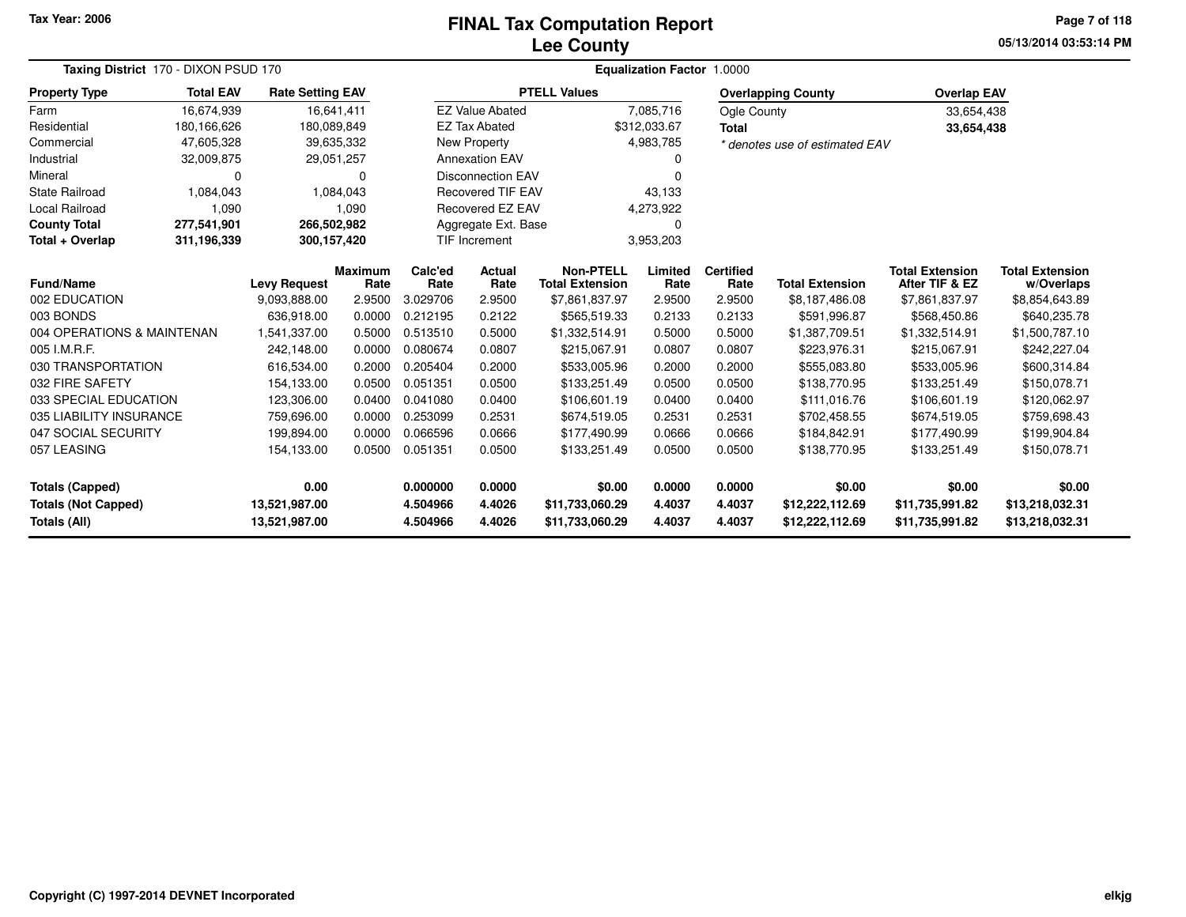### **Lee CountyFINAL Tax Computation Report** FINAL Tax Computation Report

**05/13/2014 03:53:14 PMPage 7 of 118**

|                            | Taxing District 170 - DIXON PSUD 170 |                         |                        | <b>Equalization Factor 1.0000</b> |                          |                                            |                 |                          |                                |                                          |                                      |  |  |
|----------------------------|--------------------------------------|-------------------------|------------------------|-----------------------------------|--------------------------|--------------------------------------------|-----------------|--------------------------|--------------------------------|------------------------------------------|--------------------------------------|--|--|
| <b>Property Type</b>       | <b>Total EAV</b>                     | <b>Rate Setting EAV</b> |                        |                                   |                          | <b>PTELL Values</b>                        |                 |                          | <b>Overlapping County</b>      | <b>Overlap EAV</b>                       |                                      |  |  |
| Farm                       | 16,674,939                           |                         | 16,641,411             |                                   | <b>EZ Value Abated</b>   |                                            | 7,085,716       | Ogle County              |                                | 33,654,438                               |                                      |  |  |
| Residential                | 180,166,626                          | 180,089,849             |                        |                                   | <b>EZ Tax Abated</b>     |                                            | \$312,033.67    | <b>Total</b>             |                                | 33,654,438                               |                                      |  |  |
| Commercial                 | 47,605,328                           |                         | 39,635,332             |                                   | New Property             |                                            | 4,983,785       |                          | * denotes use of estimated EAV |                                          |                                      |  |  |
| Industrial                 | 32,009,875                           |                         | 29,051,257             |                                   | <b>Annexation EAV</b>    |                                            |                 |                          |                                |                                          |                                      |  |  |
| Mineral                    | 0                                    |                         | $\Omega$               |                                   | <b>Disconnection EAV</b> |                                            |                 |                          |                                |                                          |                                      |  |  |
| <b>State Railroad</b>      | 1,084,043                            |                         | 1,084,043              |                                   | <b>Recovered TIF EAV</b> |                                            | 43,133          |                          |                                |                                          |                                      |  |  |
| Local Railroad             | 1,090                                |                         | 1,090                  |                                   | <b>Recovered EZ EAV</b>  |                                            | 4,273,922       |                          |                                |                                          |                                      |  |  |
| <b>County Total</b>        | 277,541,901                          | 266,502,982             |                        |                                   | Aggregate Ext. Base      |                                            | <sup>0</sup>    |                          |                                |                                          |                                      |  |  |
| Total + Overlap            | 311,196,339                          | 300, 157, 420           |                        |                                   | <b>TIF Increment</b>     |                                            | 3,953,203       |                          |                                |                                          |                                      |  |  |
| Fund/Name                  |                                      | <b>Levy Request</b>     | <b>Maximum</b><br>Rate | Calc'ed<br>Rate                   | Actual<br>Rate           | <b>Non-PTELL</b><br><b>Total Extension</b> | Limited<br>Rate | <b>Certified</b><br>Rate | <b>Total Extension</b>         | <b>Total Extension</b><br>After TIF & EZ | <b>Total Extension</b><br>w/Overlaps |  |  |
| 002 EDUCATION              |                                      | 9,093,888.00            | 2.9500                 | 3.029706                          | 2.9500                   | \$7,861,837.97                             | 2.9500          | 2.9500                   | \$8,187,486.08                 | \$7,861,837.97                           | \$8,854,643.89                       |  |  |
| 003 BONDS                  |                                      | 636,918.00              | 0.0000                 | 0.212195                          | 0.2122                   | \$565,519.33                               | 0.2133          | 0.2133                   | \$591,996.87                   | \$568,450.86                             | \$640,235.78                         |  |  |
| 004 OPERATIONS & MAINTENAN |                                      | 1,541,337.00            | 0.5000                 | 0.513510                          | 0.5000                   | \$1,332,514.91                             | 0.5000          | 0.5000                   | \$1,387,709.51                 | \$1,332,514.91                           | \$1,500,787.10                       |  |  |
| 005 I.M.R.F.               |                                      | 242,148.00              | 0.0000                 | 0.080674                          | 0.0807                   | \$215,067.91                               | 0.0807          | 0.0807                   | \$223,976.31                   | \$215,067.91                             | \$242,227.04                         |  |  |
| 030 TRANSPORTATION         |                                      | 616,534.00              | 0.2000                 | 0.205404                          | 0.2000                   | \$533,005.96                               | 0.2000          | 0.2000                   | \$555,083.80                   | \$533,005.96                             | \$600,314.84                         |  |  |
| 032 FIRE SAFETY            |                                      | 154,133.00              | 0.0500                 | 0.051351                          | 0.0500                   | \$133,251.49                               | 0.0500          | 0.0500                   | \$138,770.95                   | \$133,251.49                             | \$150,078.71                         |  |  |
| 033 SPECIAL EDUCATION      |                                      | 123,306.00              | 0.0400                 | 0.041080                          | 0.0400                   | \$106,601.19                               | 0.0400          | 0.0400                   | \$111,016.76                   | \$106,601.19                             | \$120,062.97                         |  |  |
| 035 LIABILITY INSURANCE    |                                      | 759,696.00              | 0.0000                 | 0.253099                          | 0.2531                   | \$674,519.05                               | 0.2531          | 0.2531                   | \$702,458.55                   | \$674,519.05                             | \$759,698.43                         |  |  |
| 047 SOCIAL SECURITY        |                                      | 199,894.00              | 0.0000                 | 0.066596                          | 0.0666                   | \$177,490.99                               | 0.0666          | 0.0666                   | \$184,842.91                   | \$177,490.99                             | \$199,904.84                         |  |  |
| 057 LEASING                |                                      | 154,133.00              | 0.0500                 | 0.051351                          | 0.0500                   | \$133,251.49                               | 0.0500          | 0.0500                   | \$138,770.95                   | \$133,251.49                             | \$150,078.71                         |  |  |
| <b>Totals (Capped)</b>     |                                      | 0.00                    |                        | 0.000000                          | 0.0000                   | \$0.00                                     | 0.0000          | 0.0000                   | \$0.00                         | \$0.00                                   | \$0.00                               |  |  |
| <b>Totals (Not Capped)</b> |                                      | 13,521,987.00           |                        | 4.504966                          | 4.4026                   | \$11,733,060.29                            | 4.4037          | 4.4037                   | \$12,222,112.69                | \$11,735,991.82                          | \$13,218,032.31                      |  |  |
| Totals (All)               |                                      | 13,521,987.00           |                        | 4.504966                          | 4.4026                   | \$11,733,060.29                            | 4.4037          | 4.4037                   | \$12,222,112.69                | \$11,735,991.82                          | \$13,218,032.31                      |  |  |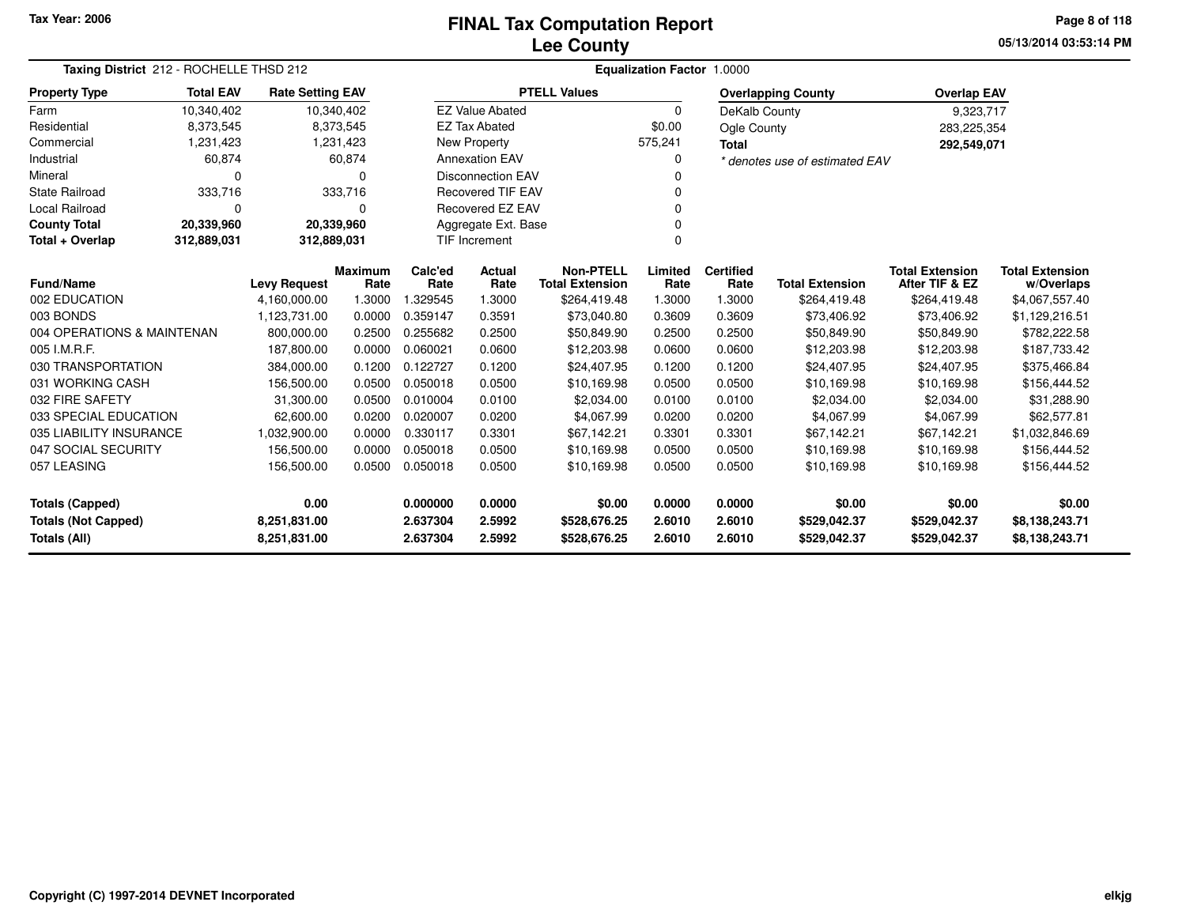## **Lee CountyFINAL Tax Computation Report** FINAL Tax Computation Report

**05/13/2014 03:53:14 PM Page 8 of 118**

| Taxing District 212 - ROCHELLE THSD 212    |                                                         |                                   |                | Equalization Factor 1.0000 |                         |                        |          |                  |                                |                        |                        |  |  |
|--------------------------------------------|---------------------------------------------------------|-----------------------------------|----------------|----------------------------|-------------------------|------------------------|----------|------------------|--------------------------------|------------------------|------------------------|--|--|
| <b>Property Type</b>                       | <b>Total EAV</b>                                        | <b>Rate Setting EAV</b>           |                |                            |                         | <b>PTELL Values</b>    |          |                  | <b>Overlapping County</b>      | <b>Overlap EAV</b>     |                        |  |  |
| Farm                                       | 10,340,402                                              | 10,340,402                        |                |                            | <b>EZ Value Abated</b>  |                        | $\Omega$ | DeKalb County    |                                | 9,323,717              |                        |  |  |
| Residential                                | 8,373,545                                               |                                   | 8,373,545      |                            | <b>EZ Tax Abated</b>    |                        | \$0.00   | Ogle County      |                                | 283,225,354            |                        |  |  |
| Commercial                                 | 1,231,423                                               |                                   | 1,231,423      |                            | <b>New Property</b>     |                        | 575,241  | <b>Total</b>     |                                | 292,549,071            |                        |  |  |
| Industrial                                 | 60,874                                                  |                                   | 60,874         |                            | <b>Annexation EAV</b>   |                        |          |                  | * denotes use of estimated EAV |                        |                        |  |  |
| Mineral                                    | $\Omega$                                                | <b>Disconnection EAV</b><br>0     |                |                            |                         |                        |          |                  |                                |                        |                        |  |  |
| <b>State Railroad</b>                      | 333,716                                                 |                                   | 333,716        |                            | Recovered TIF EAV       |                        |          |                  |                                |                        |                        |  |  |
| <b>Local Railroad</b>                      | $\Omega$                                                |                                   | 0              |                            | <b>Recovered EZ EAV</b> |                        |          |                  |                                |                        |                        |  |  |
| <b>County Total</b>                        | 20,339,960                                              | 20,339,960<br>Aggregate Ext. Base |                |                            |                         |                        |          |                  |                                |                        |                        |  |  |
| Total + Overlap                            | TIF Increment<br>$\Omega$<br>312,889,031<br>312,889,031 |                                   |                |                            |                         |                        |          |                  |                                |                        |                        |  |  |
|                                            |                                                         |                                   | <b>Maximum</b> | Calc'ed                    | <b>Actual</b>           | <b>Non-PTELL</b>       | Limited  | <b>Certified</b> |                                | <b>Total Extension</b> | <b>Total Extension</b> |  |  |
| <b>Fund/Name</b>                           |                                                         | <b>Levy Request</b>               | Rate           | Rate                       | Rate                    | <b>Total Extension</b> | Rate     | Rate             | <b>Total Extension</b>         | After TIF & EZ         | w/Overlaps             |  |  |
| 002 EDUCATION                              |                                                         | 4,160,000.00                      | 1.3000         | 1.329545                   | 1.3000                  | \$264,419.48           | 1.3000   | 1.3000           | \$264,419.48                   | \$264,419.48           | \$4,067,557.40         |  |  |
| 003 BONDS                                  |                                                         | 1,123,731.00                      | 0.0000         | 0.359147                   | 0.3591                  | \$73,040.80            | 0.3609   | 0.3609           | \$73,406.92                    | \$73,406.92            | \$1,129,216.51         |  |  |
| 004 OPERATIONS & MAINTENAN                 |                                                         | 800,000.00                        | 0.2500         | 0.255682                   | 0.2500                  | \$50,849.90            | 0.2500   | 0.2500           | \$50,849.90                    | \$50,849.90            | \$782,222.58           |  |  |
| 005 I.M.R.F.                               |                                                         | 187,800.00                        | 0.0000         | 0.060021                   | 0.0600                  | \$12,203.98            | 0.0600   | 0.0600           | \$12,203.98                    | \$12,203.98            | \$187,733.42           |  |  |
| 030 TRANSPORTATION                         |                                                         | 384,000.00                        | 0.1200         | 0.122727                   | 0.1200                  | \$24,407.95            | 0.1200   | 0.1200           | \$24,407.95                    | \$24,407.95            | \$375,466.84           |  |  |
| 031 WORKING CASH                           |                                                         | 156,500.00                        | 0.0500         | 0.050018                   | 0.0500                  | \$10,169.98            | 0.0500   | 0.0500           | \$10,169.98                    | \$10,169.98            | \$156,444.52           |  |  |
| 032 FIRE SAFETY                            |                                                         | 31,300.00                         | 0.0500         | 0.010004                   | 0.0100                  | \$2,034.00             | 0.0100   | 0.0100           | \$2,034.00                     | \$2,034.00             | \$31,288.90            |  |  |
| 033 SPECIAL EDUCATION                      |                                                         | 62,600.00                         | 0.0200         | 0.020007                   | 0.0200                  | \$4,067.99             | 0.0200   | 0.0200           | \$4,067.99                     | \$4,067.99             | \$62,577.81            |  |  |
| 035 LIABILITY INSURANCE                    |                                                         | 1,032,900.00                      | 0.0000         | 0.330117                   | 0.3301                  | \$67,142.21            | 0.3301   | 0.3301           | \$67.142.21                    | \$67.142.21            | \$1,032,846.69         |  |  |
| 047 SOCIAL SECURITY                        |                                                         | 156,500.00                        | 0.0000         | 0.050018                   | 0.0500                  | \$10,169.98            | 0.0500   | 0.0500           | \$10,169.98                    | \$10,169.98            | \$156,444.52           |  |  |
| 057 LEASING                                |                                                         | 156,500.00                        | 0.0500         | 0.050018                   | 0.0500                  | \$10,169.98            | 0.0500   | 0.0500           | \$10,169.98                    | \$10,169.98            | \$156,444.52           |  |  |
| 0.00<br><b>Totals (Capped)</b>             |                                                         |                                   | 0.000000       | 0.0000                     | \$0.00                  | 0.0000                 | 0.0000   | \$0.00           | \$0.00                         | \$0.00                 |                        |  |  |
| <b>Totals (Not Capped)</b><br>8,251,831.00 |                                                         |                                   |                | 2.637304                   | 2.5992                  | \$528,676.25           | 2.6010   | 2.6010           | \$529,042.37                   | \$529,042.37           | \$8,138,243.71         |  |  |
| Totals (All)                               |                                                         | 8,251,831.00                      |                | 2.637304                   | 2.5992                  | \$528,676.25           | 2.6010   | 2.6010           | \$529,042.37                   | \$529,042.37           | \$8,138,243.71         |  |  |

 $\overline{\phantom{0}}$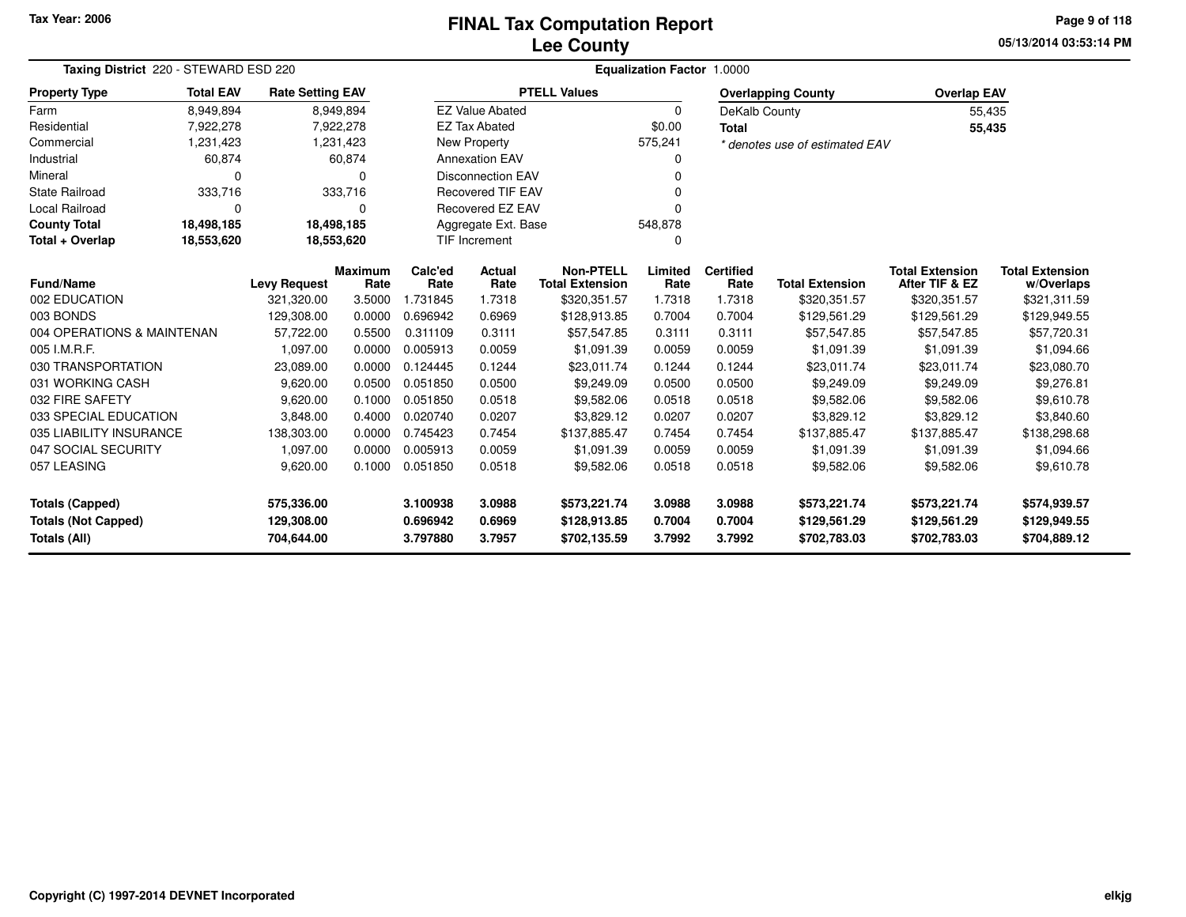**05/13/2014 03:53:14 PMPage 9 of 118**

| Taxing District 220 - STEWARD ESD 220                                |                                                                                                 |            |           |          | Equalization Factor 1.0000 |                        |          |                  |                                |                        |                        |  |  |
|----------------------------------------------------------------------|-------------------------------------------------------------------------------------------------|------------|-----------|----------|----------------------------|------------------------|----------|------------------|--------------------------------|------------------------|------------------------|--|--|
| <b>Property Type</b>                                                 | <b>Total EAV</b><br><b>Rate Setting EAV</b><br>8,949,894<br>8,949,894<br>7,922,278<br>7,922,278 |            |           |          |                            | <b>PTELL Values</b>    |          |                  | <b>Overlapping County</b>      | <b>Overlap EAV</b>     |                        |  |  |
| Farm                                                                 |                                                                                                 |            |           |          | <b>EZ Value Abated</b>     |                        | $\Omega$ | DeKalb County    |                                | 55,435                 |                        |  |  |
| Residential                                                          |                                                                                                 |            |           |          | <b>EZ Tax Abated</b>       |                        | \$0.00   | <b>Total</b>     |                                | 55,435                 |                        |  |  |
| Commercial                                                           | 1,231,423                                                                                       |            | 1,231,423 |          | <b>New Property</b>        |                        | 575,241  |                  | * denotes use of estimated EAV |                        |                        |  |  |
| Industrial                                                           | 60,874                                                                                          |            | 60,874    |          | <b>Annexation EAV</b>      |                        |          |                  |                                |                        |                        |  |  |
| Mineral                                                              | $\Omega$                                                                                        |            | ∩         |          | <b>Disconnection EAV</b>   |                        |          |                  |                                |                        |                        |  |  |
| <b>State Railroad</b>                                                | 333,716                                                                                         |            | 333,716   |          | <b>Recovered TIF EAV</b>   |                        |          |                  |                                |                        |                        |  |  |
| Local Railroad                                                       | $\Omega$                                                                                        |            | $\Omega$  |          | Recovered EZ EAV           |                        |          |                  |                                |                        |                        |  |  |
| <b>County Total</b>                                                  | 18,498,185                                                                                      | 18,498,185 |           |          | Aggregate Ext. Base        |                        | 548,878  |                  |                                |                        |                        |  |  |
| Total + Overlap                                                      | 18,553,620                                                                                      | 18,553,620 |           |          | <b>TIF Increment</b>       |                        |          |                  |                                |                        |                        |  |  |
|                                                                      | Maximum<br><b>Levy Request</b>                                                                  |            |           | Calc'ed  | Actual                     | <b>Non-PTELL</b>       | Limited  | <b>Certified</b> |                                | <b>Total Extension</b> | <b>Total Extension</b> |  |  |
| <b>Fund/Name</b>                                                     |                                                                                                 |            | Rate      | Rate     | Rate                       | <b>Total Extension</b> | Rate     | Rate             | <b>Total Extension</b>         | After TIF & EZ         | w/Overlaps             |  |  |
| 002 EDUCATION<br>003 BONDS                                           |                                                                                                 | 321,320.00 | 3.5000    | 1.731845 | 1.7318                     | \$320,351.57           | 1.7318   | 1.7318           | \$320,351.57                   | \$320,351.57           | \$321,311.59           |  |  |
|                                                                      |                                                                                                 | 129,308.00 | 0.0000    | 0.696942 | 0.6969                     | \$128,913.85           | 0.7004   | 0.7004           | \$129,561.29                   | \$129,561.29           | \$129,949.55           |  |  |
| 004 OPERATIONS & MAINTENAN                                           |                                                                                                 | 57,722.00  | 0.5500    | 0.311109 | 0.3111                     | \$57,547.85            | 0.3111   | 0.3111           | \$57,547.85                    | \$57,547.85            | \$57,720.31            |  |  |
| 005 I.M.R.F.                                                         |                                                                                                 | 1,097.00   | 0.0000    | 0.005913 | 0.0059                     | \$1,091.39             | 0.0059   | 0.0059           | \$1,091.39                     | \$1,091.39             | \$1,094.66             |  |  |
| 030 TRANSPORTATION                                                   |                                                                                                 | 23,089.00  | 0.0000    | 0.124445 | 0.1244                     | \$23,011.74            | 0.1244   | 0.1244           | \$23,011.74                    | \$23,011.74            | \$23,080.70            |  |  |
| 031 WORKING CASH                                                     |                                                                                                 | 9,620.00   | 0.0500    | 0.051850 | 0.0500                     | \$9,249.09             | 0.0500   | 0.0500           | \$9,249.09                     | \$9,249.09             | \$9,276.81             |  |  |
| 032 FIRE SAFETY                                                      |                                                                                                 | 9,620.00   | 0.1000    | 0.051850 | 0.0518                     | \$9,582.06             | 0.0518   | 0.0518           | \$9,582.06                     | \$9,582.06             | \$9,610.78             |  |  |
| 033 SPECIAL EDUCATION                                                |                                                                                                 | 3,848.00   | 0.4000    | 0.020740 | 0.0207                     | \$3,829.12             | 0.0207   | 0.0207           | \$3,829.12                     | \$3,829.12             | \$3,840.60             |  |  |
| 035 LIABILITY INSURANCE                                              |                                                                                                 | 138,303.00 | 0.0000    | 0.745423 | 0.7454                     | \$137,885.47           | 0.7454   | 0.7454           | \$137,885.47                   | \$137,885.47           | \$138,298.68           |  |  |
| 047 SOCIAL SECURITY                                                  |                                                                                                 | 1,097.00   | 0.0000    | 0.005913 | 0.0059                     | \$1,091.39             | 0.0059   | 0.0059           | \$1,091.39                     | \$1,091.39             | \$1,094.66             |  |  |
| 057 LEASING<br>9,620.00                                              |                                                                                                 | 0.1000     | 0.051850  | 0.0518   | \$9,582.06                 | 0.0518                 | 0.0518   | \$9,582.06       | \$9,582.06                     | \$9,610.78             |                        |  |  |
| 575,336.00                                                           |                                                                                                 |            | 3.100938  | 3.0988   | \$573,221.74               | 3.0988                 | 3.0988   | \$573,221.74     | \$573,221.74                   | \$574,939.57           |                        |  |  |
| 129,308.00                                                           |                                                                                                 |            |           | 0.696942 | 0.6969                     | \$128,913.85           | 0.7004   | 0.7004           | \$129,561.29                   | \$129,561.29           | \$129,949.55           |  |  |
| <b>Totals (Capped)</b><br><b>Totals (Not Capped)</b><br>Totals (All) |                                                                                                 | 704,644.00 |           | 3.797880 | 3.7957                     | \$702,135.59           | 3.7992   | 3.7992           | \$702,783.03                   | \$702,783.03           | \$704,889.12           |  |  |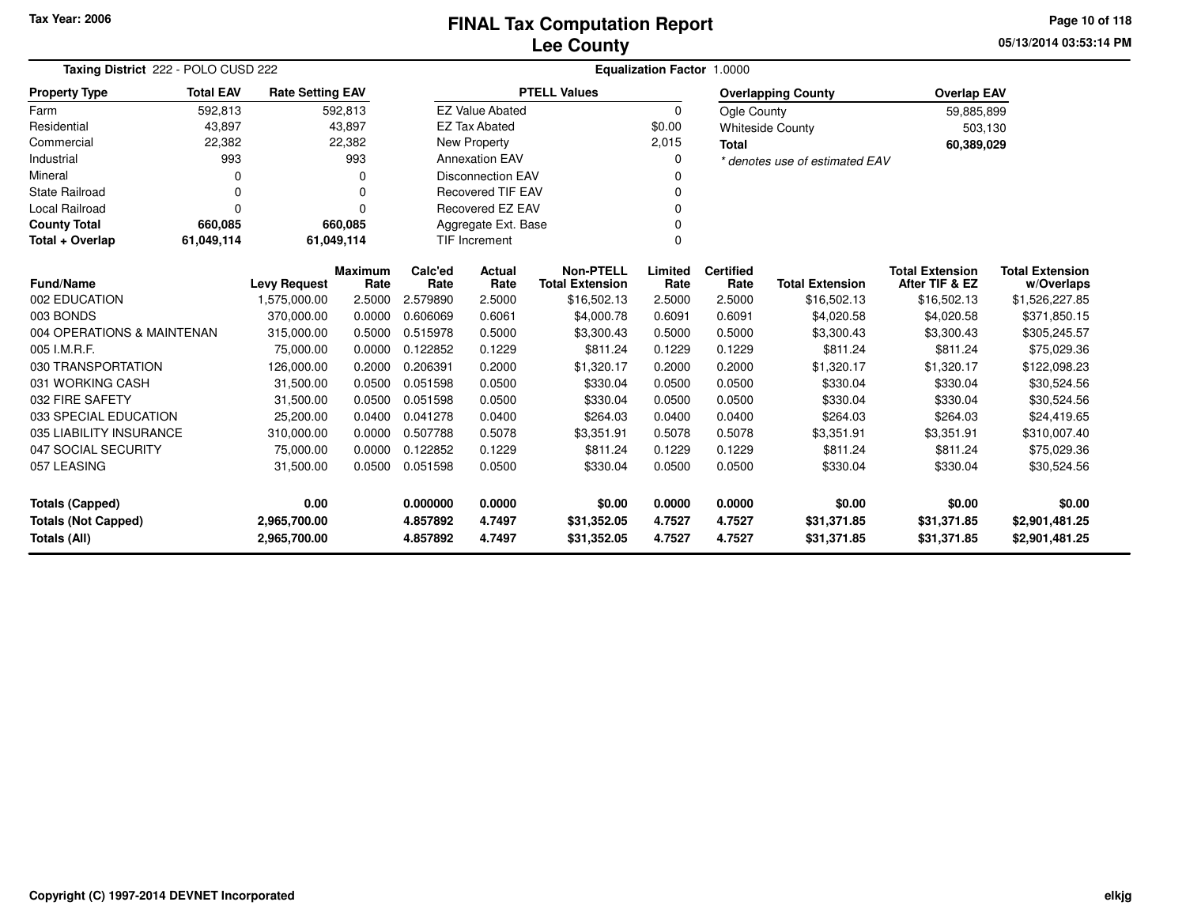### **Lee CountyFINAL Tax Computation Report** FINAL Tax Computation Report

**05/13/2014 03:53:14 PMPage 10 of 118**

| Taxing District 222 - POLO CUSD 222                                               | <b>Equalization Factor 1.0000</b>                            |                               |                        |                          |                            |                                            |                  |                            |                                |                                          |                                      |
|-----------------------------------------------------------------------------------|--------------------------------------------------------------|-------------------------------|------------------------|--------------------------|----------------------------|--------------------------------------------|------------------|----------------------------|--------------------------------|------------------------------------------|--------------------------------------|
| <b>Property Type</b>                                                              | <b>Total EAV</b>                                             | <b>Rate Setting EAV</b>       |                        |                          |                            | <b>PTELL Values</b>                        |                  |                            | <b>Overlapping County</b>      | <b>Overlap EAV</b>                       |                                      |
| Farm                                                                              | 592,813                                                      |                               | 592,813                |                          | <b>EZ Value Abated</b>     |                                            | $\mathbf 0$      | Ogle County                |                                | 59,885,899                               |                                      |
| Residential                                                                       | 43,897                                                       |                               | 43,897                 |                          | <b>EZ Tax Abated</b>       |                                            | \$0.00           |                            | <b>Whiteside County</b>        | 503,130                                  |                                      |
| Commercial                                                                        | 22,382                                                       |                               | 22,382                 |                          | New Property               |                                            | 2,015            | <b>Total</b>               |                                | 60,389,029                               |                                      |
| Industrial                                                                        | 993                                                          |                               | 993                    |                          | <b>Annexation EAV</b>      |                                            | 0                |                            | * denotes use of estimated EAV |                                          |                                      |
| Mineral                                                                           | 0                                                            | <b>Disconnection EAV</b><br>0 |                        |                          |                            |                                            | <sup>0</sup>     |                            |                                |                                          |                                      |
| <b>State Railroad</b>                                                             | 0                                                            |                               | 0                      |                          | <b>Recovered TIF EAV</b>   |                                            | 0                |                            |                                |                                          |                                      |
| <b>Local Railroad</b>                                                             | $\Omega$                                                     |                               | 0                      |                          | <b>Recovered EZ EAV</b>    |                                            | $\Omega$         |                            |                                |                                          |                                      |
| <b>County Total</b>                                                               | 660,085                                                      |                               | 660,085                | Aggregate Ext. Base<br>0 |                            |                                            |                  |                            |                                |                                          |                                      |
| Total + Overlap                                                                   | $\Omega$<br>61,049,114<br>61,049,114<br><b>TIF Increment</b> |                               |                        |                          |                            |                                            |                  |                            |                                |                                          |                                      |
| <b>Fund/Name</b>                                                                  |                                                              | <b>Levy Request</b>           | <b>Maximum</b><br>Rate | Calc'ed<br>Rate          | <b>Actual</b><br>Rate      | <b>Non-PTELL</b><br><b>Total Extension</b> | Limited<br>Rate  | <b>Certified</b><br>Rate   | <b>Total Extension</b>         | <b>Total Extension</b><br>After TIF & EZ | <b>Total Extension</b><br>w/Overlaps |
| 002 EDUCATION                                                                     |                                                              | 1,575,000.00                  | 2.5000                 | 2.579890                 | 2.5000                     | \$16,502.13                                | 2.5000           | 2.5000                     | \$16,502.13                    | \$16,502.13                              | \$1,526,227.85                       |
| 003 BONDS                                                                         |                                                              | 370,000.00                    | 0.0000                 | 0.606069                 | 0.6061                     | \$4,000.78                                 | 0.6091           | 0.6091                     | \$4,020.58                     | \$4,020.58                               | \$371,850.15                         |
| 004 OPERATIONS & MAINTENAN                                                        |                                                              | 315,000.00                    | 0.5000                 | 0.515978                 | 0.5000                     | \$3,300.43                                 | 0.5000           | 0.5000                     | \$3,300.43                     | \$3,300.43                               | \$305,245.57                         |
| 005 I.M.R.F.                                                                      |                                                              | 75,000.00                     | 0.0000                 | 0.122852                 | 0.1229                     | \$811.24                                   | 0.1229           | 0.1229                     | \$811.24                       | \$811.24                                 | \$75,029.36                          |
| 030 TRANSPORTATION                                                                |                                                              | 126,000.00                    | 0.2000                 | 0.206391                 | 0.2000                     | \$1,320.17                                 | 0.2000           | 0.2000                     | \$1,320.17                     | \$1,320.17                               | \$122,098.23                         |
| 031 WORKING CASH                                                                  |                                                              | 31,500.00                     | 0.0500                 | 0.051598                 | 0.0500                     | \$330.04                                   | 0.0500           | 0.0500                     | \$330.04                       | \$330.04                                 | \$30,524.56                          |
| 032 FIRE SAFETY                                                                   |                                                              | 31,500.00                     | 0.0500                 | 0.051598                 | 0.0500                     | \$330.04                                   | 0.0500           | 0.0500                     | \$330.04                       | \$330.04                                 | \$30,524.56                          |
| 033 SPECIAL EDUCATION                                                             |                                                              | 25,200.00                     | 0.0400                 | 0.041278                 | 0.0400                     | \$264.03                                   | 0.0400           | 0.0400                     | \$264.03                       | \$264.03                                 | \$24,419.65                          |
| 035 LIABILITY INSURANCE                                                           |                                                              | 310,000.00                    | 0.0000                 | 0.507788                 | 0.5078                     | \$3,351.91                                 | 0.5078           | 0.5078                     | \$3,351.91                     | \$3,351.91                               | \$310,007.40                         |
| 047 SOCIAL SECURITY                                                               |                                                              | 75,000.00                     | 0.0000                 | 0.122852                 | 0.1229                     | \$811.24                                   | 0.1229           | 0.1229                     | \$811.24                       | \$811.24                                 | \$75,029.36                          |
| 057 LEASING                                                                       |                                                              | 31,500.00                     | 0.0500                 | 0.051598                 | 0.0500                     | \$330.04                                   | 0.0500           | 0.0500                     | \$330.04                       | \$330.04                                 | \$30,524.56                          |
| 0.00<br><b>Totals (Capped)</b>                                                    |                                                              |                               | 0.000000               | 0.0000                   | \$0.00                     | 0.0000                                     | 0.0000           | \$0.00                     | \$0.00                         | \$0.00                                   |                                      |
| <b>Totals (Not Capped)</b><br>2,965,700.00<br><b>Totals (All)</b><br>2,965,700.00 |                                                              |                               | 4.857892<br>4.857892   | 4.7497<br>4.7497         | \$31,352.05<br>\$31,352.05 | 4.7527<br>4.7527                           | 4.7527<br>4.7527 | \$31,371.85<br>\$31,371.85 | \$31,371.85<br>\$31,371.85     | \$2,901,481.25<br>\$2,901,481.25         |                                      |

-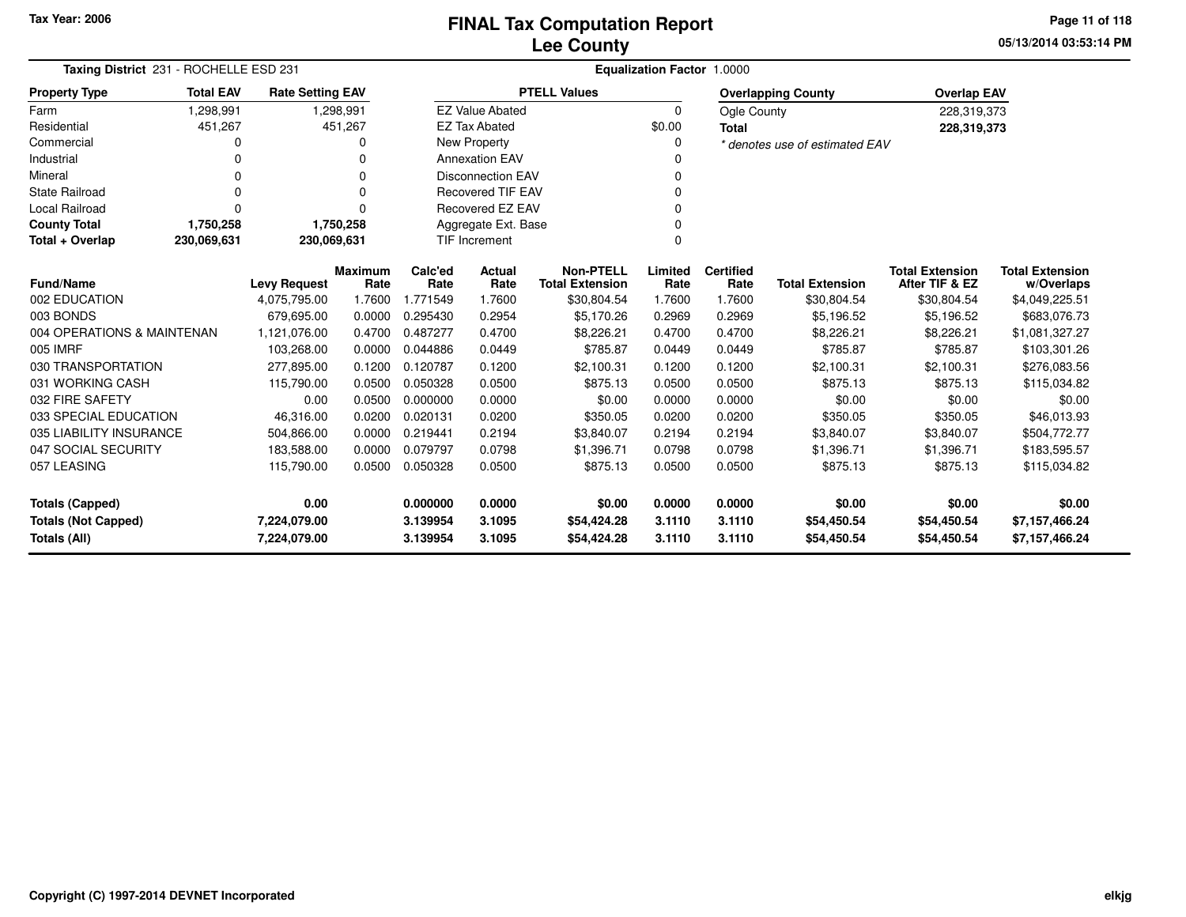**05/13/2014 03:53:14 PM Page 11 of 118**

| Taxing District 231 - ROCHELLE ESD 231 |                  |                         |                        |                 |                          |                                            | <b>Equalization Factor 1.0000</b> |                          |                                |                                          |                                      |
|----------------------------------------|------------------|-------------------------|------------------------|-----------------|--------------------------|--------------------------------------------|-----------------------------------|--------------------------|--------------------------------|------------------------------------------|--------------------------------------|
| <b>Property Type</b>                   | <b>Total EAV</b> | <b>Rate Setting EAV</b> |                        |                 |                          | <b>PTELL Values</b>                        |                                   |                          | <b>Overlapping County</b>      | <b>Overlap EAV</b>                       |                                      |
| Farm                                   | 1,298,991        |                         | 1,298,991              |                 | <b>EZ Value Abated</b>   |                                            | 0                                 | Ogle County              |                                | 228,319,373                              |                                      |
| Residential                            | 451,267          |                         | 451,267                |                 | <b>EZ Tax Abated</b>     |                                            | \$0.00                            | Total                    |                                | 228,319,373                              |                                      |
| Commercial                             | 0                |                         |                        |                 | <b>New Property</b>      |                                            | 0                                 |                          | * denotes use of estimated EAV |                                          |                                      |
| Industrial                             | $\Omega$         |                         |                        |                 | <b>Annexation EAV</b>    |                                            | 0                                 |                          |                                |                                          |                                      |
| Mineral                                | $\Omega$         |                         |                        |                 | <b>Disconnection EAV</b> |                                            | 0                                 |                          |                                |                                          |                                      |
| <b>State Railroad</b>                  | $\Omega$         |                         | $\Omega$               |                 | <b>Recovered TIF EAV</b> |                                            | 0                                 |                          |                                |                                          |                                      |
| Local Railroad                         | $\Omega$         |                         | $\Omega$               |                 | Recovered EZ EAV         |                                            | 0                                 |                          |                                |                                          |                                      |
| <b>County Total</b>                    | 1,750,258        |                         | 1,750,258              |                 | Aggregate Ext. Base      |                                            | 0                                 |                          |                                |                                          |                                      |
| Total + Overlap                        | 230,069,631      | 230,069,631             |                        |                 | TIF Increment            |                                            | 0                                 |                          |                                |                                          |                                      |
| Fund/Name                              |                  | <b>Levy Request</b>     | <b>Maximum</b><br>Rate | Calc'ed<br>Rate | <b>Actual</b><br>Rate    | <b>Non-PTELL</b><br><b>Total Extension</b> | Limited<br>Rate                   | <b>Certified</b><br>Rate | <b>Total Extension</b>         | <b>Total Extension</b><br>After TIF & EZ | <b>Total Extension</b><br>w/Overlaps |
| 002 EDUCATION                          |                  | 4,075,795.00            | 1.7600                 | 1.771549        | 1.7600                   | \$30,804.54                                | 1.7600                            | 1.7600                   | \$30,804.54                    | \$30,804.54                              | \$4,049,225.51                       |
| 003 BONDS                              |                  | 679,695.00              | 0.0000                 | 0.295430        | 0.2954                   | \$5,170.26                                 | 0.2969                            | 0.2969                   | \$5,196.52                     | \$5,196.52                               | \$683,076.73                         |
| 004 OPERATIONS & MAINTENAN             |                  | 1,121,076.00            | 0.4700                 | 0.487277        | 0.4700                   | \$8,226.21                                 | 0.4700                            | 0.4700                   | \$8,226.21                     | \$8,226.21                               | \$1,081,327.27                       |
| 005 IMRF                               |                  | 103,268.00              | 0.0000                 | 0.044886        | 0.0449                   | \$785.87                                   | 0.0449                            | 0.0449                   | \$785.87                       | \$785.87                                 | \$103,301.26                         |
| 030 TRANSPORTATION                     |                  | 277,895.00              | 0.1200                 | 0.120787        | 0.1200                   | \$2,100.31                                 | 0.1200                            | 0.1200                   | \$2,100.31                     | \$2,100.31                               | \$276,083.56                         |
| 031 WORKING CASH                       |                  | 115,790.00              | 0.0500                 | 0.050328        | 0.0500                   | \$875.13                                   | 0.0500                            | 0.0500                   | \$875.13                       | \$875.13                                 | \$115,034.82                         |
| 032 FIRE SAFETY                        |                  | 0.00                    | 0.0500                 | 0.000000        | 0.0000                   | \$0.00                                     | 0.0000                            | 0.0000                   | \$0.00                         | \$0.00                                   | \$0.00                               |
| 033 SPECIAL EDUCATION                  |                  | 46,316.00               | 0.0200                 | 0.020131        | 0.0200                   | \$350.05                                   | 0.0200                            | 0.0200                   | \$350.05                       | \$350.05                                 | \$46,013.93                          |
| 035 LIABILITY INSURANCE                |                  | 504,866.00              | 0.0000                 | 0.219441        | 0.2194                   | \$3,840.07                                 | 0.2194                            | 0.2194                   | \$3,840.07                     | \$3,840.07                               | \$504,772.77                         |
| 047 SOCIAL SECURITY                    |                  | 183,588.00              | 0.0000                 | 0.079797        | 0.0798                   | \$1,396.71                                 | 0.0798                            | 0.0798                   | \$1,396.71                     | \$1,396.71                               | \$183,595.57                         |
| 057 LEASING                            |                  | 115,790.00              | 0.0500                 | 0.050328        | 0.0500                   | \$875.13                                   | 0.0500                            | 0.0500                   | \$875.13                       | \$875.13                                 | \$115,034.82                         |
| <b>Totals (Capped)</b>                 |                  | 0.00                    |                        | 0.000000        | 0.0000                   | \$0.00                                     | 0.0000                            | 0.0000                   | \$0.00                         | \$0.00                                   | \$0.00                               |
| <b>Totals (Not Capped)</b>             |                  | 7,224,079.00            |                        | 3.139954        | 3.1095                   | \$54,424.28                                | 3.1110                            | 3.1110                   | \$54,450.54                    | \$54,450.54                              | \$7,157,466.24                       |
| Totals (All)                           |                  | 7,224,079.00            |                        | 3.139954        | 3.1095                   | \$54,424.28                                | 3.1110                            | 3.1110                   | \$54,450.54                    | \$54,450.54                              | \$7,157,466.24                       |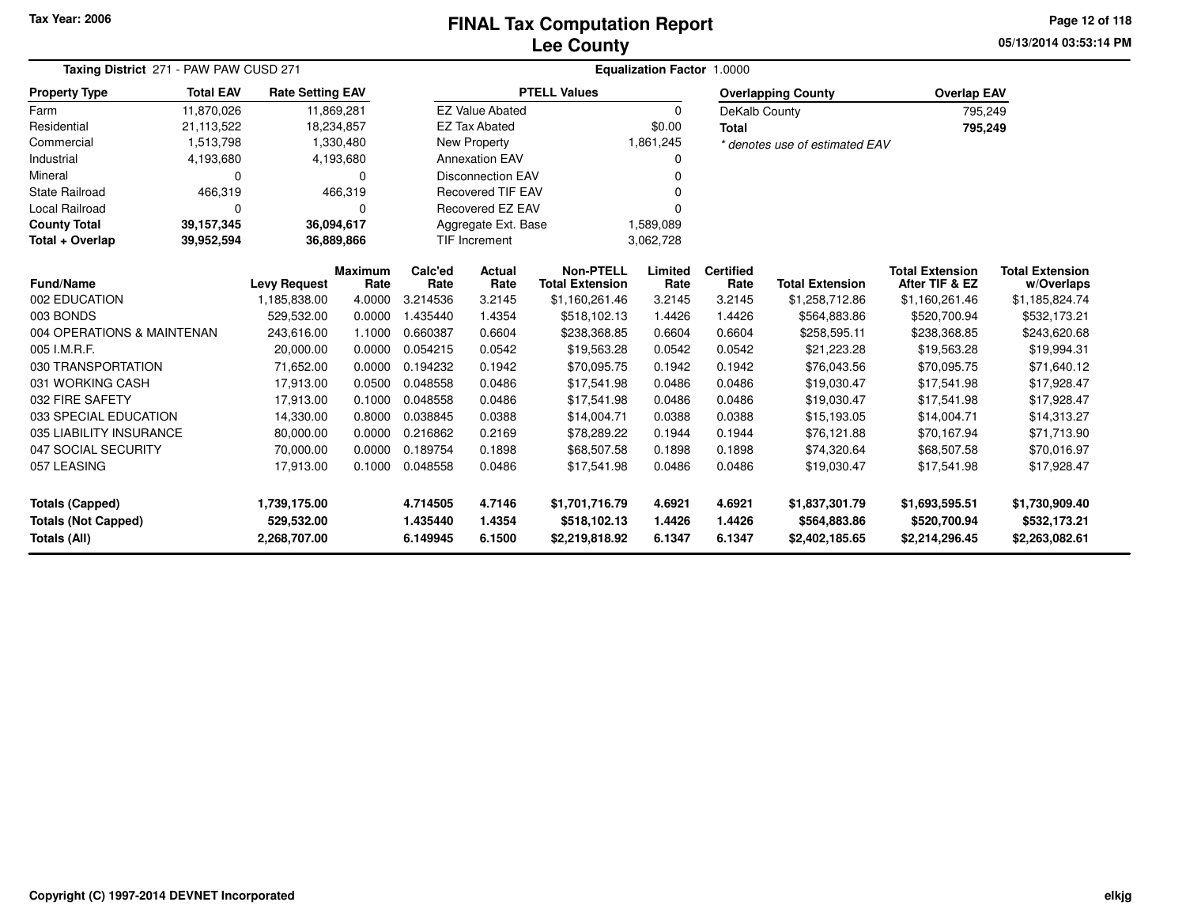# **Lee CountyFINAL Tax Computation Report** FINAL Tax Computation Report

**05/13/2014 03:53:14 PM Page 12 of 118**

| Taxing District 271 - PAW PAW CUSD 271 |                                                                                                     | <b>Equalization Factor 1.0000</b>   |                  |                  |                          |                                          |                  |                  |                                |                                          |                                |
|----------------------------------------|-----------------------------------------------------------------------------------------------------|-------------------------------------|------------------|------------------|--------------------------|------------------------------------------|------------------|------------------|--------------------------------|------------------------------------------|--------------------------------|
| <b>Property Type</b>                   | <b>Total EAV</b><br><b>Rate Setting EAV</b><br>11,870,026<br>11,869,281<br>21,113,522<br>18,234,857 |                                     |                  |                  |                          | <b>PTELL Values</b>                      |                  |                  | <b>Overlapping County</b>      | <b>Overlap EAV</b>                       |                                |
| Farm                                   |                                                                                                     |                                     |                  |                  | <b>EZ Value Abated</b>   |                                          | $\Omega$         | DeKalb County    |                                | 795,249                                  |                                |
| Residential                            |                                                                                                     |                                     |                  |                  | <b>EZ Tax Abated</b>     |                                          | \$0.00           | <b>Total</b>     |                                | 795,249                                  |                                |
| Commercial                             | 1,513,798                                                                                           |                                     | 1,330,480        |                  | New Property             |                                          | 1,861,245        |                  | * denotes use of estimated EAV |                                          |                                |
| Industrial                             | 4,193,680                                                                                           |                                     | 4,193,680        |                  | <b>Annexation EAV</b>    |                                          |                  |                  |                                |                                          |                                |
| Mineral                                | 0                                                                                                   |                                     | $\Omega$         |                  | <b>Disconnection EAV</b> |                                          |                  |                  |                                |                                          |                                |
| <b>State Railroad</b>                  | 466,319                                                                                             |                                     | 466,319          |                  | <b>Recovered TIF EAV</b> |                                          |                  |                  |                                |                                          |                                |
| <b>Local Railroad</b>                  | 0                                                                                                   |                                     | O                |                  | <b>Recovered EZ EAV</b>  |                                          |                  |                  |                                |                                          |                                |
| <b>County Total</b>                    | 39, 157, 345                                                                                        | 36,094,617                          |                  |                  | Aggregate Ext. Base      |                                          | 1,589,089        |                  |                                |                                          |                                |
| Total + Overlap                        | 36,889,866<br>39,952,594                                                                            |                                     |                  |                  | <b>TIF Increment</b>     |                                          | 3,062,728        |                  |                                |                                          |                                |
| <b>Fund/Name</b>                       |                                                                                                     |                                     | <b>Maximum</b>   | Calc'ed          | Actual                   | <b>Non-PTELL</b>                         | Limited          | <b>Certified</b> | <b>Total Extension</b>         | <b>Total Extension</b><br>After TIF & EZ | <b>Total Extension</b>         |
| 002 EDUCATION                          |                                                                                                     | <b>Levy Request</b><br>1,185,838.00 | Rate<br>4.0000   | Rate<br>3.214536 | Rate<br>3.2145           | <b>Total Extension</b><br>\$1,160,261.46 | Rate<br>3.2145   | Rate<br>3.2145   | \$1,258,712.86                 |                                          | w/Overlaps                     |
| 003 BONDS                              |                                                                                                     | 529,532.00                          | 0.0000           | 1.435440         | 1.4354                   | \$518,102.13                             | 1.4426           | 1.4426           | \$564,883.86                   | \$1,160,261.46<br>\$520,700.94           | \$1,185,824.74<br>\$532,173.21 |
| 004 OPERATIONS & MAINTENAN             |                                                                                                     | 243,616.00                          | 1.1000           | 0.660387         | 0.6604                   |                                          | 0.6604           | 0.6604           | \$258,595.11                   |                                          |                                |
| 005 I.M.R.F.                           |                                                                                                     |                                     |                  | 0.054215         |                          | \$238,368.85                             |                  | 0.0542           |                                | \$238,368.85                             | \$243,620.68                   |
| 030 TRANSPORTATION                     |                                                                                                     | 20,000.00<br>71,652.00              | 0.0000<br>0.0000 | 0.194232         | 0.0542<br>0.1942         | \$19,563.28                              | 0.0542<br>0.1942 | 0.1942           | \$21,223.28<br>\$76,043.56     | \$19,563.28<br>\$70,095.75               | \$19,994.31                    |
| 031 WORKING CASH                       |                                                                                                     | 17,913.00                           | 0.0500           | 0.048558         | 0.0486                   | \$70,095.75<br>\$17,541.98               | 0.0486           | 0.0486           | \$19,030.47                    | \$17,541.98                              | \$71,640.12<br>\$17,928.47     |
| 032 FIRE SAFETY                        |                                                                                                     | 17,913.00                           | 0.1000           | 0.048558         | 0.0486                   | \$17,541.98                              | 0.0486           | 0.0486           | \$19,030.47                    | \$17,541.98                              | \$17,928.47                    |
| 033 SPECIAL EDUCATION                  |                                                                                                     | 14,330.00                           | 0.8000           | 0.038845         | 0.0388                   | \$14,004.71                              | 0.0388           | 0.0388           | \$15,193.05                    | \$14,004.71                              | \$14,313.27                    |
| 035 LIABILITY INSURANCE                |                                                                                                     | 80,000.00                           | 0.0000           | 0.216862         | 0.2169                   | \$78,289.22                              | 0.1944           | 0.1944           | \$76,121.88                    | \$70,167.94                              | \$71,713.90                    |
| 047 SOCIAL SECURITY                    |                                                                                                     | 70,000.00                           | 0.0000           | 0.189754         | 0.1898                   | \$68,507.58                              | 0.1898           | 0.1898           | \$74,320.64                    | \$68,507.58                              | \$70,016.97                    |
| 057 LEASING                            |                                                                                                     | 17,913.00                           | 0.1000           | 0.048558         | 0.0486                   | \$17,541.98                              | 0.0486           | 0.0486           | \$19,030.47                    | \$17,541.98                              | \$17,928.47                    |
|                                        |                                                                                                     |                                     |                  |                  |                          |                                          |                  |                  |                                |                                          |                                |
| <b>Totals (Capped)</b>                 |                                                                                                     | 1,739,175.00                        |                  | 4.714505         | 4.7146                   | \$1,701,716.79                           | 4.6921           | 4.6921           | \$1,837,301.79                 | \$1,693,595.51                           | \$1,730,909.40                 |
| <b>Totals (Not Capped)</b>             |                                                                                                     | 529,532.00                          |                  | 1.435440         | 1.4354                   | \$518,102.13                             | 1.4426           | 1.4426           | \$564,883.86                   | \$520,700.94                             | \$532,173.21                   |
| Totals (All)                           |                                                                                                     | 2,268,707.00                        |                  | 6.149945         | 6.1500                   | \$2,219,818.92                           | 6.1347           | 6.1347           | \$2,402,185.65                 | \$2,214,296.45                           | \$2,263,082.61                 |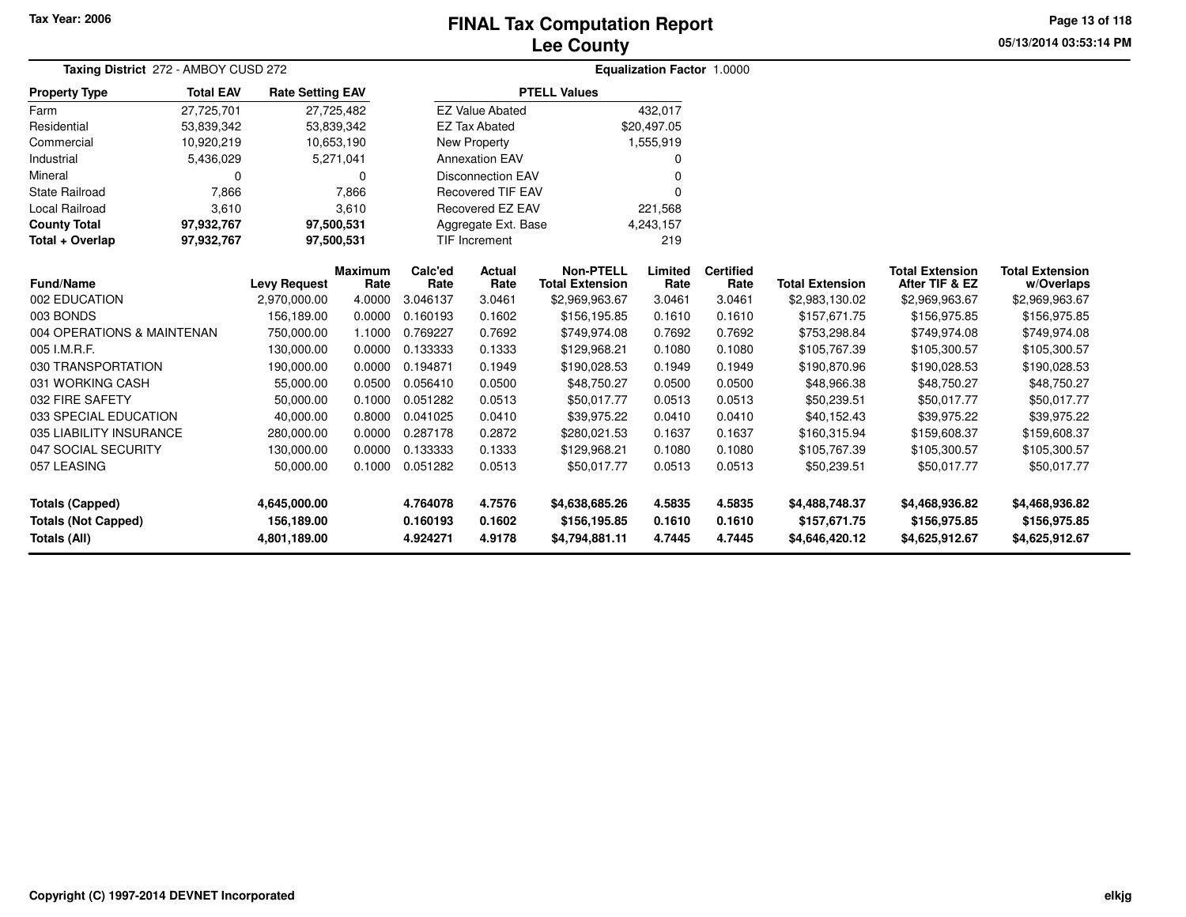# **Lee CountyFINAL Tax Computation Report** FINAL Tax Computation Report

**05/13/2014 03:53:14 PM Page 13 of 118**

| Taxing District 272 - AMBOY CUSD 272                                 | Equalization Factor 1.0000 |                                            |            |                                  |                                  |                                                  |                            |                            |                                                  |                                                  |                                                  |  |
|----------------------------------------------------------------------|----------------------------|--------------------------------------------|------------|----------------------------------|----------------------------------|--------------------------------------------------|----------------------------|----------------------------|--------------------------------------------------|--------------------------------------------------|--------------------------------------------------|--|
| <b>Property Type</b>                                                 | <b>Total EAV</b>           | <b>Rate Setting EAV</b>                    |            |                                  |                                  | <b>PTELL Values</b>                              |                            |                            |                                                  |                                                  |                                                  |  |
| Farm                                                                 | 27,725,701                 | 27,725,482                                 |            |                                  | <b>EZ Value Abated</b>           |                                                  | 432,017                    |                            |                                                  |                                                  |                                                  |  |
| Residential                                                          | 53,839,342                 | 53,839,342                                 |            |                                  | <b>EZ Tax Abated</b>             |                                                  | \$20,497.05                |                            |                                                  |                                                  |                                                  |  |
| Commercial                                                           | 10,920,219                 |                                            | 10,653,190 |                                  | New Property                     |                                                  | 1,555,919                  |                            |                                                  |                                                  |                                                  |  |
| Industrial                                                           | 5,436,029                  |                                            | 5,271,041  |                                  | <b>Annexation EAV</b>            |                                                  | 0                          |                            |                                                  |                                                  |                                                  |  |
| Mineral                                                              | 0                          |                                            | 0          | <b>Disconnection EAV</b>         |                                  |                                                  | $\Omega$                   |                            |                                                  |                                                  |                                                  |  |
| <b>State Railroad</b>                                                | 7,866                      | 7,866                                      |            | <b>Recovered TIF EAV</b>         |                                  |                                                  | O                          |                            |                                                  |                                                  |                                                  |  |
| Local Railroad                                                       | 3,610                      |                                            | 3,610      |                                  | Recovered EZ EAV<br>221,568      |                                                  |                            |                            |                                                  |                                                  |                                                  |  |
| <b>County Total</b>                                                  | 97,932,767                 | 97,500,531                                 |            |                                  | Aggregate Ext. Base<br>4,243,157 |                                                  |                            |                            |                                                  |                                                  |                                                  |  |
| Total + Overlap                                                      | 97,932,767                 | 97,500,531                                 |            |                                  | 219<br>TIF Increment             |                                                  |                            |                            |                                                  |                                                  |                                                  |  |
|                                                                      |                            |                                            | Maximum    | Calc'ed                          | <b>Actual</b>                    | <b>Non-PTELL</b>                                 | Limited                    | <b>Certified</b>           |                                                  | <b>Total Extension</b>                           | <b>Total Extension</b>                           |  |
| <b>Fund/Name</b>                                                     |                            | <b>Levy Request</b>                        | Rate       | Rate                             | Rate                             | <b>Total Extension</b>                           | Rate                       | Rate                       | <b>Total Extension</b>                           | After TIF & EZ                                   | w/Overlaps                                       |  |
| 002 EDUCATION                                                        |                            | 2,970,000.00                               | 4.0000     | 3.046137                         | 3.0461                           | \$2,969,963.67                                   | 3.0461                     | 3.0461                     | \$2,983,130.02                                   | \$2,969,963.67                                   | \$2,969,963.67                                   |  |
| 003 BONDS                                                            |                            | 156,189.00                                 | 0.0000     | 0.160193                         | 0.1602                           | \$156,195.85                                     | 0.1610                     | 0.1610                     | \$157,671.75                                     | \$156,975.85                                     | \$156,975.85                                     |  |
| 004 OPERATIONS & MAINTENAN                                           |                            | 750,000.00                                 | 1.1000     | 0.769227                         | 0.7692                           | \$749,974.08                                     | 0.7692                     | 0.7692                     | \$753,298.84                                     | \$749,974.08                                     | \$749,974.08                                     |  |
| 005 I.M.R.F.                                                         |                            | 130,000.00                                 | 0.0000     | 0.133333                         | 0.1333                           | \$129,968.21                                     | 0.1080                     | 0.1080                     | \$105,767.39                                     | \$105,300.57                                     | \$105,300.57                                     |  |
| 030 TRANSPORTATION                                                   |                            | 190,000.00                                 | 0.0000     | 0.194871                         | 0.1949                           | \$190,028.53                                     | 0.1949                     | 0.1949                     | \$190,870.96                                     | \$190,028.53                                     | \$190,028.53                                     |  |
| 031 WORKING CASH                                                     |                            | 55,000.00                                  | 0.0500     | 0.056410                         | 0.0500                           | \$48,750.27                                      | 0.0500                     | 0.0500                     | \$48,966.38                                      | \$48,750.27                                      | \$48,750.27                                      |  |
| 032 FIRE SAFETY                                                      |                            | 50,000.00                                  | 0.1000     | 0.051282                         | 0.0513                           | \$50,017.77                                      | 0.0513                     | 0.0513                     | \$50,239.51                                      | \$50,017.77                                      | \$50,017.77                                      |  |
| 033 SPECIAL EDUCATION                                                |                            | 40,000.00                                  | 0.8000     | 0.041025                         | 0.0410                           | \$39,975.22                                      | 0.0410                     | 0.0410                     | \$40,152.43                                      | \$39,975.22                                      | \$39,975.22                                      |  |
| 035 LIABILITY INSURANCE                                              |                            | 280,000.00                                 | 0.0000     | 0.287178                         | 0.2872                           | \$280,021.53                                     | 0.1637                     | 0.1637                     | \$160,315.94                                     | \$159,608.37                                     | \$159,608.37                                     |  |
| 047 SOCIAL SECURITY                                                  |                            | 130,000.00                                 | 0.0000     | 0.133333                         | 0.1333                           | \$129,968.21                                     | 0.1080                     | 0.1080                     | \$105,767.39                                     | \$105,300.57                                     | \$105,300.57                                     |  |
| 057 LEASING                                                          |                            | 50,000.00                                  | 0.1000     | 0.051282                         | 0.0513                           | \$50,017.77                                      | 0.0513                     | 0.0513                     | \$50,239.51                                      | \$50,017.77                                      | \$50,017.77                                      |  |
| <b>Totals (Capped)</b><br><b>Totals (Not Capped)</b><br>Totals (All) |                            | 4,645,000.00<br>156,189.00<br>4,801,189.00 |            | 4.764078<br>0.160193<br>4.924271 | 4.7576<br>0.1602<br>4.9178       | \$4,638,685.26<br>\$156,195.85<br>\$4,794,881.11 | 4.5835<br>0.1610<br>4.7445 | 4.5835<br>0.1610<br>4.7445 | \$4,488,748.37<br>\$157,671.75<br>\$4,646,420.12 | \$4,468,936.82<br>\$156,975.85<br>\$4,625,912.67 | \$4,468,936.82<br>\$156,975.85<br>\$4,625,912.67 |  |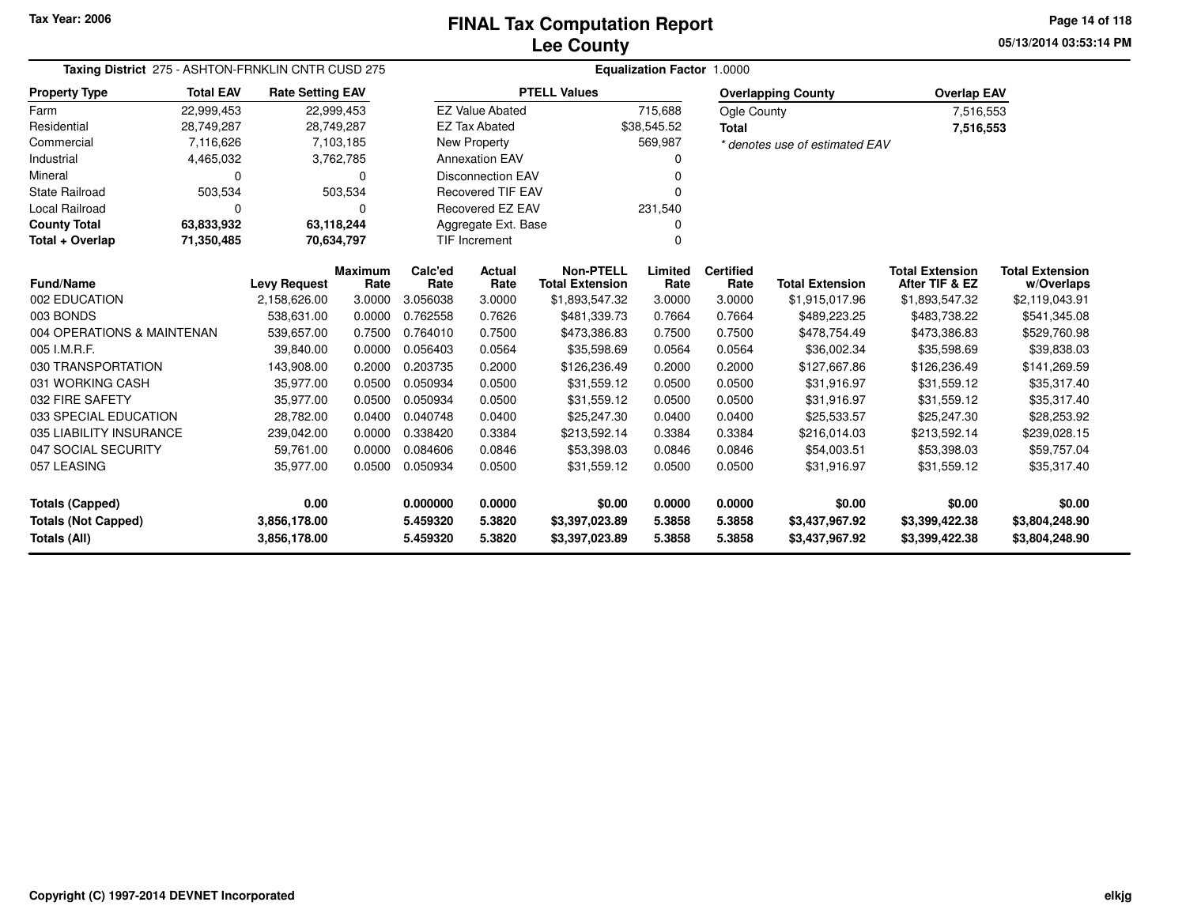**05/13/2014 03:53:14 PM Page 14 of 118**

| Taxing District 275 - ASHTON-FRNKLIN CNTR CUSD 275 | <b>Equalization Factor 1.0000</b> |                              |                 |                      |                             |                                            |                  |                          |                                  |                                          |                                      |
|----------------------------------------------------|-----------------------------------|------------------------------|-----------------|----------------------|-----------------------------|--------------------------------------------|------------------|--------------------------|----------------------------------|------------------------------------------|--------------------------------------|
| <b>Property Type</b>                               | <b>Total EAV</b>                  | <b>Rate Setting EAV</b>      |                 |                      |                             | <b>PTELL Values</b>                        |                  |                          | <b>Overlapping County</b>        | <b>Overlap EAV</b>                       |                                      |
| Farm                                               | 22,999,453                        | 22,999,453                   |                 |                      | <b>EZ Value Abated</b>      |                                            | 715,688          | Ogle County              |                                  | 7,516,553                                |                                      |
| Residential                                        | 28,749,287                        | 28,749,287                   |                 |                      | <b>EZ Tax Abated</b>        |                                            | \$38,545.52      | <b>Total</b>             |                                  | 7,516,553                                |                                      |
| Commercial                                         | 7,116,626                         |                              | 7,103,185       |                      | New Property                |                                            | 569,987          |                          | * denotes use of estimated EAV   |                                          |                                      |
| Industrial                                         | 4,465,032                         |                              | 3,762,785       |                      | <b>Annexation EAV</b>       |                                            |                  |                          |                                  |                                          |                                      |
| Mineral                                            | 0                                 |                              | 0               |                      | <b>Disconnection EAV</b>    |                                            |                  |                          |                                  |                                          |                                      |
| <b>State Railroad</b>                              | 503,534                           |                              | 503,534         |                      | <b>Recovered TIF EAV</b>    |                                            |                  |                          |                                  |                                          |                                      |
| <b>Local Railroad</b>                              | 0                                 |                              |                 |                      | Recovered EZ EAV<br>231,540 |                                            |                  |                          |                                  |                                          |                                      |
| <b>County Total</b>                                | 63,833,932                        | 63,118,244                   |                 |                      | Aggregate Ext. Base         |                                            |                  |                          |                                  |                                          |                                      |
| Total + Overlap                                    | 71,350,485                        | 70,634,797                   |                 |                      | <b>TIF Increment</b>        |                                            |                  |                          |                                  |                                          |                                      |
| <b>Fund/Name</b>                                   |                                   | <b>Levy Request</b>          | Maximum<br>Rate | Calc'ed<br>Rate      | Actual<br>Rate              | <b>Non-PTELL</b><br><b>Total Extension</b> | Limited<br>Rate  | <b>Certified</b><br>Rate | <b>Total Extension</b>           | <b>Total Extension</b><br>After TIF & EZ | <b>Total Extension</b><br>w/Overlaps |
| 002 EDUCATION                                      |                                   | 2,158,626.00                 | 3.0000          | 3.056038             | 3.0000                      | \$1,893,547.32                             | 3.0000           | 3.0000                   | \$1,915,017.96                   | \$1,893,547.32                           | \$2,119,043.91                       |
| 003 BONDS                                          |                                   | 538,631.00                   | 0.0000          | 0.762558             | 0.7626                      | \$481,339.73                               | 0.7664           | 0.7664                   | \$489,223.25                     | \$483,738.22                             | \$541,345.08                         |
| 004 OPERATIONS & MAINTENAN                         |                                   | 539,657.00                   | 0.7500          | 0.764010             | 0.7500                      | \$473,386.83                               | 0.7500           | 0.7500                   | \$478,754.49                     | \$473,386.83                             | \$529,760.98                         |
| 005 I.M.R.F.                                       |                                   | 39.840.00                    | 0.0000          | 0.056403             | 0.0564                      | \$35,598.69                                | 0.0564           | 0.0564                   | \$36,002.34                      | \$35,598.69                              | \$39,838.03                          |
| 030 TRANSPORTATION                                 |                                   | 143,908.00                   | 0.2000          | 0.203735             | 0.2000                      | \$126,236.49                               | 0.2000           | 0.2000                   | \$127,667.86                     | \$126,236.49                             | \$141,269.59                         |
| 031 WORKING CASH                                   |                                   | 35,977.00                    | 0.0500          | 0.050934             | 0.0500                      | \$31,559.12                                | 0.0500           | 0.0500                   | \$31,916.97                      | \$31,559.12                              | \$35,317.40                          |
| 032 FIRE SAFETY                                    |                                   | 35,977.00                    | 0.0500          | 0.050934             | 0.0500                      | \$31,559.12                                | 0.0500           | 0.0500                   | \$31,916.97                      | \$31,559.12                              | \$35,317.40                          |
| 033 SPECIAL EDUCATION                              |                                   | 28,782.00                    | 0.0400          | 0.040748             | 0.0400                      | \$25,247.30                                | 0.0400           | 0.0400                   | \$25,533.57                      | \$25,247.30                              | \$28,253.92                          |
| 035 LIABILITY INSURANCE                            |                                   | 239,042.00                   | 0.0000          | 0.338420             | 0.3384                      | \$213,592.14                               | 0.3384           | 0.3384                   | \$216,014.03                     | \$213,592.14                             | \$239,028.15                         |
| 047 SOCIAL SECURITY                                |                                   | 59,761.00                    | 0.0000          | 0.084606             | 0.0846                      | \$53,398.03                                | 0.0846           | 0.0846                   | \$54,003.51                      | \$53,398.03                              | \$59,757.04                          |
| 057 LEASING                                        |                                   | 35,977.00                    | 0.0500          | 0.050934             | 0.0500                      | \$31,559.12                                | 0.0500           | 0.0500                   | \$31,916.97                      | \$31,559.12                              | \$35,317.40                          |
| <b>Totals (Capped)</b>                             |                                   | 0.00                         |                 | 0.000000             | 0.0000                      | \$0.00                                     | 0.0000           | 0.0000                   | \$0.00                           | \$0.00                                   | \$0.00                               |
| <b>Totals (Not Capped)</b><br>Totals (All)         |                                   | 3,856,178.00<br>3,856,178.00 |                 | 5.459320<br>5.459320 | 5.3820<br>5.3820            | \$3,397,023.89<br>\$3,397,023.89           | 5.3858<br>5.3858 | 5.3858<br>5.3858         | \$3,437,967.92<br>\$3,437,967.92 | \$3,399,422.38<br>\$3,399,422.38         | \$3,804,248.90<br>\$3,804,248.90     |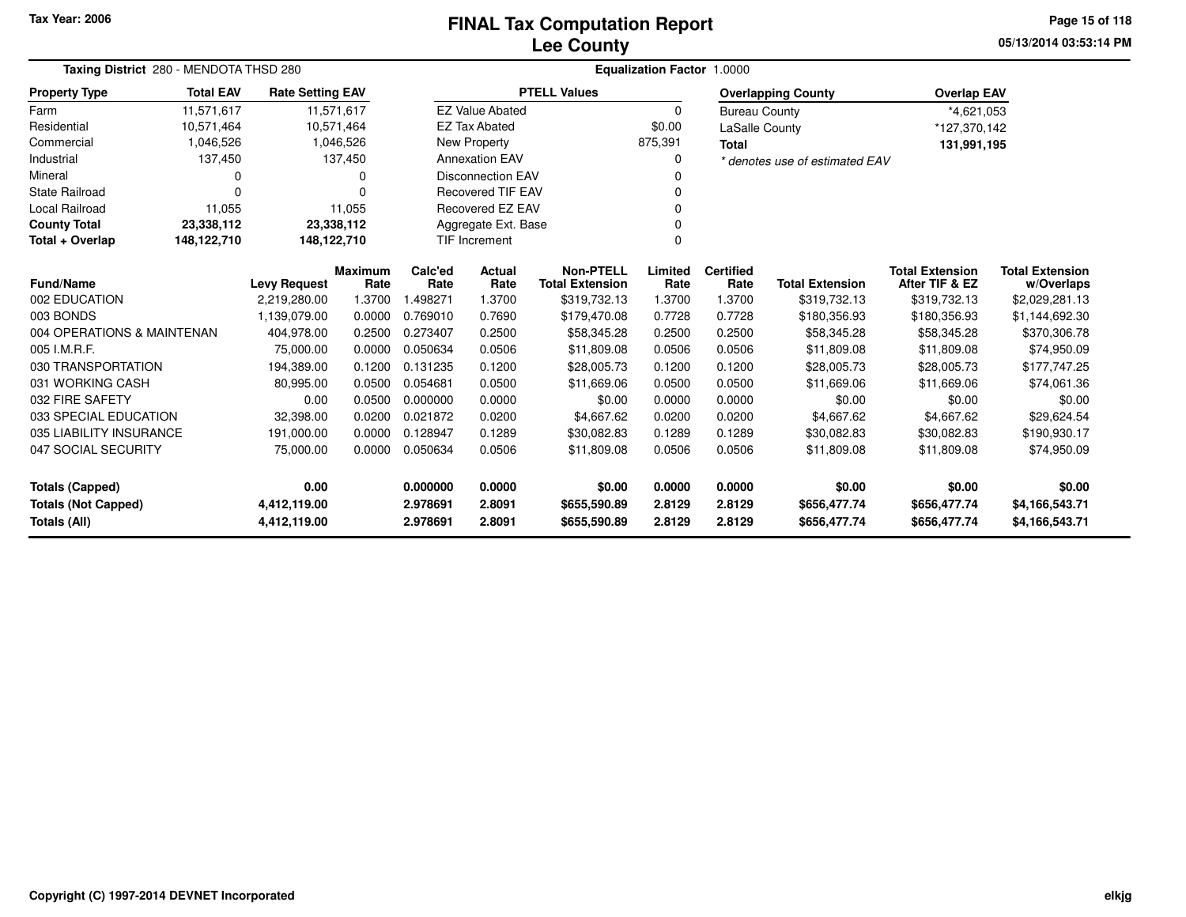### **Lee CountyFINAL Tax Computation Report** FINAL Tax Computation Report

**05/13/2014 03:53:14 PMPage 15 of 118**

|                                            | Taxing District 280 - MENDOTA THSD 280 |                         |           |          |                          | Equalization Factor 1.0000 |         |                       |                                |                        |                        |  |  |  |
|--------------------------------------------|----------------------------------------|-------------------------|-----------|----------|--------------------------|----------------------------|---------|-----------------------|--------------------------------|------------------------|------------------------|--|--|--|
| <b>Property Type</b>                       | <b>Total EAV</b>                       | <b>Rate Setting EAV</b> |           |          |                          | <b>PTELL Values</b>        |         |                       | <b>Overlapping County</b>      | <b>Overlap EAV</b>     |                        |  |  |  |
| Farm                                       | 11,571,617                             | 11,571,617              |           |          | <b>EZ Value Abated</b>   |                            | 0       | <b>Bureau County</b>  |                                | *4,621,053             |                        |  |  |  |
| Residential                                | 10,571,464                             | 10,571,464              |           |          | <b>EZ Tax Abated</b>     |                            | \$0.00  | <b>LaSalle County</b> |                                | *127,370,142           |                        |  |  |  |
| Commercial                                 | 1,046,526                              |                         | 1,046,526 |          | New Property             |                            | 875,391 | <b>Total</b>          |                                | 131,991,195            |                        |  |  |  |
| Industrial                                 | 137,450                                |                         | 137,450   |          | <b>Annexation EAV</b>    |                            | 0       |                       | * denotes use of estimated EAV |                        |                        |  |  |  |
| Mineral                                    | 0                                      |                         | $\Omega$  |          | <b>Disconnection EAV</b> |                            | n       |                       |                                |                        |                        |  |  |  |
| <b>State Railroad</b>                      | 0                                      |                         | $\Omega$  |          | <b>Recovered TIF EAV</b> |                            |         |                       |                                |                        |                        |  |  |  |
| <b>Local Railroad</b>                      | 11,055                                 |                         | 11,055    |          | <b>Recovered EZ EAV</b>  |                            | O       |                       |                                |                        |                        |  |  |  |
| <b>County Total</b>                        | 23,338,112                             | 23,338,112              |           |          | Aggregate Ext. Base      |                            | 0       |                       |                                |                        |                        |  |  |  |
| Total + Overlap                            | 148,122,710                            | 148,122,710             |           |          | TIF Increment            | $\Omega$                   |         |                       |                                |                        |                        |  |  |  |
|                                            |                                        |                         | Maximum   | Calc'ed  | <b>Actual</b>            | <b>Non-PTELL</b>           | Limited | <b>Certified</b>      |                                | <b>Total Extension</b> | <b>Total Extension</b> |  |  |  |
| <b>Fund/Name</b>                           |                                        | <b>Levy Request</b>     | Rate      | Rate     | Rate                     | <b>Total Extension</b>     | Rate    | Rate                  | <b>Total Extension</b>         | After TIF & EZ         | w/Overlaps             |  |  |  |
| 002 EDUCATION                              |                                        | 2,219,280.00            | 1.3700    | 1.498271 | 1.3700                   | \$319,732.13               | 1.3700  | 1.3700                | \$319,732.13                   | \$319,732.13           | \$2,029,281.13         |  |  |  |
| 003 BONDS                                  |                                        | 1,139,079.00            | 0.0000    | 0.769010 | 0.7690                   | \$179,470.08               | 0.7728  | 0.7728                | \$180,356.93                   | \$180,356.93           | \$1,144,692.30         |  |  |  |
| 004 OPERATIONS & MAINTENAN                 |                                        | 404,978.00              | 0.2500    | 0.273407 | 0.2500                   | \$58,345.28                | 0.2500  | 0.2500                | \$58,345.28                    | \$58,345.28            | \$370,306.78           |  |  |  |
| 005 I.M.R.F.                               |                                        | 75.000.00               | 0.0000    | 0.050634 | 0.0506                   | \$11,809.08                | 0.0506  | 0.0506                | \$11,809.08                    | \$11,809.08            | \$74,950.09            |  |  |  |
| 030 TRANSPORTATION                         |                                        | 194,389.00              | 0.1200    | 0.131235 | 0.1200                   | \$28,005.73                | 0.1200  | 0.1200                | \$28,005.73                    | \$28,005.73            | \$177,747.25           |  |  |  |
| 031 WORKING CASH                           |                                        | 80,995.00               | 0.0500    | 0.054681 | 0.0500                   | \$11,669.06                | 0.0500  | 0.0500                | \$11,669.06                    | \$11,669.06            | \$74,061.36            |  |  |  |
| 032 FIRE SAFETY                            |                                        | 0.00                    | 0.0500    | 0.000000 | 0.0000                   | \$0.00                     | 0.0000  | 0.0000                | \$0.00                         | \$0.00                 | \$0.00                 |  |  |  |
| 033 SPECIAL EDUCATION                      |                                        | 32,398.00               | 0.0200    | 0.021872 | 0.0200                   | \$4.667.62                 | 0.0200  | 0.0200                | \$4,667.62                     | \$4,667.62             | \$29,624.54            |  |  |  |
| 035 LIABILITY INSURANCE                    |                                        | 191.000.00              | 0.0000    | 0.128947 | 0.1289                   | \$30.082.83                | 0.1289  | 0.1289                | \$30,082.83                    | \$30,082.83            | \$190,930.17           |  |  |  |
| 047 SOCIAL SECURITY                        |                                        | 75,000.00               | 0.0000    | 0.050634 | 0.0506                   | \$11,809.08                | 0.0506  | 0.0506                | \$11,809.08                    | \$11,809.08            | \$74,950.09            |  |  |  |
| <b>Totals (Capped)</b>                     |                                        | 0.00                    |           | 0.000000 | 0.0000                   | \$0.00                     | 0.0000  | 0.0000                | \$0.00                         | \$0.00                 | \$0.00                 |  |  |  |
| <b>Totals (Not Capped)</b><br>4,412,119.00 |                                        |                         |           | 2.978691 | 2.8091                   | \$655,590.89               | 2.8129  | 2.8129                | \$656,477.74                   | \$656,477.74           | \$4,166,543.71         |  |  |  |
| Totals (All)                               |                                        | 4,412,119.00            |           | 2.978691 | 2.8091                   | \$655,590.89               | 2.8129  | 2.8129                | \$656,477.74                   | \$656,477.74           | \$4,166,543.71         |  |  |  |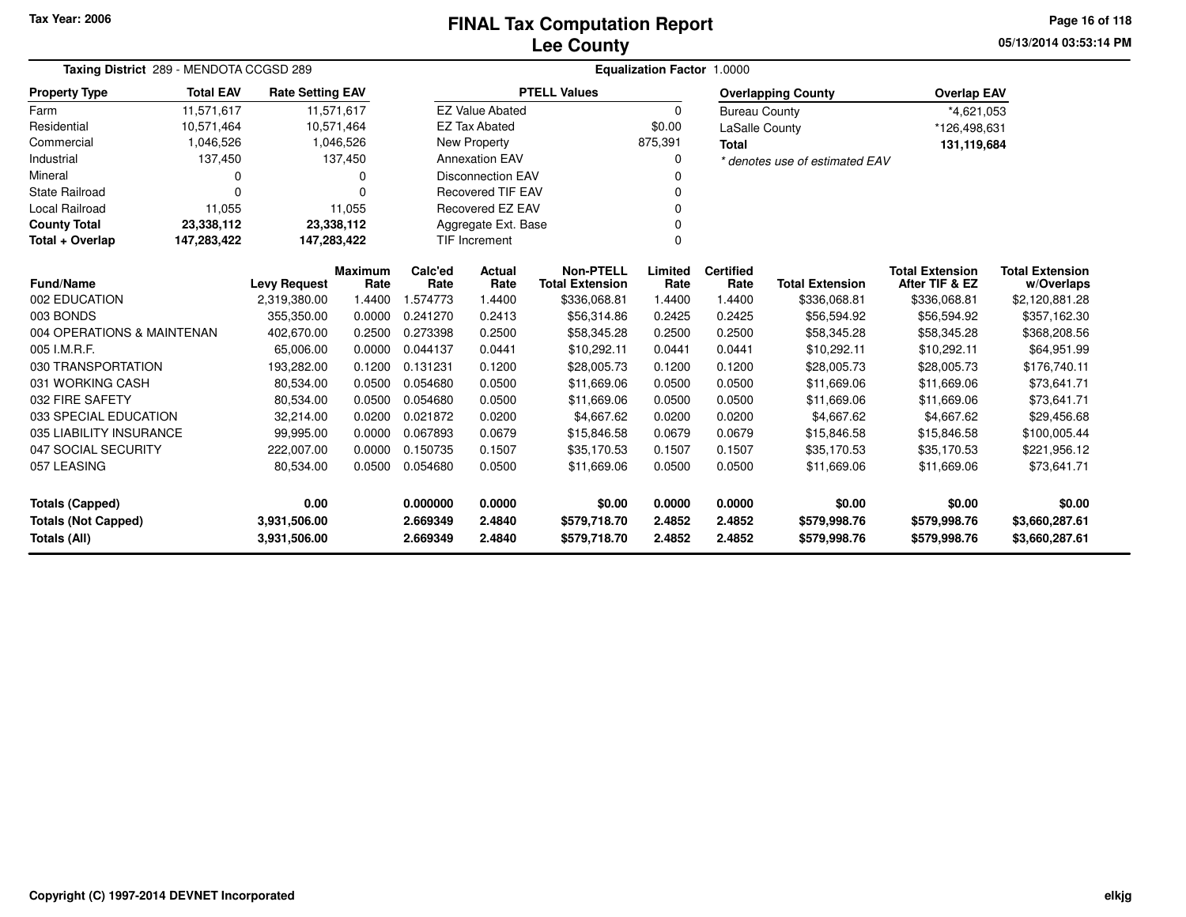# **Lee CountyFINAL Tax Computation Report** FINAL Tax Computation Report

**05/13/2014 03:53:14 PM Page 16 of 118**

| Taxing District 289 - MENDOTA CCGSD 289 |                  |                         |                        | Equalization Factor 1.0000 |                                  |                                            |                 |                          |                                |                                          |                                      |
|-----------------------------------------|------------------|-------------------------|------------------------|----------------------------|----------------------------------|--------------------------------------------|-----------------|--------------------------|--------------------------------|------------------------------------------|--------------------------------------|
| <b>Property Type</b>                    | <b>Total EAV</b> | <b>Rate Setting EAV</b> |                        |                            |                                  | <b>PTELL Values</b>                        |                 |                          | <b>Overlapping County</b>      | <b>Overlap EAV</b>                       |                                      |
| Farm                                    | 11.571.617       | 11,571,617              |                        |                            | <b>EZ Value Abated</b>           |                                            | $\mathbf 0$     | <b>Bureau County</b>     |                                | *4,621,053                               |                                      |
| Residential                             | 10,571,464       | 10,571,464              |                        |                            | <b>EZ Tax Abated</b>             |                                            | \$0.00          | <b>LaSalle County</b>    |                                | *126,498,631                             |                                      |
| Commercial                              | 1,046,526        |                         | 1,046,526              |                            | <b>New Property</b>              |                                            | 875,391         | <b>Total</b>             |                                | 131,119,684                              |                                      |
| Industrial                              | 137,450          |                         | 137,450                |                            | <b>Annexation EAV</b>            |                                            | 0               |                          | * denotes use of estimated EAV |                                          |                                      |
| Mineral                                 | 0                |                         | 0                      |                            | <b>Disconnection EAV</b>         |                                            |                 |                          |                                |                                          |                                      |
| State Railroad                          | 0                |                         | $\Omega$               |                            | <b>Recovered TIF EAV</b>         |                                            | 0               |                          |                                |                                          |                                      |
| Local Railroad                          | 11,055           |                         | 11,055                 |                            | Recovered EZ EAV                 |                                            | $\Omega$        |                          |                                |                                          |                                      |
| <b>County Total</b>                     | 23,338,112       | 23,338,112              |                        |                            | Aggregate Ext. Base<br>$\Omega$  |                                            |                 |                          |                                |                                          |                                      |
| Total + Overlap                         | 147,283,422      | 147,283,422             |                        |                            | <b>TIF Increment</b><br>$\Omega$ |                                            |                 |                          |                                |                                          |                                      |
| <b>Fund/Name</b>                        |                  | <b>Levy Request</b>     | <b>Maximum</b><br>Rate | Calc'ed<br>Rate            | <b>Actual</b><br>Rate            | <b>Non-PTELL</b><br><b>Total Extension</b> | Limited<br>Rate | <b>Certified</b><br>Rate | <b>Total Extension</b>         | <b>Total Extension</b><br>After TIF & EZ | <b>Total Extension</b><br>w/Overlaps |
| 002 EDUCATION                           |                  | 2,319,380.00            | 1.4400                 | 1.574773                   | 1.4400                           | \$336,068.81                               | 1.4400          | 1.4400                   | \$336,068.81                   | \$336,068.81                             | \$2,120,881.28                       |
| 003 BONDS                               |                  | 355,350.00              | 0.0000                 | 0.241270                   | 0.2413                           | \$56,314.86                                | 0.2425          | 0.2425                   | \$56,594.92                    | \$56,594.92                              | \$357,162.30                         |
| 004 OPERATIONS & MAINTENAN              |                  | 402,670.00              | 0.2500                 | 0.273398                   | 0.2500                           | \$58,345.28                                | 0.2500          | 0.2500                   | \$58,345.28                    | \$58,345.28                              | \$368,208.56                         |
| 005 I.M.R.F.                            |                  | 65,006.00               | 0.0000                 | 0.044137                   | 0.0441                           | \$10,292.11                                | 0.0441          | 0.0441                   | \$10,292.11                    | \$10,292.11                              | \$64,951.99                          |
| 030 TRANSPORTATION                      |                  | 193,282.00              | 0.1200                 | 0.131231                   | 0.1200                           | \$28,005.73                                | 0.1200          | 0.1200                   | \$28,005.73                    | \$28,005.73                              | \$176,740.11                         |
| 031 WORKING CASH                        |                  | 80,534.00               | 0.0500                 | 0.054680                   | 0.0500                           | \$11,669.06                                | 0.0500          | 0.0500                   | \$11,669.06                    | \$11,669.06                              | \$73,641.71                          |
| 032 FIRE SAFETY                         |                  | 80,534.00               | 0.0500                 | 0.054680                   | 0.0500                           | \$11,669.06                                | 0.0500          | 0.0500                   | \$11,669.06                    | \$11,669.06                              | \$73,641.71                          |
| 033 SPECIAL EDUCATION                   |                  | 32,214.00               | 0.0200                 | 0.021872                   | 0.0200                           | \$4,667.62                                 | 0.0200          | 0.0200                   | \$4,667.62                     | \$4,667.62                               | \$29,456.68                          |
| 035 LIABILITY INSURANCE                 |                  | 99,995.00               | 0.0000                 | 0.067893                   | 0.0679                           | \$15,846.58                                | 0.0679          | 0.0679                   | \$15,846.58                    | \$15,846.58                              | \$100,005.44                         |
| 047 SOCIAL SECURITY                     |                  | 222,007.00              | 0.0000                 | 0.150735                   | 0.1507                           | \$35,170.53                                | 0.1507          | 0.1507                   | \$35,170.53                    | \$35,170.53                              | \$221,956.12                         |
| 057 LEASING                             |                  | 80,534.00               | 0.0500                 | 0.054680                   | 0.0500                           | \$11,669.06                                | 0.0500          | 0.0500                   | \$11,669.06                    | \$11,669.06                              | \$73,641.71                          |
| <b>Totals (Capped)</b>                  |                  | 0.00                    |                        | 0.000000                   | 0.0000                           | \$0.00                                     | 0.0000          | 0.0000                   | \$0.00                         | \$0.00                                   | \$0.00                               |
| <b>Totals (Not Capped)</b>              |                  | 3,931,506.00            |                        | 2.669349                   | 2.4840                           | \$579,718.70                               | 2.4852          | 2.4852                   | \$579,998.76                   | \$579,998.76                             | \$3,660,287.61                       |
| <b>Totals (All)</b>                     |                  | 3,931,506.00            |                        | 2.669349                   | 2.4840                           | \$579,718.70                               | 2.4852          | 2.4852                   | \$579,998.76                   | \$579,998.76                             | \$3,660,287.61                       |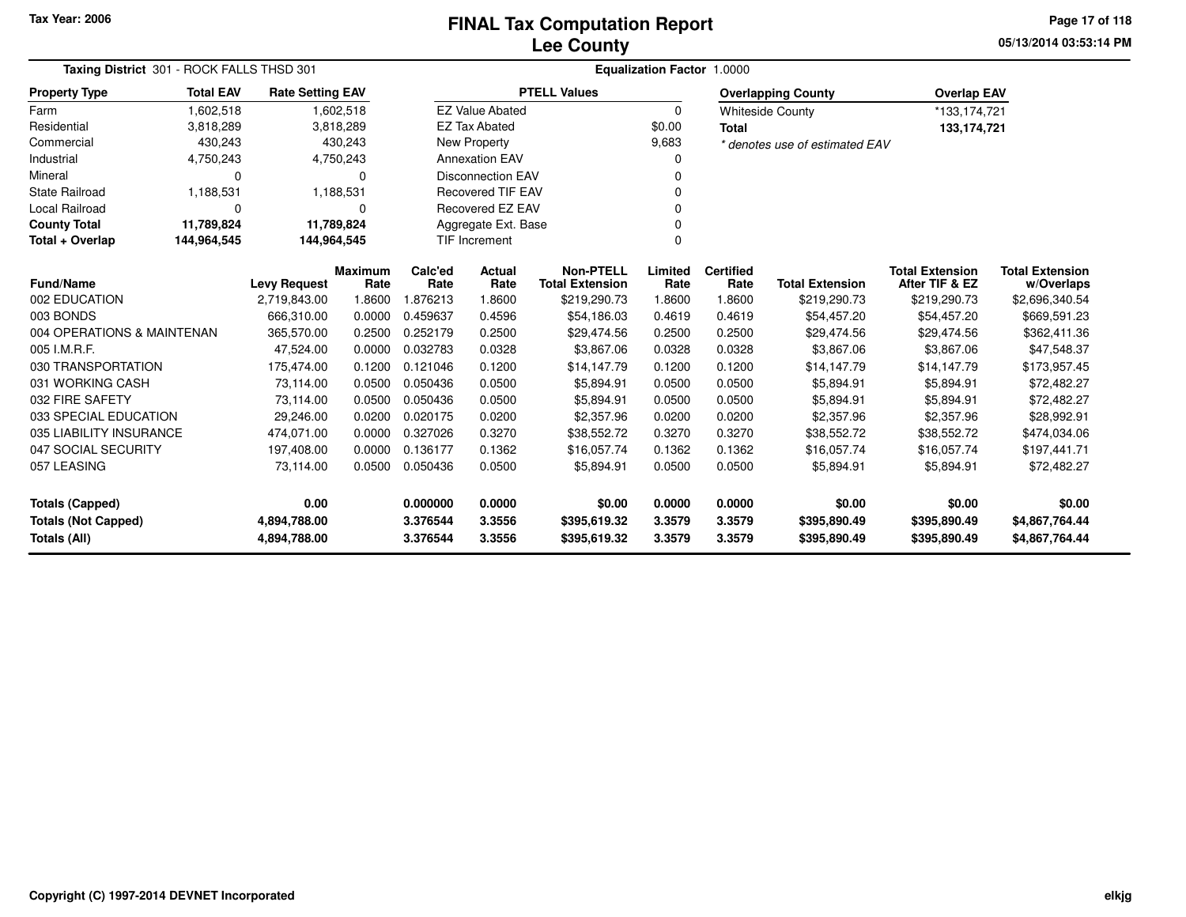### **Lee CountyFINAL Tax Computation Report** FINAL Tax Computation Report

**05/13/2014 03:53:14 PM Page 17 of 118**

|                                               | Taxing District 301 - ROCK FALLS THSD 301 |                         |                        |                 |                          | Equalization Factor 1.0000                 |                 |                          |                                |                                          |                                      |  |  |  |  |
|-----------------------------------------------|-------------------------------------------|-------------------------|------------------------|-----------------|--------------------------|--------------------------------------------|-----------------|--------------------------|--------------------------------|------------------------------------------|--------------------------------------|--|--|--|--|
| <b>Property Type</b>                          | <b>Total EAV</b>                          | <b>Rate Setting EAV</b> |                        |                 |                          | <b>PTELL Values</b>                        |                 |                          | <b>Overlapping County</b>      | <b>Overlap EAV</b>                       |                                      |  |  |  |  |
| Farm                                          | 1,602,518                                 |                         | 1,602,518              |                 | <b>EZ Value Abated</b>   |                                            | $\Omega$        |                          | <b>Whiteside County</b>        | *133,174,721                             |                                      |  |  |  |  |
| Residential                                   | 3,818,289                                 |                         | 3,818,289              |                 | <b>EZ Tax Abated</b>     |                                            | \$0.00          | <b>Total</b>             |                                | 133,174,721                              |                                      |  |  |  |  |
| Commercial                                    | 430,243                                   |                         | 430,243                |                 | New Property             |                                            | 9,683           |                          | * denotes use of estimated EAV |                                          |                                      |  |  |  |  |
| Industrial                                    | 4,750,243                                 |                         | 4,750,243              |                 | <b>Annexation EAV</b>    |                                            | 0               |                          |                                |                                          |                                      |  |  |  |  |
| Mineral                                       | 0                                         |                         | 0                      |                 | <b>Disconnection EAV</b> |                                            | U               |                          |                                |                                          |                                      |  |  |  |  |
| <b>State Railroad</b>                         | 1,188,531                                 |                         | 1,188,531              |                 | <b>Recovered TIF EAV</b> |                                            |                 |                          |                                |                                          |                                      |  |  |  |  |
| <b>Local Railroad</b>                         | $\Omega$                                  |                         | 0                      |                 | Recovered EZ EAV         |                                            |                 |                          |                                |                                          |                                      |  |  |  |  |
| <b>County Total</b>                           | 11,789,824                                | 11,789,824              |                        |                 | Aggregate Ext. Base      |                                            | 0               |                          |                                |                                          |                                      |  |  |  |  |
| Total + Overlap<br>144,964,545<br>144,964,545 |                                           |                         |                        |                 | <b>TIF Increment</b>     |                                            | 0               |                          |                                |                                          |                                      |  |  |  |  |
| <b>Fund/Name</b>                              |                                           | <b>Levy Request</b>     | <b>Maximum</b><br>Rate | Calc'ed<br>Rate | Actual<br>Rate           | <b>Non-PTELL</b><br><b>Total Extension</b> | Limited<br>Rate | <b>Certified</b><br>Rate | <b>Total Extension</b>         | <b>Total Extension</b><br>After TIF & EZ | <b>Total Extension</b><br>w/Overlaps |  |  |  |  |
| 002 EDUCATION                                 |                                           | 2,719,843.00            | 1.8600                 | 876213.         | 1.8600                   | \$219,290.73                               | 1.8600          | 1.8600                   | \$219,290.73                   | \$219,290.73                             | \$2,696,340.54                       |  |  |  |  |
| 003 BONDS                                     |                                           | 666,310.00              | 0.0000                 | 0.459637        | 0.4596                   | \$54,186.03                                | 0.4619          | 0.4619                   | \$54,457.20                    | \$54,457.20                              | \$669,591.23                         |  |  |  |  |
| 004 OPERATIONS & MAINTENAN                    |                                           | 365,570.00              | 0.2500                 | 0.252179        | 0.2500                   | \$29,474.56                                | 0.2500          | 0.2500                   | \$29,474.56                    | \$29,474.56                              | \$362,411.36                         |  |  |  |  |
| 005 I.M.R.F.                                  |                                           | 47,524.00               | 0.0000                 | 0.032783        | 0.0328                   | \$3,867.06                                 | 0.0328          | 0.0328                   | \$3,867.06                     | \$3,867.06                               | \$47,548.37                          |  |  |  |  |
| 030 TRANSPORTATION                            |                                           | 175,474.00              | 0.1200                 | 0.121046        | 0.1200                   | \$14,147.79                                | 0.1200          | 0.1200                   | \$14,147.79                    | \$14,147.79                              | \$173,957.45                         |  |  |  |  |
| 031 WORKING CASH                              |                                           | 73,114.00               | 0.0500                 | 0.050436        | 0.0500                   | \$5,894.91                                 | 0.0500          | 0.0500                   | \$5,894.91                     | \$5,894.91                               | \$72,482.27                          |  |  |  |  |
| 032 FIRE SAFETY                               |                                           | 73,114.00               | 0.0500                 | 0.050436        | 0.0500                   | \$5,894.91                                 | 0.0500          | 0.0500                   | \$5,894.91                     | \$5,894.91                               | \$72,482.27                          |  |  |  |  |
| 033 SPECIAL EDUCATION                         |                                           | 29,246.00               | 0.0200                 | 0.020175        | 0.0200                   | \$2,357.96                                 | 0.0200          | 0.0200                   | \$2,357.96                     | \$2,357.96                               | \$28,992.91                          |  |  |  |  |
| 035 LIABILITY INSURANCE                       |                                           | 474.071.00              | 0.0000                 | 0.327026        | 0.3270                   | \$38,552.72                                | 0.3270          | 0.3270                   | \$38,552.72                    | \$38,552.72                              | \$474,034.06                         |  |  |  |  |
| 047 SOCIAL SECURITY                           |                                           | 197,408.00              | 0.0000                 | 0.136177        | 0.1362                   | \$16,057.74                                | 0.1362          | 0.1362                   | \$16,057.74                    | \$16,057.74                              | \$197,441.71                         |  |  |  |  |
| 057 LEASING                                   |                                           | 73,114.00               | 0.0500                 | 0.050436        | 0.0500                   | \$5,894.91                                 | 0.0500          | 0.0500                   | \$5,894.91                     | \$5,894.91                               | \$72,482.27                          |  |  |  |  |
| <b>Totals (Capped)</b>                        |                                           | 0.00                    |                        | 0.000000        | 0.0000                   | \$0.00                                     | 0.0000          | 0.0000                   | \$0.00                         | \$0.00                                   | \$0.00                               |  |  |  |  |
| <b>Totals (Not Capped)</b>                    |                                           | 4,894,788.00            |                        | 3.376544        | 3.3556                   | \$395,619.32                               | 3.3579          | 3.3579                   | \$395,890.49                   | \$395,890.49                             | \$4,867,764.44                       |  |  |  |  |
| <b>Totals (All)</b>                           |                                           | 4,894,788.00            |                        | 3.376544        | 3.3556                   | \$395,619.32                               | 3.3579          | 3.3579                   | \$395,890.49                   | \$395,890.49                             | \$4,867,764.44                       |  |  |  |  |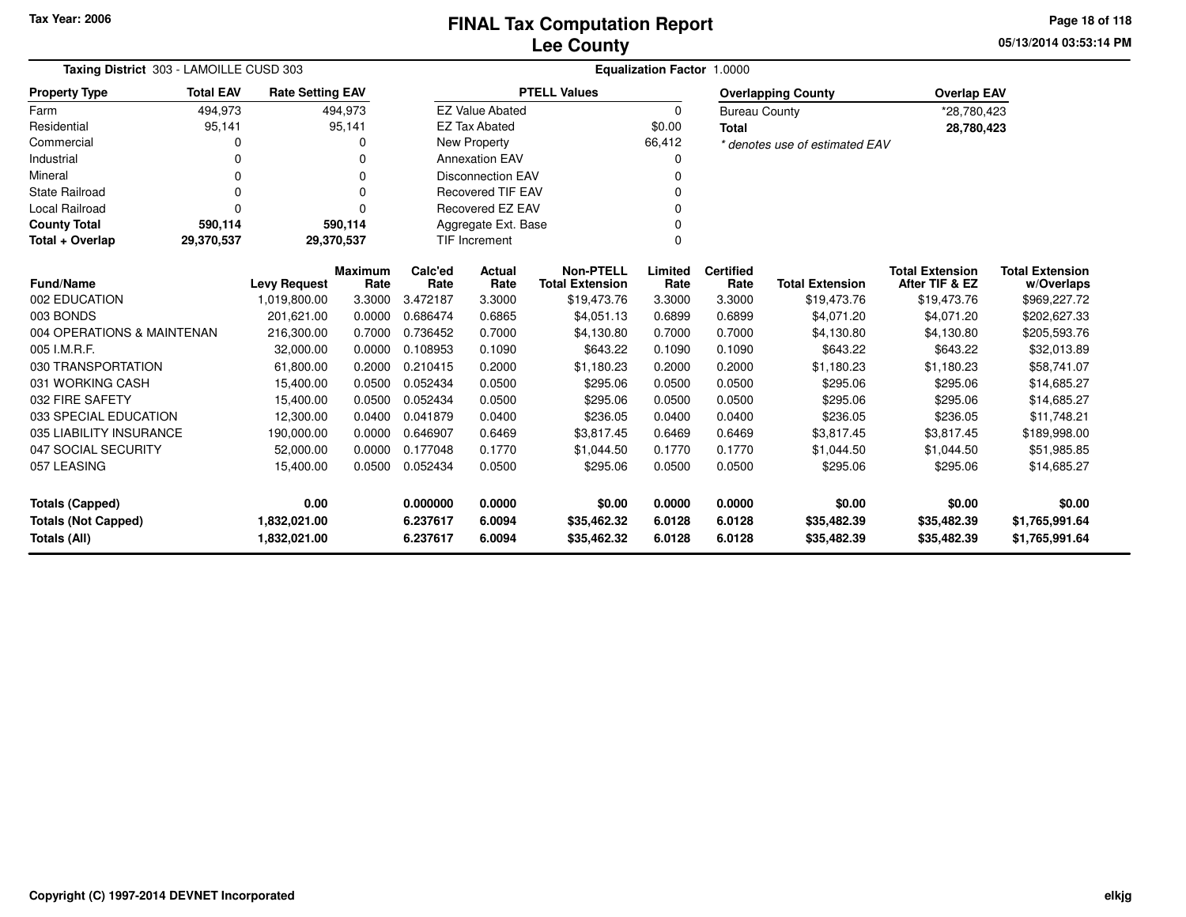**05/13/2014 03:53:14 PMPage 18 of 118**

| Taxing District 303 - LAMOILLE CUSD 303 |                  | Equalization Factor 1.0000 |          |          |                                  |                        |          |                      |                                |                        |                        |
|-----------------------------------------|------------------|----------------------------|----------|----------|----------------------------------|------------------------|----------|----------------------|--------------------------------|------------------------|------------------------|
| <b>Property Type</b>                    | <b>Total EAV</b> | <b>Rate Setting EAV</b>    |          |          |                                  | <b>PTELL Values</b>    |          |                      | <b>Overlapping County</b>      | <b>Overlap EAV</b>     |                        |
| Farm                                    | 494,973          |                            | 494,973  |          | <b>EZ Value Abated</b>           |                        | $\Omega$ | <b>Bureau County</b> |                                | *28,780,423            |                        |
| Residential                             | 95,141           |                            | 95,141   |          | <b>EZ Tax Abated</b>             |                        | \$0.00   | <b>Total</b>         |                                | 28,780,423             |                        |
| Commercial                              | 0                |                            | O        |          | <b>New Property</b>              |                        | 66,412   |                      | * denotes use of estimated EAV |                        |                        |
| Industrial                              | U                |                            | 0        |          | <b>Annexation EAV</b>            |                        |          |                      |                                |                        |                        |
| Mineral                                 | 0                |                            | 0        |          | <b>Disconnection EAV</b>         |                        | 0        |                      |                                |                        |                        |
| <b>State Railroad</b>                   | 0                |                            | $\Omega$ |          | <b>Recovered TIF EAV</b>         |                        |          |                      |                                |                        |                        |
| Local Railroad                          | $\Omega$         |                            | $\Omega$ |          | Recovered EZ EAV                 |                        |          |                      |                                |                        |                        |
| <b>County Total</b>                     | 590,114          |                            | 590,114  |          | Aggregate Ext. Base              |                        |          |                      |                                |                        |                        |
| Total + Overlap                         | 29,370,537       | 29,370,537                 |          |          | <b>TIF Increment</b><br>$\Omega$ |                        |          |                      |                                |                        |                        |
|                                         |                  |                            | Maximum  | Calc'ed  | Actual                           | <b>Non-PTELL</b>       | Limited  | <b>Certified</b>     |                                | <b>Total Extension</b> | <b>Total Extension</b> |
| <b>Fund/Name</b>                        |                  | <b>Levy Request</b>        | Rate     | Rate     | Rate                             | <b>Total Extension</b> | Rate     | Rate                 | <b>Total Extension</b>         | After TIF & EZ         | w/Overlaps             |
| 002 EDUCATION                           |                  | 1,019,800.00               | 3.3000   | 3.472187 | 3.3000                           | \$19,473.76            | 3.3000   | 3.3000               | \$19,473.76                    | \$19,473.76            | \$969,227.72           |
| 003 BONDS                               |                  | 201,621.00                 | 0.0000   | 0.686474 | 0.6865                           | \$4,051.13             | 0.6899   | 0.6899               | \$4,071.20                     | \$4,071.20             | \$202,627.33           |
| 004 OPERATIONS & MAINTENAN              |                  | 216,300.00                 | 0.7000   | 0.736452 | 0.7000                           | \$4,130.80             | 0.7000   | 0.7000               | \$4,130.80                     | \$4,130.80             | \$205,593.76           |
| 005 I.M.R.F.                            |                  | 32.000.00                  | 0.0000   | 0.108953 | 0.1090                           | \$643.22               | 0.1090   | 0.1090               | \$643.22                       | \$643.22               | \$32,013.89            |
| 030 TRANSPORTATION                      |                  | 61,800.00                  | 0.2000   | 0.210415 | 0.2000                           | \$1,180.23             | 0.2000   | 0.2000               | \$1,180.23                     | \$1,180.23             | \$58,741.07            |
| 031 WORKING CASH                        |                  | 15,400.00                  | 0.0500   | 0.052434 | 0.0500                           | \$295.06               | 0.0500   | 0.0500               | \$295.06                       | \$295.06               | \$14,685.27            |
| 032 FIRE SAFETY                         |                  | 15,400.00                  | 0.0500   | 0.052434 | 0.0500                           | \$295.06               | 0.0500   | 0.0500               | \$295.06                       | \$295.06               | \$14,685.27            |
| 033 SPECIAL EDUCATION                   |                  | 12,300.00                  | 0.0400   | 0.041879 | 0.0400                           | \$236.05               | 0.0400   | 0.0400               | \$236.05                       | \$236.05               | \$11,748.21            |
| 035 LIABILITY INSURANCE                 |                  | 190,000.00                 | 0.0000   | 0.646907 | 0.6469                           | \$3,817.45             | 0.6469   | 0.6469               | \$3,817.45                     | \$3,817.45             | \$189,998.00           |
| 047 SOCIAL SECURITY                     |                  | 52,000.00                  | 0.0000   | 0.177048 | 0.1770                           | \$1,044.50             | 0.1770   | 0.1770               | \$1,044.50                     | \$1,044.50             | \$51,985.85            |
| 057 LEASING                             |                  | 15,400.00                  | 0.0500   | 0.052434 | 0.0500                           | \$295.06               | 0.0500   | 0.0500               | \$295.06                       | \$295.06               | \$14,685.27            |
| <b>Totals (Capped)</b>                  |                  | 0.00                       |          | 0.000000 | 0.0000                           | \$0.00                 | 0.0000   | 0.0000               | \$0.00                         | \$0.00                 | \$0.00                 |
| <b>Totals (Not Capped)</b>              |                  | 1,832,021.00               |          | 6.237617 | 6.0094                           | \$35,462.32            | 6.0128   | 6.0128               | \$35,482.39                    | \$35,482.39            | \$1,765,991.64         |
| <b>Totals (All)</b>                     |                  | 1,832,021.00               |          | 6.237617 | 6.0094                           | \$35,462.32            | 6.0128   | 6.0128               | \$35,482.39                    | \$35,482.39            | \$1,765,991.64         |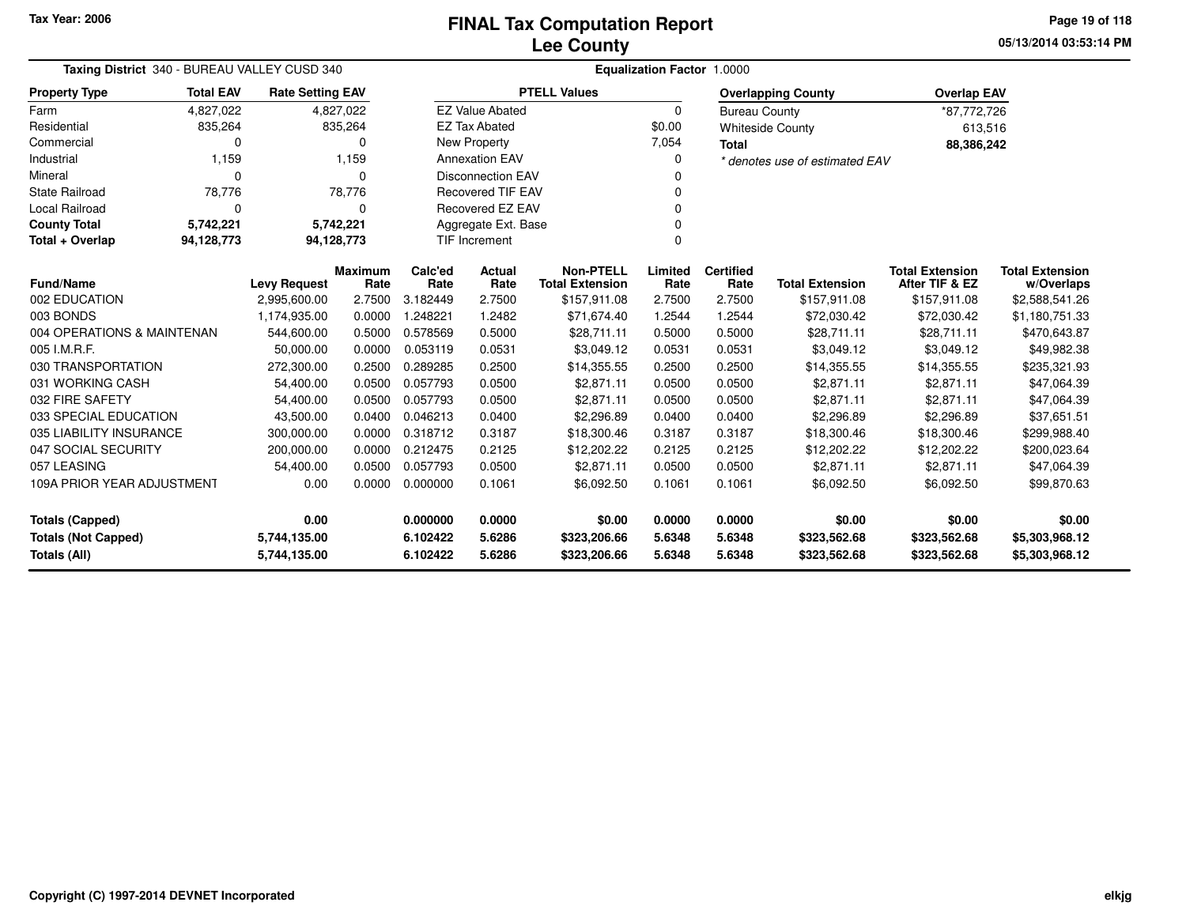| Taxing District 340 - BUREAU VALLEY CUSD 340                               |                  |                         |                        | Equalization Factor 1.0000 |                              |                                            |                  |                              |                                |                                          |                                      |  |  |
|----------------------------------------------------------------------------|------------------|-------------------------|------------------------|----------------------------|------------------------------|--------------------------------------------|------------------|------------------------------|--------------------------------|------------------------------------------|--------------------------------------|--|--|
| <b>Property Type</b>                                                       | <b>Total EAV</b> | <b>Rate Setting EAV</b> |                        |                            |                              | <b>PTELL Values</b>                        |                  |                              | <b>Overlapping County</b>      | <b>Overlap EAV</b>                       |                                      |  |  |
| Farm                                                                       | 4.827.022        |                         | 4,827,022              |                            | <b>EZ Value Abated</b>       |                                            | 0                | <b>Bureau County</b>         |                                | *87,772,726                              |                                      |  |  |
| Residential                                                                | 835,264          |                         | 835,264                |                            | <b>EZ Tax Abated</b>         |                                            | \$0.00           |                              | <b>Whiteside County</b>        | 613,516                                  |                                      |  |  |
| Commercial                                                                 | 0                |                         | $\Omega$               |                            | New Property                 |                                            | 7,054            | <b>Total</b>                 |                                | 88,386,242                               |                                      |  |  |
| Industrial                                                                 | 1,159            |                         | 1,159                  |                            | <b>Annexation EAV</b>        |                                            | 0                |                              | * denotes use of estimated EAV |                                          |                                      |  |  |
| Mineral                                                                    | 0                |                         | $\Omega$               |                            | <b>Disconnection EAV</b>     |                                            |                  |                              |                                |                                          |                                      |  |  |
| <b>State Railroad</b>                                                      | 78,776           |                         | 78,776                 |                            | <b>Recovered TIF EAV</b>     |                                            | 0                |                              |                                |                                          |                                      |  |  |
| Local Railroad                                                             | 0                |                         | $\Omega$               |                            | <b>Recovered EZ EAV</b>      |                                            | 0                |                              |                                |                                          |                                      |  |  |
| <b>County Total</b>                                                        | 5,742,221        |                         | 5,742,221              |                            | Aggregate Ext. Base<br>0     |                                            |                  |                              |                                |                                          |                                      |  |  |
| Total + Overlap                                                            | 94,128,773       |                         | 94,128,773             |                            | <b>TIF Increment</b><br>0    |                                            |                  |                              |                                |                                          |                                      |  |  |
| <b>Fund/Name</b>                                                           |                  | <b>Levy Request</b>     | <b>Maximum</b><br>Rate | Calc'ed<br>Rate            | Actual<br>Rate               | <b>Non-PTELL</b><br><b>Total Extension</b> | Limited<br>Rate  | <b>Certified</b><br>Rate     | <b>Total Extension</b>         | <b>Total Extension</b><br>After TIF & EZ | <b>Total Extension</b><br>w/Overlaps |  |  |
| 002 EDUCATION                                                              |                  | 2,995,600.00            | 2.7500                 | 3.182449                   | 2.7500                       | \$157,911.08                               | 2.7500           | 2.7500                       | \$157,911.08                   | \$157,911.08                             | \$2,588,541.26                       |  |  |
| 003 BONDS                                                                  |                  | 1,174,935.00            | 0.0000                 | 1.248221                   | 1.2482                       | \$71,674.40                                | 1.2544           | 1.2544                       | \$72,030.42                    | \$72,030.42                              | \$1,180,751.33                       |  |  |
| 004 OPERATIONS & MAINTENAN                                                 |                  | 544,600.00              | 0.5000                 | 0.578569                   | 0.5000                       | \$28,711.11                                | 0.5000           | 0.5000                       | \$28,711.11                    | \$28,711.11                              | \$470,643.87                         |  |  |
| 005 I.M.R.F.                                                               |                  | 50,000.00               | 0.0000                 | 0.053119                   | 0.0531                       | \$3,049.12                                 | 0.0531           | 0.0531                       | \$3,049.12                     | \$3,049.12                               | \$49,982.38                          |  |  |
| 030 TRANSPORTATION                                                         |                  | 272,300.00              | 0.2500                 | 0.289285                   | 0.2500                       | \$14,355.55                                | 0.2500           | 0.2500                       | \$14,355.55                    | \$14,355.55                              | \$235,321.93                         |  |  |
| 031 WORKING CASH                                                           |                  | 54,400.00               | 0.0500                 | 0.057793                   | 0.0500                       | \$2,871.11                                 | 0.0500           | 0.0500                       | \$2,871.11                     | \$2,871.11                               | \$47,064.39                          |  |  |
| 032 FIRE SAFETY                                                            |                  | 54,400.00               | 0.0500                 | 0.057793                   | 0.0500                       | \$2,871.11                                 | 0.0500           | 0.0500                       | \$2,871.11                     | \$2,871.11                               | \$47,064.39                          |  |  |
| 033 SPECIAL EDUCATION                                                      |                  | 43,500.00               | 0.0400                 | 0.046213                   | 0.0400                       | \$2,296.89                                 | 0.0400           | 0.0400                       | \$2,296.89                     | \$2,296.89                               | \$37,651.51                          |  |  |
| 035 LIABILITY INSURANCE                                                    |                  | 300.000.00              | 0.0000                 | 0.318712                   | 0.3187                       | \$18,300.46                                | 0.3187           | 0.3187                       | \$18,300.46                    | \$18,300.46                              | \$299,988.40                         |  |  |
| 047 SOCIAL SECURITY                                                        |                  | 200,000.00              | 0.0000                 | 0.212475                   | 0.2125                       | \$12,202.22                                | 0.2125           | 0.2125                       | \$12,202.22                    | \$12,202.22                              | \$200,023.64                         |  |  |
| 057 LEASING                                                                |                  | 54,400.00               | 0.0500                 | 0.057793                   | 0.0500                       | \$2,871.11                                 | 0.0500           | 0.0500                       | \$2,871.11                     | \$2,871.11                               | \$47,064.39                          |  |  |
| 109A PRIOR YEAR ADJUSTMENT                                                 |                  | 0.00                    | 0.0000                 | 0.000000                   | 0.1061                       | \$6,092.50                                 | 0.1061           | 0.1061                       | \$6,092.50                     | \$6,092.50                               | \$99,870.63                          |  |  |
| 0.00<br><b>Totals (Capped)</b>                                             |                  |                         | 0.000000               | 0.0000                     | \$0.00                       | 0.0000                                     | 0.0000           | \$0.00                       | \$0.00                         | \$0.00                                   |                                      |  |  |
| <b>Totals (Not Capped)</b><br>5,744,135.00<br>Totals (All)<br>5,744,135.00 |                  |                         | 6.102422<br>6.102422   | 5.6286<br>5.6286           | \$323,206.66<br>\$323,206.66 | 5.6348<br>5.6348                           | 5.6348<br>5.6348 | \$323,562.68<br>\$323,562.68 | \$323,562.68<br>\$323,562.68   | \$5,303,968.12<br>\$5,303,968.12         |                                      |  |  |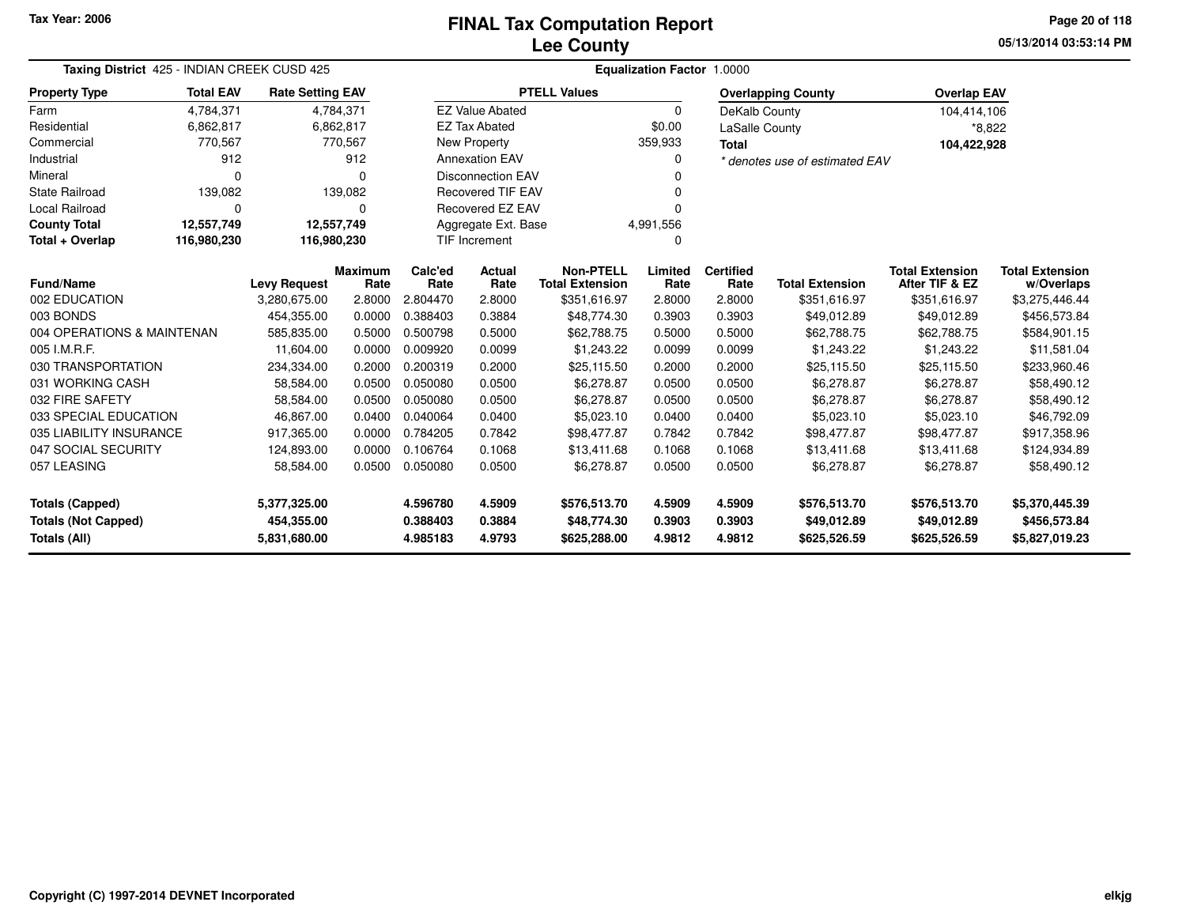### **Lee CountyFINAL Tax Computation Report** FINAL Tax Computation Report

**05/13/2014 03:53:14 PMPage 20 of 118**

| Taxing District 425 - INDIAN CREEK CUSD 425 |                  |                                     |                |                      | Equalization Factor 1.0000 |                                        |                  |                  |                                |                                          |                                      |  |  |  |
|---------------------------------------------|------------------|-------------------------------------|----------------|----------------------|----------------------------|----------------------------------------|------------------|------------------|--------------------------------|------------------------------------------|--------------------------------------|--|--|--|
| <b>Property Type</b>                        | <b>Total EAV</b> | <b>Rate Setting EAV</b>             |                |                      |                            | <b>PTELL Values</b>                    |                  |                  | <b>Overlapping County</b>      | <b>Overlap EAV</b>                       |                                      |  |  |  |
| Farm                                        | 4,784,371        |                                     | 4,784,371      |                      | <b>EZ Value Abated</b>     |                                        | $\Omega$         | DeKalb County    |                                | 104,414,106                              |                                      |  |  |  |
| Residential                                 | 6,862,817        |                                     | 6,862,817      |                      | <b>EZ Tax Abated</b>       |                                        | \$0.00           | LaSalle County   |                                | *8,822                                   |                                      |  |  |  |
| Commercial                                  | 770,567          |                                     | 770,567        |                      | <b>New Property</b>        |                                        | 359,933          | <b>Total</b>     |                                | 104,422,928                              |                                      |  |  |  |
| Industrial                                  | 912              |                                     | 912            |                      | <b>Annexation EAV</b>      |                                        | 0                |                  | * denotes use of estimated EAV |                                          |                                      |  |  |  |
| Mineral                                     | $\Omega$         |                                     | O              |                      | <b>Disconnection EAV</b>   |                                        |                  |                  |                                |                                          |                                      |  |  |  |
| <b>State Railroad</b>                       | 139,082          |                                     | 139,082        |                      | <b>Recovered TIF EAV</b>   |                                        |                  |                  |                                |                                          |                                      |  |  |  |
| Local Railroad                              | $\Omega$         |                                     | $\Omega$       |                      | Recovered EZ EAV           |                                        | U                |                  |                                |                                          |                                      |  |  |  |
| <b>County Total</b>                         | 12,557,749       | 12,557,749                          |                |                      | Aggregate Ext. Base        |                                        | 4,991,556        |                  |                                |                                          |                                      |  |  |  |
| Total + Overlap                             | 116,980,230      | 116,980,230                         |                |                      | <b>TIF Increment</b>       |                                        | 0                |                  |                                |                                          |                                      |  |  |  |
| <b>Fund/Name</b>                            |                  |                                     | <b>Maximum</b> | Calc'ed<br>Rate      | <b>Actual</b><br>Rate      | <b>Non-PTELL</b>                       | Limited          | <b>Certified</b> | <b>Total Extension</b>         | <b>Total Extension</b><br>After TIF & EZ | <b>Total Extension</b><br>w/Overlaps |  |  |  |
| 002 EDUCATION                               |                  | <b>Levy Request</b><br>3,280,675.00 | Rate<br>2.8000 | 2.804470             | 2.8000                     | <b>Total Extension</b><br>\$351,616.97 | Rate<br>2.8000   | Rate<br>2.8000   | \$351,616.97                   | \$351,616.97                             | \$3,275,446.44                       |  |  |  |
| 003 BONDS                                   |                  | 454.355.00                          | 0.0000         | 0.388403             | 0.3884                     | \$48,774.30                            | 0.3903           | 0.3903           | \$49,012.89                    | \$49,012.89                              | \$456,573.84                         |  |  |  |
| 004 OPERATIONS & MAINTENAN                  |                  | 585,835.00                          | 0.5000         | 0.500798             | 0.5000                     | \$62,788.75                            | 0.5000           | 0.5000           | \$62,788.75                    | \$62,788.75                              | \$584,901.15                         |  |  |  |
| 005 I.M.R.F.                                |                  | 11,604.00                           | 0.0000         | 0.009920             | 0.0099                     | \$1,243.22                             | 0.0099           | 0.0099           | \$1,243.22                     | \$1,243.22                               | \$11,581.04                          |  |  |  |
| 030 TRANSPORTATION                          |                  | 234,334.00                          | 0.2000         | 0.200319             | 0.2000                     | \$25,115.50                            | 0.2000           | 0.2000           | \$25,115.50                    | \$25,115.50                              | \$233,960.46                         |  |  |  |
| 031 WORKING CASH                            |                  | 58,584.00                           | 0.0500         | 0.050080             | 0.0500                     | \$6,278.87                             | 0.0500           | 0.0500           | \$6,278.87                     | \$6,278.87                               | \$58,490.12                          |  |  |  |
| 032 FIRE SAFETY                             |                  | 58,584.00                           | 0.0500         | 0.050080             | 0.0500                     | \$6,278.87                             | 0.0500           | 0.0500           | \$6,278.87                     | \$6,278.87                               | \$58,490.12                          |  |  |  |
| 033 SPECIAL EDUCATION                       |                  | 46,867.00                           | 0.0400         | 0.040064             | 0.0400                     | \$5,023.10                             | 0.0400           | 0.0400           | \$5,023.10                     | \$5,023.10                               | \$46,792.09                          |  |  |  |
| 035 LIABILITY INSURANCE                     |                  | 917,365.00                          | 0.0000         | 0.784205             | 0.7842                     | \$98,477.87                            | 0.7842           | 0.7842           | \$98,477.87                    | \$98,477.87                              | \$917,358.96                         |  |  |  |
| 047 SOCIAL SECURITY                         |                  | 124,893.00                          | 0.0000         | 0.106764             | 0.1068                     | \$13,411.68                            | 0.1068           | 0.1068           | \$13,411.68                    | \$13,411.68                              | \$124,934.89                         |  |  |  |
| 057 LEASING                                 |                  | 58,584.00                           | 0.0500         | 0.050080             | 0.0500                     | \$6,278.87                             | 0.0500           | 0.0500           | \$6,278.87                     | \$6,278.87                               | \$58,490.12                          |  |  |  |
| <b>Totals (Capped)</b><br>5,377,325.00      |                  |                                     |                | 4.596780             | 4.5909                     | \$576,513.70                           | 4.5909           | 4.5909           | \$576,513.70                   | \$576,513.70                             | \$5,370,445.39                       |  |  |  |
| <b>Totals (Not Capped)</b><br>Totals (All)  |                  | 454,355.00<br>5,831,680.00          |                | 0.388403<br>4.985183 | 0.3884<br>4.9793           | \$48,774.30<br>\$625,288.00            | 0.3903<br>4.9812 | 0.3903<br>4.9812 | \$49,012.89<br>\$625,526.59    | \$49,012.89<br>\$625,526.59              | \$456,573.84<br>\$5,827,019.23       |  |  |  |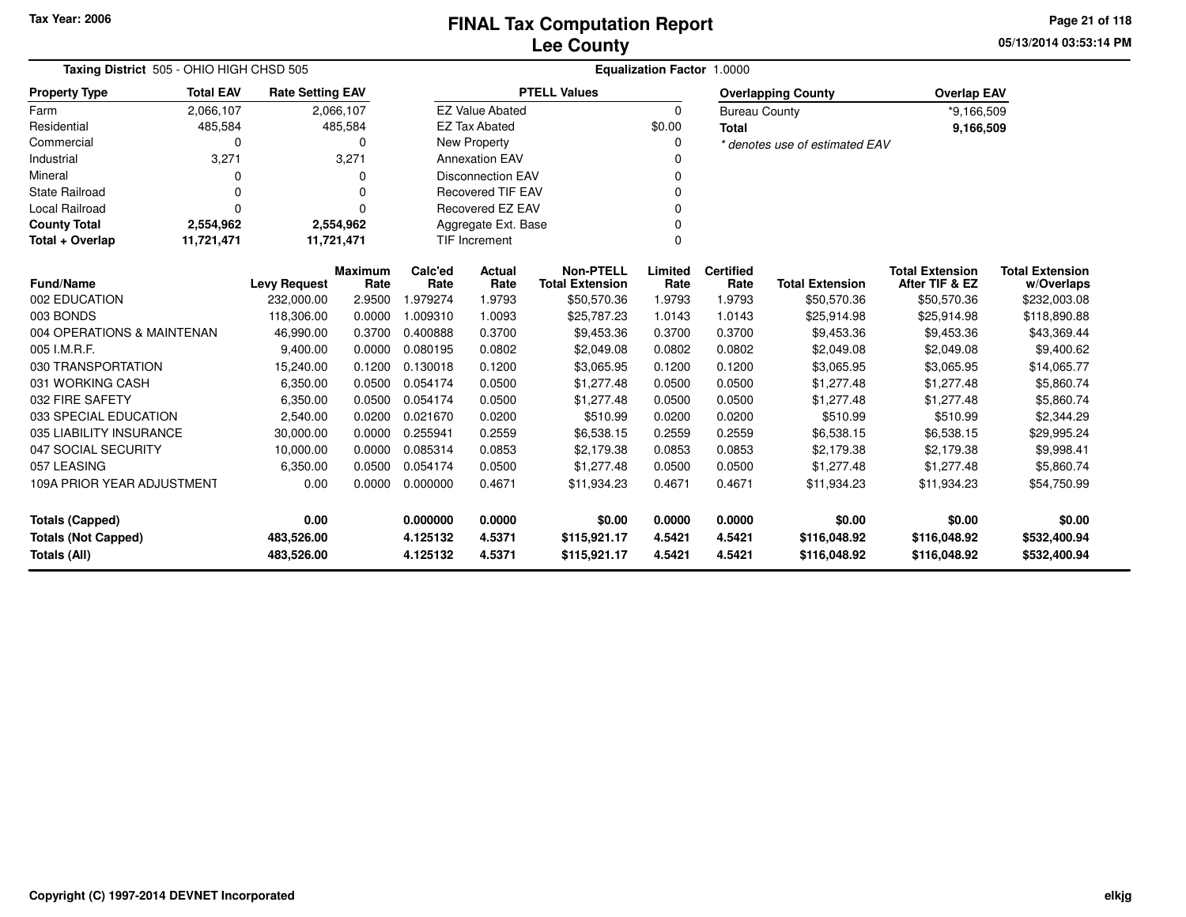**05/13/2014 03:53:14 PM Page 21 of 118**

| Taxing District 505 - OHIO HIGH CHSD 505   |                  |                          |                        |                      | <b>Equalization Factor 1.0000</b> |                                            |                  |                          |                                |                                          |                                      |  |  |  |
|--------------------------------------------|------------------|--------------------------|------------------------|----------------------|-----------------------------------|--------------------------------------------|------------------|--------------------------|--------------------------------|------------------------------------------|--------------------------------------|--|--|--|
| <b>Property Type</b>                       | <b>Total EAV</b> | <b>Rate Setting EAV</b>  |                        |                      |                                   | <b>PTELL Values</b>                        |                  |                          | <b>Overlapping County</b>      | <b>Overlap EAV</b>                       |                                      |  |  |  |
| Farm                                       | 2,066,107        |                          | 2,066,107              |                      | <b>EZ Value Abated</b>            |                                            | $\mathbf 0$      | <b>Bureau County</b>     |                                | *9,166,509                               |                                      |  |  |  |
| Residential                                | 485,584          |                          | 485,584                |                      | <b>EZ Tax Abated</b>              |                                            | \$0.00           | <b>Total</b>             |                                | 9,166,509                                |                                      |  |  |  |
| Commercial                                 |                  |                          | 0                      |                      | New Property                      |                                            | $\Omega$         |                          | * denotes use of estimated EAV |                                          |                                      |  |  |  |
| Industrial                                 | 3,271            |                          | 3,271                  |                      | <b>Annexation EAV</b>             |                                            | 0                |                          |                                |                                          |                                      |  |  |  |
| Mineral                                    |                  |                          | ი                      |                      | <b>Disconnection EAV</b>          |                                            | ŋ                |                          |                                |                                          |                                      |  |  |  |
| <b>State Railroad</b>                      |                  |                          | 0                      |                      | <b>Recovered TIF EAV</b>          |                                            | $\Omega$         |                          |                                |                                          |                                      |  |  |  |
| <b>Local Railroad</b>                      | $\Omega$         |                          | U                      |                      | <b>Recovered EZ EAV</b>           |                                            | $\Omega$         |                          |                                |                                          |                                      |  |  |  |
| <b>County Total</b>                        | 2,554,962        |                          | 2,554,962              |                      | Aggregate Ext. Base               |                                            |                  |                          |                                |                                          |                                      |  |  |  |
| Total + Overlap                            | 11,721,471       | 11,721,471               |                        |                      | <b>TIF Increment</b>              |                                            | $\mathbf 0$      |                          |                                |                                          |                                      |  |  |  |
| <b>Fund/Name</b>                           |                  | <b>Levy Request</b>      | <b>Maximum</b><br>Rate | Calc'ed<br>Rate      | <b>Actual</b><br>Rate             | <b>Non-PTELL</b><br><b>Total Extension</b> | Limited<br>Rate  | <b>Certified</b><br>Rate | <b>Total Extension</b>         | <b>Total Extension</b><br>After TIF & EZ | <b>Total Extension</b><br>w/Overlaps |  |  |  |
| 002 EDUCATION                              |                  | 232,000.00               | 2.9500                 | 1.979274             | 1.9793                            | \$50,570.36                                | 1.9793           | 1.9793                   | \$50,570.36                    | \$50,570.36                              | \$232,003.08                         |  |  |  |
| 003 BONDS                                  |                  | 118,306.00               | 0.0000                 | 1.009310             | 1.0093                            | \$25,787.23                                | 1.0143           | 1.0143                   | \$25,914.98                    | \$25,914.98                              | \$118,890.88                         |  |  |  |
| 004 OPERATIONS & MAINTENAN                 |                  | 46,990.00                | 0.3700                 | 0.400888             | 0.3700                            | \$9,453.36                                 | 0.3700           | 0.3700                   | \$9,453.36                     | \$9,453.36                               | \$43,369.44                          |  |  |  |
| 005 I.M.R.F.                               |                  | 9,400.00                 | 0.0000                 | 0.080195             | 0.0802                            | \$2,049.08                                 | 0.0802           | 0.0802                   | \$2,049.08                     | \$2,049.08                               | \$9,400.62                           |  |  |  |
| 030 TRANSPORTATION                         |                  | 15,240.00                | 0.1200                 | 0.130018             | 0.1200                            | \$3,065.95                                 | 0.1200           | 0.1200                   | \$3,065.95                     | \$3,065.95                               | \$14,065.77                          |  |  |  |
| 031 WORKING CASH                           |                  | 6,350.00                 | 0.0500                 | 0.054174             | 0.0500                            | \$1,277.48                                 | 0.0500           | 0.0500                   | \$1,277.48                     | \$1,277.48                               | \$5,860.74                           |  |  |  |
| 032 FIRE SAFETY                            |                  | 6,350.00                 | 0.0500                 | 0.054174             | 0.0500                            | \$1,277.48                                 | 0.0500           | 0.0500                   | \$1,277.48                     | \$1,277.48                               | \$5,860.74                           |  |  |  |
| 033 SPECIAL EDUCATION                      |                  | 2,540.00                 | 0.0200                 | 0.021670             | 0.0200                            | \$510.99                                   | 0.0200           | 0.0200                   | \$510.99                       | \$510.99                                 | \$2,344.29                           |  |  |  |
| 035 LIABILITY INSURANCE                    |                  | 30,000.00                | 0.0000                 | 0.255941             | 0.2559                            | \$6,538.15                                 | 0.2559           | 0.2559                   | \$6,538.15                     | \$6,538.15                               | \$29,995.24                          |  |  |  |
| 047 SOCIAL SECURITY                        |                  | 10,000.00                | 0.0000                 | 0.085314             | 0.0853                            | \$2,179.38                                 | 0.0853           | 0.0853                   | \$2,179.38                     | \$2,179.38                               | \$9,998.41                           |  |  |  |
| 057 LEASING                                |                  | 6,350.00                 | 0.0500                 | 0.054174             | 0.0500                            | \$1,277.48                                 | 0.0500           | 0.0500                   | \$1,277.48                     | \$1,277.48                               | \$5,860.74                           |  |  |  |
| 109A PRIOR YEAR ADJUSTMENT                 |                  | 0.00                     | 0.0000                 | 0.000000             | 0.4671                            | \$11,934.23                                | 0.4671           | 0.4671                   | \$11,934.23                    | \$11,934.23                              | \$54,750.99                          |  |  |  |
| 0.00<br><b>Totals (Capped)</b>             |                  |                          |                        | 0.000000             | 0.0000                            | \$0.00                                     | 0.0000           | 0.0000                   | \$0.00                         | \$0.00                                   | \$0.00                               |  |  |  |
| <b>Totals (Not Capped)</b><br>Totals (All) |                  | 483,526.00<br>483,526.00 |                        | 4.125132<br>4.125132 | 4.5371<br>4.5371                  | \$115,921.17<br>\$115,921.17               | 4.5421<br>4.5421 | 4.5421<br>4.5421         | \$116,048.92<br>\$116,048.92   | \$116,048.92<br>\$116,048.92             | \$532,400.94<br>\$532,400.94         |  |  |  |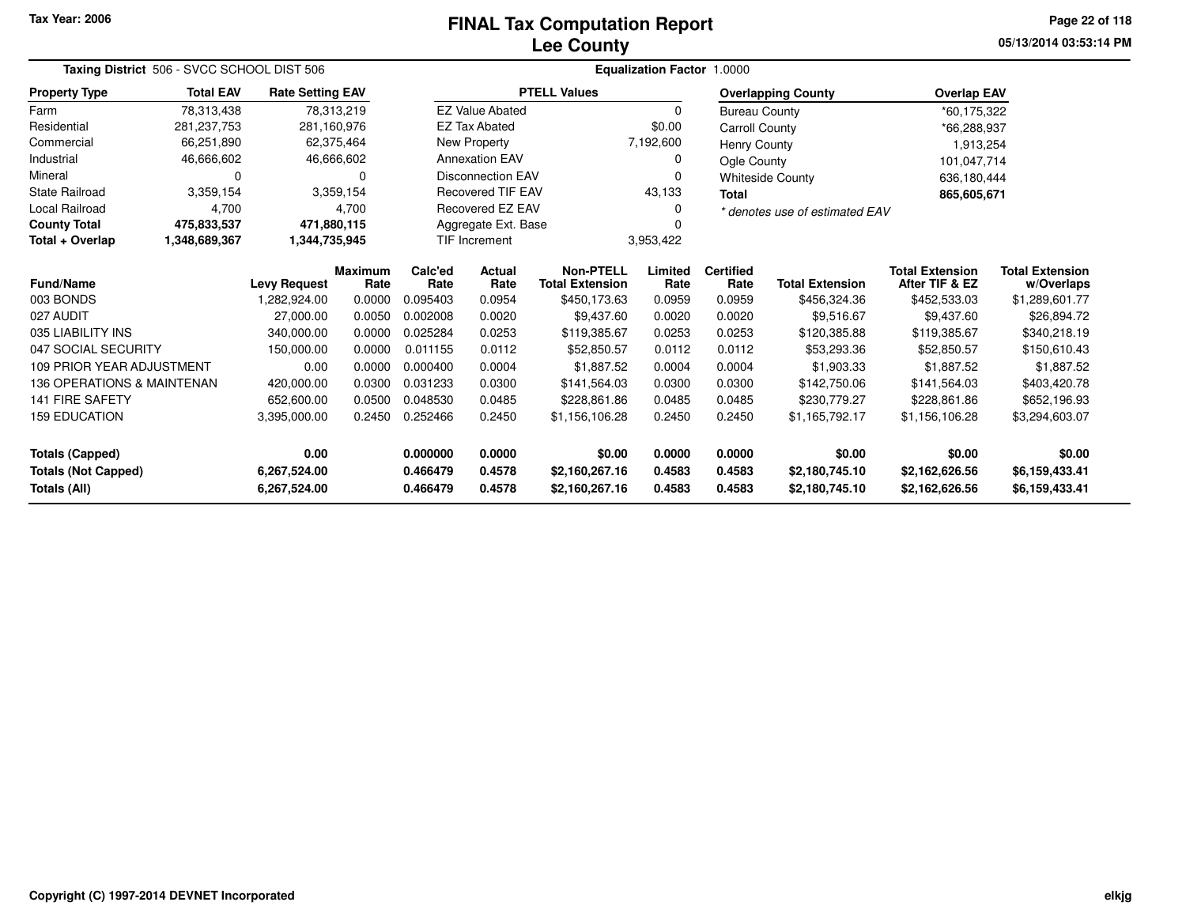# **Lee CountyFINAL Tax Computation Report** FINAL Tax Computation Report

**05/13/2014 03:53:14 PM Page 22 of 118**

| Taxing District 506 - SVCC SCHOOL DIST 506 |                     |                              |                        | <b>Equalization Factor 1.0000</b> |                                                         |                                            |                  |                          |                                  |                                          |                                      |
|--------------------------------------------|---------------------|------------------------------|------------------------|-----------------------------------|---------------------------------------------------------|--------------------------------------------|------------------|--------------------------|----------------------------------|------------------------------------------|--------------------------------------|
| <b>Property Type</b>                       | <b>Total EAV</b>    | <b>Rate Setting EAV</b>      |                        |                                   |                                                         | <b>PTELL Values</b>                        |                  |                          | <b>Overlapping County</b>        | <b>Overlap EAV</b>                       |                                      |
| Farm                                       | 78,313,438          |                              | 78,313,219             |                                   | <b>EZ Value Abated</b>                                  |                                            | $\Omega$         | <b>Bureau County</b>     |                                  | *60,175,322                              |                                      |
| Residential                                | 281, 237, 753       | 281,160,976                  |                        |                                   | <b>EZ Tax Abated</b>                                    |                                            | \$0.00           | Carroll County           |                                  | *66,288,937                              |                                      |
| Commercial                                 | 66,251,890          |                              | 62,375,464             |                                   | New Property                                            |                                            | 7,192,600        | <b>Henry County</b>      |                                  | 1,913,254                                |                                      |
| Industrial                                 | 46,666,602          |                              | 46,666,602             |                                   | <b>Annexation EAV</b>                                   |                                            | 0                | Ogle County              |                                  | 101,047,714                              |                                      |
| Mineral                                    | 0                   |                              | 0                      |                                   | <b>Disconnection EAV</b>                                |                                            | 0                |                          | <b>Whiteside County</b>          | 636,180,444                              |                                      |
| State Railroad                             | 3,359,154           |                              | 3,359,154              |                                   | <b>Recovered TIF EAV</b>                                |                                            | 43,133           | <b>Total</b>             |                                  | 865,605,671                              |                                      |
| Local Railroad                             | 4,700               |                              | 4,700                  |                                   | Recovered EZ EAV<br>0<br>* denotes use of estimated EAV |                                            |                  |                          |                                  |                                          |                                      |
| <b>County Total</b>                        | 475,833,537         | 471,880,115                  |                        |                                   | Aggregate Ext. Base                                     |                                            |                  |                          |                                  |                                          |                                      |
| Total + Overlap                            | 1,348,689,367       | 1,344,735,945                |                        |                                   | <b>TIF Increment</b>                                    |                                            | 3,953,422        |                          |                                  |                                          |                                      |
| Fund/Name                                  | <b>Levy Request</b> |                              | <b>Maximum</b><br>Rate | Calc'ed<br>Rate                   | Actual<br>Rate                                          | <b>Non-PTELL</b><br><b>Total Extension</b> | Limited<br>Rate  | <b>Certified</b><br>Rate | <b>Total Extension</b>           | <b>Total Extension</b><br>After TIF & EZ | <b>Total Extension</b><br>w/Overlaps |
| 003 BONDS                                  |                     | 1,282,924.00                 | 0.0000                 | 0.095403                          | 0.0954                                                  | \$450,173.63                               | 0.0959           | 0.0959                   | \$456,324.36                     | \$452,533.03                             | \$1,289,601.77                       |
| 027 AUDIT                                  |                     | 27.000.00                    | 0.0050                 | 0.002008                          | 0.0020                                                  | \$9,437.60                                 | 0.0020           | 0.0020                   | \$9,516.67                       | \$9,437.60                               | \$26,894.72                          |
| 035 LIABILITY INS                          |                     | 340,000.00                   | 0.0000                 | 0.025284                          | 0.0253                                                  | \$119,385.67                               | 0.0253           | 0.0253                   | \$120,385.88                     | \$119,385.67                             | \$340,218.19                         |
| 047 SOCIAL SECURITY                        |                     | 150,000.00                   | 0.0000                 | 0.011155                          | 0.0112                                                  | \$52,850.57                                | 0.0112           | 0.0112                   | \$53,293.36                      | \$52,850.57                              | \$150,610.43                         |
| 109 PRIOR YEAR ADJUSTMENT                  |                     | 0.00                         | 0.0000                 | 0.000400                          | 0.0004                                                  | \$1,887.52                                 | 0.0004           | 0.0004                   | \$1,903.33                       | \$1,887.52                               | \$1,887.52                           |
| 136 OPERATIONS & MAINTENAN                 |                     | 420,000.00                   | 0.0300                 | 0.031233                          | 0.0300                                                  | \$141,564.03                               | 0.0300           | 0.0300                   | \$142,750.06                     | \$141,564.03                             | \$403,420.78                         |
| 141 FIRE SAFETY                            |                     | 652,600.00                   | 0.0500                 | 0.048530                          | 0.0485                                                  | \$228,861.86                               | 0.0485           | 0.0485                   | \$230,779.27                     | \$228,861.86                             | \$652,196.93                         |
| <b>159 EDUCATION</b>                       |                     | 3,395,000.00                 | 0.2450                 | 0.252466                          | 0.2450<br>\$1,156,106.28                                |                                            | 0.2450           | 0.2450                   | \$1,165,792.17                   | \$1,156,106.28                           | \$3,294,603.07                       |
| <b>Totals (Capped)</b>                     |                     | 0.00                         |                        | 0.000000                          | 0.0000                                                  | \$0.00                                     | 0.0000           | 0.0000                   | \$0.00                           | \$0.00                                   | \$0.00                               |
| <b>Totals (Not Capped)</b><br>Totals (All) |                     | 6,267,524.00<br>6,267,524.00 |                        | 0.466479<br>0.466479              | 0.4578<br>0.4578                                        | \$2,160,267.16<br>\$2,160,267.16           | 0.4583<br>0.4583 | 0.4583<br>0.4583         | \$2,180,745.10<br>\$2,180,745.10 | \$2,162,626.56<br>\$2,162,626.56         | \$6,159,433.41<br>\$6,159,433.41     |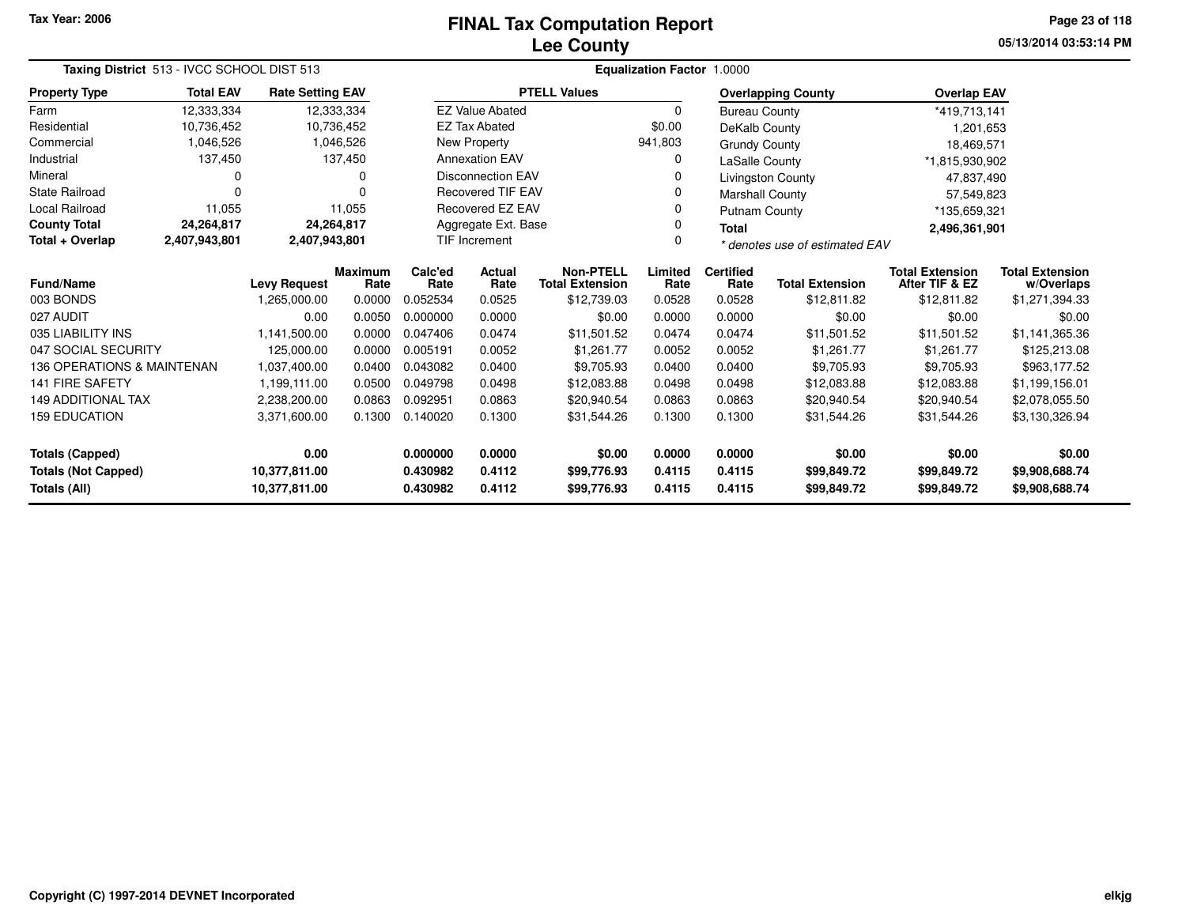# **Lee CountyFINAL Tax Computation Report** FINAL Tax Computation Report

**05/13/2014 03:53:14 PM Page 23 of 118**

| Taxing District 513 - IVCC SCHOOL DIST 513 |                  |                                |                        |                                   | Equalization Factor 1.0000                |                                            |                  |                          |                                |                                          |                                      |  |
|--------------------------------------------|------------------|--------------------------------|------------------------|-----------------------------------|-------------------------------------------|--------------------------------------------|------------------|--------------------------|--------------------------------|------------------------------------------|--------------------------------------|--|
| <b>Property Type</b>                       | <b>Total EAV</b> | <b>Rate Setting EAV</b>        |                        |                                   |                                           | <b>PTELL Values</b>                        |                  |                          | <b>Overlapping County</b>      | <b>Overlap EAV</b>                       |                                      |  |
| Farm                                       | 12,333,334       |                                | 12,333,334             |                                   | <b>EZ Value Abated</b>                    |                                            | $\Omega$         | <b>Bureau County</b>     |                                | *419,713,141                             |                                      |  |
| Residential                                | 10,736,452       | 10,736,452                     |                        |                                   | <b>EZ Tax Abated</b>                      |                                            | \$0.00           | DeKalb County            |                                | 1,201,653                                |                                      |  |
| Commercial                                 | 1,046,526        |                                | 1,046,526              |                                   | New Property                              |                                            | 941,803          | <b>Grundy County</b>     |                                | 18,469,571                               |                                      |  |
| Industrial                                 | 137,450          |                                | 137,450                |                                   | <b>Annexation EAV</b>                     |                                            |                  | LaSalle County           |                                | *1,815,930,902                           |                                      |  |
| Mineral                                    | 0                |                                | 0                      |                                   | <b>Disconnection EAV</b>                  |                                            |                  |                          | <b>Livingston County</b>       | 47,837,490                               |                                      |  |
| <b>State Railroad</b>                      | $\Omega$         |                                | 0                      |                                   | <b>Recovered TIF EAV</b>                  |                                            |                  | Marshall County          |                                | 57,549,823                               |                                      |  |
| Local Railroad                             | 11,055           |                                | 11,055                 | Recovered EZ EAV<br>Putnam County |                                           |                                            |                  | *135,659,321             |                                |                                          |                                      |  |
| <b>County Total</b>                        | 24,264,817       | 24,264,817                     |                        |                                   | Aggregate Ext. Base<br><b>Total</b>       |                                            |                  |                          |                                | 2,496,361,901                            |                                      |  |
| Total + Overlap                            | 2,407,943,801    | 2,407,943,801                  |                        | <b>TIF Increment</b>              |                                           |                                            |                  |                          | * denotes use of estimated EAV |                                          |                                      |  |
| Fund/Name                                  |                  | <b>Levy Request</b>            | <b>Maximum</b><br>Rate | Calc'ed<br>Rate                   | Actual<br>Rate                            | <b>Non-PTELL</b><br><b>Total Extension</b> | Limited<br>Rate  | <b>Certified</b><br>Rate | <b>Total Extension</b>         | <b>Total Extension</b><br>After TIF & EZ | <b>Total Extension</b><br>w/Overlaps |  |
| 003 BONDS                                  |                  | 1,265,000.00                   | 0.0000                 | 0.052534                          | 0.0525                                    | \$12,739.03                                | 0.0528           | 0.0528                   | \$12,811.82                    | \$12,811.82                              | \$1,271,394.33                       |  |
| 027 AUDIT                                  |                  | 0.00                           | 0.0050                 | 0.000000                          | 0.0000                                    | \$0.00                                     | 0.0000           | 0.0000                   | \$0.00                         | \$0.00                                   | \$0.00                               |  |
| 035 LIABILITY INS                          |                  | 1,141,500.00                   | 0.0000                 | 0.047406                          | 0.0474                                    | \$11,501.52                                | 0.0474           | 0.0474                   | \$11,501.52                    | \$11,501.52                              | \$1,141,365.36                       |  |
| 047 SOCIAL SECURITY                        |                  | 125,000.00                     | 0.0000                 | 0.005191                          | 0.0052                                    | \$1,261.77                                 | 0.0052           | 0.0052                   | \$1,261.77                     | \$1,261.77                               | \$125,213.08                         |  |
| 136 OPERATIONS & MAINTENAN                 |                  | 1,037,400.00                   | 0.0400                 | 0.043082                          | 0.0400                                    | \$9,705.93                                 | 0.0400           | 0.0400                   | \$9,705.93                     | \$9,705.93                               | \$963,177.52                         |  |
| <b>141 FIRE SAFETY</b>                     |                  | 1,199,111.00                   | 0.0500                 | 0.049798                          | 0.0498                                    | \$12,083.88                                | 0.0498           | 0.0498                   | \$12,083.88                    | \$12,083.88                              | \$1,199,156.01                       |  |
| <b>149 ADDITIONAL TAX</b>                  |                  | 2,238,200.00                   | 0.0863                 | 0.092951                          | 0.0863                                    | \$20,940.54                                | 0.0863           | 0.0863                   | \$20,940.54                    | \$20,940.54                              | \$2,078,055.50                       |  |
| <b>159 EDUCATION</b>                       |                  | 3,371,600.00                   | 0.1300                 | 0.140020                          | 0.1300<br>0.1300<br>0.1300<br>\$31,544.26 |                                            | \$31,544.26      | \$31,544.26              | \$3,130,326.94                 |                                          |                                      |  |
| <b>Totals (Capped)</b>                     |                  | 0.00                           |                        | 0.000000                          | 0.0000                                    | \$0.00                                     | 0.0000           | 0.0000                   | \$0.00                         | \$0.00                                   | \$0.00                               |  |
| <b>Totals (Not Capped)</b><br>Totals (All) |                  | 10,377,811.00<br>10,377,811.00 |                        | 0.430982<br>0.430982              | 0.4112<br>0.4112                          | \$99,776.93<br>\$99,776.93                 | 0.4115<br>0.4115 | 0.4115<br>0.4115         | \$99,849.72<br>\$99,849.72     | \$99,849.72<br>\$99,849.72               | \$9,908,688.74<br>\$9,908,688.74     |  |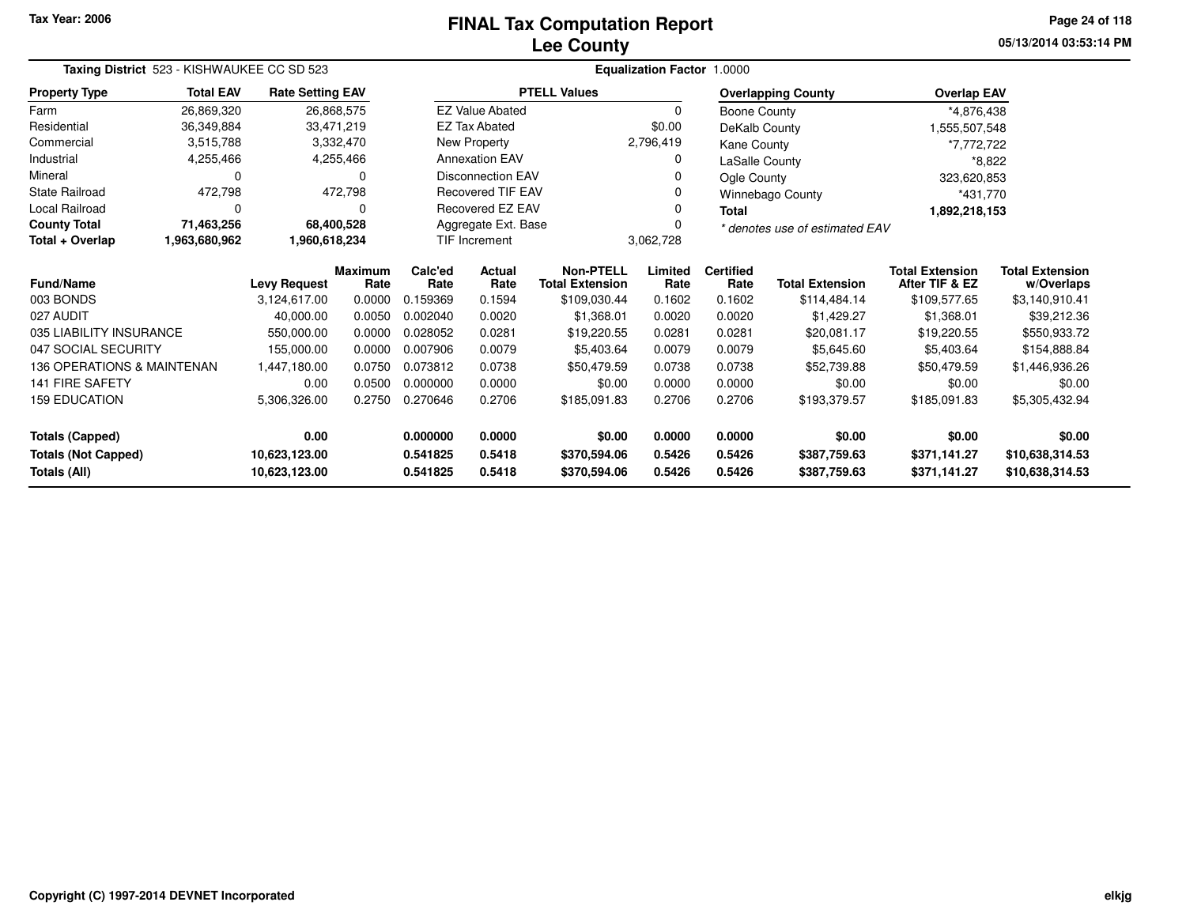# **Lee CountyFINAL Tax Computation Report** FINAL Tax Computation Report

**05/13/2014 03:53:14 PM Page 24 of 118**

| Taxing District 523 - KISHWAUKEE CC SD 523 |                  |                         |                        |                 |                          |                                                  | Equalization Factor 1.0000 |                          |                                |                                          |                                      |  |
|--------------------------------------------|------------------|-------------------------|------------------------|-----------------|--------------------------|--------------------------------------------------|----------------------------|--------------------------|--------------------------------|------------------------------------------|--------------------------------------|--|
| <b>Property Type</b>                       | <b>Total EAV</b> | <b>Rate Setting EAV</b> |                        |                 |                          | <b>PTELL Values</b>                              |                            |                          | <b>Overlapping County</b>      | <b>Overlap EAV</b>                       |                                      |  |
| Farm                                       | 26,869,320       |                         | 26,868,575             |                 | <b>EZ Value Abated</b>   |                                                  | $\Omega$                   | Boone County             |                                | *4,876,438                               |                                      |  |
| Residential                                | 36,349,884       |                         | 33,471,219             |                 | <b>EZ Tax Abated</b>     |                                                  | \$0.00                     | DeKalb County            |                                | 1,555,507,548                            |                                      |  |
| Commercial                                 | 3,515,788        |                         | 3,332,470              |                 | New Property             |                                                  | 2,796,419                  | Kane County              |                                | *7,772,722                               |                                      |  |
| Industrial                                 | 4,255,466        |                         | 4,255,466              |                 | <b>Annexation EAV</b>    |                                                  |                            | LaSalle County           |                                | $*8,822$                                 |                                      |  |
| Mineral                                    | $\Omega$         |                         | 0                      |                 | Disconnection EAV        |                                                  |                            | Ogle County              |                                | 323,620,853                              |                                      |  |
| <b>State Railroad</b>                      | 472,798          |                         | 472,798                |                 | <b>Recovered TIF EAV</b> |                                                  |                            |                          | Winnebago County               | *431,770                                 |                                      |  |
| Local Railroad                             | $\Omega$         |                         | 0                      |                 | <b>Recovered EZ EAV</b>  |                                                  |                            | <b>Total</b>             |                                | 1,892,218,153                            |                                      |  |
| <b>County Total</b>                        | 71,463,256       |                         | 68,400,528             |                 | Aggregate Ext. Base      |                                                  |                            |                          | * denotes use of estimated EAV |                                          |                                      |  |
| Total + Overlap                            | 1,963,680,962    | 1,960,618,234           |                        |                 | <b>TIF Increment</b>     |                                                  | 3,062,728                  |                          |                                |                                          |                                      |  |
| <b>Fund/Name</b>                           |                  | <b>Levy Request</b>     | <b>Maximum</b><br>Rate | Calc'ed<br>Rate | Actual<br>Rate           | Non-PTELL<br><b>Total Extension</b>              | Limited<br>Rate            | <b>Certified</b><br>Rate | <b>Total Extension</b>         | <b>Total Extension</b><br>After TIF & EZ | <b>Total Extension</b><br>w/Overlaps |  |
| 003 BONDS                                  |                  | 3,124,617.00            | 0.0000                 | 0.159369        | 0.1594                   | \$109,030.44                                     | 0.1602                     | 0.1602                   | \$114,484.14                   | \$109,577.65                             | \$3,140,910.41                       |  |
| 027 AUDIT                                  |                  | 40,000.00               | 0.0050                 | 0.002040        | 0.0020                   | \$1.368.01                                       | 0.0020                     | 0.0020                   | \$1.429.27                     | \$1,368.01                               | \$39,212.36                          |  |
| 035 LIABILITY INSURANCE                    |                  | 550,000.00              | 0.0000                 | 0.028052        | 0.0281                   | \$19,220.55                                      | 0.0281                     | 0.0281                   | \$20,081.17                    | \$19,220.55                              | \$550,933.72                         |  |
| 047 SOCIAL SECURITY                        |                  | 155,000.00              | 0.0000                 | 0.007906        | 0.0079                   | \$5.403.64                                       | 0.0079                     | 0.0079                   | \$5.645.60                     | \$5.403.64                               | \$154,888.84                         |  |
| 136 OPERATIONS & MAINTENAN                 |                  | 1,447,180.00            | 0.0750                 | 0.073812        | 0.0738                   | \$50,479.59                                      | 0.0738                     | 0.0738                   | \$52,739.88                    | \$50,479.59                              | \$1,446,936.26                       |  |
| <b>141 FIRE SAFETY</b>                     |                  | 0.00                    | 0.0500                 | 0.000000        | 0.0000                   | \$0.00                                           | 0.0000                     | 0.0000                   | \$0.00                         | \$0.00                                   | \$0.00                               |  |
| <b>159 EDUCATION</b>                       |                  | 5,306,326.00            | 0.2750                 | 0.270646        | 0.2706                   | 0.2706<br>\$185,091.83<br>0.2706<br>\$193,379.57 |                            | \$185,091.83             | \$5,305,432.94                 |                                          |                                      |  |
| <b>Totals (Capped)</b>                     |                  | 0.00                    |                        | 0.000000        | 0.0000                   | \$0.00                                           | 0.0000                     | 0.0000                   | \$0.00                         | \$0.00                                   | \$0.00                               |  |
| <b>Totals (Not Capped)</b>                 |                  | 10,623,123.00           |                        | 0.541825        | 0.5418                   | \$370,594.06                                     | 0.5426                     | 0.5426                   | \$387,759.63                   | \$371,141.27                             | \$10,638,314.53                      |  |
| Totals (All)                               |                  | 10,623,123.00           |                        | 0.541825        | 0.5418                   | \$370,594.06                                     | 0.5426                     | 0.5426                   | \$387,759.63                   | \$371,141.27                             | \$10,638,314.53                      |  |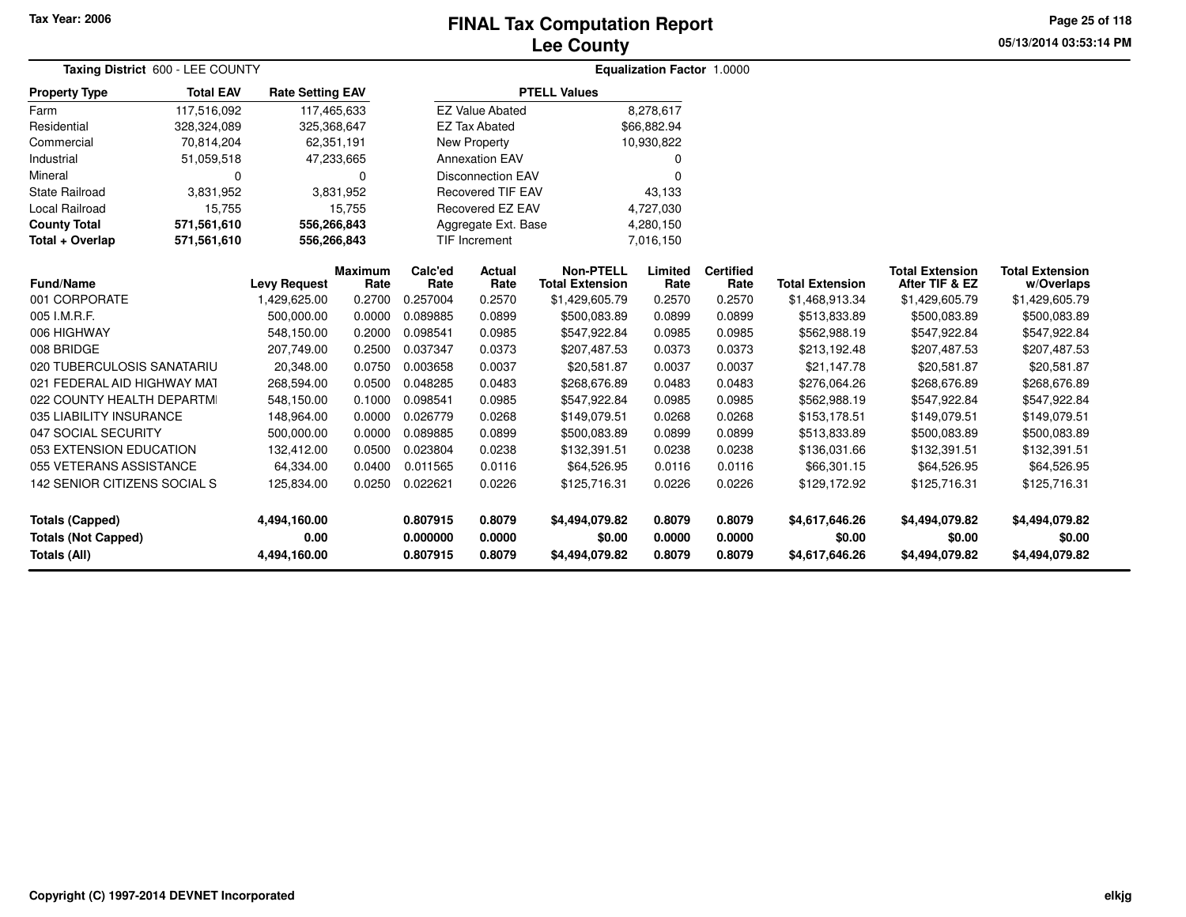## **Lee CountyFINAL Tax Computation Report** FINAL Tax Computation Report

**05/13/2014 03:53:14 PM Page 25 of 118**

| Taxing District 600 - LEE COUNTY           |                  |                         |                        |                      |                          |                                            | <b>Equalization Factor 1.0000</b> |                          |                          |                                          |                                      |
|--------------------------------------------|------------------|-------------------------|------------------------|----------------------|--------------------------|--------------------------------------------|-----------------------------------|--------------------------|--------------------------|------------------------------------------|--------------------------------------|
| <b>Property Type</b>                       | <b>Total EAV</b> | <b>Rate Setting EAV</b> |                        |                      |                          | <b>PTELL Values</b>                        |                                   |                          |                          |                                          |                                      |
| Farm                                       | 117,516,092      | 117,465,633             |                        |                      | <b>EZ Value Abated</b>   |                                            | 8,278,617                         |                          |                          |                                          |                                      |
| Residential                                | 328,324,089      | 325,368,647             |                        |                      | <b>EZ Tax Abated</b>     |                                            | \$66,882.94                       |                          |                          |                                          |                                      |
| Commercial                                 | 70,814,204       | 62,351,191              |                        |                      | New Property             |                                            | 10,930,822                        |                          |                          |                                          |                                      |
| Industrial                                 | 51,059,518       | 47,233,665              |                        |                      | <b>Annexation EAV</b>    |                                            |                                   |                          |                          |                                          |                                      |
| Mineral                                    | $\Omega$         |                         | 0                      |                      | <b>Disconnection EAV</b> |                                            |                                   |                          |                          |                                          |                                      |
| <b>State Railroad</b>                      | 3,831,952        |                         | 3,831,952              |                      | <b>Recovered TIF EAV</b> |                                            | 43,133                            |                          |                          |                                          |                                      |
| <b>Local Railroad</b>                      | 15,755           |                         | 15,755                 |                      | <b>Recovered EZ EAV</b>  |                                            | 4,727,030                         |                          |                          |                                          |                                      |
| <b>County Total</b>                        | 571,561,610      | 556,266,843             |                        |                      | Aggregate Ext. Base      |                                            | 4,280,150                         |                          |                          |                                          |                                      |
| Total + Overlap                            | 571,561,610      | 556,266,843             |                        |                      | <b>TIF Increment</b>     |                                            | 7,016,150                         |                          |                          |                                          |                                      |
| <b>Fund/Name</b>                           |                  | <b>Levy Request</b>     | <b>Maximum</b><br>Rate | Calc'ed<br>Rate      | Actual<br>Rate           | <b>Non-PTELL</b><br><b>Total Extension</b> | Limited<br>Rate                   | <b>Certified</b><br>Rate | <b>Total Extension</b>   | <b>Total Extension</b><br>After TIF & EZ | <b>Total Extension</b><br>w/Overlaps |
| 001 CORPORATE                              |                  | 1,429,625.00            | 0.2700                 | 0.257004             | 0.2570                   | \$1,429,605.79                             | 0.2570                            | 0.2570                   | \$1,468,913.34           | \$1,429,605.79                           | \$1,429,605.79                       |
| 005 I.M.R.F.                               |                  | 500,000.00              | 0.0000                 | 0.089885             | 0.0899                   | \$500,083.89                               | 0.0899                            | 0.0899                   | \$513,833.89             | \$500,083.89                             | \$500,083.89                         |
| 006 HIGHWAY                                |                  | 548,150.00              | 0.2000                 | 0.098541             | 0.0985                   | \$547,922.84                               | 0.0985                            | 0.0985                   | \$562,988.19             | \$547,922.84                             | \$547,922.84                         |
| 008 BRIDGE                                 |                  | 207,749.00              | 0.2500                 | 0.037347             | 0.0373                   | \$207,487.53                               | 0.0373                            | 0.0373                   | \$213,192.48             | \$207,487.53                             | \$207,487.53                         |
| 020 TUBERCULOSIS SANATARIU                 |                  | 20,348.00               | 0.0750                 | 0.003658             | 0.0037                   | \$20,581.87                                | 0.0037                            | 0.0037                   | \$21,147.78              | \$20,581.87                              | \$20,581.87                          |
| 021 FEDERAL AID HIGHWAY MAT                |                  | 268,594.00              | 0.0500                 | 0.048285             | 0.0483                   | \$268,676.89                               | 0.0483                            | 0.0483                   | \$276,064.26             | \$268,676.89                             | \$268,676.89                         |
| 022 COUNTY HEALTH DEPARTMI                 |                  | 548,150.00              | 0.1000                 | 0.098541             | 0.0985                   | \$547,922.84                               | 0.0985                            | 0.0985                   | \$562,988.19             | \$547,922.84                             | \$547,922.84                         |
| 035 LIABILITY INSURANCE                    |                  | 148,964.00              | 0.0000                 | 0.026779             | 0.0268                   | \$149,079.51                               | 0.0268                            | 0.0268                   | \$153,178.51             | \$149,079.51                             | \$149,079.51                         |
| 047 SOCIAL SECURITY                        |                  | 500,000.00              | 0.0000                 | 0.089885             | 0.0899                   | \$500,083.89                               | 0.0899                            | 0.0899                   | \$513,833.89             | \$500,083.89                             | \$500,083.89                         |
| 053 EXTENSION EDUCATION                    |                  | 132,412.00              | 0.0500                 | 0.023804             | 0.0238                   | \$132,391.51                               | 0.0238                            | 0.0238                   | \$136,031.66             | \$132,391.51                             | \$132,391.51                         |
| 055 VETERANS ASSISTANCE                    |                  | 64,334.00               | 0.0400                 | 0.011565             | 0.0116                   | \$64,526.95                                | 0.0116                            | 0.0116                   | \$66,301.15              | \$64,526.95                              | \$64,526.95                          |
| 142 SENIOR CITIZENS SOCIAL S               |                  | 125,834.00              | 0.0250                 | 0.022621             | 0.0226                   | \$125,716.31                               | 0.0226                            | 0.0226                   | \$129,172.92             | \$125,716.31                             | \$125,716.31                         |
| <b>Totals (Capped)</b>                     |                  | 4,494,160.00            |                        | 0.807915             | 0.8079                   | \$4,494,079.82                             | 0.8079                            | 0.8079                   | \$4,617,646.26           | \$4,494,079.82                           | \$4,494,079.82                       |
| <b>Totals (Not Capped)</b><br>Totals (All) |                  | 0.00<br>4,494,160.00    |                        | 0.000000<br>0.807915 | 0.0000<br>0.8079         | \$0.00<br>\$4,494,079.82                   | 0.0000<br>0.8079                  | 0.0000<br>0.8079         | \$0.00<br>\$4,617,646.26 | \$0.00<br>\$4,494,079.82                 | \$0.00<br>\$4,494,079.82             |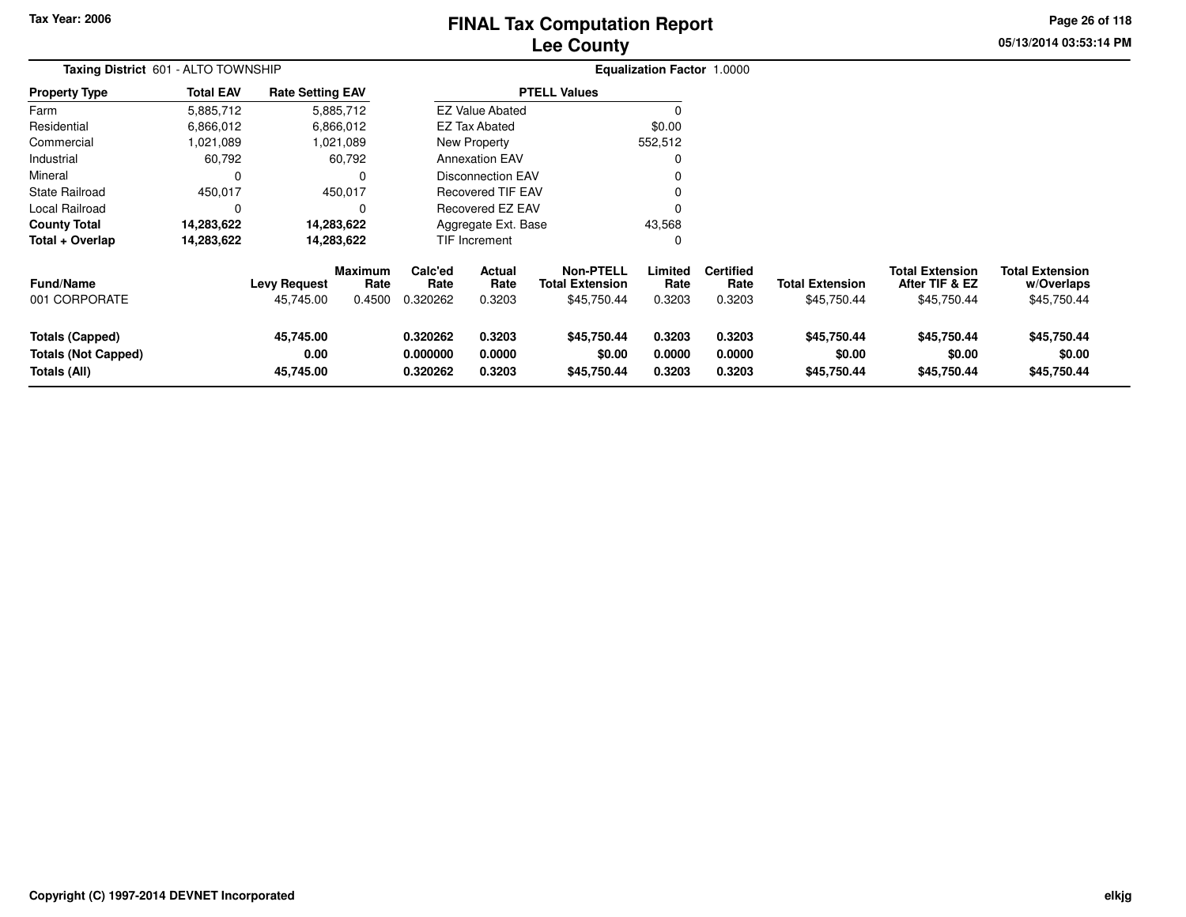# **Lee CountyFINAL Tax Computation Report** FINAL Tax Computation Report

**05/13/2014 03:53:14 PMPage 26 of 118**

| Taxing District 601 - ALTO TOWNSHIP |                  |                         |                        |                 |                          |                                            | Equalization Factor 1.0000 |                          |                        |                                          |                                      |  |
|-------------------------------------|------------------|-------------------------|------------------------|-----------------|--------------------------|--------------------------------------------|----------------------------|--------------------------|------------------------|------------------------------------------|--------------------------------------|--|
| <b>Property Type</b>                | <b>Total EAV</b> | <b>Rate Setting EAV</b> |                        |                 |                          | <b>PTELL Values</b>                        |                            |                          |                        |                                          |                                      |  |
| Farm                                | 5,885,712        |                         | 5,885,712              |                 | <b>EZ Value Abated</b>   |                                            | $\Omega$                   |                          |                        |                                          |                                      |  |
| Residential                         | 6,866,012        |                         | 6,866,012              |                 | EZ Tax Abated            |                                            | \$0.00                     |                          |                        |                                          |                                      |  |
| Commercial                          | 1,021,089        |                         | 1,021,089              |                 | New Property             |                                            | 552,512                    |                          |                        |                                          |                                      |  |
| Industrial                          | 60,792           |                         | 60,792                 |                 | <b>Annexation EAV</b>    |                                            | 0                          |                          |                        |                                          |                                      |  |
| Mineral                             | 0                |                         |                        |                 | Disconnection EAV        |                                            | 0                          |                          |                        |                                          |                                      |  |
| <b>State Railroad</b>               | 450,017          |                         | 450,017                |                 | <b>Recovered TIF EAV</b> |                                            | $\Omega$                   |                          |                        |                                          |                                      |  |
| Local Railroad                      | 0                |                         |                        |                 | Recovered EZ EAV         |                                            | $\Omega$                   |                          |                        |                                          |                                      |  |
| <b>County Total</b>                 | 14,283,622       | 14,283,622              |                        |                 | Aggregate Ext. Base      |                                            | 43,568                     |                          |                        |                                          |                                      |  |
| Total + Overlap                     | 14,283,622       | 14,283,622              |                        |                 | <b>TIF Increment</b>     |                                            | 0                          |                          |                        |                                          |                                      |  |
| <b>Fund/Name</b>                    |                  | <b>Levy Request</b>     | <b>Maximum</b><br>Rate | Calc'ed<br>Rate | Actual<br>Rate           | <b>Non-PTELL</b><br><b>Total Extension</b> | Limited<br>Rate            | <b>Certified</b><br>Rate | <b>Total Extension</b> | <b>Total Extension</b><br>After TIF & EZ | <b>Total Extension</b><br>w/Overlaps |  |
| 001 CORPORATE                       |                  | 45,745.00               | 0.4500                 | 0.320262        | 0.3203                   | \$45,750.44                                | 0.3203                     | 0.3203                   | \$45,750.44            | \$45,750.44                              | \$45,750.44                          |  |
| Totals (Capped)                     |                  | 45,745.00               |                        | 0.320262        | 0.3203                   | \$45,750.44                                | 0.3203                     | 0.3203                   | \$45,750.44            | \$45,750.44                              | \$45,750.44                          |  |
| <b>Totals (Not Capped)</b>          |                  | 0.00                    |                        | 0.000000        | 0.0000                   | \$0.00                                     | 0.0000                     | 0.0000                   | \$0.00                 | \$0.00                                   | \$0.00                               |  |
| Totals (All)                        |                  | 45,745.00               |                        | 0.320262        | 0.3203                   | \$45,750.44                                | 0.3203                     | 0.3203                   | \$45,750.44            | \$45,750.44                              | \$45,750.44                          |  |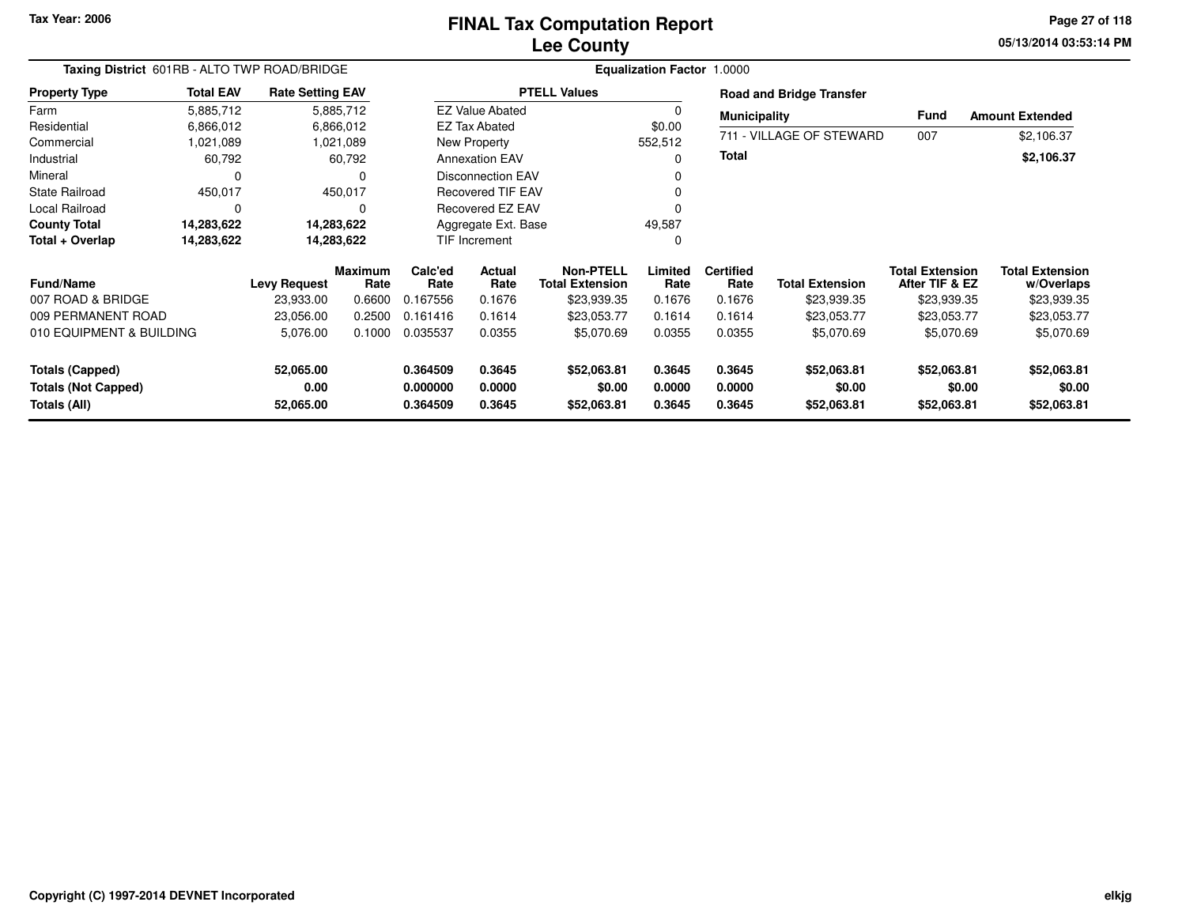# **Lee CountyFINAL Tax Computation Report** FINAL Tax Computation Report

**05/13/2014 03:53:14 PM Page 27 of 118**

| Taxing District 601RB - ALTO TWP ROAD/BRIDGE |                  |                         |                 | <b>Equalization Factor 1.0000</b> |                          |                              |                  |                          |                                 |                                          |                                      |  |
|----------------------------------------------|------------------|-------------------------|-----------------|-----------------------------------|--------------------------|------------------------------|------------------|--------------------------|---------------------------------|------------------------------------------|--------------------------------------|--|
| <b>Property Type</b>                         | <b>Total EAV</b> | <b>Rate Setting EAV</b> |                 |                                   |                          | <b>PTELL Values</b>          |                  |                          | <b>Road and Bridge Transfer</b> |                                          |                                      |  |
| Farm                                         | 5,885,712        |                         | 5,885,712       |                                   | <b>EZ Value Abated</b>   |                              |                  | <b>Municipality</b>      |                                 | Fund                                     | <b>Amount Extended</b>               |  |
| Residential                                  | 6,866,012        |                         | 6,866,012       |                                   | EZ Tax Abated            |                              | \$0.00           |                          |                                 |                                          |                                      |  |
| Commercial                                   | 1,021,089        |                         | 1,021,089       |                                   | <b>New Property</b>      |                              | 552,512          |                          | 711 - VILLAGE OF STEWARD        | 007                                      | \$2,106.37                           |  |
| Industrial                                   | 60,792           |                         | 60,792          |                                   | <b>Annexation EAV</b>    |                              |                  | <b>Total</b>             |                                 |                                          | \$2,106.37                           |  |
| Mineral                                      | C                |                         | $\Omega$        |                                   | <b>Disconnection EAV</b> |                              |                  |                          |                                 |                                          |                                      |  |
| <b>State Railroad</b>                        | 450,017          |                         | 450,017         |                                   | <b>Recovered TIF EAV</b> |                              |                  |                          |                                 |                                          |                                      |  |
| <b>Local Railroad</b>                        | $\mathbf 0$      |                         | $\Omega$        |                                   | Recovered EZ EAV         |                              |                  |                          |                                 |                                          |                                      |  |
| <b>County Total</b>                          | 14,283,622       |                         | 14,283,622      |                                   | Aggregate Ext. Base      |                              | 49,587           |                          |                                 |                                          |                                      |  |
| Total + Overlap                              | 14,283,622       |                         | 14,283,622      |                                   | TIF Increment            |                              | 0                |                          |                                 |                                          |                                      |  |
| <b>Fund/Name</b>                             |                  | <b>Levy Request</b>     | Maximum<br>Rate | Calc'ed<br>Rate                   | Actual<br>Rate           | Non-PTELL<br>Total Extension | Limited<br>Rate  | <b>Certified</b><br>Rate | <b>Total Extension</b>          | <b>Total Extension</b><br>After TIF & EZ | <b>Total Extension</b><br>w/Overlaps |  |
| 007 ROAD & BRIDGE                            |                  | 23,933.00               | 0.6600          | 0.167556                          | 0.1676                   | \$23,939.35                  | 0.1676           | 0.1676                   | \$23,939.35                     | \$23,939.35                              | \$23,939.35                          |  |
| 009 PERMANENT ROAD                           |                  | 23,056.00               | 0.2500          | 0.161416                          | 0.1614                   | \$23,053.77                  | 0.1614           | 0.1614                   | \$23,053.77                     | \$23,053.77                              | \$23,053.77                          |  |
| 010 EQUIPMENT & BUILDING                     |                  | 5,076.00                | 0.1000          | 0.035537                          | 0.0355                   | \$5,070.69                   | 0.0355           | 0.0355                   | \$5,070.69                      | \$5,070.69                               | \$5,070.69                           |  |
| Totals (Capped)                              |                  | 52,065.00               |                 | 0.364509                          | 0.3645                   | \$52,063.81                  | 0.3645           | 0.3645                   | \$52,063.81                     | \$52,063.81                              | \$52,063.81                          |  |
| <b>Totals (Not Capped)</b><br>Totals (All)   |                  | 0.00<br>52,065.00       |                 | 0.000000<br>0.364509              | 0.0000<br>0.3645         | \$0.00<br>\$52,063.81        | 0.0000<br>0.3645 | 0.0000<br>0.3645         | \$0.00<br>\$52,063.81           | \$0.00<br>\$52,063.81                    | \$0.00<br>\$52,063.81                |  |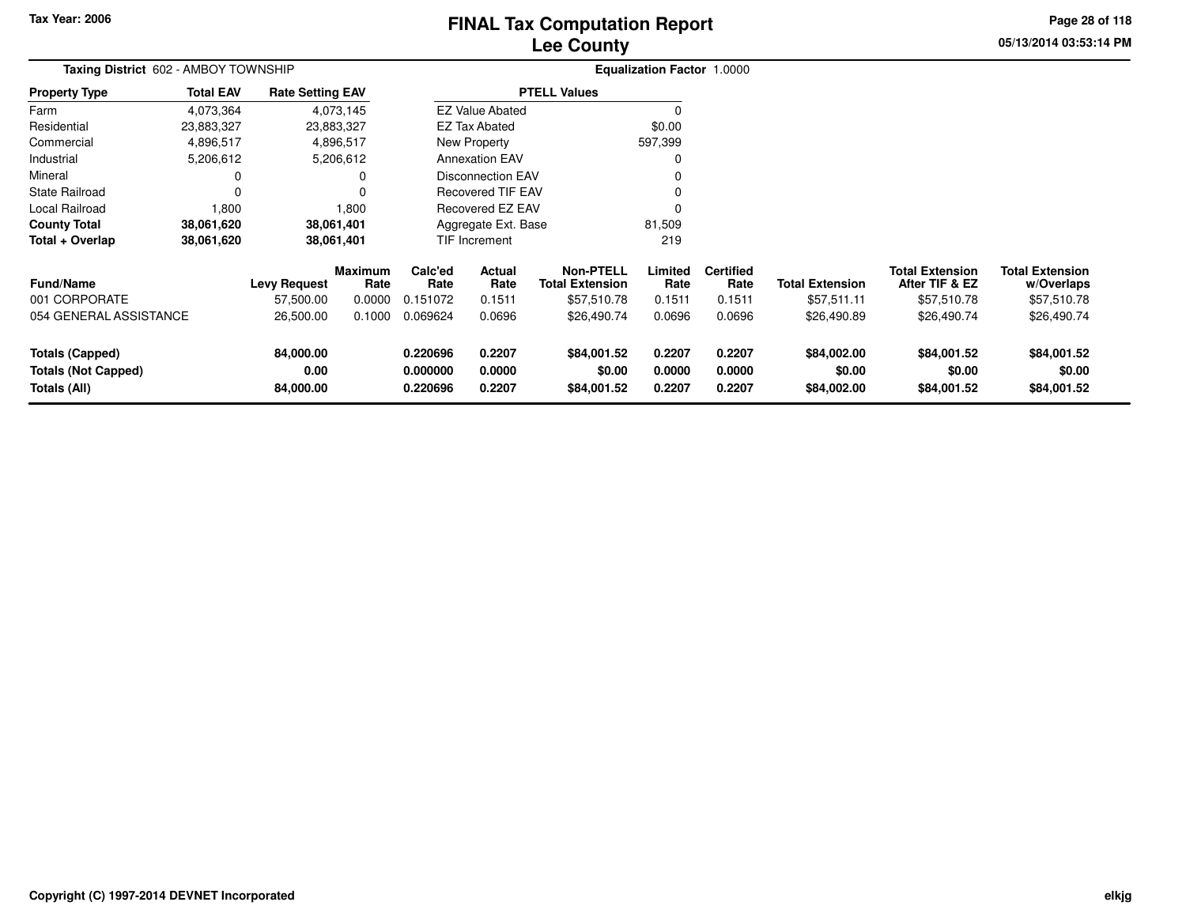# **Lee CountyFINAL Tax Computation Report** FINAL Tax Computation Report

**05/13/2014 03:53:14 PM Page 28 of 118**

| Taxing District 602 - AMBOY TOWNSHIP                                 |                  |                                |                 |                                  |                            |                                            | Equalization Factor 1.0000 |                            |                                      |                                          |                                      |
|----------------------------------------------------------------------|------------------|--------------------------------|-----------------|----------------------------------|----------------------------|--------------------------------------------|----------------------------|----------------------------|--------------------------------------|------------------------------------------|--------------------------------------|
| <b>Property Type</b>                                                 | <b>Total EAV</b> | <b>Rate Setting EAV</b>        |                 |                                  |                            | <b>PTELL Values</b>                        |                            |                            |                                      |                                          |                                      |
| Farm                                                                 | 4,073,364        |                                | 4,073,145       |                                  | <b>EZ Value Abated</b>     |                                            |                            |                            |                                      |                                          |                                      |
| Residential                                                          | 23,883,327       |                                | 23,883,327      |                                  | <b>EZ Tax Abated</b>       |                                            | \$0.00                     |                            |                                      |                                          |                                      |
| Commercial                                                           | 4,896,517        |                                | 4,896,517       |                                  | New Property               |                                            | 597,399                    |                            |                                      |                                          |                                      |
| Industrial                                                           | 5,206,612        |                                | 5,206,612       |                                  | <b>Annexation EAV</b>      |                                            |                            |                            |                                      |                                          |                                      |
| Mineral                                                              |                  |                                | 0               |                                  | <b>Disconnection EAV</b>   |                                            |                            |                            |                                      |                                          |                                      |
| <b>State Railroad</b>                                                | $\Omega$         |                                |                 |                                  | <b>Recovered TIF EAV</b>   |                                            |                            |                            |                                      |                                          |                                      |
| Local Railroad                                                       | 1,800            |                                | 1,800           |                                  | <b>Recovered EZ EAV</b>    |                                            |                            |                            |                                      |                                          |                                      |
| <b>County Total</b>                                                  | 38,061,620       |                                | 38,061,401      |                                  | Aggregate Ext. Base        |                                            | 81,509                     |                            |                                      |                                          |                                      |
| Total + Overlap                                                      | 38,061,620       |                                | 38,061,401      |                                  | TIF Increment              |                                            | 219                        |                            |                                      |                                          |                                      |
| <b>Fund/Name</b>                                                     |                  | <b>Levy Request</b>            | Maximum<br>Rate | Calc'ed<br>Rate                  | <b>Actual</b><br>Rate      | <b>Non-PTELL</b><br><b>Total Extension</b> | Limited<br>Rate            | <b>Certified</b><br>Rate   | <b>Total Extension</b>               | <b>Total Extension</b><br>After TIF & EZ | <b>Total Extension</b><br>w/Overlaps |
| 001 CORPORATE                                                        |                  | 57,500.00                      | 0.0000          | 0.151072                         | 0.1511                     | \$57,510.78                                | 0.1511                     | 0.1511                     | \$57,511.11                          | \$57,510.78                              | \$57,510.78                          |
| 054 GENERAL ASSISTANCE                                               |                  | 26,500.00                      | 0.1000          | 0.069624                         | 0.0696                     | \$26,490.74                                | 0.0696                     | 0.0696                     | \$26,490.89                          | \$26,490.74                              | \$26,490.74                          |
| <b>Totals (Capped)</b><br><b>Totals (Not Capped)</b><br>Totals (All) |                  | 84,000.00<br>0.00<br>84,000.00 |                 | 0.220696<br>0.000000<br>0.220696 | 0.2207<br>0.0000<br>0.2207 | \$84,001.52<br>\$0.00<br>\$84,001.52       | 0.2207<br>0.0000<br>0.2207 | 0.2207<br>0.0000<br>0.2207 | \$84,002.00<br>\$0.00<br>\$84,002.00 | \$84,001.52<br>\$0.00<br>\$84,001.52     | \$84,001.52<br>\$0.00<br>\$84,001.52 |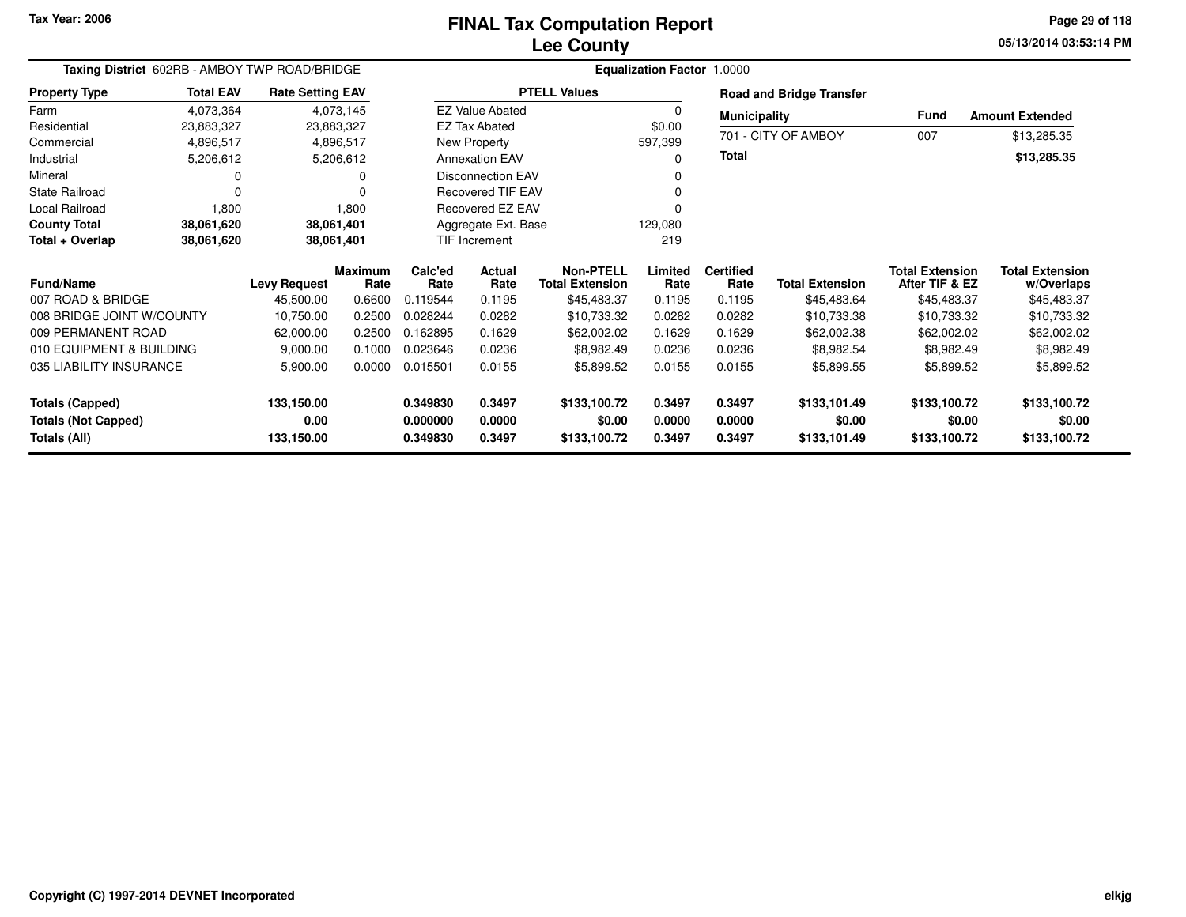## **Lee CountyFINAL Tax Computation Report** FINAL Tax Computation Report

**05/13/2014 03:53:14 PM Page 29 of 118**

| Taxing District 602RB - AMBOY TWP ROAD/BRIDGE |                  |                         | Equalization Factor 1.0000 |                 |                          |                                            |                 |                          |                                 |                                          |                                      |
|-----------------------------------------------|------------------|-------------------------|----------------------------|-----------------|--------------------------|--------------------------------------------|-----------------|--------------------------|---------------------------------|------------------------------------------|--------------------------------------|
| <b>Property Type</b>                          | <b>Total EAV</b> | <b>Rate Setting EAV</b> |                            |                 |                          | <b>PTELL Values</b>                        |                 |                          | <b>Road and Bridge Transfer</b> |                                          |                                      |
| Farm                                          | 4,073,364        |                         | 4,073,145                  |                 | <b>EZ Value Abated</b>   |                                            | $\Omega$        | <b>Municipality</b>      |                                 | <b>Fund</b>                              | <b>Amount Extended</b>               |
| Residential                                   | 23,883,327       | 23,883,327              |                            |                 | <b>EZ Tax Abated</b>     |                                            | \$0.00          |                          |                                 |                                          |                                      |
| Commercial                                    | 4,896,517        |                         | 4,896,517                  |                 | New Property             |                                            | 597,399         |                          | 701 - CITY OF AMBOY             | 007                                      | \$13,285.35                          |
| Industrial                                    | 5,206,612        |                         | 5,206,612                  |                 | <b>Annexation EAV</b>    |                                            | $\Omega$        | <b>Total</b>             |                                 |                                          | \$13,285.35                          |
| Mineral                                       | 0                |                         | $\Omega$                   |                 | <b>Disconnection EAV</b> |                                            |                 |                          |                                 |                                          |                                      |
| <b>State Railroad</b>                         | $\Omega$         |                         | 0                          |                 | <b>Recovered TIF EAV</b> |                                            |                 |                          |                                 |                                          |                                      |
| Local Railroad                                | 1,800            |                         | 1,800                      |                 | <b>Recovered EZ EAV</b>  |                                            |                 |                          |                                 |                                          |                                      |
| <b>County Total</b>                           | 38,061,620       | 38,061,401              |                            |                 | Aggregate Ext. Base      |                                            | 129,080         |                          |                                 |                                          |                                      |
| Total + Overlap                               | 38,061,620       | 38,061,401              |                            |                 | TIF Increment            |                                            | 219             |                          |                                 |                                          |                                      |
| <b>Fund/Name</b>                              |                  | <b>Levy Request</b>     | <b>Maximum</b><br>Rate     | Calc'ed<br>Rate | Actual<br>Rate           | <b>Non-PTELL</b><br><b>Total Extension</b> | Limited<br>Rate | <b>Certified</b><br>Rate | <b>Total Extension</b>          | <b>Total Extension</b><br>After TIF & EZ | <b>Total Extension</b><br>w/Overlaps |
| 007 ROAD & BRIDGE                             |                  | 45,500.00               | 0.6600                     | 0.119544        | 0.1195                   | \$45,483.37                                | 0.1195          | 0.1195                   | \$45,483.64                     | \$45,483.37                              | \$45,483.37                          |
| 008 BRIDGE JOINT W/COUNTY                     |                  | 10,750.00               | 0.2500                     | 0.028244        | 0.0282                   | \$10,733.32                                | 0.0282          | 0.0282                   | \$10,733.38                     | \$10,733.32                              | \$10,733.32                          |
| 009 PERMANENT ROAD                            |                  | 62,000.00               | 0.2500                     | 0.162895        | 0.1629                   | \$62,002.02                                | 0.1629          | 0.1629                   | \$62,002.38                     | \$62,002.02                              | \$62,002.02                          |
| 010 EQUIPMENT & BUILDING                      |                  | 9,000.00                | 0.1000                     | 0.023646        | 0.0236                   | \$8,982.49                                 | 0.0236          | 0.0236                   | \$8,982.54                      | \$8,982.49                               | \$8,982.49                           |
| 035 LIABILITY INSURANCE                       |                  | 5,900.00                | 0.0000                     | 0.015501        | 0.0155                   | \$5,899.52                                 | 0.0155          | 0.0155                   | \$5,899.55                      | \$5,899.52                               | \$5,899.52                           |
| <b>Totals (Capped)</b>                        |                  | 133,150.00              |                            | 0.349830        | 0.3497                   | \$133,100.72                               | 0.3497          | 0.3497                   | \$133,101.49                    | \$133,100.72                             | \$133,100.72                         |
| <b>Totals (Not Capped)</b>                    |                  | 0.00                    |                            | 0.000000        | 0.0000                   | \$0.00                                     | 0.0000          | 0.0000                   | \$0.00                          | \$0.00                                   | \$0.00                               |
| Totals (All)                                  |                  | 133,150.00              |                            | 0.349830        | 0.3497                   | \$133,100.72                               | 0.3497          | 0.3497                   | \$133,101.49                    | \$133,100.72                             | \$133,100.72                         |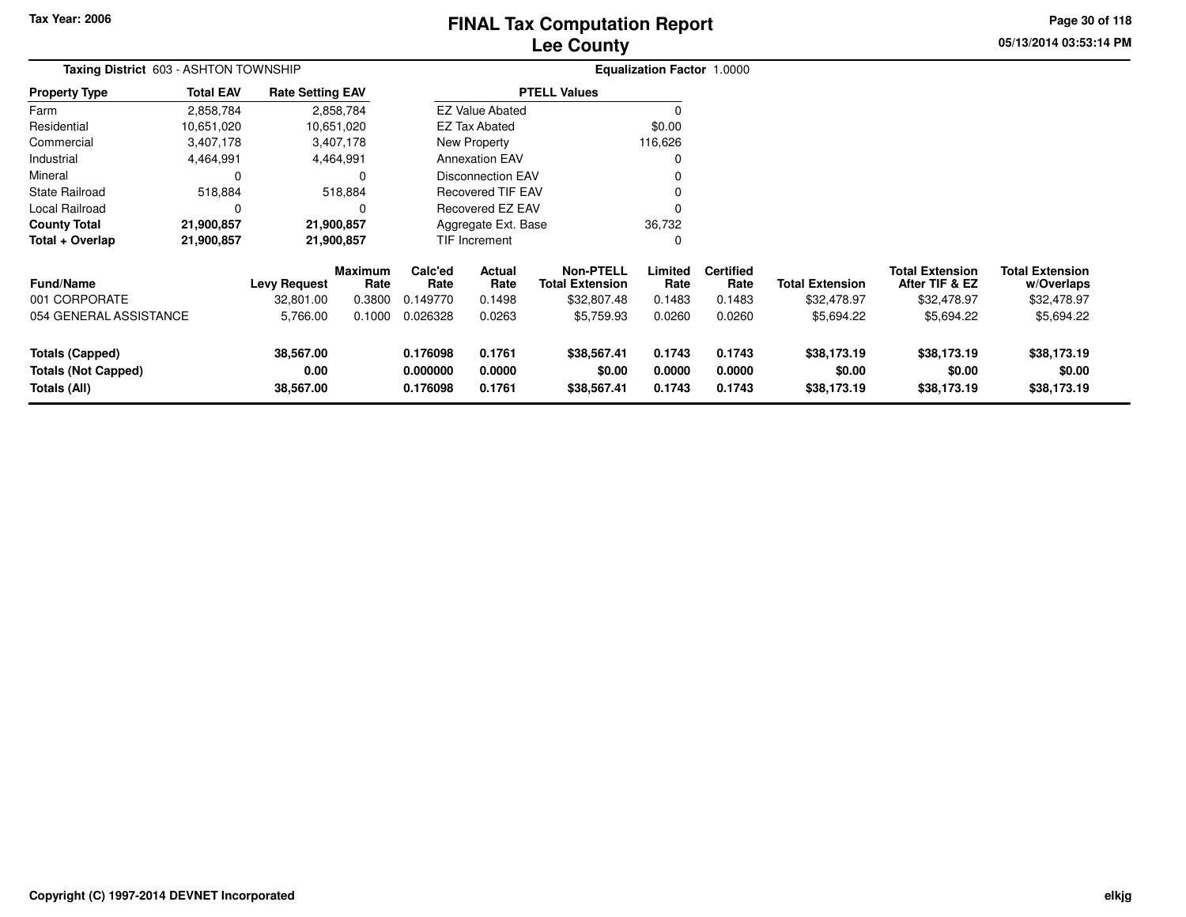# **Lee CountyFINAL Tax Computation Report** FINAL Tax Computation Report

**05/13/2014 03:53:14 PM Page 30 of 118**

| Taxing District 603 - ASHTON TOWNSHIP                                |                  |                                |                        |                                  |                            |                                            | <b>Equalization Factor 1.0000</b> |                            |                                      |                                          |                                      |
|----------------------------------------------------------------------|------------------|--------------------------------|------------------------|----------------------------------|----------------------------|--------------------------------------------|-----------------------------------|----------------------------|--------------------------------------|------------------------------------------|--------------------------------------|
| <b>Property Type</b>                                                 | <b>Total EAV</b> | <b>Rate Setting EAV</b>        |                        |                                  |                            | <b>PTELL Values</b>                        |                                   |                            |                                      |                                          |                                      |
| Farm                                                                 | 2,858,784        |                                | 2,858,784              |                                  | <b>EZ Value Abated</b>     |                                            |                                   |                            |                                      |                                          |                                      |
| Residential                                                          | 10,651,020       |                                | 10,651,020             |                                  | EZ Tax Abated              |                                            | \$0.00                            |                            |                                      |                                          |                                      |
| Commercial                                                           | 3,407,178        |                                | 3,407,178              |                                  | New Property               |                                            | 116,626                           |                            |                                      |                                          |                                      |
| Industrial                                                           | 4,464,991        |                                | 4,464,991              |                                  | <b>Annexation EAV</b>      |                                            |                                   |                            |                                      |                                          |                                      |
| Mineral                                                              | 0                |                                | 0                      |                                  | Disconnection EAV          |                                            |                                   |                            |                                      |                                          |                                      |
| <b>State Railroad</b>                                                | 518,884          |                                | 518,884                |                                  | <b>Recovered TIF EAV</b>   |                                            |                                   |                            |                                      |                                          |                                      |
| Local Railroad                                                       | 0                |                                | 0                      |                                  | Recovered EZ EAV           |                                            |                                   |                            |                                      |                                          |                                      |
| <b>County Total</b>                                                  | 21,900,857       |                                | 21,900,857             |                                  | Aggregate Ext. Base        |                                            | 36,732                            |                            |                                      |                                          |                                      |
| Total + Overlap                                                      | 21,900,857       |                                | 21,900,857             |                                  | TIF Increment              |                                            |                                   |                            |                                      |                                          |                                      |
| <b>Fund/Name</b>                                                     |                  | <b>Levy Request</b>            | <b>Maximum</b><br>Rate | Calc'ed<br>Rate                  | Actual<br>Rate             | <b>Non-PTELL</b><br><b>Total Extension</b> | Limited<br>Rate                   | <b>Certified</b><br>Rate   | <b>Total Extension</b>               | <b>Total Extension</b><br>After TIF & EZ | <b>Total Extension</b><br>w/Overlaps |
| 001 CORPORATE                                                        |                  | 32,801.00                      | 0.3800                 | 0.149770                         | 0.1498                     | \$32,807.48                                | 0.1483                            | 0.1483                     | \$32,478.97                          | \$32,478.97                              | \$32,478.97                          |
| 054 GENERAL ASSISTANCE                                               |                  | 5,766.00                       | 0.1000                 | 0.026328                         | 0.0263                     | \$5,759.93                                 | 0.0260                            | 0.0260                     | \$5,694.22                           | \$5,694.22                               | \$5,694.22                           |
| <b>Totals (Capped)</b><br><b>Totals (Not Capped)</b><br>Totals (All) |                  | 38,567.00<br>0.00<br>38,567.00 |                        | 0.176098<br>0.000000<br>0.176098 | 0.1761<br>0.0000<br>0.1761 | \$38,567.41<br>\$0.00<br>\$38,567.41       | 0.1743<br>0.0000<br>0.1743        | 0.1743<br>0.0000<br>0.1743 | \$38,173.19<br>\$0.00<br>\$38,173.19 | \$38,173.19<br>\$0.00<br>\$38,173.19     | \$38,173.19<br>\$0.00<br>\$38,173.19 |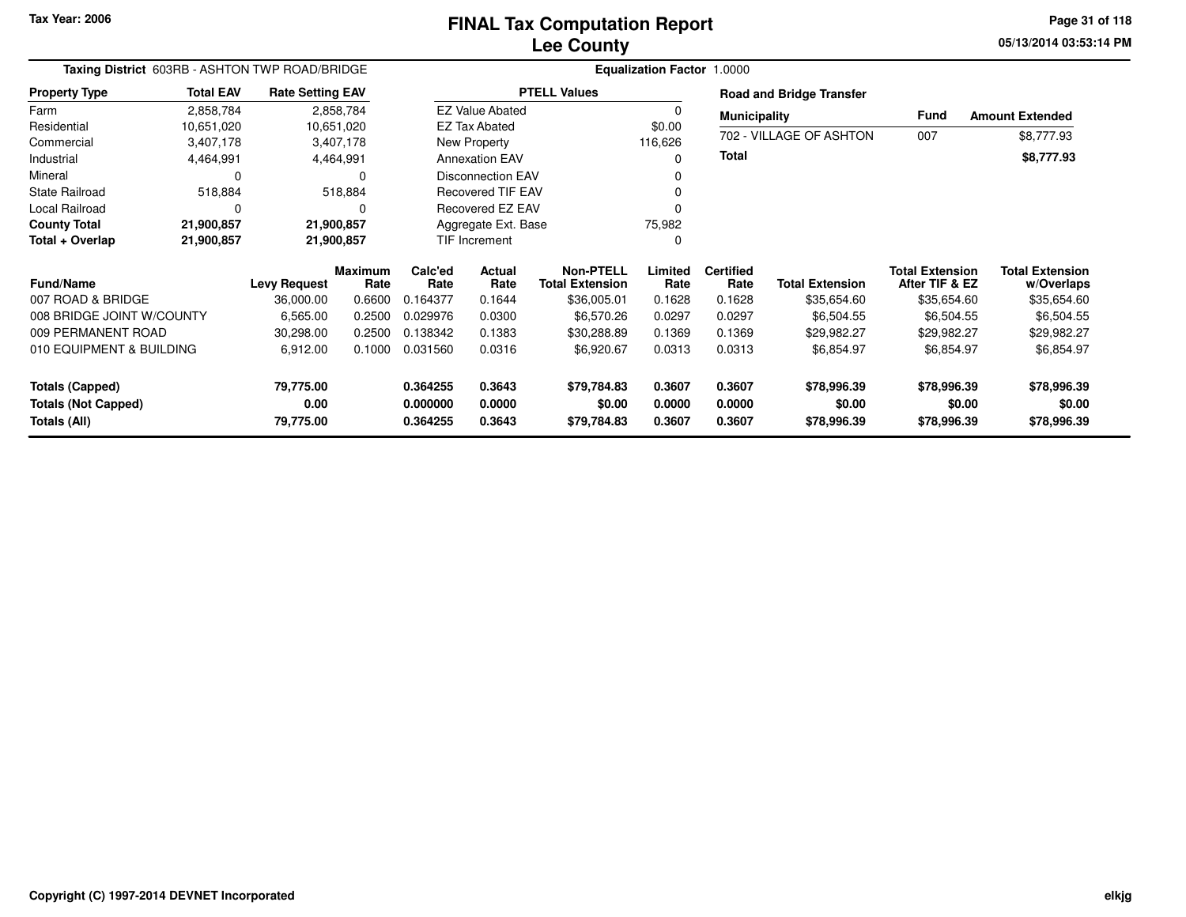**05/13/2014 03:53:14 PM Page 31 of 118**

| Taxing District 603RB - ASHTON TWP ROAD/BRIDGE |                  |                         |            | <b>Equalization Factor 1.0000</b> |                          |                        |                  |                     |                                 |                        |                        |  |  |  |
|------------------------------------------------|------------------|-------------------------|------------|-----------------------------------|--------------------------|------------------------|------------------|---------------------|---------------------------------|------------------------|------------------------|--|--|--|
| <b>Property Type</b>                           | <b>Total EAV</b> | <b>Rate Setting EAV</b> |            |                                   |                          | <b>PTELL Values</b>    |                  |                     | <b>Road and Bridge Transfer</b> |                        |                        |  |  |  |
| Farm                                           | 2,858,784        |                         | 2,858,784  |                                   | <b>EZ Value Abated</b>   |                        | -0               | <b>Municipality</b> |                                 | Fund                   | <b>Amount Extended</b> |  |  |  |
| Residential                                    | 10,651,020       |                         | 10,651,020 |                                   | <b>EZ Tax Abated</b>     |                        | \$0.00           |                     |                                 |                        |                        |  |  |  |
| Commercial                                     | 3,407,178        |                         | 3,407,178  |                                   | New Property             |                        | 116,626          |                     | 702 - VILLAGE OF ASHTON         | 007                    | \$8,777.93             |  |  |  |
| Industrial                                     | 4,464,991        |                         | 4,464,991  |                                   | <b>Annexation EAV</b>    |                        | 0                | <b>Total</b>        |                                 |                        | \$8,777.93             |  |  |  |
| Mineral                                        | 0                |                         | $\Omega$   |                                   | <b>Disconnection EAV</b> |                        | 0                |                     |                                 |                        |                        |  |  |  |
| <b>State Railroad</b>                          | 518,884          |                         | 518,884    |                                   | <b>Recovered TIF EAV</b> |                        | 0                |                     |                                 |                        |                        |  |  |  |
| Local Railroad                                 | 0                |                         | $\Omega$   |                                   | Recovered EZ EAV         |                        | $\Omega$         |                     |                                 |                        |                        |  |  |  |
| <b>County Total</b>                            | 21,900,857       | 21,900,857              |            |                                   | Aggregate Ext. Base      |                        | 75,982           |                     |                                 |                        |                        |  |  |  |
| Total + Overlap                                | 21,900,857       | 21,900,857              |            |                                   | TIF Increment            |                        | 0                |                     |                                 |                        |                        |  |  |  |
|                                                |                  |                         | Maximum    | Calc'ed                           | Actual                   | Non-PTELL              | Limited          | <b>Certified</b>    |                                 | <b>Total Extension</b> | <b>Total Extension</b> |  |  |  |
| <b>Fund/Name</b>                               |                  | <b>Levy Request</b>     | Rate       | Rate                              | Rate                     | <b>Total Extension</b> | Rate             | Rate                | <b>Total Extension</b>          | After TIF & EZ         | w/Overlaps             |  |  |  |
| 007 ROAD & BRIDGE                              |                  | 36,000.00               | 0.6600     | 0.164377                          | 0.1644                   | \$36,005.01            | 0.1628           | 0.1628              | \$35,654.60                     | \$35,654.60            | \$35,654.60            |  |  |  |
| 008 BRIDGE JOINT W/COUNTY                      |                  | 6,565.00                | 0.2500     | 0.029976                          | 0.0300                   | \$6,570.26             | 0.0297           | 0.0297              | \$6,504.55                      | \$6,504.55             | \$6,504.55             |  |  |  |
| 009 PERMANENT ROAD                             |                  | 30,298.00               | 0.2500     | 0.138342                          | 0.1383                   | \$30,288.89            | 0.1369           | 0.1369              | \$29,982.27                     | \$29,982.27            | \$29,982.27            |  |  |  |
| 010 EQUIPMENT & BUILDING                       |                  | 6,912.00                | 0.1000     | 0.031560                          | 0.0316                   | \$6,920.67             | 0.0313           | 0.0313              | \$6,854.97                      | \$6,854.97             | \$6,854.97             |  |  |  |
| <b>Totals (Capped)</b>                         |                  | 79,775.00               |            | 0.364255                          | 0.3643                   | \$79,784.83            | 0.3607           | 0.3607              | \$78,996.39                     | \$78,996.39            | \$78,996.39            |  |  |  |
| <b>Totals (Not Capped)</b><br>Totals (All)     |                  | 0.00<br>79,775.00       |            | 0.000000<br>0.364255              | 0.0000<br>0.3643         | \$0.00<br>\$79,784.83  | 0.0000<br>0.3607 | 0.0000<br>0.3607    | \$0.00<br>\$78,996.39           | \$0.00<br>\$78,996.39  | \$0.00<br>\$78,996.39  |  |  |  |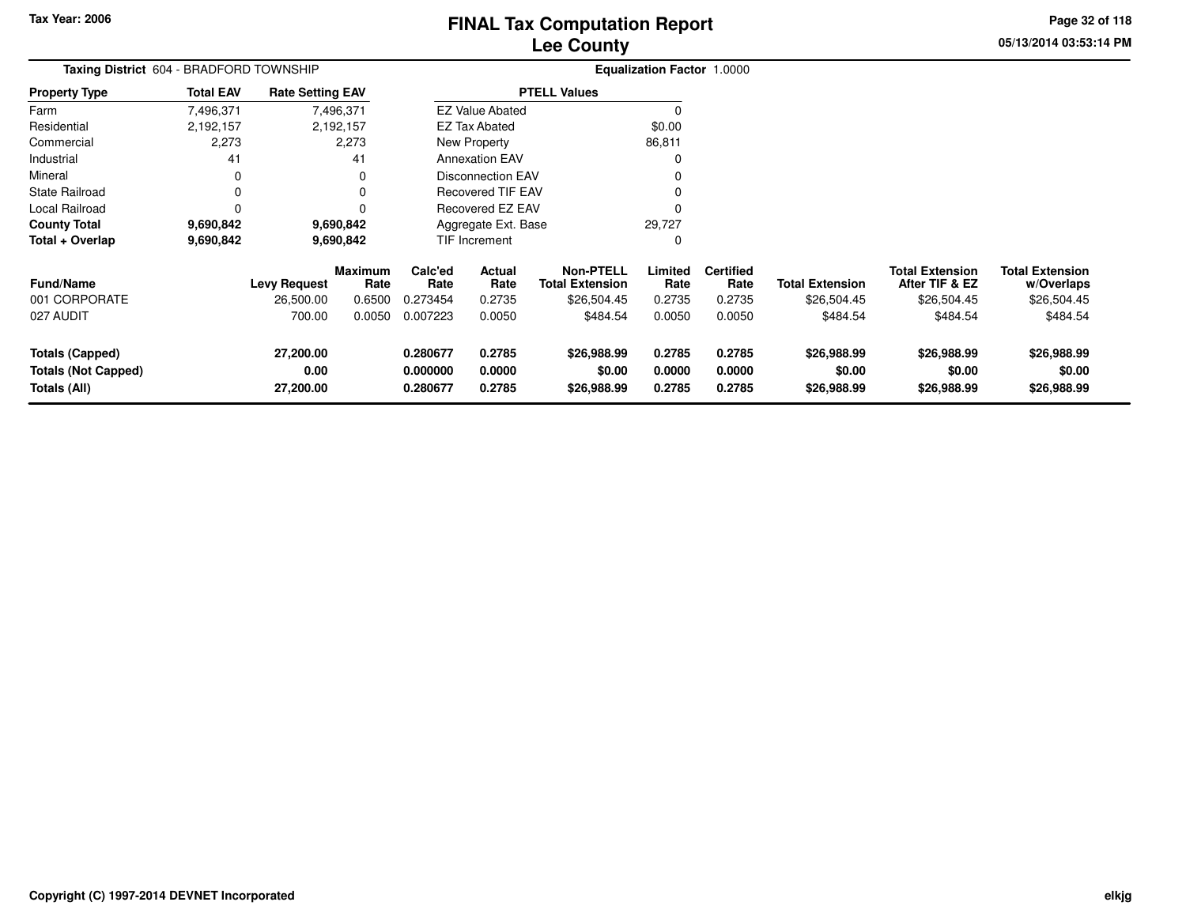# **Lee CountyFINAL Tax Computation Report** FINAL Tax Computation Report

**05/13/2014 03:53:14 PM Page 32 of 118**

| Taxing District 604 - BRADFORD TOWNSHIP                              |                  |                                |                        |                                  |                            |                                            | <b>Equalization Factor 1.0000</b> |                            |                                      |                                          |                                      |
|----------------------------------------------------------------------|------------------|--------------------------------|------------------------|----------------------------------|----------------------------|--------------------------------------------|-----------------------------------|----------------------------|--------------------------------------|------------------------------------------|--------------------------------------|
| <b>Property Type</b>                                                 | <b>Total EAV</b> | <b>Rate Setting EAV</b>        |                        |                                  |                            | <b>PTELL Values</b>                        |                                   |                            |                                      |                                          |                                      |
| Farm                                                                 | 7,496,371        |                                | 7,496,371              |                                  | <b>EZ Value Abated</b>     |                                            | C                                 |                            |                                      |                                          |                                      |
| Residential                                                          | 2,192,157        |                                | 2,192,157              |                                  | EZ Tax Abated              |                                            | \$0.00                            |                            |                                      |                                          |                                      |
| Commercial                                                           | 2,273            |                                | 2,273                  |                                  | New Property               |                                            | 86,811                            |                            |                                      |                                          |                                      |
| Industrial                                                           | 41               |                                | 41                     |                                  | <b>Annexation EAV</b>      |                                            | 0                                 |                            |                                      |                                          |                                      |
| Mineral                                                              | 0                |                                |                        |                                  | Disconnection EAV          |                                            |                                   |                            |                                      |                                          |                                      |
| <b>State Railroad</b>                                                | 0                |                                |                        |                                  | <b>Recovered TIF EAV</b>   |                                            |                                   |                            |                                      |                                          |                                      |
| Local Railroad                                                       | $\Omega$         |                                |                        |                                  | <b>Recovered EZ EAV</b>    |                                            | C                                 |                            |                                      |                                          |                                      |
| <b>County Total</b>                                                  | 9,690,842        |                                | 9,690,842              |                                  | Aggregate Ext. Base        |                                            | 29,727                            |                            |                                      |                                          |                                      |
| Total + Overlap                                                      | 9,690,842        |                                | 9,690,842              |                                  | <b>TIF Increment</b>       |                                            | 0                                 |                            |                                      |                                          |                                      |
| <b>Fund/Name</b>                                                     |                  | <b>Levy Request</b>            | <b>Maximum</b><br>Rate | Calc'ed<br>Rate                  | Actual<br>Rate             | <b>Non-PTELL</b><br><b>Total Extension</b> | Limited<br>Rate                   | <b>Certified</b><br>Rate   | <b>Total Extension</b>               | <b>Total Extension</b><br>After TIF & EZ | <b>Total Extension</b><br>w/Overlaps |
| 001 CORPORATE                                                        |                  | 26,500.00                      | 0.6500                 | 0.273454                         | 0.2735                     | \$26,504.45                                | 0.2735                            | 0.2735                     | \$26,504.45                          | \$26,504.45                              | \$26,504.45                          |
| 027 AUDIT                                                            |                  | 700.00                         | 0.0050                 | 0.007223                         | 0.0050                     | \$484.54                                   | 0.0050                            | 0.0050                     | \$484.54                             | \$484.54                                 | \$484.54                             |
| <b>Totals (Capped)</b><br><b>Totals (Not Capped)</b><br>Totals (All) |                  | 27,200.00<br>0.00<br>27,200.00 |                        | 0.280677<br>0.000000<br>0.280677 | 0.2785<br>0.0000<br>0.2785 | \$26,988.99<br>\$0.00<br>\$26,988.99       | 0.2785<br>0.0000<br>0.2785        | 0.2785<br>0.0000<br>0.2785 | \$26,988.99<br>\$0.00<br>\$26,988.99 | \$26,988.99<br>\$0.00<br>\$26,988.99     | \$26,988.99<br>\$0.00<br>\$26,988.99 |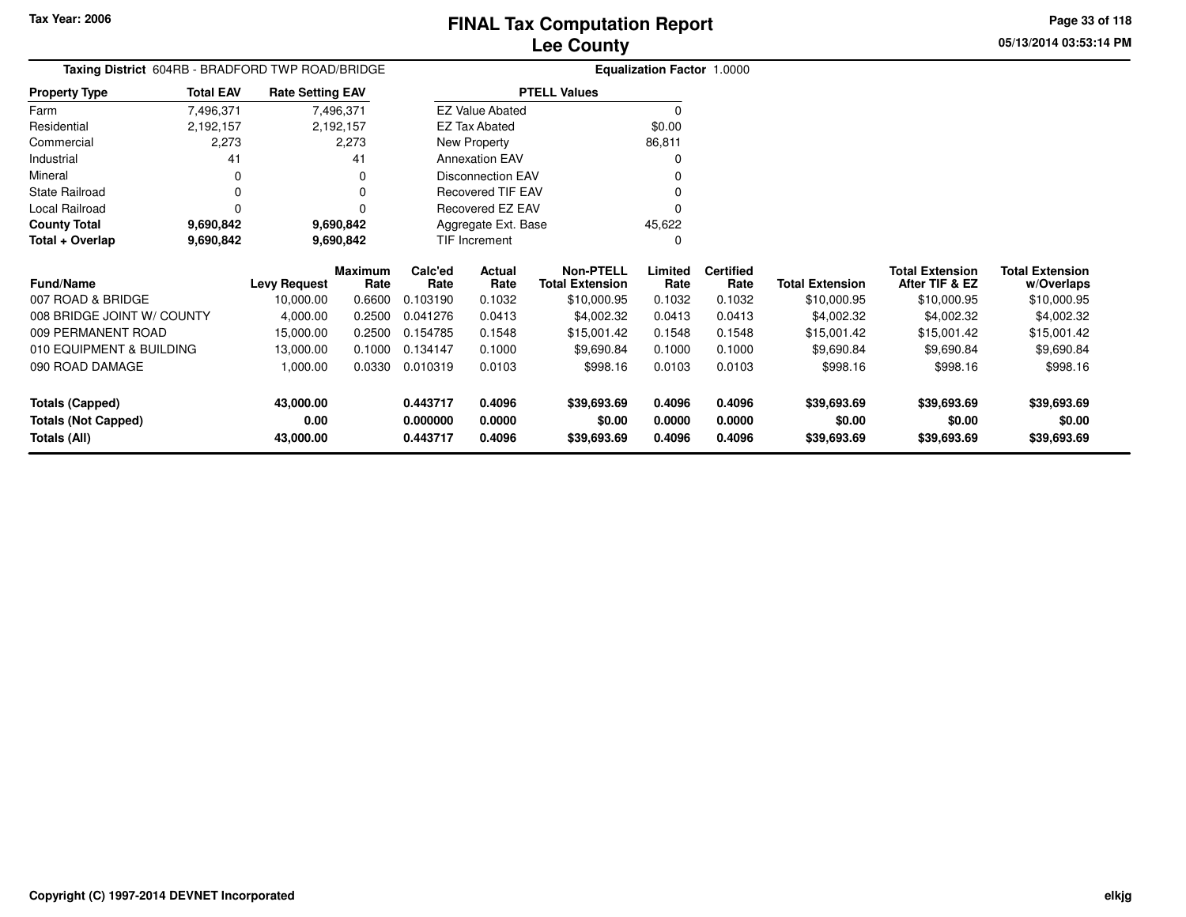**05/13/2014 03:53:14 PMPage 33 of 118**

| Taxing District 604RB - BRADFORD TWP ROAD/BRIDGE |                  |                         |                 |                 |                          | <b>Equalization Factor 1.0000</b>          |                 |                          |                        |                                          |                                      |
|--------------------------------------------------|------------------|-------------------------|-----------------|-----------------|--------------------------|--------------------------------------------|-----------------|--------------------------|------------------------|------------------------------------------|--------------------------------------|
| <b>Property Type</b>                             | <b>Total EAV</b> | <b>Rate Setting EAV</b> |                 |                 |                          | <b>PTELL Values</b>                        |                 |                          |                        |                                          |                                      |
| Farm                                             | 7,496,371        |                         | 7,496,371       |                 | <b>EZ Value Abated</b>   |                                            | $\Omega$        |                          |                        |                                          |                                      |
| Residential                                      | 2,192,157        |                         | 2,192,157       |                 | EZ Tax Abated            |                                            | \$0.00          |                          |                        |                                          |                                      |
| Commercial                                       | 2,273            |                         | 2,273           |                 | New Property             |                                            | 86,811          |                          |                        |                                          |                                      |
| Industrial                                       | 41               |                         | 41              |                 | <b>Annexation EAV</b>    |                                            | $\Omega$        |                          |                        |                                          |                                      |
| Mineral                                          | 0                |                         | 0               |                 | <b>Disconnection EAV</b> |                                            |                 |                          |                        |                                          |                                      |
| <b>State Railroad</b>                            | 0                |                         | 0               |                 | <b>Recovered TIF EAV</b> |                                            |                 |                          |                        |                                          |                                      |
| Local Railroad                                   | 0                |                         | 0               |                 | Recovered EZ EAV         |                                            | 0               |                          |                        |                                          |                                      |
| <b>County Total</b>                              | 9,690,842        |                         | 9,690,842       |                 | Aggregate Ext. Base      |                                            | 45,622          |                          |                        |                                          |                                      |
| Total + Overlap                                  | 9,690,842        |                         | 9,690,842       |                 | TIF Increment            |                                            | $\Omega$        |                          |                        |                                          |                                      |
| <b>Fund/Name</b>                                 |                  | <b>Levy Request</b>     | Maximum<br>Rate | Calc'ed<br>Rate | Actual<br>Rate           | <b>Non-PTELL</b><br><b>Total Extension</b> | Limited<br>Rate | <b>Certified</b><br>Rate | <b>Total Extension</b> | <b>Total Extension</b><br>After TIF & EZ | <b>Total Extension</b><br>w/Overlaps |
| 007 ROAD & BRIDGE                                |                  | 10,000.00               | 0.6600          | 0.103190        | 0.1032                   | \$10,000.95                                | 0.1032          | 0.1032                   | \$10,000.95            | \$10,000.95                              | \$10,000.95                          |
| 008 BRIDGE JOINT W/ COUNTY                       |                  | 4,000.00                | 0.2500          | 0.041276        | 0.0413                   | \$4,002.32                                 | 0.0413          | 0.0413                   | \$4,002.32             | \$4,002.32                               | \$4,002.32                           |
| 009 PERMANENT ROAD                               |                  | 15,000.00               | 0.2500          | 0.154785        | 0.1548                   | \$15,001.42                                | 0.1548          | 0.1548                   | \$15,001.42            | \$15,001.42                              | \$15,001.42                          |
| 010 EQUIPMENT & BUILDING                         |                  | 13,000.00               | 0.1000          | 0.134147        | 0.1000                   | \$9,690.84                                 | 0.1000          | 0.1000                   | \$9,690.84             | \$9,690.84                               | \$9,690.84                           |
| 090 ROAD DAMAGE                                  |                  | 1,000.00                | 0.0330          | 0.010319        | 0.0103                   | \$998.16                                   | 0.0103          | 0.0103                   | \$998.16               | \$998.16                                 | \$998.16                             |
| <b>Totals (Capped)</b>                           |                  | 43,000.00               |                 | 0.443717        | 0.4096                   | \$39,693.69                                | 0.4096          | 0.4096                   | \$39,693.69            | \$39,693.69                              | \$39,693.69                          |
| <b>Totals (Not Capped)</b>                       |                  | 0.00                    |                 | 0.000000        | 0.0000                   | \$0.00                                     | 0.0000          | 0.0000                   | \$0.00                 | \$0.00                                   | \$0.00                               |
| Totals (All)                                     |                  | 43,000.00               |                 | 0.443717        | 0.4096                   | \$39,693.69                                | 0.4096          | 0.4096                   | \$39,693.69            | \$39,693.69                              | \$39,693.69                          |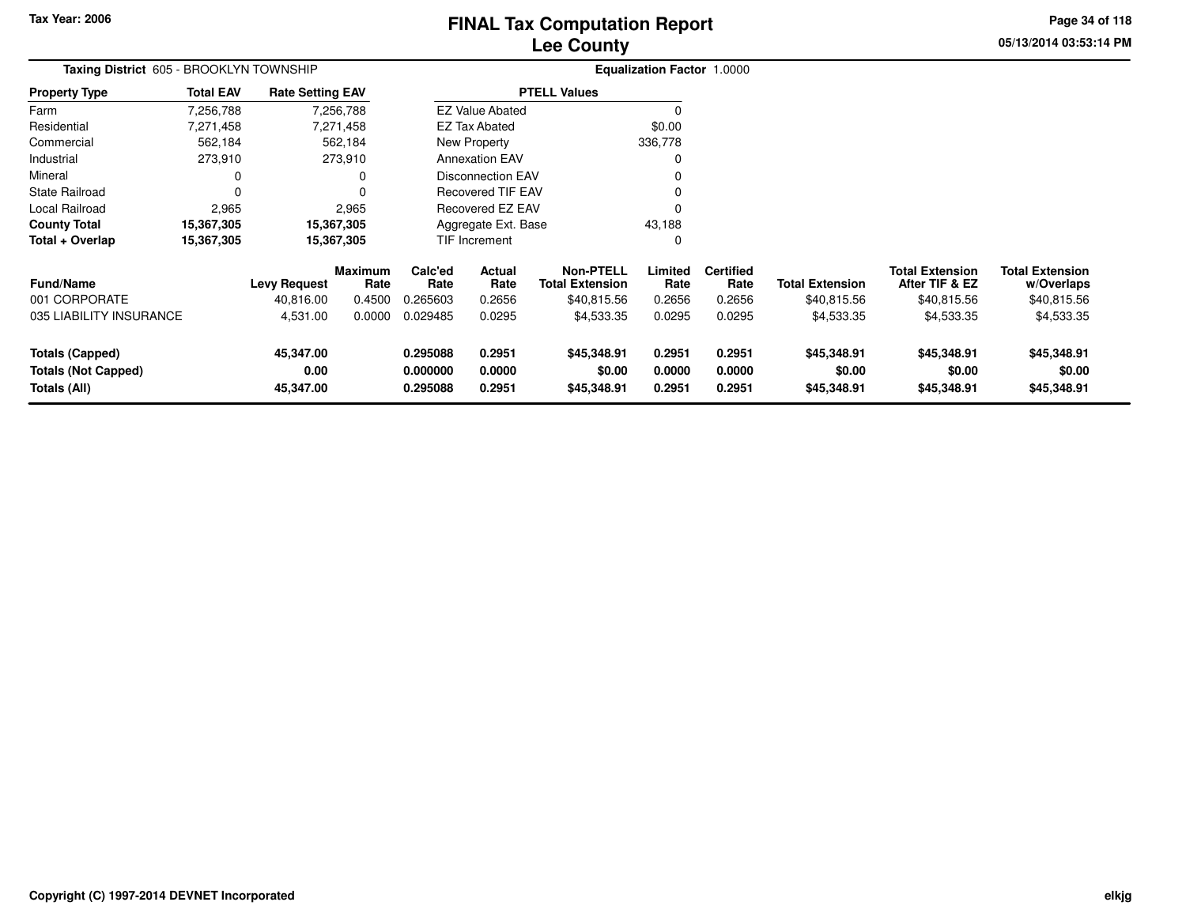# **Lee CountyFINAL Tax Computation Report** FINAL Tax Computation Report

**05/13/2014 03:53:14 PM Page 34 of 118**

| Taxing District 605 - BROOKLYN TOWNSHIP                              |                  |                                |                        |                                  |                            |                                            | <b>Equalization Factor 1.0000</b> |                            |                                      |                                          |                                      |
|----------------------------------------------------------------------|------------------|--------------------------------|------------------------|----------------------------------|----------------------------|--------------------------------------------|-----------------------------------|----------------------------|--------------------------------------|------------------------------------------|--------------------------------------|
| <b>Property Type</b>                                                 | <b>Total EAV</b> | <b>Rate Setting EAV</b>        |                        |                                  |                            | <b>PTELL Values</b>                        |                                   |                            |                                      |                                          |                                      |
| Farm                                                                 | 7,256,788        |                                | 7,256,788              |                                  | <b>EZ Value Abated</b>     |                                            | $\Omega$                          |                            |                                      |                                          |                                      |
| Residential                                                          | 7,271,458        |                                | 7,271,458              |                                  | <b>EZ Tax Abated</b>       |                                            | \$0.00                            |                            |                                      |                                          |                                      |
| Commercial                                                           | 562,184          |                                | 562,184                |                                  | New Property               |                                            | 336,778                           |                            |                                      |                                          |                                      |
| Industrial                                                           | 273,910          |                                | 273,910                |                                  | <b>Annexation EAV</b>      |                                            | 0                                 |                            |                                      |                                          |                                      |
| Mineral                                                              | 0                |                                | 0                      |                                  | <b>Disconnection EAV</b>   |                                            |                                   |                            |                                      |                                          |                                      |
| <b>State Railroad</b>                                                | 0                |                                | $\Omega$               |                                  | <b>Recovered TIF EAV</b>   |                                            | $\Omega$                          |                            |                                      |                                          |                                      |
| Local Railroad                                                       | 2,965            |                                | 2,965                  |                                  | <b>Recovered EZ EAV</b>    |                                            | $\Omega$                          |                            |                                      |                                          |                                      |
| <b>County Total</b>                                                  | 15,367,305       |                                | 15,367,305             |                                  | Aggregate Ext. Base        |                                            | 43,188                            |                            |                                      |                                          |                                      |
| Total + Overlap                                                      | 15,367,305       |                                | 15,367,305             |                                  | TIF Increment              |                                            | 0                                 |                            |                                      |                                          |                                      |
| Fund/Name                                                            |                  | <b>Levy Request</b>            | <b>Maximum</b><br>Rate | Calc'ed<br>Rate                  | Actual<br>Rate             | <b>Non-PTELL</b><br><b>Total Extension</b> | Limited<br>Rate                   | <b>Certified</b><br>Rate   | <b>Total Extension</b>               | <b>Total Extension</b><br>After TIF & EZ | <b>Total Extension</b><br>w/Overlaps |
| 001 CORPORATE                                                        |                  | 40,816.00                      | 0.4500                 | 0.265603                         | 0.2656                     | \$40,815.56                                | 0.2656                            | 0.2656                     | \$40,815.56                          | \$40,815.56                              | \$40,815.56                          |
| 035 LIABILITY INSURANCE                                              |                  | 4,531.00                       | 0.0000                 | 0.029485                         | 0.0295                     | \$4,533.35                                 | 0.0295                            | 0.0295                     | \$4,533.35                           | \$4,533.35                               | \$4,533.35                           |
| <b>Totals (Capped)</b><br><b>Totals (Not Capped)</b><br>Totals (All) |                  | 45,347.00<br>0.00<br>45,347.00 |                        | 0.295088<br>0.000000<br>0.295088 | 0.2951<br>0.0000<br>0.2951 | \$45,348.91<br>\$0.00<br>\$45,348.91       | 0.2951<br>0.0000<br>0.2951        | 0.2951<br>0.0000<br>0.2951 | \$45,348.91<br>\$0.00<br>\$45,348.91 | \$45,348.91<br>\$0.00<br>\$45,348.91     | \$45,348.91<br>\$0.00<br>\$45,348.91 |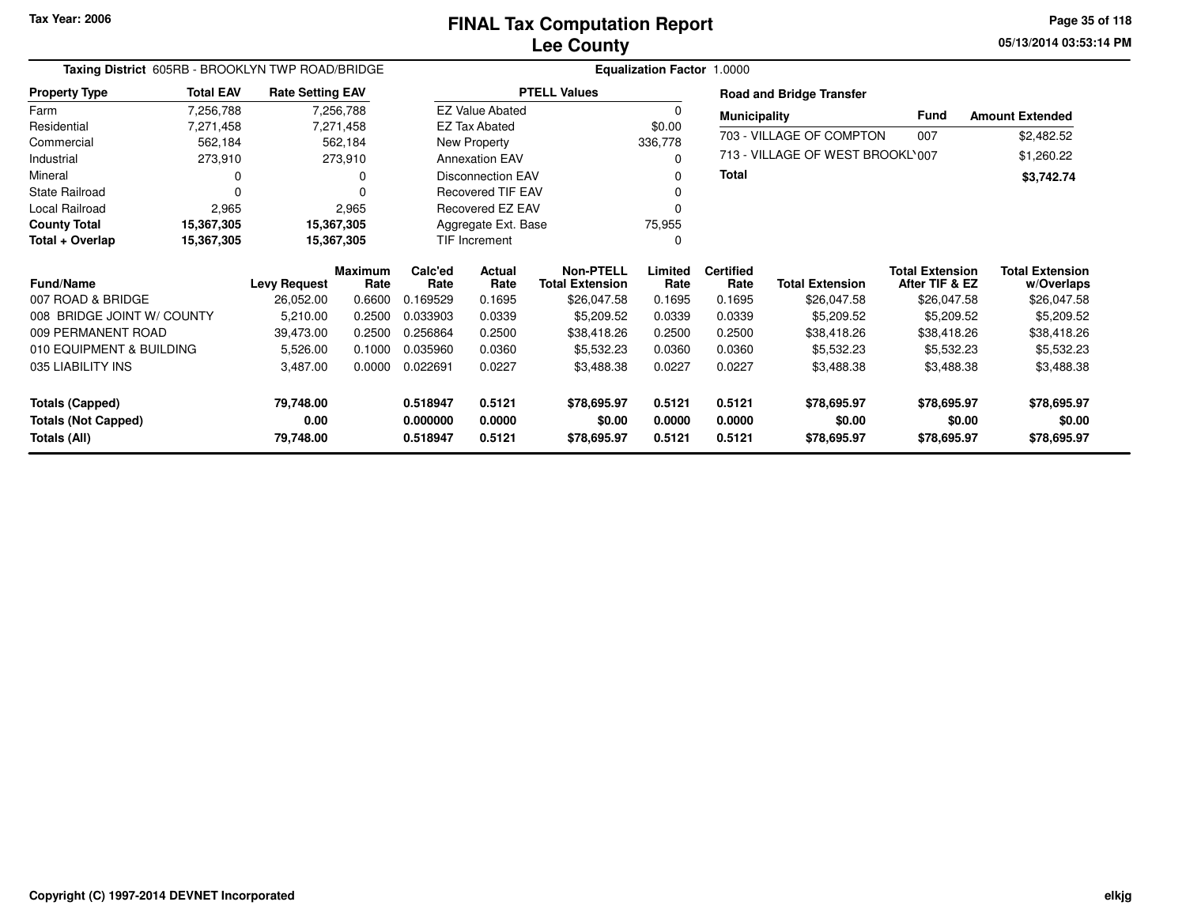**05/13/2014 03:53:14 PM Page 35 of 118**

|                            | Taxing District 605RB - BROOKLYN TWP ROAD/BRIDGE |                         |                        |                 |                          |                                            | Equalization Factor 1.0000 |                          |                                  |                                          |                                      |
|----------------------------|--------------------------------------------------|-------------------------|------------------------|-----------------|--------------------------|--------------------------------------------|----------------------------|--------------------------|----------------------------------|------------------------------------------|--------------------------------------|
| <b>Property Type</b>       | <b>Total EAV</b>                                 | <b>Rate Setting EAV</b> |                        |                 |                          | <b>PTELL Values</b>                        |                            |                          | <b>Road and Bridge Transfer</b>  |                                          |                                      |
| Farm                       | 7,256,788                                        |                         | 7,256,788              |                 | <b>EZ Value Abated</b>   |                                            | <sup>0</sup>               | <b>Municipality</b>      |                                  | <b>Fund</b>                              | <b>Amount Extended</b>               |
| Residential                | 7,271,458                                        |                         | 7,271,458              |                 | <b>EZ Tax Abated</b>     |                                            | \$0.00                     |                          | 703 - VILLAGE OF COMPTON         | 007                                      |                                      |
| Commercial                 | 562,184                                          |                         | 562,184                |                 | New Property             |                                            | 336,778                    |                          |                                  |                                          | \$2,482.52                           |
| Industrial                 | 273,910                                          |                         | 273,910                |                 | <b>Annexation EAV</b>    |                                            | 0                          |                          | 713 - VILLAGE OF WEST BROOKL'007 |                                          | \$1,260.22                           |
| Mineral                    | O                                                |                         |                        |                 | <b>Disconnection EAV</b> |                                            | 0                          | <b>Total</b>             |                                  |                                          | \$3,742.74                           |
| <b>State Railroad</b>      | $\Omega$                                         |                         |                        |                 | <b>Recovered TIF EAV</b> |                                            |                            |                          |                                  |                                          |                                      |
| <b>Local Railroad</b>      | 2,965                                            |                         | 2,965                  |                 | <b>Recovered EZ EAV</b>  |                                            |                            |                          |                                  |                                          |                                      |
| <b>County Total</b>        | 15,367,305                                       | 15,367,305              |                        |                 | Aggregate Ext. Base      |                                            | 75,955                     |                          |                                  |                                          |                                      |
| Total + Overlap            | 15,367,305                                       | 15,367,305              |                        |                 | TIF Increment            |                                            | $\Omega$                   |                          |                                  |                                          |                                      |
| <b>Fund/Name</b>           |                                                  | <b>Levy Request</b>     | <b>Maximum</b><br>Rate | Calc'ed<br>Rate | Actual<br>Rate           | <b>Non-PTELL</b><br><b>Total Extension</b> | Limited<br>Rate            | <b>Certified</b><br>Rate | <b>Total Extension</b>           | <b>Total Extension</b><br>After TIF & EZ | <b>Total Extension</b><br>w/Overlaps |
| 007 ROAD & BRIDGE          |                                                  | 26,052.00               | 0.6600                 | 0.169529        | 0.1695                   | \$26,047.58                                | 0.1695                     | 0.1695                   | \$26,047.58                      | \$26,047.58                              | \$26,047.58                          |
| 008 BRIDGE JOINT W/ COUNTY |                                                  | 5,210.00                | 0.2500                 | 0.033903        | 0.0339                   | \$5,209.52                                 | 0.0339                     | 0.0339                   | \$5,209.52                       | \$5,209.52                               | \$5,209.52                           |
| 009 PERMANENT ROAD         |                                                  | 39,473.00               | 0.2500                 | 0.256864        | 0.2500                   | \$38,418.26                                | 0.2500                     | 0.2500                   | \$38,418.26                      | \$38,418.26                              | \$38,418.26                          |
| 010 EQUIPMENT & BUILDING   |                                                  | 5,526.00                | 0.1000                 | 0.035960        | 0.0360                   | \$5,532.23                                 | 0.0360                     | 0.0360                   | \$5,532.23                       | \$5,532.23                               | \$5,532.23                           |
| 035 LIABILITY INS          |                                                  | 3,487.00                | 0.0000                 | 0.022691        | 0.0227                   | \$3,488.38                                 | 0.0227                     | 0.0227                   | \$3,488.38                       | \$3,488.38                               | \$3,488.38                           |
| <b>Totals (Capped)</b>     |                                                  | 79,748.00               |                        | 0.518947        | 0.5121                   | \$78,695.97                                | 0.5121                     | 0.5121                   | \$78,695.97                      | \$78,695.97                              | \$78,695.97                          |
| <b>Totals (Not Capped)</b> |                                                  | 0.00                    |                        | 0.000000        | 0.0000                   | \$0.00                                     | 0.0000                     | 0.0000                   | \$0.00                           | \$0.00                                   | \$0.00                               |
| Totals (All)               |                                                  | 79,748.00               |                        | 0.518947        | 0.5121                   | \$78,695.97                                | 0.5121                     | 0.5121                   | \$78,695.97                      | \$78,695.97                              | \$78,695.97                          |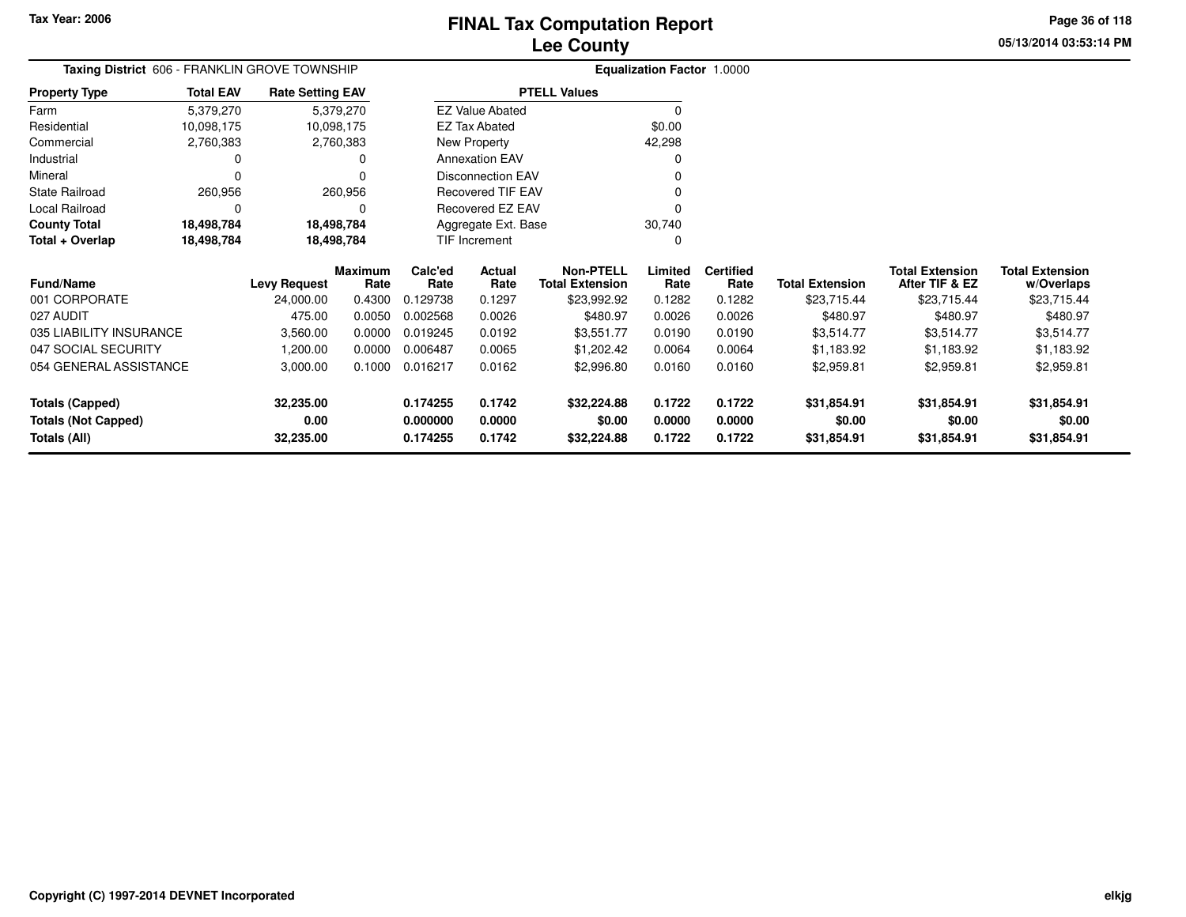# **Lee Co FINAL Tax Computation Report**

**05/13/2014 03:53:14 PMPage 36 of 118**

| ounty                             |  |
|-----------------------------------|--|
| <b>Equalization Factor 1.0000</b> |  |

|                      | <b>Taxing District</b> 606 - FRANKLIN GROVE TOWNSHIP |                         | <b>Equalization Factor 1.0000</b><br><b>PTELL Values</b> |        |  |  |  |
|----------------------|------------------------------------------------------|-------------------------|----------------------------------------------------------|--------|--|--|--|
| <b>Property Type</b> | <b>Total EAV</b>                                     | <b>Rate Setting EAV</b> |                                                          |        |  |  |  |
| Farm                 | 5,379,270                                            | 5,379,270               | <b>EZ Value Abated</b>                                   |        |  |  |  |
| Residential          | 10,098,175                                           | 10,098,175              | <b>EZ Tax Abated</b>                                     | \$0.00 |  |  |  |
| Commercial           | 2,760,383                                            | 2,760,383               | New Property                                             | 42.298 |  |  |  |
| Industrial           | 0                                                    | 0                       | <b>Annexation EAV</b>                                    | 0      |  |  |  |
| Mineral              | 0                                                    |                         | <b>Disconnection EAV</b>                                 | 0      |  |  |  |
| State Railroad       | 260,956                                              | 260.956                 | Recovered TIF EAV                                        | 0      |  |  |  |
| Local Railroad       | 0                                                    | 0                       | Recovered EZ EAV                                         | 0      |  |  |  |
| <b>County Total</b>  | 18,498,784                                           | 18,498,784              | Aggregate Ext. Base                                      | 30.740 |  |  |  |
| Total + Overlap      | 18,498,784                                           | 18,498,784              | <b>TIF Increment</b>                                     | 0      |  |  |  |

| <b>Fund/Name</b>           | <b>Levy Request</b> | <b>Maximum</b><br>Rate | Calc'ed<br>Rate | <b>Actual</b><br>Rate | <b>Non-PTELL</b><br><b>Total Extension</b> | Limited<br>Rate | <b>Certified</b><br>Rate | <b>Total Extension</b> | <b>Total Extension</b><br>After TIF & EZ | <b>Total Extension</b><br>w/Overlaps |
|----------------------------|---------------------|------------------------|-----------------|-----------------------|--------------------------------------------|-----------------|--------------------------|------------------------|------------------------------------------|--------------------------------------|
| 001 CORPORATE              | 24,000.00           | 0.4300                 | 0.129738        | 0.1297                | \$23,992.92                                | 0.1282          | 0.1282                   | \$23,715.44            | \$23.715.44                              | \$23,715.44                          |
| 027 AUDIT                  | 475.00              | 0.0050                 | 0.002568        | 0.0026                | \$480.97                                   | 0.0026          | 0.0026                   | \$480.97               | \$480.97                                 | \$480.97                             |
| 035 LIABILITY INSURANCE    | 3,560.00            | 0.0000                 | 0.019245        | 0.0192                | \$3.551.77                                 | 0.0190          | 0.0190                   | \$3,514.77             | \$3,514.77                               | \$3.514.77                           |
| 047 SOCIAL SECURITY        | 1.200.00            | 0.0000                 | 0.006487        | 0.0065                | \$1,202.42                                 | 0.0064          | 0.0064                   | \$1,183.92             | \$1.183.92                               | \$1,183.92                           |
| 054 GENERAL ASSISTANCE     | 3.000.00            | 0.1000                 | 0.016217        | 0.0162                | \$2,996.80                                 | 0.0160          | 0.0160                   | \$2.959.81             | \$2,959.81                               | \$2,959.81                           |
| Totals (Capped)            | 32.235.00           |                        | 0.174255        | 0.1742                | \$32,224.88                                | 0.1722          | 0.1722                   | \$31.854.91            | \$31.854.91                              | \$31,854.91                          |
| <b>Totals (Not Capped)</b> | 0.00                |                        | 0.000000        | 0.0000                | \$0.00                                     | 0.0000          | 0.0000                   | \$0.00                 | \$0.00                                   | \$0.00                               |
| Totals (All)               | 32.235.00           |                        | 0.174255        | 0.1742                | \$32,224.88                                | 0.1722          | 0.1722                   | \$31,854.91            | \$31,854.91                              | \$31,854.91                          |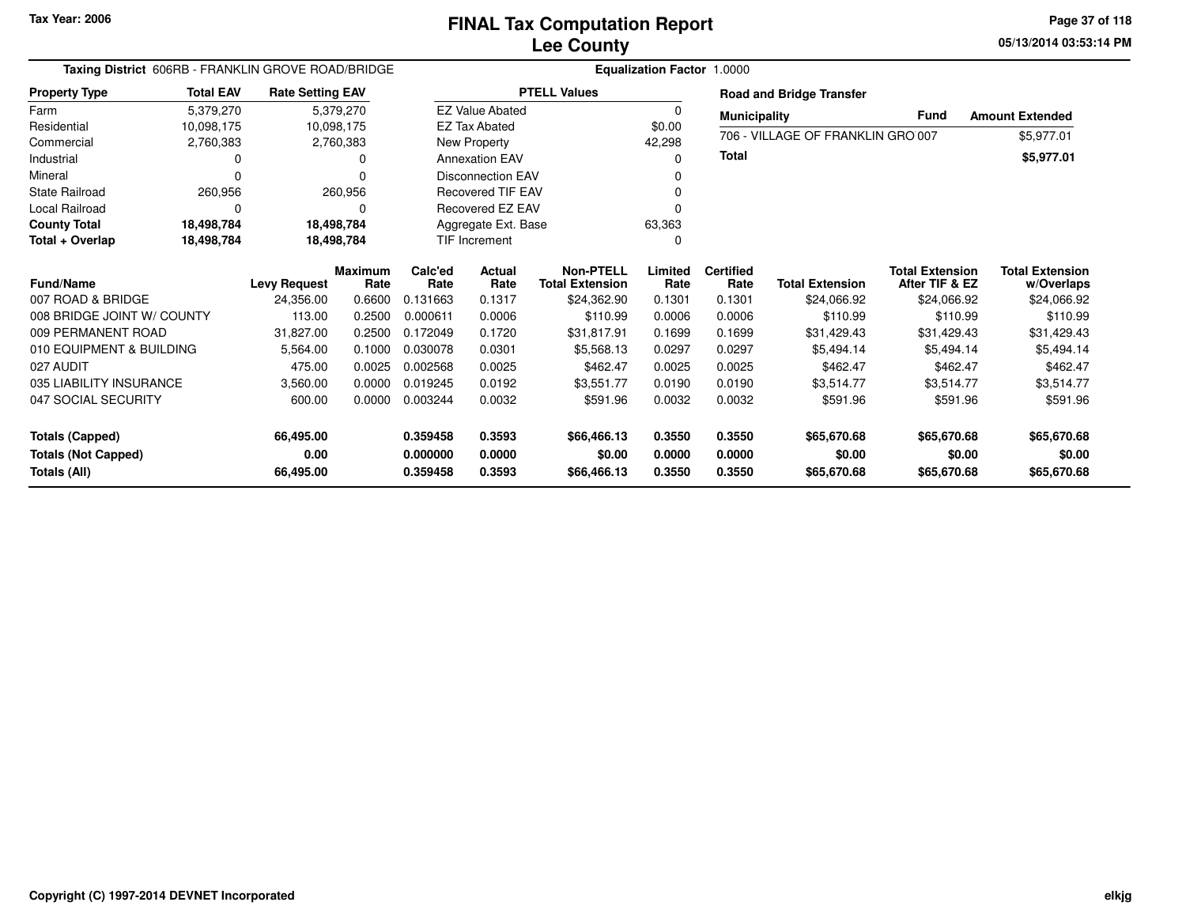**05/13/2014 03:53:14 PMPage 37 of 118**

| Taxing District 606RB - FRANKLIN GROVE ROAD/BRIDGE |                  |                         |                |             |                          |                        | <b>Equalization Factor 1.0000</b> |                     |                                   |                        |                        |
|----------------------------------------------------|------------------|-------------------------|----------------|-------------|--------------------------|------------------------|-----------------------------------|---------------------|-----------------------------------|------------------------|------------------------|
| <b>Property Type</b>                               | <b>Total EAV</b> | <b>Rate Setting EAV</b> |                |             |                          | <b>PTELL Values</b>    |                                   |                     | <b>Road and Bridge Transfer</b>   |                        |                        |
| Farm                                               | 5,379,270        |                         | 5,379,270      |             | <b>EZ Value Abated</b>   |                        | 0                                 | <b>Municipality</b> |                                   | <b>Fund</b>            | <b>Amount Extended</b> |
| Residential                                        | 10,098,175       |                         | 10,098,175     |             | <b>EZ Tax Abated</b>     |                        | \$0.00                            |                     | 706 - VILLAGE OF FRANKLIN GRO 007 |                        |                        |
| Commercial                                         | 2,760,383        |                         | 2,760,383      |             | New Property             |                        | 42,298                            |                     |                                   |                        | \$5,977.01             |
| Industrial                                         |                  |                         | 0              |             | <b>Annexation EAV</b>    |                        | 0                                 | <b>Total</b>        |                                   |                        | \$5,977.01             |
| Mineral                                            |                  |                         | 0              |             | <b>Disconnection EAV</b> |                        |                                   |                     |                                   |                        |                        |
| <b>State Railroad</b>                              | 260,956          |                         | 260,956        |             | <b>Recovered TIF EAV</b> |                        |                                   |                     |                                   |                        |                        |
| Local Railroad                                     |                  |                         | 0              |             | Recovered EZ EAV         |                        | 0                                 |                     |                                   |                        |                        |
| <b>County Total</b>                                | 18,498,784       |                         | 18,498,784     |             | Aggregate Ext. Base      |                        | 63,363                            |                     |                                   |                        |                        |
| Total + Overlap                                    | 18,498,784       |                         | 18,498,784     |             | TIF Increment            |                        | 0                                 |                     |                                   |                        |                        |
|                                                    |                  |                         | <b>Maximum</b> | Calc'ed     | Actual                   | <b>Non-PTELL</b>       | Limited                           | <b>Certified</b>    |                                   | <b>Total Extension</b> | <b>Total Extension</b> |
| <b>Fund/Name</b>                                   |                  | <b>Levy Request</b>     | Rate           | Rate        | Rate                     | <b>Total Extension</b> | Rate                              | Rate                | <b>Total Extension</b>            | After TIF & EZ         | w/Overlaps             |
| 007 ROAD & BRIDGE                                  |                  | 24,356.00               | 0.6600         | 0.131663    | 0.1317                   | \$24,362.90            | 0.1301                            | 0.1301              | \$24,066.92                       | \$24,066.92            | \$24,066.92            |
| 008 BRIDGE JOINT W/ COUNTY                         |                  | 113.00                  | 0.2500         | 0.000611    | 0.0006                   | \$110.99               | 0.0006                            | 0.0006              | \$110.99                          | \$110.99               | \$110.99               |
| 009 PERMANENT ROAD                                 |                  | 31,827.00               | 0.2500         | 0.172049    | 0.1720                   | \$31,817.91            | 0.1699                            | 0.1699              | \$31,429.43                       | \$31,429.43            | \$31,429.43            |
| 010 EQUIPMENT & BUILDING                           |                  | 5,564.00                | 0.1000         | 0.030078    | 0.0301                   | \$5,568.13             | 0.0297                            | 0.0297              | \$5,494.14                        | \$5,494.14             | \$5,494.14             |
| 027 AUDIT                                          |                  | 475.00                  | 0.0025         | 0.002568    | 0.0025                   | \$462.47               | 0.0025                            | 0.0025              | \$462.47                          | \$462.47               | \$462.47               |
| 035 LIABILITY INSURANCE                            |                  | 3,560.00                | 0.0000         | 0.019245    | 0.0192                   | \$3,551.77             | 0.0190                            | 0.0190              | \$3,514.77                        | \$3,514.77             | \$3,514.77             |
| 047 SOCIAL SECURITY                                |                  | 600.00                  | 0.0000         | 0.003244    | 0.0032                   | \$591.96               | 0.0032                            | 0.0032              | \$591.96                          | \$591.96               | \$591.96               |
|                                                    |                  |                         |                |             |                          |                        |                                   |                     |                                   |                        |                        |
| <b>Totals (Capped)</b>                             |                  | 66,495.00               |                | 0.359458    | 0.3593                   | \$66,466.13            | 0.3550                            | 0.3550              | \$65,670.68                       | \$65,670.68            | \$65,670.68            |
| <b>Totals (Not Capped)</b>                         |                  | 0.00                    |                | 0.000000    | 0.0000                   | \$0.00                 | 0.0000                            | 0.0000              | \$0.00                            | \$0.00                 | \$0.00                 |
| Totals (All)<br>66,495.00                          |                  | 0.359458                | 0.3593         | \$66,466.13 | 0.3550                   | 0.3550                 | \$65,670.68                       | \$65,670.68         | \$65,670.68                       |                        |                        |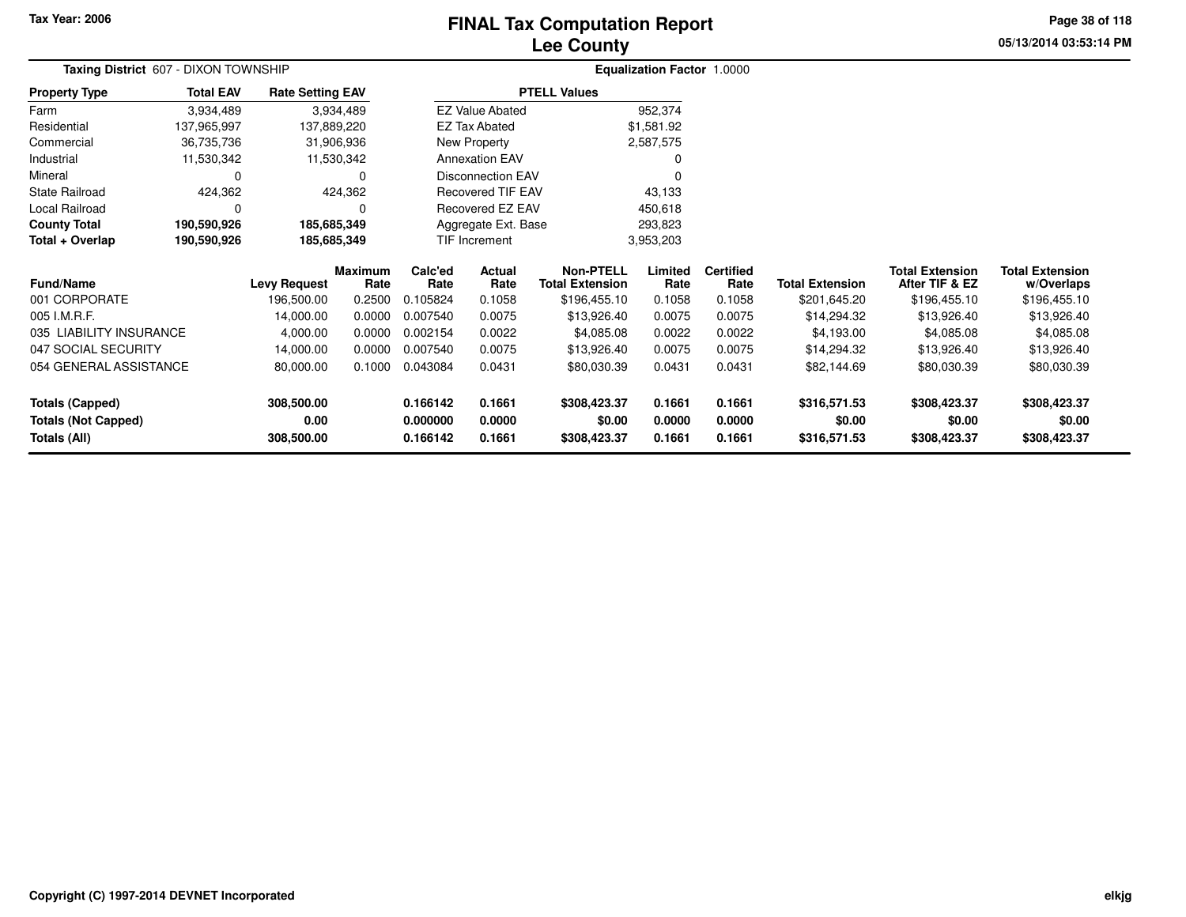# **Lee CountyFINAL Tax Computation Report** FINAL Tax Computation Report

**05/13/2014 03:53:14 PM Page 38 of 118**

| Taxing District 607 - DIXON TOWNSHIP |                                             |                     |                        | <b>Equalization Factor 1.0000</b> |                            |                                            |                 |                          |                        |                                          |                                      |  |
|--------------------------------------|---------------------------------------------|---------------------|------------------------|-----------------------------------|----------------------------|--------------------------------------------|-----------------|--------------------------|------------------------|------------------------------------------|--------------------------------------|--|
| <b>Property Type</b>                 | <b>Total EAV</b><br><b>Rate Setting EAV</b> |                     |                        |                                   |                            | <b>PTELL Values</b>                        |                 |                          |                        |                                          |                                      |  |
| Farm                                 | 3,934,489                                   |                     | 3,934,489              |                                   | <b>EZ Value Abated</b>     |                                            | 952,374         |                          |                        |                                          |                                      |  |
| Residential                          | 137,965,997                                 | 137,889,220         |                        |                                   | <b>EZ Tax Abated</b>       |                                            | \$1,581.92      |                          |                        |                                          |                                      |  |
| Commercial                           | 36,735,736                                  |                     | 31,906,936             |                                   | New Property               |                                            | 2,587,575       |                          |                        |                                          |                                      |  |
| Industrial                           | 11,530,342                                  |                     | 11,530,342             |                                   | <b>Annexation EAV</b>      |                                            |                 |                          |                        |                                          |                                      |  |
| Mineral                              | 0                                           |                     | 0                      |                                   | <b>Disconnection EAV</b>   |                                            |                 |                          |                        |                                          |                                      |  |
| <b>State Railroad</b>                | 424,362<br>424,362                          |                     |                        | <b>Recovered TIF EAV</b>          |                            | 43,133                                     |                 |                          |                        |                                          |                                      |  |
| Local Railroad<br>0                  |                                             |                     | 0                      | Recovered EZ EAV                  |                            |                                            | 450,618         |                          |                        |                                          |                                      |  |
| <b>County Total</b>                  | 190,590,926                                 | 185,685,349         |                        |                                   | Aggregate Ext. Base        |                                            | 293,823         |                          |                        |                                          |                                      |  |
| Total + Overlap                      | 190,590,926                                 | 185,685,349         |                        |                                   | TIF Increment<br>3,953,203 |                                            |                 |                          |                        |                                          |                                      |  |
| <b>Fund/Name</b>                     |                                             | <b>Levy Request</b> | <b>Maximum</b><br>Rate | Calc'ed<br>Rate                   | Actual<br>Rate             | <b>Non-PTELL</b><br><b>Total Extension</b> | Limited<br>Rate | <b>Certified</b><br>Rate | <b>Total Extension</b> | <b>Total Extension</b><br>After TIF & EZ | <b>Total Extension</b><br>w/Overlaps |  |
| 001 CORPORATE                        |                                             | 196,500.00          | 0.2500                 | 0.105824                          | 0.1058                     | \$196,455.10                               | 0.1058          | 0.1058                   | \$201,645.20           | \$196,455.10                             | \$196,455.10                         |  |
| 005 I.M.R.F.                         |                                             | 14,000.00           | 0.0000                 | 0.007540                          | 0.0075                     | \$13,926.40                                | 0.0075          | 0.0075                   | \$14,294.32            | \$13,926.40                              | \$13,926.40                          |  |
| 035 LIABILITY INSURANCE              |                                             | 4,000.00            | 0.0000                 | 0.002154                          | 0.0022                     | \$4,085.08                                 | 0.0022          | 0.0022                   | \$4,193.00             | \$4,085.08                               | \$4,085.08                           |  |
| 047 SOCIAL SECURITY                  |                                             | 14,000.00           | 0.0000                 | 0.007540                          | 0.0075                     | \$13,926.40                                | 0.0075          | 0.0075                   | \$14,294.32            | \$13,926.40                              | \$13,926.40                          |  |
| 054 GENERAL ASSISTANCE               |                                             | 80,000.00           | 0.1000                 | 0.043084                          | 0.0431                     | \$80,030.39                                | 0.0431          | 0.0431                   | \$82,144.69            | \$80,030.39                              | \$80,030.39                          |  |
| <b>Totals (Capped)</b>               |                                             | 308,500.00          |                        | 0.166142                          | 0.1661                     | \$308,423.37                               | 0.1661          | 0.1661                   | \$316,571.53           | \$308,423.37                             | \$308,423.37                         |  |
| <b>Totals (Not Capped)</b>           |                                             | 0.00                |                        | 0.000000                          | 0.0000                     | \$0.00                                     | 0.0000          | 0.0000                   | \$0.00                 | \$0.00                                   | \$0.00                               |  |
| <b>Totals (All)</b>                  |                                             | 308,500.00          |                        | 0.166142                          | 0.1661                     | \$308,423.37                               | 0.1661          | 0.1661                   | \$316,571.53           | \$308,423.37                             | \$308,423.37                         |  |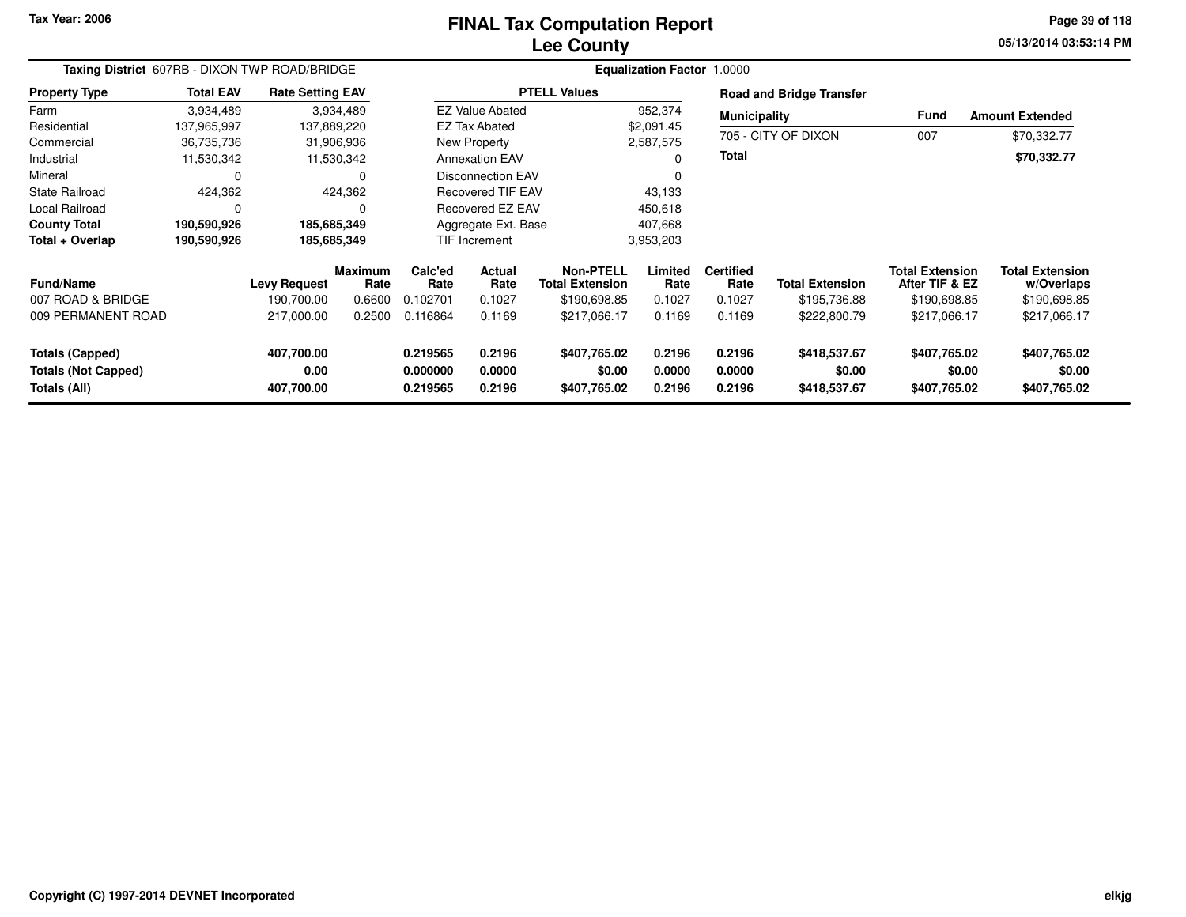#### **Lee CountyFINAL Tax Computation Report** FINAL Tax Computation Report

**05/13/2014 03:53:14 PM Page 39 of 118**

| Taxing District 607RB - DIXON TWP ROAD/BRIDGE                 |                  |                                  |                        | <b>Equalization Factor 1.0000</b> |                                    |                                        |                            |                            |                                        |                                          |                                        |  |
|---------------------------------------------------------------|------------------|----------------------------------|------------------------|-----------------------------------|------------------------------------|----------------------------------------|----------------------------|----------------------------|----------------------------------------|------------------------------------------|----------------------------------------|--|
| <b>Property Type</b>                                          | <b>Total EAV</b> | <b>Rate Setting EAV</b>          |                        | <b>PTELL Values</b>               |                                    |                                        |                            |                            | <b>Road and Bridge Transfer</b>        |                                          |                                        |  |
| Farm                                                          | 3,934,489        |                                  | 3,934,489              |                                   | <b>EZ Value Abated</b>             |                                        | 952,374                    |                            | <b>Municipality</b>                    |                                          | <b>Amount Extended</b>                 |  |
| Residential                                                   | 137,965,997      |                                  | 137,889,220            |                                   | <b>EZ Tax Abated</b><br>\$2,091.45 |                                        |                            |                            |                                        | <b>Fund</b><br>007                       |                                        |  |
| Commercial                                                    | 36,735,736       |                                  | 31,906,936             |                                   | New Property                       |                                        | 2,587,575                  |                            | 705 - CITY OF DIXON                    |                                          | \$70,332.77                            |  |
| Industrial                                                    | 11,530,342       |                                  | 11,530,342             |                                   | <b>Annexation EAV</b>              |                                        | O                          | <b>Total</b>               |                                        |                                          | \$70,332.77                            |  |
| Mineral                                                       | 0                |                                  | 0                      |                                   | <b>Disconnection EAV</b>           |                                        |                            |                            |                                        |                                          |                                        |  |
| State Railroad                                                | 424,362          |                                  | 424,362                | <b>Recovered TIF EAV</b>          |                                    |                                        | 43,133                     |                            |                                        |                                          |                                        |  |
| Local Railroad                                                | 0                |                                  | $\Omega$               |                                   | Recovered EZ EAV                   |                                        | 450,618                    |                            |                                        |                                          |                                        |  |
| <b>County Total</b>                                           | 190,590,926      | 185,685,349                      |                        |                                   | Aggregate Ext. Base                |                                        | 407,668                    |                            |                                        |                                          |                                        |  |
| Total + Overlap                                               | 190,590,926      | 185,685,349                      |                        |                                   | TIF Increment                      |                                        | 3,953,203                  |                            |                                        |                                          |                                        |  |
| <b>Fund/Name</b>                                              |                  | <b>Levy Request</b>              | <b>Maximum</b><br>Rate | Calc'ed<br>Rate                   | Actual<br>Rate                     | Non-PTELL<br><b>Total Extension</b>    | Limited<br>Rate            | <b>Certified</b><br>Rate   | <b>Total Extension</b>                 | <b>Total Extension</b><br>After TIF & EZ | <b>Total Extension</b><br>w/Overlaps   |  |
| 007 ROAD & BRIDGE                                             |                  | 190.700.00                       | 0.6600                 | 0.102701                          | 0.1027                             | \$190,698.85                           | 0.1027                     | 0.1027                     | \$195,736.88                           | \$190,698.85                             | \$190,698.85                           |  |
| 009 PERMANENT ROAD                                            |                  | 217,000.00                       | 0.2500                 | 0.116864                          | 0.1169                             | \$217,066.17                           | 0.1169                     | 0.1169                     | \$222,800.79                           | \$217,066.17                             | \$217,066.17                           |  |
| Totals (Capped)<br><b>Totals (Not Capped)</b><br>Totals (All) |                  | 407,700.00<br>0.00<br>407,700.00 |                        | 0.219565<br>0.000000<br>0.219565  | 0.2196<br>0.0000<br>0.2196         | \$407,765.02<br>\$0.00<br>\$407,765.02 | 0.2196<br>0.0000<br>0.2196 | 0.2196<br>0.0000<br>0.2196 | \$418,537.67<br>\$0.00<br>\$418,537.67 | \$407,765.02<br>\$0.00<br>\$407,765.02   | \$407,765.02<br>\$0.00<br>\$407,765.02 |  |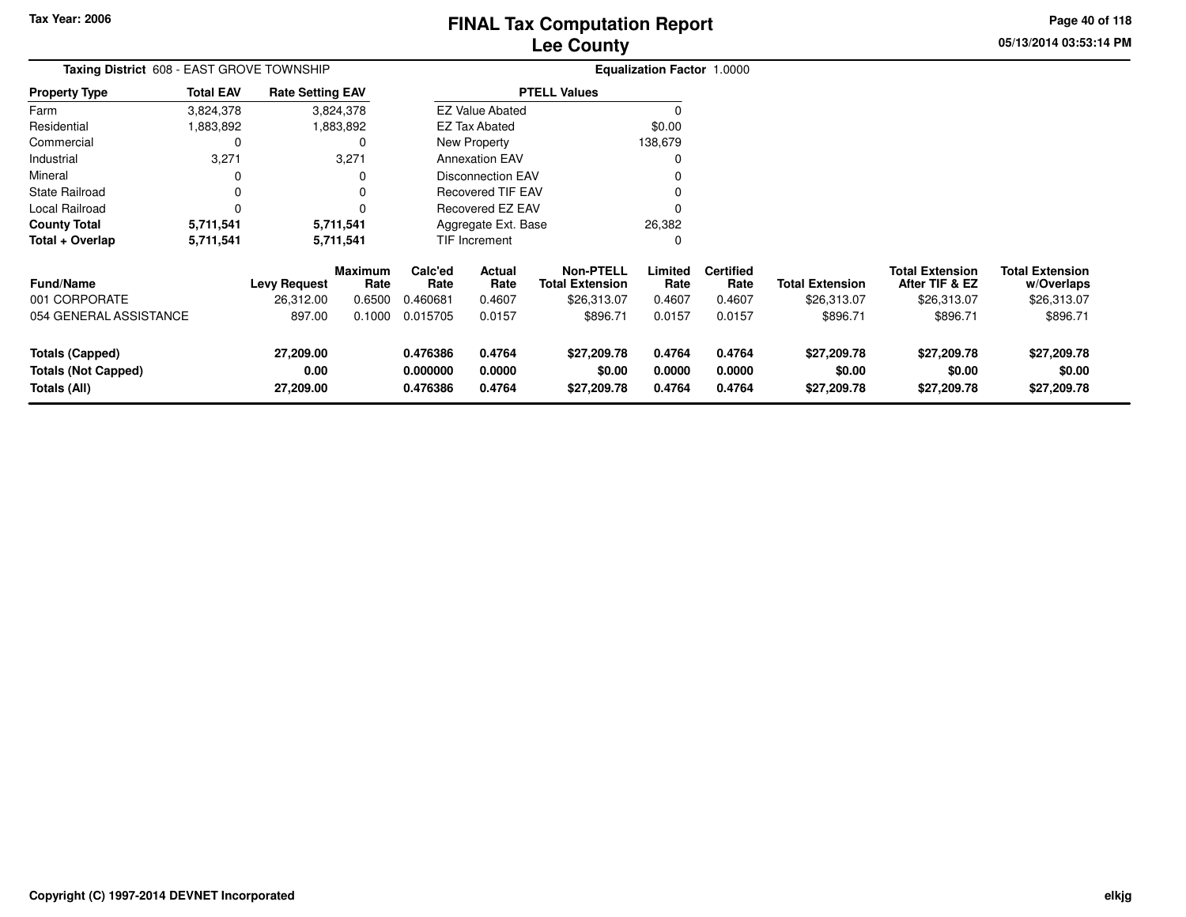**05/13/2014 03:53:14 PM Page 40 of 118**

| Taxing District 608 - EAST GROVE TOWNSHIP       |                  |                         |                        |                 |                                |                                            | Equalization Factor 1.0000 |                          |                        |                                          |                                      |
|-------------------------------------------------|------------------|-------------------------|------------------------|-----------------|--------------------------------|--------------------------------------------|----------------------------|--------------------------|------------------------|------------------------------------------|--------------------------------------|
| <b>Property Type</b>                            | <b>Total EAV</b> | <b>Rate Setting EAV</b> |                        |                 |                                | <b>PTELL Values</b>                        |                            |                          |                        |                                          |                                      |
| Farm                                            | 3,824,378        |                         | 3,824,378              |                 | <b>EZ Value Abated</b>         |                                            |                            |                          |                        |                                          |                                      |
| Residential                                     | 1,883,892        |                         | 1,883,892              |                 | \$0.00<br><b>EZ Tax Abated</b> |                                            |                            |                          |                        |                                          |                                      |
| Commercial                                      | 0                |                         |                        |                 | New Property                   |                                            | 138,679                    |                          |                        |                                          |                                      |
| Industrial                                      | 3,271            |                         | 3,271                  |                 | <b>Annexation EAV</b>          |                                            |                            |                          |                        |                                          |                                      |
| Mineral                                         | 0                |                         |                        |                 | <b>Disconnection EAV</b>       |                                            |                            |                          |                        |                                          |                                      |
| <b>State Railroad</b>                           | 0                |                         |                        |                 | <b>Recovered TIF EAV</b>       |                                            |                            |                          |                        |                                          |                                      |
| Local Railroad                                  | $\Omega$         |                         |                        |                 | Recovered EZ EAV               |                                            |                            |                          |                        |                                          |                                      |
| <b>County Total</b>                             | 5,711,541        |                         | 5,711,541              |                 | Aggregate Ext. Base            |                                            | 26,382                     |                          |                        |                                          |                                      |
| Total + Overlap                                 | 5,711,541        |                         | 5,711,541              |                 | <b>TIF Increment</b>           |                                            |                            |                          |                        |                                          |                                      |
| <b>Fund/Name</b>                                |                  | <b>Levy Request</b>     | <b>Maximum</b><br>Rate | Calc'ed<br>Rate | <b>Actual</b><br>Rate          | <b>Non-PTELL</b><br><b>Total Extension</b> | Limited<br>Rate            | <b>Certified</b><br>Rate | <b>Total Extension</b> | <b>Total Extension</b><br>After TIF & EZ | <b>Total Extension</b><br>w/Overlaps |
| 001 CORPORATE                                   |                  | 26,312.00               | 0.6500                 | 0.460681        | 0.4607                         | \$26,313.07                                | 0.4607                     | 0.4607                   | \$26,313.07            | \$26,313.07                              | \$26,313.07                          |
| 054 GENERAL ASSISTANCE                          |                  | 897.00                  | 0.1000                 | 0.015705        | 0.0157                         | \$896.71                                   | 0.0157                     | 0.0157                   | \$896.71               | \$896.71                                 | \$896.71                             |
| <b>Totals (Capped)</b>                          |                  | 27,209.00               |                        | 0.476386        | 0.4764                         | \$27,209.78                                | 0.4764                     | 0.4764                   | \$27,209.78            | \$27,209.78                              | \$27,209.78                          |
| Totals (Not Capped)                             |                  | 0.00                    |                        | 0.000000        | 0.0000                         | \$0.00                                     | 0.0000                     | 0.0000                   | \$0.00                 | \$0.00                                   | \$0.00                               |
| 0.4764<br>Totals (All)<br>27,209.00<br>0.476386 |                  |                         | \$27,209.78            | 0.4764          | 0.4764                         | \$27,209.78                                | \$27,209.78                | \$27,209.78              |                        |                                          |                                      |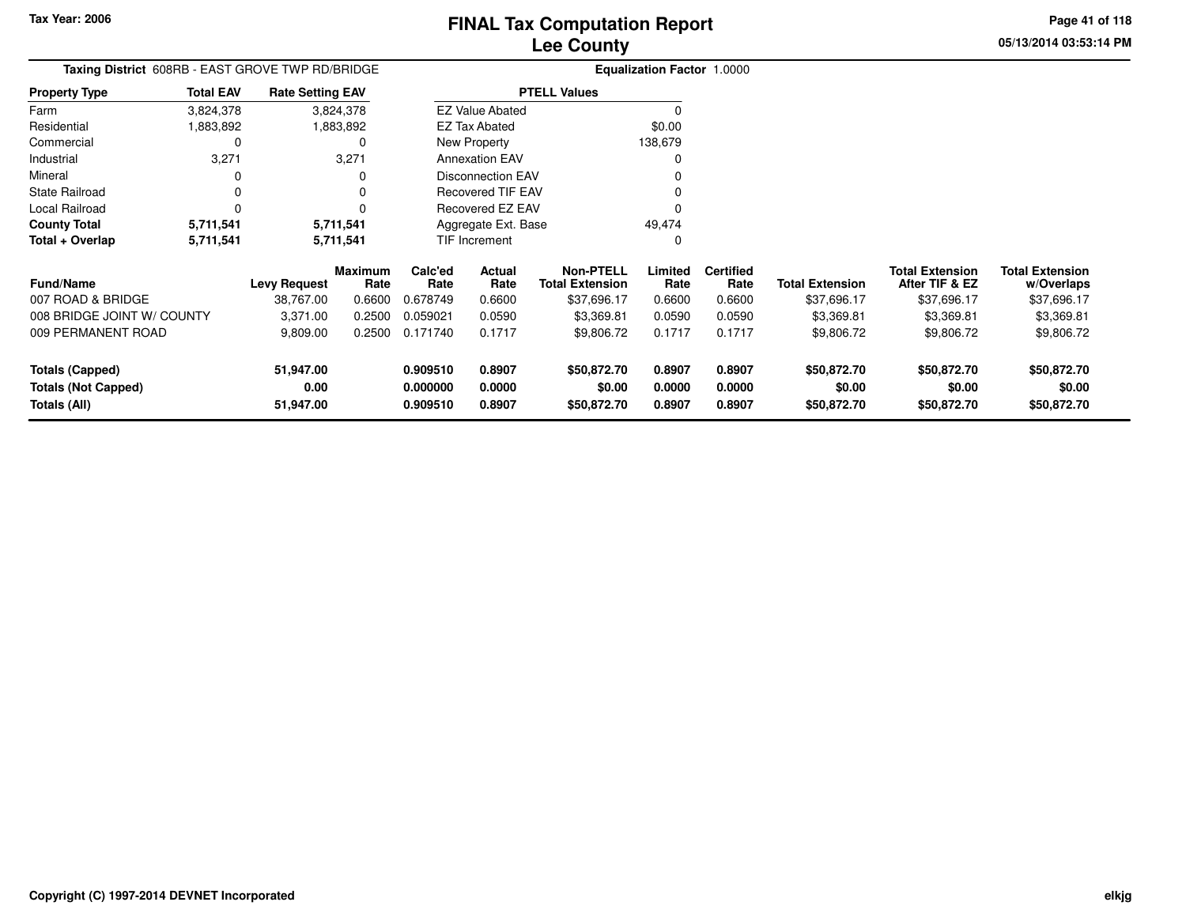## **Lee CountyFINAL Tax Computation Report**

**05/13/2014 03:53:14 PMPage 41 of 118**

|                       |                  | Taxing District 608RB - EAST GROVE TWP RD/BRIDGE | <b>Equalization Factor 1.0000</b> |                     |                       |                 |  |  |  |  |
|-----------------------|------------------|--------------------------------------------------|-----------------------------------|---------------------|-----------------------|-----------------|--|--|--|--|
| <b>Property Type</b>  | <b>Total EAV</b> | <b>Rate Setting EAV</b>                          |                                   | <b>PTELL Values</b> |                       |                 |  |  |  |  |
| Farm                  | 3,824,378        | 3,824,378                                        | <b>EZ Value Abated</b>            |                     |                       |                 |  |  |  |  |
| Residential           | 883,892          | 1,883,892                                        | <b>EZ Tax Abated</b>              | \$0.00              |                       |                 |  |  |  |  |
| Commercial            |                  | 0                                                | New Property                      | 138,679             |                       |                 |  |  |  |  |
| Industrial            | 3,271            | 3,271                                            | <b>Annexation EAV</b>             |                     |                       |                 |  |  |  |  |
| Mineral               |                  | 0                                                | <b>Disconnection EAV</b>          |                     |                       |                 |  |  |  |  |
| <b>State Railroad</b> |                  | 0                                                | <b>Recovered TIF EAV</b>          |                     |                       |                 |  |  |  |  |
| Local Railroad        |                  | 0                                                | Recovered EZ EAV                  | 0                   |                       |                 |  |  |  |  |
| <b>County Total</b>   | 5.711.541        | 5,711,541                                        | Aggregate Ext. Base               | 49.474              |                       |                 |  |  |  |  |
| Total + Overlap       | 5,711,541        | 5,711,541                                        | <b>TIF Increment</b>              | 0                   |                       |                 |  |  |  |  |
|                       |                  | <b>Marcinacina</b>                               | Calabad<br>A.1                    | New <b>DTELL</b>    | الممثلثانيم الممانسنا | Tatal Evtension |  |  |  |  |

| <b>Fund/Name</b>           | <b>Levy Request</b> | <b>Maximum</b><br>Rate | Calc'ed<br>Rate | <b>Actual</b><br>Rate | <b>Non-PTELL</b><br>Total Extension | Limited<br>Rate | <b>Certified</b><br>Rate | <b>Total Extension</b> | <b>Total Extension</b><br>After TIF & EZ | <b>Total Extension</b><br>w/Overlaps |
|----------------------------|---------------------|------------------------|-----------------|-----------------------|-------------------------------------|-----------------|--------------------------|------------------------|------------------------------------------|--------------------------------------|
| 007 ROAD & BRIDGE          | 38.767.00           | 0.6600                 | 0.678749        | 0.6600                | \$37.696.17                         | 0.6600          | 0.6600                   | \$37,696.17            | \$37.696.17                              | \$37,696.17                          |
| 008 BRIDGE JOINT W/ COUNTY | 3.371.00            | 0.2500                 | 0.059021        | 0.0590                | \$3,369.81                          | 0.0590          | 0.0590                   | \$3,369.81             | \$3,369.81                               | \$3,369.81                           |
| 009 PERMANENT ROAD         | 9,809.00            | 0.2500                 | 0.171740        | 0.1717                | \$9,806.72                          | 0.1717          | 0.1717                   | \$9,806.72             | \$9,806.72                               | \$9,806.72                           |
| Totals (Capped)            | 51.947.00           |                        | 0.909510        | 0.8907                | \$50,872.70                         | 0.8907          | 0.8907                   | \$50,872.70            | \$50,872.70                              | \$50,872.70                          |
| <b>Totals (Not Capped)</b> | 0.00                |                        | 0.000000        | 0.0000                | \$0.00                              | 0.0000          | 0.0000                   | \$0.00                 | \$0.00                                   | \$0.00                               |
| Totals (All)               | 51.947.00           |                        | 0.909510        | 0.8907                | \$50,872.70                         | 0.8907          | 0.8907                   | \$50,872.70            | \$50,872.70                              | \$50,872.70                          |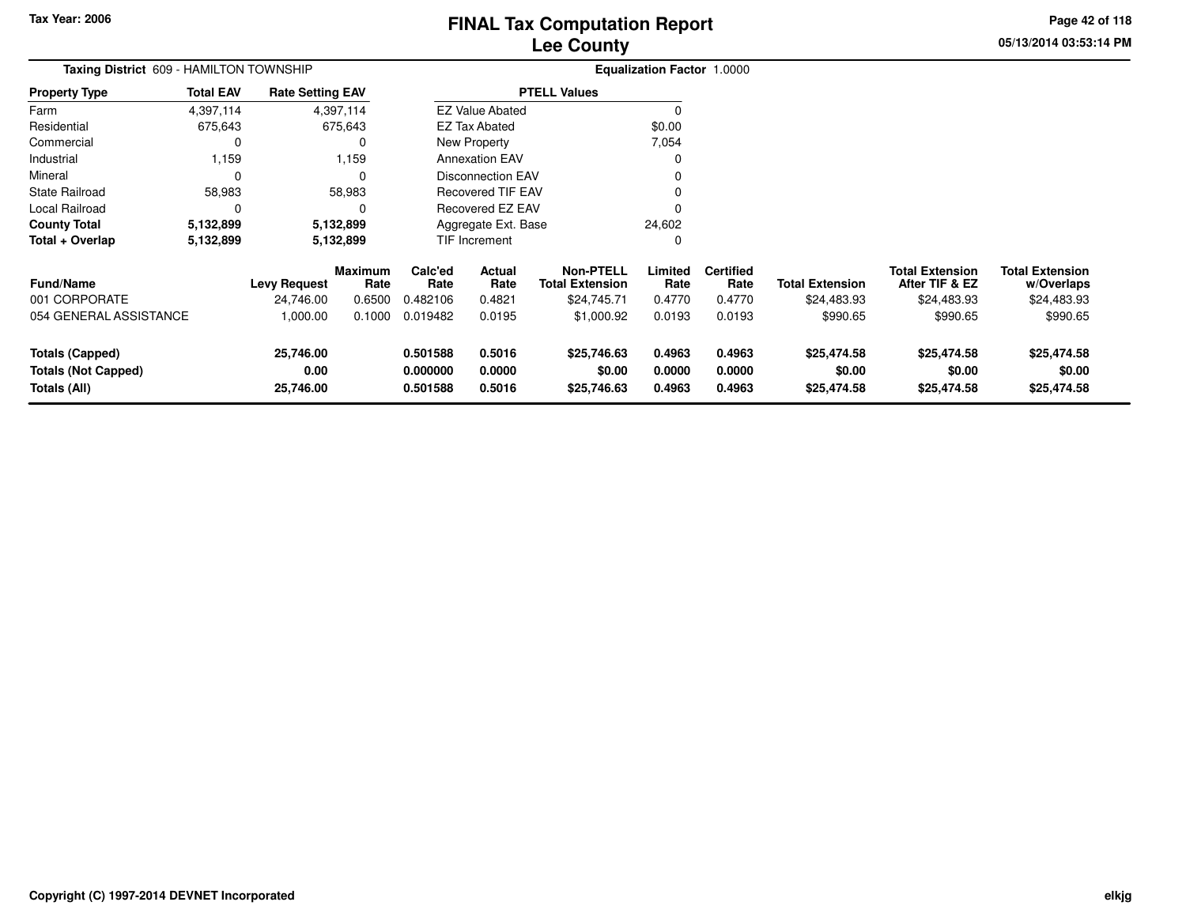**05/13/2014 03:53:14 PMPage 42 of 118**

| Taxing District 609 - HAMILTON TOWNSHIP |                  |                         |                        |                         |                          |                                            | Equalization Factor 1.0000 |                          |                        |                                          |                                      |
|-----------------------------------------|------------------|-------------------------|------------------------|-------------------------|--------------------------|--------------------------------------------|----------------------------|--------------------------|------------------------|------------------------------------------|--------------------------------------|
| <b>Property Type</b>                    | <b>Total EAV</b> | <b>Rate Setting EAV</b> |                        |                         |                          | <b>PTELL Values</b>                        |                            |                          |                        |                                          |                                      |
| Farm                                    | 4,397,114        |                         | 4,397,114              |                         | <b>EZ Value Abated</b>   |                                            | $\Omega$                   |                          |                        |                                          |                                      |
| Residential                             | 675,643          |                         | 675,643                | \$0.00<br>EZ Tax Abated |                          |                                            |                            |                          |                        |                                          |                                      |
| Commercial                              | 0                |                         | 0                      |                         | New Property             |                                            | 7,054                      |                          |                        |                                          |                                      |
| Industrial                              | 1,159            |                         | 1,159                  |                         | <b>Annexation EAV</b>    |                                            |                            |                          |                        |                                          |                                      |
| Mineral                                 | $\Omega$         |                         | 0                      |                         | <b>Disconnection EAV</b> |                                            |                            |                          |                        |                                          |                                      |
| <b>State Railroad</b>                   | 58,983           |                         | 58,983                 |                         | <b>Recovered TIF EAV</b> |                                            |                            |                          |                        |                                          |                                      |
| Local Railroad                          | 0                |                         | $\Omega$               |                         | Recovered EZ EAV         |                                            |                            |                          |                        |                                          |                                      |
| <b>County Total</b>                     | 5,132,899        |                         | 5,132,899              |                         | Aggregate Ext. Base      |                                            | 24,602                     |                          |                        |                                          |                                      |
| Total + Overlap                         | 5,132,899        |                         | 5,132,899              |                         | TIF Increment            |                                            | 0                          |                          |                        |                                          |                                      |
| <b>Fund/Name</b>                        |                  | <b>Levy Request</b>     | <b>Maximum</b><br>Rate | Calc'ed<br>Rate         | Actual<br>Rate           | <b>Non-PTELL</b><br><b>Total Extension</b> | Limited<br>Rate            | <b>Certified</b><br>Rate | <b>Total Extension</b> | <b>Total Extension</b><br>After TIF & EZ | <b>Total Extension</b><br>w/Overlaps |
| 001 CORPORATE                           |                  | 24,746.00               | 0.6500                 | 0.482106                | 0.4821                   | \$24,745.71                                | 0.4770                     | 0.4770                   | \$24,483.93            | \$24,483.93                              | \$24,483.93                          |
| 054 GENERAL ASSISTANCE                  |                  | 1,000.00                | 0.1000                 | 0.019482                | 0.0195                   | \$1,000.92                                 | 0.0193                     | 0.0193                   | \$990.65               | \$990.65                                 | \$990.65                             |
| <b>Totals (Capped)</b>                  |                  | 25,746.00               |                        | 0.501588                | 0.5016                   | \$25,746.63                                | 0.4963                     | 0.4963                   | \$25,474.58            | \$25,474.58                              | \$25,474.58                          |
| <b>Totals (Not Capped)</b>              |                  | 0.00                    |                        | 0.000000                | 0.0000                   | \$0.00                                     | 0.0000                     | 0.0000                   | \$0.00                 | \$0.00                                   | \$0.00                               |
| Totals (All)                            |                  | 25,746.00               |                        | 0.501588                | 0.5016                   | \$25,746.63                                | 0.4963                     | 0.4963                   | \$25,474.58            | \$25,474.58                              | \$25,474.58                          |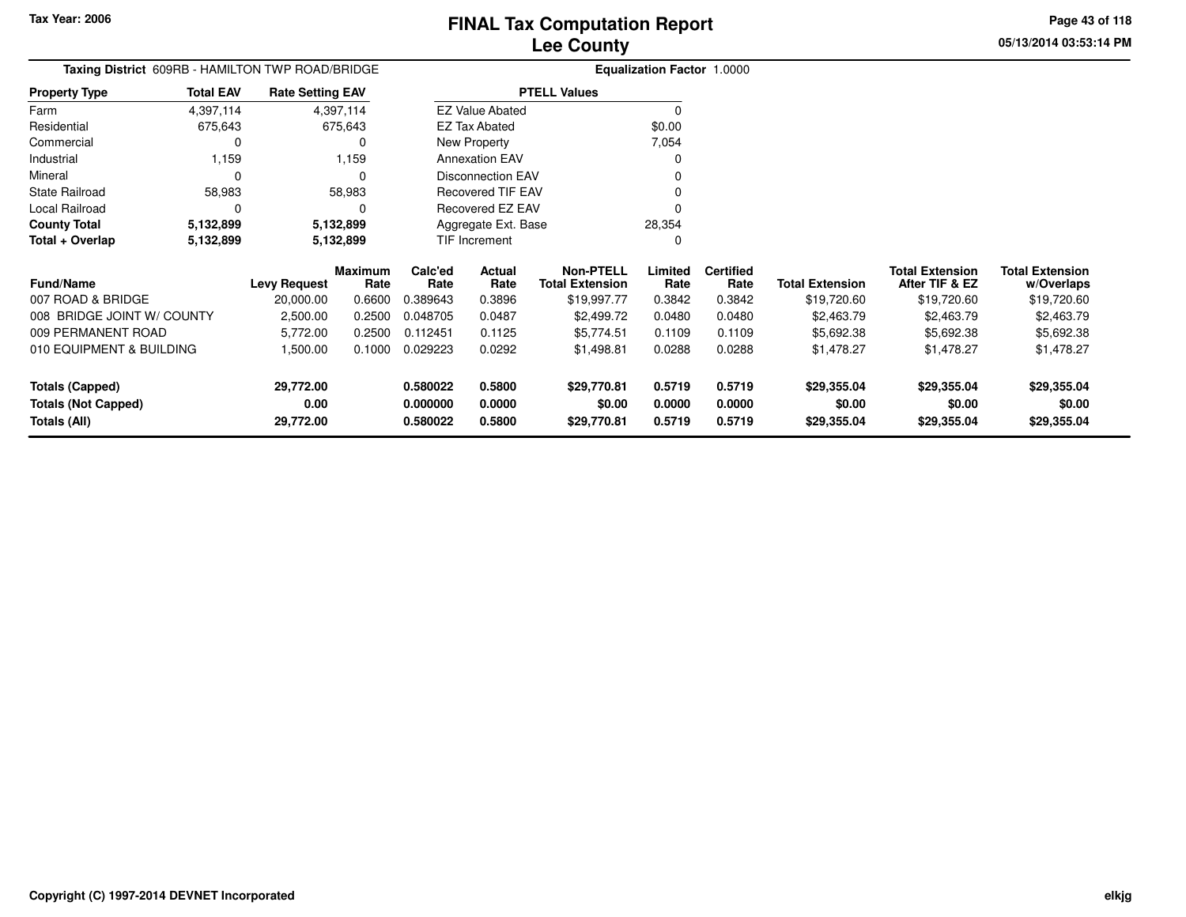# **Lee CountyFINAL Tax Computation Report**

**05/13/2014 03:53:14 PMPage 43 of 118**

|  | <b>Lee County</b> |   |  |  |  |
|--|-------------------|---|--|--|--|
|  |                   | . |  |  |  |

|                      |                  | Taxing District 609RB - HAMILTON TWP ROAD/BRIDGE | <b>Equalization Factor 1.0000</b> |        |  |  |  |  |  |
|----------------------|------------------|--------------------------------------------------|-----------------------------------|--------|--|--|--|--|--|
| <b>Property Type</b> | <b>Total EAV</b> | <b>Rate Setting EAV</b>                          | <b>PTELL Values</b>               |        |  |  |  |  |  |
| Farm                 | 4,397,114        | 4,397,114                                        | <b>EZ Value Abated</b>            |        |  |  |  |  |  |
| Residential          | 675.643          | 675.643                                          | EZ Tax Abated                     | \$0.00 |  |  |  |  |  |
| Commercial           |                  | 0                                                | New Property                      | 7.054  |  |  |  |  |  |
| Industrial           | 1.159            | 1.159                                            | <b>Annexation EAV</b>             |        |  |  |  |  |  |
| Mineral              |                  | 0                                                | Disconnection EAV                 |        |  |  |  |  |  |
| State Railroad       | 58.983           | 58.983                                           | <b>Recovered TIF EAV</b>          |        |  |  |  |  |  |
| Local Railroad       |                  | 0                                                | Recovered EZ EAV                  |        |  |  |  |  |  |
| <b>County Total</b>  | 5,132,899        | 5,132,899                                        | Aggregate Ext. Base               | 28.354 |  |  |  |  |  |
| Total + Overlap      | 5,132,899        | 5,132,899                                        | TIF Increment                     |        |  |  |  |  |  |

| <b>Fund/Name</b>           | <b>Levy Request</b> | <b>Maximum</b><br>Rate | Calc'ed<br>Rate | Actual<br>Rate | Non-PTELL<br><b>Total Extension</b> | Limited<br>Rate | <b>Certified</b><br>Rate | <b>Total Extension</b> | <b>Total Extension</b><br>After TIF & EZ | <b>Total Extension</b><br>w/Overlaps |
|----------------------------|---------------------|------------------------|-----------------|----------------|-------------------------------------|-----------------|--------------------------|------------------------|------------------------------------------|--------------------------------------|
| 007 ROAD & BRIDGE          | 20.000.00           | 0.6600                 | 0.389643        | 0.3896         | \$19.997.77                         | 0.3842          | 0.3842                   | \$19,720.60            | \$19,720.60                              | \$19,720.60                          |
| 008 BRIDGE JOINT W/ COUNTY | 2,500.00            | 0.2500                 | 0.048705        | 0.0487         | \$2,499.72                          | 0.0480          | 0.0480                   | \$2,463.79             | \$2,463.79                               | \$2,463.79                           |
| 009 PERMANENT ROAD         | 5.772.00            | 0.2500                 | 0.112451        | 0.1125         | \$5.774.51                          | 0.1109          | 0.1109                   | \$5,692.38             | \$5,692.38                               | \$5,692.38                           |
| 010 EQUIPMENT & BUILDING   | 1.500.00            | 0.1000                 | 0.029223        | 0.0292         | \$1,498.81                          | 0.0288          | 0.0288                   | \$1,478.27             | \$1,478.27                               | \$1,478.27                           |
| Totals (Capped)            | 29,772.00           |                        | 0.580022        | 0.5800         | \$29.770.81                         | 0.5719          | 0.5719                   | \$29,355,04            | \$29,355.04                              | \$29,355.04                          |
| Totals (Not Capped)        | 0.00                |                        | 0.000000        | 0.0000         | \$0.00                              | 0.0000          | 0.0000                   | \$0.00                 | \$0.00                                   | \$0.00                               |
| Totals (All)               | 29,772.00           |                        | 0.580022        | 0.5800         | \$29,770.81                         | 0.5719          | 0.5719                   | \$29,355.04            | \$29,355.04                              | \$29,355.04                          |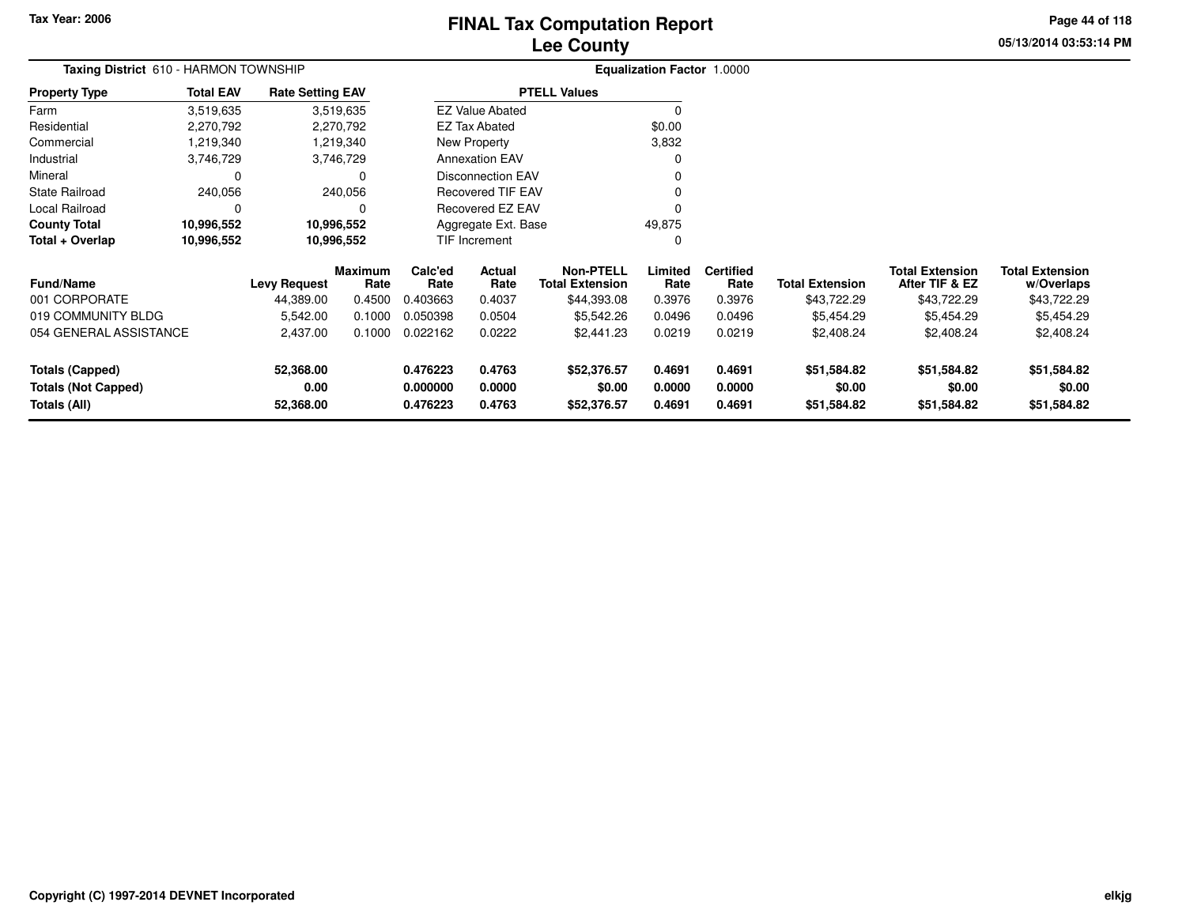# **Lee CountyFINAL Tax Computation Report** FINAL Tax Computation Report

**05/13/2014 03:53:14 PM Page 44 of 118**

| Taxing District 610 - HARMON TOWNSHIP                               |             |                     |                        |                      | <b>Equalization Factor 1.0000</b> |                                            |                  |                          |                        |                                          |                                      |
|---------------------------------------------------------------------|-------------|---------------------|------------------------|----------------------|-----------------------------------|--------------------------------------------|------------------|--------------------------|------------------------|------------------------------------------|--------------------------------------|
| <b>Total EAV</b><br><b>Property Type</b><br><b>Rate Setting EAV</b> |             |                     |                        |                      |                                   | <b>PTELL Values</b>                        |                  |                          |                        |                                          |                                      |
| Farm                                                                | 3,519,635   |                     | 3,519,635              |                      | <b>EZ Value Abated</b>            |                                            | 0                |                          |                        |                                          |                                      |
| Residential                                                         | 2,270,792   |                     | 2,270,792              |                      | <b>EZ Tax Abated</b>              |                                            | \$0.00           |                          |                        |                                          |                                      |
| Commercial                                                          | 1,219,340   |                     | 1,219,340              |                      | New Property                      |                                            | 3,832            |                          |                        |                                          |                                      |
| Industrial                                                          | 3,746,729   |                     | 3,746,729              |                      | <b>Annexation EAV</b>             |                                            | 0                |                          |                        |                                          |                                      |
| Mineral                                                             | 0           |                     |                        |                      | <b>Disconnection EAV</b>          |                                            |                  |                          |                        |                                          |                                      |
| State Railroad                                                      | 240,056     |                     | 240,056                |                      | <b>Recovered TIF EAV</b>          |                                            |                  |                          |                        |                                          |                                      |
| Local Railroad                                                      | $\mathbf 0$ |                     |                        |                      | Recovered EZ EAV                  |                                            | 0                |                          |                        |                                          |                                      |
| <b>County Total</b>                                                 | 10,996,552  |                     | 10,996,552             |                      | Aggregate Ext. Base               |                                            | 49,875           |                          |                        |                                          |                                      |
| Total + Overlap<br>10,996,552                                       |             |                     | 10,996,552             |                      | <b>TIF Increment</b>              |                                            | 0                |                          |                        |                                          |                                      |
| <b>Fund/Name</b>                                                    |             | <b>Levy Request</b> | <b>Maximum</b><br>Rate | Calc'ed<br>Rate      | Actual<br>Rate                    | <b>Non-PTELL</b><br><b>Total Extension</b> | Limited<br>Rate  | <b>Certified</b><br>Rate | <b>Total Extension</b> | <b>Total Extension</b><br>After TIF & EZ | <b>Total Extension</b><br>w/Overlaps |
| 001 CORPORATE                                                       |             | 44,389.00           | 0.4500                 | 0.403663             | 0.4037                            | \$44,393.08                                | 0.3976           | 0.3976                   | \$43,722.29            | \$43,722.29                              | \$43,722.29                          |
| 019 COMMUNITY BLDG                                                  |             | 5,542.00            | 0.1000                 | 0.050398             | 0.0504                            | \$5,542.26                                 | 0.0496           | 0.0496                   | \$5,454.29             | \$5,454.29                               | \$5,454.29                           |
| 054 GENERAL ASSISTANCE                                              |             | 2,437.00            | 0.1000                 | 0.022162             | 0.0222                            | \$2,441.23                                 | 0.0219           | 0.0219                   | \$2,408.24             | \$2,408.24                               | \$2,408.24                           |
| <b>Totals (Capped)</b><br><b>Totals (Not Capped)</b>                |             | 52,368.00<br>0.00   |                        | 0.476223<br>0.000000 | 0.4763<br>0.0000                  | \$52,376.57<br>\$0.00                      | 0.4691<br>0.0000 | 0.4691<br>0.0000         | \$51,584.82<br>\$0.00  | \$51,584.82<br>\$0.00                    | \$51,584.82<br>\$0.00                |
| Totals (All)<br>52,368.00                                           |             |                     |                        | 0.476223             | 0.4763                            | \$52,376.57                                | 0.4691           | 0.4691                   | \$51,584.82            | \$51,584.82                              | \$51,584.82                          |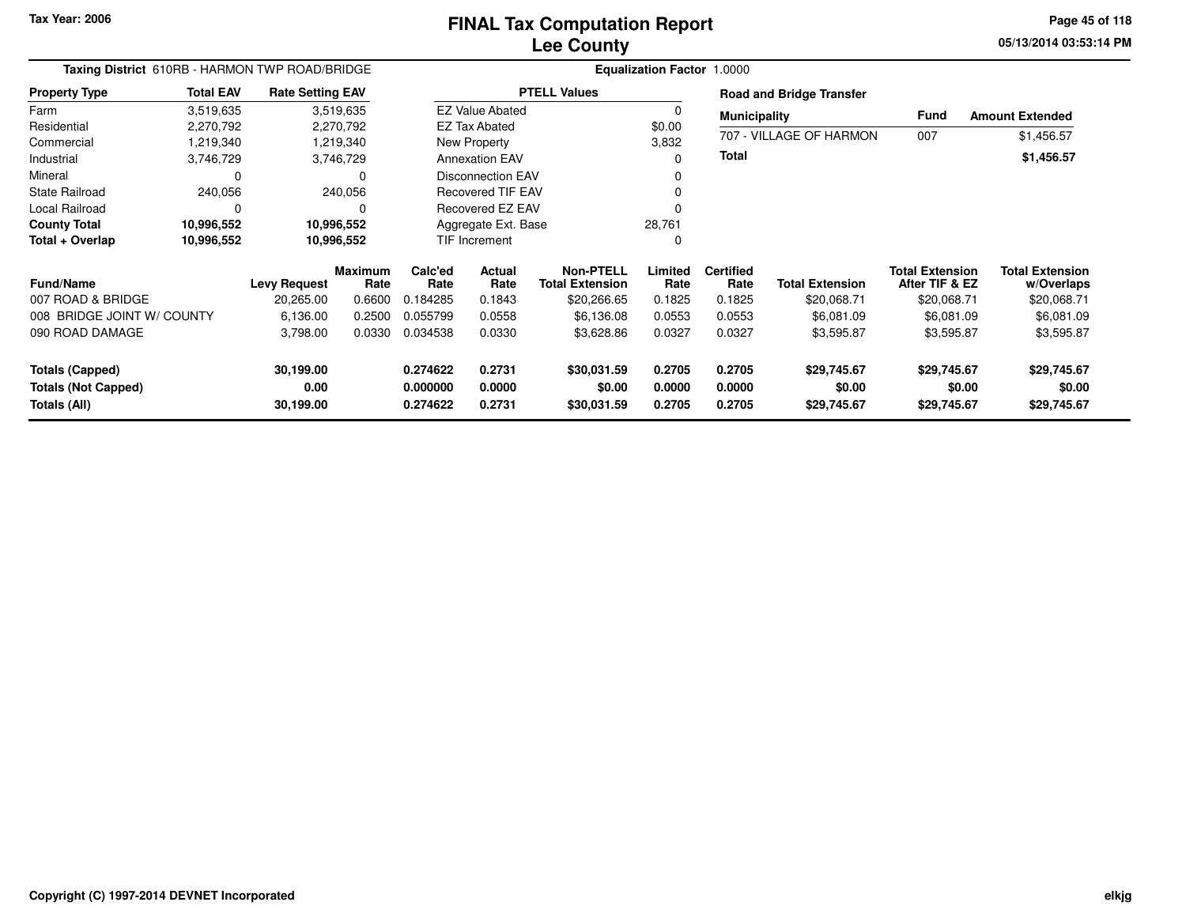**05/13/2014 03:53:14 PM Page 45 of 118**

| Taxing District 610RB - HARMON TWP ROAD/BRIDGE                  |                  |                         |                        | Equalization Factor 1.0000 |                          |                                            |                  |                          |                                 |                                          |                                      |  |  |
|-----------------------------------------------------------------|------------------|-------------------------|------------------------|----------------------------|--------------------------|--------------------------------------------|------------------|--------------------------|---------------------------------|------------------------------------------|--------------------------------------|--|--|
| <b>Property Type</b>                                            | <b>Total EAV</b> | <b>Rate Setting EAV</b> |                        |                            |                          | <b>PTELL Values</b>                        |                  |                          | <b>Road and Bridge Transfer</b> |                                          |                                      |  |  |
| Farm                                                            | 3,519,635        |                         | 3,519,635              |                            | <b>EZ Value Abated</b>   |                                            | $\Omega$         | <b>Municipality</b>      |                                 | Fund                                     | <b>Amount Extended</b>               |  |  |
| Residential                                                     | 2,270,792        |                         | 2,270,792              |                            | <b>EZ Tax Abated</b>     |                                            | \$0.00           | 707 - VILLAGE OF HARMON  |                                 |                                          |                                      |  |  |
| Commercial                                                      | 1,219,340        |                         | 1,219,340              |                            | New Property             |                                            | 3,832            |                          |                                 | 007                                      | \$1,456.57                           |  |  |
| Industrial                                                      | 3,746,729        |                         | 3,746,729              |                            | <b>Annexation EAV</b>    |                                            | 0                | <b>Total</b>             |                                 |                                          | \$1,456.57                           |  |  |
| Mineral                                                         | 0                |                         | 0                      |                            | <b>Disconnection EAV</b> |                                            | 0                |                          |                                 |                                          |                                      |  |  |
| State Railroad                                                  | 240,056          |                         | 240,056                |                            | <b>Recovered TIF EAV</b> |                                            | 0                |                          |                                 |                                          |                                      |  |  |
| Local Railroad                                                  | 0                |                         | 0                      |                            | Recovered EZ EAV         |                                            | O                |                          |                                 |                                          |                                      |  |  |
| <b>County Total</b>                                             | 10,996,552       |                         | 10,996,552             |                            | Aggregate Ext. Base      |                                            | 28,761           |                          |                                 |                                          |                                      |  |  |
| Total + Overlap                                                 | 10,996,552       |                         | 10,996,552             | <b>TIF Increment</b>       |                          |                                            | 0                |                          |                                 |                                          |                                      |  |  |
| <b>Fund/Name</b>                                                |                  | <b>Levy Request</b>     | <b>Maximum</b><br>Rate | Calc'ed<br>Rate            | Actual<br>Rate           | <b>Non-PTELL</b><br><b>Total Extension</b> | Limited<br>Rate  | <b>Certified</b><br>Rate | <b>Total Extension</b>          | <b>Total Extension</b><br>After TIF & EZ | <b>Total Extension</b><br>w/Overlaps |  |  |
| 007 ROAD & BRIDGE                                               |                  | 20,265.00               | 0.6600                 | 0.184285                   | 0.1843                   | \$20,266.65                                | 0.1825           | 0.1825                   | \$20,068.71                     | \$20,068.71                              | \$20,068.71                          |  |  |
| 008 BRIDGE JOINT W/ COUNTY                                      |                  | 6,136.00                | 0.2500                 | 0.055799                   | 0.0558                   | \$6,136.08                                 | 0.0553           | 0.0553                   | \$6,081.09                      | \$6,081.09                               | \$6,081.09                           |  |  |
| 090 ROAD DAMAGE                                                 |                  | 3,798.00                | 0.0330                 | 0.034538                   | 0.0330                   | \$3,628.86                                 | 0.0327           | 0.0327                   | \$3,595.87                      | \$3,595.87                               | \$3,595.87                           |  |  |
| <b>Totals (Capped)</b>                                          |                  | 30,199.00               |                        | 0.274622                   | 0.2731                   | \$30,031.59                                | 0.2705           | 0.2705                   | \$29,745.67                     | \$29,745.67                              | \$29,745.67                          |  |  |
| 0.00<br><b>Totals (Not Capped)</b><br>Totals (All)<br>30,199.00 |                  |                         |                        | 0.000000<br>0.274622       | 0.0000<br>0.2731         | \$0.00<br>\$30,031.59                      | 0.0000<br>0.2705 | 0.0000<br>0.2705         | \$0.00<br>\$29,745.67           | \$0.00<br>\$29,745.67                    | \$0.00<br>\$29,745.67                |  |  |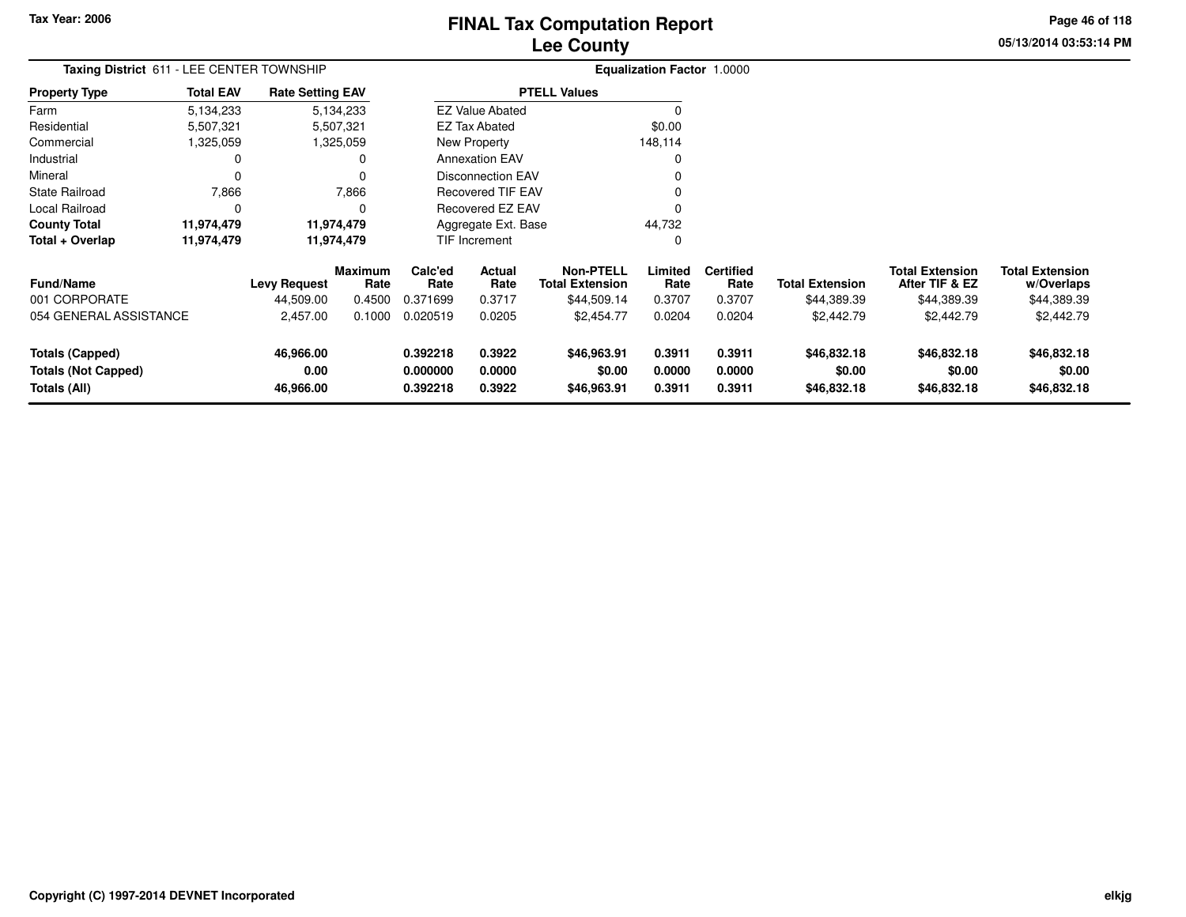# **Lee CountyFINAL Tax Computation Report** FINAL Tax Computation Report

**05/13/2014 03:53:14 PM Page 46 of 118**

|                                                      | Taxing District 611 - LEE CENTER TOWNSHIP |                         |                        |                      |                          |                                            | <b>Equalization Factor 1.0000</b> |                          |                        |                                          |                                      |
|------------------------------------------------------|-------------------------------------------|-------------------------|------------------------|----------------------|--------------------------|--------------------------------------------|-----------------------------------|--------------------------|------------------------|------------------------------------------|--------------------------------------|
| <b>Property Type</b>                                 | <b>Total EAV</b>                          | <b>Rate Setting EAV</b> |                        |                      |                          | <b>PTELL Values</b>                        |                                   |                          |                        |                                          |                                      |
| Farm                                                 | 5,134,233                                 |                         | 5,134,233              |                      | <b>EZ Value Abated</b>   |                                            | $\Omega$                          |                          |                        |                                          |                                      |
| Residential                                          | 5,507,321                                 |                         | 5,507,321              |                      | <b>EZ Tax Abated</b>     |                                            | \$0.00                            |                          |                        |                                          |                                      |
| Commercial                                           | 325,059,                                  |                         | 1,325,059              |                      | New Property             |                                            | 148,114                           |                          |                        |                                          |                                      |
| Industrial                                           | 0                                         |                         | 0                      |                      | <b>Annexation EAV</b>    |                                            | $\Omega$                          |                          |                        |                                          |                                      |
| Mineral                                              | 0                                         |                         | 0                      |                      | <b>Disconnection EAV</b> |                                            | 0                                 |                          |                        |                                          |                                      |
| <b>State Railroad</b>                                | 7,866                                     |                         | 7,866                  |                      | Recovered TIF EAV        |                                            | O                                 |                          |                        |                                          |                                      |
| Local Railroad                                       | $\Omega$                                  |                         | $\Omega$               |                      | <b>Recovered EZ EAV</b>  |                                            | $\Omega$                          |                          |                        |                                          |                                      |
| <b>County Total</b>                                  | 11,974,479                                |                         | 11,974,479             |                      | Aggregate Ext. Base      |                                            | 44,732                            |                          |                        |                                          |                                      |
| Total + Overlap                                      | 11,974,479                                |                         | 11,974,479             |                      | TIF Increment            |                                            | $\Omega$                          |                          |                        |                                          |                                      |
| <b>Fund/Name</b>                                     |                                           | <b>Levy Request</b>     | <b>Maximum</b><br>Rate | Calc'ed<br>Rate      | Actual<br>Rate           | <b>Non-PTELL</b><br><b>Total Extension</b> | Limited<br>Rate                   | <b>Certified</b><br>Rate | <b>Total Extension</b> | <b>Total Extension</b><br>After TIF & EZ | <b>Total Extension</b><br>w/Overlaps |
| 001 CORPORATE                                        |                                           | 44,509.00               | 0.4500                 | 0.371699             | 0.3717                   | \$44,509.14                                | 0.3707                            | 0.3707                   | \$44,389.39            | \$44,389.39                              | \$44,389.39                          |
| 054 GENERAL ASSISTANCE                               |                                           | 2,457.00                | 0.1000                 | 0.020519             | 0.0205                   | \$2,454.77                                 | 0.0204                            | 0.0204                   | \$2,442.79             | \$2,442.79                               | \$2,442.79                           |
| <b>Totals (Capped)</b><br><b>Totals (Not Capped)</b> |                                           | 46,966.00<br>0.00       |                        | 0.392218<br>0.000000 | 0.3922<br>0.0000         | \$46,963.91<br>\$0.00                      | 0.3911<br>0.0000                  | 0.3911<br>0.0000         | \$46,832.18<br>\$0.00  | \$46,832.18<br>\$0.00                    | \$46,832.18<br>\$0.00                |
| Totals (All)                                         |                                           | 46,966.00               |                        | 0.392218             | 0.3922                   | \$46,963.91                                | 0.3911                            | 0.3911                   | \$46,832.18            | \$46,832.18                              | \$46,832.18                          |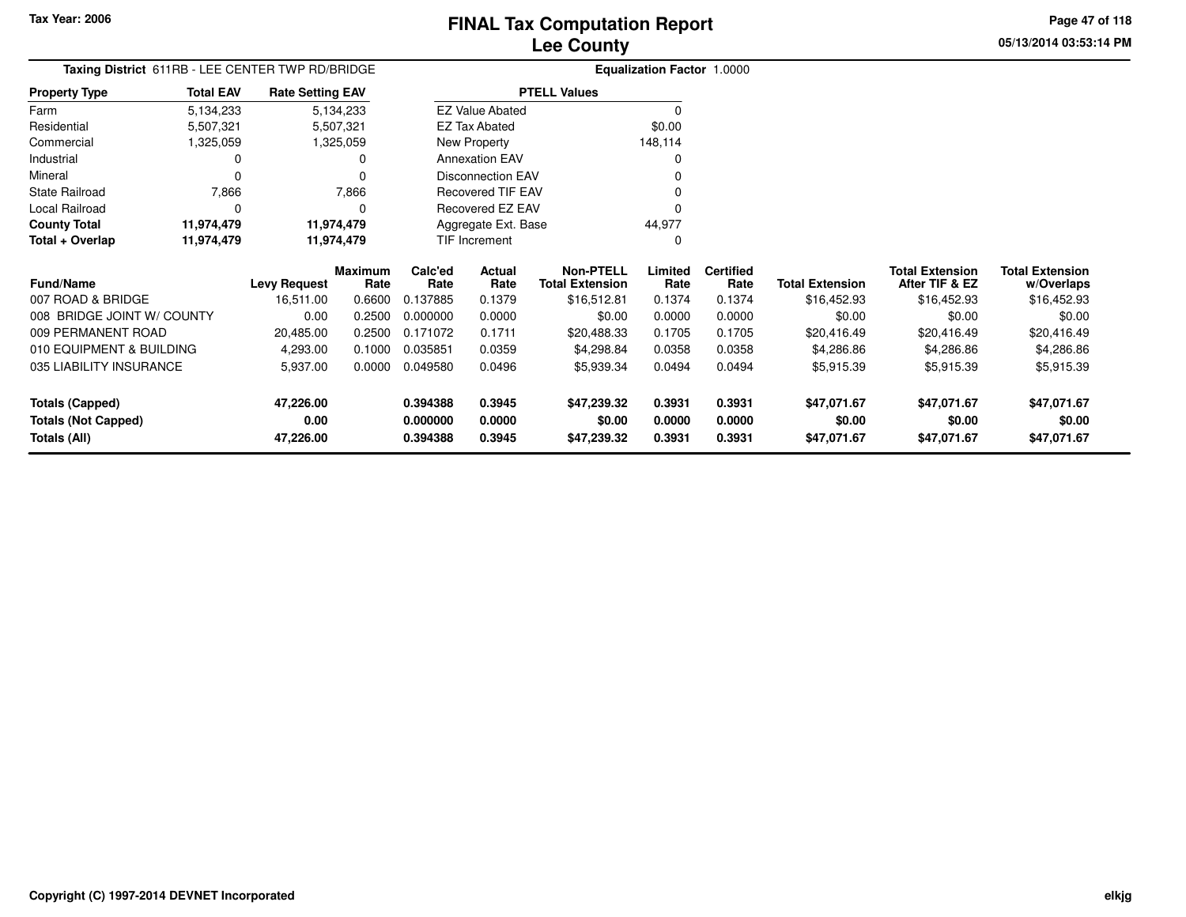# **Lee CountyFINAL Tax Computation Report**

**05/13/2014 03:53:14 PMPage 47 of 118**

| Taxing District 611RB - LEE CENTER TWP RD/BRIDGE |                  |                         |                 |                 |                          |                                            | Equalization Factor 1.0000 |                          |                        |                                          |                                      |
|--------------------------------------------------|------------------|-------------------------|-----------------|-----------------|--------------------------|--------------------------------------------|----------------------------|--------------------------|------------------------|------------------------------------------|--------------------------------------|
| <b>Property Type</b>                             | <b>Total EAV</b> | <b>Rate Setting EAV</b> |                 |                 |                          | <b>PTELL Values</b>                        |                            |                          |                        |                                          |                                      |
| Farm                                             | 5,134,233        |                         | 5,134,233       |                 | <b>EZ Value Abated</b>   |                                            | $\Omega$                   |                          |                        |                                          |                                      |
| Residential                                      | 5,507,321        |                         | 5,507,321       |                 | EZ Tax Abated            |                                            | \$0.00                     |                          |                        |                                          |                                      |
| Commercial                                       | 1,325,059        |                         | 1,325,059       |                 | New Property             |                                            | 148,114                    |                          |                        |                                          |                                      |
| Industrial                                       | 0                |                         | 0               |                 | <b>Annexation EAV</b>    |                                            | $\Omega$                   |                          |                        |                                          |                                      |
| Mineral                                          | $\Omega$         |                         | 0               |                 | <b>Disconnection EAV</b> |                                            |                            |                          |                        |                                          |                                      |
| <b>State Railroad</b>                            | 7,866            |                         | 7,866           |                 | Recovered TIF EAV        |                                            |                            |                          |                        |                                          |                                      |
| Local Railroad                                   | 0                |                         | 0               |                 | Recovered EZ EAV         |                                            | O                          |                          |                        |                                          |                                      |
| <b>County Total</b>                              | 11,974,479       | 11,974,479              |                 |                 | Aggregate Ext. Base      |                                            | 44,977                     |                          |                        |                                          |                                      |
| Total + Overlap                                  | 11,974,479       | 11,974,479              |                 |                 | TIF Increment            |                                            | $\Omega$                   |                          |                        |                                          |                                      |
| Fund/Name                                        |                  | <b>Levy Request</b>     | Maximum<br>Rate | Calc'ed<br>Rate | Actual<br>Rate           | <b>Non-PTELL</b><br><b>Total Extension</b> | Limited<br>Rate            | <b>Certified</b><br>Rate | <b>Total Extension</b> | <b>Total Extension</b><br>After TIF & EZ | <b>Total Extension</b><br>w/Overlaps |
| 007 ROAD & BRIDGE                                |                  | 16,511.00               | 0.6600          | 0.137885        | 0.1379                   | \$16,512.81                                | 0.1374                     | 0.1374                   | \$16,452.93            | \$16,452.93                              | \$16,452.93                          |
| 008 BRIDGE JOINT W/ COUNTY                       |                  | 0.00                    | 0.2500          | 0.000000        | 0.0000                   | \$0.00                                     | 0.0000                     | 0.0000                   | \$0.00                 | \$0.00                                   | \$0.00                               |
| 009 PERMANENT ROAD                               |                  | 20,485.00               | 0.2500          | 0.171072        | 0.1711                   | \$20,488.33                                | 0.1705                     | 0.1705                   | \$20,416.49            | \$20,416.49                              | \$20,416.49                          |
| 010 EQUIPMENT & BUILDING                         |                  | 4,293.00                | 0.1000          | 0.035851        | 0.0359                   | \$4,298.84                                 | 0.0358                     | 0.0358                   | \$4,286.86             | \$4,286.86                               | \$4,286.86                           |
| 035 LIABILITY INSURANCE                          |                  | 5,937.00                | 0.0000          | 0.049580        | 0.0496                   | \$5,939.34                                 | 0.0494                     | 0.0494                   | \$5,915.39             | \$5,915.39                               | \$5,915.39                           |
| <b>Totals (Capped)</b>                           |                  | 47,226.00               |                 | 0.394388        | 0.3945                   | \$47,239.32                                | 0.3931                     | 0.3931                   | \$47,071.67            | \$47,071.67                              | \$47,071.67                          |
| <b>Totals (Not Capped)</b>                       |                  | 0.00                    |                 | 0.000000        | 0.0000                   | \$0.00                                     | 0.0000                     | 0.0000                   | \$0.00                 | \$0.00                                   | \$0.00                               |
| Totals (All)                                     |                  | 47,226.00               |                 | 0.394388        | 0.3945                   | \$47,239.32                                | 0.3931                     | 0.3931                   | \$47,071.67            | \$47,071.67                              | \$47,071.67                          |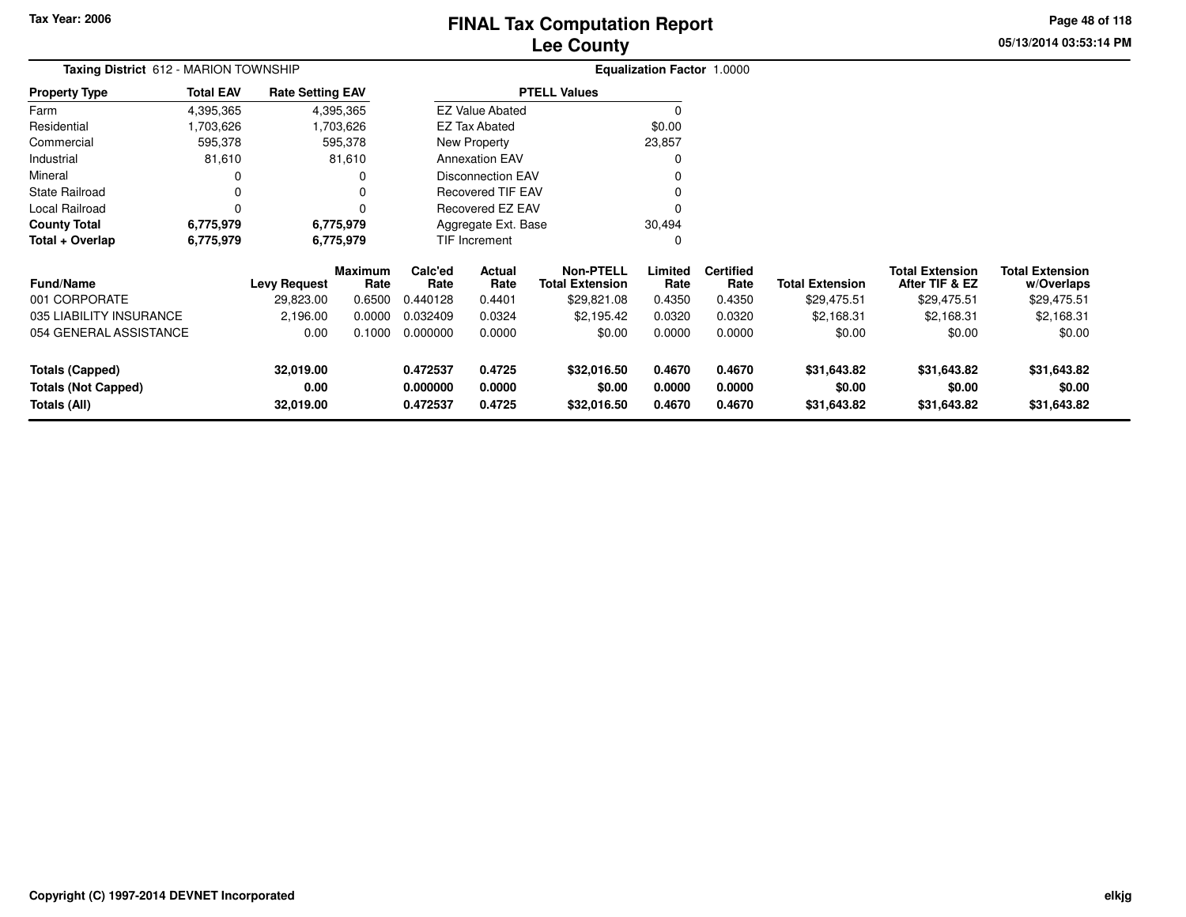# **Lee CountyFINAL Tax Computation Report**

**05/13/2014 03:53:14 PMPage 48 of 118**

| Taxing District 612 - MARION TOWNSHIP |                  |                         |                        |                 |                          |                                     | Equalization Factor 1.0000 |                          |                        |                                          |                                      |
|---------------------------------------|------------------|-------------------------|------------------------|-----------------|--------------------------|-------------------------------------|----------------------------|--------------------------|------------------------|------------------------------------------|--------------------------------------|
| <b>Property Type</b>                  | <b>Total EAV</b> | <b>Rate Setting EAV</b> |                        |                 |                          | <b>PTELL Values</b>                 |                            |                          |                        |                                          |                                      |
| Farm                                  | 4,395,365        |                         | 4,395,365              |                 | EZ Value Abated          |                                     |                            |                          |                        |                                          |                                      |
| Residential                           | 703,626.         |                         | 1,703,626              |                 | EZ Tax Abated            |                                     | \$0.00                     |                          |                        |                                          |                                      |
| Commercial                            | 595,378          |                         | 595,378                |                 | New Property             |                                     | 23,857                     |                          |                        |                                          |                                      |
| Industrial                            | 81,610           |                         | 81,610                 |                 | <b>Annexation EAV</b>    |                                     |                            |                          |                        |                                          |                                      |
| Mineral                               |                  |                         | O                      |                 | <b>Disconnection EAV</b> |                                     |                            |                          |                        |                                          |                                      |
| State Railroad                        |                  |                         |                        |                 | <b>Recovered TIF EAV</b> |                                     |                            |                          |                        |                                          |                                      |
| Local Railroad                        | $\Omega$         |                         | O                      |                 | Recovered EZ EAV         |                                     |                            |                          |                        |                                          |                                      |
| <b>County Total</b>                   | 6,775,979        |                         | 6,775,979              |                 | Aggregate Ext. Base      |                                     | 30,494                     |                          |                        |                                          |                                      |
| Total + Overlap                       | 6,775,979        |                         | 6,775,979              |                 | TIF Increment            |                                     | 0                          |                          |                        |                                          |                                      |
| <b>Fund/Name</b>                      |                  | <b>Levy Request</b>     | <b>Maximum</b><br>Rate | Calc'ed<br>Rate | Actual<br>Rate           | <b>Non-PTELL</b><br>Total Extension | Limited<br>Rate            | <b>Certified</b><br>Rate | <b>Total Extension</b> | <b>Total Extension</b><br>After TIF & EZ | <b>Total Extension</b><br>w/Overlaps |
| 001 CORPORATE                         |                  | 29,823.00               | 0.6500                 | 0.440128        | 0.4401                   | \$29,821.08                         | 0.4350                     | 0.4350                   | \$29,475.51            | \$29,475.51                              | \$29,475.51                          |
| 035 LIABILITY INSURANCE               |                  | 2,196.00                | 0.0000                 | 0.032409        | 0.0324                   | \$2,195.42                          | 0.0320                     | 0.0320                   | \$2,168.31             | \$2,168.31                               | \$2,168.31                           |
| 054 GENERAL ASSISTANCE                |                  | 0.00                    | 0.1000                 | 0.000000        | 0.0000                   | \$0.00                              | 0.0000                     | 0.0000                   | \$0.00                 | \$0.00                                   | \$0.00                               |

| 035 LIABILITY INSURANCE | 2.196.00  | 0.0000 | 0.032409 | 0.0324 | \$2.195.42  | 0.0320 | 0.0320 | \$2.168.31  | \$2,168.31  | \$2,168.31  |
|-------------------------|-----------|--------|----------|--------|-------------|--------|--------|-------------|-------------|-------------|
| 054 GENERAL ASSISTANCE  | 0.00      | 0.1000 | 0.000000 | 0.0000 | \$0.00      | 0.0000 | 0.0000 | \$0.00      | \$0.00      | \$0.00      |
|                         |           |        |          |        |             |        |        |             |             |             |
| Totals (Capped)         | 32.019.00 |        | 0.472537 | 0.4725 | \$32,016.50 | 0.4670 | 0.4670 | \$31,643.82 | \$31,643.82 | \$31,643.82 |
| Totals (Not Capped)     | 0.00      |        | 0.000000 | 0.0000 | \$0.00      | 0.0000 | 0.0000 | \$0.00      | \$0.00      | \$0.00      |
| Totals (All)            | 32,019.00 |        | 0.472537 | 0.4725 | \$32,016.50 | 0.4670 | 0.4670 | \$31,643.82 | \$31,643.82 | \$31,643.82 |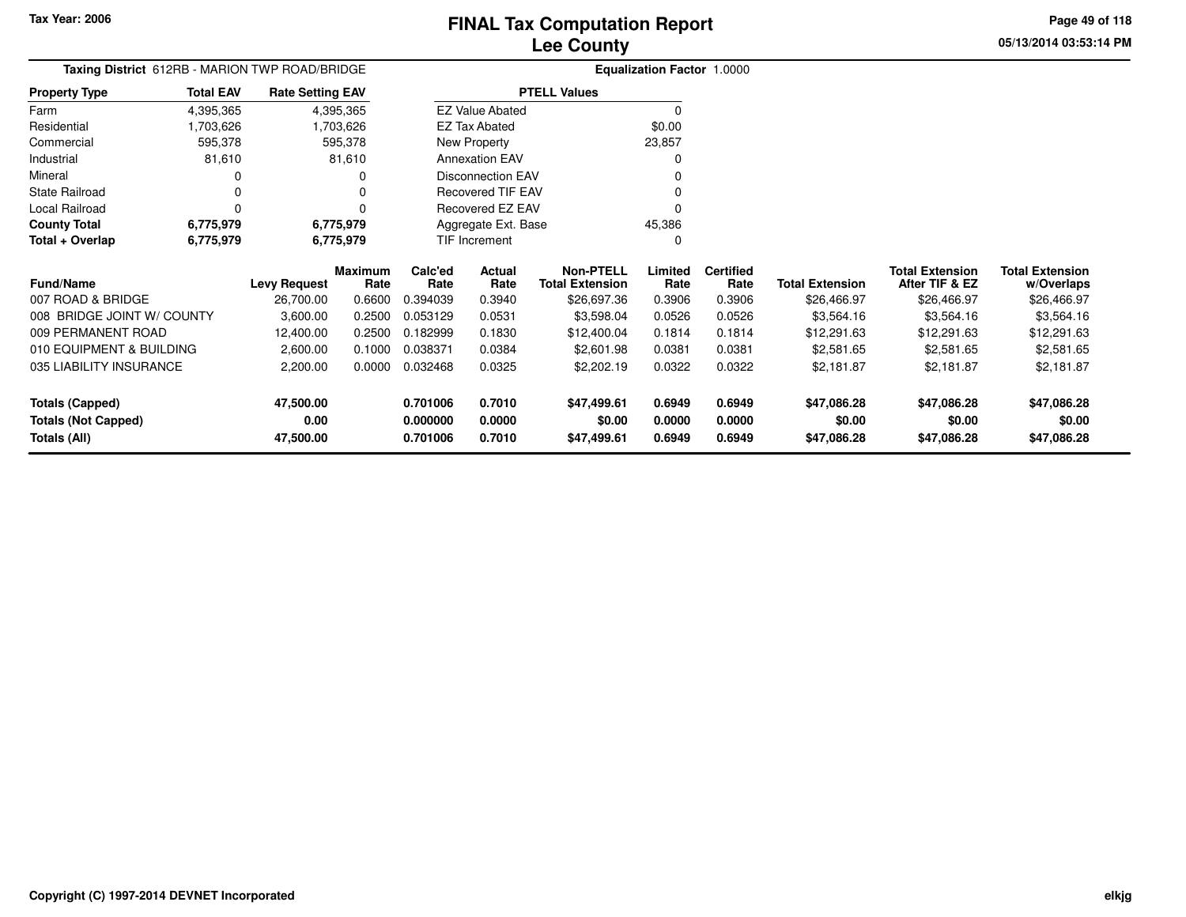#### **Lee CountyFINAL Tax Computation Report**

**05/13/2014 03:53:14 PMPage 49 of 118**

|                            | Taxing District 612RB - MARION TWP ROAD/BRIDGE<br><b>Total EAV</b><br><b>Rate Setting EAV</b> |                     |                 |                 |                          |                                            | Equalization Factor 1.0000 |                          |                        |                                          |                                      |
|----------------------------|-----------------------------------------------------------------------------------------------|---------------------|-----------------|-----------------|--------------------------|--------------------------------------------|----------------------------|--------------------------|------------------------|------------------------------------------|--------------------------------------|
| <b>Property Type</b>       |                                                                                               |                     |                 |                 |                          | <b>PTELL Values</b>                        |                            |                          |                        |                                          |                                      |
| Farm                       | 4,395,365                                                                                     |                     | 4,395,365       |                 | <b>EZ Value Abated</b>   |                                            | $\Omega$                   |                          |                        |                                          |                                      |
| Residential                | 1,703,626                                                                                     |                     | 1,703,626       |                 | <b>EZ Tax Abated</b>     |                                            | \$0.00                     |                          |                        |                                          |                                      |
| Commercial                 | 595,378                                                                                       |                     | 595,378         |                 | New Property             |                                            | 23,857                     |                          |                        |                                          |                                      |
| Industrial                 | 81,610                                                                                        |                     | 81,610          |                 | <b>Annexation EAV</b>    |                                            |                            |                          |                        |                                          |                                      |
| Mineral                    | 0                                                                                             |                     | 0               |                 | <b>Disconnection EAV</b> |                                            |                            |                          |                        |                                          |                                      |
| <b>State Railroad</b>      | 0                                                                                             |                     |                 |                 | <b>Recovered TIF EAV</b> |                                            |                            |                          |                        |                                          |                                      |
| Local Railroad             | 0                                                                                             |                     | $\Omega$        |                 | Recovered EZ EAV         |                                            |                            |                          |                        |                                          |                                      |
| <b>County Total</b>        | 6,775,979                                                                                     |                     | 6,775,979       |                 | Aggregate Ext. Base      |                                            | 45,386                     |                          |                        |                                          |                                      |
| Total + Overlap            | 6,775,979                                                                                     |                     | 6,775,979       |                 | TIF Increment            |                                            | O                          |                          |                        |                                          |                                      |
| <b>Fund/Name</b>           |                                                                                               | <b>Levy Request</b> | Maximum<br>Rate | Calc'ed<br>Rate | Actual<br>Rate           | <b>Non-PTELL</b><br><b>Total Extension</b> | Limited<br>Rate            | <b>Certified</b><br>Rate | <b>Total Extension</b> | <b>Total Extension</b><br>After TIF & EZ | <b>Total Extension</b><br>w/Overlaps |
| 007 ROAD & BRIDGE          |                                                                                               | 26,700.00           | 0.6600          | 0.394039        | 0.3940                   | \$26,697.36                                | 0.3906                     | 0.3906                   | \$26,466.97            | \$26,466.97                              | \$26,466.97                          |
| 008 BRIDGE JOINT W/ COUNTY |                                                                                               | 3,600.00            | 0.2500          | 0.053129        | 0.0531                   | \$3,598.04                                 | 0.0526                     | 0.0526                   | \$3,564.16             | \$3,564.16                               | \$3,564.16                           |
| 009 PERMANENT ROAD         |                                                                                               | 12,400.00           | 0.2500          | 0.182999        | 0.1830                   | \$12,400.04                                | 0.1814                     | 0.1814                   | \$12,291.63            | \$12,291.63                              | \$12,291.63                          |
| 010 EQUIPMENT & BUILDING   |                                                                                               | 2,600.00            | 0.1000          | 0.038371        | 0.0384                   | \$2,601.98                                 | 0.0381                     | 0.0381                   | \$2,581.65             | \$2,581.65                               | \$2,581.65                           |
| 035 LIABILITY INSURANCE    |                                                                                               | 2,200.00            | 0.0000          | 0.032468        | 0.0325                   | \$2,202.19                                 | 0.0322                     | 0.0322                   | \$2,181.87             | \$2,181.87                               | \$2,181.87                           |
| <b>Totals (Capped)</b>     |                                                                                               | 47,500.00           |                 | 0.701006        | 0.7010                   | \$47,499.61                                | 0.6949                     | 0.6949                   | \$47,086.28            | \$47,086.28                              | \$47,086.28                          |
| <b>Totals (Not Capped)</b> |                                                                                               | 0.00                |                 | 0.000000        | 0.0000                   | \$0.00                                     | 0.0000                     | 0.0000                   | \$0.00                 | \$0.00                                   | \$0.00                               |
| Totals (All)               |                                                                                               | 47,500.00           |                 | 0.701006        | 0.7010                   | \$47,499.61                                | 0.6949                     | 0.6949                   | \$47,086.28            | \$47,086.28                              | \$47,086.28                          |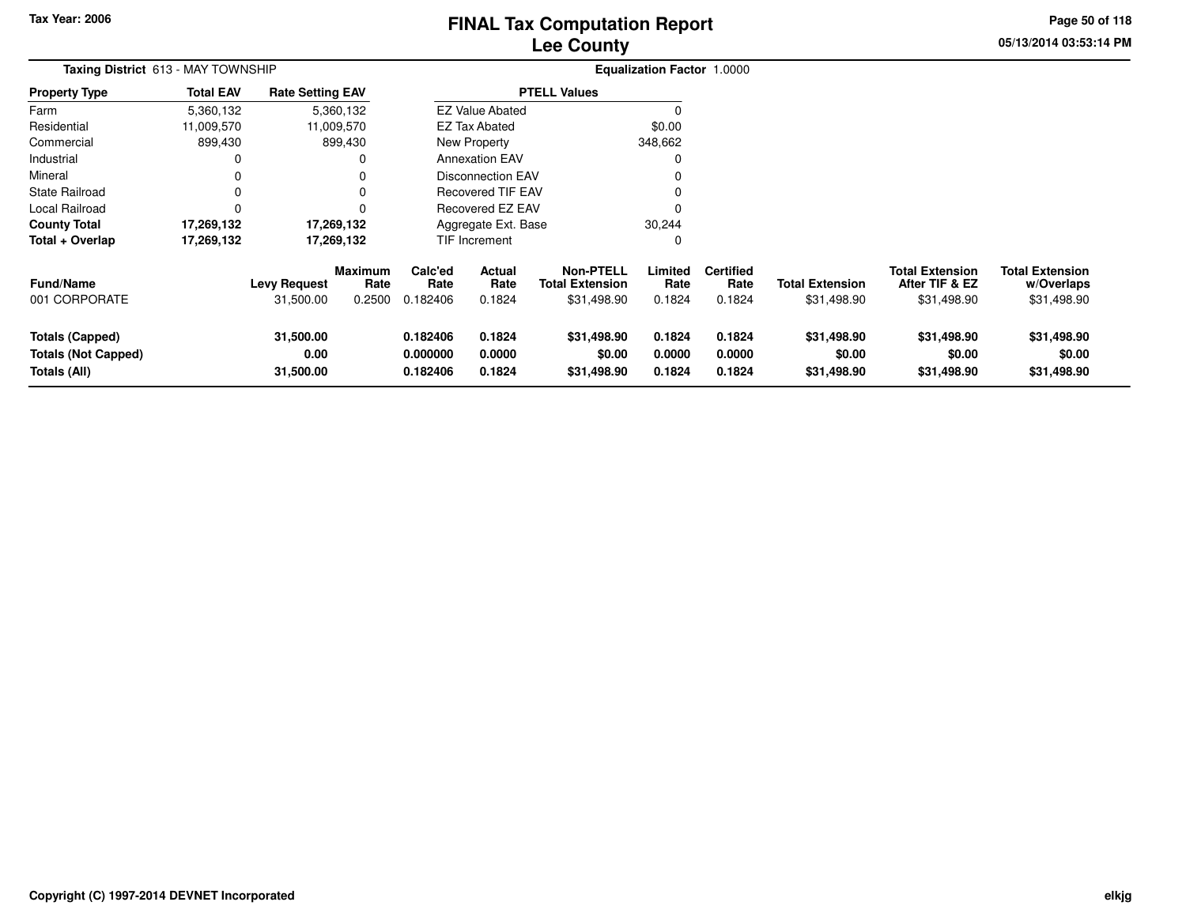# **Lee CountyFINAL Tax Computation Report** FINAL Tax Computation Report

**05/13/2014 03:53:14 PM Page 50 of 118**

| Taxing District 613 - MAY TOWNSHIP                                   |                  |                                  |                                  |                                  |                            |                                                           | Equalization Factor 1.0000 |                                    |                                       |                                                         |                                                     |
|----------------------------------------------------------------------|------------------|----------------------------------|----------------------------------|----------------------------------|----------------------------|-----------------------------------------------------------|----------------------------|------------------------------------|---------------------------------------|---------------------------------------------------------|-----------------------------------------------------|
| <b>Property Type</b>                                                 | <b>Total EAV</b> | <b>Rate Setting EAV</b>          |                                  |                                  |                            | <b>PTELL Values</b>                                       |                            |                                    |                                       |                                                         |                                                     |
| Farm                                                                 | 5,360,132        |                                  | 5,360,132                        |                                  | <b>EZ Value Abated</b>     |                                                           |                            |                                    |                                       |                                                         |                                                     |
| Residential                                                          | 11,009,570       |                                  | 11,009,570                       |                                  | <b>EZ Tax Abated</b>       |                                                           | \$0.00                     |                                    |                                       |                                                         |                                                     |
| Commercial                                                           | 899,430          |                                  | 899,430                          |                                  | New Property               |                                                           | 348,662                    |                                    |                                       |                                                         |                                                     |
| Industrial                                                           | 0                |                                  | 0                                |                                  | <b>Annexation EAV</b>      |                                                           |                            |                                    |                                       |                                                         |                                                     |
| Mineral                                                              | 0                |                                  | 0                                |                                  | Disconnection EAV          |                                                           |                            |                                    |                                       |                                                         |                                                     |
| <b>State Railroad</b>                                                | 0                |                                  | $\Omega$                         |                                  | <b>Recovered TIF EAV</b>   |                                                           |                            |                                    |                                       |                                                         |                                                     |
| Local Railroad                                                       |                  |                                  | $\Omega$                         |                                  | Recovered EZ EAV           |                                                           |                            |                                    |                                       |                                                         |                                                     |
| <b>County Total</b>                                                  | 17,269,132       |                                  | 17,269,132                       |                                  | Aggregate Ext. Base        |                                                           | 30,244                     |                                    |                                       |                                                         |                                                     |
| Total + Overlap                                                      | 17,269,132       |                                  | 17,269,132                       |                                  | TIF Increment              |                                                           | 0                          |                                    |                                       |                                                         |                                                     |
| <b>Fund/Name</b><br>001 CORPORATE                                    |                  | <b>Levy Request</b><br>31,500.00 | <b>Maximum</b><br>Rate<br>0.2500 | Calc'ed<br>Rate<br>0.182406      | Actual<br>Rate<br>0.1824   | <b>Non-PTELL</b><br><b>Total Extension</b><br>\$31,498.90 | Limited<br>Rate<br>0.1824  | <b>Certified</b><br>Rate<br>0.1824 | <b>Total Extension</b><br>\$31,498.90 | <b>Total Extension</b><br>After TIF & EZ<br>\$31,498.90 | <b>Total Extension</b><br>w/Overlaps<br>\$31,498.90 |
| <b>Totals (Capped)</b><br><b>Totals (Not Capped)</b><br>Totals (All) |                  | 31,500.00<br>0.00<br>31,500.00   |                                  | 0.182406<br>0.000000<br>0.182406 | 0.1824<br>0.0000<br>0.1824 | \$31,498.90<br>\$0.00<br>\$31,498.90                      | 0.1824<br>0.0000<br>0.1824 | 0.1824<br>0.0000<br>0.1824         | \$31,498.90<br>\$0.00<br>\$31,498.90  | \$31,498.90<br>\$0.00<br>\$31,498.90                    | \$31,498.90<br>\$0.00<br>\$31,498.90                |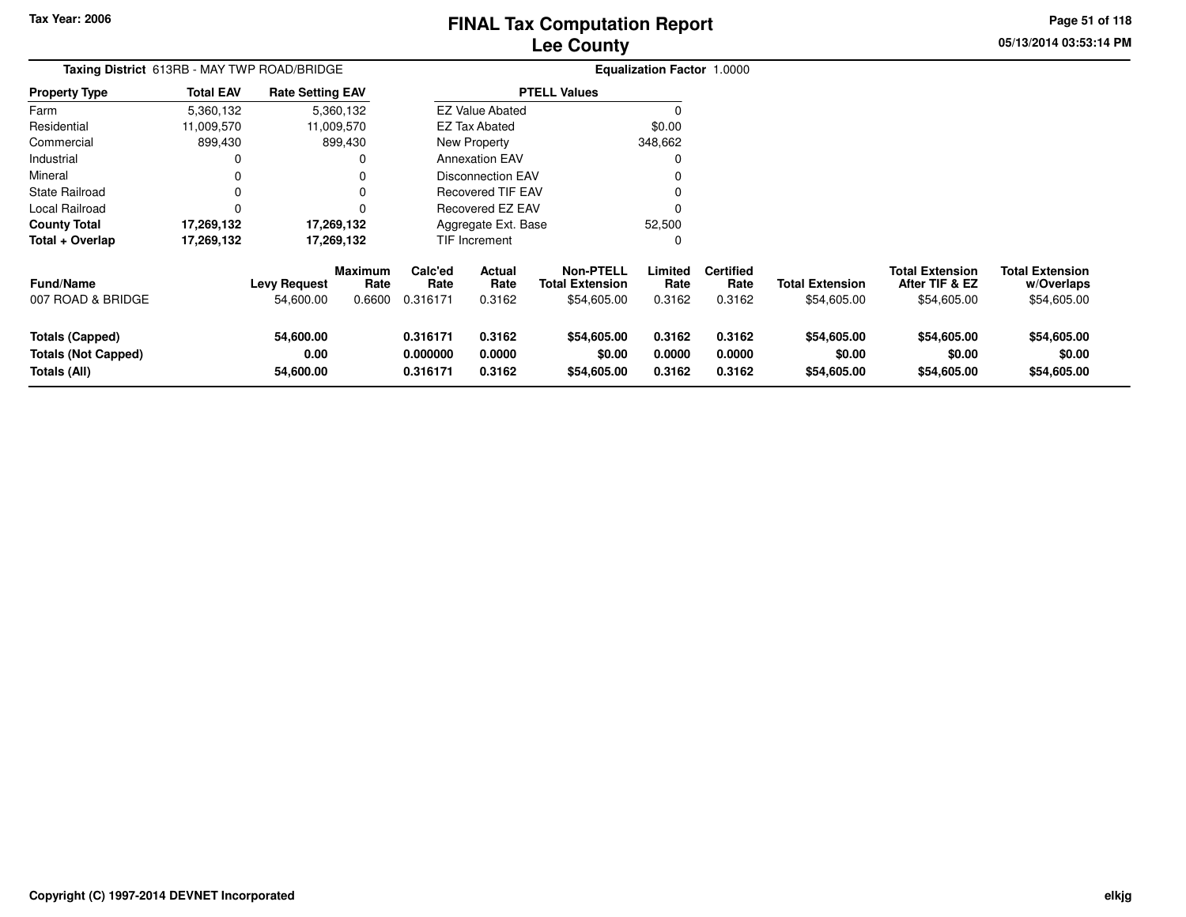# **Lee CountyFINAL Tax Computation Report** FINAL Tax Computation Report

**05/13/2014 03:53:14 PM Page 51 of 118**

| Taxing District 613RB - MAY TWP ROAD/BRIDGE                          |                  |                                  |                                  |                                  |                                 |                                                           | Equalization Factor 1.0000 |                                    |                                       |                                                         |                                                     |
|----------------------------------------------------------------------|------------------|----------------------------------|----------------------------------|----------------------------------|---------------------------------|-----------------------------------------------------------|----------------------------|------------------------------------|---------------------------------------|---------------------------------------------------------|-----------------------------------------------------|
| Property Type                                                        | <b>Total EAV</b> | <b>Rate Setting EAV</b>          |                                  |                                  |                                 | <b>PTELL Values</b>                                       |                            |                                    |                                       |                                                         |                                                     |
| Farm                                                                 | 5,360,132        |                                  | 5,360,132                        |                                  | <b>EZ Value Abated</b>          |                                                           |                            |                                    |                                       |                                                         |                                                     |
| Residential                                                          | 11,009,570       |                                  | 11,009,570                       |                                  | EZ Tax Abated                   |                                                           | \$0.00                     |                                    |                                       |                                                         |                                                     |
| Commercial                                                           | 899,430          |                                  | 899,430                          |                                  | New Property                    |                                                           | 348,662                    |                                    |                                       |                                                         |                                                     |
| Industrial                                                           | 0                |                                  | 0                                |                                  | <b>Annexation EAV</b>           |                                                           |                            |                                    |                                       |                                                         |                                                     |
| Mineral                                                              | 0                |                                  |                                  |                                  | Disconnection EAV               |                                                           |                            |                                    |                                       |                                                         |                                                     |
| State Railroad                                                       | 0                |                                  | 0                                |                                  | <b>Recovered TIF EAV</b>        |                                                           |                            |                                    |                                       |                                                         |                                                     |
| Local Railroad                                                       | 0                |                                  | 0                                |                                  | Recovered EZ EAV                |                                                           |                            |                                    |                                       |                                                         |                                                     |
| County Total                                                         | 17,269,132       |                                  | 17,269,132                       |                                  | Aggregate Ext. Base             |                                                           | 52,500                     |                                    |                                       |                                                         |                                                     |
| Total + Overlap                                                      | 17,269,132       |                                  | 17,269,132                       |                                  | TIF Increment                   |                                                           |                            |                                    |                                       |                                                         |                                                     |
| Fund/Name<br>007 ROAD & BRIDGE                                       |                  | <b>Levy Request</b><br>54,600.00 | <b>Maximum</b><br>Rate<br>0.6600 | Calc'ed<br>Rate<br>0.316171      | <b>Actual</b><br>Rate<br>0.3162 | <b>Non-PTELL</b><br><b>Total Extension</b><br>\$54,605.00 | Limited<br>Rate<br>0.3162  | <b>Certified</b><br>Rate<br>0.3162 | <b>Total Extension</b><br>\$54,605.00 | <b>Total Extension</b><br>After TIF & EZ<br>\$54,605.00 | <b>Total Extension</b><br>w/Overlaps<br>\$54,605.00 |
| <b>Totals (Capped)</b><br><b>Totals (Not Capped)</b><br>Totals (All) |                  | 54,600.00<br>0.00<br>54,600.00   |                                  | 0.316171<br>0.000000<br>0.316171 | 0.3162<br>0.0000<br>0.3162      | \$54,605.00<br>\$0.00<br>\$54,605.00                      | 0.3162<br>0.0000<br>0.3162 | 0.3162<br>0.0000<br>0.3162         | \$54,605.00<br>\$0.00<br>\$54,605.00  | \$54,605.00<br>\$0.00<br>\$54,605.00                    | \$54,605.00<br>\$0.00<br>\$54,605.00                |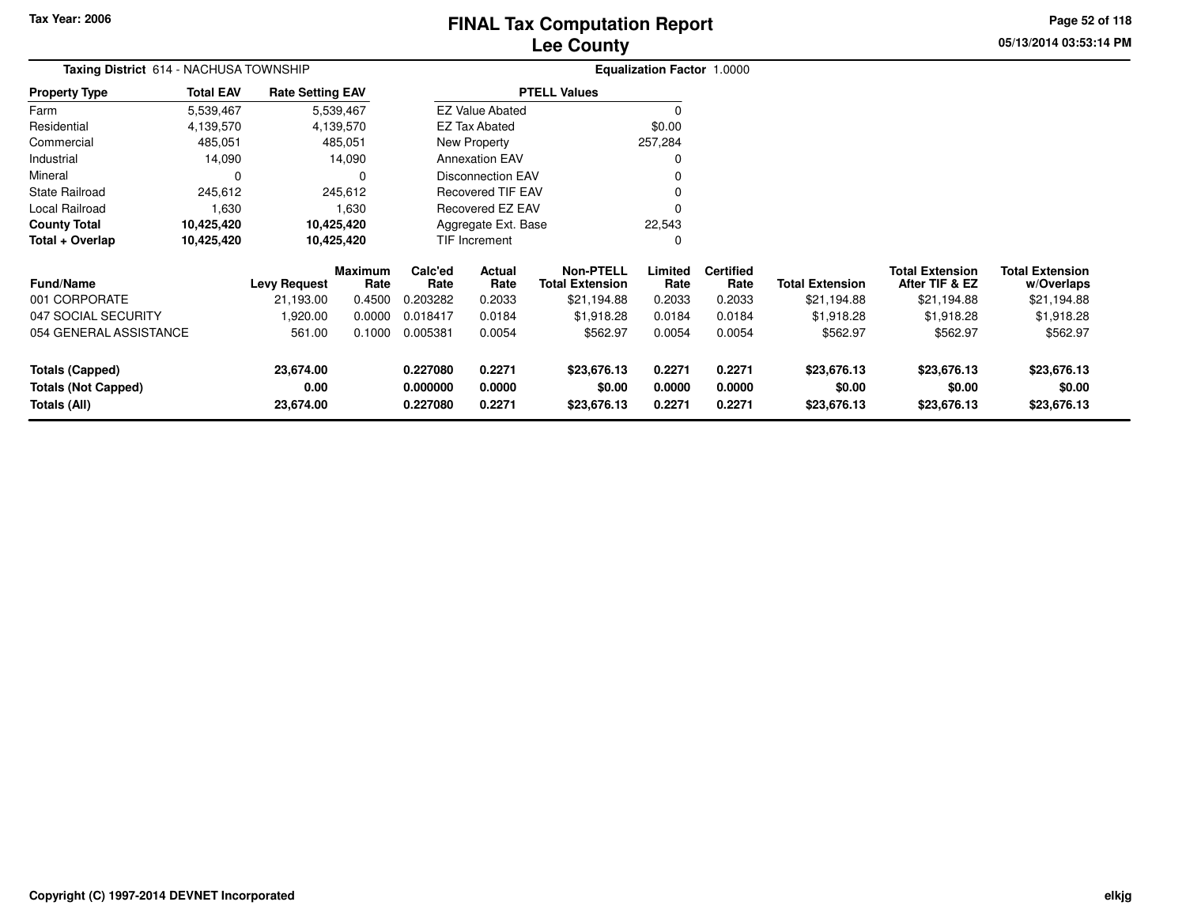# **Lee CountyFINAL Tax Computation Report** FINAL Tax Computation Report

**05/13/2014 03:53:14 PM Page 52 of 118**

| Taxing District 614 - NACHUSA TOWNSHIP     |                  |                         |                        |                      |                          |                                            | <b>Equalization Factor 1.0000</b> |                          |                        |                                          |                                      |
|--------------------------------------------|------------------|-------------------------|------------------------|----------------------|--------------------------|--------------------------------------------|-----------------------------------|--------------------------|------------------------|------------------------------------------|--------------------------------------|
| <b>Property Type</b>                       | <b>Total EAV</b> | <b>Rate Setting EAV</b> |                        |                      |                          | <b>PTELL Values</b>                        |                                   |                          |                        |                                          |                                      |
| Farm                                       | 5,539,467        |                         | 5,539,467              |                      | <b>EZ Value Abated</b>   |                                            | $\Omega$                          |                          |                        |                                          |                                      |
| Residential                                | 4,139,570        |                         | 4,139,570              |                      | <b>EZ Tax Abated</b>     |                                            | \$0.00                            |                          |                        |                                          |                                      |
| Commercial                                 | 485,051          |                         | 485,051                |                      | <b>New Property</b>      |                                            | 257,284                           |                          |                        |                                          |                                      |
| Industrial                                 | 14,090           |                         | 14,090                 |                      | <b>Annexation EAV</b>    |                                            | 0                                 |                          |                        |                                          |                                      |
| Mineral                                    | $\Omega$         |                         | 0                      |                      | <b>Disconnection EAV</b> |                                            | $\Omega$                          |                          |                        |                                          |                                      |
| <b>State Railroad</b>                      | 245,612          |                         | 245,612                |                      | <b>Recovered TIF EAV</b> |                                            |                                   |                          |                        |                                          |                                      |
| Local Railroad                             | 1,630            |                         | 1,630                  |                      | Recovered EZ EAV         |                                            | $\Omega$                          |                          |                        |                                          |                                      |
| <b>County Total</b>                        | 10,425,420       |                         | 10,425,420             |                      | Aggregate Ext. Base      |                                            | 22,543                            |                          |                        |                                          |                                      |
| Total + Overlap                            | 10,425,420       |                         | 10,425,420             |                      | TIF Increment            |                                            | C                                 |                          |                        |                                          |                                      |
| <b>Fund/Name</b>                           |                  | <b>Levy Request</b>     | <b>Maximum</b><br>Rate | Calc'ed<br>Rate      | Actual<br>Rate           | <b>Non-PTELL</b><br><b>Total Extension</b> | Limited<br>Rate                   | <b>Certified</b><br>Rate | <b>Total Extension</b> | <b>Total Extension</b><br>After TIF & EZ | <b>Total Extension</b><br>w/Overlaps |
| 001 CORPORATE                              |                  | 21,193.00               | 0.4500                 | 0.203282             | 0.2033                   | \$21,194.88                                | 0.2033                            | 0.2033                   | \$21,194.88            | \$21,194.88                              | \$21,194.88                          |
| 047 SOCIAL SECURITY                        |                  | 1,920.00                | 0.0000                 | 0.018417             | 0.0184                   | \$1,918.28                                 | 0.0184                            | 0.0184                   | \$1,918.28             | \$1,918.28                               | \$1,918.28                           |
| 054 GENERAL ASSISTANCE                     |                  | 561.00                  | 0.1000                 | 0.005381             | 0.0054                   | \$562.97                                   | 0.0054                            | 0.0054                   | \$562.97               | \$562.97                                 | \$562.97                             |
| <b>Totals (Capped)</b>                     |                  | 23,674.00               |                        | 0.227080             | 0.2271                   | \$23,676.13                                | 0.2271                            | 0.2271                   | \$23,676.13            | \$23,676.13                              | \$23,676.13                          |
| <b>Totals (Not Capped)</b><br>Totals (All) |                  | 0.00<br>23,674.00       |                        | 0.000000<br>0.227080 | 0.0000<br>0.2271         | \$0.00<br>\$23,676.13                      | 0.0000<br>0.2271                  | 0.0000<br>0.2271         | \$0.00<br>\$23,676.13  | \$0.00<br>\$23,676.13                    | \$0.00<br>\$23,676.13                |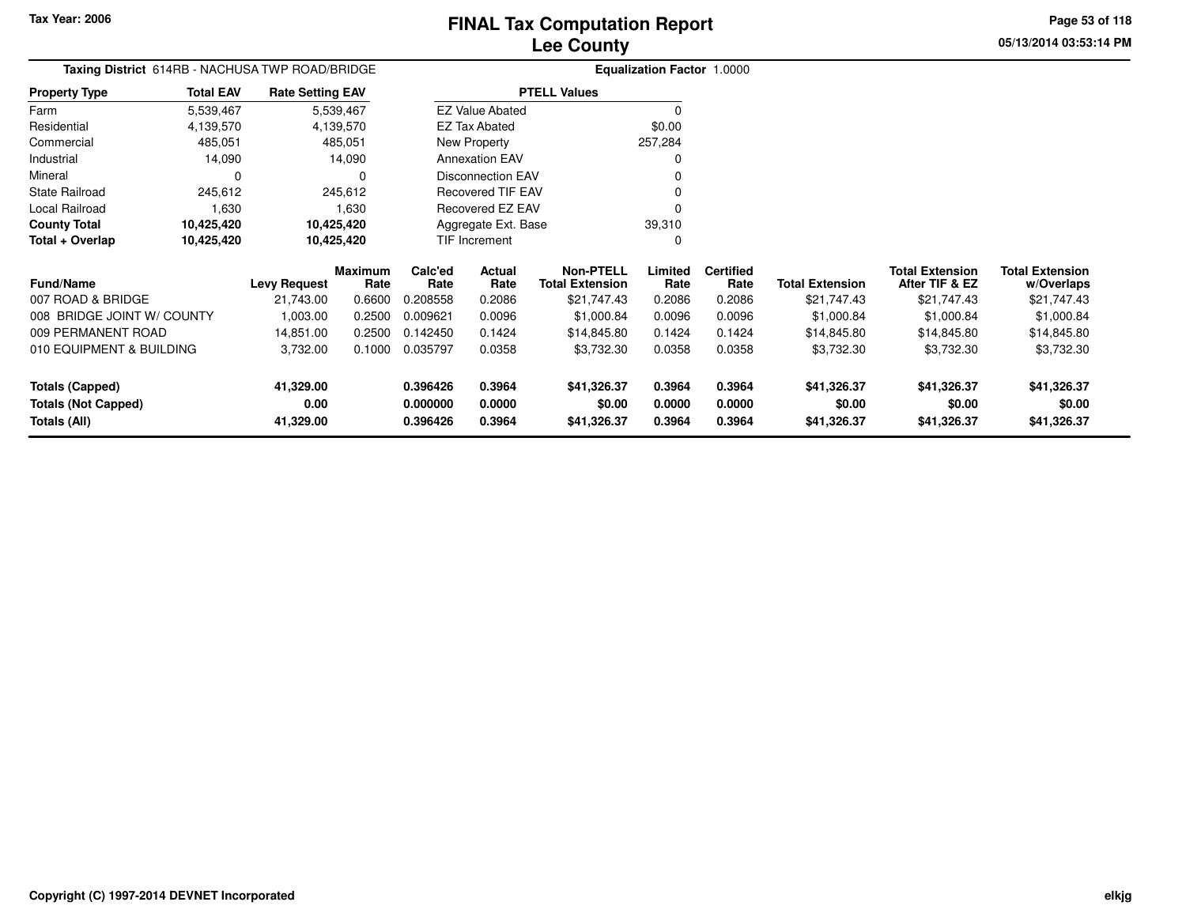**05/13/2014 03:53:14 PMPage 53 of 118**

# **Equalization Factor** 1.0000

|                      |                  | <b>Taxing District</b> 614RB - NACHUSA TWP ROAD/BRIDGE |                          | <b>Equalization Factor</b> |
|----------------------|------------------|--------------------------------------------------------|--------------------------|----------------------------|
| <b>Property Type</b> | <b>Total EAV</b> | <b>Rate Setting EAV</b>                                | <b>PTELL Values</b>      |                            |
| Farm                 | 5,539,467        | 5,539,467                                              | <b>EZ Value Abated</b>   | $\Omega$                   |
| Residential          | 4,139,570        | 4,139,570                                              | EZ Tax Abated            | \$0.00                     |
| Commercial           | 485.051          | 485,051                                                | New Property             | 257,284                    |
| Industrial           | 14.090           | 14.090                                                 | <b>Annexation EAV</b>    | 0                          |
| Mineral              | O                | $\Omega$                                               | Disconnection EAV        |                            |
| State Railroad       | 245.612          | 245.612                                                | <b>Recovered TIF EAV</b> | 0                          |
| Local Railroad       | 1.630            | 1.630                                                  | Recovered EZ EAV         |                            |
| <b>County Total</b>  | 10,425,420       | 10,425,420                                             | Aggregate Ext. Base      | 39,310                     |
| Total + Overlap      | 10,425,420       | 10,425,420                                             | <b>TIF Increment</b>     | 0                          |

| <b>Fund/Name</b>           | <b>Levy Request</b> | <b>Maximum</b><br>Rate | Calc'ed<br>Rate | Actual<br>Rate | Non-PTELL<br><b>Total Extension</b> | Limited<br>Rate | <b>Certified</b><br>Rate | <b>Total Extension</b> | <b>Total Extension</b><br>After TIF & EZ | <b>Total Extension</b><br>w/Overlaps |
|----------------------------|---------------------|------------------------|-----------------|----------------|-------------------------------------|-----------------|--------------------------|------------------------|------------------------------------------|--------------------------------------|
| 007 ROAD & BRIDGE          | 21,743.00           | 0.6600                 | 0.208558        | 0.2086         | \$21,747.43                         | 0.2086          | 0.2086                   | \$21,747.43            | \$21,747.43                              | \$21,747.43                          |
| 008 BRIDGE JOINT W/ COUNTY | 1.003.00            | 0.2500                 | 0.009621        | 0.0096         | \$1,000.84                          | 0.0096          | 0.0096                   | \$1,000.84             | \$1,000.84                               | \$1,000.84                           |
| 009 PERMANENT ROAD         | 14.851.00           | 0.2500                 | 0.142450        | 0.1424         | \$14,845.80                         | 0.1424          | 0.1424                   | \$14,845.80            | \$14,845.80                              | \$14,845.80                          |
| 010 EQUIPMENT & BUILDING   | 3.732.00            | 0.1000                 | 0.035797        | 0.0358         | \$3,732.30                          | 0.0358          | 0.0358                   | \$3,732.30             | \$3,732.30                               | \$3,732.30                           |
| Totals (Capped)            | 41,329.00           |                        | 0.396426        | 0.3964         | \$41,326.37                         | 0.3964          | 0.3964                   | \$41,326.37            | \$41,326.37                              | \$41,326.37                          |
| <b>Totals (Not Capped)</b> | 0.00                |                        | 0.000000        | 0.0000         | \$0.00                              | 0.0000          | 0.0000                   | \$0.00                 | \$0.00                                   | \$0.00                               |
| Totals (All)               | 41,329.00           |                        | 0.396426        | 0.3964         | \$41,326.37                         | 0.3964          | 0.3964                   | \$41,326.37            | \$41,326.37                              | \$41,326.37                          |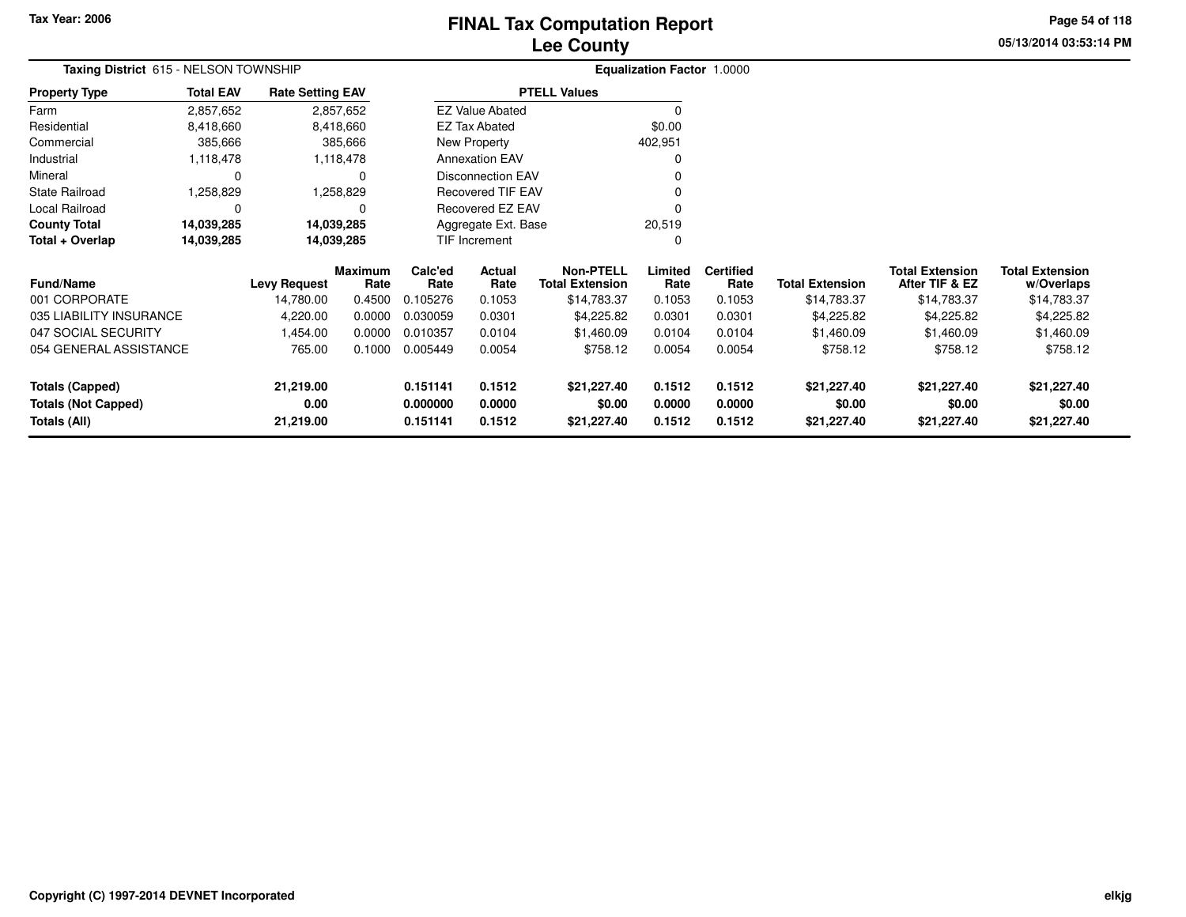**Totals (Not Capped)**

**Totals (All)**

**0.00**

**21,219.00**

# **Lee CountyFINAL Tax Computation Report**

**05/13/2014 03:53:14 PM Page 54 of 118**

| Taxing District 615 - NELSON TOWNSHIP |                  |                         |                        |                 |                          |                                            | Equalization Factor 1.0000 |                          |                        |                                          |                                      |
|---------------------------------------|------------------|-------------------------|------------------------|-----------------|--------------------------|--------------------------------------------|----------------------------|--------------------------|------------------------|------------------------------------------|--------------------------------------|
| <b>Property Type</b>                  | <b>Total EAV</b> | <b>Rate Setting EAV</b> |                        |                 |                          | <b>PTELL Values</b>                        |                            |                          |                        |                                          |                                      |
| Farm                                  | 2,857,652        |                         | 2,857,652              |                 | <b>EZ Value Abated</b>   |                                            | $\Omega$                   |                          |                        |                                          |                                      |
| Residential                           | 8,418,660        |                         | 8,418,660              |                 | <b>EZ Tax Abated</b>     |                                            | \$0.00                     |                          |                        |                                          |                                      |
| Commercial                            | 385,666          |                         | 385,666                |                 | New Property             |                                            | 402,951                    |                          |                        |                                          |                                      |
| Industrial                            | 1,118,478        |                         | 1,118,478              |                 | <b>Annexation EAV</b>    |                                            | $\Omega$                   |                          |                        |                                          |                                      |
| Mineral                               | 0                |                         | 0                      |                 | <b>Disconnection EAV</b> |                                            | $\Omega$                   |                          |                        |                                          |                                      |
| <b>State Railroad</b>                 | 258,829,         |                         | ,258,829               |                 | <b>Recovered TIF EAV</b> |                                            |                            |                          |                        |                                          |                                      |
| Local Railroad                        | 0                |                         | 0                      |                 | Recovered EZ EAV         |                                            | 0                          |                          |                        |                                          |                                      |
| <b>County Total</b>                   | 14,039,285       |                         | 14,039,285             |                 | Aggregate Ext. Base      |                                            | 20,519                     |                          |                        |                                          |                                      |
| Total + Overlap                       | 14,039,285       |                         | 14,039,285             |                 | TIF Increment            |                                            | C                          |                          |                        |                                          |                                      |
| <b>Fund/Name</b>                      |                  | <b>Levy Request</b>     | <b>Maximum</b><br>Rate | Calc'ed<br>Rate | <b>Actual</b><br>Rate    | <b>Non-PTELL</b><br><b>Total Extension</b> | Limited<br>Rate            | <b>Certified</b><br>Rate | <b>Total Extension</b> | <b>Total Extension</b><br>After TIF & EZ | <b>Total Extension</b><br>w/Overlaps |
| 001 CORPORATE                         |                  | 14,780.00               | 0.4500                 | 0.105276        | 0.1053                   | \$14,783.37                                | 0.1053                     | 0.1053                   | \$14,783.37            | \$14,783.37                              | \$14,783.37                          |
| 035 LIABILITY INSURANCE               |                  | 4,220.00                | 0.0000                 | 0.030059        | 0.0301                   | \$4,225.82                                 | 0.0301                     | 0.0301                   | \$4,225.82             | \$4,225.82                               | \$4,225.82                           |
| 047 SOCIAL SECURITY                   |                  | 1,454.00                | 0.0000                 | 0.010357        | 0.0104                   | \$1,460.09                                 | 0.0104                     | 0.0104                   | \$1,460.09             | \$1,460.09                               | \$1,460.09                           |
| 054 GENERAL ASSISTANCE                |                  | 765.00                  | 0.1000                 | 0.005449        | 0.0054                   | \$758.12                                   | 0.0054                     | 0.0054                   | \$758.12               | \$758.12                                 | \$758.12                             |
| <b>Totals (Capped)</b>                |                  | 21,219.00               |                        | 0.151141        | 0.1512                   | \$21,227.40                                | 0.1512                     | 0.1512                   | \$21,227.40            | \$21,227.40                              | \$21,227.40                          |

**0.000000 0.0000 \$0.00 0.0000 0.0000 \$0.00 \$0.00 \$0.00**

**0.151141 0.1512 \$21,227.40 0.1512 0.1512 \$21,227.40 \$21,227.40 \$21,227.40**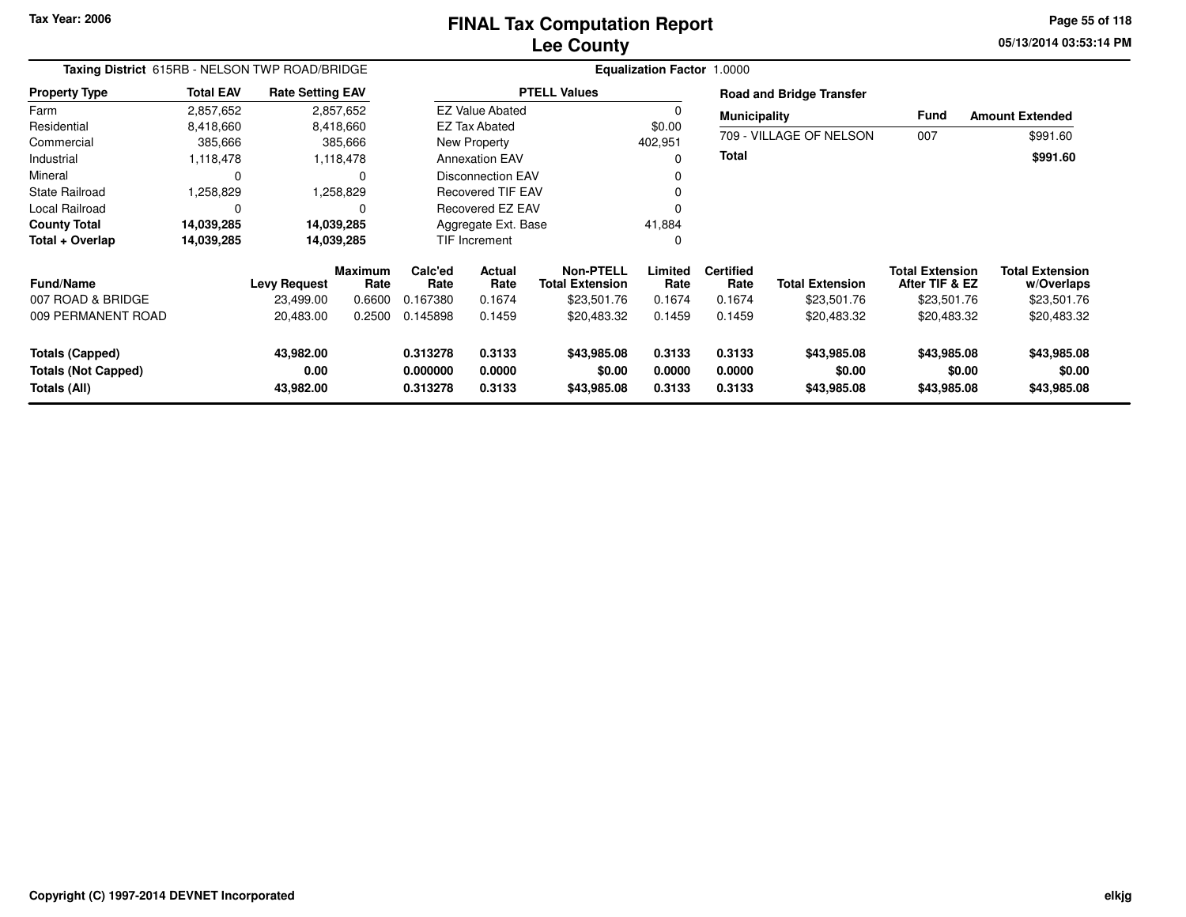#### **Lee CountyFINAL Tax Computation Report** FINAL Tax Computation Report

**05/13/2014 03:53:14 PM Page 55 of 118**

| Taxing District 615RB - NELSON TWP ROAD/BRIDGE                       |                  |                                |                        |                                  |                            |                                      | Equalization Factor 1.0000 |                            |                                      |                                          |                                      |
|----------------------------------------------------------------------|------------------|--------------------------------|------------------------|----------------------------------|----------------------------|--------------------------------------|----------------------------|----------------------------|--------------------------------------|------------------------------------------|--------------------------------------|
| <b>Property Type</b>                                                 | <b>Total EAV</b> | <b>Rate Setting EAV</b>        |                        |                                  |                            | <b>PTELL Values</b>                  |                            |                            | <b>Road and Bridge Transfer</b>      |                                          |                                      |
| Farm                                                                 | 2,857,652        |                                | 2,857,652              |                                  | <b>EZ Value Abated</b>     |                                      |                            | <b>Municipality</b>        |                                      | <b>Fund</b>                              | <b>Amount Extended</b>               |
| Residential                                                          | 8,418,660        |                                | 8,418,660              |                                  | <b>EZ Tax Abated</b>       |                                      | \$0.00                     |                            |                                      |                                          |                                      |
| Commercial                                                           | 385,666          |                                | 385,666                |                                  | New Property               |                                      | 402,951                    |                            | 709 - VILLAGE OF NELSON              | 007                                      | \$991.60                             |
| Industrial                                                           | 1,118,478        |                                | 1,118,478              |                                  | <b>Annexation EAV</b>      |                                      | 0                          | <b>Total</b>               |                                      |                                          | \$991.60                             |
| Mineral                                                              | $\Omega$         |                                | 0                      |                                  | <b>Disconnection EAV</b>   |                                      |                            |                            |                                      |                                          |                                      |
| <b>State Railroad</b>                                                | 1,258,829        |                                | 1,258,829              |                                  | <b>Recovered TIF EAV</b>   |                                      |                            |                            |                                      |                                          |                                      |
| <b>Local Railroad</b>                                                | $\Omega$         |                                | 0                      |                                  | <b>Recovered EZ EAV</b>    |                                      | $\Omega$                   |                            |                                      |                                          |                                      |
| <b>County Total</b>                                                  | 14,039,285       |                                | 14,039,285             |                                  | Aggregate Ext. Base        |                                      | 41,884                     |                            |                                      |                                          |                                      |
| Total + Overlap                                                      | 14,039,285       |                                | 14,039,285             |                                  | <b>TIF Increment</b>       |                                      | 0                          |                            |                                      |                                          |                                      |
| <b>Fund/Name</b>                                                     |                  | Levy Request                   | <b>Maximum</b><br>Rate | Calc'ed<br>Rate                  | Actual<br>Rate             | Non-PTELL<br><b>Total Extension</b>  | Limited<br>Rate            | <b>Certified</b><br>Rate   | <b>Total Extension</b>               | <b>Total Extension</b><br>After TIF & EZ | <b>Total Extension</b><br>w/Overlaps |
| 007 ROAD & BRIDGE                                                    |                  | 23,499.00                      | 0.6600                 | 0.167380                         | 0.1674                     | \$23,501.76                          | 0.1674                     | 0.1674                     | \$23,501.76                          | \$23,501.76                              | \$23,501.76                          |
| 009 PERMANENT ROAD                                                   |                  | 20,483.00                      | 0.2500                 | 0.145898                         | 0.1459                     | \$20,483.32                          | 0.1459                     | 0.1459                     | \$20,483.32                          | \$20,483.32                              | \$20,483.32                          |
| <b>Totals (Capped)</b><br><b>Totals (Not Capped)</b><br>Totals (All) |                  | 43,982.00<br>0.00<br>43,982.00 |                        | 0.313278<br>0.000000<br>0.313278 | 0.3133<br>0.0000<br>0.3133 | \$43,985.08<br>\$0.00<br>\$43,985.08 | 0.3133<br>0.0000<br>0.3133 | 0.3133<br>0.0000<br>0.3133 | \$43,985.08<br>\$0.00<br>\$43,985.08 | \$43,985.08<br>\$0.00<br>\$43,985.08     | \$43,985.08<br>\$0.00<br>\$43,985.08 |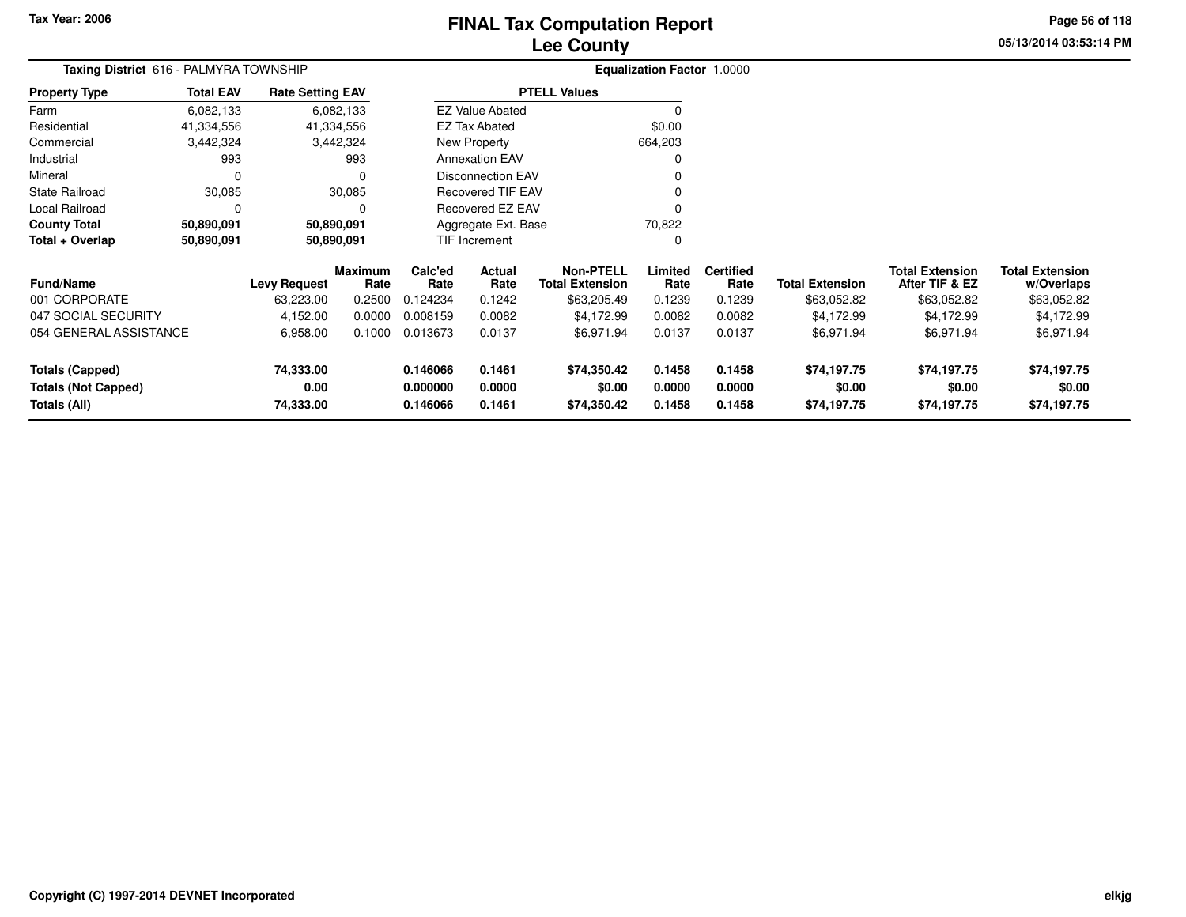# **Lee CountyFINAL Tax Computation Report** FINAL Tax Computation Report

**05/13/2014 03:53:14 PM Page 56 of 118**

| Taxing District 616 - PALMYRA TOWNSHIP |                  |                         |                        |                 |                          |                                            | <b>Equalization Factor 1.0000</b> |                          |                        |                                          |                               |
|----------------------------------------|------------------|-------------------------|------------------------|-----------------|--------------------------|--------------------------------------------|-----------------------------------|--------------------------|------------------------|------------------------------------------|-------------------------------|
| <b>Property Type</b>                   | <b>Total EAV</b> | <b>Rate Setting EAV</b> |                        |                 |                          | <b>PTELL Values</b>                        |                                   |                          |                        |                                          |                               |
| Farm                                   | 6,082,133        |                         | 6,082,133              |                 | <b>EZ Value Abated</b>   |                                            |                                   |                          |                        |                                          |                               |
| Residential                            | 41,334,556       |                         | 41,334,556             |                 | <b>EZ Tax Abated</b>     |                                            | \$0.00                            |                          |                        |                                          |                               |
| Commercial                             | 3,442,324        |                         | 3,442,324              |                 | New Property             |                                            | 664,203                           |                          |                        |                                          |                               |
| Industrial                             | 993              |                         | 993                    |                 | <b>Annexation EAV</b>    |                                            |                                   |                          |                        |                                          |                               |
| Mineral                                | 0                |                         | 0                      |                 | <b>Disconnection EAV</b> |                                            |                                   |                          |                        |                                          |                               |
| State Railroad                         | 30,085           |                         | 30,085                 |                 | <b>Recovered TIF EAV</b> |                                            |                                   |                          |                        |                                          |                               |
| Local Railroad                         | 0                |                         |                        |                 | <b>Recovered EZ EAV</b>  |                                            |                                   |                          |                        |                                          |                               |
| <b>County Total</b>                    | 50,890,091       |                         | 50,890,091             |                 | Aggregate Ext. Base      |                                            | 70,822                            |                          |                        |                                          |                               |
| Total + Overlap<br>50,890,091          |                  |                         | 50,890,091             | TIF Increment   |                          |                                            |                                   |                          |                        |                                          |                               |
| <b>Fund/Name</b>                       |                  | <b>Levy Request</b>     | <b>Maximum</b><br>Rate | Calc'ed<br>Rate | Actual<br>Rate           | <b>Non-PTELL</b><br><b>Total Extension</b> | Limited<br>Rate                   | <b>Certified</b><br>Rate | <b>Total Extension</b> | <b>Total Extension</b><br>After TIF & EZ | Total Extension<br>w/Overlaps |
| 001 CORPORATE                          |                  | 63,223.00               | 0.2500                 | 0.124234        | 0.1242                   | \$63,205.49                                | 0.1239                            | 0.1239                   | \$63,052.82            | \$63,052.82                              | \$63,052.82                   |
| 047 SOCIAL SECURITY                    |                  | 4,152.00                | 0.0000                 | 0.008159        | 0.0082                   | \$4,172.99                                 | 0.0082                            | 0.0082                   | \$4,172.99             | \$4,172.99                               | \$4,172.99                    |
| 054 GENERAL ASSISTANCE                 |                  | 6,958.00                | 0.1000                 | 0.013673        | 0.0137                   | \$6,971.94                                 | 0.0137                            | 0.0137                   | \$6,971.94             | \$6,971.94                               | \$6,971.94                    |
| <b>Totals (Capped)</b>                 |                  | 74,333.00               |                        | 0.146066        | 0.1461                   | \$74,350.42                                | 0.1458                            | 0.1458                   | \$74,197.75            | \$74,197.75                              | \$74,197.75                   |
| <b>Totals (Not Capped)</b>             |                  | 0.00                    |                        | 0.000000        | 0.0000                   | \$0.00                                     | 0.0000                            | 0.0000                   | \$0.00                 | \$0.00                                   | \$0.00                        |
| Totals (All)                           |                  | 74,333.00               |                        | 0.146066        | 0.1461                   | \$74,350.42                                | 0.1458                            | 0.1458                   | \$74,197.75            | \$74,197.75                              | \$74,197.75                   |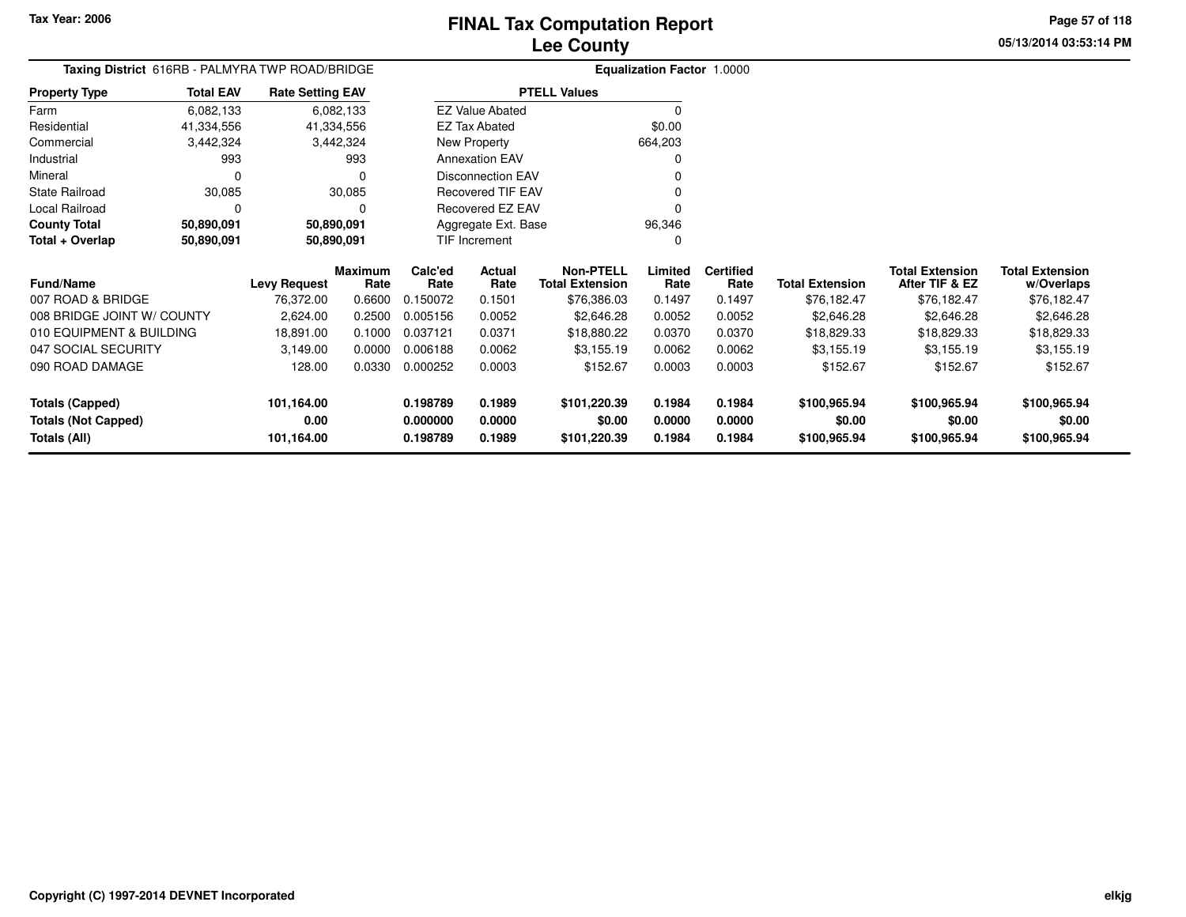**Total + Overlap**

007 ROAD & BRIDGE

047 SOCIAL SECURITY

090 ROAD DAMAGE

**Totals (Not Capped)**

**Totals (Capped)**

**Totals (All)**

**Fund/Name**

Industrial 993

State Railroad 30,085

Local Railroad 0 0

**County Total 50,890,091 50,890,091**

008 BRIDGE JOINT W/ COUNTY

010 EQUIPMENT & BUILDING

0 0

**50,890,091 50,890,091**

Mineral

#### **Lee CountyFINAL Tax Computation Report**

**Limited**Rate

96,346 $\mathbf{0}$ 

 $\overline{0}$ 

**Certified**

**0.198789 0.1989 \$101,220.39 0.1984 0.1984 \$100,965.94 \$100,965.94 \$100,965.94**

**0.000000 0.0000 \$0.00 0.0000 0.0000 \$0.00 \$0.00 \$0.00**

**0.198789 0.1989 \$101,220.39 0.1984 0.1984 \$100,965.94 \$100,965.94 \$100,965.94**

**Total Extension Rate Total Extension**

2,624.00 0.2500 0.005156 0.0052 \$2,646.28 0.0052 0.0052 \$2,646.28 \$2,646.28 \$2,646.28

18,891.00 0.1000 0.037121 0.0371 \$18,880.22 0.0370 0.0370 \$18,829.33 \$18,829.33 \$18,829.33

76,372.00 0.6600 0.150072 0.1501 \$76,386.03 0.1497 0.1497 \$76,182.47 \$76,182.47 \$76,182.47

3,149.00 0.0000 0.006188 0.0062 \$3,155.19 0.0062 0.0062 \$3,155.19 \$3,155.19 \$3,155.19

128.00 0.0330 0.000252 0.0003 \$152.67 0.0003 0.0003 \$152.67 \$152.67 \$152.67

**Non-PTELL**

0

v o

 $\sim$  0

0 v

0<br>محمد محمد اللہ اللہ علم اللہ علم اللہ علم اللہ علم اللہ علم اللہ علم اللہ علم اللہ علم اللہ علم اللہ علم اللہ<br>اللہ علم اللہ علم اللہ علم اللہ علم اللہ علم اللہ علم اللہ علم اللہ علم اللہ علم اللہ علم اللہ علم اللہ علم ال

\$76,386.03

**05/13/2014 03:53:14 PMPage 57 of 118**

> **w/Overlaps** \$76,182.47

**Total Extension**

**After TIF & EZ** \$76,182.47

**Total Extension**

\$76,182.47

|                      |                  |                                                 | <b>Lee County</b>      |                                   |  |
|----------------------|------------------|-------------------------------------------------|------------------------|-----------------------------------|--|
|                      |                  | Taxing District 616RB - PALMYRA TWP ROAD/BRIDGE |                        | <b>Equalization Factor 1.0000</b> |  |
| <b>Property Type</b> | <b>Total EAV</b> | <b>Rate Setting EAV</b>                         | <b>PTELL Values</b>    |                                   |  |
| Farm                 | 6,082,133        | 6,082,133                                       | <b>EZ Value Abated</b> |                                   |  |
| Residential          | 41.334.556       | 41,334,556                                      | <b>EZ Tax Abated</b>   | \$0.00                            |  |
| Commercial           | 3,442,324        | 3,442,324                                       | New Property           | 664,203                           |  |

993

30,085

50,890,091

50,890,091

**101,164.00**

**101,164.00**

**0.00**

 $\mathbf 0$ 

 $\mathbf 0$ 

**Maximum**

**Levy Request Rate**

 **Calc'ed Rate**0.150072 **ActualRate**

Annexation EAV

Disconnection EAV

Recovered TIF EAV

Recovered EZ EAV

Aggregate Ext. BaseTIF Increment

**Rate**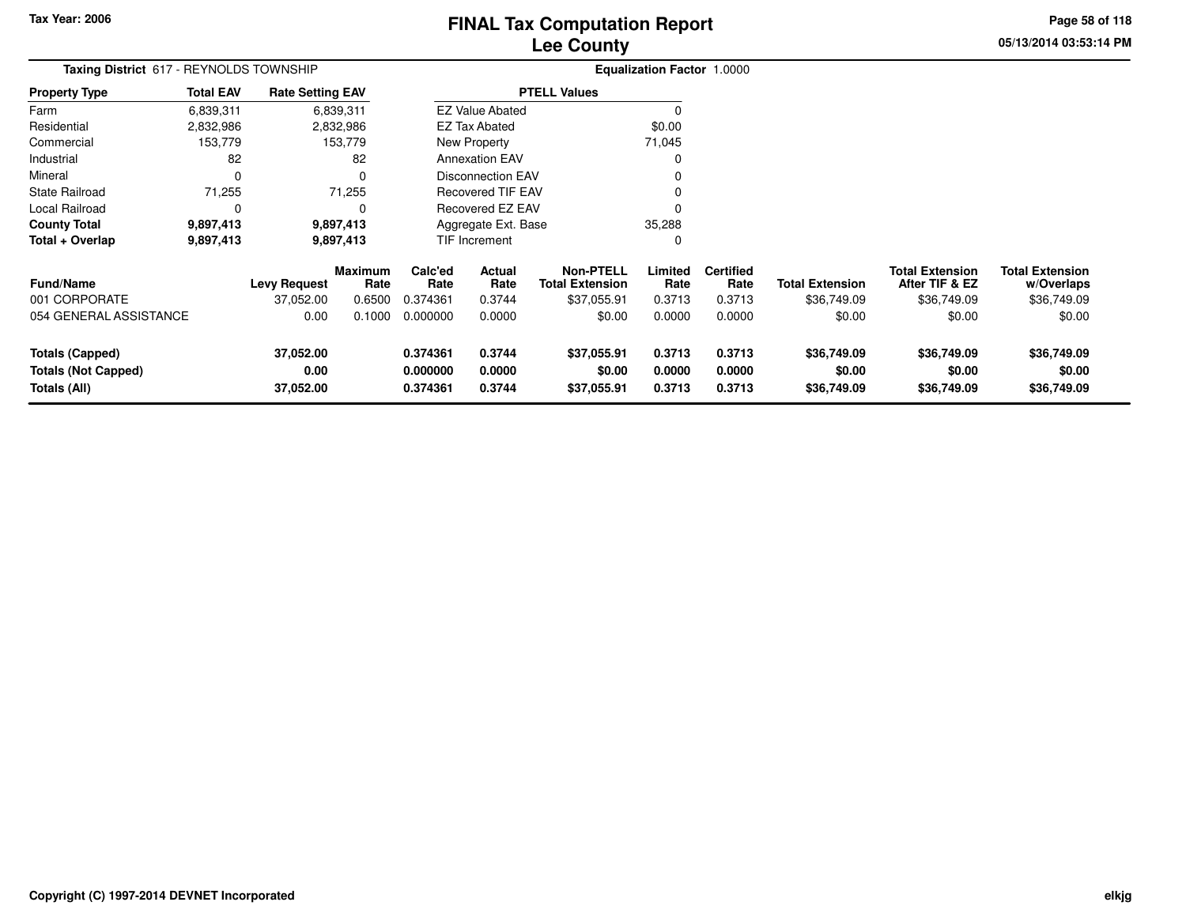# **Lee CountyFINAL Tax Computation Report** FINAL Tax Computation Report

**05/13/2014 03:53:14 PMPage 58 of 118**

| Taxing District 617 - REYNOLDS TOWNSHIP |                  |                         |                        |                          |                          |                                            | <b>Equalization Factor 1.0000</b> |                          |                        |                                          |                                      |  |
|-----------------------------------------|------------------|-------------------------|------------------------|--------------------------|--------------------------|--------------------------------------------|-----------------------------------|--------------------------|------------------------|------------------------------------------|--------------------------------------|--|
| <b>Property Type</b>                    | <b>Total EAV</b> | <b>Rate Setting EAV</b> |                        |                          |                          | <b>PTELL Values</b>                        |                                   |                          |                        |                                          |                                      |  |
| Farm                                    | 6,839,311        |                         | 6,839,311              |                          | <b>EZ Value Abated</b>   |                                            | $\Omega$                          |                          |                        |                                          |                                      |  |
| Residential                             | 2,832,986        |                         | 2,832,986              |                          | <b>EZ Tax Abated</b>     |                                            | \$0.00                            |                          |                        |                                          |                                      |  |
| Commercial                              | 153,779          |                         | 153,779                |                          | New Property             |                                            | 71,045                            |                          |                        |                                          |                                      |  |
| Industrial                              | 82               |                         | 82                     |                          | <b>Annexation EAV</b>    |                                            | 0                                 |                          |                        |                                          |                                      |  |
| Mineral                                 | $\mathbf 0$      |                         | 0                      |                          | <b>Disconnection EAV</b> |                                            |                                   |                          |                        |                                          |                                      |  |
| State Railroad                          | 71,255           |                         | 71,255                 | <b>Recovered TIF EAV</b> |                          |                                            |                                   |                          |                        |                                          |                                      |  |
| Local Railroad                          | 0                |                         | 0                      | Recovered EZ EAV         |                          |                                            |                                   |                          |                        |                                          |                                      |  |
| <b>County Total</b>                     | 9,897,413        |                         | 9,897,413              |                          | Aggregate Ext. Base      |                                            | 35,288                            |                          |                        |                                          |                                      |  |
| Total + Overlap                         | 9,897,413        |                         | 9,897,413              |                          | TIF Increment            |                                            | 0                                 |                          |                        |                                          |                                      |  |
| Fund/Name                               |                  | <b>Levy Request</b>     | <b>Maximum</b><br>Rate | Calc'ed<br>Rate          | Actual<br>Rate           | <b>Non-PTELL</b><br><b>Total Extension</b> | Limited<br>Rate                   | <b>Certified</b><br>Rate | <b>Total Extension</b> | <b>Total Extension</b><br>After TIF & EZ | <b>Total Extension</b><br>w/Overlaps |  |
| 001 CORPORATE                           |                  | 37,052.00               | 0.6500                 | 0.374361                 | 0.3744                   | \$37,055.91                                | 0.3713                            | 0.3713                   | \$36,749.09            | \$36,749.09                              | \$36,749.09                          |  |
| 054 GENERAL ASSISTANCE                  |                  | 0.00                    | 0.1000                 | 0.000000                 | 0.0000                   | \$0.00                                     | 0.0000                            | 0.0000                   | \$0.00                 | \$0.00                                   | \$0.00                               |  |
| <b>Totals (Capped)</b>                  |                  | 37,052.00               |                        | 0.374361                 | 0.3744                   | \$37,055.91                                | 0.3713                            | 0.3713                   | \$36,749.09            | \$36,749.09                              | \$36,749.09                          |  |
| <b>Totals (Not Capped)</b>              |                  | 0.00                    |                        | 0.000000                 | 0.0000                   | \$0.00                                     | 0.0000                            | 0.0000                   | \$0.00                 | \$0.00                                   | \$0.00                               |  |
| Totals (All)                            |                  | 37,052.00               |                        | 0.3744<br>0.374361       |                          | \$37,055.91                                | 0.3713                            | 0.3713                   | \$36,749.09            | \$36,749.09                              | \$36,749.09                          |  |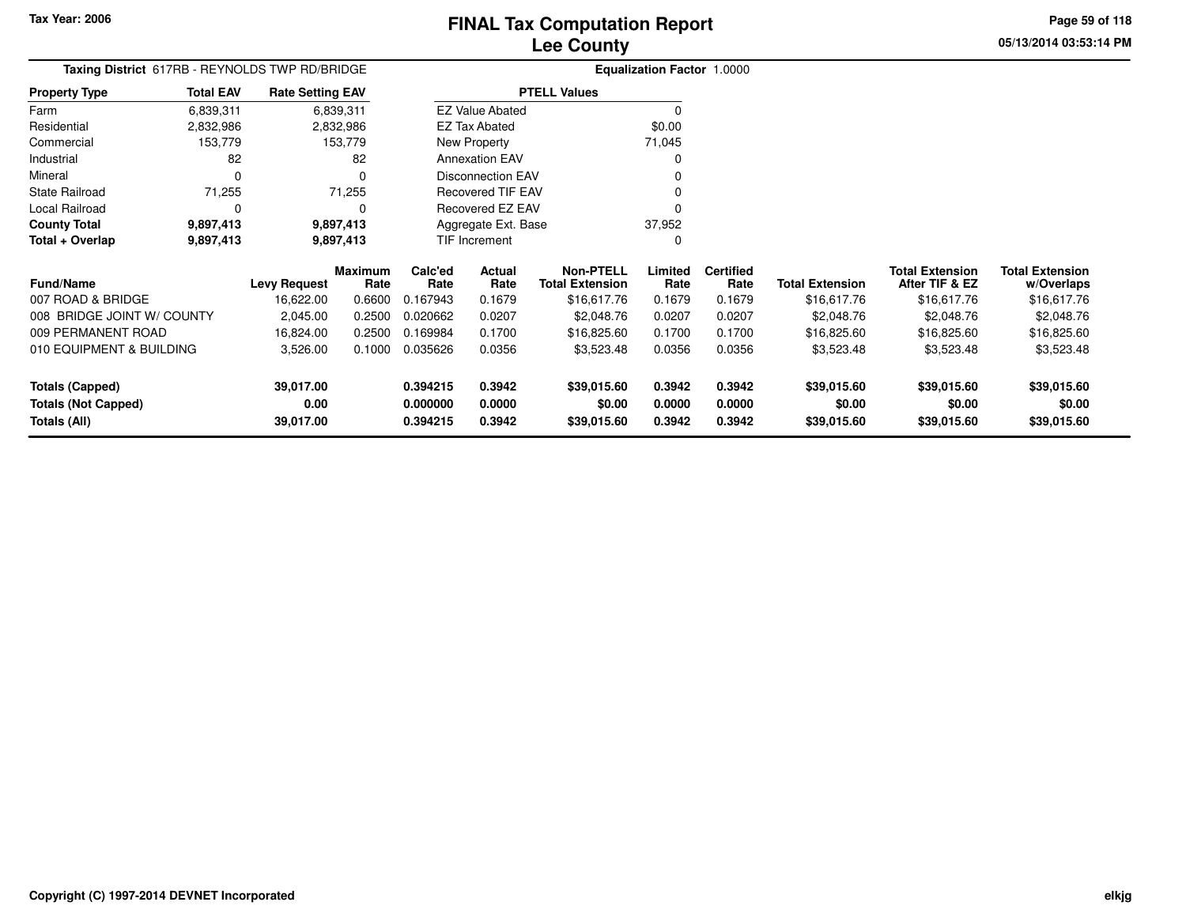**Totals (Capped)**

**Totals (All)**

**Totals (Not Capped)**

#### **Lee CountyFINAL Tax Computation Report**

**0.394215 0.3942 \$39,015.60 0.3942 0.3942 \$39,015.60 \$39,015.60 \$39,015.60**

**0.000000 0.0000 \$0.00 0.0000 0.0000 \$0.00 \$0.00 \$0.00**

**0.394215 0.3942 \$39,015.60 0.3942 0.3942 \$39,015.60 \$39,015.60 \$39,015.60**

**05/13/2014 03:53:14 PMPage 59 of 118**

> **w/Overlaps**\$16,617.76

| Taxing District 617RB - REYNOLDS TWP RD/BRIDGE |                  |                         |                        |                    |                          |                                            | <b>Equalization Factor 1.0000</b> |                          |                        |                                          |                                      |
|------------------------------------------------|------------------|-------------------------|------------------------|--------------------|--------------------------|--------------------------------------------|-----------------------------------|--------------------------|------------------------|------------------------------------------|--------------------------------------|
| <b>Property Type</b>                           | <b>Total EAV</b> | <b>Rate Setting EAV</b> |                        |                    |                          | <b>PTELL Values</b>                        |                                   |                          |                        |                                          |                                      |
| Farm                                           | 6,839,311        |                         | 6,839,311              |                    | <b>EZ Value Abated</b>   |                                            |                                   |                          |                        |                                          |                                      |
| Residential                                    | 2,832,986        |                         | 2,832,986              |                    | <b>EZ Tax Abated</b>     |                                            | \$0.00                            |                          |                        |                                          |                                      |
| Commercial                                     | 153,779          |                         | 153,779                |                    | New Property             |                                            | 71,045                            |                          |                        |                                          |                                      |
| Industrial                                     | 82               |                         | 82                     |                    | <b>Annexation EAV</b>    |                                            |                                   |                          |                        |                                          |                                      |
| Mineral                                        |                  |                         | 0                      |                    | <b>Disconnection EAV</b> |                                            |                                   |                          |                        |                                          |                                      |
| <b>State Railroad</b>                          | 71,255           |                         | 71,255                 |                    | <b>Recovered TIF EAV</b> |                                            |                                   |                          |                        |                                          |                                      |
| Local Railroad                                 |                  |                         |                        |                    | Recovered EZ EAV         |                                            |                                   |                          |                        |                                          |                                      |
| <b>County Total</b>                            | 9,897,413        |                         | 9,897,413              |                    | Aggregate Ext. Base      |                                            | 37,952                            |                          |                        |                                          |                                      |
| Total + Overlap                                | 9,897,413        |                         | 9,897,413              |                    | TIF Increment            |                                            |                                   |                          |                        |                                          |                                      |
| <b>Fund/Name</b>                               |                  | Levy Request            | <b>Maximum</b><br>Rate | Calc'ed<br>Rate    | Actual<br>Rate           | <b>Non-PTELL</b><br><b>Total Extension</b> | Limited<br>Rate                   | <b>Certified</b><br>Rate | <b>Total Extension</b> | <b>Total Extension</b><br>After TIF & EZ | <b>Total Extension</b><br>w/Overlaps |
| 007 ROAD & BRIDGE                              |                  | 16,622.00               | 0.6600                 | 0.167943           | 0.1679                   | \$16,617.76                                | 0.1679                            | 0.1679                   | \$16,617.76            | \$16,617.76                              | \$16,617.76                          |
| 008 BRIDGE JOINT W/ COUNTY                     |                  | 2,045.00                | 0.2500                 | 0.020662           | 0.0207                   |                                            | 0.0207                            | 0.0207                   | \$2,048.76             | \$2,048.76                               | \$2,048.76                           |
| 009 PERMANENT ROAD                             |                  | 16,824.00               | 0.2500                 | 0.169984<br>0.1700 |                          | \$16,825.60                                | 0.1700                            | 0.1700                   | \$16,825.60            | \$16,825.60                              | \$16,825.60                          |
| 010 EQUIPMENT & BUILDING                       |                  | 3,526.00                | 0.1000                 | 0.035626           | 0.0356                   | \$3,523.48                                 | 0.0356                            | 0.0356                   | \$3,523.48             | \$3,523.48                               | \$3,523.48                           |

**39,017.00**

**39,017.00**

**0.00**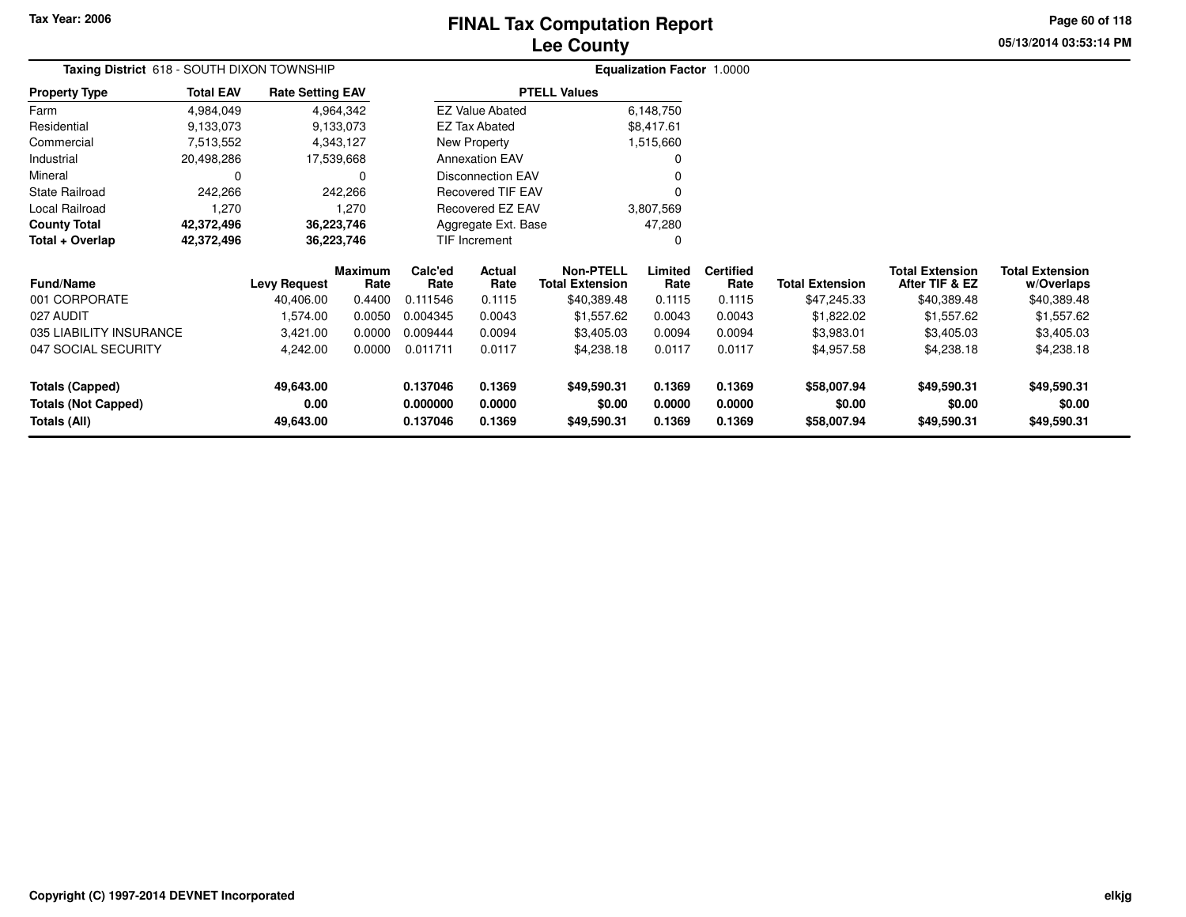# **Lee CountyFINAL Tax Computation Report** FINAL Tax Computation Report

**05/13/2014 03:53:14 PMPage 60 of 118**

|                            | Taxing District 618 - SOUTH DIXON TOWNSHIP |                         |                 |                    |                          |                                            | Equalization Factor 1.0000 |                          |                        |                                          |                                      |
|----------------------------|--------------------------------------------|-------------------------|-----------------|--------------------|--------------------------|--------------------------------------------|----------------------------|--------------------------|------------------------|------------------------------------------|--------------------------------------|
| <b>Property Type</b>       | <b>Total EAV</b>                           | <b>Rate Setting EAV</b> |                 |                    |                          | <b>PTELL Values</b>                        |                            |                          |                        |                                          |                                      |
| Farm                       | 4,984,049                                  |                         | 4,964,342       |                    | <b>EZ Value Abated</b>   |                                            | 6,148,750                  |                          |                        |                                          |                                      |
| Residential                | 9,133,073                                  |                         | 9.133,073       |                    | <b>EZ Tax Abated</b>     |                                            | \$8,417.61                 |                          |                        |                                          |                                      |
| Commercial                 | 7,513,552                                  |                         | 4,343,127       |                    | New Property             |                                            | 1,515,660                  |                          |                        |                                          |                                      |
| Industrial                 | 20,498,286                                 | 17,539,668              |                 |                    | <b>Annexation EAV</b>    |                                            |                            |                          |                        |                                          |                                      |
| Mineral                    | 0                                          |                         | O               |                    | <b>Disconnection EAV</b> |                                            |                            |                          |                        |                                          |                                      |
| State Railroad             | 242,266                                    |                         | 242,266         |                    | <b>Recovered TIF EAV</b> |                                            | 0                          |                          |                        |                                          |                                      |
| Local Railroad             | 1,270                                      |                         | 1,270           |                    | Recovered EZ EAV         |                                            | 3,807,569                  |                          |                        |                                          |                                      |
| <b>County Total</b>        | 42,372,496                                 | 36,223,746              |                 |                    | Aggregate Ext. Base      |                                            | 47,280                     |                          |                        |                                          |                                      |
| Total + Overlap            | 42,372,496                                 | 36,223,746              |                 | TIF Increment      |                          |                                            | 0                          |                          |                        |                                          |                                      |
| Fund/Name                  |                                            | <b>Levy Request</b>     | Maximum<br>Rate | Calc'ed<br>Rate    | Actual<br>Rate           | <b>Non-PTELL</b><br><b>Total Extension</b> | Limited<br>Rate            | <b>Certified</b><br>Rate | <b>Total Extension</b> | <b>Total Extension</b><br>After TIF & EZ | <b>Total Extension</b><br>w/Overlaps |
| 001 CORPORATE              |                                            | 40,406.00               | 0.4400          | 0.111546           | 0.1115                   | \$40,389.48                                | 0.1115                     | 0.1115                   | \$47,245.33            | \$40,389.48                              | \$40,389.48                          |
| 027 AUDIT                  |                                            | 1,574.00                | 0.0050          | 0.004345           | 0.0043                   | \$1,557.62                                 | 0.0043                     | 0.0043                   | \$1,822.02             | \$1,557.62                               | \$1,557.62                           |
| 035 LIABILITY INSURANCE    |                                            | 3,421.00                | 0.0000          | 0.009444           | 0.0094                   | \$3,405.03                                 | 0.0094                     | 0.0094                   | \$3,983.01             | \$3,405.03                               | \$3,405.03                           |
| 047 SOCIAL SECURITY        |                                            | 4,242.00                | 0.0000          | 0.011711           | 0.0117                   | \$4,238.18                                 | 0.0117                     | 0.0117                   | \$4,957.58             | \$4,238.18                               | \$4,238.18                           |
| <b>Totals (Capped)</b>     |                                            | 49,643.00               |                 | 0.137046           | 0.1369                   | \$49,590.31                                | 0.1369                     | 0.1369                   | \$58,007.94            | \$49,590.31                              | \$49,590.31                          |
| <b>Totals (Not Capped)</b> |                                            | 0.00                    |                 | 0.000000           | 0.0000                   | \$0.00                                     | 0.0000                     | 0.0000                   | \$0.00                 | \$0.00                                   | \$0.00                               |
| <b>Totals (All)</b>        |                                            | 49,643.00               |                 | 0.1369<br>0.137046 |                          | \$49,590.31                                | 0.1369                     | 0.1369                   | \$58,007.94            | \$49,590.31                              | \$49,590.31                          |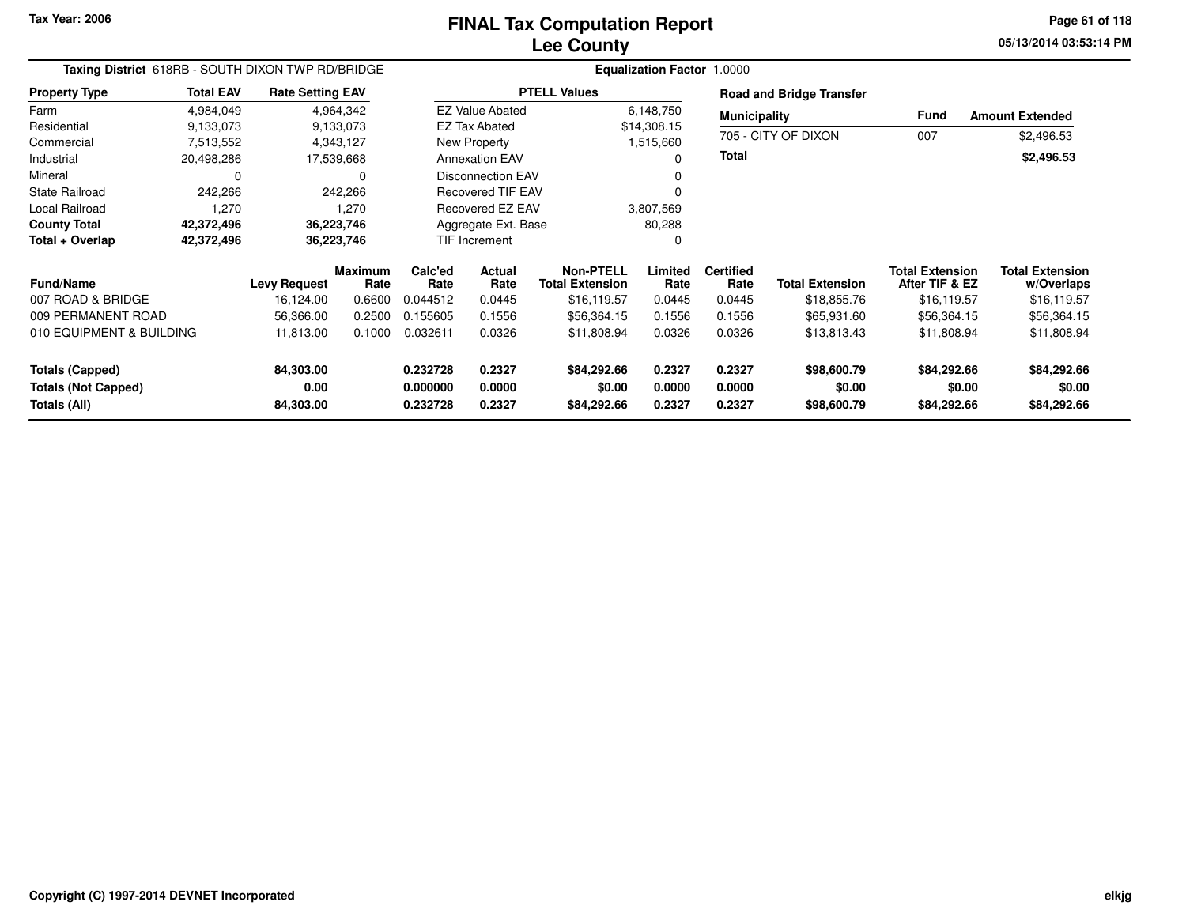**05/13/2014 03:53:14 PM Page 61 of 118**

| Taxing District 618RB - SOUTH DIXON TWP RD/BRIDGE |                  |                         |                        |                 |                          |                                            | <b>Equalization Factor</b> | 1.0000                   |                                 |                                          |                                      |  |
|---------------------------------------------------|------------------|-------------------------|------------------------|-----------------|--------------------------|--------------------------------------------|----------------------------|--------------------------|---------------------------------|------------------------------------------|--------------------------------------|--|
| <b>Property Type</b>                              | <b>Total EAV</b> | <b>Rate Setting EAV</b> |                        |                 |                          | <b>PTELL Values</b>                        |                            |                          | <b>Road and Bridge Transfer</b> |                                          |                                      |  |
| Farm                                              | 4,984,049        |                         | 4,964,342              |                 | <b>EZ Value Abated</b>   |                                            | 6,148,750                  | <b>Municipality</b>      |                                 | Fund                                     | <b>Amount Extended</b>               |  |
| Residential                                       | 9,133,073        |                         | 9,133,073              |                 | <b>EZ Tax Abated</b>     |                                            | \$14,308.15                |                          |                                 |                                          |                                      |  |
| Commercial                                        | 7,513,552        |                         | 4,343,127              |                 | New Property             |                                            | 1,515,660                  |                          | 705 - CITY OF DIXON             | 007                                      | \$2,496.53                           |  |
| Industrial                                        | 20,498,286       |                         | 17,539,668             |                 | <b>Annexation EAV</b>    |                                            | $\Omega$                   | Total                    |                                 |                                          | \$2,496.53                           |  |
| Mineral                                           | 0                |                         | 0                      |                 | <b>Disconnection EAV</b> |                                            |                            |                          |                                 |                                          |                                      |  |
| <b>State Railroad</b>                             | 242,266          |                         | 242,266                |                 | <b>Recovered TIF EAV</b> |                                            |                            |                          |                                 |                                          |                                      |  |
| Local Railroad                                    | 1,270            |                         | 1,270                  |                 | Recovered EZ EAV         |                                            | 3,807,569                  |                          |                                 |                                          |                                      |  |
| <b>County Total</b>                               | 42,372,496       |                         | 36,223,746             |                 | Aggregate Ext. Base      |                                            | 80,288                     |                          |                                 |                                          |                                      |  |
| Total + Overlap                                   | 42,372,496       |                         | 36,223,746             |                 | <b>TIF Increment</b>     |                                            | 0                          |                          |                                 |                                          |                                      |  |
| <b>Fund/Name</b>                                  |                  | <b>Levy Request</b>     | <b>Maximum</b><br>Rate | Calc'ed<br>Rate | <b>Actual</b><br>Rate    | <b>Non-PTELL</b><br><b>Total Extension</b> | Limited<br>Rate            | <b>Certified</b><br>Rate | <b>Total Extension</b>          | <b>Total Extension</b><br>After TIF & EZ | <b>Total Extension</b><br>w/Overlaps |  |
| 007 ROAD & BRIDGE                                 |                  | 16,124.00               | 0.6600                 | 0.044512        | 0.0445                   | \$16,119.57                                | 0.0445                     | 0.0445                   | \$18,855.76                     | \$16,119.57                              | \$16,119.57                          |  |
| 009 PERMANENT ROAD                                |                  | 56,366.00               | 0.2500                 | 0.155605        | 0.1556                   | \$56,364.15                                | 0.1556                     | 0.1556                   | \$65,931.60                     | \$56,364.15                              | \$56,364.15                          |  |
| 010 EQUIPMENT & BUILDING                          |                  | 11,813.00               | 0.1000                 | 0.032611        | 0.0326                   | \$11,808.94                                | 0.0326                     | 0.0326                   | \$13,813.43                     | \$11,808.94                              | \$11,808.94                          |  |
| <b>Totals (Capped)</b>                            |                  | 84,303.00               |                        | 0.232728        | 0.2327                   | \$84,292.66                                | 0.2327                     | 0.2327                   | \$98,600.79                     | \$84,292.66                              | \$84,292.66                          |  |
| <b>Totals (Not Capped)</b>                        |                  | 0.00                    |                        | 0.000000        | 0.0000                   | \$0.00                                     | 0.0000                     | 0.0000                   | \$0.00                          | \$0.00                                   | \$0.00                               |  |
| Totals (All)                                      |                  | 84,303.00               |                        | 0.232728        | 0.2327                   | \$84,292.66                                | 0.2327                     | 0.2327                   | \$98,600.79                     | \$84,292.66                              | \$84,292.66                          |  |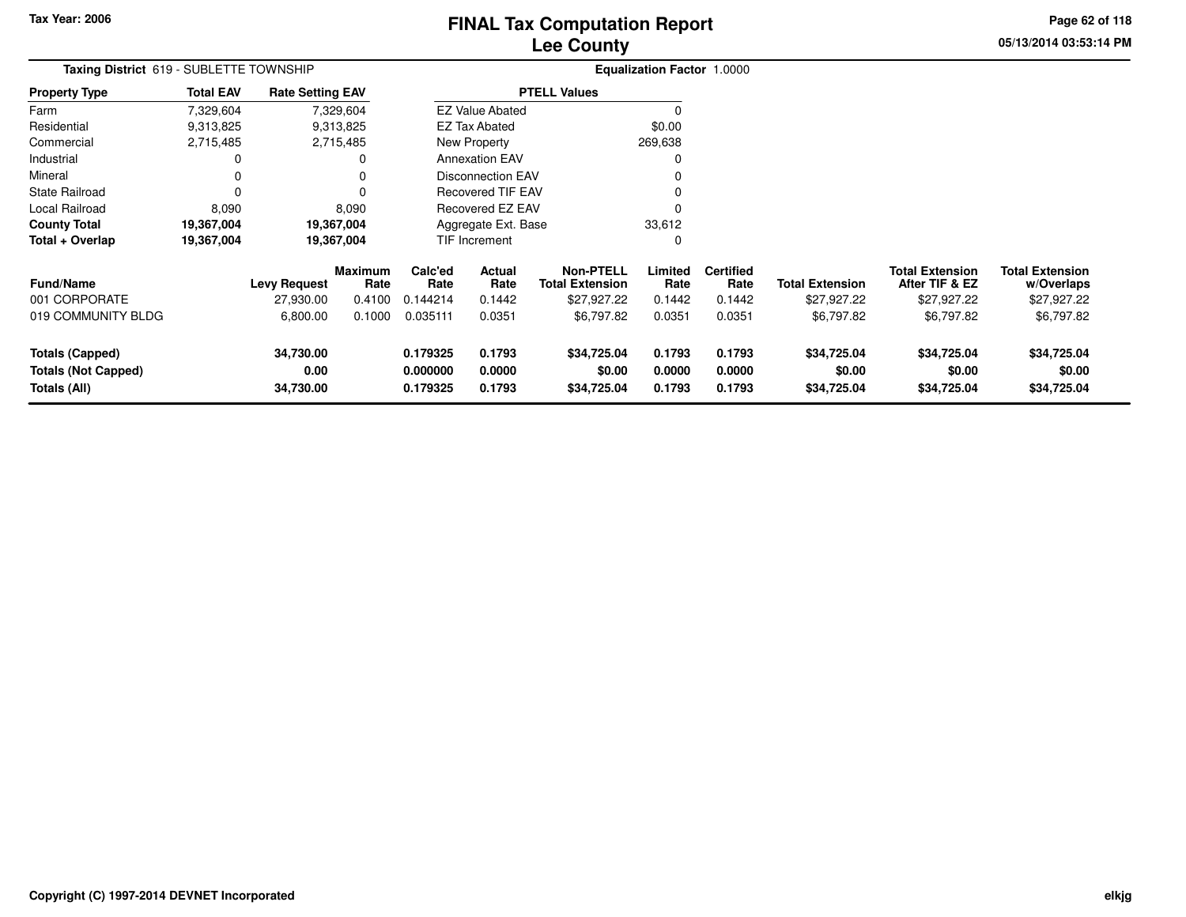# **Lee CountyFINAL Tax Computation Report** FINAL Tax Computation Report

**05/13/2014 03:53:14 PM Page 62 of 118**

| Taxing District 619 - SUBLETTE TOWNSHIP                              |                  |                                |                        |                                  |                            |                                            |                            | <b>Equalization Factor 1.0000</b> |                                      |                                          |                                      |
|----------------------------------------------------------------------|------------------|--------------------------------|------------------------|----------------------------------|----------------------------|--------------------------------------------|----------------------------|-----------------------------------|--------------------------------------|------------------------------------------|--------------------------------------|
| <b>Property Type</b>                                                 | <b>Total EAV</b> | <b>Rate Setting EAV</b>        |                        |                                  |                            | <b>PTELL Values</b>                        |                            |                                   |                                      |                                          |                                      |
| Farm                                                                 | 7,329,604        |                                | 7,329,604              |                                  | <b>EZ Value Abated</b>     |                                            | 0                          |                                   |                                      |                                          |                                      |
| Residential                                                          | 9,313,825        |                                | 9,313,825              |                                  | <b>EZ Tax Abated</b>       |                                            | \$0.00                     |                                   |                                      |                                          |                                      |
| Commercial                                                           | 2,715,485        |                                | 2,715,485              |                                  | New Property               |                                            | 269,638                    |                                   |                                      |                                          |                                      |
| Industrial                                                           | 0                |                                | 0                      |                                  | <b>Annexation EAV</b>      |                                            | 0                          |                                   |                                      |                                          |                                      |
| Mineral                                                              | $\Omega$         |                                | 0                      |                                  | <b>Disconnection EAV</b>   |                                            | 0                          |                                   |                                      |                                          |                                      |
| <b>State Railroad</b>                                                | $\Omega$         |                                | 0                      |                                  | Recovered TIF EAV          |                                            | 0                          |                                   |                                      |                                          |                                      |
| Local Railroad                                                       | 8,090            |                                | 8,090                  | <b>Recovered EZ EAV</b>          |                            |                                            | 0                          |                                   |                                      |                                          |                                      |
| <b>County Total</b>                                                  | 19,367,004       |                                | 19,367,004             | Aggregate Ext. Base              |                            |                                            | 33,612                     |                                   |                                      |                                          |                                      |
| Total + Overlap                                                      | 19,367,004       |                                | 19,367,004             |                                  | TIF Increment              |                                            | 0                          |                                   |                                      |                                          |                                      |
| <b>Fund/Name</b>                                                     |                  | <b>Levy Request</b>            | <b>Maximum</b><br>Rate | Calc'ed<br>Rate                  | Actual<br>Rate             | <b>Non-PTELL</b><br><b>Total Extension</b> | Limited<br>Rate            | <b>Certified</b><br>Rate          | <b>Total Extension</b>               | <b>Total Extension</b><br>After TIF & EZ | <b>Total Extension</b><br>w/Overlaps |
| 001 CORPORATE                                                        |                  | 27,930.00                      | 0.4100                 | 0.144214                         | 0.1442                     | \$27,927.22                                | 0.1442                     | 0.1442                            | \$27,927.22                          | \$27,927.22                              | \$27,927.22                          |
| 019 COMMUNITY BLDG                                                   |                  | 6,800.00                       | 0.1000                 | 0.035111                         | 0.0351                     | \$6,797.82                                 | 0.0351                     | 0.0351                            | \$6,797.82                           | \$6,797.82                               | \$6,797.82                           |
| <b>Totals (Capped)</b><br><b>Totals (Not Capped)</b><br>Totals (All) |                  | 34,730.00<br>0.00<br>34,730.00 |                        | 0.179325<br>0.000000<br>0.179325 | 0.1793<br>0.0000<br>0.1793 | \$34,725.04<br>\$0.00<br>\$34,725.04       | 0.1793<br>0.0000<br>0.1793 | 0.1793<br>0.0000<br>0.1793        | \$34,725.04<br>\$0.00<br>\$34,725.04 | \$34,725.04<br>\$0.00<br>\$34,725.04     | \$34,725.04<br>\$0.00<br>\$34,725.04 |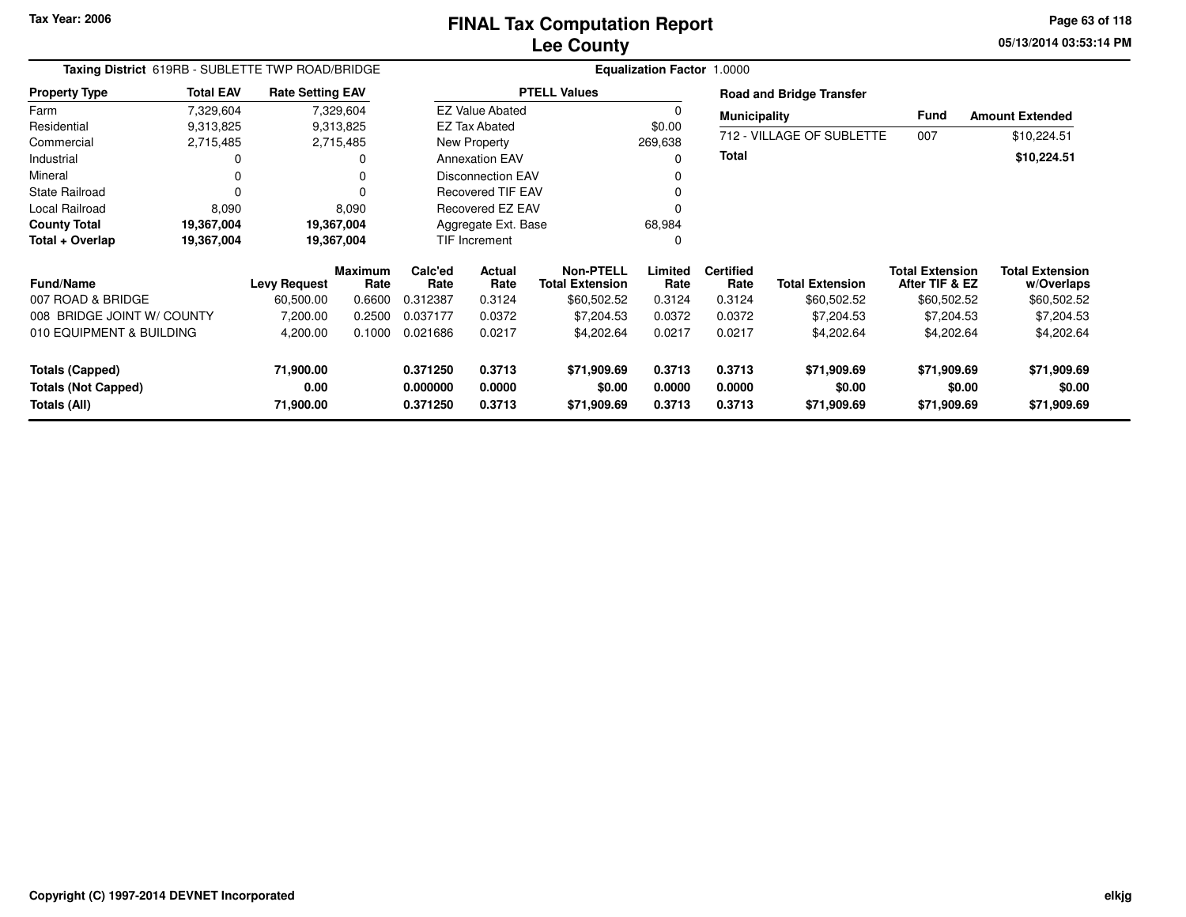**05/13/2014 03:53:14 PM Page 63 of 118**

| Taxing District 619RB - SUBLETTE TWP ROAD/BRIDGE |                  |                         |                        |                 | <b>Equalization Factor 1.0000</b> |                                            |                 |                          |                                 |                                          |                                      |
|--------------------------------------------------|------------------|-------------------------|------------------------|-----------------|-----------------------------------|--------------------------------------------|-----------------|--------------------------|---------------------------------|------------------------------------------|--------------------------------------|
| <b>Property Type</b>                             | <b>Total EAV</b> | <b>Rate Setting EAV</b> |                        |                 |                                   | <b>PTELL Values</b>                        |                 |                          | <b>Road and Bridge Transfer</b> |                                          |                                      |
| Farm                                             | 7,329,604        |                         | 7,329,604              |                 | <b>EZ Value Abated</b>            |                                            | 0               | <b>Municipality</b>      |                                 | Fund                                     | <b>Amount Extended</b>               |
| Residential                                      | 9,313,825        |                         | 9,313,825              |                 | <b>EZ Tax Abated</b>              |                                            | \$0.00          |                          |                                 |                                          |                                      |
| Commercial                                       | 2,715,485        |                         | 2,715,485              |                 | New Property                      |                                            | 269,638         |                          | 712 - VILLAGE OF SUBLETTE       | 007                                      | \$10,224.51                          |
| Industrial                                       |                  |                         | 0                      |                 | <b>Annexation EAV</b>             |                                            | U               | <b>Total</b>             |                                 |                                          | \$10,224.51                          |
| Mineral                                          |                  |                         | 0                      |                 | <b>Disconnection EAV</b>          |                                            |                 |                          |                                 |                                          |                                      |
| <b>State Railroad</b>                            |                  |                         | 0                      |                 | <b>Recovered TIF EAV</b>          |                                            |                 |                          |                                 |                                          |                                      |
| Local Railroad                                   | 8,090            |                         | 8,090                  |                 | Recovered EZ EAV                  |                                            |                 |                          |                                 |                                          |                                      |
| <b>County Total</b>                              | 19,367,004       |                         | 19,367,004             |                 | Aggregate Ext. Base               |                                            | 68,984          |                          |                                 |                                          |                                      |
| Total + Overlap                                  | 19,367,004       |                         | 19,367,004             |                 | TIF Increment                     |                                            | 0               |                          |                                 |                                          |                                      |
| <b>Fund/Name</b>                                 |                  | <b>Levy Request</b>     | <b>Maximum</b><br>Rate | Calc'ed<br>Rate | <b>Actual</b><br>Rate             | <b>Non-PTELL</b><br><b>Total Extension</b> | Limited<br>Rate | <b>Certified</b><br>Rate | <b>Total Extension</b>          | <b>Total Extension</b><br>After TIF & EZ | <b>Total Extension</b><br>w/Overlaps |
| 007 ROAD & BRIDGE                                |                  | 60,500.00               | 0.6600                 | 0.312387        | 0.3124                            | \$60,502.52                                | 0.3124          | 0.3124                   | \$60,502.52                     | \$60,502.52                              | \$60,502.52                          |
| 008 BRIDGE JOINT W/ COUNTY                       |                  | 7,200.00                | 0.2500                 | 0.037177        | 0.0372                            | \$7,204.53                                 | 0.0372          | 0.0372                   | \$7,204.53                      | \$7,204.53                               | \$7,204.53                           |
| 010 EQUIPMENT & BUILDING                         |                  | 4,200.00                | 0.1000                 | 0.021686        | 0.0217                            | \$4,202.64                                 | 0.0217          | 0.0217                   | \$4,202.64                      | \$4,202.64                               | \$4,202.64                           |
| Totals (Capped)                                  |                  | 71,900.00               |                        | 0.371250        | 0.3713                            | \$71,909.69                                | 0.3713          | 0.3713                   | \$71,909.69                     | \$71,909.69                              | \$71,909.69                          |
| <b>Totals (Not Capped)</b>                       |                  | 0.00                    |                        | 0.000000        | 0.0000                            | \$0.00                                     | 0.0000          | 0.0000                   | \$0.00                          | \$0.00                                   | \$0.00                               |
| Totals (All)                                     |                  | 71,900.00               |                        | 0.371250        | 0.3713                            | \$71,909.69                                | 0.3713          | 0.3713                   | \$71,909.69                     | \$71,909.69                              | \$71,909.69                          |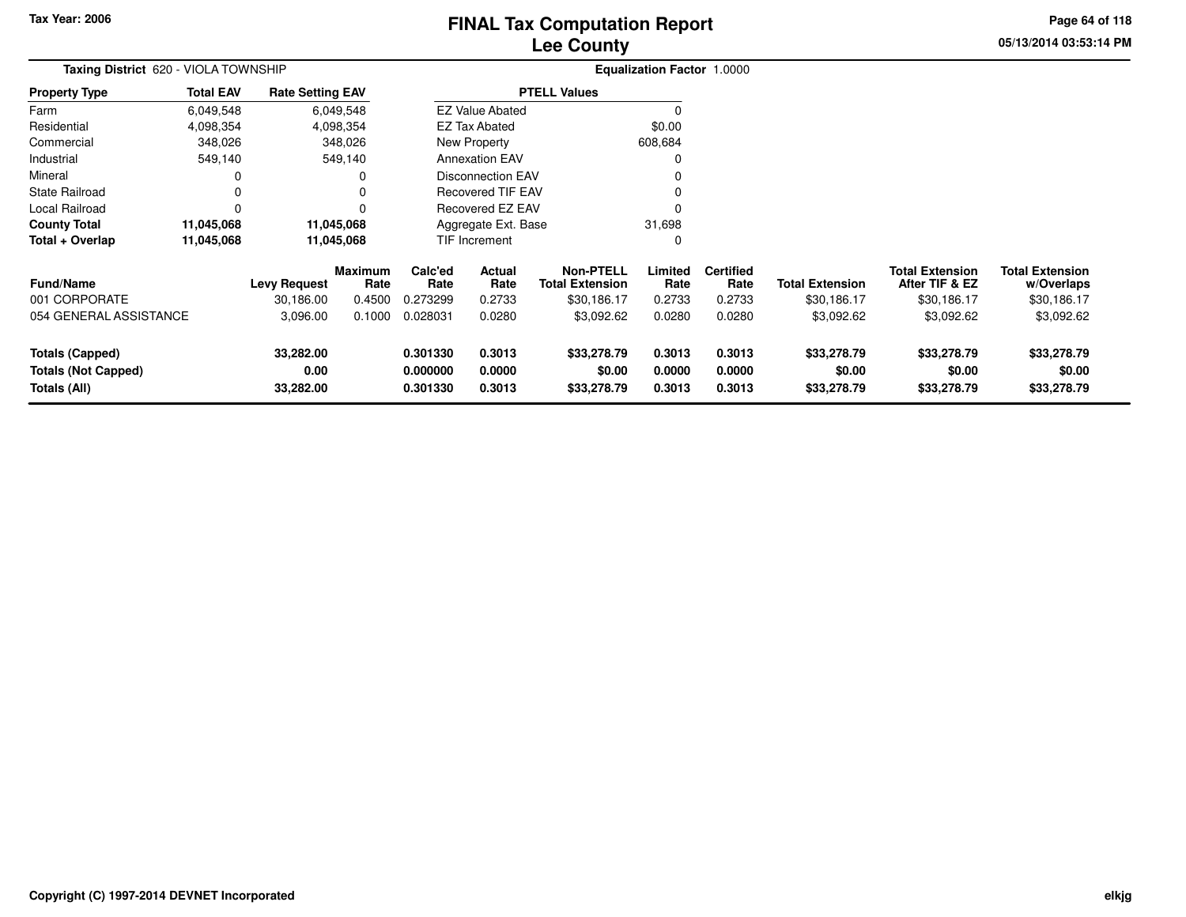# **Lee CountyFINAL Tax Computation Report** FINAL Tax Computation Report

**05/13/2014 03:53:14 PM Page 64 of 118**

| Taxing District 620 - VIOLA TOWNSHIP                                        |                  |                                |                        |                                  | <b>Equalization Factor 1.0000</b> |                                            |                            |                            |                                      |                                          |                                      |
|-----------------------------------------------------------------------------|------------------|--------------------------------|------------------------|----------------------------------|-----------------------------------|--------------------------------------------|----------------------------|----------------------------|--------------------------------------|------------------------------------------|--------------------------------------|
| Property Type                                                               | <b>Total EAV</b> | <b>Rate Setting EAV</b>        |                        |                                  |                                   | <b>PTELL Values</b>                        |                            |                            |                                      |                                          |                                      |
| Farm                                                                        | 6,049,548        |                                | 6,049,548              |                                  | <b>EZ Value Abated</b>            |                                            |                            |                            |                                      |                                          |                                      |
| Residential                                                                 | 4,098,354        |                                | 4,098,354              |                                  | <b>EZ Tax Abated</b>              |                                            | \$0.00                     |                            |                                      |                                          |                                      |
| Commercial                                                                  | 348,026          |                                | 348,026                |                                  | New Property                      |                                            | 608,684                    |                            |                                      |                                          |                                      |
| Industrial                                                                  | 549,140          |                                | 549,140                |                                  | <b>Annexation EAV</b>             |                                            |                            |                            |                                      |                                          |                                      |
| Mineral                                                                     |                  |                                | 0                      | <b>Disconnection EAV</b>         |                                   |                                            |                            |                            |                                      |                                          |                                      |
| State Railroad                                                              |                  |                                |                        | <b>Recovered TIF EAV</b>         |                                   |                                            |                            |                            |                                      |                                          |                                      |
| Local Railroad                                                              | 0                |                                | 0                      | Recovered EZ EAV                 |                                   |                                            |                            |                            |                                      |                                          |                                      |
| County Total                                                                | 11,045,068       |                                | 11,045,068             |                                  | Aggregate Ext. Base               |                                            | 31,698                     |                            |                                      |                                          |                                      |
| Total + Overlap                                                             | 11,045,068       |                                | 11,045,068             |                                  | <b>TIF Increment</b>              |                                            | 0                          |                            |                                      |                                          |                                      |
| <b>Fund/Name</b>                                                            |                  | <b>Levy Request</b>            | <b>Maximum</b><br>Rate | Calc'ed<br>Rate                  | Actual<br>Rate                    | <b>Non-PTELL</b><br><b>Total Extension</b> | Limited<br>Rate            | <b>Certified</b><br>Rate   | <b>Total Extension</b>               | <b>Total Extension</b><br>After TIF & EZ | <b>Total Extension</b><br>w/Overlaps |
| 001 CORPORATE                                                               |                  | 30,186.00                      | 0.4500                 | 0.273299                         | 0.2733                            | \$30,186.17                                | 0.2733                     | 0.2733                     | \$30,186.17                          | \$30,186.17                              | \$30,186.17                          |
| 054 GENERAL ASSISTANCE                                                      |                  | 3,096.00                       | 0.1000                 | 0.028031                         | 0.0280                            | \$3,092.62                                 | 0.0280                     | 0.0280                     | \$3,092.62                           | \$3,092.62                               | \$3,092.62                           |
| <b>Totals (Capped)</b><br><b>Totals (Not Capped)</b><br><b>Totals (All)</b> |                  | 33,282.00<br>0.00<br>33,282.00 |                        | 0.301330<br>0.000000<br>0.301330 | 0.3013<br>0.0000<br>0.3013        | \$33,278.79<br>\$0.00<br>\$33,278.79       | 0.3013<br>0.0000<br>0.3013 | 0.3013<br>0.0000<br>0.3013 | \$33,278.79<br>\$0.00<br>\$33,278.79 | \$33,278.79<br>\$0.00<br>\$33,278.79     | \$33,278.79<br>\$0.00<br>\$33,278.79 |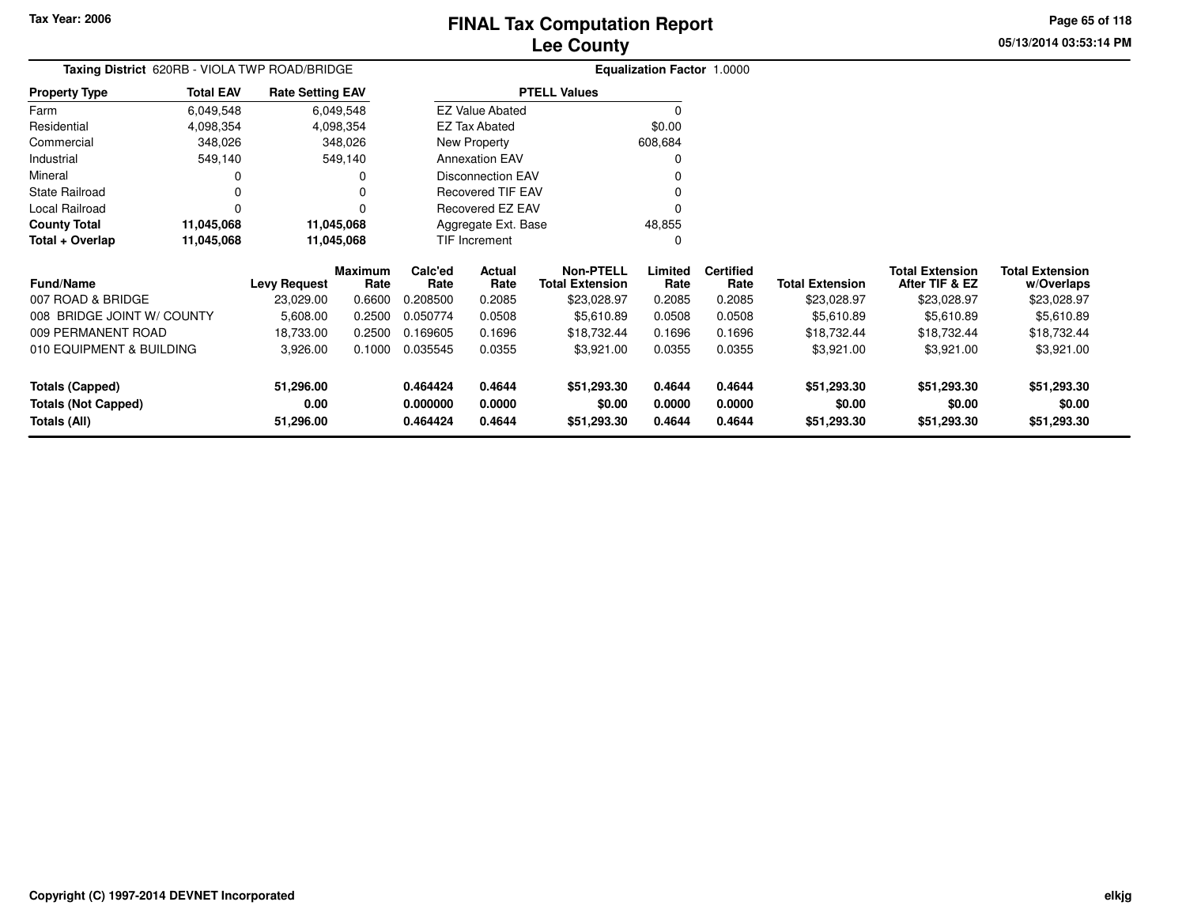**Property Type**

FarmResidential

**Industrial** Mineral

State Railroad

 $County$  **Total** 

**Total + Overlap**

Local Railroad 0<br> **County Total** 11,045,068

**11,045,068 11,045,068**

# **Lee CountyFINAL Tax Computation Report**

<sup>0</sup>

0

48,855 $\pmb{0}$ 

**05/13/2014 03:53:14 PMPage 65 of 118**

|                |                                               |                         | <b>Lee County</b>     |                                   |  |  |  |  |  |  |  |
|----------------|-----------------------------------------------|-------------------------|-----------------------|-----------------------------------|--|--|--|--|--|--|--|
|                | Taxing District 620RB - VIOLA TWP ROAD/BRIDGE |                         |                       | <b>Equalization Factor 1.0000</b> |  |  |  |  |  |  |  |
| Property Type  | <b>Total EAV</b>                              | <b>Rate Setting EAV</b> | <b>PTELL Values</b>   |                                   |  |  |  |  |  |  |  |
| Farm           | 6.049.548                                     | 6.049.548               | EZ Value Abated       |                                   |  |  |  |  |  |  |  |
| Residential    | 4.098.354                                     | 4,098,354               | EZ Tax Abated         | \$0.00                            |  |  |  |  |  |  |  |
| Commercial     | 348,026                                       | 348,026                 | New Property          | 608.684                           |  |  |  |  |  |  |  |
| Industrial     | 549.140                                       | 549.140                 | <b>Annexation EAV</b> |                                   |  |  |  |  |  |  |  |
| Mineral        |                                               |                         | Disconnection EAV     | υ                                 |  |  |  |  |  |  |  |
| State Railroad |                                               | 0                       | Recovered TIF EAV     |                                   |  |  |  |  |  |  |  |
|                |                                               |                         |                       |                                   |  |  |  |  |  |  |  |

Recovered EZ EAV

Aggregate Ext. BaseTIF Increment

 $\mathsf 0$ 

11,045,068

11,045,068

| <b>Fund/Name</b>                                              | <b>Levy Request</b>            | <b>Maximum</b><br>Rate | Calc'ed<br>Rate                  | Actual<br>Rate             | <b>Non-PTELL</b><br><b>Total Extension</b> | Limited<br>Rate            | <b>Certified</b><br>Rate   | <b>Total Extension</b>               | <b>Total Extension</b><br>After TIF & EZ | <b>Total Extension</b><br>w/Overlaps |
|---------------------------------------------------------------|--------------------------------|------------------------|----------------------------------|----------------------------|--------------------------------------------|----------------------------|----------------------------|--------------------------------------|------------------------------------------|--------------------------------------|
| 007 ROAD & BRIDGE                                             | 23,029.00                      | 0.6600                 | 0.208500                         | 0.2085                     | \$23,028.97                                | 0.2085                     | 0.2085                     | \$23,028.97                          | \$23,028.97                              | \$23,028.97                          |
| 008 BRIDGE JOINT W/ COUNTY                                    | 5.608.00                       | 0.2500                 | 0.050774                         | 0.0508                     | \$5,610.89                                 | 0.0508                     | 0.0508                     | \$5.610.89                           | \$5.610.89                               | \$5,610.89                           |
| 009 PERMANENT ROAD                                            | 18.733.00                      | 0.2500                 | 0.169605                         | 0.1696                     | \$18.732.44                                | 0.1696                     | 0.1696                     | \$18.732.44                          | \$18.732.44                              | \$18,732.44                          |
| 010 EQUIPMENT & BUILDING                                      | 3,926.00                       | 0.1000                 | 0.035545                         | 0.0355                     | \$3,921.00                                 | 0.0355                     | 0.0355                     | \$3,921.00                           | \$3,921.00                               | \$3,921.00                           |
| Totals (Capped)<br><b>Totals (Not Capped)</b><br>Totals (All) | 51.296.00<br>0.00<br>51,296.00 |                        | 0.464424<br>0.000000<br>0.464424 | 0.4644<br>0.0000<br>0.4644 | \$51,293.30<br>\$0.00<br>\$51,293.30       | 0.4644<br>0.0000<br>0.4644 | 0.4644<br>0.0000<br>0.4644 | \$51,293.30<br>\$0.00<br>\$51,293.30 | \$51.293.30<br>\$0.00<br>\$51,293.30     | \$51,293.30<br>\$0.00<br>\$51,293.30 |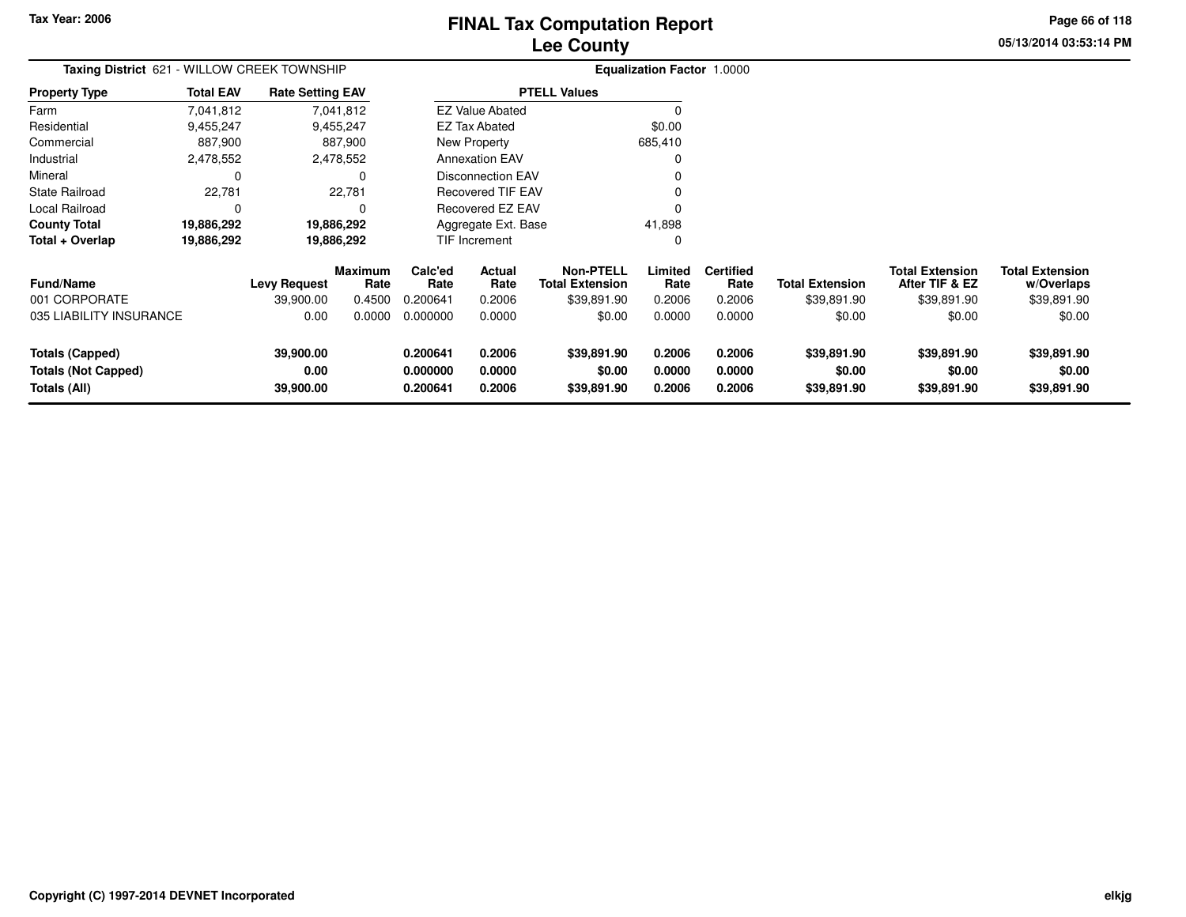# **Lee CountyFINAL Tax Computation Report** FINAL Tax Computation Report

**05/13/2014 03:53:14 PMPage 66 of 118**

| Taxing District 621 - WILLOW CREEK TOWNSHIP                          |                  |                                |                 |                                  | <b>Equalization Factor 1.0000</b> |                                            |                            |                            |                                      |                                          |                                      |  |
|----------------------------------------------------------------------|------------------|--------------------------------|-----------------|----------------------------------|-----------------------------------|--------------------------------------------|----------------------------|----------------------------|--------------------------------------|------------------------------------------|--------------------------------------|--|
| <b>Property Type</b>                                                 | <b>Total EAV</b> | <b>Rate Setting EAV</b>        |                 |                                  |                                   | <b>PTELL Values</b>                        |                            |                            |                                      |                                          |                                      |  |
| Farm                                                                 | 7,041,812        |                                | 7,041,812       |                                  | <b>EZ Value Abated</b>            |                                            |                            |                            |                                      |                                          |                                      |  |
| Residential                                                          | 9,455,247        |                                | 9,455,247       |                                  | EZ Tax Abated                     |                                            | \$0.00                     |                            |                                      |                                          |                                      |  |
| Commercial                                                           | 887,900          |                                | 887,900         |                                  | New Property                      |                                            | 685,410                    |                            |                                      |                                          |                                      |  |
| Industrial                                                           | 2,478,552        |                                | 2,478,552       |                                  | <b>Annexation EAV</b>             |                                            |                            |                            |                                      |                                          |                                      |  |
| Mineral                                                              | 0                |                                | $\Omega$        |                                  | <b>Disconnection EAV</b>          |                                            |                            |                            |                                      |                                          |                                      |  |
| <b>State Railroad</b>                                                | 22,781           |                                | 22,781          |                                  | <b>Recovered TIF EAV</b>          |                                            |                            |                            |                                      |                                          |                                      |  |
| Local Railroad                                                       | 0                |                                | $\Omega$        |                                  | Recovered EZ EAV                  |                                            |                            |                            |                                      |                                          |                                      |  |
| <b>County Total</b>                                                  | 19,886,292       |                                | 19,886,292      |                                  | Aggregate Ext. Base               |                                            | 41,898                     |                            |                                      |                                          |                                      |  |
| Total + Overlap                                                      | 19,886,292       |                                | 19,886,292      |                                  | TIF Increment                     |                                            | 0                          |                            |                                      |                                          |                                      |  |
| Fund/Name                                                            |                  | <b>Levy Request</b>            | Maximum<br>Rate | Calc'ed<br>Rate                  | Actual<br>Rate                    | <b>Non-PTELL</b><br><b>Total Extension</b> | Limited<br>Rate            | <b>Certified</b><br>Rate   | <b>Total Extension</b>               | <b>Total Extension</b><br>After TIF & EZ | <b>Total Extension</b><br>w/Overlaps |  |
| 001 CORPORATE                                                        |                  | 39,900.00                      | 0.4500          | 0.200641                         | 0.2006                            | \$39,891.90                                | 0.2006                     | 0.2006                     | \$39,891.90                          | \$39,891.90                              | \$39,891.90                          |  |
| 035 LIABILITY INSURANCE                                              |                  | 0.00                           | 0.0000          | 0.000000                         | 0.0000                            | \$0.00                                     | 0.0000                     | 0.0000                     | \$0.00                               | \$0.00                                   | \$0.00                               |  |
| <b>Totals (Capped)</b><br><b>Totals (Not Capped)</b><br>Totals (All) |                  | 39,900.00<br>0.00<br>39,900.00 |                 | 0.200641<br>0.000000<br>0.200641 | 0.2006<br>0.0000<br>0.2006        | \$39,891.90<br>\$0.00<br>\$39,891.90       | 0.2006<br>0.0000<br>0.2006 | 0.2006<br>0.0000<br>0.2006 | \$39,891.90<br>\$0.00<br>\$39,891.90 | \$39,891.90<br>\$0.00<br>\$39,891.90     | \$39,891.90<br>\$0.00<br>\$39,891.90 |  |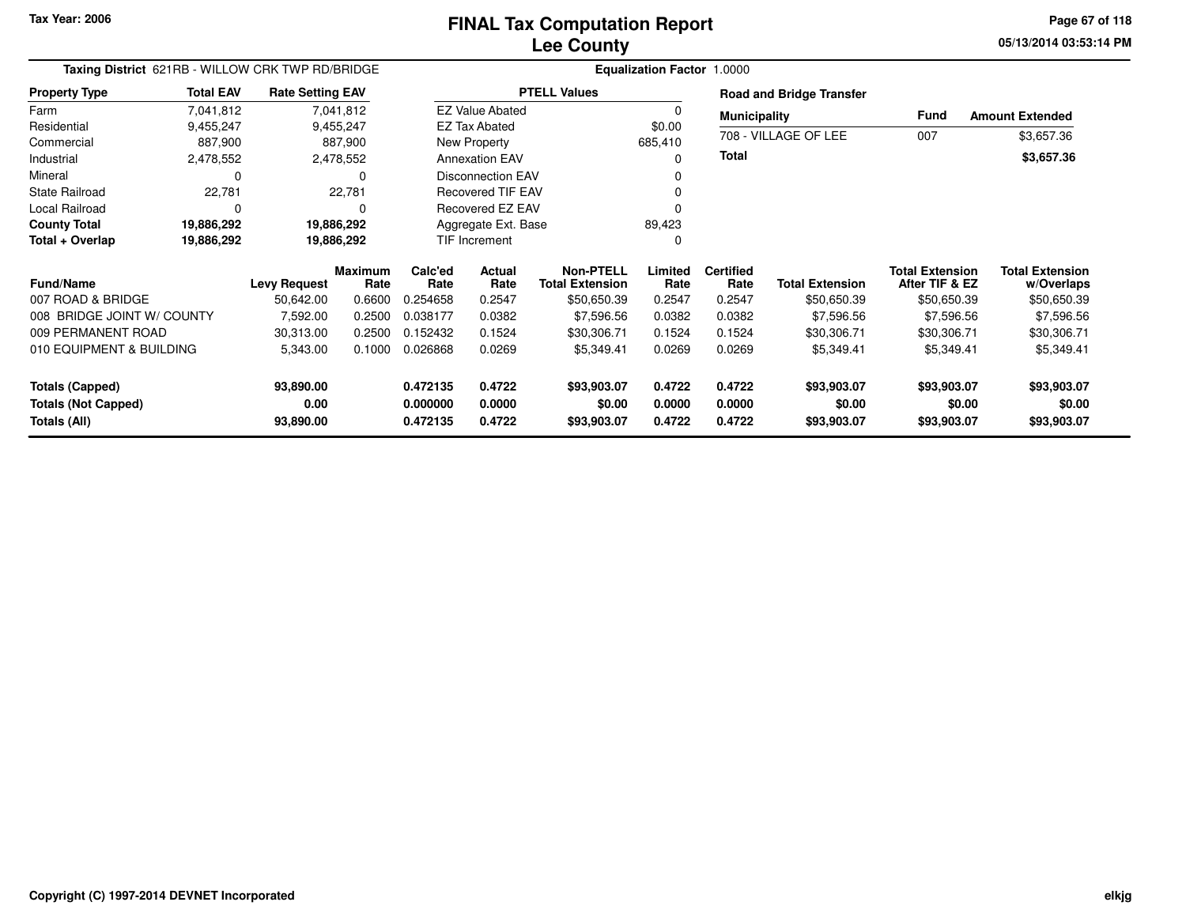**05/13/2014 03:53:14 PM Page 67 of 118**

| Taxing District 621RB - WILLOW CRK TWP RD/BRIDGE | Equalization Factor 1.0000 |                         |                 |                         |                        |                                            |                  |                          |                                 |                                          |                                      |  |
|--------------------------------------------------|----------------------------|-------------------------|-----------------|-------------------------|------------------------|--------------------------------------------|------------------|--------------------------|---------------------------------|------------------------------------------|--------------------------------------|--|
| <b>Property Type</b>                             | <b>Total EAV</b>           | <b>Rate Setting EAV</b> |                 |                         |                        | <b>PTELL Values</b>                        |                  |                          | <b>Road and Bridge Transfer</b> |                                          |                                      |  |
| Farm                                             | 7,041,812                  |                         | 7,041,812       |                         | <b>EZ Value Abated</b> |                                            | 0                | <b>Municipality</b>      |                                 | <b>Fund</b><br><b>Amount Extended</b>    |                                      |  |
| Residential                                      | 9,455,247                  |                         | 9,455,247       |                         | <b>EZ Tax Abated</b>   |                                            | \$0.00           |                          |                                 |                                          |                                      |  |
| Commercial                                       | 887,900                    |                         | 887,900         |                         | New Property           |                                            | 685,410          |                          | 708 - VILLAGE OF LEE            | 007                                      | \$3,657.36                           |  |
| Industrial                                       | 2,478,552                  |                         | 2,478,552       | <b>Annexation EAV</b>   |                        |                                            | $\Omega$         | <b>Total</b>             |                                 |                                          | \$3,657.36                           |  |
| Mineral                                          | $\Omega$                   |                         | $\Omega$        |                         | Disconnection EAV      |                                            |                  |                          |                                 |                                          |                                      |  |
| <b>State Railroad</b>                            | 22,781                     |                         | 22,781          |                         | Recovered TIF EAV      |                                            |                  |                          |                                 |                                          |                                      |  |
| <b>Local Railroad</b>                            | $\Omega$                   |                         | 0               | <b>Recovered EZ EAV</b> |                        |                                            |                  |                          |                                 |                                          |                                      |  |
| <b>County Total</b>                              | 19,886,292                 |                         | 19,886,292      |                         | Aggregate Ext. Base    |                                            | 89,423           |                          |                                 |                                          |                                      |  |
| Total + Overlap                                  | 19,886,292                 | 19,886,292              |                 | <b>TIF Increment</b>    |                        |                                            | $\Omega$         |                          |                                 |                                          |                                      |  |
| <b>Fund/Name</b>                                 |                            | <b>Levy Request</b>     | Maximum<br>Rate | Calc'ed<br>Rate         | Actual<br>Rate         | <b>Non-PTELL</b><br><b>Total Extension</b> | Limited<br>Rate  | <b>Certified</b><br>Rate | <b>Total Extension</b>          | <b>Total Extension</b><br>After TIF & EZ | <b>Total Extension</b><br>w/Overlaps |  |
| 007 ROAD & BRIDGE                                |                            | 50,642.00               | 0.6600          | 0.254658                | 0.2547                 | \$50,650.39                                | 0.2547           | 0.2547                   | \$50,650.39                     | \$50,650.39                              | \$50,650.39                          |  |
| 008 BRIDGE JOINT W/ COUNTY                       |                            | 7,592.00                | 0.2500          | 0.038177                | 0.0382                 | \$7,596.56                                 | 0.0382           | 0.0382                   | \$7,596.56                      | \$7,596.56                               | \$7,596.56                           |  |
| 009 PERMANENT ROAD                               |                            | 30,313.00               | 0.2500          | 0.152432                | 0.1524                 | \$30,306.71                                | 0.1524           | 0.1524                   | \$30,306.71                     | \$30,306.71                              | \$30,306.71                          |  |
| 010 EQUIPMENT & BUILDING                         |                            | 5,343.00                | 0.1000          | 0.026868                | 0.0269                 | \$5,349.41                                 | 0.0269           | 0.0269                   | \$5,349.41                      | \$5,349.41                               | \$5,349.41                           |  |
| <b>Totals (Capped)</b>                           |                            | 93,890.00               |                 | 0.472135                | 0.4722                 | \$93,903.07                                | 0.4722           | 0.4722                   | \$93,903.07                     | \$93,903.07                              | \$93,903.07                          |  |
| <b>Totals (Not Capped)</b><br>Totals (All)       |                            | 0.00<br>93,890.00       |                 | 0.000000<br>0.472135    | 0.0000<br>0.4722       | \$0.00<br>\$93,903.07                      | 0.0000<br>0.4722 | 0.0000<br>0.4722         | \$0.00<br>\$93,903.07           | \$0.00<br>\$93,903.07                    | \$0.00<br>\$93,903.07                |  |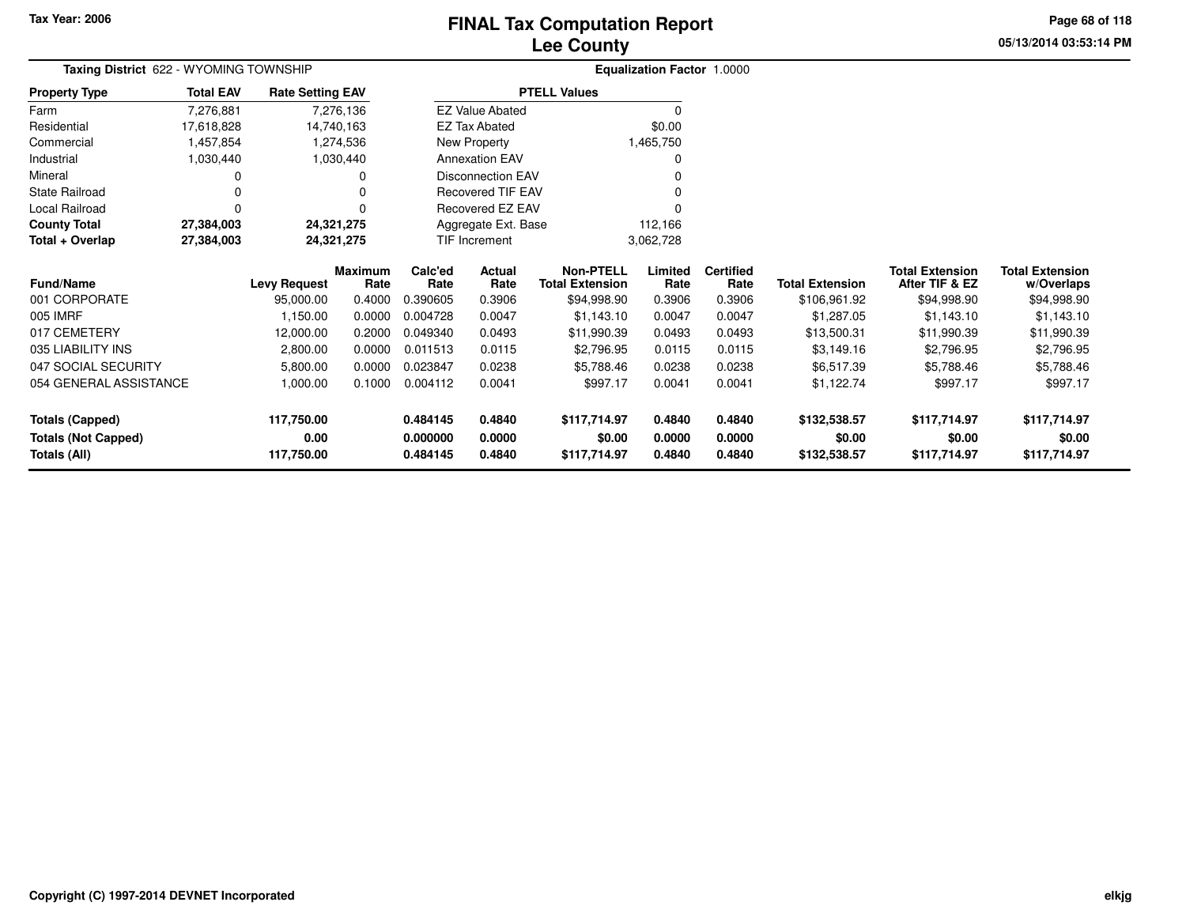# **Lee CountyFINAL Tax Computation Report** FINAL Tax Computation Report

**05/13/2014 03:53:14 PMPage 68 of 118**

| Taxing District 622 - WYOMING TOWNSHIP |                  |                         |                        |                      | <b>Equalization Factor 1.0000</b> |                                            |                 |                          |                        |                                          |                                      |  |
|----------------------------------------|------------------|-------------------------|------------------------|----------------------|-----------------------------------|--------------------------------------------|-----------------|--------------------------|------------------------|------------------------------------------|--------------------------------------|--|
| <b>Property Type</b>                   | <b>Total EAV</b> | <b>Rate Setting EAV</b> |                        |                      |                                   | <b>PTELL Values</b>                        |                 |                          |                        |                                          |                                      |  |
| Farm                                   | 7,276,881        |                         | 7,276,136              |                      | <b>EZ Value Abated</b>            |                                            | $\Omega$        |                          |                        |                                          |                                      |  |
| Residential                            | 17,618,828       |                         | 14,740,163             |                      | <b>EZ Tax Abated</b>              |                                            | \$0.00          |                          |                        |                                          |                                      |  |
| Commercial                             | 1,457,854        |                         | 1,274,536              | New Property         |                                   |                                            | 1,465,750       |                          |                        |                                          |                                      |  |
| Industrial                             | 1,030,440        |                         | 1,030,440              |                      | <b>Annexation EAV</b>             |                                            | 0               |                          |                        |                                          |                                      |  |
| Mineral                                |                  |                         | 0                      |                      | Disconnection EAV                 |                                            |                 |                          |                        |                                          |                                      |  |
| <b>State Railroad</b>                  |                  |                         | 0                      |                      | Recovered TIF EAV                 |                                            |                 |                          |                        |                                          |                                      |  |
| Local Railroad                         | $\Omega$         |                         | 0                      |                      | <b>Recovered EZ EAV</b>           |                                            |                 |                          |                        |                                          |                                      |  |
| <b>County Total</b>                    | 27,384,003       |                         | 24,321,275             |                      |                                   | Aggregate Ext. Base<br>112,166             |                 |                          |                        |                                          |                                      |  |
| Total + Overlap                        | 27,384,003       |                         | 24,321,275             | <b>TIF Increment</b> |                                   |                                            | 3,062,728       |                          |                        |                                          |                                      |  |
| <b>Fund/Name</b>                       |                  | <b>Levy Request</b>     | <b>Maximum</b><br>Rate | Calc'ed<br>Rate      | Actual<br>Rate                    | <b>Non-PTELL</b><br><b>Total Extension</b> | Limited<br>Rate | <b>Certified</b><br>Rate | <b>Total Extension</b> | <b>Total Extension</b><br>After TIF & EZ | <b>Total Extension</b><br>w/Overlaps |  |
| 001 CORPORATE                          |                  | 95,000.00               | 0.4000                 | 0.390605             | 0.3906                            | \$94,998.90                                | 0.3906          | 0.3906                   | \$106,961.92           | \$94,998.90                              | \$94,998.90                          |  |
| 005 IMRF                               |                  | 1,150.00                | 0.0000                 | 0.004728             | 0.0047                            | \$1,143.10                                 | 0.0047          | 0.0047                   | \$1,287.05             | \$1,143.10                               | \$1,143.10                           |  |
| 017 CEMETERY                           |                  | 12,000.00               | 0.2000                 | 0.049340             | 0.0493                            | \$11,990.39                                | 0.0493          | 0.0493                   | \$13,500.31            | \$11,990.39                              | \$11,990.39                          |  |
| 035 LIABILITY INS                      |                  | 2,800.00                | 0.0000                 | 0.011513             | 0.0115                            | \$2,796.95                                 | 0.0115          | 0.0115                   | \$3,149.16             | \$2,796.95                               | \$2,796.95                           |  |
| 047 SOCIAL SECURITY                    |                  | 5,800.00                | 0.0000                 | 0.023847             | 0.0238                            | \$5,788.46                                 | 0.0238          | 0.0238                   | \$6,517.39             | \$5,788.46                               | \$5,788.46                           |  |
| 054 GENERAL ASSISTANCE                 |                  | 1,000.00                | 0.1000                 | 0.004112             | 0.0041                            | \$997.17                                   | 0.0041          | 0.0041                   | \$1,122.74             | \$997.17                                 | \$997.17                             |  |
| <b>Totals (Capped)</b>                 |                  | 117,750.00              |                        | 0.484145             | 0.4840                            | \$117,714.97                               | 0.4840          | 0.4840                   | \$132,538.57           | \$117,714.97                             | \$117,714.97                         |  |
| <b>Totals (Not Capped)</b>             |                  | 0.00                    |                        | 0.000000             | 0.0000                            | \$0.00                                     | 0.0000          | 0.0000                   | \$0.00                 | \$0.00                                   | \$0.00                               |  |
| Totals (All)                           |                  | 117,750.00              |                        | 0.484145             | 0.4840                            | \$117,714.97                               | 0.4840          | 0.4840                   | \$132,538.57           | \$117,714.97                             | \$117,714.97                         |  |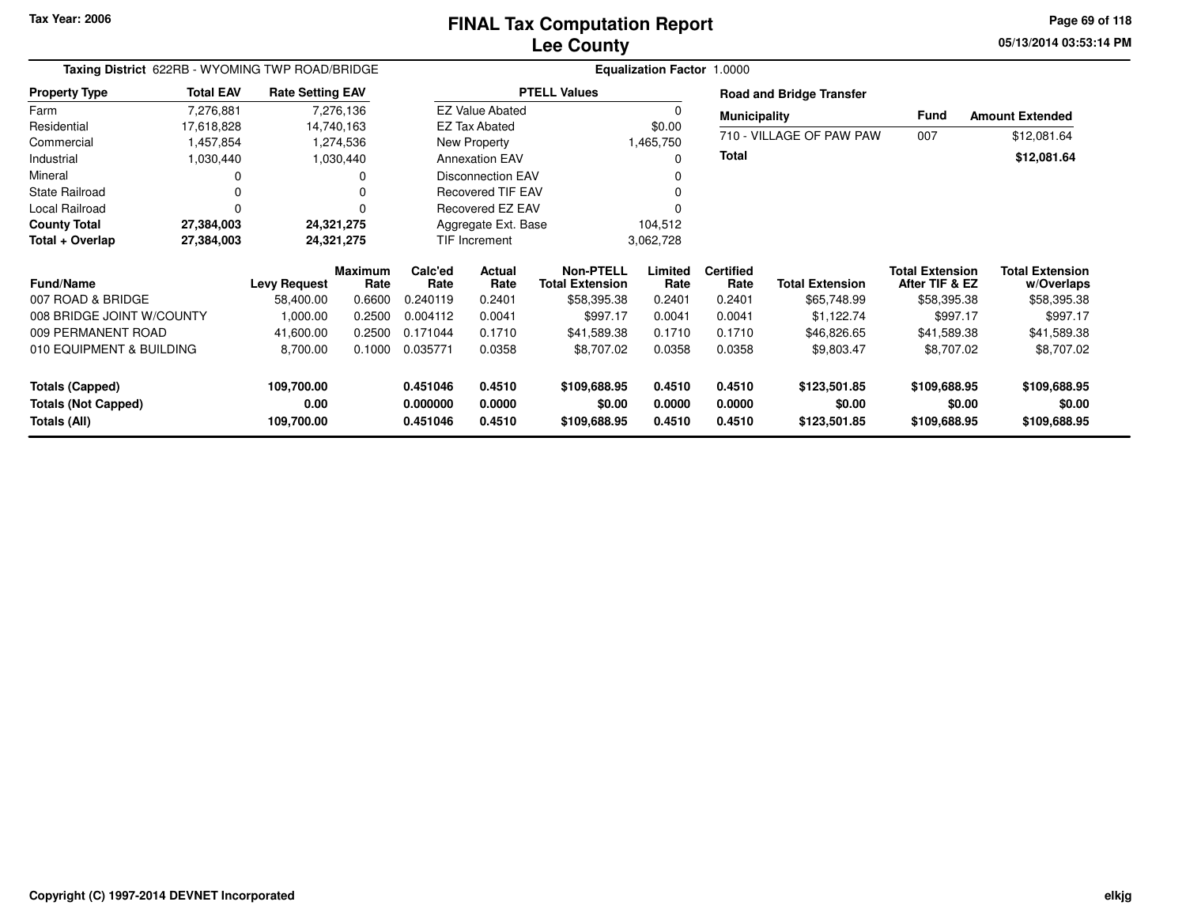**05/13/2014 03:53:14 PM Page 69 of 118**

| Taxing District 622RB - WYOMING TWP ROAD/BRIDGE |                  |                         |                        |                          | Equalization Factor 1.0000 |                                            |                 |                          |                                 |                                          |                                      |  |  |
|-------------------------------------------------|------------------|-------------------------|------------------------|--------------------------|----------------------------|--------------------------------------------|-----------------|--------------------------|---------------------------------|------------------------------------------|--------------------------------------|--|--|
| <b>Property Type</b>                            | <b>Total EAV</b> | <b>Rate Setting EAV</b> |                        |                          | <b>PTELL Values</b>        |                                            |                 |                          | <b>Road and Bridge Transfer</b> |                                          |                                      |  |  |
| Farm                                            | 7,276,881        | 7,276,136               |                        | <b>EZ Value Abated</b>   |                            |                                            |                 |                          | <b>Municipality</b>             |                                          | <b>Amount Extended</b>               |  |  |
| Residential                                     | 17,618,828       | 14,740,163              |                        |                          | <b>EZ Tax Abated</b>       |                                            | \$0.00          |                          | 710 - VILLAGE OF PAW PAW        |                                          |                                      |  |  |
| Commercial                                      | 1,457,854        | 1,274,536               |                        |                          | New Property               |                                            | 1,465,750       | <b>Total</b>             |                                 | 007                                      | \$12,081.64                          |  |  |
| Industrial                                      | 1,030,440        | 1,030,440               |                        | <b>Annexation EAV</b>    |                            |                                            | O               |                          |                                 |                                          | \$12,081.64                          |  |  |
| Mineral                                         | 0                |                         | 0                      | <b>Disconnection EAV</b> |                            |                                            |                 |                          |                                 |                                          |                                      |  |  |
| <b>State Railroad</b>                           | 0                |                         |                        | <b>Recovered TIF EAV</b> |                            |                                            |                 |                          |                                 |                                          |                                      |  |  |
| Local Railroad                                  | 0                |                         |                        |                          | Recovered EZ EAV           |                                            |                 |                          |                                 |                                          |                                      |  |  |
| <b>County Total</b>                             | 27,384,003       |                         | 24,321,275             |                          | Aggregate Ext. Base        |                                            | 104,512         |                          |                                 |                                          |                                      |  |  |
| Total + Overlap                                 | 27,384,003       |                         | 24,321,275             |                          | <b>TIF Increment</b>       |                                            | 3,062,728       |                          |                                 |                                          |                                      |  |  |
| <b>Fund/Name</b>                                |                  | <b>Levy Request</b>     | <b>Maximum</b><br>Rate | Calc'ed<br>Rate          | <b>Actual</b><br>Rate      | <b>Non-PTELL</b><br><b>Total Extension</b> | Limited<br>Rate | <b>Certified</b><br>Rate | <b>Total Extension</b>          | <b>Total Extension</b><br>After TIF & EZ | <b>Total Extension</b><br>w/Overlaps |  |  |
| 007 ROAD & BRIDGE                               |                  | 58,400.00               | 0.6600                 | 0.240119                 | 0.2401                     | \$58,395.38                                | 0.2401          | 0.2401                   | \$65,748.99                     | \$58,395.38                              | \$58,395.38                          |  |  |
| 008 BRIDGE JOINT W/COUNTY                       |                  | 1,000.00                | 0.2500                 | 0.004112                 | 0.0041                     | \$997.17                                   | 0.0041          | 0.0041                   | \$1,122.74                      | \$997.17                                 | \$997.17                             |  |  |
| 009 PERMANENT ROAD                              |                  | 41,600.00               | 0.2500                 | 0.171044                 | 0.1710                     | \$41,589.38                                | 0.1710          | 0.1710                   | \$46,826.65                     | \$41,589.38                              | \$41,589.38                          |  |  |
| 010 EQUIPMENT & BUILDING                        |                  | 8,700.00                | 0.1000                 | 0.035771                 | 0.0358                     | \$8,707.02                                 | 0.0358          | 0.0358                   | \$9,803.47                      | \$8,707.02                               | \$8,707.02                           |  |  |
| <b>Totals (Capped)</b>                          |                  | 109,700.00              |                        | 0.451046                 | 0.4510                     | \$109,688.95                               | 0.4510          | 0.4510                   | \$123,501.85                    | \$109,688.95                             | \$109,688.95                         |  |  |
| <b>Totals (Not Capped)</b>                      |                  | 0.00                    |                        | 0.000000                 | 0.0000                     | \$0.00                                     | 0.0000          | 0.0000                   | \$0.00                          | \$0.00                                   | \$0.00                               |  |  |
| Totals (All)                                    |                  | 109,700.00              |                        | 0.451046                 | 0.4510                     | \$109,688.95                               | 0.4510          | 0.4510                   | \$123,501.85                    | \$109,688.95                             | \$109,688.95                         |  |  |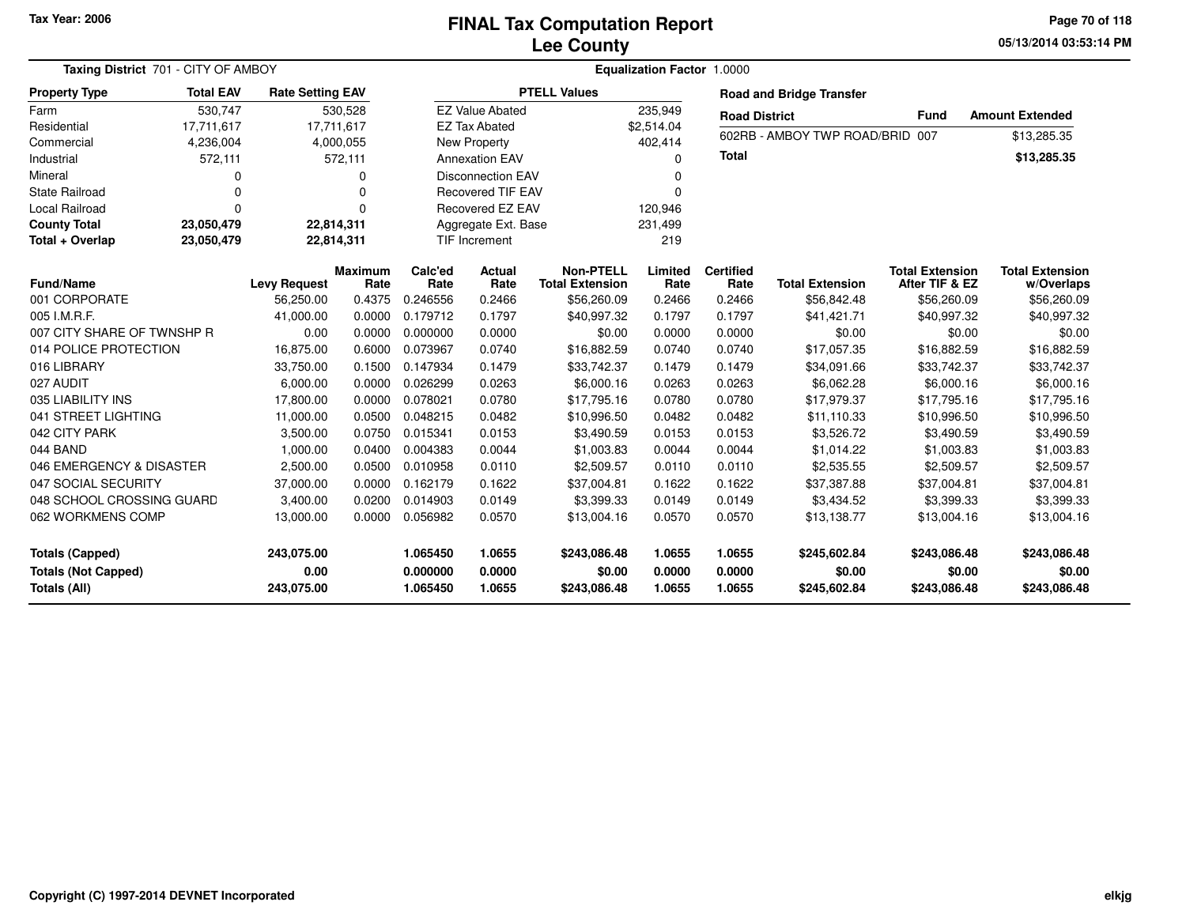#### **Lee CountyFINAL Tax Computation Report** FINAL Tax Computation Report

**05/13/2014 03:53:14 PM Page 70 of 118**

| Taxing District 701 - CITY OF AMBOY                           |                  |                                  |                        |                                  |                            | <b>Equalization Factor 1.0000</b>          |                            |                            |                                        |                                          |                                        |  |
|---------------------------------------------------------------|------------------|----------------------------------|------------------------|----------------------------------|----------------------------|--------------------------------------------|----------------------------|----------------------------|----------------------------------------|------------------------------------------|----------------------------------------|--|
| <b>Property Type</b>                                          | <b>Total EAV</b> | <b>Rate Setting EAV</b>          |                        | <b>PTELL Values</b>              |                            |                                            |                            |                            | <b>Road and Bridge Transfer</b>        |                                          |                                        |  |
| Farm                                                          | 530,747          |                                  | 530,528                |                                  | <b>EZ Value Abated</b>     |                                            | 235,949                    |                            | <b>Road District</b>                   | <b>Fund</b>                              | <b>Amount Extended</b>                 |  |
| Residential                                                   | 17,711,617       |                                  | 17,711,617             |                                  | <b>EZ Tax Abated</b>       |                                            | \$2,514.04                 |                            |                                        |                                          |                                        |  |
| Commercial                                                    | 4,236,004        |                                  | 4,000,055              | <b>New Property</b>              |                            |                                            | 402,414                    |                            | 602RB - AMBOY TWP ROAD/BRID 007        |                                          | \$13,285.35                            |  |
| Industrial                                                    | 572,111          |                                  | 572,111                | <b>Annexation EAV</b>            |                            |                                            | $\Omega$                   |                            |                                        |                                          | \$13,285.35                            |  |
| Mineral                                                       | 0                |                                  | 0                      |                                  | <b>Disconnection EAV</b>   |                                            | $\Omega$                   |                            |                                        |                                          |                                        |  |
| <b>State Railroad</b>                                         | 0                |                                  | 0                      |                                  | <b>Recovered TIF EAV</b>   |                                            | $\Omega$                   |                            |                                        |                                          |                                        |  |
| Local Railroad                                                | $\Omega$         |                                  | $\Omega$               |                                  | Recovered EZ EAV           |                                            | 120,946                    |                            |                                        |                                          |                                        |  |
| <b>County Total</b>                                           | 23,050,479       |                                  | 22,814,311             |                                  | Aggregate Ext. Base        |                                            | 231,499                    |                            |                                        |                                          |                                        |  |
| Total + Overlap                                               | 23,050,479       |                                  | 22,814,311             | <b>TIF Increment</b>             |                            |                                            | 219                        |                            |                                        |                                          |                                        |  |
| <b>Fund/Name</b>                                              |                  | <b>Levy Request</b>              | <b>Maximum</b><br>Rate | Calc'ed<br>Rate                  | Actual<br>Rate             | <b>Non-PTELL</b><br><b>Total Extension</b> | Limited<br>Rate            | <b>Certified</b><br>Rate   | <b>Total Extension</b>                 | <b>Total Extension</b><br>After TIF & EZ | <b>Total Extension</b><br>w/Overlaps   |  |
| 001 CORPORATE                                                 |                  | 56,250.00                        | 0.4375                 | 0.246556                         | 0.2466                     | \$56,260.09                                | 0.2466                     | 0.2466                     | \$56,842.48                            | \$56,260.09                              | \$56,260.09                            |  |
| 005 I.M.R.F.                                                  |                  | 41,000.00                        | 0.0000                 | 0.179712                         | 0.1797                     | \$40,997.32                                | 0.1797                     | 0.1797                     | \$41,421.71                            | \$40,997.32                              | \$40,997.32                            |  |
| 007 CITY SHARE OF TWNSHP R                                    |                  | 0.00                             | 0.0000                 | 0.000000                         | 0.0000                     | \$0.00                                     | 0.0000                     | 0.0000                     | \$0.00                                 | \$0.00                                   | \$0.00                                 |  |
| 014 POLICE PROTECTION                                         |                  | 16,875.00                        | 0.6000                 | 0.073967                         | 0.0740                     | \$16,882.59                                | 0.0740                     | 0.0740                     | \$17,057.35                            | \$16,882.59                              | \$16,882.59                            |  |
| 016 LIBRARY                                                   |                  | 33,750.00                        | 0.1500                 | 0.147934                         | 0.1479                     | \$33,742.37                                | 0.1479                     | 0.1479                     | \$34,091.66                            | \$33,742.37                              | \$33,742.37                            |  |
| 027 AUDIT                                                     |                  | 6,000.00                         | 0.0000                 | 0.026299                         | 0.0263                     | \$6,000.16                                 | 0.0263                     | 0.0263                     | \$6,062.28                             | \$6,000.16                               | \$6,000.16                             |  |
| 035 LIABILITY INS                                             |                  | 17,800.00                        | 0.0000                 | 0.078021                         | 0.0780                     | \$17,795.16                                | 0.0780                     | 0.0780                     | \$17,979.37                            | \$17,795.16                              | \$17,795.16                            |  |
| 041 STREET LIGHTING                                           |                  | 11,000.00                        | 0.0500                 | 0.048215                         | 0.0482                     | \$10,996.50                                | 0.0482                     | 0.0482                     | \$11,110.33                            | \$10,996.50                              | \$10,996.50                            |  |
| 042 CITY PARK                                                 |                  | 3,500.00                         | 0.0750                 | 0.015341                         | 0.0153                     | \$3,490.59                                 | 0.0153                     | 0.0153                     | \$3,526.72                             | \$3,490.59                               | \$3,490.59                             |  |
| 044 BAND                                                      |                  | 1,000.00                         | 0.0400                 | 0.004383                         | 0.0044                     | \$1,003.83                                 | 0.0044                     | 0.0044                     | \$1,014.22                             | \$1,003.83                               | \$1,003.83                             |  |
| 046 EMERGENCY & DISASTER                                      |                  | 2,500.00                         | 0.0500                 | 0.010958                         | 0.0110                     | \$2,509.57                                 | 0.0110                     | 0.0110                     | \$2,535.55                             | \$2,509.57                               | \$2,509.57                             |  |
| 047 SOCIAL SECURITY                                           |                  | 37,000.00                        | 0.0000                 | 0.162179                         | 0.1622                     | \$37,004.81                                | 0.1622                     | 0.1622                     | \$37,387.88                            | \$37,004.81                              | \$37,004.81                            |  |
| 048 SCHOOL CROSSING GUARD                                     |                  | 3,400.00                         | 0.0200                 | 0.014903                         | 0.0149                     | \$3,399.33                                 | 0.0149                     | 0.0149                     | \$3,434.52                             | \$3,399.33                               | \$3,399.33                             |  |
| 062 WORKMENS COMP                                             |                  | 13,000.00                        | 0.0000                 | 0.056982                         | 0.0570                     | \$13,004.16                                | 0.0570                     | 0.0570                     | \$13,138.77                            | \$13,004.16                              | \$13,004.16                            |  |
| Totals (Capped)<br><b>Totals (Not Capped)</b><br>Totals (All) |                  | 243,075.00<br>0.00<br>243,075.00 |                        | 1.065450<br>0.000000<br>1.065450 | 1.0655<br>0.0000<br>1.0655 | \$243,086.48<br>\$0.00<br>\$243,086.48     | 1.0655<br>0.0000<br>1.0655 | 1.0655<br>0.0000<br>1.0655 | \$245,602.84<br>\$0.00<br>\$245,602.84 | \$243,086.48<br>\$0.00<br>\$243,086.48   | \$243,086.48<br>\$0.00<br>\$243,086.48 |  |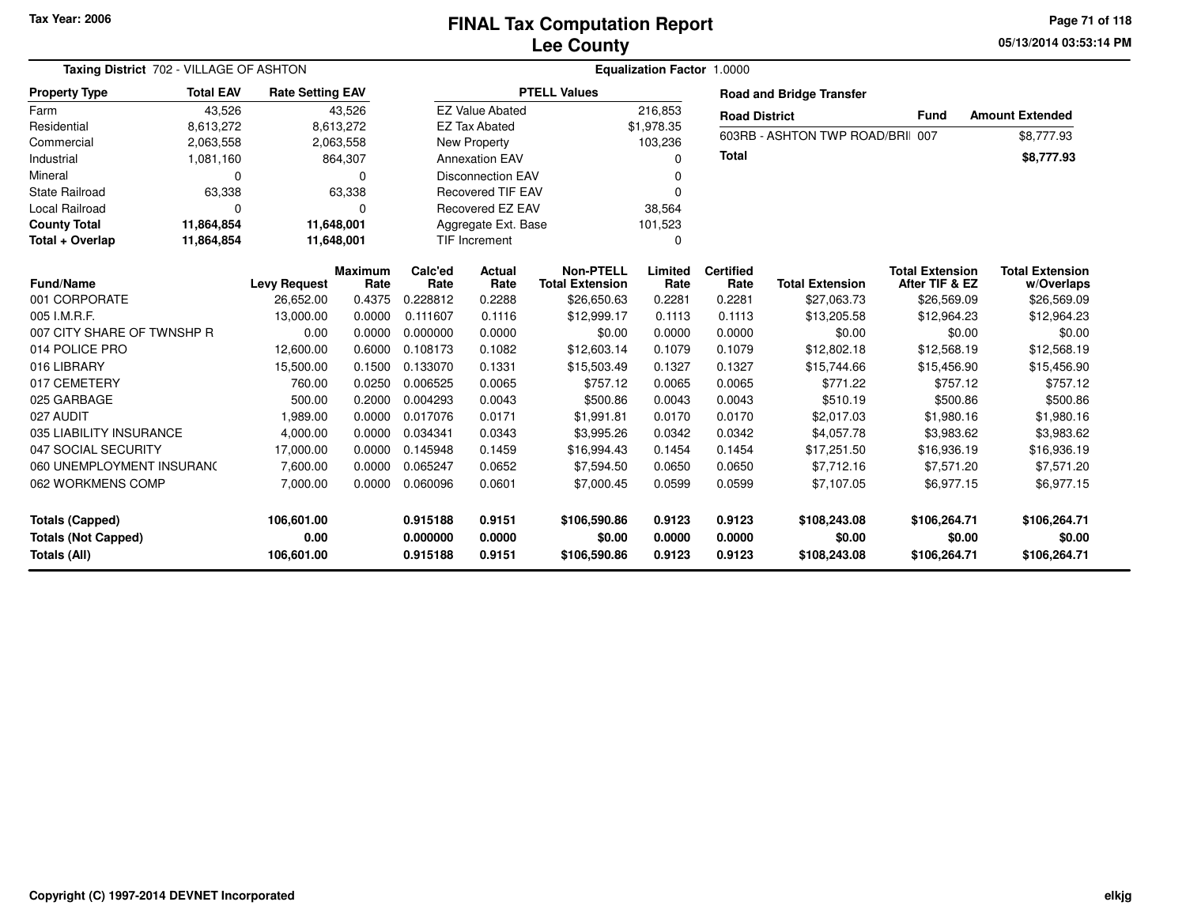**05/13/2014 03:53:14 PMPage 71 of 118**

| Taxing District 702 - VILLAGE OF ASHTON    |                                             |                     | Equalization Factor 1.0000 |                       |                          |                                            |                  |                          |                                  |                                          |                                      |  |  |
|--------------------------------------------|---------------------------------------------|---------------------|----------------------------|-----------------------|--------------------------|--------------------------------------------|------------------|--------------------------|----------------------------------|------------------------------------------|--------------------------------------|--|--|
| <b>Property Type</b>                       | <b>Total EAV</b><br><b>Rate Setting EAV</b> |                     |                            |                       |                          | <b>PTELL Values</b>                        |                  |                          | <b>Road and Bridge Transfer</b>  |                                          |                                      |  |  |
| Farm                                       | 43,526                                      |                     | 43,526                     |                       | <b>EZ Value Abated</b>   |                                            |                  | <b>Road District</b>     |                                  | <b>Fund</b>                              | <b>Amount Extended</b>               |  |  |
| Residential                                | 8,613,272                                   |                     | 8,613,272                  |                       | <b>EZ Tax Abated</b>     |                                            |                  |                          |                                  |                                          |                                      |  |  |
| Commercial                                 | 2,063,558                                   |                     | 2,063,558                  |                       | <b>New Property</b>      |                                            |                  |                          | 603RB - ASHTON TWP ROAD/BRII 007 |                                          | \$8,777.93                           |  |  |
| Industrial                                 | 1,081,160                                   |                     | 864,307                    | <b>Annexation EAV</b> |                          |                                            | n                | <b>Total</b>             |                                  |                                          | \$8,777.93                           |  |  |
| Mineral                                    | $\Omega$                                    |                     | $\Omega$                   |                       | <b>Disconnection EAV</b> |                                            |                  |                          |                                  |                                          |                                      |  |  |
| <b>State Railroad</b>                      | 63,338                                      |                     | 63,338                     |                       | <b>Recovered TIF EAV</b> |                                            | $\Omega$         |                          |                                  |                                          |                                      |  |  |
| <b>Local Railroad</b>                      | $\Omega$                                    |                     | 0                          |                       | Recovered EZ EAV         |                                            | 38,564           |                          |                                  |                                          |                                      |  |  |
| <b>County Total</b>                        | 11,864,854                                  |                     | 11,648,001                 |                       | Aggregate Ext. Base      |                                            |                  |                          |                                  |                                          |                                      |  |  |
| Total + Overlap                            | 11,864,854                                  |                     | 11,648,001                 |                       | <b>TIF Increment</b>     |                                            |                  |                          |                                  |                                          |                                      |  |  |
| <b>Fund/Name</b>                           |                                             | <b>Levy Request</b> | <b>Maximum</b><br>Rate     | Calc'ed<br>Rate       | Actual<br>Rate           | <b>Non-PTELL</b><br><b>Total Extension</b> | Limited<br>Rate  | <b>Certified</b><br>Rate | <b>Total Extension</b>           | <b>Total Extension</b><br>After TIF & EZ | <b>Total Extension</b><br>w/Overlaps |  |  |
| 001 CORPORATE                              |                                             | 26,652.00           | 0.4375                     | 0.228812              | 0.2288                   | \$26,650.63                                | 0.2281           | 0.2281                   | \$27,063.73                      | \$26,569.09                              | \$26,569.09                          |  |  |
| 005 I.M.R.F.                               |                                             | 13,000.00           | 0.0000                     | 0.111607              | 0.1116                   | \$12,999.17                                | 0.1113           | 0.1113                   | \$13,205.58                      | \$12,964.23                              | \$12,964.23                          |  |  |
| 007 CITY SHARE OF TWNSHP R                 |                                             | 0.00                | 0.0000                     | 0.000000              | 0.0000                   | \$0.00                                     | 0.0000           | 0.0000                   | \$0.00                           | \$0.00                                   | \$0.00                               |  |  |
| 014 POLICE PRO                             |                                             | 12,600.00           | 0.6000                     | 0.108173              | 0.1082                   | \$12,603.14                                | 0.1079           | 0.1079                   | \$12,802.18                      | \$12,568.19                              | \$12,568.19                          |  |  |
| 016 LIBRARY                                |                                             | 15,500.00           | 0.1500                     | 0.133070              | 0.1331                   | \$15,503.49                                | 0.1327           | 0.1327                   | \$15,744.66                      | \$15,456.90                              | \$15,456.90                          |  |  |
| 017 CEMETERY                               |                                             | 760.00              | 0.0250                     | 0.006525              | 0.0065                   | \$757.12                                   | 0.0065           | 0.0065                   | \$771.22                         | \$757.12                                 | \$757.12                             |  |  |
| 025 GARBAGE                                |                                             | 500.00              | 0.2000                     | 0.004293              | 0.0043                   | \$500.86                                   | 0.0043           | 0.0043                   | \$510.19                         | \$500.86                                 | \$500.86                             |  |  |
| 027 AUDIT                                  |                                             | 1,989.00            | 0.0000                     | 0.017076              | 0.0171                   | \$1,991.81                                 | 0.0170           | 0.0170                   | \$2,017.03                       | \$1,980.16                               | \$1,980.16                           |  |  |
| 035 LIABILITY INSURANCE                    |                                             | 4,000.00            | 0.0000                     | 0.034341              | 0.0343                   | \$3,995.26                                 | 0.0342           | 0.0342                   | \$4,057.78                       | \$3,983.62                               | \$3,983.62                           |  |  |
| 047 SOCIAL SECURITY                        |                                             | 17,000.00           | 0.0000                     | 0.145948              | 0.1459                   | \$16,994.43                                | 0.1454           | 0.1454                   | \$17,251.50                      | \$16,936.19                              | \$16,936.19                          |  |  |
| 060 UNEMPLOYMENT INSURANC                  |                                             | 7,600.00            | 0.0000                     | 0.065247              | 0.0652                   | \$7,594.50                                 | 0.0650           | 0.0650                   | \$7,712.16                       | \$7,571.20                               | \$7,571.20                           |  |  |
| 062 WORKMENS COMP                          |                                             | 7,000.00            | 0.0000                     | 0.060096              | 0.0601                   | \$7,000.45                                 | 0.0599           | 0.0599                   | \$7,107.05                       | \$6,977.15                               | \$6,977.15                           |  |  |
| <b>Totals (Capped)</b>                     |                                             | 106,601.00          |                            | 0.915188              | 0.9151                   | \$106,590.86                               | 0.9123           | 0.9123                   | \$108,243.08                     | \$106,264.71                             | \$106,264.71                         |  |  |
| <b>Totals (Not Capped)</b><br>Totals (All) |                                             | 0.00<br>106,601.00  |                            | 0.000000<br>0.915188  | 0.0000<br>0.9151         | \$0.00<br>\$106,590.86                     | 0.0000<br>0.9123 | 0.0000<br>0.9123         | \$0.00<br>\$108,243.08           | \$0.00<br>\$106,264.71                   | \$0.00<br>\$106,264.71               |  |  |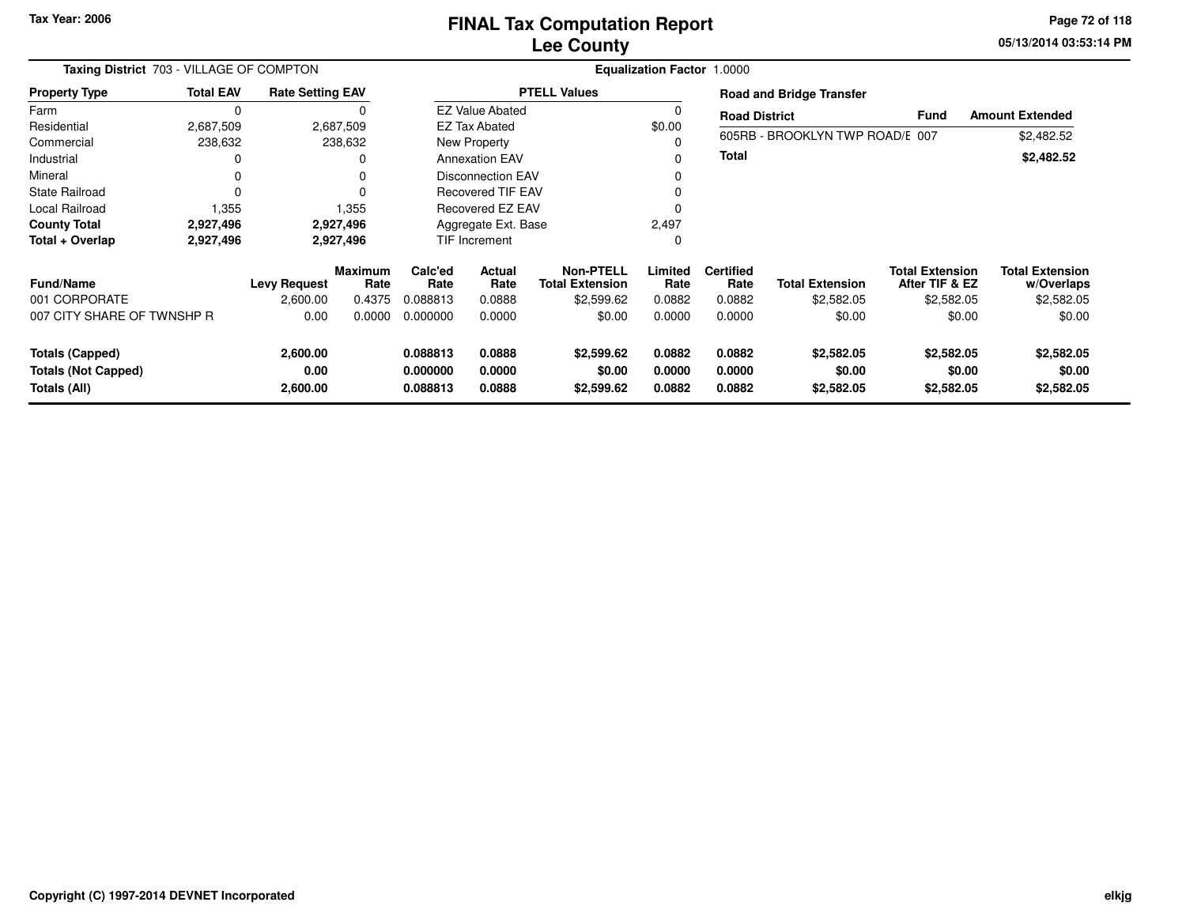**05/13/2014 03:53:14 PM Page 72 of 118**

| Taxing District 703 - VILLAGE OF COMPTON                             | <b>Equalization Factor 1.0000</b> |                              |                        |                                  |                            |                                            |                            |                                 |                                    |                                          |                                      |  |
|----------------------------------------------------------------------|-----------------------------------|------------------------------|------------------------|----------------------------------|----------------------------|--------------------------------------------|----------------------------|---------------------------------|------------------------------------|------------------------------------------|--------------------------------------|--|
| <b>Property Type</b>                                                 | <b>Total EAV</b>                  | <b>Rate Setting EAV</b>      |                        |                                  |                            | <b>PTELL Values</b>                        |                            | <b>Road and Bridge Transfer</b> |                                    |                                          |                                      |  |
| Farm                                                                 | 0                                 |                              |                        |                                  | <b>EZ Value Abated</b>     |                                            |                            | <b>Road District</b>            |                                    | <b>Fund</b>                              | <b>Amount Extended</b>               |  |
| Residential                                                          | 2,687,509                         |                              | 2,687,509              | <b>EZ Tax Abated</b>             |                            |                                            | \$0.00                     |                                 |                                    |                                          |                                      |  |
| Commercial                                                           | 238,632                           |                              | 238,632                |                                  | New Property               |                                            |                            |                                 | 605RB - BROOKLYN TWP ROAD/E 007    |                                          | \$2,482.52                           |  |
| Industrial                                                           |                                   |                              | 0                      |                                  | <b>Annexation EAV</b>      |                                            |                            | <b>Total</b>                    |                                    |                                          | \$2,482.52                           |  |
| Mineral                                                              |                                   |                              | 0                      |                                  | <b>Disconnection EAV</b>   |                                            |                            |                                 |                                    |                                          |                                      |  |
| <b>State Railroad</b>                                                | $\Omega$                          |                              | $\Omega$               |                                  | <b>Recovered TIF EAV</b>   |                                            |                            |                                 |                                    |                                          |                                      |  |
| Local Railroad                                                       | 1,355                             |                              | 1,355                  | Recovered EZ EAV                 |                            |                                            |                            |                                 |                                    |                                          |                                      |  |
| <b>County Total</b>                                                  | 2,927,496                         |                              | 2,927,496              |                                  | Aggregate Ext. Base        |                                            | 2,497                      |                                 |                                    |                                          |                                      |  |
| Total + Overlap                                                      | 2,927,496                         |                              | 2,927,496              |                                  | TIF Increment              |                                            |                            |                                 |                                    |                                          |                                      |  |
| <b>Fund/Name</b>                                                     |                                   | <b>Levy Request</b>          | <b>Maximum</b><br>Rate | Calc'ed<br>Rate                  | Actual<br>Rate             | <b>Non-PTELL</b><br><b>Total Extension</b> | Limited<br>Rate            | <b>Certified</b><br>Rate        | <b>Total Extension</b>             | <b>Total Extension</b><br>After TIF & EZ | <b>Total Extension</b><br>w/Overlaps |  |
| 001 CORPORATE                                                        |                                   | 2,600.00                     | 0.4375                 | 0.088813                         | 0.0888                     | \$2,599.62                                 | 0.0882                     | 0.0882                          | \$2,582.05                         | \$2,582.05                               | \$2,582.05                           |  |
| 007 CITY SHARE OF TWNSHP R                                           |                                   | 0.00                         | 0.0000                 | 0.000000                         | 0.0000                     | \$0.00                                     | 0.0000                     | 0.0000                          | \$0.00                             | \$0.00                                   | \$0.00                               |  |
| <b>Totals (Capped)</b><br><b>Totals (Not Capped)</b><br>Totals (All) |                                   | 2,600.00<br>0.00<br>2,600.00 |                        | 0.088813<br>0.000000<br>0.088813 | 0.0888<br>0.0000<br>0.0888 | \$2,599.62<br>\$0.00<br>\$2,599.62         | 0.0882<br>0.0000<br>0.0882 | 0.0882<br>0.0000<br>0.0882      | \$2,582.05<br>\$0.00<br>\$2,582.05 | \$2,582.05<br>\$0.00<br>\$2,582.05       | \$2,582.05<br>\$0.00<br>\$2,582.05   |  |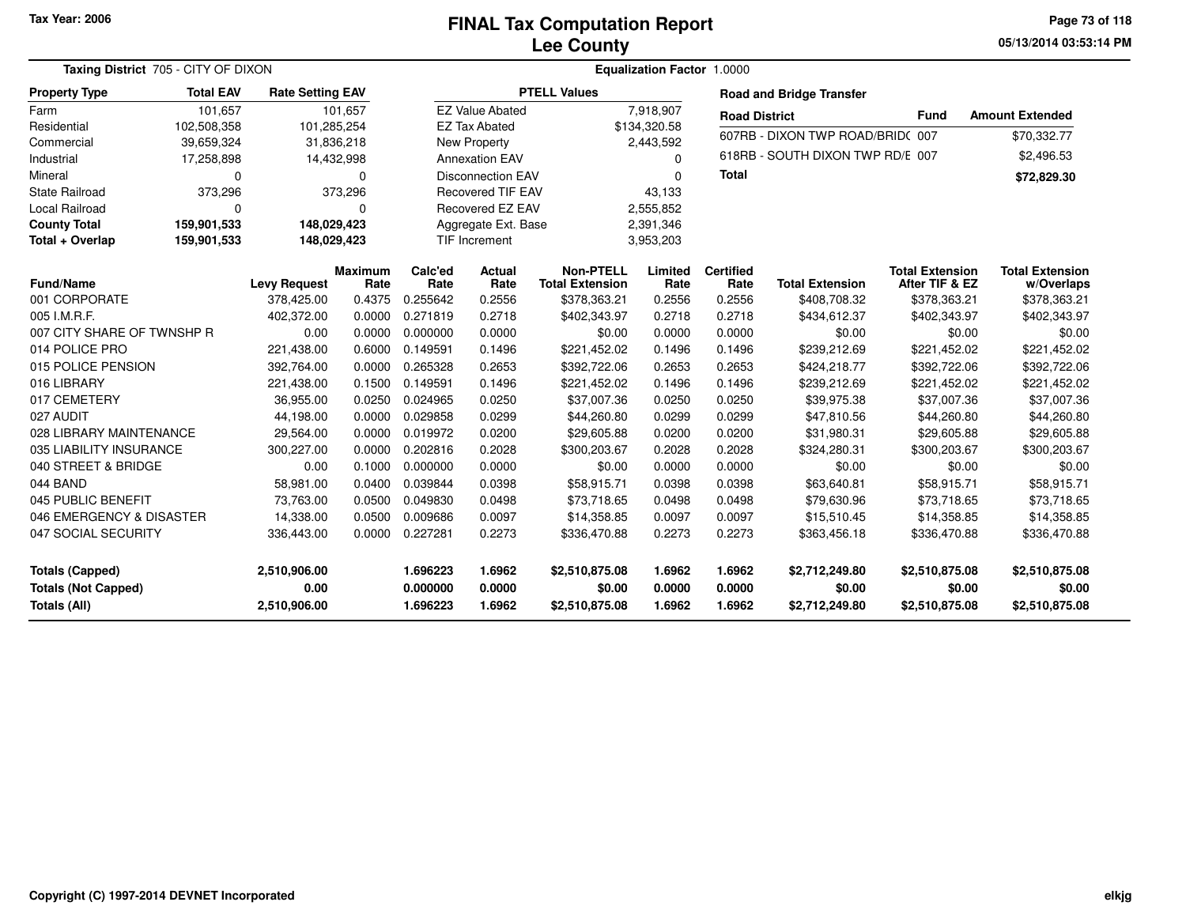**05/13/2014 03:53:14 PM Page 73 of 118**

| Taxing District 705 - CITY OF DIXON                                  |                  |                                      |                        | <b>Equalization Factor 1.0000</b> |                            |                                            |                            |                            |                                            |                                            |                                            |  |  |  |
|----------------------------------------------------------------------|------------------|--------------------------------------|------------------------|-----------------------------------|----------------------------|--------------------------------------------|----------------------------|----------------------------|--------------------------------------------|--------------------------------------------|--------------------------------------------|--|--|--|
| <b>Property Type</b>                                                 | <b>Total EAV</b> | <b>Rate Setting EAV</b>              |                        |                                   |                            | <b>PTELL Values</b>                        |                            |                            | <b>Road and Bridge Transfer</b>            |                                            |                                            |  |  |  |
| Farm                                                                 | 101,657          |                                      | 101,657                |                                   | <b>EZ Value Abated</b>     |                                            | 7,918,907                  | <b>Road District</b>       |                                            | <b>Fund</b>                                | <b>Amount Extended</b>                     |  |  |  |
| Residential                                                          | 102,508,358      |                                      | 101,285,254            |                                   | <b>EZ Tax Abated</b>       |                                            | \$134,320.58               |                            | 607RB - DIXON TWP ROAD/BRID(007            |                                            |                                            |  |  |  |
| Commercial                                                           | 39,659,324       |                                      | 31,836,218             |                                   | New Property               |                                            | 2,443,592                  |                            |                                            |                                            | \$70,332.77                                |  |  |  |
| Industrial                                                           | 17,258,898       |                                      | 14,432,998             |                                   | <b>Annexation EAV</b>      |                                            | 0                          |                            | 618RB - SOUTH DIXON TWP RD/E 007           |                                            | \$2,496.53                                 |  |  |  |
| Mineral                                                              | 0                |                                      | $\Omega$               |                                   | <b>Disconnection EAV</b>   |                                            | $\Omega$                   | <b>Total</b>               |                                            |                                            | \$72,829.30                                |  |  |  |
| <b>State Railroad</b>                                                | 373,296          |                                      | 373,296                |                                   | <b>Recovered TIF EAV</b>   |                                            | 43,133                     |                            |                                            |                                            |                                            |  |  |  |
| Local Railroad                                                       | 0                |                                      | 0                      |                                   | Recovered EZ EAV           |                                            | 2,555,852                  |                            |                                            |                                            |                                            |  |  |  |
| <b>County Total</b>                                                  | 159,901,533      |                                      | 148,029,423            |                                   | Aggregate Ext. Base        |                                            | 2,391,346                  |                            |                                            |                                            |                                            |  |  |  |
| Total + Overlap                                                      | 159,901,533      |                                      | 148,029,423            |                                   | <b>TIF Increment</b>       |                                            | 3,953,203                  |                            |                                            |                                            |                                            |  |  |  |
| <b>Fund/Name</b>                                                     |                  | <b>Levy Request</b>                  | <b>Maximum</b><br>Rate | Calc'ed<br>Rate                   | Actual<br>Rate             | <b>Non-PTELL</b><br><b>Total Extension</b> | Limited<br>Rate            | <b>Certified</b><br>Rate   | <b>Total Extension</b>                     | <b>Total Extension</b><br>After TIF & EZ   | <b>Total Extension</b><br>w/Overlaps       |  |  |  |
| 001 CORPORATE                                                        |                  | 378,425.00                           | 0.4375                 | 0.255642                          | 0.2556                     | \$378,363.21                               | 0.2556                     | 0.2556                     | \$408,708.32                               | \$378,363.21                               | \$378,363.21                               |  |  |  |
| 005 I.M.R.F.                                                         |                  | 402,372.00                           | 0.0000                 | 0.271819                          | 0.2718                     | \$402,343.97                               | 0.2718                     | 0.2718                     | \$434,612.37                               | \$402,343.97                               | \$402,343.97                               |  |  |  |
| 007 CITY SHARE OF TWNSHP R                                           |                  | 0.00                                 | 0.0000                 | 0.000000                          | 0.0000                     | \$0.00                                     | 0.0000                     | 0.0000                     | \$0.00                                     | \$0.00                                     | \$0.00                                     |  |  |  |
| 014 POLICE PRO                                                       |                  | 221,438.00                           | 0.6000                 | 0.149591                          | 0.1496                     | \$221,452.02                               | 0.1496                     | 0.1496                     | \$239,212.69                               | \$221,452.02                               | \$221,452.02                               |  |  |  |
| 015 POLICE PENSION                                                   |                  | 392,764.00                           | 0.0000                 | 0.265328                          | 0.2653                     | \$392,722.06                               | 0.2653                     | 0.2653                     | \$424,218.77                               | \$392,722.06                               | \$392,722.06                               |  |  |  |
| 016 LIBRARY                                                          |                  | 221,438.00                           | 0.1500                 | 0.149591                          | 0.1496                     | \$221,452.02                               | 0.1496                     | 0.1496                     | \$239,212.69                               | \$221,452.02                               | \$221,452.02                               |  |  |  |
| 017 CEMETERY                                                         |                  | 36,955.00                            | 0.0250                 | 0.024965                          | 0.0250                     | \$37,007.36                                | 0.0250                     | 0.0250                     | \$39,975.38                                | \$37,007.36                                | \$37,007.36                                |  |  |  |
| 027 AUDIT                                                            |                  | 44,198.00                            | 0.0000                 | 0.029858                          | 0.0299                     | \$44,260.80                                | 0.0299                     | 0.0299                     | \$47,810.56                                | \$44,260.80                                | \$44,260.80                                |  |  |  |
| 028 LIBRARY MAINTENANCE                                              |                  | 29,564.00                            | 0.0000                 | 0.019972                          | 0.0200                     | \$29,605.88                                | 0.0200                     | 0.0200                     | \$31,980.31                                | \$29,605.88                                | \$29,605.88                                |  |  |  |
| 035 LIABILITY INSURANCE                                              |                  | 300,227.00                           | 0.0000                 | 0.202816                          | 0.2028                     | \$300,203.67                               | 0.2028                     | 0.2028                     | \$324,280.31                               | \$300,203.67                               | \$300,203.67                               |  |  |  |
| 040 STREET & BRIDGE                                                  |                  | 0.00                                 | 0.1000                 | 0.000000                          | 0.0000                     | \$0.00                                     | 0.0000                     | 0.0000                     | \$0.00                                     | \$0.00                                     | \$0.00                                     |  |  |  |
| 044 BAND                                                             |                  | 58,981.00                            | 0.0400                 | 0.039844                          | 0.0398                     | \$58,915.71                                | 0.0398                     | 0.0398                     | \$63,640.81                                | \$58,915.71                                | \$58,915.71                                |  |  |  |
| 045 PUBLIC BENEFIT                                                   |                  | 73,763.00                            | 0.0500                 | 0.049830                          | 0.0498                     | \$73,718.65                                | 0.0498                     | 0.0498                     | \$79,630.96                                | \$73,718.65                                | \$73,718.65                                |  |  |  |
| 046 EMERGENCY & DISASTER                                             |                  | 14,338.00                            | 0.0500                 | 0.009686                          | 0.0097                     | \$14,358.85                                | 0.0097                     | 0.0097                     | \$15,510.45                                | \$14,358.85                                | \$14,358.85                                |  |  |  |
| 047 SOCIAL SECURITY                                                  |                  | 336,443.00                           | 0.0000                 | 0.227281                          | 0.2273                     | \$336,470.88                               | 0.2273                     | 0.2273                     | \$363,456.18                               | \$336,470.88                               | \$336,470.88                               |  |  |  |
| <b>Totals (Capped)</b><br><b>Totals (Not Capped)</b><br>Totals (All) |                  | 2,510,906.00<br>0.00<br>2,510,906.00 |                        | 1.696223<br>0.000000<br>1.696223  | 1.6962<br>0.0000<br>1.6962 | \$2,510,875.08<br>\$0.00<br>\$2,510,875.08 | 1.6962<br>0.0000<br>1.6962 | 1.6962<br>0.0000<br>1.6962 | \$2,712,249.80<br>\$0.00<br>\$2,712,249.80 | \$2,510,875.08<br>\$0.00<br>\$2,510,875.08 | \$2,510,875.08<br>\$0.00<br>\$2,510,875.08 |  |  |  |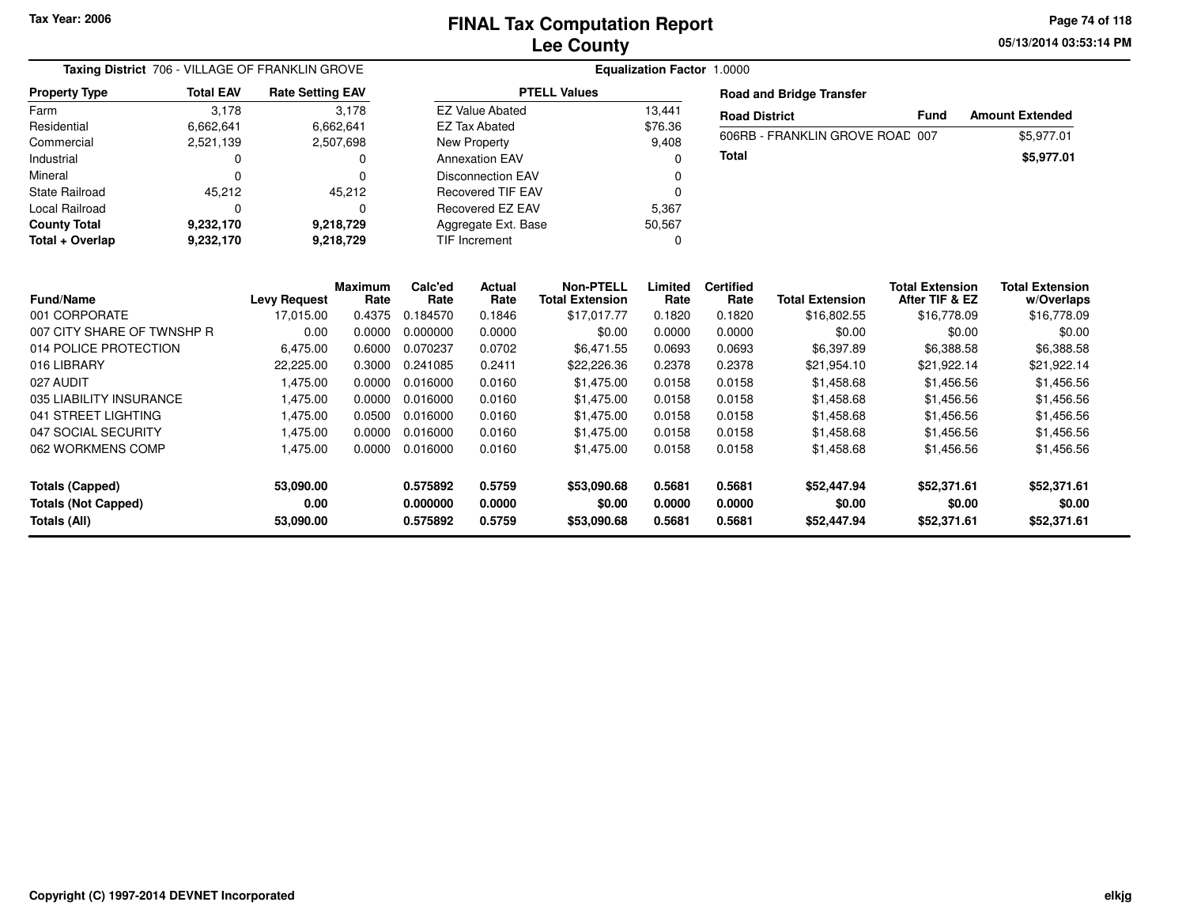**05/13/2014 03:53:14 PM Page 74 of 118**

| Taxing District 706 - VILLAGE OF FRANKLIN GROVE   |                                                |                         |                        |                      | <b>Equalization Factor 1.0000</b> |                                            |                  |                          |                                 |                                          |                                      |
|---------------------------------------------------|------------------------------------------------|-------------------------|------------------------|----------------------|-----------------------------------|--------------------------------------------|------------------|--------------------------|---------------------------------|------------------------------------------|--------------------------------------|
| <b>Property Type</b>                              | <b>Total EAV</b>                               | <b>Rate Setting EAV</b> |                        |                      |                                   | <b>PTELL Values</b>                        |                  |                          | <b>Road and Bridge Transfer</b> |                                          |                                      |
| Farm                                              | 3,178                                          |                         | 3,178                  |                      | <b>EZ Value Abated</b>            |                                            | 13,441           | <b>Road District</b>     |                                 | <b>Fund</b>                              | <b>Amount Extended</b>               |
| Residential                                       | 6,662,641                                      |                         | 6,662,641              |                      | <b>EZ Tax Abated</b>              |                                            | \$76.36          |                          | 606RB - FRANKLIN GROVE ROAD 007 |                                          | \$5,977.01                           |
| Commercial                                        | 2,521,139                                      |                         | 2,507,698              |                      | New Property                      |                                            | 9,408            |                          |                                 |                                          |                                      |
| Industrial                                        | 0                                              |                         | 0                      |                      | <b>Annexation EAV</b>             |                                            |                  | <b>Total</b>             |                                 |                                          | \$5,977.01                           |
| Mineral                                           | 0                                              |                         | 0                      |                      | <b>Disconnection EAV</b>          |                                            |                  |                          |                                 |                                          |                                      |
| <b>State Railroad</b>                             | 45,212                                         |                         | 45,212                 |                      | <b>Recovered TIF EAV</b>          |                                            | $\Omega$         |                          |                                 |                                          |                                      |
| <b>Local Railroad</b>                             | $\Omega$                                       |                         | 0                      |                      | Recovered EZ EAV                  |                                            | 5,367            |                          |                                 |                                          |                                      |
| <b>County Total</b>                               | 9,232,170                                      |                         | 9,218,729              |                      | Aggregate Ext. Base               |                                            | 50,567           |                          |                                 |                                          |                                      |
| Total + Overlap                                   | 9,232,170<br>9,218,729<br><b>TIF Increment</b> |                         |                        |                      |                                   | 0                                          |                  |                          |                                 |                                          |                                      |
| <b>Fund/Name</b>                                  |                                                | <b>Levy Request</b>     | <b>Maximum</b><br>Rate | Calc'ed<br>Rate      | Actual<br>Rate                    | <b>Non-PTELL</b><br><b>Total Extension</b> | Limited<br>Rate  | <b>Certified</b><br>Rate | <b>Total Extension</b>          | <b>Total Extension</b><br>After TIF & EZ | <b>Total Extension</b><br>w/Overlaps |
| 001 CORPORATE                                     |                                                | 17,015.00               | 0.4375                 | 0.184570             | 0.1846                            | \$17,017.77                                | 0.1820           | 0.1820                   | \$16,802.55                     | \$16,778.09                              | \$16,778.09                          |
| 007 CITY SHARE OF TWNSHP R                        |                                                | 0.00                    | 0.0000                 | 0.000000             | 0.0000                            | \$0.00                                     | 0.0000           | 0.0000                   | \$0.00                          | \$0.00                                   | \$0.00                               |
| 014 POLICE PROTECTION                             |                                                | 6,475.00                | 0.6000                 | 0.070237             | 0.0702                            | \$6,471.55                                 | 0.0693           | 0.0693                   | \$6,397.89                      | \$6,388.58                               | \$6,388.58                           |
| 016 LIBRARY                                       |                                                | 22,225.00               | 0.3000                 | 0.241085             | 0.2411                            | \$22,226.36                                | 0.2378           | 0.2378                   | \$21,954.10                     | \$21,922.14                              | \$21,922.14                          |
| 027 AUDIT                                         |                                                | 1,475.00                | 0.0000                 | 0.016000             | 0.0160                            | \$1,475.00                                 | 0.0158           | 0.0158                   | \$1,458.68                      | \$1,456.56                               | \$1,456.56                           |
| 035 LIABILITY INSURANCE                           |                                                | 1,475.00                | 0.0000                 | 0.016000             | 0.0160                            | \$1,475.00                                 | 0.0158           | 0.0158                   | \$1,458.68                      | \$1,456.56                               | \$1,456.56                           |
| 041 STREET LIGHTING                               |                                                | 1,475.00                | 0.0500                 | 0.016000             | 0.0160                            | \$1,475.00                                 | 0.0158           | 0.0158                   | \$1,458.68                      | \$1,456.56                               | \$1,456.56                           |
| 047 SOCIAL SECURITY                               |                                                | 1,475.00                | 0.0000                 | 0.016000             | 0.0160                            | \$1,475.00                                 | 0.0158           | 0.0158                   | \$1,458.68                      | \$1,456.56                               | \$1,456.56                           |
| 062 WORKMENS COMP                                 |                                                | 1,475.00                | 0.0000                 | 0.016000             | 0.0160                            | \$1,475.00                                 | 0.0158           | 0.0158                   | \$1,458.68                      | \$1,456.56                               | \$1,456.56                           |
| <b>Totals (Capped)</b>                            |                                                | 53,090.00               |                        | 0.575892             | 0.5759                            | \$53,090.68                                | 0.5681           | 0.5681                   | \$52,447.94                     | \$52,371.61                              | \$52,371.61                          |
| <b>Totals (Not Capped)</b><br><b>Totals (All)</b> |                                                | 0.00<br>53,090.00       |                        | 0.000000<br>0.575892 | 0.0000<br>0.5759                  | \$0.00<br>\$53,090.68                      | 0.0000<br>0.5681 | 0.0000<br>0.5681         | \$0.00<br>\$52,447.94           | \$0.00<br>\$52,371.61                    | \$0.00<br>\$52,371.61                |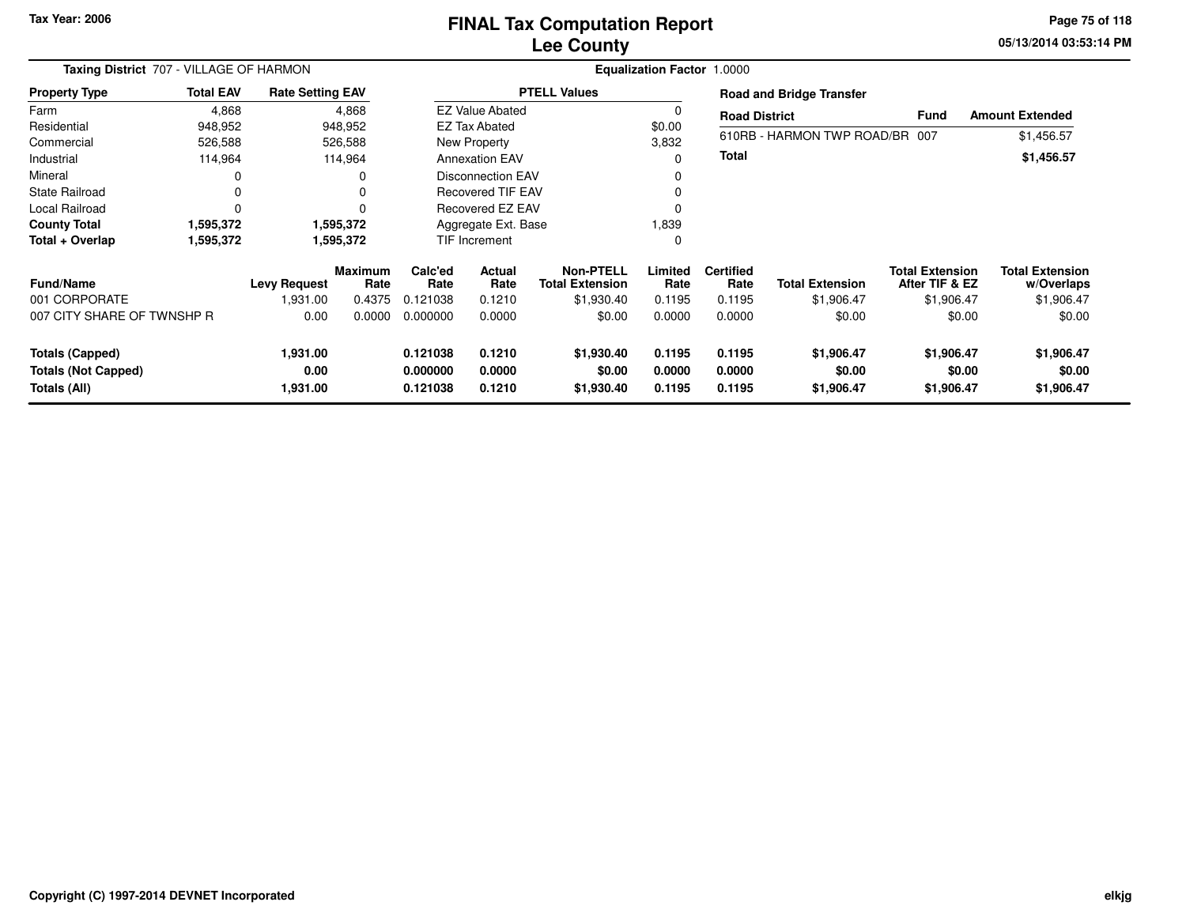### **Lee CountyFINAL Tax Computation Report**

**05/13/2014 03:53:14 PM Page 75 of 118**

| Taxing District 707 - VILLAGE OF HARMON |                  |                         |                 | <b>Equalization Factor 1.0000</b> |                          |                                            |                 |                          |                                 |                                          |                                      |  |  |
|-----------------------------------------|------------------|-------------------------|-----------------|-----------------------------------|--------------------------|--------------------------------------------|-----------------|--------------------------|---------------------------------|------------------------------------------|--------------------------------------|--|--|
| <b>Property Type</b>                    | <b>Total EAV</b> | <b>Rate Setting EAV</b> |                 |                                   |                          | <b>PTELL Values</b>                        |                 |                          | <b>Road and Bridge Transfer</b> |                                          |                                      |  |  |
| Farm                                    | 4,868            |                         | 4,868           |                                   | <b>EZ Value Abated</b>   |                                            | 0               | <b>Road District</b>     |                                 | Fund                                     | <b>Amount Extended</b>               |  |  |
| Residential                             | 948,952          |                         | 948,952         |                                   | <b>EZ Tax Abated</b>     |                                            | \$0.00          |                          |                                 |                                          |                                      |  |  |
| Commercial                              | 526,588          |                         | 526,588         |                                   | New Property             |                                            | 3,832           |                          | 610RB - HARMON TWP ROAD/BR 007  |                                          | \$1,456.57                           |  |  |
| Industrial                              | 114,964          |                         | 114,964         |                                   | <b>Annexation EAV</b>    |                                            | $\Omega$        | <b>Total</b>             |                                 |                                          | \$1,456.57                           |  |  |
| Mineral                                 | O                |                         | 0               |                                   | <b>Disconnection EAV</b> |                                            | 0               |                          |                                 |                                          |                                      |  |  |
| <b>State Railroad</b>                   | 0                |                         | $\Omega$        |                                   | <b>Recovered TIF EAV</b> |                                            |                 |                          |                                 |                                          |                                      |  |  |
| Local Railroad                          | $\Omega$         |                         | $\Omega$        |                                   | Recovered EZ EAV         |                                            | $\Omega$        |                          |                                 |                                          |                                      |  |  |
| <b>County Total</b>                     | 1,595,372        |                         | 1,595,372       |                                   | Aggregate Ext. Base      |                                            |                 |                          |                                 |                                          |                                      |  |  |
| Total + Overlap                         | 1,595,372        |                         | 1,595,372       |                                   | <b>TIF Increment</b>     |                                            |                 |                          |                                 |                                          |                                      |  |  |
| <b>Fund/Name</b>                        |                  | <b>Levy Request</b>     | Maximum<br>Rate | Calc'ed<br>Rate                   | Actual<br>Rate           | <b>Non-PTELL</b><br><b>Total Extension</b> | Limited<br>Rate | <b>Certified</b><br>Rate | <b>Total Extension</b>          | <b>Total Extension</b><br>After TIF & EZ | <b>Total Extension</b><br>w/Overlaps |  |  |
| 001 CORPORATE                           |                  | 1,931.00                | 0.4375          | 0.121038                          | 0.1210                   | \$1,930.40                                 | 0.1195          | 0.1195                   | \$1,906.47                      | \$1,906.47                               | \$1,906.47                           |  |  |
| 007 CITY SHARE OF TWNSHP R              |                  | 0.00                    | 0.0000          | 0.000000                          | 0.0000                   | \$0.00                                     | 0.0000          | 0.0000                   | \$0.00                          | \$0.00                                   | \$0.00                               |  |  |
| <b>Totals (Capped)</b>                  |                  | 1,931.00                |                 | 0.121038                          | 0.1210                   | \$1,930.40                                 | 0.1195          | 0.1195                   | \$1,906.47                      | \$1,906.47                               | \$1,906.47                           |  |  |
| <b>Totals (Not Capped)</b>              |                  | 0.00                    |                 | 0.000000                          | 0.0000                   | \$0.00                                     | 0.0000          | 0.0000                   | \$0.00                          | \$0.00                                   | \$0.00                               |  |  |
| Totals (All)                            |                  | 1,931.00                |                 | 0.121038                          | 0.1210                   | \$1,930.40                                 | 0.1195          | 0.1195                   | \$1,906.47                      | \$1,906.47                               | \$1,906.47                           |  |  |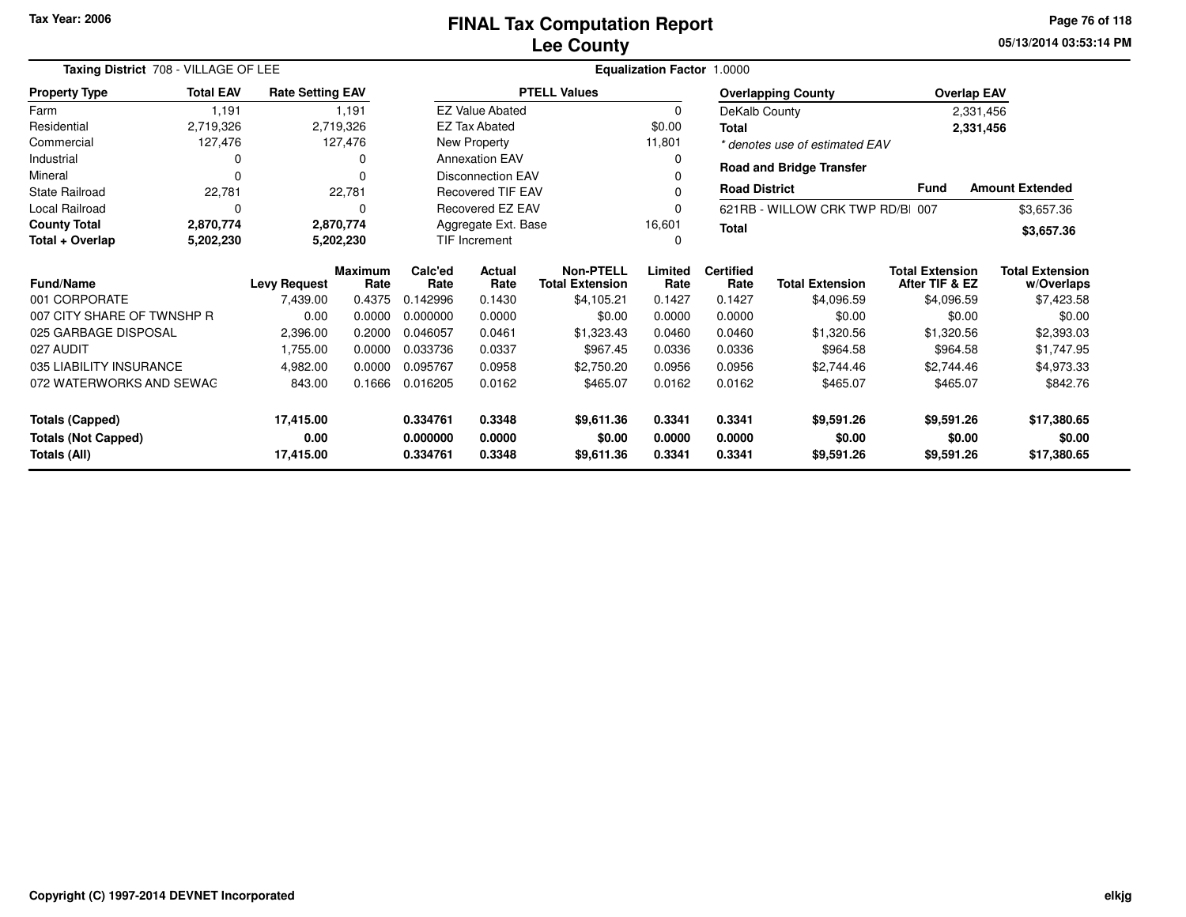**05/13/2014 03:53:14 PM Page 76 of 118**

| Taxing District 708 - VILLAGE OF LEE |                  |                         |                 | Equalization Factor 1.0000                    |                                            |                     |                          |                                  |                                          |                                      |                        |
|--------------------------------------|------------------|-------------------------|-----------------|-----------------------------------------------|--------------------------------------------|---------------------|--------------------------|----------------------------------|------------------------------------------|--------------------------------------|------------------------|
| <b>Property Type</b>                 | <b>Total EAV</b> | <b>Rate Setting EAV</b> |                 |                                               |                                            | <b>PTELL Values</b> |                          |                                  | <b>Overlapping County</b>                |                                      | <b>Overlap EAV</b>     |
| Farm                                 | 1,191            |                         | 1,191           |                                               | <b>EZ Value Abated</b>                     |                     | $\Omega$                 | DeKalb County                    |                                          |                                      | 2,331,456              |
| Residential                          | 2,719,326        |                         | 2,719,326       |                                               | <b>EZ Tax Abated</b>                       |                     | \$0.00                   | <b>Total</b>                     |                                          |                                      | 2,331,456              |
| Commercial                           | 127,476          |                         | 127,476         |                                               | New Property                               |                     | 11,801                   |                                  | * denotes use of estimated EAV           |                                      |                        |
| Industrial                           |                  |                         | O               |                                               | <b>Annexation EAV</b>                      |                     | 0                        |                                  | <b>Road and Bridge Transfer</b>          |                                      |                        |
| Mineral                              | $\Omega$         |                         |                 |                                               | <b>Disconnection EAV</b>                   |                     |                          |                                  |                                          |                                      |                        |
| <b>State Railroad</b>                | 22,781           |                         | 22,781          |                                               | <b>Recovered TIF EAV</b>                   |                     |                          | <b>Road District</b>             |                                          | <b>Fund</b>                          | <b>Amount Extended</b> |
| <b>Local Railroad</b>                | $\Omega$         |                         |                 | Recovered EZ EAV                              |                                            |                     |                          | 621RB - WILLOW CRK TWP RD/BI 007 |                                          | \$3,657.36                           |                        |
| <b>County Total</b>                  | 2,870,774        |                         | 2,870,774       | Aggregate Ext. Base<br>16,601<br><b>Total</b> |                                            |                     |                          |                                  |                                          | \$3,657.36                           |                        |
| Total + Overlap                      | 5,202,230        |                         | 5,202,230       | <b>TIF Increment</b>                          |                                            |                     | O                        |                                  |                                          |                                      |                        |
| Fund/Name<br><b>Levy Request</b>     |                  | <b>Maximum</b><br>Rate  | Calc'ed<br>Rate | <b>Actual</b><br>Rate                         | <b>Non-PTELL</b><br><b>Total Extension</b> | Limited<br>Rate     | <b>Certified</b><br>Rate | <b>Total Extension</b>           | <b>Total Extension</b><br>After TIF & EZ | <b>Total Extension</b><br>w/Overlaps |                        |
| 001 CORPORATE                        |                  | 7,439.00                | 0.4375          | 0.142996                                      | 0.1430                                     | \$4,105.21          | 0.1427                   | 0.1427                           | \$4,096.59                               | \$4,096.59                           | \$7,423.58             |
| 007 CITY SHARE OF TWNSHP R           |                  | 0.00                    | 0.0000          | 0.000000                                      | 0.0000                                     | \$0.00              | 0.0000                   | 0.0000                           | \$0.00                                   | \$0.00                               | \$0.00                 |
| 025 GARBAGE DISPOSAL                 |                  | 2,396.00                | 0.2000          | 0.046057                                      | 0.0461                                     | \$1,323.43          | 0.0460                   | 0.0460                           | \$1,320.56                               | \$1,320.56                           | \$2,393.03             |
| 027 AUDIT                            |                  | 1.755.00                | 0.0000          | 0.033736                                      | 0.0337                                     | \$967.45            | 0.0336                   | 0.0336                           | \$964.58                                 | \$964.58                             | \$1,747.95             |
| 035 LIABILITY INSURANCE              |                  | 4,982.00                | 0.0000          | 0.095767                                      | 0.0958                                     | \$2,750.20          | 0.0956                   | 0.0956                           | \$2,744.46                               | \$2,744.46                           | \$4,973.33             |
| 072 WATERWORKS AND SEWAG             |                  | 843.00                  | 0.1666          | 0.016205                                      | 0.0162                                     | \$465.07            | 0.0162                   | 0.0162                           | \$465.07                                 | \$465.07                             | \$842.76               |
| 17,415.00<br><b>Totals (Capped)</b>  |                  |                         | 0.334761        | 0.3348                                        | \$9.611.36                                 | 0.3341              | 0.3341                   | \$9,591.26                       | \$9,591.26                               | \$17,380.65                          |                        |
| <b>Totals (Not Capped)</b><br>0.00   |                  |                         | 0.000000        | 0.0000                                        | \$0.00                                     | 0.0000              | 0.0000                   | \$0.00                           | \$0.00                                   | \$0.00                               |                        |
| 17,415.00<br>Totals (All)            |                  |                         |                 | 0.334761                                      | 0.3348                                     | \$9,611.36          | 0.3341                   | 0.3341                           | \$9,591.26                               | \$9,591.26                           | \$17,380.65            |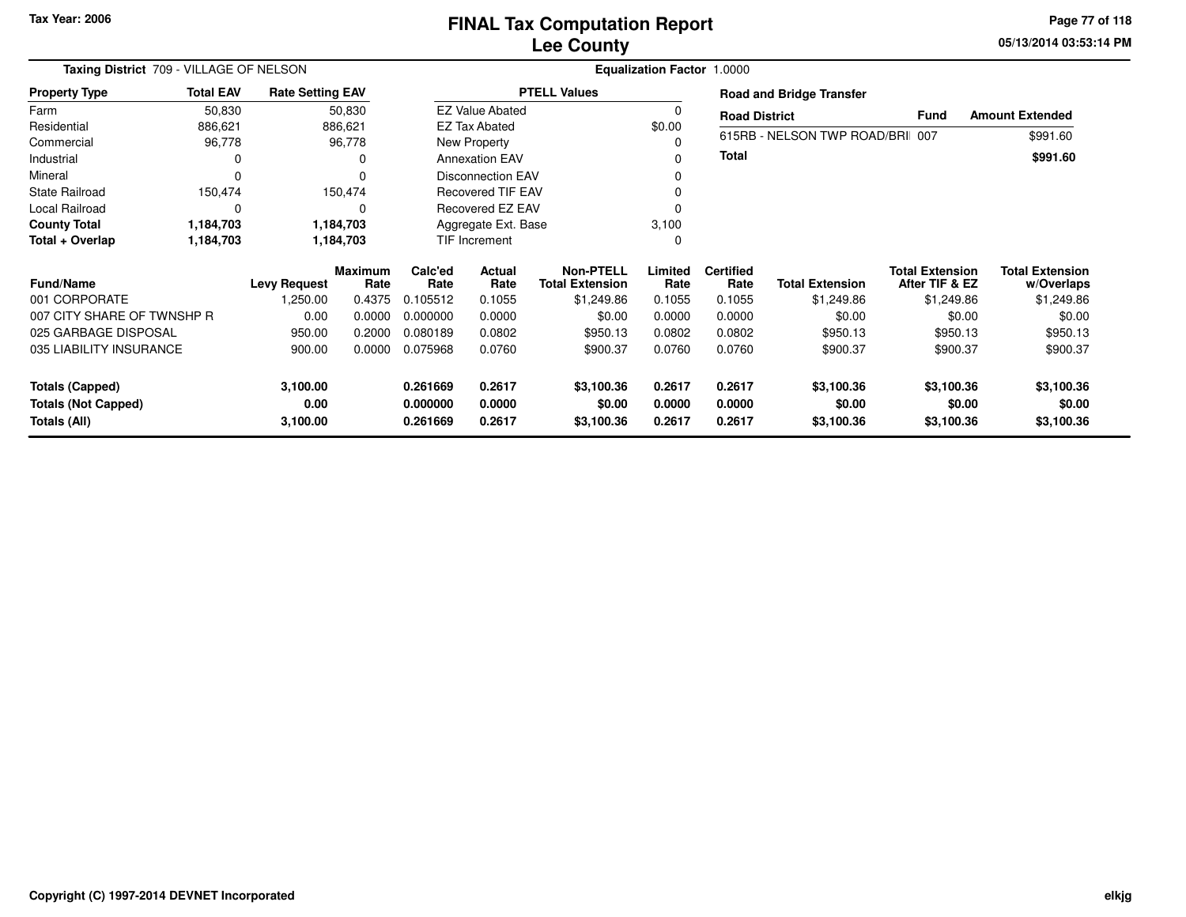**05/13/2014 03:53:14 PMPage 77 of 118**

| Taxing District 709 - VILLAGE OF NELSON    |                  |                         | Equalization Factor 1.0000 |                      |                          |                                            |                  |                          |                                 |                                          |                                      |  |
|--------------------------------------------|------------------|-------------------------|----------------------------|----------------------|--------------------------|--------------------------------------------|------------------|--------------------------|---------------------------------|------------------------------------------|--------------------------------------|--|
| <b>Property Type</b>                       | <b>Total EAV</b> | <b>Rate Setting EAV</b> |                            |                      |                          | <b>PTELL Values</b>                        |                  |                          | <b>Road and Bridge Transfer</b> |                                          |                                      |  |
| Farm                                       | 50,830           |                         | 50,830                     |                      | <b>EZ Value Abated</b>   |                                            | 0                | <b>Road District</b>     |                                 | <b>Fund</b>                              | <b>Amount Extended</b>               |  |
| Residential                                | 886,621          |                         | 886,621                    |                      | <b>EZ Tax Abated</b>     |                                            | \$0.00           |                          |                                 |                                          |                                      |  |
| Commercial                                 | 96,778           |                         | 96,778                     |                      | New Property             |                                            | $\Omega$         |                          | 615RB - NELSON TWP ROAD/BRI 007 |                                          | \$991.60                             |  |
| Industrial                                 |                  |                         | 0                          |                      | <b>Annexation EAV</b>    |                                            | <sup>0</sup>     | <b>Total</b>             |                                 |                                          | \$991.60                             |  |
| Mineral                                    | $\Omega$         |                         |                            |                      | <b>Disconnection EAV</b> |                                            | <sup>0</sup>     |                          |                                 |                                          |                                      |  |
| <b>State Railroad</b>                      | 150,474          |                         | 150,474                    |                      | <b>Recovered TIF EAV</b> |                                            | <sup>0</sup>     |                          |                                 |                                          |                                      |  |
| Local Railroad                             | $\Omega$         |                         | 0                          |                      | Recovered EZ EAV         |                                            |                  |                          |                                 |                                          |                                      |  |
| <b>County Total</b>                        | 1,184,703        |                         | 1,184,703                  |                      | Aggregate Ext. Base      |                                            | 3,100            |                          |                                 |                                          |                                      |  |
| Total + Overlap                            | 1,184,703        |                         | 1,184,703                  |                      | TIF Increment            |                                            | 0                |                          |                                 |                                          |                                      |  |
| <b>Fund/Name</b>                           |                  | <b>Levy Request</b>     | <b>Maximum</b><br>Rate     | Calc'ed<br>Rate      | Actual<br>Rate           | <b>Non-PTELL</b><br><b>Total Extension</b> | Limited<br>Rate  | <b>Certified</b><br>Rate | <b>Total Extension</b>          | <b>Total Extension</b><br>After TIF & EZ | <b>Total Extension</b><br>w/Overlaps |  |
| 001 CORPORATE                              |                  | 1,250.00                | 0.4375                     | 0.105512             | 0.1055                   | \$1,249.86                                 | 0.1055           | 0.1055                   | \$1,249.86                      | \$1,249.86                               | \$1,249.86                           |  |
| 007 CITY SHARE OF TWNSHP R                 |                  | 0.00                    | 0.0000                     | 0.000000             | 0.0000                   | \$0.00                                     | 0.0000           | 0.0000                   | \$0.00                          | \$0.00                                   | \$0.00                               |  |
| 025 GARBAGE DISPOSAL                       |                  | 950.00                  | 0.2000                     | 0.080189             | 0.0802                   | \$950.13                                   | 0.0802           | 0.0802                   | \$950.13                        | \$950.13                                 | \$950.13                             |  |
| 035 LIABILITY INSURANCE                    |                  | 900.00                  | 0.0000                     | 0.075968             | 0.0760                   | \$900.37                                   | 0.0760           | 0.0760                   | \$900.37                        | \$900.37                                 | \$900.37                             |  |
| <b>Totals (Capped)</b>                     |                  | 3,100.00                |                            | 0.261669             | 0.2617                   | \$3,100.36                                 | 0.2617           | 0.2617                   | \$3,100.36                      | \$3,100.36                               | \$3,100.36                           |  |
| <b>Totals (Not Capped)</b><br>Totals (All) |                  | 0.00<br>3,100.00        |                            | 0.000000<br>0.261669 | 0.0000<br>0.2617         | \$0.00<br>\$3,100.36                       | 0.0000<br>0.2617 | 0.0000<br>0.2617         | \$0.00<br>\$3,100.36            | \$0.00<br>\$3,100.36                     | \$0.00<br>\$3,100.36                 |  |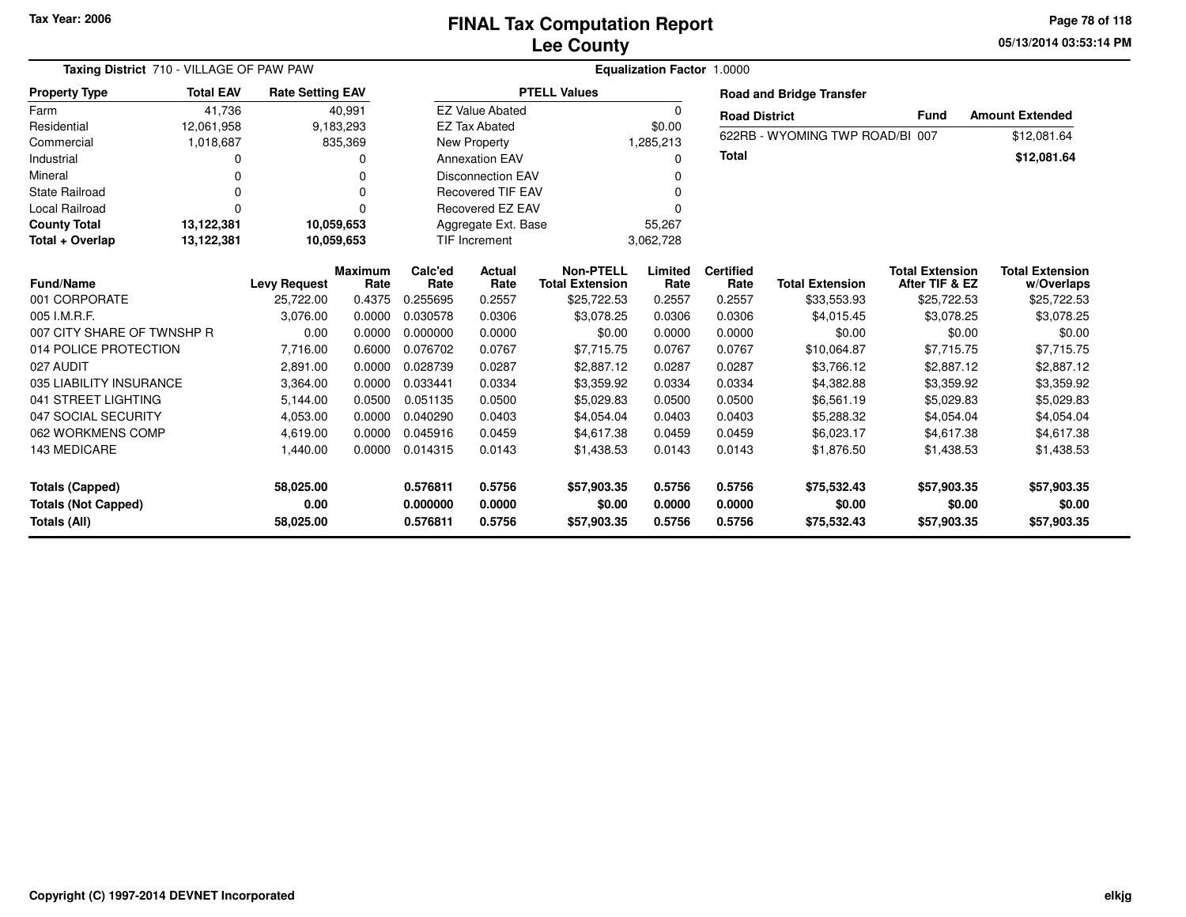**05/13/2014 03:53:14 PM Page 78 of 118**

| Taxing District 710 - VILLAGE OF PAW PAW |                  |                         |                |          | <b>Equalization Factor 1.0000</b> |                        |           |                      |                                 |                        |                        |  |
|------------------------------------------|------------------|-------------------------|----------------|----------|-----------------------------------|------------------------|-----------|----------------------|---------------------------------|------------------------|------------------------|--|
| <b>Property Type</b>                     | <b>Total EAV</b> | <b>Rate Setting EAV</b> |                |          |                                   | <b>PTELL Values</b>    |           |                      | <b>Road and Bridge Transfer</b> |                        |                        |  |
| Farm                                     | 41,736           |                         | 40,991         |          | <b>EZ Value Abated</b>            |                        | 0         | <b>Road District</b> |                                 | <b>Fund</b>            | <b>Amount Extended</b> |  |
| Residential                              | 12,061,958       |                         | 9,183,293      |          | <b>EZ Tax Abated</b>              |                        | \$0.00    |                      |                                 |                        |                        |  |
| Commercial                               | 1,018,687        |                         | 835,369        |          | <b>New Property</b>               |                        | 1,285,213 |                      | 622RB - WYOMING TWP ROAD/BI 007 |                        | \$12,081.64            |  |
| Industrial                               | <sup>0</sup>     |                         | 0              |          | <b>Annexation EAV</b>             |                        | 0         | <b>Total</b>         |                                 |                        | \$12,081.64            |  |
| Mineral                                  |                  |                         | 0              |          | <b>Disconnection EAV</b>          | O                      |           |                      |                                 |                        |                        |  |
| <b>State Railroad</b>                    |                  |                         | 0              |          | <b>Recovered TIF EAV</b><br>O     |                        |           |                      |                                 |                        |                        |  |
| Local Railroad                           |                  |                         | 0              |          | <b>Recovered EZ EAV</b>           |                        |           |                      |                                 |                        |                        |  |
| <b>County Total</b>                      | 13,122,381       | 10.059.653              |                |          | Aggregate Ext. Base<br>55,267     |                        |           |                      |                                 |                        |                        |  |
| Total + Overlap                          | 13,122,381       | 10,059,653              |                |          | <b>TIF Increment</b>              | 3,062,728              |           |                      |                                 |                        |                        |  |
|                                          |                  |                         | <b>Maximum</b> | Calc'ed  | <b>Actual</b>                     | <b>Non-PTELL</b>       | Limited   | <b>Certified</b>     |                                 | <b>Total Extension</b> | <b>Total Extension</b> |  |
| <b>Fund/Name</b>                         |                  | <b>Levy Request</b>     | Rate           | Rate     | Rate                              | <b>Total Extension</b> | Rate      | Rate                 | <b>Total Extension</b>          | After TIF & EZ         | w/Overlaps             |  |
| 001 CORPORATE                            |                  | 25,722.00               | 0.4375         | 0.255695 | 0.2557                            | \$25,722.53            | 0.2557    | 0.2557               | \$33,553.93                     | \$25,722.53            | \$25,722.53            |  |
| 005 I.M.R.F.                             |                  | 3,076.00                | 0.0000         | 0.030578 | 0.0306                            | \$3,078.25             | 0.0306    | 0.0306               | \$4,015.45                      | \$3,078.25             | \$3,078.25             |  |
| 007 CITY SHARE OF TWNSHP R               |                  | 0.00                    | 0.0000         | 0.000000 | 0.0000                            | \$0.00                 | 0.0000    | 0.0000               | \$0.00                          | \$0.00                 | \$0.00                 |  |
| 014 POLICE PROTECTION                    |                  | 7,716.00                | 0.6000         | 0.076702 | 0.0767                            | \$7,715.75             | 0.0767    | 0.0767               | \$10,064.87                     | \$7,715.75             | \$7,715.75             |  |
| 027 AUDIT                                |                  | 2,891.00                | 0.0000         | 0.028739 | 0.0287                            | \$2,887.12             | 0.0287    | 0.0287               | \$3,766.12                      | \$2,887.12             | \$2,887.12             |  |
| 035 LIABILITY INSURANCE                  |                  | 3,364.00                | 0.0000         | 0.033441 | 0.0334                            | \$3,359.92             | 0.0334    | 0.0334               | \$4,382.88                      | \$3,359.92             | \$3,359.92             |  |
| 041 STREET LIGHTING                      |                  | 5,144.00                | 0.0500         | 0.051135 | 0.0500                            | \$5,029.83             | 0.0500    | 0.0500               | \$6,561.19                      | \$5,029.83             | \$5,029.83             |  |
| 047 SOCIAL SECURITY                      |                  | 4,053.00                | 0.0000         | 0.040290 | 0.0403                            | \$4,054.04             | 0.0403    | 0.0403               | \$5,288.32                      | \$4,054.04             | \$4,054.04             |  |
| 062 WORKMENS COMP                        |                  | 4,619.00                | 0.0000         | 0.045916 | 0.0459                            | \$4.617.38             | 0.0459    | 0.0459               | \$6,023.17                      | \$4.617.38             | \$4,617.38             |  |
| <b>143 MEDICARE</b>                      |                  | 1,440.00                | 0.0000         | 0.014315 | 0.0143                            | \$1,438.53             | 0.0143    | 0.0143               | \$1,876.50                      | \$1,438.53             | \$1,438.53             |  |
| <b>Totals (Capped)</b>                   |                  | 58,025.00               |                | 0.576811 | 0.5756                            | \$57,903.35            | 0.5756    | 0.5756               | \$75,532.43                     | \$57,903.35            | \$57,903.35            |  |
| <b>Totals (Not Capped)</b>               |                  | 0.00                    |                | 0.000000 | 0.0000                            | \$0.00                 | 0.0000    | 0.0000               | \$0.00                          | \$0.00                 | \$0.00                 |  |
| <b>Totals (All)</b>                      |                  | 58,025.00               |                | 0.576811 | 0.5756                            | \$57,903.35            | 0.5756    | 0.5756               | \$75,532.43                     | \$57,903.35            | \$57,903.35            |  |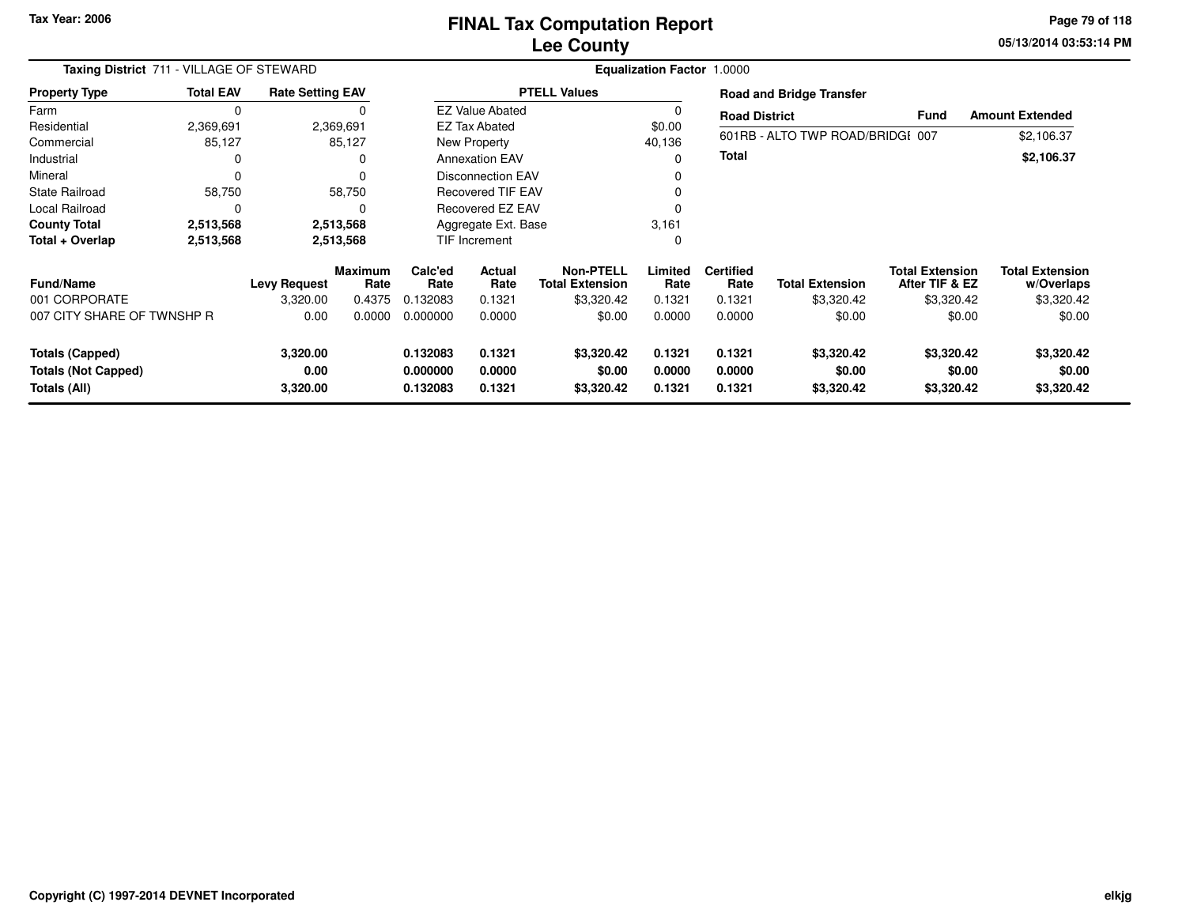**05/13/2014 03:53:14 PM Page 79 of 118**

|                            | Taxing District 711 - VILLAGE OF STEWARD |                         |                 |                 |                                              |                                     | Equalization Factor 1.0000 |                          |                                  |                                          |                                      |
|----------------------------|------------------------------------------|-------------------------|-----------------|-----------------|----------------------------------------------|-------------------------------------|----------------------------|--------------------------|----------------------------------|------------------------------------------|--------------------------------------|
| <b>Property Type</b>       | <b>Total EAV</b>                         | <b>Rate Setting EAV</b> |                 |                 |                                              | <b>PTELL Values</b>                 |                            |                          | <b>Road and Bridge Transfer</b>  |                                          |                                      |
| Farm                       | 0                                        |                         |                 |                 | <b>EZ Value Abated</b>                       |                                     |                            | <b>Road District</b>     |                                  | Fund                                     | <b>Amount Extended</b>               |
| Residential                | 2,369,691                                |                         | 2,369,691       |                 | <b>EZ Tax Abated</b>                         |                                     | \$0.00                     |                          |                                  |                                          |                                      |
| Commercial                 | 85,127                                   |                         | 85,127          |                 | New Property                                 |                                     | 40,136                     |                          | 601RB - ALTO TWP ROAD/BRIDGI 007 |                                          | \$2,106.37                           |
| Industrial                 |                                          |                         | 0               |                 | <b>Annexation EAV</b>                        |                                     | $\Omega$                   | <b>Total</b>             |                                  |                                          | \$2,106.37                           |
| Mineral                    |                                          |                         | 0               |                 | Disconnection EAV                            |                                     |                            |                          |                                  |                                          |                                      |
| <b>State Railroad</b>      | 58,750                                   |                         | 58,750          |                 | <b>Recovered TIF EAV</b>                     |                                     | $\Omega$                   |                          |                                  |                                          |                                      |
| Local Railroad             |                                          |                         | $\Omega$        |                 | Recovered EZ EAV                             |                                     |                            |                          |                                  |                                          |                                      |
| <b>County Total</b>        | 2,513,568                                |                         | 2,513,568       |                 | Aggregate Ext. Base                          |                                     |                            |                          |                                  |                                          |                                      |
| Total + Overlap            | 2,513,568                                |                         | 2,513,568       |                 | 3,161<br><b>TIF Increment</b><br>$\mathbf 0$ |                                     |                            |                          |                                  |                                          |                                      |
| <b>Fund/Name</b>           |                                          | <b>Levy Request</b>     | Maximum<br>Rate | Calc'ed<br>Rate | <b>Actual</b><br>Rate                        | Non-PTELL<br><b>Total Extension</b> | Limited<br>Rate            | <b>Certified</b><br>Rate | <b>Total Extension</b>           | <b>Total Extension</b><br>After TIF & EZ | <b>Total Extension</b><br>w/Overlaps |
| 001 CORPORATE              |                                          | 3,320.00                | 0.4375          | 0.132083        | 0.1321                                       | \$3,320.42                          | 0.1321                     | 0.1321                   | \$3,320.42                       | \$3,320.42                               | \$3,320.42                           |
| 007 CITY SHARE OF TWNSHP R |                                          | 0.00                    | 0.0000          | 0.000000        | 0.0000                                       | \$0.00                              | 0.0000                     | 0.0000                   | \$0.00                           | \$0.00                                   | \$0.00                               |
| <b>Totals (Capped)</b>     |                                          | 3,320.00                |                 | 0.132083        | 0.1321                                       | \$3,320.42                          | 0.1321                     | 0.1321                   | \$3,320.42                       | \$3,320.42                               | \$3,320.42                           |
| <b>Totals (Not Capped)</b> |                                          | 0.00                    |                 | 0.000000        | 0.0000                                       | \$0.00                              | 0.0000                     | 0.0000                   | \$0.00                           | \$0.00                                   | \$0.00                               |
| Totals (All)               |                                          | 3,320.00                |                 | 0.132083        | 0.1321                                       | \$3,320.42                          | 0.1321                     | 0.1321                   | \$3,320.42                       | \$3,320.42                               | \$3,320.42                           |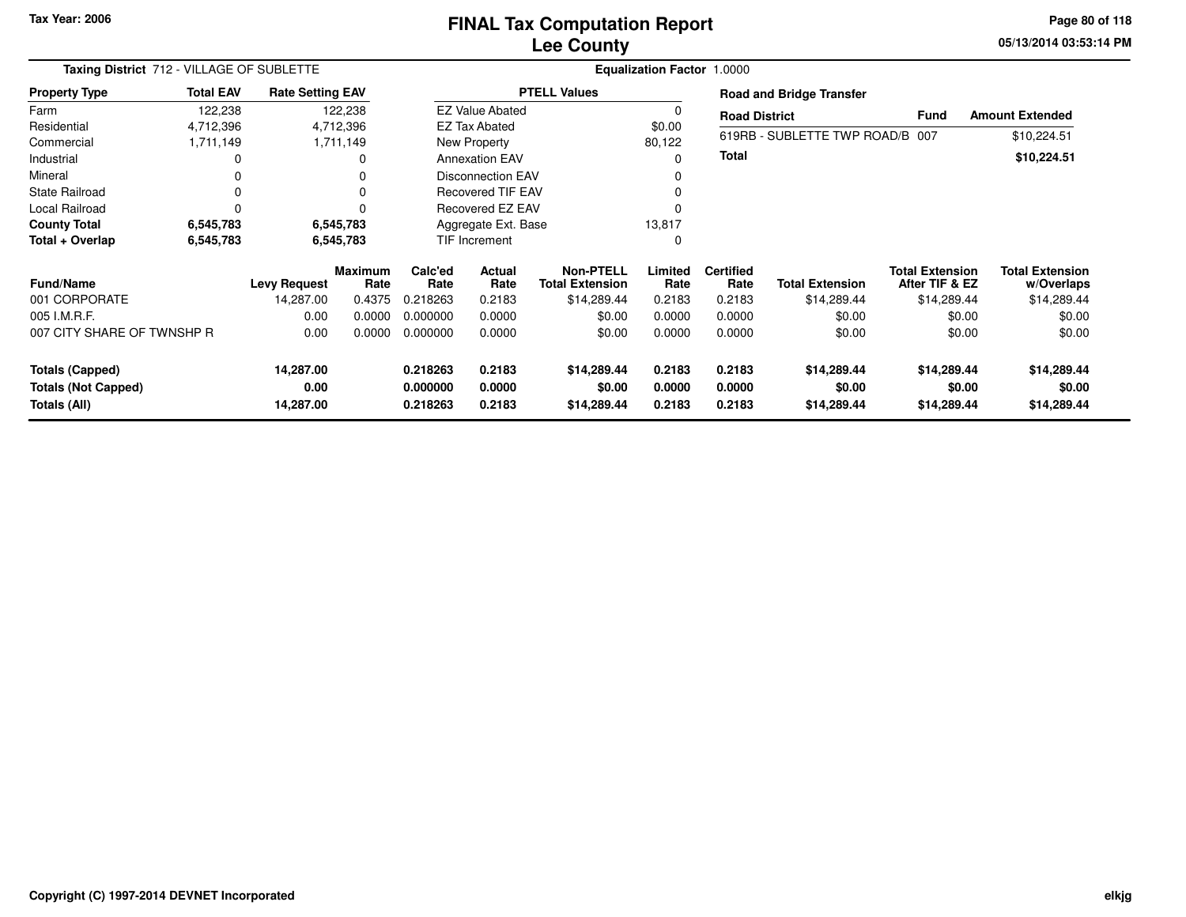### **Lee CountyFINAL Tax Computation Report** FINAL Tax Computation Report

**05/13/2014 03:53:14 PM Page 80 of 118**

|                            | Taxing District 712 - VILLAGE OF SUBLETTE |                         |                        |                         |                          | Equalization Factor 1.0000                 |                 |                          |                                 |                                          |                                      |  |  |  |  |
|----------------------------|-------------------------------------------|-------------------------|------------------------|-------------------------|--------------------------|--------------------------------------------|-----------------|--------------------------|---------------------------------|------------------------------------------|--------------------------------------|--|--|--|--|
| <b>Property Type</b>       | <b>Total EAV</b>                          | <b>Rate Setting EAV</b> |                        |                         |                          | <b>PTELL Values</b>                        |                 |                          | <b>Road and Bridge Transfer</b> |                                          |                                      |  |  |  |  |
| Farm                       | 122,238                                   |                         | 122,238                |                         | <b>EZ Value Abated</b>   |                                            |                 | <b>Road District</b>     |                                 | <b>Fund</b>                              | <b>Amount Extended</b>               |  |  |  |  |
| Residential                | 4,712,396                                 |                         | 4,712,396              |                         | <b>EZ Tax Abated</b>     |                                            | \$0.00          |                          |                                 |                                          |                                      |  |  |  |  |
| Commercial                 | 1,711,149                                 |                         | 1,711,149              |                         | New Property             |                                            | 80,122          |                          | 619RB - SUBLETTE TWP ROAD/B 007 |                                          | \$10,224.51                          |  |  |  |  |
| Industrial                 |                                           |                         | 0                      |                         | <b>Annexation EAV</b>    |                                            |                 | <b>Total</b>             |                                 |                                          | \$10,224.51                          |  |  |  |  |
| Mineral                    |                                           |                         | 0                      |                         | <b>Disconnection EAV</b> |                                            |                 |                          |                                 |                                          |                                      |  |  |  |  |
| <b>State Railroad</b>      |                                           |                         | 0                      |                         | <b>Recovered TIF EAV</b> |                                            |                 |                          |                                 |                                          |                                      |  |  |  |  |
| Local Railroad             |                                           |                         | 0                      | <b>Recovered EZ EAV</b> |                          |                                            |                 |                          |                                 |                                          |                                      |  |  |  |  |
| <b>County Total</b>        | 6,545,783                                 |                         | 6,545,783              | Aggregate Ext. Base     |                          |                                            | 13,817          |                          |                                 |                                          |                                      |  |  |  |  |
| Total + Overlap            | 6,545,783                                 |                         | 6,545,783              |                         | TIF Increment            |                                            |                 |                          |                                 |                                          |                                      |  |  |  |  |
| <b>Fund/Name</b>           |                                           | <b>Levy Request</b>     | <b>Maximum</b><br>Rate | Calc'ed<br>Rate         | Actual<br>Rate           | <b>Non-PTELL</b><br><b>Total Extension</b> | Limited<br>Rate | <b>Certified</b><br>Rate | <b>Total Extension</b>          | <b>Total Extension</b><br>After TIF & EZ | <b>Total Extension</b><br>w/Overlaps |  |  |  |  |
| 001 CORPORATE              |                                           | 14,287.00               | 0.4375                 | 0.218263                | 0.2183                   | \$14,289.44                                | 0.2183          | 0.2183                   | \$14,289.44                     | \$14,289.44                              | \$14,289.44                          |  |  |  |  |
| 005 I.M.R.F.               |                                           | 0.00                    | 0.0000                 | 0.000000                | 0.0000                   | \$0.00                                     | 0.0000          | 0.0000                   | \$0.00                          | \$0.00                                   | \$0.00                               |  |  |  |  |
| 007 CITY SHARE OF TWNSHP R |                                           | 0.00                    | 0.0000                 | 0.000000                | 0.0000                   | \$0.00                                     | 0.0000          | 0.0000                   | \$0.00                          | \$0.00                                   | \$0.00                               |  |  |  |  |
| <b>Totals (Capped)</b>     |                                           | 14,287.00               |                        | 0.218263                | 0.2183                   | \$14,289.44                                | 0.2183          | 0.2183                   | \$14,289.44                     | \$14,289.44                              | \$14,289.44                          |  |  |  |  |
| <b>Totals (Not Capped)</b> |                                           | 0.00                    |                        | 0.000000                | 0.0000                   | \$0.00                                     | 0.0000          | 0.0000                   | \$0.00                          | \$0.00                                   | \$0.00                               |  |  |  |  |
| Totals (All)               |                                           | 14,287.00               |                        | 0.218263                | 0.2183                   | \$14,289.44                                | 0.2183          | 0.2183                   | \$14,289.44                     | \$14,289.44                              | \$14,289.44                          |  |  |  |  |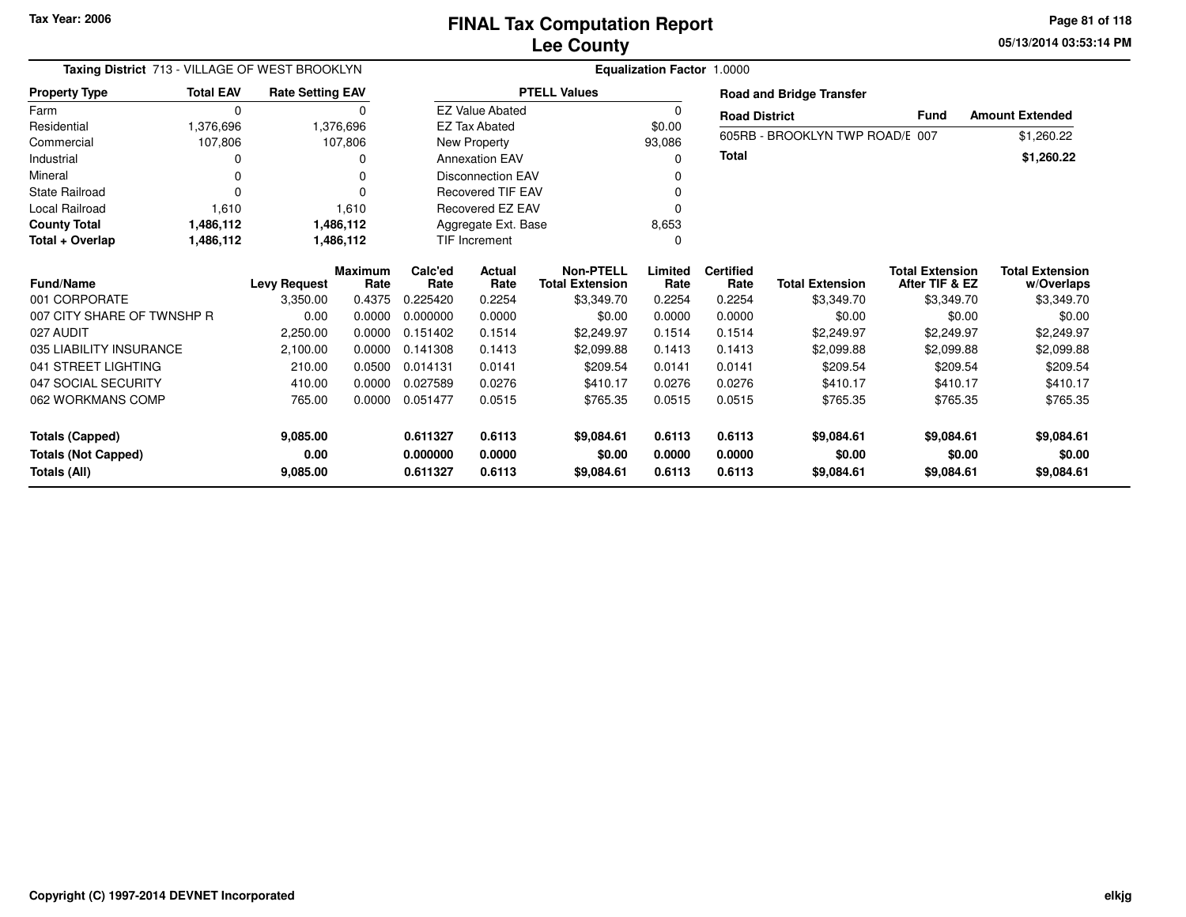**05/13/2014 03:53:14 PM Page 81 of 118**

| Taxing District 713 - VILLAGE OF WEST BROOKLYN |                  | <b>Equalization Factor 1.0000</b> |                        |                 |                          |                                            |                 |                          |                                 |                                          |                                      |
|------------------------------------------------|------------------|-----------------------------------|------------------------|-----------------|--------------------------|--------------------------------------------|-----------------|--------------------------|---------------------------------|------------------------------------------|--------------------------------------|
| <b>Property Type</b>                           | <b>Total EAV</b> | <b>Rate Setting EAV</b>           |                        |                 |                          | <b>PTELL Values</b>                        |                 |                          | <b>Road and Bridge Transfer</b> |                                          |                                      |
| Farm                                           | $\mathbf 0$      |                                   | 0                      |                 | <b>EZ Value Abated</b>   |                                            | 0               | <b>Road District</b>     |                                 | <b>Fund</b>                              | <b>Amount Extended</b>               |
| Residential                                    | 1,376,696        |                                   | 1,376,696              |                 | <b>EZ Tax Abated</b>     |                                            | \$0.00          |                          | 605RB - BROOKLYN TWP ROAD/E 007 |                                          | \$1,260.22                           |
| Commercial                                     | 107,806          |                                   | 107,806                |                 | New Property             |                                            | 93,086          |                          |                                 |                                          |                                      |
| Industrial                                     | O                |                                   | o                      |                 | <b>Annexation EAV</b>    |                                            | <sup>0</sup>    | <b>Total</b>             |                                 |                                          | \$1,260.22                           |
| Mineral                                        | $\Omega$         |                                   | U                      |                 | <b>Disconnection EAV</b> |                                            |                 |                          |                                 |                                          |                                      |
| <b>State Railroad</b>                          | $\Omega$         |                                   | 0                      |                 | <b>Recovered TIF EAV</b> |                                            |                 |                          |                                 |                                          |                                      |
| Local Railroad                                 | 1,610            |                                   | 1,610                  |                 | <b>Recovered EZ EAV</b>  |                                            | $\Omega$        |                          |                                 |                                          |                                      |
| <b>County Total</b>                            | 1,486,112        |                                   | 1,486,112              |                 | Aggregate Ext. Base      |                                            | 8,653           |                          |                                 |                                          |                                      |
| Total + Overlap                                | 1,486,112        |                                   | 1,486,112              |                 | TIF Increment            |                                            | $\Omega$        |                          |                                 |                                          |                                      |
| <b>Fund/Name</b>                               |                  | <b>Levy Request</b>               | <b>Maximum</b><br>Rate | Calc'ed<br>Rate | <b>Actual</b><br>Rate    | <b>Non-PTELL</b><br><b>Total Extension</b> | Limited<br>Rate | <b>Certified</b><br>Rate | <b>Total Extension</b>          | <b>Total Extension</b><br>After TIF & EZ | <b>Total Extension</b><br>w/Overlaps |
| 001 CORPORATE                                  |                  | 3,350.00                          | 0.4375                 | 0.225420        | 0.2254                   | \$3,349.70                                 | 0.2254          | 0.2254                   | \$3,349.70                      | \$3,349.70                               | \$3,349.70                           |
| 007 CITY SHARE OF TWNSHP R                     |                  | 0.00                              | 0.0000                 | 0.000000        | 0.0000                   | \$0.00                                     | 0.0000          | 0.0000                   | \$0.00                          | \$0.00                                   | \$0.00                               |
| 027 AUDIT                                      |                  | 2,250.00                          | 0.0000                 | 0.151402        | 0.1514                   | \$2,249.97                                 | 0.1514          | 0.1514                   | \$2,249.97                      | \$2,249.97                               | \$2,249.97                           |
| 035 LIABILITY INSURANCE                        |                  | 2,100.00                          | 0.0000                 | 0.141308        | 0.1413                   | \$2.099.88                                 | 0.1413          | 0.1413                   | \$2,099.88                      | \$2,099.88                               | \$2,099.88                           |
| 041 STREET LIGHTING                            |                  | 210.00                            | 0.0500                 | 0.014131        | 0.0141                   | \$209.54                                   | 0.0141          | 0.0141                   | \$209.54                        | \$209.54                                 | \$209.54                             |
| 047 SOCIAL SECURITY                            |                  | 410.00                            | 0.0000                 | 0.027589        | 0.0276                   | \$410.17                                   | 0.0276          | 0.0276                   | \$410.17                        | \$410.17                                 | \$410.17                             |
| 062 WORKMANS COMP                              |                  | 765.00                            | 0.0000                 | 0.051477        | 0.0515                   | \$765.35                                   | 0.0515          | 0.0515                   | \$765.35                        | \$765.35                                 | \$765.35                             |
| <b>Totals (Capped)</b>                         |                  | 9,085.00                          |                        | 0.611327        | 0.6113                   | \$9,084.61                                 | 0.6113          | 0.6113                   | \$9,084.61                      | \$9,084.61                               | \$9,084.61                           |
| <b>Totals (Not Capped)</b>                     |                  | 0.00                              |                        | 0.000000        | 0.0000                   | \$0.00                                     | 0.0000          | 0.0000                   | \$0.00                          | \$0.00                                   | \$0.00                               |
| Totals (All)                                   |                  | 9,085.00                          |                        | 0.611327        | 0.6113                   | \$9,084.61                                 | 0.6113          | 0.6113                   | \$9,084.61                      | \$9,084.61                               | \$9,084.61                           |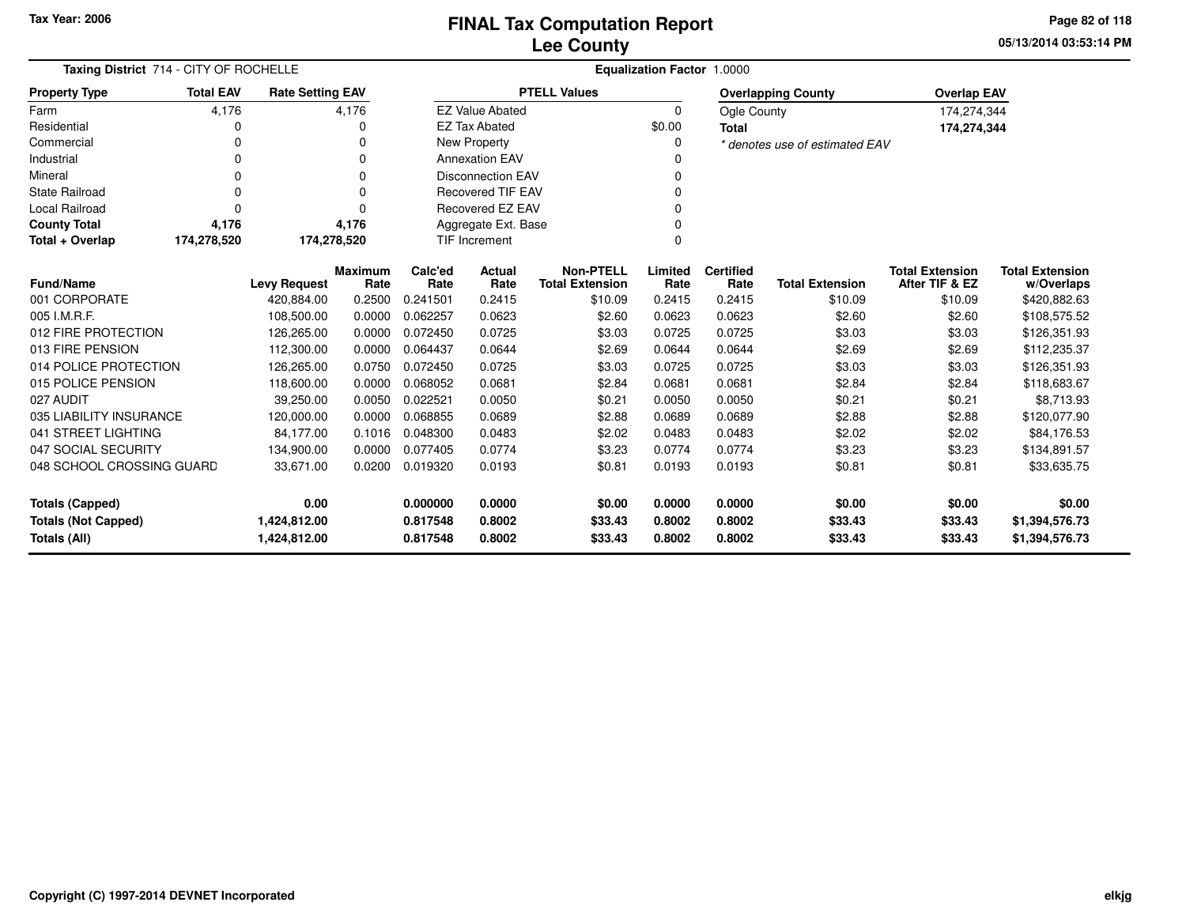**05/13/2014 03:53:14 PM Page 82 of 118**

| Taxing District 714 - CITY OF ROCHELLE |                  |                         |                        |                 | Equalization Factor 1.0000 |                                            |                 |                          |                                |                                          |                                      |
|----------------------------------------|------------------|-------------------------|------------------------|-----------------|----------------------------|--------------------------------------------|-----------------|--------------------------|--------------------------------|------------------------------------------|--------------------------------------|
| <b>Property Type</b>                   | <b>Total EAV</b> | <b>Rate Setting EAV</b> |                        |                 |                            | <b>PTELL Values</b>                        |                 |                          | <b>Overlapping County</b>      | <b>Overlap EAV</b>                       |                                      |
| Farm                                   | 4,176            |                         | 4,176                  |                 | <b>EZ Value Abated</b>     |                                            | $\mathbf 0$     | Ogle County              |                                | 174,274,344                              |                                      |
| Residential                            | 0                |                         | 0                      |                 | <b>EZ Tax Abated</b>       |                                            | \$0.00          | <b>Total</b>             |                                | 174,274,344                              |                                      |
| Commercial                             | 0                |                         | 0                      |                 | <b>New Property</b>        |                                            | 0               |                          | * denotes use of estimated EAV |                                          |                                      |
| Industrial                             | 0                |                         | 0                      |                 | <b>Annexation EAV</b>      |                                            |                 |                          |                                |                                          |                                      |
| Mineral                                | 0                |                         | 0                      |                 | <b>Disconnection EAV</b>   |                                            | 0               |                          |                                |                                          |                                      |
| <b>State Railroad</b>                  | 0                |                         | 0                      |                 | <b>Recovered TIF EAV</b>   |                                            | ŋ               |                          |                                |                                          |                                      |
| Local Railroad                         | $\Omega$         |                         | 0                      |                 | Recovered EZ EAV           |                                            |                 |                          |                                |                                          |                                      |
| <b>County Total</b>                    | 4,176            |                         | 4,176                  |                 | Aggregate Ext. Base        |                                            | 0               |                          |                                |                                          |                                      |
| Total + Overlap                        | 174,278,520      | 174,278,520             |                        |                 | TIF Increment              |                                            | $\mathbf 0$     |                          |                                |                                          |                                      |
| <b>Fund/Name</b>                       |                  | <b>Levy Request</b>     | <b>Maximum</b><br>Rate | Calc'ed<br>Rate | <b>Actual</b><br>Rate      | <b>Non-PTELL</b><br><b>Total Extension</b> | Limited<br>Rate | <b>Certified</b><br>Rate | <b>Total Extension</b>         | <b>Total Extension</b><br>After TIF & EZ | <b>Total Extension</b><br>w/Overlaps |
| 001 CORPORATE                          |                  | 420.884.00              | 0.2500                 | 0.241501        | 0.2415                     | \$10.09                                    | 0.2415          | 0.2415                   | \$10.09                        | \$10.09                                  | \$420,882.63                         |
| 005 I.M.R.F.                           |                  | 108,500.00              | 0.0000                 | 0.062257        | 0.0623                     | \$2.60                                     | 0.0623          | 0.0623                   | \$2.60                         | \$2.60                                   | \$108,575.52                         |
| 012 FIRE PROTECTION                    |                  | 126,265.00              | 0.0000                 | 0.072450        | 0.0725                     | \$3.03                                     | 0.0725          | 0.0725                   | \$3.03                         | \$3.03                                   | \$126,351.93                         |
| 013 FIRE PENSION                       |                  | 112.300.00              | 0.0000                 | 0.064437        | 0.0644                     | \$2.69                                     | 0.0644          | 0.0644                   | \$2.69                         | \$2.69                                   | \$112,235.37                         |
| 014 POLICE PROTECTION                  |                  | 126,265.00              | 0.0750                 | 0.072450        | 0.0725                     | \$3.03                                     | 0.0725          | 0.0725                   | \$3.03                         | \$3.03                                   | \$126,351.93                         |
| 015 POLICE PENSION                     |                  | 118,600.00              | 0.0000                 | 0.068052        | 0.0681                     | \$2.84                                     | 0.0681          | 0.0681                   | \$2.84                         | \$2.84                                   | \$118,683.67                         |
| 027 AUDIT                              |                  | 39,250.00               | 0.0050                 | 0.022521        | 0.0050                     | \$0.21                                     | 0.0050          | 0.0050                   | \$0.21                         | \$0.21                                   | \$8,713.93                           |
| 035 LIABILITY INSURANCE                |                  | 120,000.00              | 0.0000                 | 0.068855        | 0.0689                     | \$2.88                                     | 0.0689          | 0.0689                   | \$2.88                         | \$2.88                                   | \$120,077.90                         |
| 041 STREET LIGHTING                    |                  | 84.177.00               | 0.1016                 | 0.048300        | 0.0483                     | \$2.02                                     | 0.0483          | 0.0483                   | \$2.02                         | \$2.02                                   | \$84,176.53                          |
| 047 SOCIAL SECURITY                    |                  | 134,900.00              | 0.0000                 | 0.077405        | 0.0774                     | \$3.23                                     | 0.0774          | 0.0774                   | \$3.23                         | \$3.23                                   | \$134,891.57                         |
| 048 SCHOOL CROSSING GUARD              |                  | 33,671.00               | 0.0200                 | 0.019320        | 0.0193                     | \$0.81                                     | 0.0193          | 0.0193                   | \$0.81                         | \$0.81                                   | \$33,635.75                          |
| <b>Totals (Capped)</b>                 |                  | 0.00                    |                        | 0.000000        | 0.0000                     | \$0.00                                     | 0.0000          | 0.0000                   | \$0.00                         | \$0.00                                   | \$0.00                               |
| <b>Totals (Not Capped)</b>             |                  | 1,424,812.00            |                        | 0.817548        | 0.8002                     | \$33.43                                    | 0.8002          | 0.8002                   | \$33.43                        | \$33.43                                  | \$1,394,576.73                       |
| Totals (All)                           |                  | 1,424,812.00            |                        | 0.817548        | 0.8002                     | \$33.43                                    | 0.8002          | 0.8002                   | \$33.43                        | \$33.43                                  | \$1,394,576.73                       |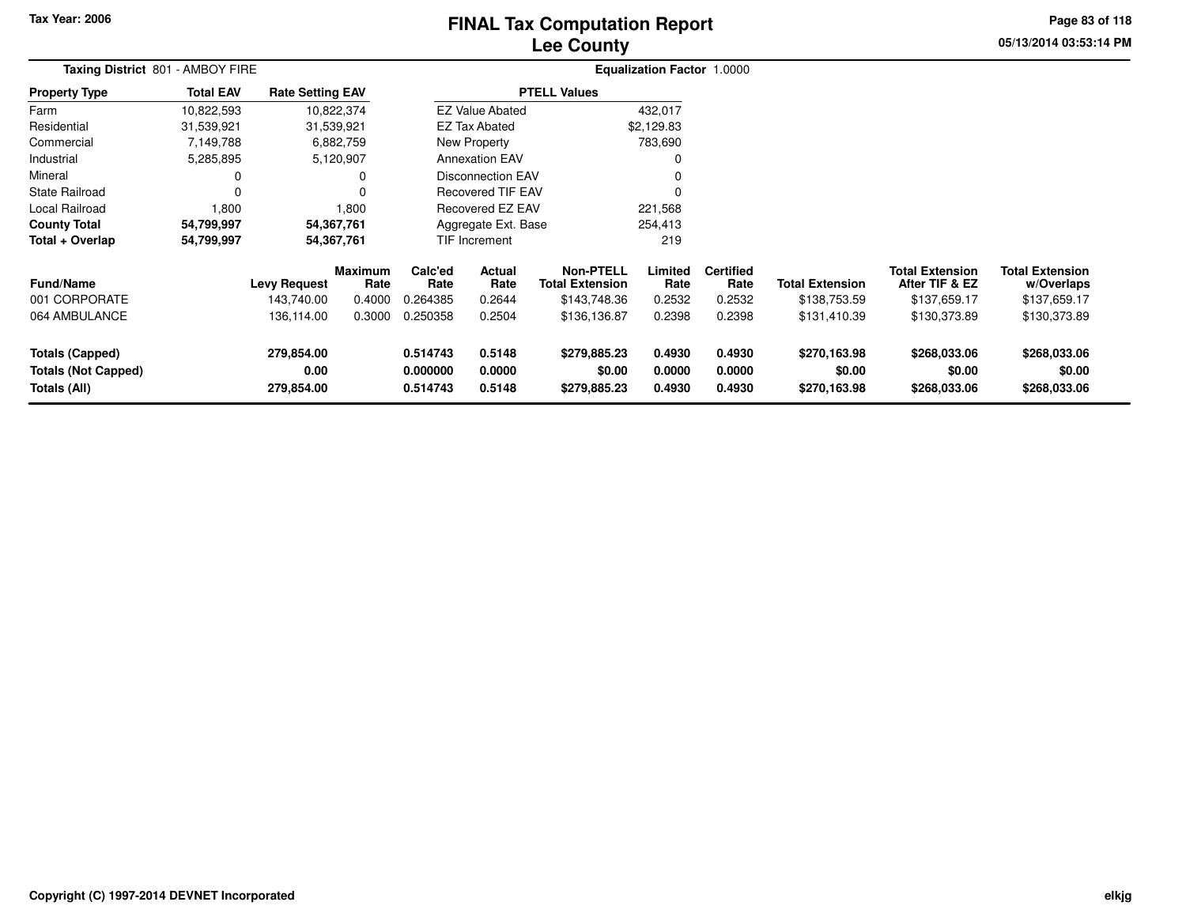# **Lee CountyFINAL Tax Computation Report** FINAL Tax Computation Report

**05/13/2014 03:53:14 PM Page 83 of 118**

| <b>Taxing District 801 - AMBOY FIRE</b>            |                  |                                                 |                                     | Equalization Factor 1.0000              |                                    |                                                                            |                                     |                                              |                                                        |                                                                          |                                                                      |  |
|----------------------------------------------------|------------------|-------------------------------------------------|-------------------------------------|-----------------------------------------|------------------------------------|----------------------------------------------------------------------------|-------------------------------------|----------------------------------------------|--------------------------------------------------------|--------------------------------------------------------------------------|----------------------------------------------------------------------|--|
| <b>Property Type</b>                               | <b>Total EAV</b> | <b>Rate Setting EAV</b>                         |                                     |                                         |                                    | <b>PTELL Values</b>                                                        |                                     |                                              |                                                        |                                                                          |                                                                      |  |
| Farm                                               | 10,822,593       |                                                 | 10,822,374                          |                                         | <b>EZ Value Abated</b>             |                                                                            | 432,017                             |                                              |                                                        |                                                                          |                                                                      |  |
| Residential                                        | 31,539,921       |                                                 | 31,539,921                          |                                         | <b>EZ Tax Abated</b>               |                                                                            | \$2,129.83                          |                                              |                                                        |                                                                          |                                                                      |  |
| Commercial                                         | 7,149,788        |                                                 | 6,882,759                           |                                         | New Property                       |                                                                            | 783,690                             |                                              |                                                        |                                                                          |                                                                      |  |
| Industrial                                         | 5,285,895        |                                                 | 5,120,907                           |                                         | <b>Annexation EAV</b>              |                                                                            | 0                                   |                                              |                                                        |                                                                          |                                                                      |  |
| Mineral                                            |                  |                                                 |                                     |                                         | <b>Disconnection EAV</b>           |                                                                            | $\mathbf 0$                         |                                              |                                                        |                                                                          |                                                                      |  |
| <b>State Railroad</b>                              |                  |                                                 |                                     |                                         | <b>Recovered TIF EAV</b>           |                                                                            | 0                                   |                                              |                                                        |                                                                          |                                                                      |  |
| Local Railroad                                     | 1,800            |                                                 | 1,800                               |                                         | Recovered EZ EAV                   |                                                                            | 221,568                             |                                              |                                                        |                                                                          |                                                                      |  |
| <b>County Total</b>                                | 54,799,997       |                                                 | 54,367,761                          |                                         | Aggregate Ext. Base                |                                                                            | 254,413                             |                                              |                                                        |                                                                          |                                                                      |  |
| Total + Overlap                                    | 54,799,997       |                                                 | 54,367,761                          |                                         | TIF Increment                      |                                                                            | 219                                 |                                              |                                                        |                                                                          |                                                                      |  |
| <b>Fund/Name</b><br>001 CORPORATE<br>064 AMBULANCE |                  | <b>Levy Request</b><br>143,740.00<br>136,114.00 | Maximum<br>Rate<br>0.4000<br>0.3000 | Calc'ed<br>Rate<br>0.264385<br>0.250358 | Actual<br>Rate<br>0.2644<br>0.2504 | <b>Non-PTELL</b><br><b>Total Extension</b><br>\$143,748.36<br>\$136,136.87 | Limited<br>Rate<br>0.2532<br>0.2398 | <b>Certified</b><br>Rate<br>0.2532<br>0.2398 | <b>Total Extension</b><br>\$138,753.59<br>\$131,410.39 | <b>Total Extension</b><br>After TIF & EZ<br>\$137,659.17<br>\$130,373.89 | <b>Total Extension</b><br>w/Overlaps<br>\$137,659.17<br>\$130,373.89 |  |
| <b>Totals (Capped)</b>                             |                  | 279,854.00                                      |                                     | 0.514743                                | 0.5148                             | \$279,885.23                                                               | 0.4930                              | 0.4930                                       | \$270,163.98                                           | \$268,033.06                                                             | \$268,033.06                                                         |  |
| <b>Totals (Not Capped)</b><br>Totals (All)         |                  | 0.00<br>279,854.00                              |                                     | 0.000000<br>0.514743                    | 0.0000<br>0.5148                   | \$0.00<br>\$279,885.23                                                     | 0.0000<br>0.4930                    | 0.0000<br>0.4930                             | \$0.00<br>\$270,163.98                                 | \$0.00<br>\$268,033.06                                                   | \$0.00<br>\$268,033.06                                               |  |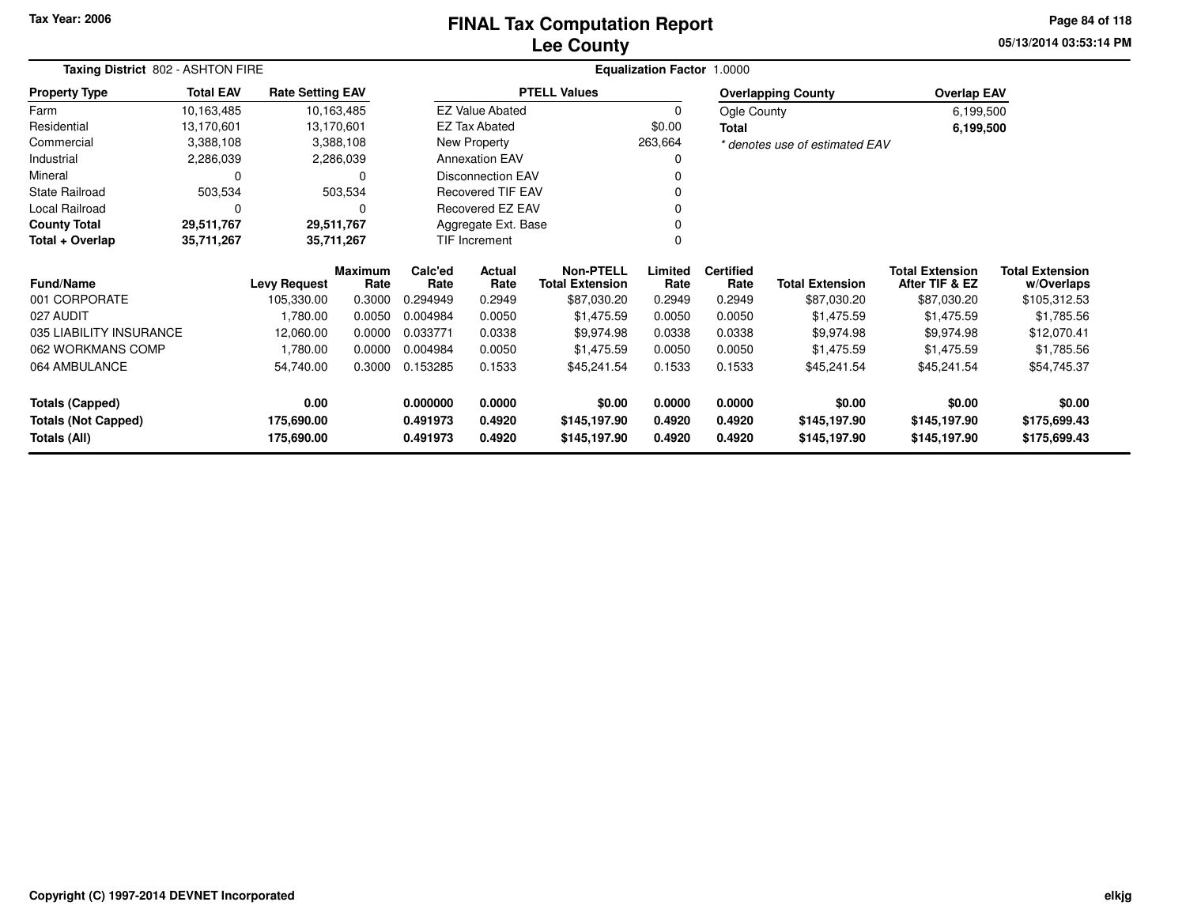### **Lee CountyFINAL Tax Computation Report** FINAL Tax Computation Report

**05/13/2014 03:53:14 PMPage 84 of 118**

| Taxing District 802 - ASHTON FIRE           |                          |                         |                        |                 |                          | <b>Equalization Factor 1.0000</b>          |                 |                          |                                |                                          |                                      |
|---------------------------------------------|--------------------------|-------------------------|------------------------|-----------------|--------------------------|--------------------------------------------|-----------------|--------------------------|--------------------------------|------------------------------------------|--------------------------------------|
| <b>Property Type</b>                        | <b>Total EAV</b>         | <b>Rate Setting EAV</b> |                        |                 |                          | <b>PTELL Values</b>                        |                 |                          | <b>Overlapping County</b>      | <b>Overlap EAV</b>                       |                                      |
| Farm                                        | 10,163,485               |                         | 10,163,485             |                 | <b>EZ Value Abated</b>   |                                            | 0               | Ogle County              |                                | 6,199,500                                |                                      |
| Residential                                 | 13,170,601               |                         | 13,170,601             |                 | <b>EZ Tax Abated</b>     |                                            | \$0.00          | <b>Total</b>             |                                | 6,199,500                                |                                      |
| Commercial                                  | 3,388,108                |                         | 3,388,108              |                 | New Property             |                                            | 263,664         |                          | * denotes use of estimated EAV |                                          |                                      |
| Industrial                                  | 2,286,039                |                         | 2,286,039              |                 | <b>Annexation EAV</b>    |                                            | 0               |                          |                                |                                          |                                      |
| Mineral                                     | 0                        |                         | <sup>0</sup>           |                 | <b>Disconnection EAV</b> |                                            |                 |                          |                                |                                          |                                      |
| <b>State Railroad</b>                       | 503,534                  |                         | 503,534                |                 | <b>Recovered TIF EAV</b> |                                            |                 |                          |                                |                                          |                                      |
| Local Railroad                              | 0<br>0                   |                         |                        |                 | Recovered EZ EAV         |                                            |                 |                          |                                |                                          |                                      |
| <b>County Total</b>                         | 29,511,767<br>29,511,767 |                         |                        |                 | Aggregate Ext. Base      |                                            |                 |                          |                                |                                          |                                      |
| Total + Overlap<br>35,711,267<br>35,711,267 |                          |                         |                        | TIF Increment   |                          |                                            |                 |                          |                                |                                          |                                      |
| <b>Fund/Name</b>                            |                          | <b>Levy Request</b>     | <b>Maximum</b><br>Rate | Calc'ed<br>Rate | Actual<br>Rate           | <b>Non-PTELL</b><br><b>Total Extension</b> | Limited<br>Rate | <b>Certified</b><br>Rate | <b>Total Extension</b>         | <b>Total Extension</b><br>After TIF & EZ | <b>Total Extension</b><br>w/Overlaps |
| 001 CORPORATE                               |                          | 105,330.00              | 0.3000                 | 0.294949        | 0.2949                   | \$87,030.20                                | 0.2949          | 0.2949                   | \$87,030.20                    | \$87,030.20                              | \$105,312.53                         |
| 027 AUDIT                                   |                          | 1,780.00                | 0.0050                 | 0.004984        | 0.0050                   | \$1,475.59                                 | 0.0050          | 0.0050                   | \$1,475.59                     | \$1,475.59                               | \$1,785.56                           |
| 035 LIABILITY INSURANCE                     |                          | 12,060.00               | 0.0000                 | 0.033771        | 0.0338                   | \$9,974.98                                 | 0.0338          | 0.0338                   | \$9,974.98                     | \$9,974.98                               | \$12,070.41                          |
| 062 WORKMANS COMP                           |                          | 1,780.00                | 0.0000                 | 0.004984        | 0.0050                   | \$1,475.59                                 | 0.0050          | 0.0050                   | \$1,475.59                     | \$1,475.59                               | \$1,785.56                           |
| 064 AMBULANCE                               |                          | 54,740.00               | 0.3000                 | 0.153285        | 0.1533                   | \$45,241.54                                | 0.1533          | 0.1533                   | \$45,241.54                    | \$45,241.54                              | \$54,745.37                          |
| <b>Totals (Capped)</b>                      |                          | 0.00                    |                        | 0.000000        | 0.0000                   | \$0.00                                     | 0.0000          | 0.0000                   | \$0.00                         | \$0.00                                   | \$0.00                               |
| <b>Totals (Not Capped)</b>                  |                          | 175,690.00              |                        | 0.491973        | 0.4920                   | \$145,197.90                               | 0.4920          | 0.4920                   | \$145,197.90                   | \$145,197.90                             | \$175,699.43                         |
| Totals (All)                                |                          | 175,690.00              |                        | 0.491973        | 0.4920                   | \$145,197.90                               | 0.4920          | 0.4920                   | \$145,197.90                   | \$145,197.90                             | \$175,699.43                         |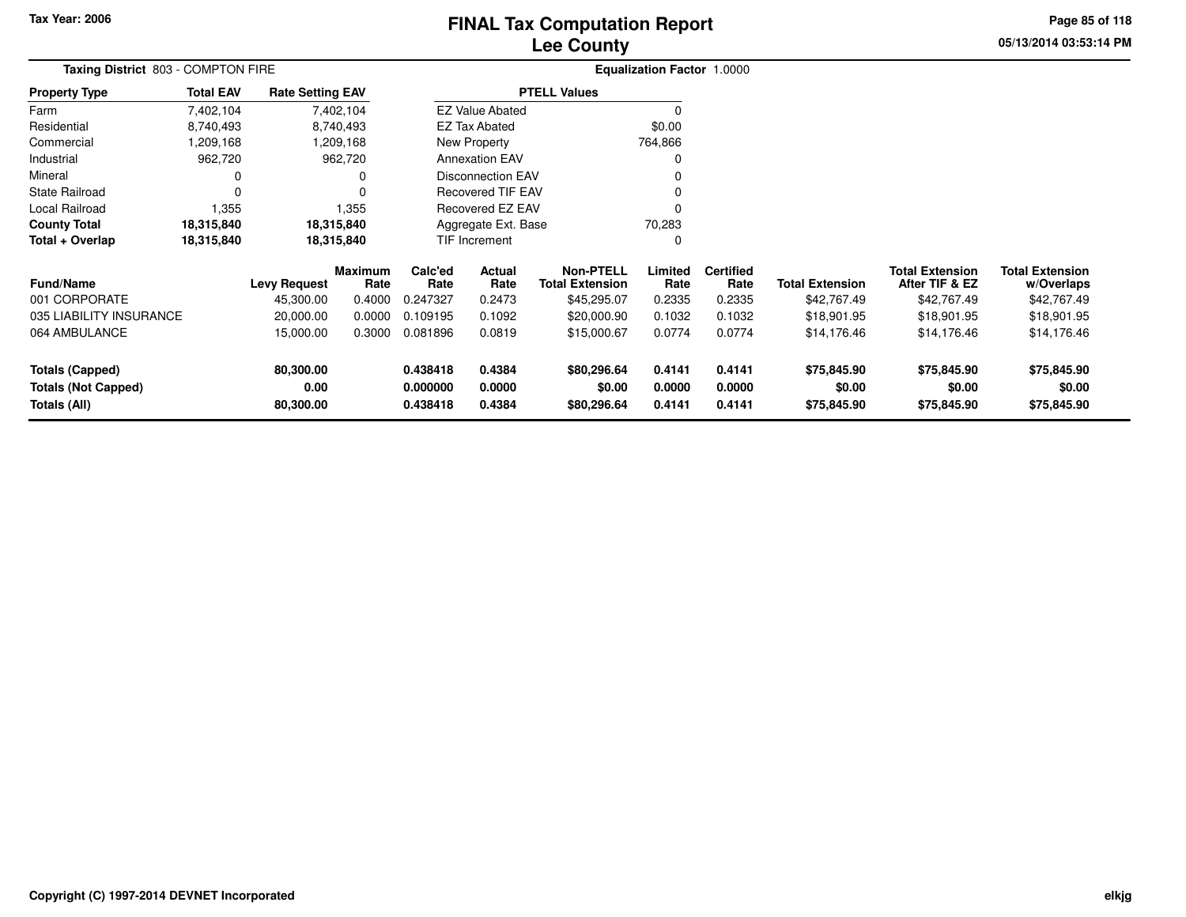# **Lee CountyFINAL Tax Computation Report** FINAL Tax Computation Report

**05/13/2014 03:53:14 PM Page 85 of 118**

| Taxing District 803 - COMPTON FIRE                   |                     |                         |                 |                          | <b>Equalization Factor 1.0000</b> |                                            |                  |                          |                        |                                          |                                      |
|------------------------------------------------------|---------------------|-------------------------|-----------------|--------------------------|-----------------------------------|--------------------------------------------|------------------|--------------------------|------------------------|------------------------------------------|--------------------------------------|
| <b>Property Type</b>                                 | <b>Total EAV</b>    | <b>Rate Setting EAV</b> |                 |                          |                                   | <b>PTELL Values</b>                        |                  |                          |                        |                                          |                                      |
| Farm                                                 | 7,402,104           |                         | 7,402,104       |                          | <b>EZ Value Abated</b>            |                                            |                  |                          |                        |                                          |                                      |
| Residential                                          | 8,740,493           |                         | 8,740,493       | <b>EZ Tax Abated</b>     |                                   |                                            | \$0.00           |                          |                        |                                          |                                      |
| Commercial                                           | ,209,168            |                         | 209,168,        | New Property             |                                   |                                            | 764,866          |                          |                        |                                          |                                      |
| Industrial                                           | 962,720             |                         | 962,720         |                          | <b>Annexation EAV</b>             |                                            |                  |                          |                        |                                          |                                      |
| Mineral                                              |                     |                         | 0               |                          | <b>Disconnection EAV</b>          |                                            |                  |                          |                        |                                          |                                      |
| <b>State Railroad</b>                                |                     |                         |                 | <b>Recovered TIF EAV</b> |                                   |                                            |                  |                          |                        |                                          |                                      |
| <b>Local Railroad</b>                                | 1,355               |                         | 1,355           |                          | Recovered EZ EAV                  |                                            |                  |                          |                        |                                          |                                      |
| <b>County Total</b>                                  | 18,315,840          |                         | 18,315,840      |                          | Aggregate Ext. Base               |                                            | 70,283           |                          |                        |                                          |                                      |
| Total + Overlap                                      | 18,315,840          |                         | 18,315,840      |                          | TIF Increment                     |                                            | 0                |                          |                        |                                          |                                      |
| <b>Fund/Name</b>                                     | <b>Levy Request</b> |                         | Maximum<br>Rate | Calc'ed<br>Rate          | Actual<br>Rate                    | <b>Non-PTELL</b><br><b>Total Extension</b> | Limited<br>Rate  | <b>Certified</b><br>Rate | <b>Total Extension</b> | <b>Total Extension</b><br>After TIF & EZ | <b>Total Extension</b><br>w/Overlaps |
| 001 CORPORATE                                        |                     | 45,300.00               | 0.4000          | 0.247327                 | 0.2473                            | \$45,295.07                                | 0.2335           | 0.2335                   | \$42,767.49            | \$42,767.49                              | \$42,767.49                          |
| 035 LIABILITY INSURANCE                              |                     | 20,000.00               | 0.0000          | 0.109195                 | 0.1092                            | \$20,000.90                                | 0.1032           | 0.1032                   | \$18,901.95            | \$18,901.95                              | \$18,901.95                          |
| 064 AMBULANCE                                        |                     | 15,000.00               | 0.3000          | 0.081896                 | 0.0819                            | \$15,000.67                                | 0.0774           | 0.0774                   | \$14,176.46            | \$14,176.46                              | \$14,176.46                          |
| <b>Totals (Capped)</b><br><b>Totals (Not Capped)</b> |                     | 80,300.00<br>0.00       |                 | 0.438418<br>0.000000     | 0.4384<br>0.0000                  | \$80,296.64<br>\$0.00                      | 0.4141<br>0.0000 | 0.4141<br>0.0000         | \$75,845.90<br>\$0.00  | \$75,845.90<br>\$0.00                    | \$75,845.90<br>\$0.00                |
| Totals (All)                                         |                     | 80,300.00               |                 | 0.438418                 | 0.4384                            | \$80,296.64                                | 0.4141           | 0.4141                   | \$75,845.90            | \$75,845.90                              | \$75,845.90                          |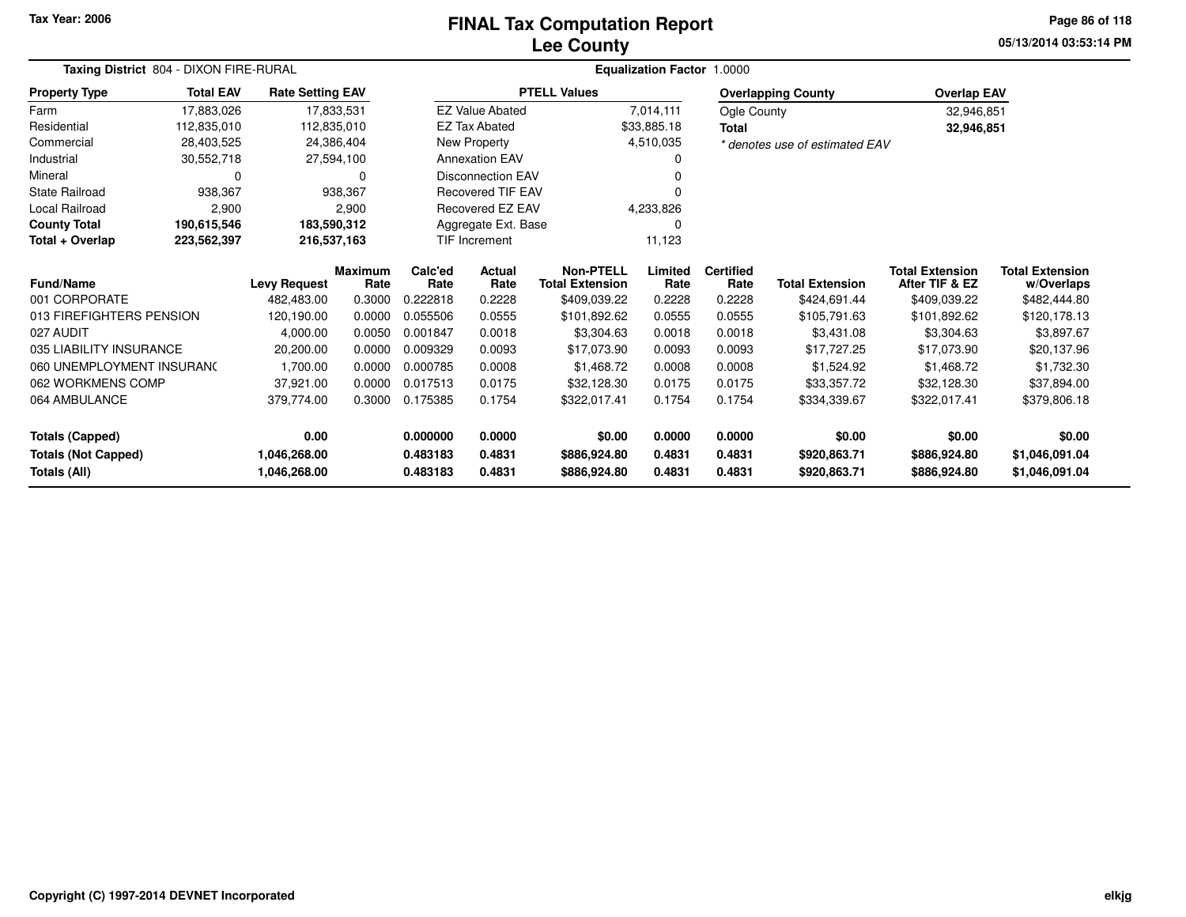#### **Lee CountyFINAL Tax Computation Report** FINAL Tax Computation Report

**05/13/2014 03:53:14 PMPage 86 of 118**

| Taxing District 804 - DIXON FIRE-RURAL | <b>Equalization Factor 1.0000</b> |                         |                        |                 |                          |                                            |                 |                          |                                |                                          |                                      |
|----------------------------------------|-----------------------------------|-------------------------|------------------------|-----------------|--------------------------|--------------------------------------------|-----------------|--------------------------|--------------------------------|------------------------------------------|--------------------------------------|
| <b>Property Type</b>                   | <b>Total EAV</b>                  | <b>Rate Setting EAV</b> |                        |                 |                          | <b>PTELL Values</b>                        |                 |                          | <b>Overlapping County</b>      | <b>Overlap EAV</b>                       |                                      |
| Farm                                   | 17,883,026                        |                         | 17,833,531             |                 | <b>EZ Value Abated</b>   |                                            | 7,014,111       | Ogle County              |                                | 32,946,851                               |                                      |
| Residential                            | 112,835,010                       |                         | 112,835,010            |                 | <b>EZ Tax Abated</b>     |                                            | \$33,885.18     | <b>Total</b>             |                                | 32,946,851                               |                                      |
| Commercial                             | 28,403,525                        |                         | 24,386,404             |                 | New Property             |                                            | 4,510,035       |                          | * denotes use of estimated EAV |                                          |                                      |
| Industrial                             | 30,552,718                        |                         | 27,594,100             |                 | <b>Annexation EAV</b>    |                                            |                 |                          |                                |                                          |                                      |
| Mineral                                | 0                                 |                         | 0                      |                 | <b>Disconnection EAV</b> |                                            |                 |                          |                                |                                          |                                      |
| State Railroad                         | 938,367                           |                         | 938.367                |                 | <b>Recovered TIF EAV</b> |                                            |                 |                          |                                |                                          |                                      |
| <b>Local Railroad</b>                  | 2,900                             |                         | 2,900                  |                 | Recovered EZ EAV         |                                            | 4,233,826       |                          |                                |                                          |                                      |
| <b>County Total</b>                    | 190,615,546                       |                         | 183,590,312            |                 | Aggregate Ext. Base      |                                            | 0               |                          |                                |                                          |                                      |
| Total + Overlap<br>223,562,397         |                                   |                         | 216,537,163            |                 | <b>TIF Increment</b>     |                                            | 11,123          |                          |                                |                                          |                                      |
| Fund/Name                              |                                   | <b>Levy Request</b>     | <b>Maximum</b><br>Rate | Calc'ed<br>Rate | Actual<br>Rate           | <b>Non-PTELL</b><br><b>Total Extension</b> | Limited<br>Rate | <b>Certified</b><br>Rate | <b>Total Extension</b>         | <b>Total Extension</b><br>After TIF & EZ | <b>Total Extension</b><br>w/Overlaps |
| 001 CORPORATE                          |                                   | 482,483.00              | 0.3000                 | 0.222818        | 0.2228                   | \$409,039.22                               | 0.2228          | 0.2228                   | \$424,691.44                   | \$409,039.22                             | \$482,444.80                         |
| 013 FIREFIGHTERS PENSION               |                                   | 120,190.00              | 0.0000                 | 0.055506        | 0.0555                   | \$101,892.62                               | 0.0555          | 0.0555                   | \$105,791.63                   | \$101,892.62                             | \$120,178.13                         |
| 027 AUDIT                              |                                   | 4,000.00                | 0.0050                 | 0.001847        | 0.0018                   | \$3,304.63                                 | 0.0018          | 0.0018                   | \$3,431.08                     | \$3.304.63                               | \$3,897.67                           |
| 035 LIABILITY INSURANCE                |                                   | 20,200.00               | 0.0000                 | 0.009329        | 0.0093                   | \$17,073.90                                | 0.0093          | 0.0093                   | \$17,727.25                    | \$17,073.90                              | \$20,137.96                          |
| 060 UNEMPLOYMENT INSURANC              |                                   | 1,700.00                | 0.0000                 | 0.000785        | 0.0008                   | \$1,468.72                                 | 0.0008          | 0.0008                   | \$1,524.92                     | \$1,468.72                               | \$1,732.30                           |
| 062 WORKMENS COMP                      |                                   | 37,921.00               | 0.0000                 | 0.017513        | 0.0175                   | \$32,128.30                                | 0.0175          | 0.0175                   | \$33,357.72                    | \$32,128.30                              | \$37,894.00                          |
| 064 AMBULANCE                          |                                   | 379,774.00              | 0.3000                 | 0.175385        | 0.1754                   | \$322,017.41                               | 0.1754          | 0.1754                   | \$334,339.67                   | \$322,017.41                             | \$379,806.18                         |
| <b>Totals (Capped)</b>                 |                                   | 0.00                    |                        | 0.000000        | 0.0000                   | \$0.00                                     | 0.0000          | 0.0000                   | \$0.00                         | \$0.00                                   | \$0.00                               |
| <b>Totals (Not Capped)</b>             |                                   | 1,046,268.00            |                        | 0.483183        | 0.4831                   | \$886,924.80                               | 0.4831          | 0.4831                   | \$920,863.71                   | \$886,924.80                             | \$1,046,091.04                       |
| Totals (All)                           |                                   | 1,046,268.00            |                        | 0.483183        | 0.4831                   | \$886,924.80                               | 0.4831          | 0.4831                   | \$920,863.71                   | \$886,924.80                             | \$1,046,091.04                       |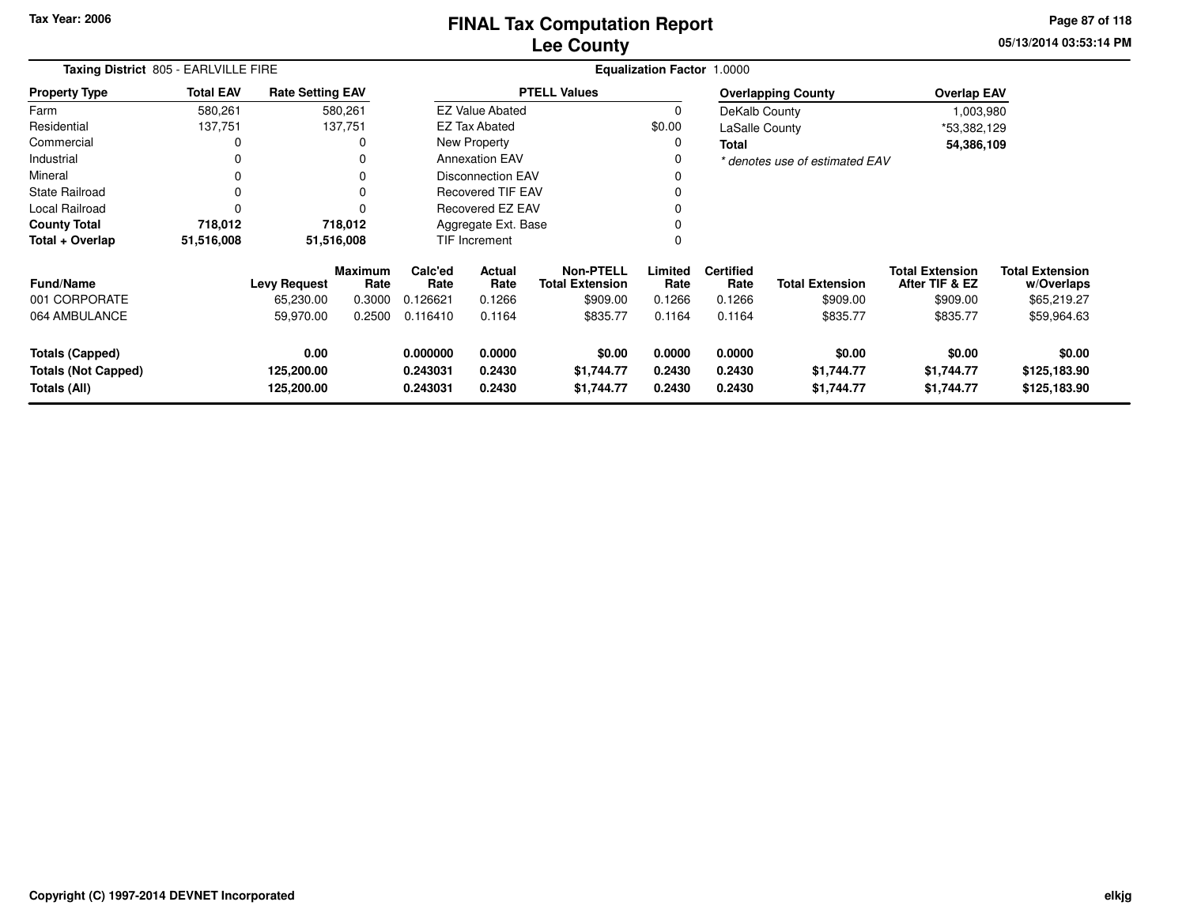**05/13/2014 03:53:14 PM Page 87 of 118**

|                                                                      | Taxing District 805 - EARLVILLE FIRE |                                  |                        |                                  |                                                              |                                    | <b>Equalization Factor 1.0000</b> |                            |                                    |                                          |                                        |
|----------------------------------------------------------------------|--------------------------------------|----------------------------------|------------------------|----------------------------------|--------------------------------------------------------------|------------------------------------|-----------------------------------|----------------------------|------------------------------------|------------------------------------------|----------------------------------------|
| <b>Property Type</b>                                                 | <b>Total EAV</b>                     | <b>Rate Setting EAV</b>          |                        |                                  |                                                              | <b>PTELL Values</b>                |                                   |                            | <b>Overlapping County</b>          | <b>Overlap EAV</b>                       |                                        |
| Farm                                                                 | 580,261                              |                                  | 580,261                |                                  | <b>EZ Value Abated</b>                                       |                                    | $\Omega$                          | DeKalb County              |                                    | 1,003,980                                |                                        |
| Residential                                                          | 137,751                              |                                  | 137,751                |                                  | EZ Tax Abated                                                |                                    | \$0.00                            | LaSalle County             |                                    | *53,382,129                              |                                        |
| Commercial                                                           | 0                                    |                                  | 0                      |                                  | New Property                                                 |                                    | 0                                 | <b>Total</b>               |                                    | 54,386,109                               |                                        |
| Industrial                                                           | 0                                    |                                  |                        |                                  | <b>Annexation EAV</b>                                        |                                    | 0                                 |                            | * denotes use of estimated EAV     |                                          |                                        |
| Mineral                                                              | 0                                    |                                  | 0                      | <b>Disconnection EAV</b>         |                                                              |                                    |                                   |                            |                                    |                                          |                                        |
| State Railroad                                                       | 0                                    |                                  | $\Omega$               | <b>Recovered TIF EAV</b>         |                                                              |                                    |                                   |                            |                                    |                                          |                                        |
| <b>Local Railroad</b>                                                | 0                                    |                                  | $\Omega$               | <b>Recovered EZ EAV</b>          |                                                              |                                    |                                   |                            |                                    |                                          |                                        |
| <b>County Total</b>                                                  | 718,012                              |                                  | 718,012                |                                  | Aggregate Ext. Base                                          |                                    | <sup>0</sup>                      |                            |                                    |                                          |                                        |
| Total + Overlap                                                      | 51,516,008                           |                                  | 51,516,008             |                                  | TIF Increment                                                |                                    | 0                                 |                            |                                    |                                          |                                        |
| <b>Fund/Name</b>                                                     |                                      | <b>Levy Request</b>              | <b>Maximum</b><br>Rate | Calc'ed<br>Rate                  | <b>Non-PTELL</b><br>Actual<br>Rate<br><b>Total Extension</b> |                                    | Limited<br>Rate                   | <b>Certified</b><br>Rate   | <b>Total Extension</b>             | <b>Total Extension</b><br>After TIF & EZ | <b>Total Extension</b><br>w/Overlaps   |
| 001 CORPORATE                                                        |                                      | 65,230.00                        | 0.3000                 | 0.126621                         | 0.1266                                                       | \$909.00                           | 0.1266                            | 0.1266                     | \$909.00                           | \$909.00                                 | \$65,219.27                            |
| 064 AMBULANCE                                                        |                                      | 59,970.00                        | 0.2500                 | 0.116410                         | 0.1164                                                       | \$835.77                           | 0.1164                            | 0.1164                     | \$835.77                           | \$835.77                                 | \$59,964.63                            |
| <b>Totals (Capped)</b><br><b>Totals (Not Capped)</b><br>Totals (All) |                                      | 0.00<br>125,200.00<br>125,200.00 |                        | 0.000000<br>0.243031<br>0.243031 | 0.0000<br>0.2430<br>0.2430                                   | \$0.00<br>\$1,744.77<br>\$1,744.77 | 0.0000<br>0.2430<br>0.2430        | 0.0000<br>0.2430<br>0.2430 | \$0.00<br>\$1,744.77<br>\$1,744.77 | \$0.00<br>\$1,744.77<br>\$1,744.77       | \$0.00<br>\$125,183.90<br>\$125,183.90 |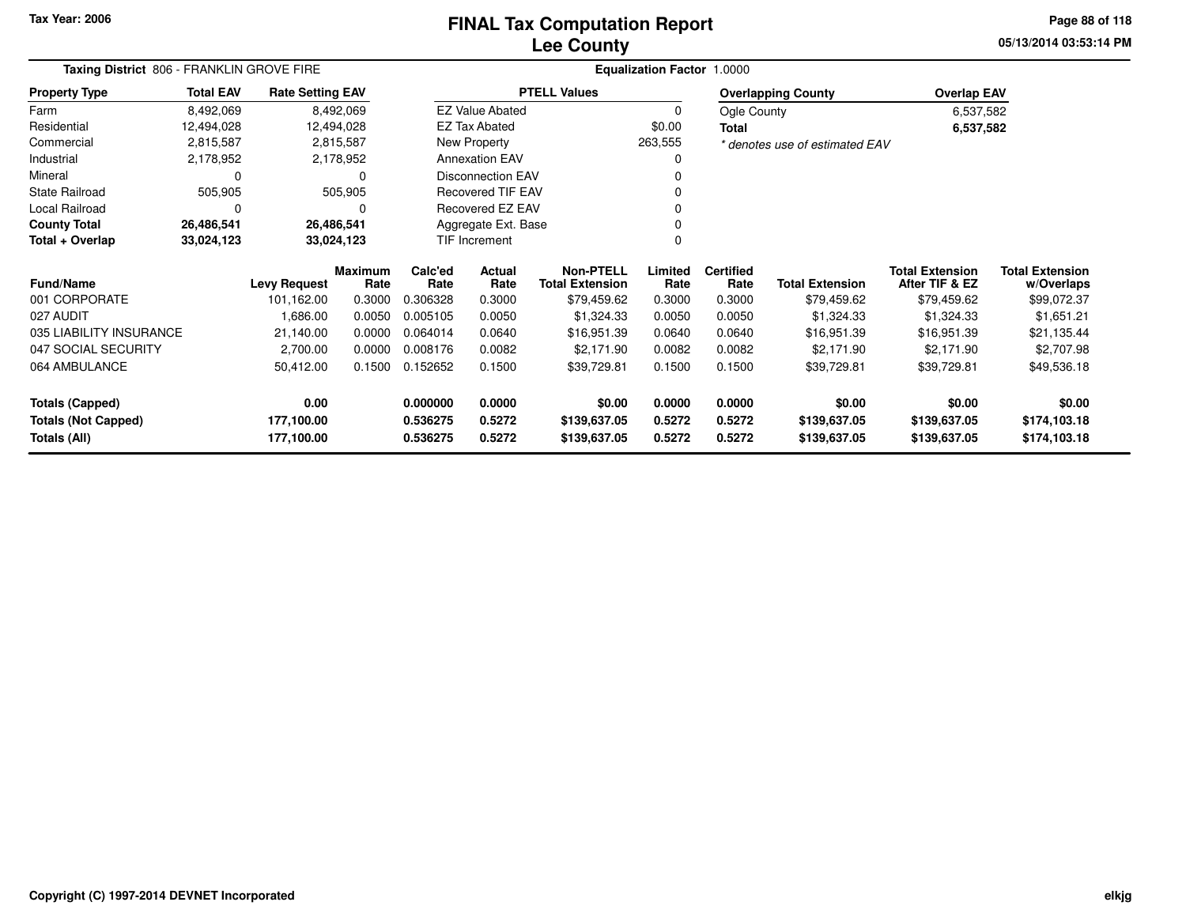### **Lee CountyFINAL Tax Computation Report** FINAL Tax Computation Report

**05/13/2014 03:53:14 PM Page 88 of 118**

| Taxing District 806 - FRANKLIN GROVE FIRE |                  |                         |                        |                 | Equalization Factor 1.0000 |                                            |                 |                          |                                |                                          |                                      |  |
|-------------------------------------------|------------------|-------------------------|------------------------|-----------------|----------------------------|--------------------------------------------|-----------------|--------------------------|--------------------------------|------------------------------------------|--------------------------------------|--|
| <b>Property Type</b>                      | <b>Total EAV</b> | <b>Rate Setting EAV</b> |                        |                 |                            | <b>PTELL Values</b>                        |                 |                          | <b>Overlapping County</b>      | <b>Overlap EAV</b>                       |                                      |  |
| Farm                                      | 8,492,069        |                         | 8,492,069              |                 | <b>EZ Value Abated</b>     |                                            | 0               | Ogle County              |                                | 6,537,582                                |                                      |  |
| Residential                               | 12,494,028       | 12,494,028              |                        |                 | <b>EZ Tax Abated</b>       |                                            | \$0.00          | <b>Total</b>             |                                | 6,537,582                                |                                      |  |
| Commercial                                | 2,815,587        |                         | 2,815,587              |                 | New Property               |                                            | 263,555         |                          | * denotes use of estimated EAV |                                          |                                      |  |
| Industrial                                | 2,178,952        |                         | 2,178,952              |                 | <b>Annexation EAV</b>      |                                            |                 |                          |                                |                                          |                                      |  |
| Mineral                                   | 0                |                         | 0                      |                 | <b>Disconnection EAV</b>   |                                            |                 |                          |                                |                                          |                                      |  |
| <b>State Railroad</b>                     | 505,905          |                         | 505,905                |                 | <b>Recovered TIF EAV</b>   |                                            |                 |                          |                                |                                          |                                      |  |
| Local Railroad                            | 0                |                         | 0                      |                 | Recovered EZ EAV           |                                            |                 |                          |                                |                                          |                                      |  |
| <b>County Total</b>                       | 26,486,541       | 26,486,541              |                        |                 | Aggregate Ext. Base        |                                            |                 |                          |                                |                                          |                                      |  |
| Total + Overlap                           | 33,024,123       | 33,024,123              |                        |                 | <b>TIF Increment</b>       |                                            |                 |                          |                                |                                          |                                      |  |
| <b>Fund/Name</b>                          |                  | <b>Levy Request</b>     | <b>Maximum</b><br>Rate | Calc'ed<br>Rate | Actual<br>Rate             | <b>Non-PTELL</b><br><b>Total Extension</b> | Limited<br>Rate | <b>Certified</b><br>Rate | <b>Total Extension</b>         | <b>Total Extension</b><br>After TIF & EZ | <b>Total Extension</b><br>w/Overlaps |  |
| 001 CORPORATE                             |                  | 101,162.00              | 0.3000                 | 0.306328        | 0.3000                     | \$79,459.62                                | 0.3000          | 0.3000                   | \$79,459.62                    | \$79,459.62                              | \$99,072.37                          |  |
| 027 AUDIT                                 |                  | 1,686.00                | 0.0050                 | 0.005105        | 0.0050                     | \$1,324.33                                 | 0.0050          | 0.0050                   | \$1,324.33                     | \$1,324.33                               | \$1,651.21                           |  |
| 035 LIABILITY INSURANCE                   |                  | 21,140.00               | 0.0000                 | 0.064014        | 0.0640                     | \$16,951.39                                | 0.0640          | 0.0640                   | \$16,951.39                    | \$16,951.39                              | \$21,135.44                          |  |
| 047 SOCIAL SECURITY                       |                  | 2,700.00                | 0.0000                 | 0.008176        | 0.0082                     | \$2,171.90                                 | 0.0082          | 0.0082                   | \$2,171.90                     | \$2,171.90                               | \$2,707.98                           |  |
| 064 AMBULANCE                             |                  | 50,412.00               | 0.1500                 | 0.152652        | 0.1500                     | \$39,729.81                                | 0.1500          | 0.1500                   | \$39,729.81                    | \$39,729.81                              | \$49,536.18                          |  |
| <b>Totals (Capped)</b>                    |                  | 0.00                    |                        | 0.000000        | 0.0000                     | \$0.00                                     | 0.0000          | 0.0000                   | \$0.00                         | \$0.00                                   | \$0.00                               |  |
| <b>Totals (Not Capped)</b>                |                  | 177,100.00              |                        | 0.536275        | 0.5272                     | \$139,637.05                               | 0.5272          | 0.5272                   | \$139,637.05                   | \$139,637.05                             | \$174,103.18                         |  |
| Totals (All)                              |                  | 177,100.00              |                        | 0.536275        | 0.5272                     | \$139,637.05                               | 0.5272          | 0.5272                   | \$139,637.05                   | \$139,637.05                             | \$174,103.18                         |  |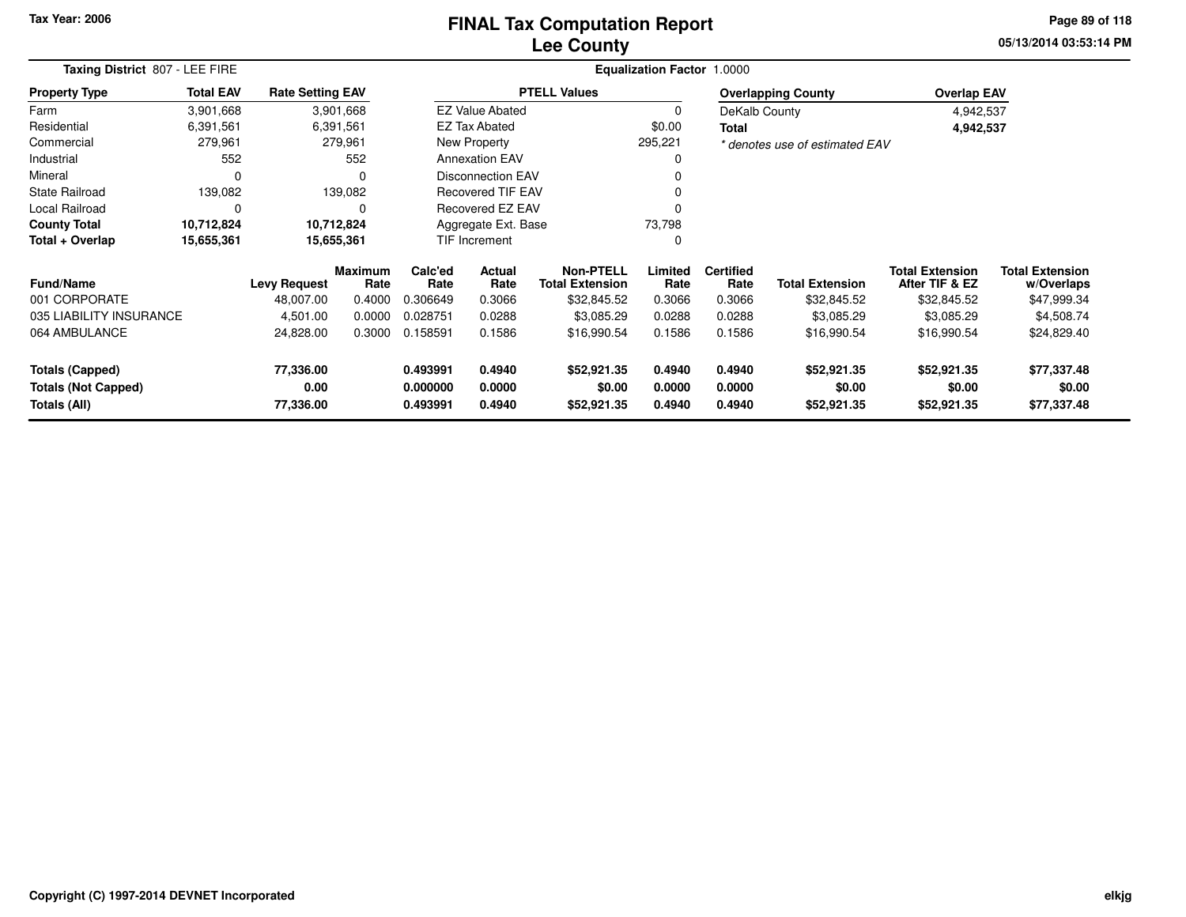### **Lee CountyFINAL Tax Computation Report** FINAL Tax Computation Report

**05/13/2014 03:53:14 PM Page 89 of 118**

| Taxing District 807 - LEE FIRE             |                  | <b>Equalization Factor</b><br>1.0000 |                        |                                   |                          |                                            |                  |                          |                                |                                          |                                      |
|--------------------------------------------|------------------|--------------------------------------|------------------------|-----------------------------------|--------------------------|--------------------------------------------|------------------|--------------------------|--------------------------------|------------------------------------------|--------------------------------------|
| <b>Property Type</b>                       | <b>Total EAV</b> | <b>Rate Setting EAV</b>              |                        |                                   |                          | <b>PTELL Values</b>                        |                  |                          | <b>Overlapping County</b>      | <b>Overlap EAV</b>                       |                                      |
| Farm                                       | 3,901,668        |                                      | 3,901,668              |                                   | <b>EZ Value Abated</b>   |                                            | 0                | DeKalb County            |                                | 4,942,537                                |                                      |
| Residential                                | 6,391,561        |                                      | 6,391,561              |                                   | <b>EZ Tax Abated</b>     |                                            | \$0.00           | <b>Total</b>             |                                | 4,942,537                                |                                      |
| Commercial                                 | 279,961          |                                      | 279,961                |                                   | New Property             |                                            | 295,221          |                          | * denotes use of estimated EAV |                                          |                                      |
| Industrial                                 | 552              |                                      | 552                    |                                   | <b>Annexation EAV</b>    |                                            |                  |                          |                                |                                          |                                      |
| Mineral                                    | 0                |                                      | 0                      |                                   | <b>Disconnection EAV</b> |                                            |                  |                          |                                |                                          |                                      |
| <b>State Railroad</b>                      | 139,082          |                                      | 139,082                |                                   | <b>Recovered TIF EAV</b> |                                            |                  |                          |                                |                                          |                                      |
| Local Railroad                             | 0                |                                      | 0                      |                                   | Recovered EZ EAV         |                                            |                  |                          |                                |                                          |                                      |
| <b>County Total</b>                        | 10,712,824       |                                      | 10,712,824             |                                   | Aggregate Ext. Base      |                                            | 73,798           |                          |                                |                                          |                                      |
| Total + Overlap                            | 15,655,361       |                                      | 15,655,361             |                                   | TIF Increment            |                                            | 0                |                          |                                |                                          |                                      |
| <b>Fund/Name</b>                           |                  | <b>Levy Request</b>                  | <b>Maximum</b><br>Rate | Calc'ed<br>Actual<br>Rate<br>Rate |                          | <b>Non-PTELL</b><br><b>Total Extension</b> | Limited<br>Rate  | <b>Certified</b><br>Rate | <b>Total Extension</b>         | <b>Total Extension</b><br>After TIF & EZ | <b>Total Extension</b><br>w/Overlaps |
| 001 CORPORATE                              |                  | 48,007.00                            | 0.4000                 | 0.306649                          | 0.3066                   | \$32,845.52                                | 0.3066           | 0.3066                   | \$32,845.52                    | \$32,845.52                              | \$47,999.34                          |
| 035 LIABILITY INSURANCE                    |                  | 4,501.00                             | 0.0000                 | 0.028751                          | 0.0288                   | \$3,085.29                                 | 0.0288           | 0.0288                   | \$3,085.29                     | \$3,085.29                               | \$4,508.74                           |
| 064 AMBULANCE                              |                  | 24,828.00                            | 0.3000                 | 0.158591                          | 0.1586                   | \$16,990.54                                | 0.1586           | 0.1586                   | \$16,990.54                    | \$16,990.54                              | \$24,829.40                          |
| <b>Totals (Capped)</b>                     |                  | 77,336.00                            |                        | 0.493991                          | 0.4940                   | \$52,921.35                                | 0.4940           | 0.4940                   | \$52,921.35                    | \$52,921.35                              | \$77,337.48                          |
| <b>Totals (Not Capped)</b><br>Totals (All) |                  | 0.00<br>77,336.00                    |                        | 0.000000<br>0.493991              | 0.0000<br>0.4940         | \$0.00<br>\$52,921.35                      | 0.0000<br>0.4940 | 0.0000<br>0.4940         | \$0.00<br>\$52,921.35          | \$0.00<br>\$52,921.35                    | \$0.00<br>\$77,337.48                |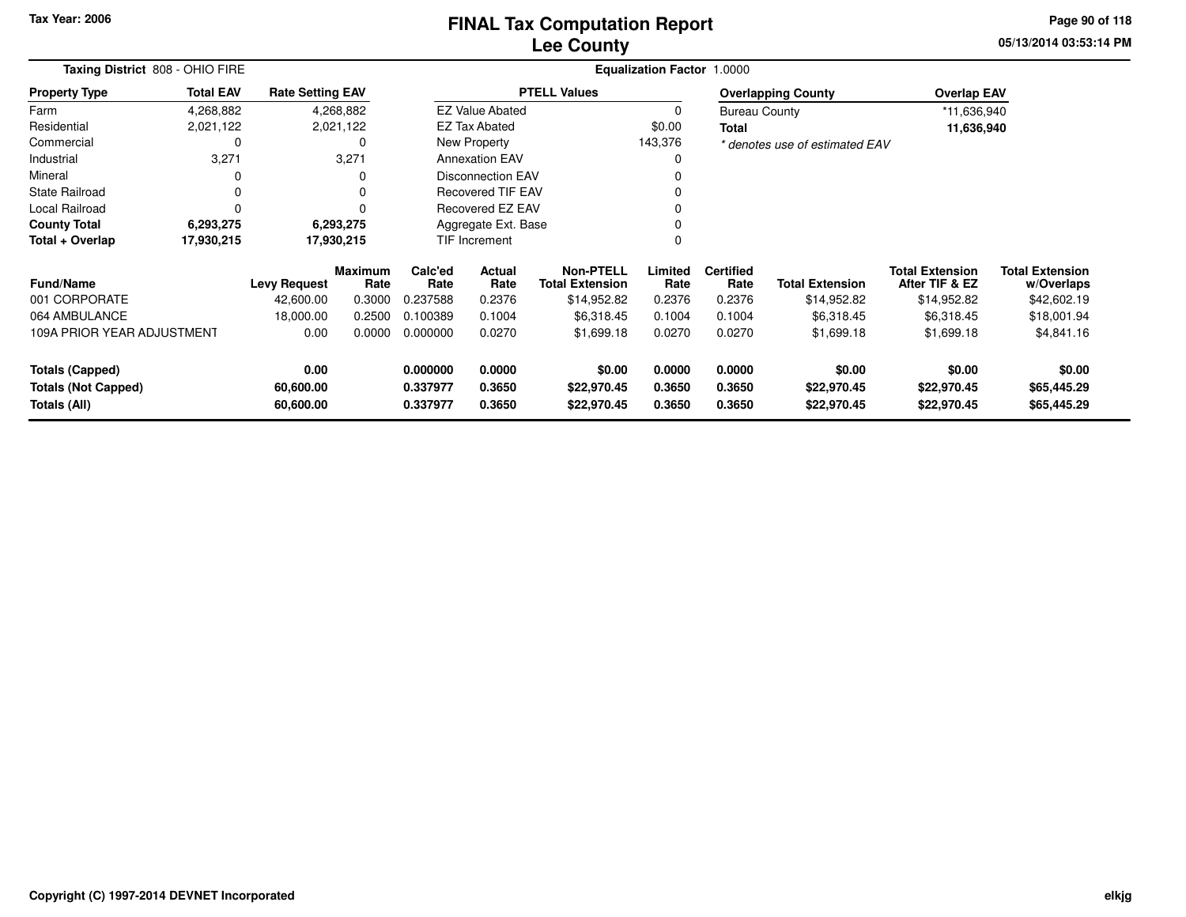### **Lee CountyFINAL Tax Computation Report** FINAL Tax Computation Report

**05/13/2014 03:53:14 PM Page 90 of 118**

| Taxing District 808 - OHIO FIRE                                                                        |                  |                                  |                            | Equalization Factor 1.0000           |                                                 |                            |                                      |                                      |                                      |                                          |                                      |  |
|--------------------------------------------------------------------------------------------------------|------------------|----------------------------------|----------------------------|--------------------------------------|-------------------------------------------------|----------------------------|--------------------------------------|--------------------------------------|--------------------------------------|------------------------------------------|--------------------------------------|--|
| <b>Property Type</b>                                                                                   | <b>Total EAV</b> | <b>Rate Setting EAV</b>          |                            |                                      |                                                 | <b>PTELL Values</b>        |                                      |                                      | <b>Overlapping County</b>            | <b>Overlap EAV</b>                       |                                      |  |
| Farm                                                                                                   | 4,268,882        |                                  | 4,268,882                  |                                      | <b>EZ Value Abated</b>                          |                            |                                      | <b>Bureau County</b>                 |                                      | *11,636,940                              |                                      |  |
| Residential                                                                                            | 2,021,122        |                                  | 2,021,122                  |                                      | <b>EZ Tax Abated</b>                            |                            | \$0.00                               | <b>Total</b>                         |                                      | 11,636,940                               |                                      |  |
| Commercial                                                                                             | 0                |                                  | 0                          |                                      | New Property                                    |                            | 143,376                              |                                      | * denotes use of estimated EAV       |                                          |                                      |  |
| Industrial                                                                                             | 3,271            |                                  | 3,271                      |                                      | <b>Annexation EAV</b>                           |                            |                                      |                                      |                                      |                                          |                                      |  |
| Mineral                                                                                                | 0                |                                  | 0                          |                                      | <b>Disconnection EAV</b>                        |                            |                                      |                                      |                                      |                                          |                                      |  |
| <b>State Railroad</b>                                                                                  | 0                |                                  | 0                          |                                      | <b>Recovered TIF EAV</b>                        |                            |                                      |                                      |                                      |                                          |                                      |  |
| Local Railroad                                                                                         | $\Omega$         |                                  |                            |                                      | Recovered EZ EAV                                |                            |                                      |                                      |                                      |                                          |                                      |  |
| <b>County Total</b>                                                                                    | 6,293,275        |                                  | 6,293,275                  |                                      | Aggregate Ext. Base                             |                            |                                      |                                      |                                      |                                          |                                      |  |
| Total + Overlap                                                                                        | 17,930,215       |                                  | 17,930,215                 |                                      | TIF Increment                                   |                            |                                      |                                      |                                      |                                          |                                      |  |
| <b>Fund/Name</b>                                                                                       |                  | <b>Levy Request</b>              | <b>Maximum</b><br>Rate     | Calc'ed<br>Rate                      | <b>Actual</b><br>Rate<br><b>Total Extension</b> |                            | Limited<br>Rate                      | <b>Certified</b><br>Rate             | <b>Total Extension</b>               | <b>Total Extension</b><br>After TIF & EZ | <b>Total Extension</b><br>w/Overlaps |  |
| 001 CORPORATE                                                                                          |                  | 42,600.00                        | 0.3000                     | 0.237588                             | 0.2376                                          | \$14,952.82                | 0.2376                               | 0.2376                               | \$14,952.82                          | \$14,952.82                              | \$42,602.19                          |  |
| 064 AMBULANCE                                                                                          |                  | 18,000.00                        | 0.2500                     | 0.100389                             | 0.1004                                          | \$6,318.45                 | 0.1004                               | 0.1004                               | \$6,318.45                           | \$6,318.45                               | \$18,001.94                          |  |
| 109A PRIOR YEAR ADJUSTMENT                                                                             |                  | 0.00                             | 0.0000                     | 0.000000                             | 0.0270                                          | \$1,699.18                 | 0.0270                               | 0.0270                               | \$1,699.18                           | \$1,699.18                               | \$4,841.16                           |  |
| 0.00<br><b>Totals (Capped)</b><br><b>Totals (Not Capped)</b><br>60,600.00<br>Totals (All)<br>60,600.00 |                  | 0.000000<br>0.337977<br>0.337977 | 0.0000<br>0.3650<br>0.3650 | \$0.00<br>\$22,970.45<br>\$22,970.45 | 0.0000<br>0.3650<br>0.3650                      | 0.0000<br>0.3650<br>0.3650 | \$0.00<br>\$22,970.45<br>\$22,970.45 | \$0.00<br>\$22,970.45<br>\$22,970.45 | \$0.00<br>\$65,445.29<br>\$65,445.29 |                                          |                                      |  |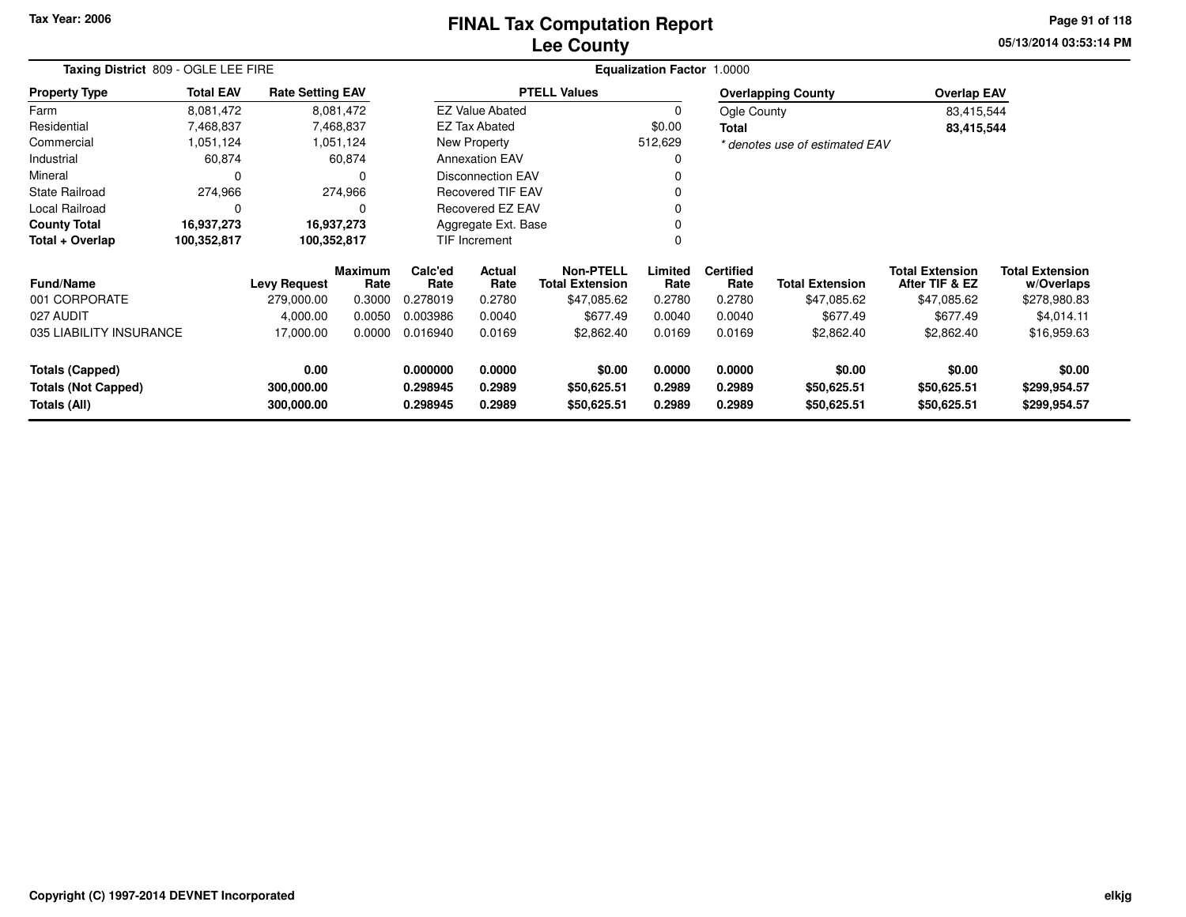# **Lee CountyFINAL Tax Computation Report** FINAL Tax Computation Report

**05/13/2014 03:53:14 PM Page 91 of 118**

| Taxing District 809 - OGLE LEE FIRE                                        |                  |                         |                        | Equalization Factor 1.0000 |                                          |                     |                       |                          |                                |                                          |                                      |
|----------------------------------------------------------------------------|------------------|-------------------------|------------------------|----------------------------|------------------------------------------|---------------------|-----------------------|--------------------------|--------------------------------|------------------------------------------|--------------------------------------|
| <b>Property Type</b>                                                       | <b>Total EAV</b> | <b>Rate Setting EAV</b> |                        |                            |                                          | <b>PTELL Values</b> |                       |                          | <b>Overlapping County</b>      | <b>Overlap EAV</b>                       |                                      |
| Farm                                                                       | 8,081,472        |                         | 8,081,472              |                            | <b>EZ Value Abated</b>                   |                     |                       | Ogle County              |                                | 83,415,544                               |                                      |
| Residential                                                                | 7,468,837        |                         | 7,468,837              |                            | <b>EZ Tax Abated</b>                     |                     | \$0.00                | <b>Total</b>             |                                | 83,415,544                               |                                      |
| Commercial                                                                 | 1,051,124        |                         | 1,051,124              |                            | New Property                             |                     | 512,629               |                          | * denotes use of estimated EAV |                                          |                                      |
| Industrial                                                                 | 60,874           |                         | 60,874                 |                            | <b>Annexation EAV</b>                    |                     |                       |                          |                                |                                          |                                      |
| Mineral                                                                    | 0                |                         | 0                      |                            | <b>Disconnection EAV</b>                 |                     |                       |                          |                                |                                          |                                      |
| <b>State Railroad</b>                                                      | 274,966          |                         | 274,966                |                            | <b>Recovered TIF EAV</b>                 |                     |                       |                          |                                |                                          |                                      |
| Local Railroad                                                             | 0                |                         | 0                      |                            | <b>Recovered EZ EAV</b>                  |                     |                       |                          |                                |                                          |                                      |
| <b>County Total</b>                                                        | 16,937,273       |                         | 16,937,273             |                            | Aggregate Ext. Base                      |                     |                       |                          |                                |                                          |                                      |
| Total + Overlap                                                            | 100,352,817      | 100,352,817             |                        |                            | TIF Increment                            |                     |                       |                          |                                |                                          |                                      |
| Fund/Name                                                                  |                  | <b>Levy Request</b>     | <b>Maximum</b><br>Rate | Calc'ed<br>Rate            | Actual<br>Rate<br><b>Total Extension</b> |                     | Limited<br>Rate       | <b>Certified</b><br>Rate | <b>Total Extension</b>         | <b>Total Extension</b><br>After TIF & EZ | <b>Total Extension</b><br>w/Overlaps |
| 001 CORPORATE                                                              |                  | 279,000.00              | 0.3000                 | 0.278019                   | 0.2780                                   | \$47,085.62         | 0.2780                | 0.2780                   | \$47,085.62                    | \$47,085.62                              | \$278,980.83                         |
| 027 AUDIT                                                                  |                  | 4,000.00                | 0.0050                 | 0.003986                   | 0.0040                                   | \$677.49            | 0.0040                | 0.0040                   | \$677.49                       | \$677.49                                 | \$4,014.11                           |
| 035 LIABILITY INSURANCE                                                    |                  | 17,000.00               | 0.0000                 | 0.016940<br>0.0169         |                                          | \$2,862.40          | 0.0169                | 0.0169                   | \$2,862.40                     | \$2,862.40                               | \$16,959.63                          |
| 0.00<br><b>Totals (Capped)</b><br><b>Totals (Not Capped)</b><br>300,000.00 |                  | 0.000000<br>0.298945    | 0.0000<br>0.2989       | \$0.00<br>\$50,625.51      | 0.0000<br>0.2989                         | 0.0000<br>0.2989    | \$0.00<br>\$50,625.51 | \$0.00<br>\$50,625.51    | \$0.00<br>\$299,954.57         |                                          |                                      |
| Totals (All)<br>300,000.00                                                 |                  |                         | 0.298945               | 0.2989                     | \$50,625.51                              | 0.2989              | 0.2989                | \$50,625.51              | \$50,625.51                    | \$299,954.57                             |                                      |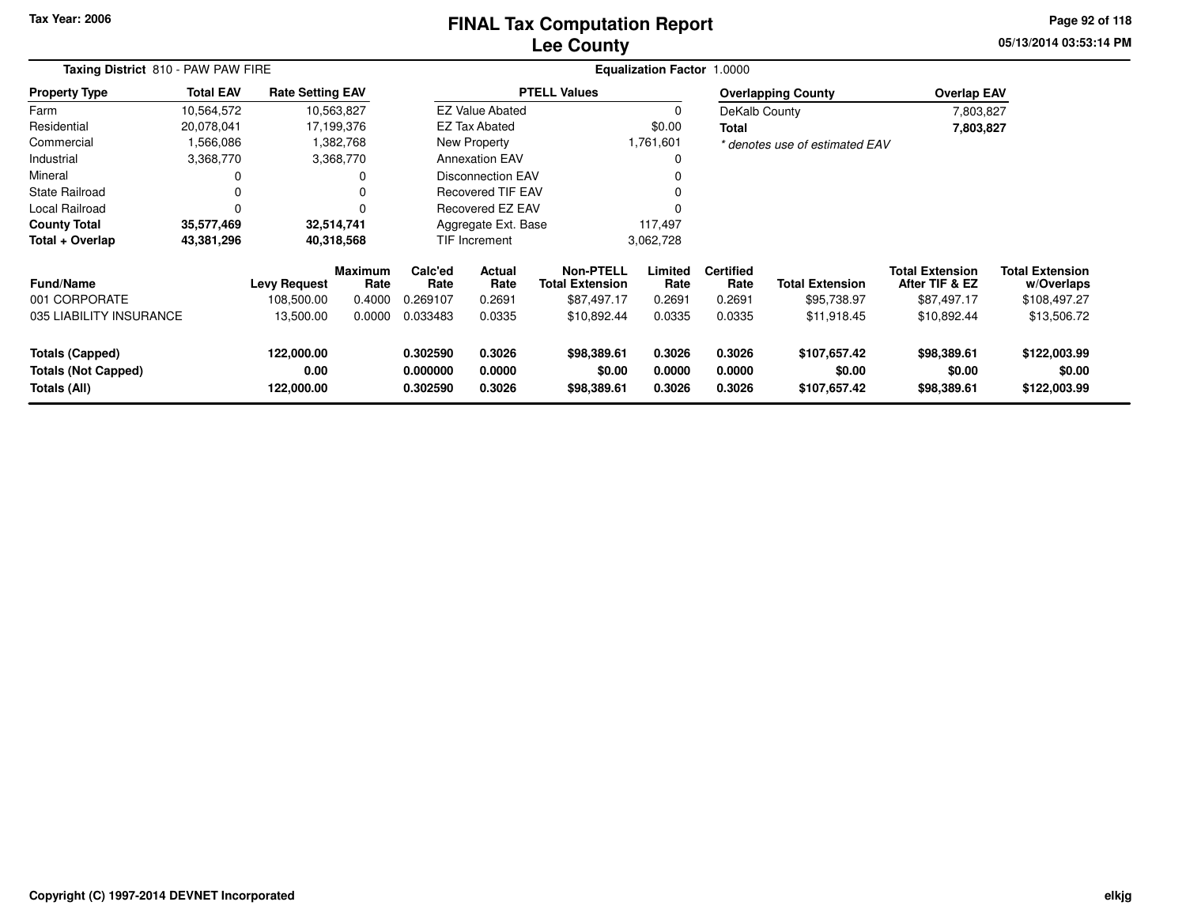### **Lee CountyFINAL Tax Computation Report** FINAL Tax Computation Report

**05/13/2014 03:53:14 PM Page 92 of 118**

| Taxing District 810 - PAW PAW FIRE                                   |                  |                                  |                        | <b>Equalization Factor 1.0000</b> |                            |                                      |                            |                            |                                        |                                          |                                        |  |
|----------------------------------------------------------------------|------------------|----------------------------------|------------------------|-----------------------------------|----------------------------|--------------------------------------|----------------------------|----------------------------|----------------------------------------|------------------------------------------|----------------------------------------|--|
| <b>Property Type</b>                                                 | <b>Total EAV</b> | <b>Rate Setting EAV</b>          |                        |                                   |                            | <b>PTELL Values</b>                  |                            |                            | <b>Overlapping County</b>              | <b>Overlap EAV</b>                       |                                        |  |
| Farm                                                                 | 10,564,572       |                                  | 10,563,827             |                                   | <b>EZ Value Abated</b>     |                                      | 0                          | DeKalb County              |                                        | 7,803,827                                |                                        |  |
| Residential                                                          | 20,078,041       |                                  | 17,199,376             |                                   | <b>EZ Tax Abated</b>       |                                      | \$0.00                     | <b>Total</b>               |                                        | 7,803,827                                |                                        |  |
| Commercial                                                           | 1,566,086        |                                  | 1,382,768              |                                   | New Property               |                                      | 1,761,601                  |                            | * denotes use of estimated EAV         |                                          |                                        |  |
| Industrial                                                           | 3,368,770        |                                  | 3,368,770              |                                   | <b>Annexation EAV</b>      |                                      | 0                          |                            |                                        |                                          |                                        |  |
| Mineral                                                              | 0                |                                  |                        |                                   | <b>Disconnection EAV</b>   |                                      |                            |                            |                                        |                                          |                                        |  |
| <b>State Railroad</b>                                                | 0                |                                  |                        |                                   | <b>Recovered TIF EAV</b>   |                                      |                            |                            |                                        |                                          |                                        |  |
| Local Railroad                                                       | 0                |                                  |                        |                                   | Recovered EZ EAV           |                                      |                            |                            |                                        |                                          |                                        |  |
| <b>County Total</b>                                                  | 35,577,469       |                                  | 32,514,741             |                                   |                            | Aggregate Ext. Base<br>117,497       |                            |                            |                                        |                                          |                                        |  |
| Total + Overlap                                                      | 43,381,296       |                                  | 40,318,568             |                                   | TIF Increment              |                                      | 3,062,728                  |                            |                                        |                                          |                                        |  |
| <b>Fund/Name</b>                                                     |                  | <b>Levy Request</b>              | <b>Maximum</b><br>Rate | Calc'ed<br>Rate                   | Actual<br>Rate             | Non-PTELL<br><b>Total Extension</b>  | Limited<br>Rate            | <b>Certified</b><br>Rate   | <b>Total Extension</b>                 | <b>Total Extension</b><br>After TIF & EZ | <b>Total Extension</b><br>w/Overlaps   |  |
| 001 CORPORATE                                                        |                  | 108,500.00                       | 0.4000                 | 0.269107                          | 0.2691                     | \$87,497.17                          | 0.2691                     | 0.2691                     | \$95,738.97                            | \$87,497.17                              | \$108,497.27                           |  |
| 035 LIABILITY INSURANCE                                              |                  | 13,500.00                        | 0.0000                 | 0.033483                          | 0.0335                     | \$10,892.44                          | 0.0335                     | 0.0335                     | \$11,918.45                            | \$10,892.44                              | \$13,506.72                            |  |
| <b>Totals (Capped)</b><br><b>Totals (Not Capped)</b><br>Totals (All) |                  | 122,000.00<br>0.00<br>122,000.00 |                        | 0.302590<br>0.000000<br>0.302590  | 0.3026<br>0.0000<br>0.3026 | \$98,389.61<br>\$0.00<br>\$98,389.61 | 0.3026<br>0.0000<br>0.3026 | 0.3026<br>0.0000<br>0.3026 | \$107,657.42<br>\$0.00<br>\$107,657.42 | \$98,389.61<br>\$0.00<br>\$98,389.61     | \$122,003.99<br>\$0.00<br>\$122,003.99 |  |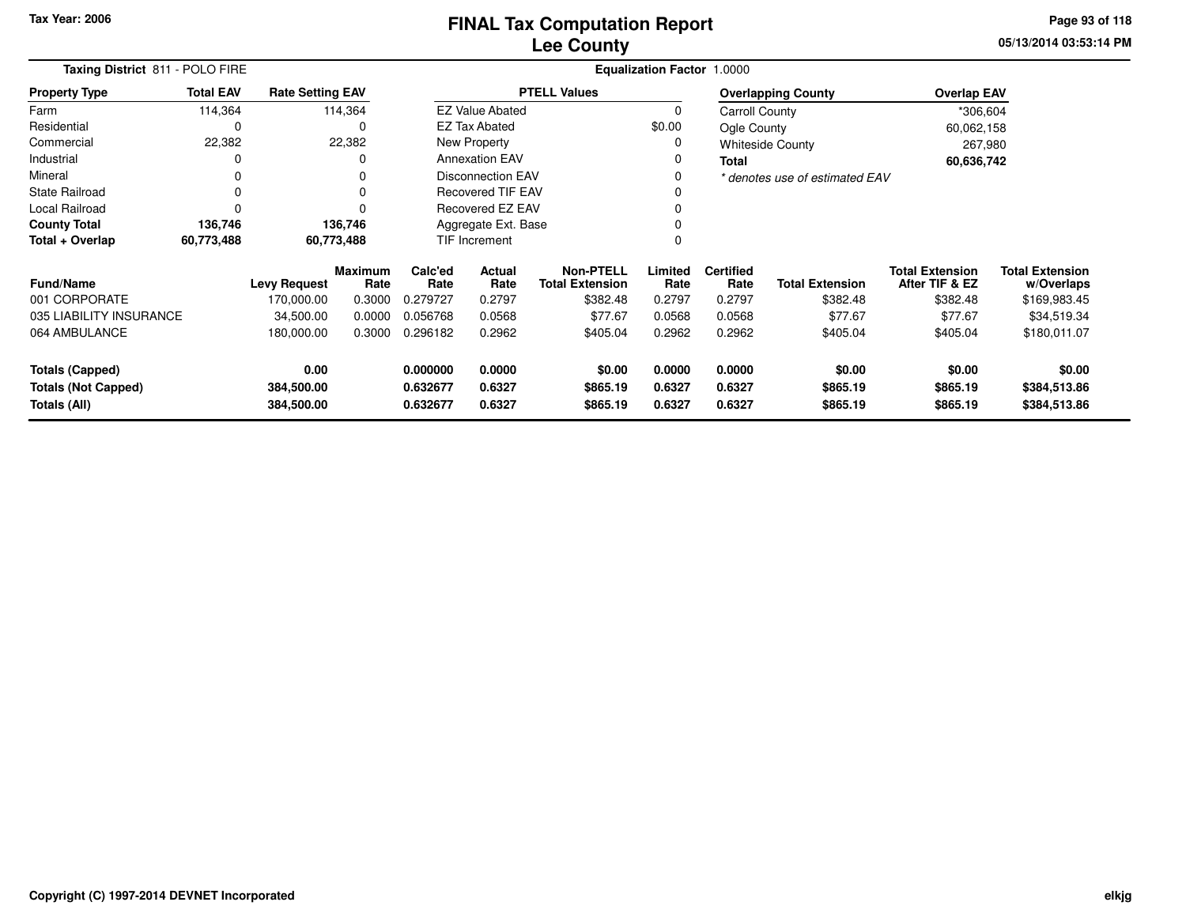**05/13/2014 03:53:14 PM Page 93 of 118**

| Taxing District 811 - POLO FIRE |                    |                                   |                                                                                         |                          | Equalization Factor 1.0000                                                       |                                                                                                         |                          |                        |                                                                                                          |                                            |  |  |  |  |
|---------------------------------|--------------------|-----------------------------------|-----------------------------------------------------------------------------------------|--------------------------|----------------------------------------------------------------------------------|---------------------------------------------------------------------------------------------------------|--------------------------|------------------------|----------------------------------------------------------------------------------------------------------|--------------------------------------------|--|--|--|--|
| <b>Total EAV</b>                |                    |                                   |                                                                                         |                          |                                                                                  |                                                                                                         |                          |                        | <b>Overlap EAV</b>                                                                                       |                                            |  |  |  |  |
| 114,364                         |                    |                                   |                                                                                         |                          |                                                                                  | $\mathbf 0$                                                                                             |                          |                        | *306,604                                                                                                 |                                            |  |  |  |  |
| 0                               |                    | 0                                 |                                                                                         |                          |                                                                                  | \$0.00                                                                                                  |                          |                        | 60,062,158                                                                                               |                                            |  |  |  |  |
| 22,382                          |                    |                                   |                                                                                         | New Property             |                                                                                  |                                                                                                         |                          |                        | 267,980                                                                                                  |                                            |  |  |  |  |
| 0                               |                    | 0                                 |                                                                                         |                          |                                                                                  |                                                                                                         | <b>Total</b>             |                        | 60,636,742                                                                                               |                                            |  |  |  |  |
| 0                               |                    | 0                                 |                                                                                         | <b>Disconnection EAV</b> |                                                                                  |                                                                                                         |                          |                        |                                                                                                          |                                            |  |  |  |  |
| 0                               |                    | 0                                 |                                                                                         | <b>Recovered TIF EAV</b> |                                                                                  |                                                                                                         |                          |                        |                                                                                                          |                                            |  |  |  |  |
| 0                               |                    | $\Omega$                          |                                                                                         | Recovered EZ EAV         |                                                                                  |                                                                                                         |                          |                        |                                                                                                          |                                            |  |  |  |  |
| 136,746                         |                    |                                   |                                                                                         | Aggregate Ext. Base      |                                                                                  |                                                                                                         |                          |                        |                                                                                                          |                                            |  |  |  |  |
| 60,773,488                      |                    |                                   |                                                                                         |                          |                                                                                  | 0                                                                                                       |                          |                        |                                                                                                          |                                            |  |  |  |  |
|                                 |                    | Rate                              | Calc'ed<br>Rate                                                                         | <b>Actual</b>            |                                                                                  | Limited<br>Rate                                                                                         | <b>Certified</b><br>Rate | <b>Total Extension</b> | <b>Total Extension</b><br>After TIF & EZ                                                                 | <b>Total Extension</b><br>w/Overlaps       |  |  |  |  |
|                                 | 170,000.00         | 0.3000                            | 0.279727                                                                                | 0.2797                   | \$382.48                                                                         | 0.2797                                                                                                  | 0.2797                   | \$382.48               | \$382.48                                                                                                 | \$169,983.45                               |  |  |  |  |
| 035 LIABILITY INSURANCE         | 34,500.00          | 0.0000                            | 0.056768                                                                                | 0.0568                   | \$77.67                                                                          | 0.0568                                                                                                  | 0.0568                   | \$77.67                | \$77.67                                                                                                  | \$34,519.34                                |  |  |  |  |
|                                 | 180,000.00         | 0.3000                            | 0.296182                                                                                | 0.2962                   | \$405.04                                                                         | 0.2962                                                                                                  | 0.2962                   | \$405.04               | \$405.04                                                                                                 | \$180,011.07                               |  |  |  |  |
|                                 | 0.00<br>384,500.00 |                                   | 0.000000<br>0.632677                                                                    | 0.0000<br>0.6327         | \$0.00<br>\$865.19                                                               | 0.0000<br>0.6327                                                                                        | 0.0000<br>0.6327         | \$0.00<br>\$865.19     | \$0.00<br>\$865.19                                                                                       | \$0.00<br>\$384,513.86<br>\$384,513.86     |  |  |  |  |
|                                 |                    | <b>Levy Request</b><br>384,500.00 | <b>Rate Setting EAV</b><br>114,364<br>22,382<br>136,746<br>60,773,488<br><b>Maximum</b> | 0.632677                 | <b>EZ Tax Abated</b><br><b>Annexation EAV</b><br>TIF Increment<br>Rate<br>0.6327 | <b>PTELL Values</b><br><b>EZ Value Abated</b><br><b>Non-PTELL</b><br><b>Total Extension</b><br>\$865.19 | 0<br>0<br>0.6327         | 0.6327                 | <b>Overlapping County</b><br><b>Carroll County</b><br>Ogle County<br><b>Whiteside County</b><br>\$865.19 | * denotes use of estimated EAV<br>\$865.19 |  |  |  |  |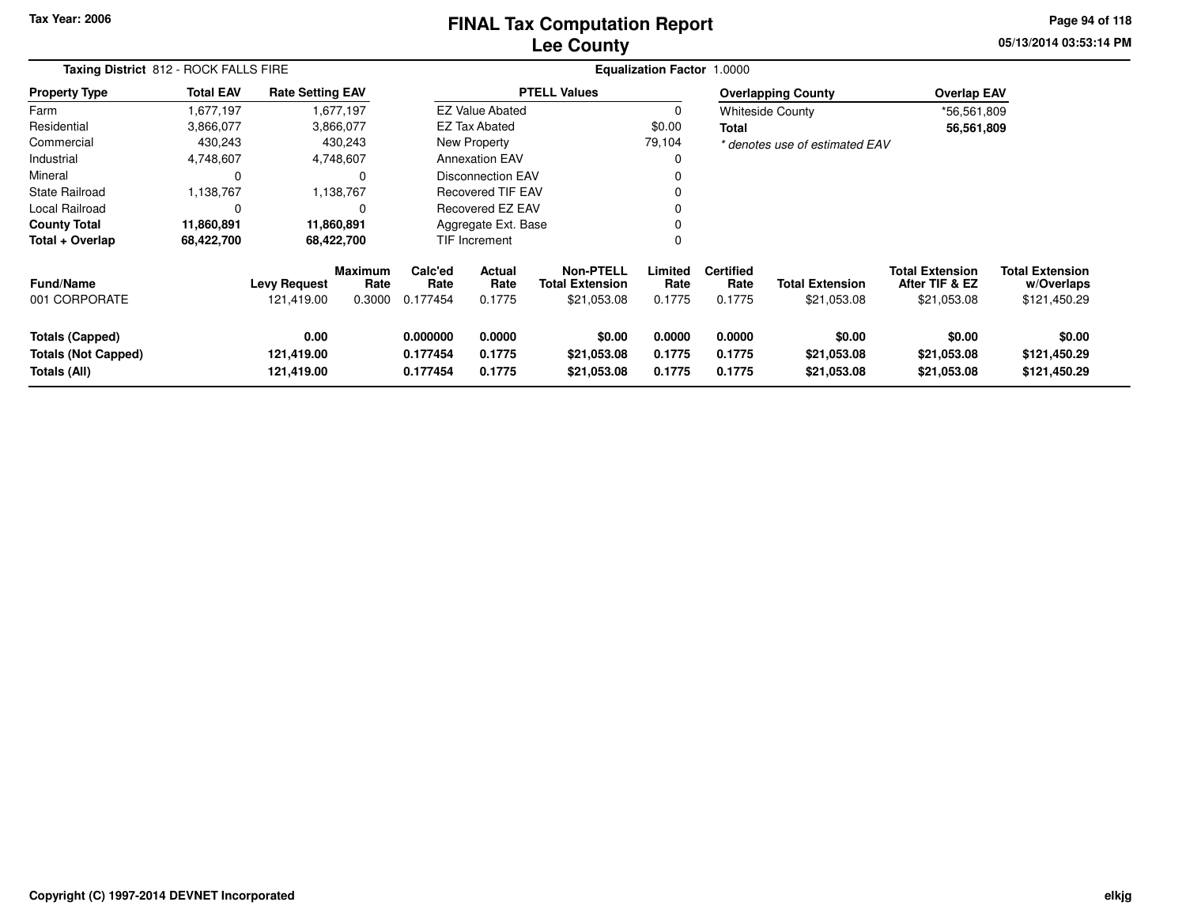### **Lee CountyFINAL Tax Computation Report** FINAL Tax Computation Report

**05/13/2014 03:53:14 PM Page 94 of 118**

|                                                                      | Taxing District 812 - ROCK FALLS FIRE |                                   |                                  |                                  |                                                           |                                      | <b>Equalization Factor 1.0000</b> |                                    |                                       |                                                         |                                                      |
|----------------------------------------------------------------------|---------------------------------------|-----------------------------------|----------------------------------|----------------------------------|-----------------------------------------------------------|--------------------------------------|-----------------------------------|------------------------------------|---------------------------------------|---------------------------------------------------------|------------------------------------------------------|
| <b>Property Type</b>                                                 | <b>Total EAV</b>                      | <b>Rate Setting EAV</b>           |                                  |                                  |                                                           | <b>PTELL Values</b>                  |                                   |                                    | <b>Overlapping County</b>             | <b>Overlap EAV</b>                                      |                                                      |
| Farm                                                                 | 1,677,197                             |                                   | 1,677,197                        |                                  | <b>EZ Value Abated</b>                                    |                                      | 0                                 |                                    | <b>Whiteside County</b>               | *56,561,809                                             |                                                      |
| Residential                                                          | 3,866,077                             |                                   | 3,866,077                        |                                  | EZ Tax Abated                                             |                                      | \$0.00                            | Total                              |                                       | 56,561,809                                              |                                                      |
| Commercial                                                           | 430,243                               |                                   | 430,243                          |                                  | New Property                                              |                                      | 79,104                            |                                    | * denotes use of estimated EAV        |                                                         |                                                      |
| Industrial                                                           | 4,748,607                             |                                   | 4,748,607                        |                                  | <b>Annexation EAV</b>                                     |                                      | 0                                 |                                    |                                       |                                                         |                                                      |
| Mineral                                                              | 0                                     |                                   |                                  |                                  | Disconnection EAV                                         |                                      |                                   |                                    |                                       |                                                         |                                                      |
| <b>State Railroad</b>                                                | 1,138,767                             |                                   | 1,138,767                        |                                  | <b>Recovered TIF EAV</b>                                  |                                      |                                   |                                    |                                       |                                                         |                                                      |
| <b>Local Railroad</b>                                                | $\mathbf 0$                           |                                   |                                  |                                  | Recovered EZ EAV                                          |                                      |                                   |                                    |                                       |                                                         |                                                      |
| <b>County Total</b>                                                  | 11,860,891                            | 11,860,891                        |                                  |                                  | Aggregate Ext. Base                                       |                                      | 0                                 |                                    |                                       |                                                         |                                                      |
| Total + Overlap                                                      | 68,422,700                            | 68,422,700                        |                                  | <b>TIF Increment</b>             |                                                           |                                      | 0                                 |                                    |                                       |                                                         |                                                      |
| <b>Fund/Name</b><br>001 CORPORATE                                    |                                       | <b>Levy Request</b><br>121,419.00 | <b>Maximum</b><br>Rate<br>0.3000 | Calc'ed<br>Rate<br>0.177454      | <b>Actual</b><br>Rate<br><b>Total Extension</b><br>0.1775 |                                      | Limited<br>Rate<br>0.1775         | <b>Certified</b><br>Rate<br>0.1775 | <b>Total Extension</b><br>\$21,053.08 | <b>Total Extension</b><br>After TIF & EZ<br>\$21,053.08 | <b>Total Extension</b><br>w/Overlaps<br>\$121,450.29 |
| <b>Totals (Capped)</b><br><b>Totals (Not Capped)</b><br>Totals (All) |                                       | 0.00<br>121,419.00<br>121,419.00  |                                  | 0.000000<br>0.177454<br>0.177454 | 0.0000<br>0.1775<br>0.1775                                | \$0.00<br>\$21,053.08<br>\$21,053.08 | 0.0000<br>0.1775<br>0.1775        | 0.0000<br>0.1775<br>0.1775         | \$0.00<br>\$21,053.08<br>\$21,053.08  | \$0.00<br>\$21,053.08<br>\$21,053.08                    | \$0.00<br>\$121,450.29<br>\$121,450.29               |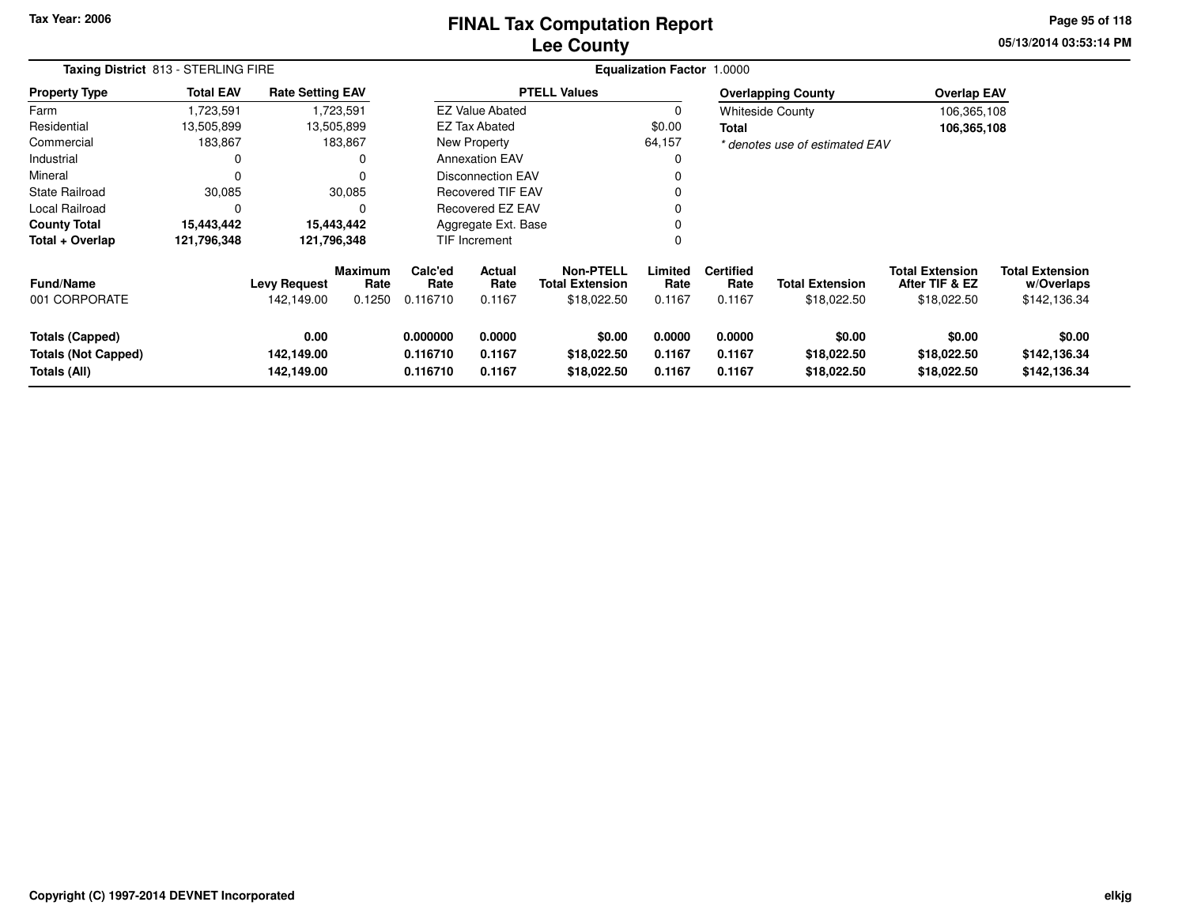### **Lee CountyFINAL Tax Computation Report** FINAL Tax Computation Report

**05/13/2014 03:53:14 PM Page 95 of 118**

|                                                                      | Taxing District 813 - STERLING FIRE |                                   |                                  |                                                                |                                                    |                                      | <b>Equalization Factor 1.0000</b> |                                    |                                       |                                                         |                                                      |
|----------------------------------------------------------------------|-------------------------------------|-----------------------------------|----------------------------------|----------------------------------------------------------------|----------------------------------------------------|--------------------------------------|-----------------------------------|------------------------------------|---------------------------------------|---------------------------------------------------------|------------------------------------------------------|
| <b>Property Type</b>                                                 | <b>Total EAV</b>                    | <b>Rate Setting EAV</b>           |                                  |                                                                |                                                    | <b>PTELL Values</b>                  |                                   |                                    | <b>Overlapping County</b>             | <b>Overlap EAV</b>                                      |                                                      |
| Farm                                                                 | ,723,591                            |                                   | 1,723,591                        |                                                                | <b>EZ Value Abated</b>                             |                                      | 0                                 |                                    | <b>Whiteside County</b>               | 106,365,108                                             |                                                      |
| Residential                                                          | 13,505,899                          |                                   | 13,505,899                       |                                                                | <b>EZ Tax Abated</b>                               |                                      | \$0.00                            | <b>Total</b>                       |                                       | 106,365,108                                             |                                                      |
| Commercial                                                           | 183,867                             |                                   | 183,867                          |                                                                | New Property                                       |                                      | 64,157                            |                                    | * denotes use of estimated EAV        |                                                         |                                                      |
| Industrial                                                           | 0                                   |                                   |                                  |                                                                | <b>Annexation EAV</b>                              |                                      |                                   |                                    |                                       |                                                         |                                                      |
| Mineral                                                              | 0                                   |                                   |                                  |                                                                | <b>Disconnection EAV</b>                           |                                      |                                   |                                    |                                       |                                                         |                                                      |
| <b>State Railroad</b>                                                | 30,085                              |                                   | 30,085                           |                                                                | <b>Recovered TIF EAV</b>                           |                                      |                                   |                                    |                                       |                                                         |                                                      |
| Local Railroad                                                       | 0                                   |                                   |                                  |                                                                | Recovered EZ EAV                                   |                                      |                                   |                                    |                                       |                                                         |                                                      |
| <b>County Total</b>                                                  | 15,443,442                          |                                   | 15,443,442                       |                                                                | Aggregate Ext. Base                                |                                      |                                   |                                    |                                       |                                                         |                                                      |
| Total + Overlap                                                      | 121,796,348                         | 121,796,348                       |                                  | <b>TIF Increment</b>                                           |                                                    |                                      | $\Omega$                          |                                    |                                       |                                                         |                                                      |
| <b>Fund/Name</b><br>001 CORPORATE                                    |                                     | <b>Levy Request</b><br>142,149.00 | <b>Maximum</b><br>Rate<br>0.1250 | Calc'ed<br>Rate<br>0.116710                                    | Actual<br>Rate<br><b>Total Extension</b><br>0.1167 |                                      | Limited<br>Rate<br>0.1167         | <b>Certified</b><br>Rate<br>0.1167 | <b>Total Extension</b><br>\$18,022.50 | <b>Total Extension</b><br>After TIF & EZ<br>\$18,022.50 | <b>Total Extension</b><br>w/Overlaps<br>\$142,136.34 |
| <b>Totals (Capped)</b><br><b>Totals (Not Capped)</b><br>Totals (All) |                                     | 0.00<br>142,149.00<br>142,149.00  |                                  | 0.000000<br>0.0000<br>0.116710<br>0.1167<br>0.116710<br>0.1167 |                                                    | \$0.00<br>\$18,022.50<br>\$18,022.50 | 0.0000<br>0.1167<br>0.1167        | 0.0000<br>0.1167<br>0.1167         | \$0.00<br>\$18,022.50<br>\$18,022.50  | \$0.00<br>\$18,022.50<br>\$18,022.50                    | \$0.00<br>\$142,136.34<br>\$142,136.34               |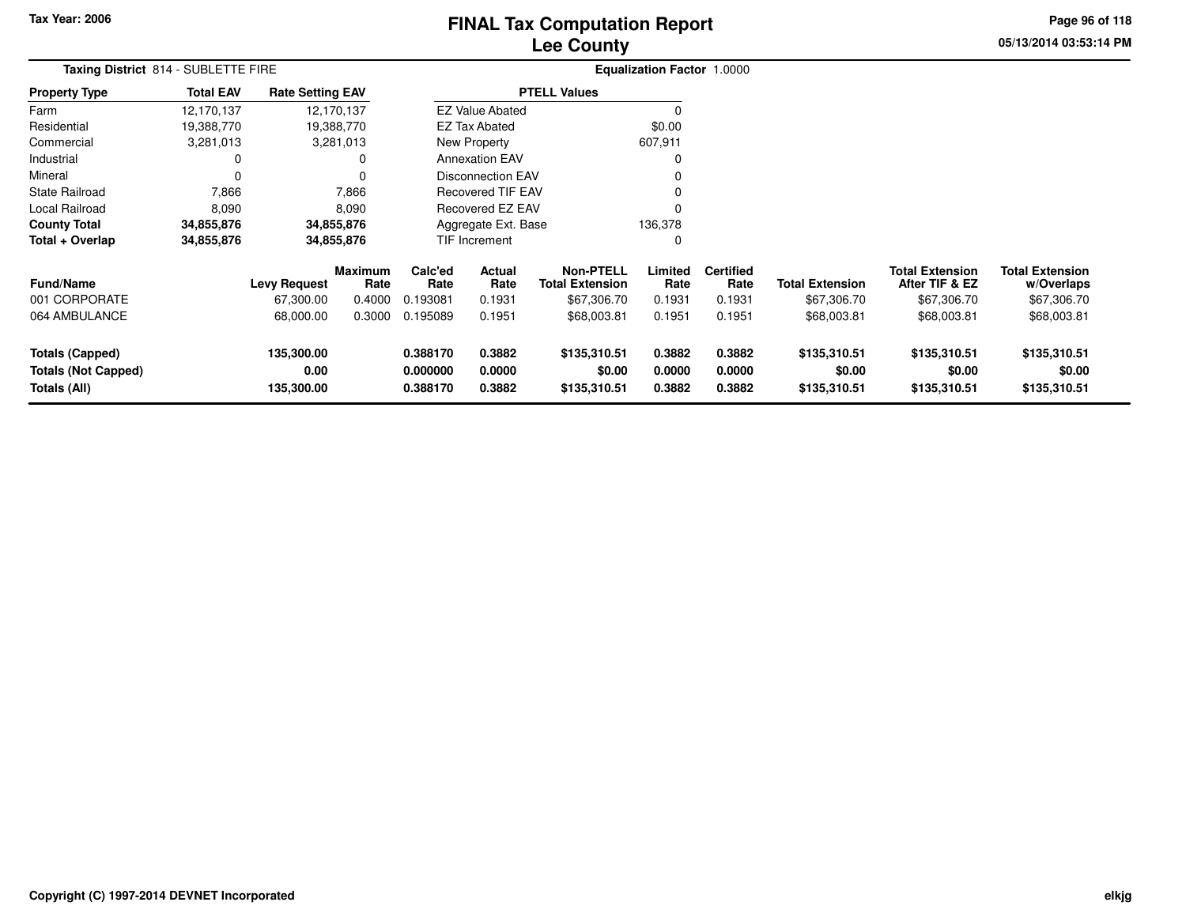# **Lee CountyFINAL Tax Computation Report** FINAL Tax Computation Report

**05/13/2014 03:53:14 PM Page 96 of 118**

|                                                               | Taxing District 814 - SUBLETTE FIRE |                                  |                        |                                  |                                                 |                                        | <b>Equalization Factor 1.0000</b> |                            |                                        |                                          |                                        |  |
|---------------------------------------------------------------|-------------------------------------|----------------------------------|------------------------|----------------------------------|-------------------------------------------------|----------------------------------------|-----------------------------------|----------------------------|----------------------------------------|------------------------------------------|----------------------------------------|--|
| <b>Property Type</b>                                          | <b>Total EAV</b>                    | <b>Rate Setting EAV</b>          |                        |                                  |                                                 | <b>PTELL Values</b>                    |                                   |                            |                                        |                                          |                                        |  |
| Farm                                                          | 12,170,137                          | 12,170,137                       |                        |                                  | <b>EZ Value Abated</b>                          |                                        | 0                                 |                            |                                        |                                          |                                        |  |
| Residential                                                   | 19,388,770                          | 19,388,770                       |                        |                                  | <b>EZ Tax Abated</b>                            |                                        | \$0.00                            |                            |                                        |                                          |                                        |  |
| Commercial                                                    | 3,281,013                           |                                  | 3,281,013              |                                  | New Property                                    |                                        | 607,911                           |                            |                                        |                                          |                                        |  |
| Industrial                                                    |                                     |                                  |                        |                                  | <b>Annexation EAV</b>                           |                                        | $\Omega$                          |                            |                                        |                                          |                                        |  |
| Mineral                                                       | 0                                   |                                  | $\Omega$               |                                  | Disconnection EAV                               |                                        | 0                                 |                            |                                        |                                          |                                        |  |
| <b>State Railroad</b>                                         | 7,866                               |                                  | 7,866                  | Recovered TIF EAV                |                                                 |                                        | $\Omega$                          |                            |                                        |                                          |                                        |  |
| Local Railroad                                                | 8,090                               |                                  | 8,090                  | Recovered EZ EAV                 |                                                 |                                        | $\Omega$                          |                            |                                        |                                          |                                        |  |
| <b>County Total</b>                                           | 34,855,876                          | 34,855,876                       |                        |                                  | Aggregate Ext. Base                             |                                        | 136,378                           |                            |                                        |                                          |                                        |  |
| Total + Overlap                                               | 34,855,876                          | 34,855,876                       |                        |                                  | <b>TIF Increment</b>                            |                                        | 0                                 |                            |                                        |                                          |                                        |  |
| <b>Fund/Name</b>                                              |                                     | <b>Levy Request</b>              | <b>Maximum</b><br>Rate | Calc'ed<br>Rate                  | <b>Actual</b><br>Rate<br><b>Total Extension</b> |                                        | Limited<br>Rate                   | <b>Certified</b><br>Rate   | <b>Total Extension</b>                 | <b>Total Extension</b><br>After TIF & EZ | <b>Total Extension</b><br>w/Overlaps   |  |
| 001 CORPORATE                                                 |                                     | 67,300.00                        | 0.4000                 | 0.193081                         | 0.1931                                          | \$67,306.70                            | 0.1931                            | 0.1931                     | \$67,306.70                            | \$67,306.70                              | \$67,306.70                            |  |
| 064 AMBULANCE                                                 |                                     | 68,000.00                        | 0.3000                 | 0.195089                         | 0.1951                                          | \$68,003.81                            | 0.1951                            | 0.1951                     | \$68,003.81                            | \$68,003.81                              | \$68,003.81                            |  |
| Totals (Capped)<br><b>Totals (Not Capped)</b><br>Totals (All) |                                     | 135,300.00<br>0.00<br>135,300.00 |                        | 0.388170<br>0.000000<br>0.388170 | 0.3882<br>0.0000<br>0.3882                      | \$135,310.51<br>\$0.00<br>\$135,310.51 | 0.3882<br>0.0000<br>0.3882        | 0.3882<br>0.0000<br>0.3882 | \$135,310.51<br>\$0.00<br>\$135,310.51 | \$135,310.51<br>\$0.00<br>\$135,310.51   | \$135,310.51<br>\$0.00<br>\$135,310.51 |  |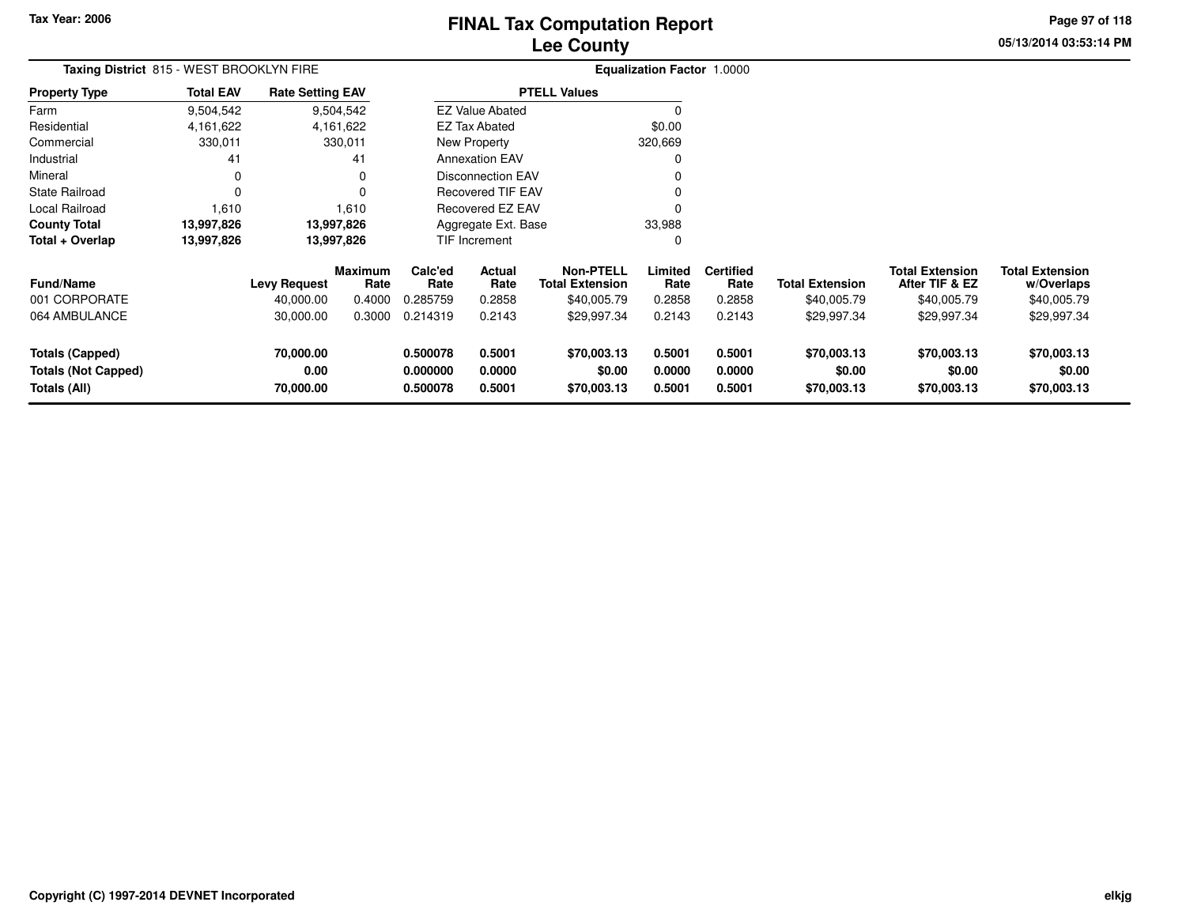# **Lee CountyFINAL Tax Computation Report** FINAL Tax Computation Report

**05/13/2014 03:53:14 PM Page 97 of 118**

| Taxing District 815 - WEST BROOKLYN FIRE                             |                  |                                |                        |                                  |                            |                                            | <b>Equalization Factor 1.0000</b> |                            |                                      |                                          |                                      |
|----------------------------------------------------------------------|------------------|--------------------------------|------------------------|----------------------------------|----------------------------|--------------------------------------------|-----------------------------------|----------------------------|--------------------------------------|------------------------------------------|--------------------------------------|
| <b>Property Type</b>                                                 | <b>Total EAV</b> | <b>Rate Setting EAV</b>        |                        |                                  |                            | <b>PTELL Values</b>                        |                                   |                            |                                      |                                          |                                      |
| Farm                                                                 | 9,504,542        | 9,504,542                      |                        |                                  | <b>EZ Value Abated</b>     |                                            | $\Omega$                          |                            |                                      |                                          |                                      |
| Residential                                                          | 4, 161, 622      | 4,161,622                      |                        |                                  | EZ Tax Abated              |                                            | \$0.00                            |                            |                                      |                                          |                                      |
| Commercial                                                           | 330,011          | 330,011                        |                        |                                  | <b>New Property</b>        |                                            | 320,669                           |                            |                                      |                                          |                                      |
| Industrial                                                           | 41               |                                | 41                     |                                  | <b>Annexation EAV</b>      |                                            | 0                                 |                            |                                      |                                          |                                      |
| Mineral                                                              | $\mathbf 0$      |                                | 0                      |                                  | <b>Disconnection EAV</b>   |                                            | 0                                 |                            |                                      |                                          |                                      |
| <b>State Railroad</b>                                                | 0                |                                | $\Omega$               |                                  | <b>Recovered TIF EAV</b>   |                                            | $\Omega$                          |                            |                                      |                                          |                                      |
| Local Railroad                                                       | 1,610            | 1,610                          |                        |                                  | <b>Recovered EZ EAV</b>    |                                            | $\Omega$                          |                            |                                      |                                          |                                      |
| <b>County Total</b>                                                  | 13,997,826       | 13,997,826                     |                        |                                  | Aggregate Ext. Base        |                                            | 33,988                            |                            |                                      |                                          |                                      |
| Total + Overlap                                                      | 13,997,826       | 13,997,826                     |                        |                                  | TIF Increment              |                                            | 0                                 |                            |                                      |                                          |                                      |
| <b>Fund/Name</b>                                                     |                  | <b>Levy Request</b>            | <b>Maximum</b><br>Rate | Calc'ed<br>Rate                  | Actual<br>Rate             | <b>Non-PTELL</b><br><b>Total Extension</b> | Limited<br>Rate                   | <b>Certified</b><br>Rate   | <b>Total Extension</b>               | <b>Total Extension</b><br>After TIF & EZ | <b>Total Extension</b><br>w/Overlaps |
| 001 CORPORATE                                                        |                  | 40,000.00                      | 0.4000                 | 0.285759                         | 0.2858                     | \$40,005.79                                | 0.2858                            | 0.2858                     | \$40,005.79                          | \$40,005.79                              | \$40,005.79                          |
| 064 AMBULANCE                                                        |                  | 30,000.00                      | 0.3000                 | 0.214319                         | 0.2143                     | \$29,997.34                                | 0.2143                            | 0.2143                     | \$29,997.34                          | \$29,997.34                              | \$29,997.34                          |
| <b>Totals (Capped)</b><br><b>Totals (Not Capped)</b><br>Totals (All) |                  | 70,000.00<br>0.00<br>70,000.00 |                        | 0.500078<br>0.000000<br>0.500078 | 0.5001<br>0.0000<br>0.5001 | \$70,003.13<br>\$0.00<br>\$70,003.13       | 0.5001<br>0.0000<br>0.5001        | 0.5001<br>0.0000<br>0.5001 | \$70,003.13<br>\$0.00<br>\$70,003.13 | \$70,003.13<br>\$0.00<br>\$70,003.13     | \$70,003.13<br>\$0.00<br>\$70,003.13 |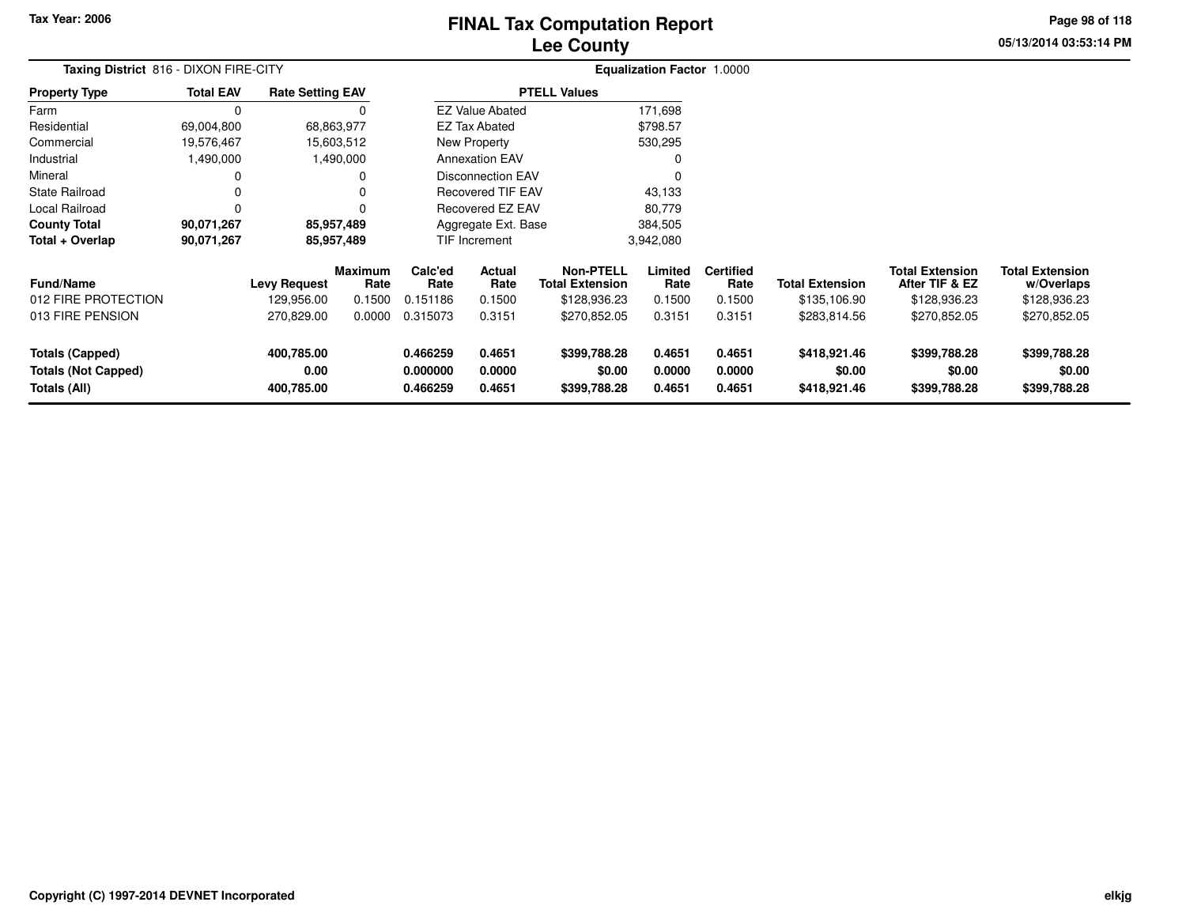### **Lee CountyFINAL Tax Computation Report** FINAL Tax Computation Report

**05/13/2014 03:53:14 PM Page 98 of 118**

|                                       |                  |                         |                 |                 |                          | ---- ------                                |                                   |                          |                        |                                          |                                      |  |
|---------------------------------------|------------------|-------------------------|-----------------|-----------------|--------------------------|--------------------------------------------|-----------------------------------|--------------------------|------------------------|------------------------------------------|--------------------------------------|--|
| Taxing District 816 - DIXON FIRE-CITY |                  |                         |                 |                 |                          |                                            | <b>Equalization Factor 1.0000</b> |                          |                        |                                          |                                      |  |
| <b>Property Type</b>                  | <b>Total EAV</b> | <b>Rate Setting EAV</b> |                 |                 |                          | <b>PTELL Values</b>                        |                                   |                          |                        |                                          |                                      |  |
| Farm                                  |                  |                         |                 |                 | <b>EZ Value Abated</b>   |                                            | 171,698                           |                          |                        |                                          |                                      |  |
| Residential                           | 69,004,800       |                         | 68,863,977      |                 | <b>EZ Tax Abated</b>     |                                            | \$798.57                          |                          |                        |                                          |                                      |  |
| Commercial                            | 19,576,467       |                         | 15,603,512      |                 | New Property             |                                            | 530,295                           |                          |                        |                                          |                                      |  |
| Industrial                            | 1,490,000        |                         | 1,490,000       |                 | <b>Annexation EAV</b>    |                                            |                                   |                          |                        |                                          |                                      |  |
| Mineral                               |                  |                         |                 |                 | <b>Disconnection EAV</b> |                                            |                                   |                          |                        |                                          |                                      |  |
| <b>State Railroad</b>                 |                  |                         | O               |                 | Recovered TIF EAV        |                                            | 43,133                            |                          |                        |                                          |                                      |  |
| Local Railroad                        |                  |                         |                 |                 | Recovered EZ EAV         |                                            | 80,779                            |                          |                        |                                          |                                      |  |
| <b>County Total</b>                   | 90,071,267       |                         | 85,957,489      |                 | Aggregate Ext. Base      |                                            | 384,505                           |                          |                        |                                          |                                      |  |
| Total + Overlap                       | 90,071,267       |                         | 85,957,489      |                 | TIF Increment            |                                            | 3,942,080                         |                          |                        |                                          |                                      |  |
| <b>Fund/Name</b>                      |                  | <b>Levy Request</b>     | Maximum<br>Rate | Calc'ed<br>Rate | Actual<br>Rate           | <b>Non-PTELL</b><br><b>Total Extension</b> | Limited<br>Rate                   | <b>Certified</b><br>Rate | <b>Total Extension</b> | <b>Total Extension</b><br>After TIF & EZ | <b>Total Extension</b><br>w/Overlaps |  |
| 012 FIRE PROTECTION                   |                  | 129,956.00              | 0.1500          | 0.151186        | 0.1500                   | \$128,936.23                               | 0.1500                            | 0.1500                   | \$135,106.90           | \$128,936.23                             | \$128,936.23                         |  |
| <b>A12 EIDE DENCIAN</b>               |                  | 270.920.00              |                 | 0.000000315072  | 0.2151                   | 4270.952.05                                | 0.2151                            | 0.2151                   | 0.000001156            | 4270.952.05                              | 4270.952.05                          |  |

| Totals (All)               | 400.785.00 |        | 0.466259 | 0.4651 | \$399,788.28 | 0.4651 | 0.4651 | \$418.921.46 | \$399,788.28 | \$399,788.28 |
|----------------------------|------------|--------|----------|--------|--------------|--------|--------|--------------|--------------|--------------|
| <b>Totals (Not Capped)</b> | 0.00       |        | 0.000000 | 0.0000 | \$0.00       | 0.0000 | 0.0000 | \$0.00       | \$0.00       | \$0.00       |
| Totals (Capped)            | 400.785.00 |        | 0.466259 | 0.4651 | \$399,788.28 | 0.4651 | 0.4651 | \$418.921.46 | \$399,788.28 | \$399,788.28 |
| 013 FIRE PENSION           | 270.829.00 | 0.0000 | 0.315073 | 0.3151 | \$270.852.05 | 0.3151 | 0.3151 | \$283.814.56 | \$270.852.05 | \$270,852.05 |
| 012 FIRE PROTECTION        | 129.956.00 | 0.1500 | 0.151186 | 0.1500 | \$128,936.23 | 0.1500 | 0.1500 | \$135,106.90 | \$128.936.23 | \$128,936.23 |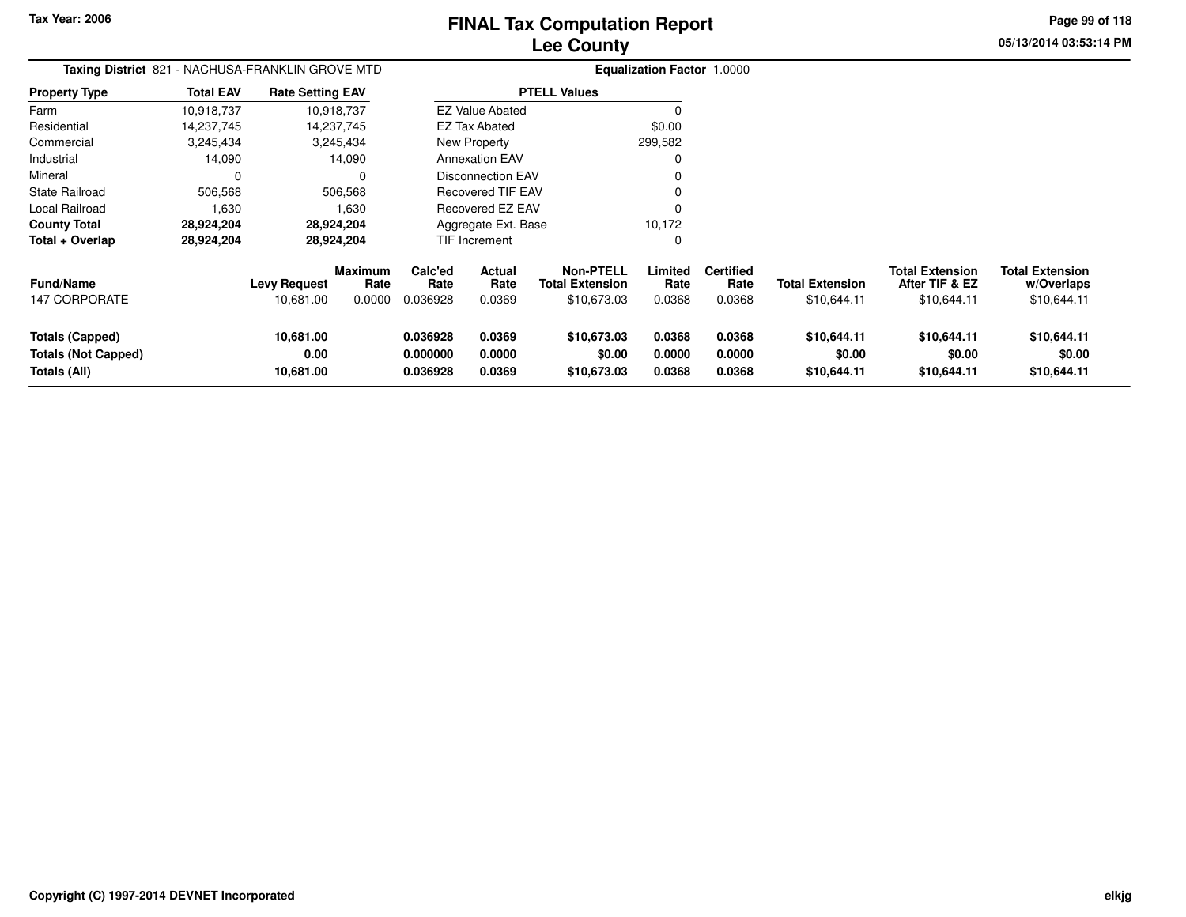**05/13/2014 03:53:14 PM Page 99 of 118**

| <b>Taxing District</b> 821 - NACHUSA-FRANKLIN GROVE MTD              |                  |                                |                           |                                  |                            |                                                           | <b>Equalization Factor 1.0000</b> |                                    |                                       |                                                         |                                                     |
|----------------------------------------------------------------------|------------------|--------------------------------|---------------------------|----------------------------------|----------------------------|-----------------------------------------------------------|-----------------------------------|------------------------------------|---------------------------------------|---------------------------------------------------------|-----------------------------------------------------|
| Property Type                                                        | <b>Total EAV</b> | <b>Rate Setting EAV</b>        |                           |                                  |                            | <b>PTELL Values</b>                                       |                                   |                                    |                                       |                                                         |                                                     |
| Farm                                                                 | 10,918,737       |                                | 10,918,737                |                                  | <b>EZ Value Abated</b>     |                                                           | 0                                 |                                    |                                       |                                                         |                                                     |
| Residential                                                          | 14,237,745       |                                | 14,237,745                |                                  | <b>EZ Tax Abated</b>       |                                                           | \$0.00                            |                                    |                                       |                                                         |                                                     |
| Commercial                                                           | 3,245,434        |                                | 3,245,434                 |                                  | New Property               |                                                           | 299,582                           |                                    |                                       |                                                         |                                                     |
| Industrial                                                           | 14,090           |                                | 14,090                    |                                  | <b>Annexation EAV</b>      |                                                           |                                   |                                    |                                       |                                                         |                                                     |
| Mineral                                                              | 0                |                                | 0                         |                                  | <b>Disconnection EAV</b>   |                                                           |                                   |                                    |                                       |                                                         |                                                     |
| State Railroad                                                       | 506,568          |                                | 506,568                   |                                  | <b>Recovered TIF EAV</b>   |                                                           |                                   |                                    |                                       |                                                         |                                                     |
| Local Railroad                                                       | 1,630            |                                | 1,630                     |                                  | Recovered EZ EAV           |                                                           |                                   |                                    |                                       |                                                         |                                                     |
| County Total                                                         | 28,924,204       |                                | 28,924,204                |                                  | Aggregate Ext. Base        |                                                           | 10,172                            |                                    |                                       |                                                         |                                                     |
| Total + Overlap                                                      | 28,924,204       |                                | 28,924,204                |                                  | TIF Increment              |                                                           | 0                                 |                                    |                                       |                                                         |                                                     |
| Fund/Name<br><b>147 CORPORATE</b>                                    |                  | Levy Request<br>10,681.00      | Maximum<br>Rate<br>0.0000 | Calc'ed<br>Rate<br>0.036928      | Actual<br>Rate<br>0.0369   | <b>Non-PTELL</b><br><b>Total Extension</b><br>\$10,673.03 | Limited<br>Rate<br>0.0368         | <b>Certified</b><br>Rate<br>0.0368 | <b>Total Extension</b><br>\$10,644.11 | <b>Total Extension</b><br>After TIF & EZ<br>\$10,644.11 | <b>Total Extension</b><br>w/Overlaps<br>\$10,644.11 |
| <b>Totals (Capped)</b><br><b>Totals (Not Capped)</b><br>Totals (All) |                  | 10,681.00<br>0.00<br>10,681.00 |                           | 0.036928<br>0.000000<br>0.036928 | 0.0369<br>0.0000<br>0.0369 | \$10,673.03<br>\$0.00<br>\$10,673.03                      | 0.0368<br>0.0000<br>0.0368        | 0.0368<br>0.0000<br>0.0368         | \$10,644.11<br>\$0.00<br>\$10,644.11  | \$10,644.11<br>\$0.00<br>\$10,644.11                    | \$10,644.11<br>\$0.00<br>\$10,644.11                |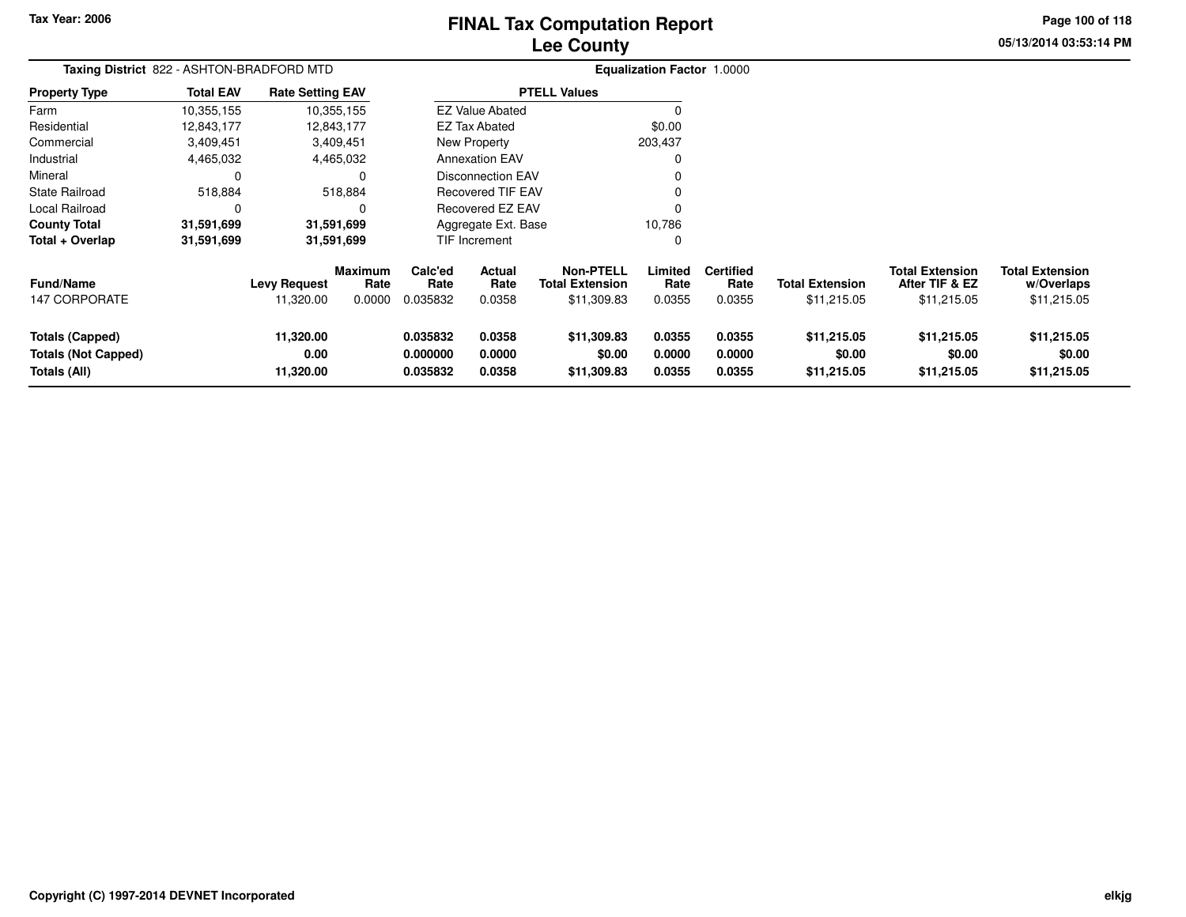# **Lee CountyFINAL Tax Computation Report** FINAL Tax Computation Report

**Page 100 of 118**

| Taxing District 822 - ASHTON-BRADFORD MTD  |                  |                                  |                                  |                             |                          |                                                           | Equalization Factor 1.0000 |                                    |                                       |                                                         |                                                     |
|--------------------------------------------|------------------|----------------------------------|----------------------------------|-----------------------------|--------------------------|-----------------------------------------------------------|----------------------------|------------------------------------|---------------------------------------|---------------------------------------------------------|-----------------------------------------------------|
| <b>Property Type</b>                       | <b>Total EAV</b> | <b>Rate Setting EAV</b>          |                                  |                             |                          | <b>PTELL Values</b>                                       |                            |                                    |                                       |                                                         |                                                     |
| Farm                                       | 10,355,155       |                                  | 10,355,155                       |                             | <b>EZ Value Abated</b>   |                                                           |                            |                                    |                                       |                                                         |                                                     |
| Residential                                | 12,843,177       |                                  | 12,843,177                       |                             | <b>EZ Tax Abated</b>     |                                                           | \$0.00                     |                                    |                                       |                                                         |                                                     |
| Commercial                                 | 3,409,451        |                                  | 3,409,451                        |                             | New Property             |                                                           | 203,437                    |                                    |                                       |                                                         |                                                     |
| Industrial                                 | 4,465,032        |                                  | 4,465,032                        |                             | <b>Annexation EAV</b>    |                                                           |                            |                                    |                                       |                                                         |                                                     |
| Mineral                                    | 0                |                                  |                                  |                             | <b>Disconnection EAV</b> |                                                           |                            |                                    |                                       |                                                         |                                                     |
| <b>State Railroad</b>                      | 518,884          |                                  | 518,884                          |                             | <b>Recovered TIF EAV</b> |                                                           |                            |                                    |                                       |                                                         |                                                     |
| Local Railroad                             | 0                |                                  | C                                |                             | Recovered EZ EAV         |                                                           |                            |                                    |                                       |                                                         |                                                     |
| <b>County Total</b>                        | 31,591,699       |                                  | 31,591,699                       |                             | Aggregate Ext. Base      |                                                           | 10,786                     |                                    |                                       |                                                         |                                                     |
| Total + Overlap                            | 31,591,699       |                                  | 31,591,699                       |                             | TIF Increment            |                                                           | 0                          |                                    |                                       |                                                         |                                                     |
| <b>Fund/Name</b><br>147 CORPORATE          |                  | <b>Levy Request</b><br>11,320.00 | <b>Maximum</b><br>Rate<br>0.0000 | Calc'ed<br>Rate<br>0.035832 | Actual<br>Rate<br>0.0358 | <b>Non-PTELL</b><br><b>Total Extension</b><br>\$11,309.83 | Limited<br>Rate<br>0.0355  | <b>Certified</b><br>Rate<br>0.0355 | <b>Total Extension</b><br>\$11,215.05 | <b>Total Extension</b><br>After TIF & EZ<br>\$11,215.05 | <b>Total Extension</b><br>w/Overlaps<br>\$11,215.05 |
| <b>Totals (Capped)</b>                     |                  | 11,320.00                        |                                  | 0.035832                    | 0.0358                   | \$11,309.83                                               | 0.0355                     | 0.0355                             | \$11,215.05                           | \$11,215.05                                             | \$11,215.05                                         |
| <b>Totals (Not Capped)</b><br>Totals (All) |                  | 0.00<br>11,320.00                |                                  | 0.000000<br>0.035832        | 0.0000<br>0.0358         | \$0.00<br>\$11,309.83                                     | 0.0000<br>0.0355           | 0.0000<br>0.0355                   | \$0.00<br>\$11,215.05                 | \$0.00<br>\$11,215.05                                   | \$0.00<br>\$11,215.05                               |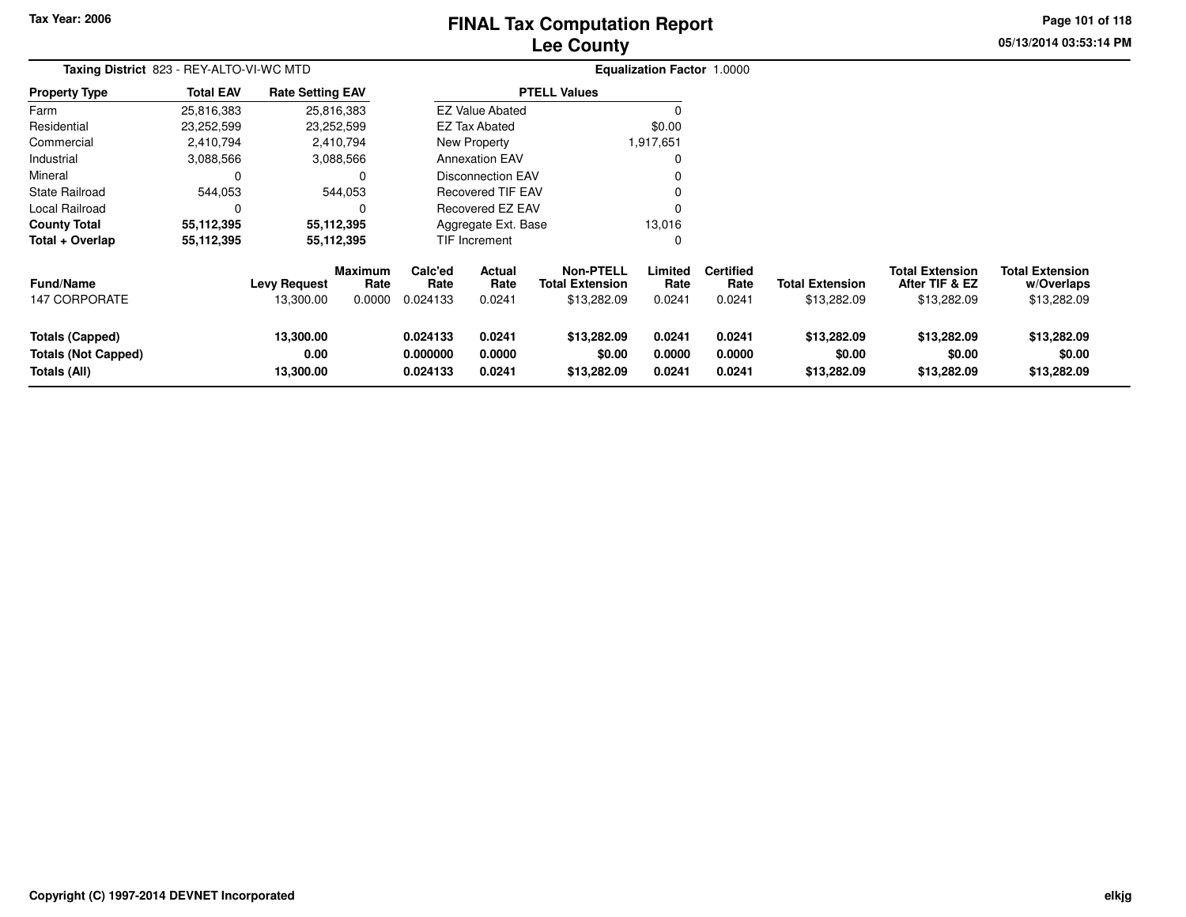# **Lee CountyFINAL Tax Computation Report** FINAL Tax Computation Report

**05/13/2014 03:53:14 PM Page 101 of 118**

| Taxing District 823 - REY-ALTO-VI-WC MTD                      |                  |                                  |                                  |                                  |                            |                                                    | <b>Equalization Factor 1.0000</b> |                                    |                                       |                                                         |                                                     |
|---------------------------------------------------------------|------------------|----------------------------------|----------------------------------|----------------------------------|----------------------------|----------------------------------------------------|-----------------------------------|------------------------------------|---------------------------------------|---------------------------------------------------------|-----------------------------------------------------|
| <b>Property Type</b>                                          | <b>Total EAV</b> | <b>Rate Setting EAV</b>          |                                  |                                  |                            | <b>PTELL Values</b>                                |                                   |                                    |                                       |                                                         |                                                     |
| Farm                                                          | 25,816,383       |                                  | 25,816,383                       |                                  | <b>EZ Value Abated</b>     |                                                    |                                   |                                    |                                       |                                                         |                                                     |
| Residential                                                   | 23,252,599       |                                  | 23,252,599                       |                                  | <b>EZ Tax Abated</b>       |                                                    | \$0.00                            |                                    |                                       |                                                         |                                                     |
| Commercial                                                    | 2,410,794        |                                  | 2,410,794                        |                                  | New Property               |                                                    | 1,917,651                         |                                    |                                       |                                                         |                                                     |
| Industrial                                                    | 3,088,566        |                                  | 3,088,566                        |                                  | <b>Annexation EAV</b>      |                                                    |                                   |                                    |                                       |                                                         |                                                     |
| Mineral                                                       | 0                |                                  | $\Omega$                         |                                  | Disconnection EAV          |                                                    |                                   |                                    |                                       |                                                         |                                                     |
| <b>State Railroad</b>                                         | 544,053          |                                  | 544,053                          |                                  | <b>Recovered TIF EAV</b>   |                                                    |                                   |                                    |                                       |                                                         |                                                     |
| Local Railroad                                                | $\Omega$         |                                  | $\Omega$                         |                                  | <b>Recovered EZ EAV</b>    |                                                    | O                                 |                                    |                                       |                                                         |                                                     |
| <b>County Total</b>                                           | 55,112,395       |                                  | 55,112,395                       |                                  | Aggregate Ext. Base        |                                                    | 13,016                            |                                    |                                       |                                                         |                                                     |
| Total + Overlap                                               | 55,112,395       |                                  | 55,112,395                       |                                  | TIF Increment              |                                                    | $\Omega$                          |                                    |                                       |                                                         |                                                     |
| <b>Fund/Name</b><br><b>147 CORPORATE</b>                      |                  | <b>Levy Request</b><br>13,300.00 | <b>Maximum</b><br>Rate<br>0.0000 | Calc'ed<br>Rate<br>0.024133      | Actual<br>Rate<br>0.0241   | Non-PTELL<br><b>Total Extension</b><br>\$13,282.09 | Limited<br>Rate<br>0.0241         | <b>Certified</b><br>Rate<br>0.0241 | <b>Total Extension</b><br>\$13,282.09 | <b>Total Extension</b><br>After TIF & EZ<br>\$13,282.09 | <b>Total Extension</b><br>w/Overlaps<br>\$13,282.09 |
| Totals (Capped)<br><b>Totals (Not Capped)</b><br>Totals (All) |                  | 13,300.00<br>0.00<br>13,300.00   |                                  | 0.024133<br>0.000000<br>0.024133 | 0.0241<br>0.0000<br>0.0241 | \$13,282.09<br>\$0.00<br>\$13,282.09               | 0.0241<br>0.0000<br>0.0241        | 0.0241<br>0.0000<br>0.0241         | \$13,282.09<br>\$0.00<br>\$13,282.09  | \$13,282.09<br>\$0.00<br>\$13,282.09                    | \$13,282.09<br>\$0.00<br>\$13,282.09                |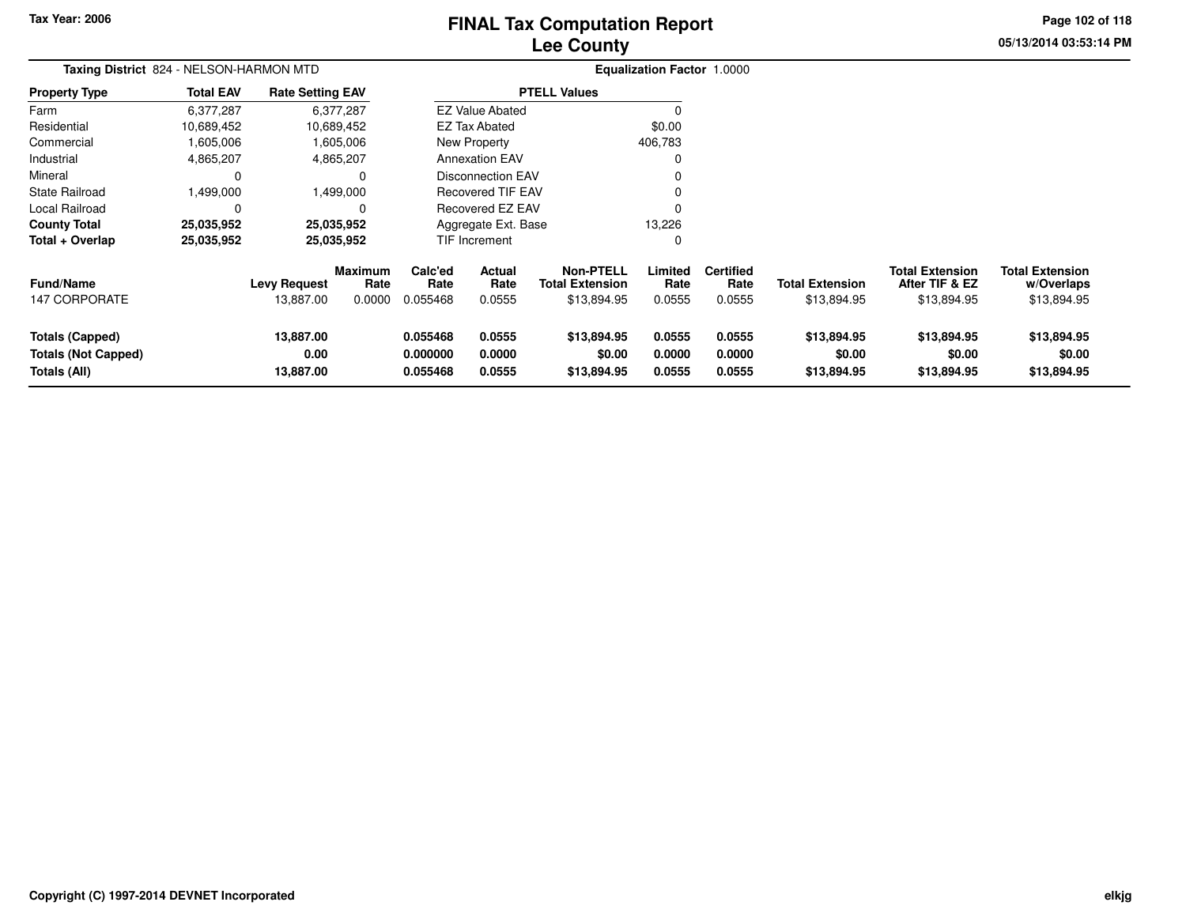# **Lee CountyFINAL Tax Computation Report** FINAL Tax Computation Report

**Page 102 of 118**

**05/13/2014 03:53:14 PM**

| Taxing District 824 - NELSON-HARMON MTD                              |                  |                                  |                                  |                                  |                            |                                                           | <b>Equalization Factor 1.0000</b> |                                    |                                       |                                                         |                                                     |
|----------------------------------------------------------------------|------------------|----------------------------------|----------------------------------|----------------------------------|----------------------------|-----------------------------------------------------------|-----------------------------------|------------------------------------|---------------------------------------|---------------------------------------------------------|-----------------------------------------------------|
| <b>Property Type</b>                                                 | <b>Total EAV</b> | <b>Rate Setting EAV</b>          |                                  |                                  |                            | <b>PTELL Values</b>                                       |                                   |                                    |                                       |                                                         |                                                     |
| Farm                                                                 | 6.377.287        |                                  | 6,377,287                        |                                  | <b>EZ Value Abated</b>     |                                                           |                                   |                                    |                                       |                                                         |                                                     |
| Residential                                                          | 10,689,452       |                                  | 10,689,452                       |                                  | <b>EZ Tax Abated</b>       |                                                           | \$0.00                            |                                    |                                       |                                                         |                                                     |
| Commercial                                                           | 1,605,006        |                                  | 1,605,006                        |                                  | New Property               |                                                           | 406,783                           |                                    |                                       |                                                         |                                                     |
| Industrial                                                           | 4,865,207        |                                  | 4,865,207                        |                                  | <b>Annexation EAV</b>      |                                                           | 0                                 |                                    |                                       |                                                         |                                                     |
| Mineral                                                              |                  |                                  | 0                                |                                  | <b>Disconnection EAV</b>   |                                                           |                                   |                                    |                                       |                                                         |                                                     |
| <b>State Railroad</b>                                                | 1,499,000        |                                  | 1,499,000                        |                                  | <b>Recovered TIF EAV</b>   |                                                           |                                   |                                    |                                       |                                                         |                                                     |
| Local Railroad                                                       | 0                |                                  | 0                                |                                  | Recovered EZ EAV           |                                                           |                                   |                                    |                                       |                                                         |                                                     |
| <b>County Total</b>                                                  | 25.035.952       |                                  | 25,035,952                       |                                  | Aggregate Ext. Base        |                                                           | 13,226                            |                                    |                                       |                                                         |                                                     |
| Total + Overlap                                                      | 25,035,952       |                                  | 25,035,952                       |                                  | TIF Increment              |                                                           | 0                                 |                                    |                                       |                                                         |                                                     |
| <b>Fund/Name</b><br>147 CORPORATE                                    |                  | <b>Levy Request</b><br>13,887.00 | <b>Maximum</b><br>Rate<br>0.0000 | Calc'ed<br>Rate<br>0.055468      | Actual<br>Rate<br>0.0555   | <b>Non-PTELL</b><br><b>Total Extension</b><br>\$13,894.95 | Limited<br>Rate<br>0.0555         | <b>Certified</b><br>Rate<br>0.0555 | <b>Total Extension</b><br>\$13,894.95 | <b>Total Extension</b><br>After TIF & EZ<br>\$13,894.95 | <b>Total Extension</b><br>w/Overlaps<br>\$13,894.95 |
| <b>Totals (Capped)</b><br><b>Totals (Not Capped)</b><br>Totals (All) |                  | 13,887.00<br>0.00<br>13,887.00   |                                  | 0.055468<br>0.000000<br>0.055468 | 0.0555<br>0.0000<br>0.0555 | \$13,894.95<br>\$0.00<br>\$13,894.95                      | 0.0555<br>0.0000<br>0.0555        | 0.0555<br>0.0000<br>0.0555         | \$13,894.95<br>\$0.00<br>\$13,894.95  | \$13,894.95<br>\$0.00<br>\$13,894.95                    | \$13,894.95<br>\$0.00<br>\$13,894.95                |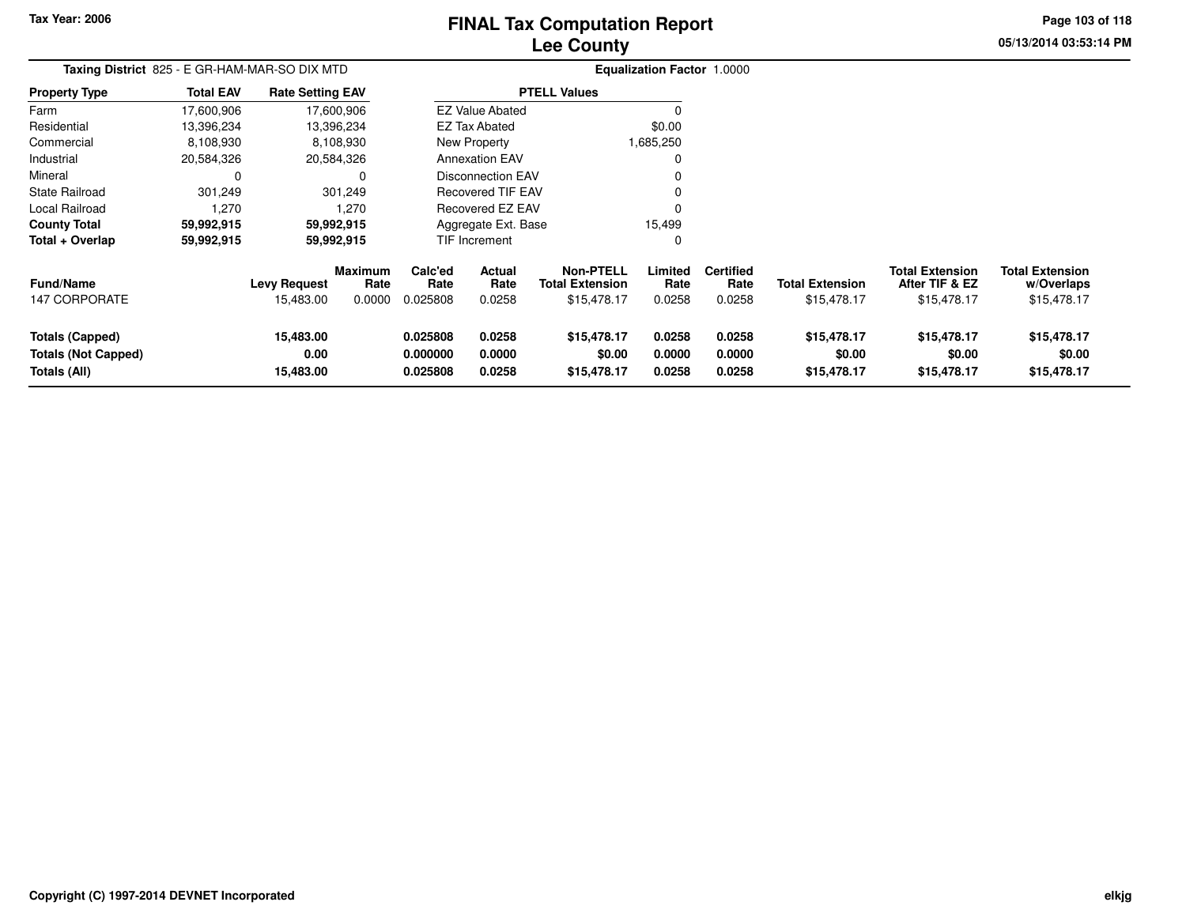# **Lee CountyFINAL Tax Computation Report** FINAL Tax Computation Report

**05/13/2014 03:53:14 PMPage 103 of 118**

| Taxing District 825 - E GR-HAM-MAR-SO DIX MTD                        |                  |                                  |                           |                                  |                                 |                                                           | Equalization Factor 1.0000 |                                    |                                       |                                                         |                                                     |
|----------------------------------------------------------------------|------------------|----------------------------------|---------------------------|----------------------------------|---------------------------------|-----------------------------------------------------------|----------------------------|------------------------------------|---------------------------------------|---------------------------------------------------------|-----------------------------------------------------|
| <b>Property Type</b>                                                 | <b>Total EAV</b> | <b>Rate Setting EAV</b>          |                           |                                  |                                 | <b>PTELL Values</b>                                       |                            |                                    |                                       |                                                         |                                                     |
| Farm                                                                 | 17,600,906       |                                  | 17,600,906                |                                  | <b>EZ Value Abated</b>          |                                                           |                            |                                    |                                       |                                                         |                                                     |
| Residential                                                          | 13,396,234       |                                  | 13,396,234                |                                  | <b>EZ Tax Abated</b>            |                                                           | \$0.00                     |                                    |                                       |                                                         |                                                     |
| Commercial                                                           | 8,108,930        |                                  | 8,108,930                 |                                  | New Property                    |                                                           | 1,685,250                  |                                    |                                       |                                                         |                                                     |
| Industrial                                                           | 20,584,326       |                                  | 20,584,326                |                                  | <b>Annexation EAV</b>           |                                                           |                            |                                    |                                       |                                                         |                                                     |
| Mineral                                                              | 0                |                                  |                           |                                  | <b>Disconnection EAV</b>        |                                                           |                            |                                    |                                       |                                                         |                                                     |
| <b>State Railroad</b>                                                | 301,249          |                                  | 301,249                   |                                  | <b>Recovered TIF EAV</b>        |                                                           |                            |                                    |                                       |                                                         |                                                     |
| Local Railroad                                                       | 1,270            |                                  | 1,270                     |                                  | Recovered EZ EAV                |                                                           |                            |                                    |                                       |                                                         |                                                     |
| <b>County Total</b>                                                  | 59,992,915       |                                  | 59,992,915                |                                  | Aggregate Ext. Base             |                                                           | 15,499                     |                                    |                                       |                                                         |                                                     |
| Total + Overlap                                                      | 59,992,915       |                                  | 59,992,915                |                                  | <b>TIF Increment</b>            |                                                           |                            |                                    |                                       |                                                         |                                                     |
| <b>Fund/Name</b><br><b>147 CORPORATE</b>                             |                  | <b>Levy Request</b><br>15,483.00 | Maximum<br>Rate<br>0.0000 | Calc'ed<br>Rate<br>0.025808      | <b>Actual</b><br>Rate<br>0.0258 | <b>Non-PTELL</b><br><b>Total Extension</b><br>\$15,478.17 | Limited<br>Rate<br>0.0258  | <b>Certified</b><br>Rate<br>0.0258 | <b>Total Extension</b><br>\$15,478.17 | <b>Total Extension</b><br>After TIF & EZ<br>\$15,478.17 | <b>Total Extension</b><br>w/Overlaps<br>\$15,478.17 |
| <b>Totals (Capped)</b><br><b>Totals (Not Capped)</b><br>Totals (All) |                  | 15,483.00<br>0.00<br>15,483.00   |                           | 0.025808<br>0.000000<br>0.025808 | 0.0258<br>0.0000<br>0.0258      | \$15,478.17<br>\$0.00<br>\$15,478.17                      | 0.0258<br>0.0000<br>0.0258 | 0.0258<br>0.0000<br>0.0258         | \$15,478.17<br>\$0.00<br>\$15,478.17  | \$15,478.17<br>\$0.00<br>\$15,478.17                    | \$15,478.17<br>\$0.00<br>\$15,478.17                |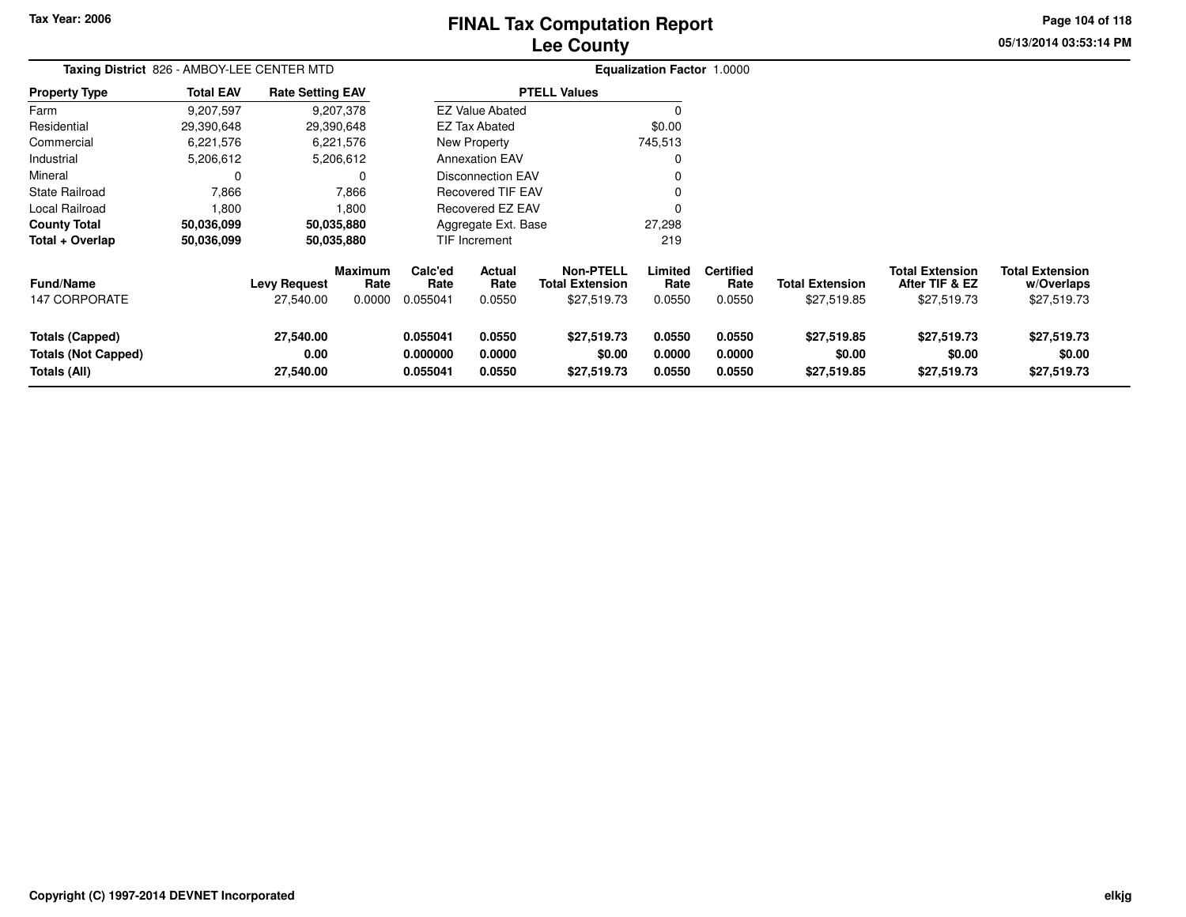# **Lee CountyFINAL Tax Computation Report**

**05/13/2014 03:53:14 PMPage 104 of 118**

| Taxing District 826 - AMBOY-LEE CENTER MTD |                  |                         |                        |                 |                         |                                            | <b>Equalization Factor 1.0000</b> |                          |                        |                                          |                                      |
|--------------------------------------------|------------------|-------------------------|------------------------|-----------------|-------------------------|--------------------------------------------|-----------------------------------|--------------------------|------------------------|------------------------------------------|--------------------------------------|
| <b>Property Type</b>                       | <b>Total EAV</b> | <b>Rate Setting EAV</b> |                        |                 |                         | <b>PTELL Values</b>                        |                                   |                          |                        |                                          |                                      |
| Farm                                       | 9,207,597        |                         | 9,207,378              |                 | <b>EZ Value Abated</b>  |                                            |                                   |                          |                        |                                          |                                      |
| Residential                                | 29,390,648       |                         | 29,390,648             |                 | <b>EZ Tax Abated</b>    |                                            | \$0.00                            |                          |                        |                                          |                                      |
| Commercial                                 | 6,221,576        |                         | 6,221,576              |                 | New Property            |                                            | 745,513                           |                          |                        |                                          |                                      |
| Industrial                                 | 5,206,612        |                         | 5,206,612              |                 | <b>Annexation EAV</b>   |                                            |                                   |                          |                        |                                          |                                      |
| Mineral                                    | 0                |                         |                        |                 | Disconnection EAV       |                                            |                                   |                          |                        |                                          |                                      |
| <b>State Railroad</b>                      | 7,866            |                         | 7,866                  |                 | Recovered TIF EAV       |                                            |                                   |                          |                        |                                          |                                      |
| Local Railroad                             | 1,800            |                         | 1,800                  |                 | <b>Recovered EZ EAV</b> |                                            |                                   |                          |                        |                                          |                                      |
| <b>County Total</b>                        | 50,036,099       |                         | 50,035,880             |                 | Aggregate Ext. Base     |                                            | 27,298                            |                          |                        |                                          |                                      |
| Total + Overlap                            | 50,036,099       |                         | 50,035,880             |                 | <b>TIF Increment</b>    |                                            | 219                               |                          |                        |                                          |                                      |
| <b>Fund/Name</b>                           |                  | <b>Levy Request</b>     | <b>Maximum</b><br>Rate | Calc'ed<br>Rate | Actual<br>Rate          | <b>Non-PTELL</b><br><b>Total Extension</b> | Limited<br>Rate                   | <b>Certified</b><br>Rate | <b>Total Extension</b> | <b>Total Extension</b><br>After TIF & EZ | <b>Total Extension</b><br>w/Overlaps |
| 147 CORPORATE                              |                  | 27,540.00               | 0.0000                 | 0.055041        | 0.0550                  | \$27,519.73                                | 0.0550                            | 0.0550                   | \$27,519.85            | \$27,519.73                              | \$27,519.73                          |
| <b>Totals (Capped)</b>                     |                  | 27,540.00               |                        | 0.055041        | 0.0550                  | \$27,519.73                                | 0.0550                            | 0.0550                   | \$27,519.85            | \$27,519.73                              | \$27,519.73                          |
| <b>Totals (Not Capped)</b>                 |                  | 0.00                    |                        | 0.000000        | 0.0000                  | \$0.00                                     | 0.0000                            | 0.0000                   | \$0.00                 | \$0.00                                   | \$0.00                               |
| Totals (All)                               |                  | 27,540.00               |                        | 0.055041        | 0.0550                  | \$27,519.73                                | 0.0550                            | 0.0550                   | \$27,519.85            | \$27,519.73                              | \$27,519.73                          |
|                                            |                  |                         |                        |                 |                         |                                            |                                   |                          |                        |                                          |                                      |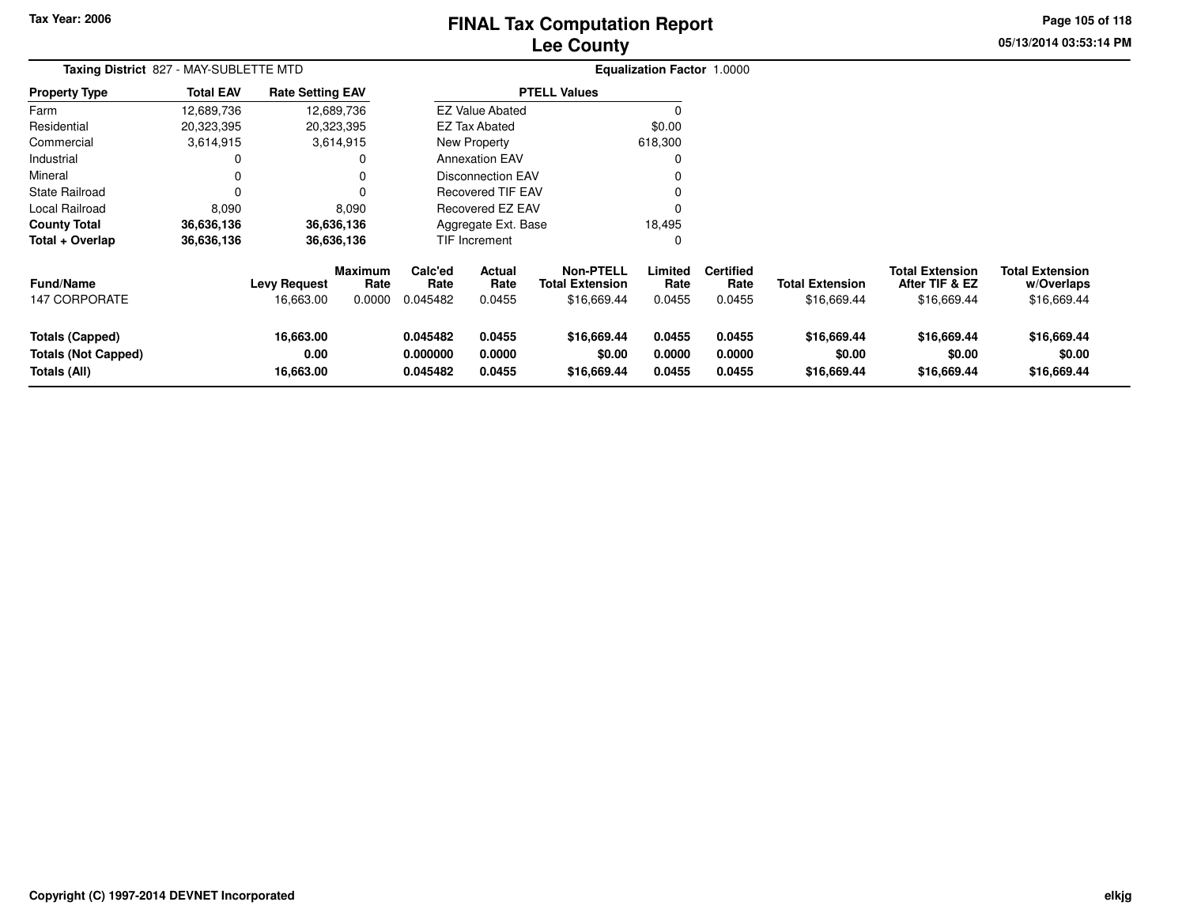# **Lee CountyFINAL Tax Computation Report** FINAL Tax Computation Report

**05/13/2014 03:53:14 PM Page 105 of 118**

۰

| Taxing District 827 - MAY-SUBLETTE MTD                        |                  |                                |                        |                                  |                            |                                            | <b>Equalization Factor 1.0000</b> |                            |                                      |                                          |                                      |
|---------------------------------------------------------------|------------------|--------------------------------|------------------------|----------------------------------|----------------------------|--------------------------------------------|-----------------------------------|----------------------------|--------------------------------------|------------------------------------------|--------------------------------------|
| <b>Property Type</b>                                          | <b>Total EAV</b> | <b>Rate Setting EAV</b>        |                        |                                  |                            | <b>PTELL Values</b>                        |                                   |                            |                                      |                                          |                                      |
| Farm                                                          | 12,689,736       |                                | 12,689,736             |                                  | <b>EZ Value Abated</b>     |                                            |                                   |                            |                                      |                                          |                                      |
| Residential                                                   | 20,323,395       |                                | 20,323,395             |                                  | <b>EZ Tax Abated</b>       |                                            | \$0.00                            |                            |                                      |                                          |                                      |
| Commercial                                                    | 3,614,915        |                                | 3,614,915              |                                  | New Property               |                                            | 618,300                           |                            |                                      |                                          |                                      |
| Industrial                                                    | 0                |                                | O                      |                                  | <b>Annexation EAV</b>      |                                            |                                   |                            |                                      |                                          |                                      |
| Mineral                                                       | 0                |                                | 0                      |                                  | <b>Disconnection EAV</b>   |                                            |                                   |                            |                                      |                                          |                                      |
| <b>State Railroad</b>                                         | 0                |                                |                        |                                  | <b>Recovered TIF EAV</b>   |                                            |                                   |                            |                                      |                                          |                                      |
| Local Railroad                                                | 8,090            |                                | 8,090                  |                                  | <b>Recovered EZ EAV</b>    |                                            | $\Omega$                          |                            |                                      |                                          |                                      |
| <b>County Total</b>                                           | 36,636,136       |                                | 36,636,136             |                                  | Aggregate Ext. Base        |                                            | 18,495                            |                            |                                      |                                          |                                      |
| Total + Overlap                                               | 36,636,136       |                                | 36,636,136             |                                  | TIF Increment              |                                            | $\Omega$                          |                            |                                      |                                          |                                      |
| <b>Fund/Name</b>                                              |                  | <b>Levy Request</b>            | <b>Maximum</b><br>Rate | Calc'ed<br>Rate                  | <b>Actual</b><br>Rate      | <b>Non-PTELL</b><br><b>Total Extension</b> | Limited<br>Rate                   | <b>Certified</b><br>Rate   | <b>Total Extension</b>               | <b>Total Extension</b><br>After TIF & EZ | <b>Total Extension</b><br>w/Overlaps |
| <b>147 CORPORATE</b>                                          |                  | 16,663.00                      | 0.0000                 | 0.045482                         | 0.0455                     | \$16,669.44                                | 0.0455                            | 0.0455                     | \$16,669.44                          | \$16,669.44                              | \$16,669.44                          |
| Totals (Capped)<br><b>Totals (Not Capped)</b><br>Totals (All) |                  | 16,663.00<br>0.00<br>16,663.00 |                        | 0.045482<br>0.000000<br>0.045482 | 0.0455<br>0.0000<br>0.0455 | \$16,669.44<br>\$0.00<br>\$16,669.44       | 0.0455<br>0.0000<br>0.0455        | 0.0455<br>0.0000<br>0.0455 | \$16,669.44<br>\$0.00<br>\$16,669.44 | \$16,669.44<br>\$0.00<br>\$16,669.44     | \$16,669.44<br>\$0.00<br>\$16,669.44 |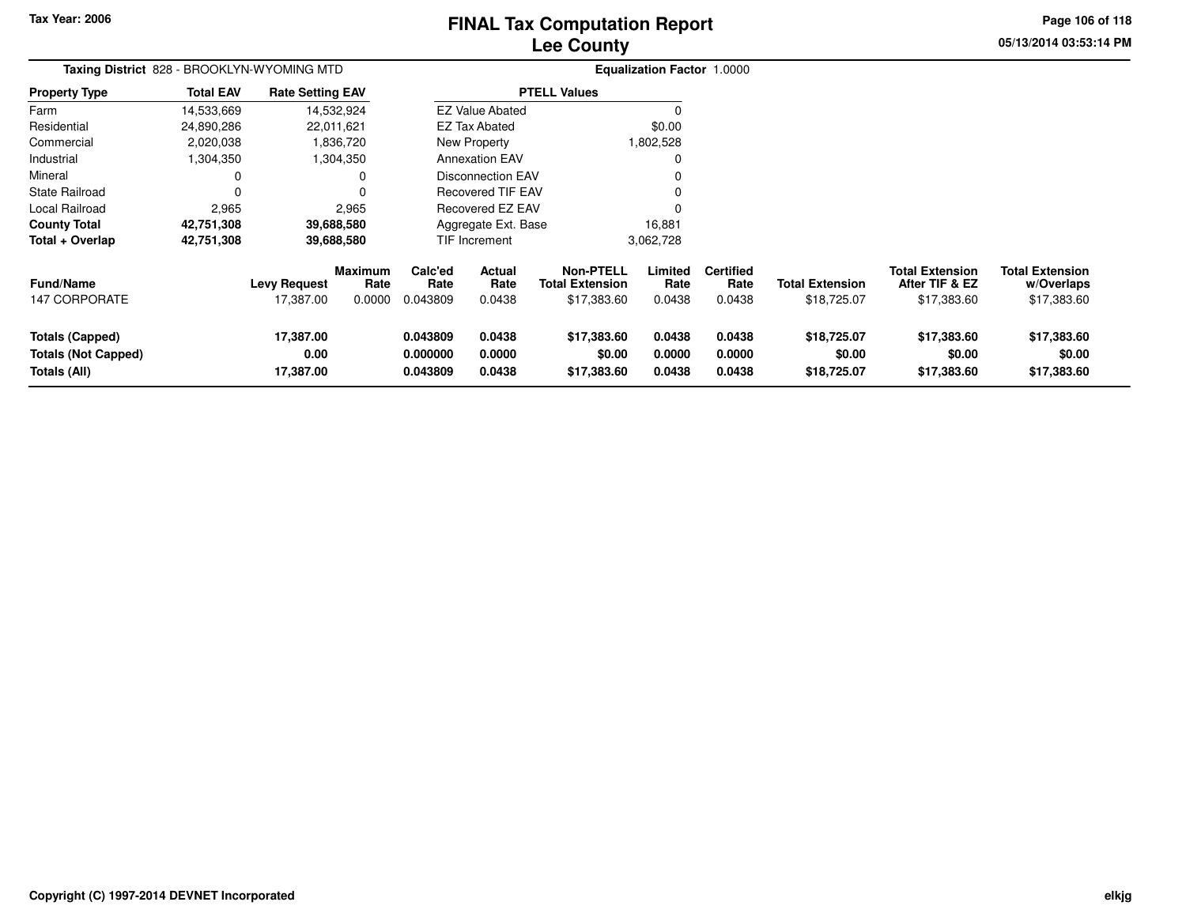# **Lee CountyFINAL Tax Computation Report** FINAL Tax Computation Report

**05/13/2014 03:53:14 PMPage 106 of 118**

| Taxing District 828 - BROOKLYN-WYOMING MTD                           |                  |                                  |                           |                                  |                                 |                                                           | Equalization Factor 1.0000 |                                    |                                       |                                                         |                                                     |
|----------------------------------------------------------------------|------------------|----------------------------------|---------------------------|----------------------------------|---------------------------------|-----------------------------------------------------------|----------------------------|------------------------------------|---------------------------------------|---------------------------------------------------------|-----------------------------------------------------|
| <b>Property Type</b>                                                 | <b>Total EAV</b> | <b>Rate Setting EAV</b>          |                           |                                  |                                 | <b>PTELL Values</b>                                       |                            |                                    |                                       |                                                         |                                                     |
| Farm                                                                 | 14,533,669       |                                  | 14,532,924                |                                  | <b>EZ Value Abated</b>          |                                                           |                            |                                    |                                       |                                                         |                                                     |
| Residential                                                          | 24,890,286       |                                  | 22,011,621                |                                  | <b>EZ Tax Abated</b>            |                                                           | \$0.00                     |                                    |                                       |                                                         |                                                     |
| Commercial                                                           | 2,020,038        |                                  | 1,836,720                 |                                  | New Property                    |                                                           | 1,802,528                  |                                    |                                       |                                                         |                                                     |
| Industrial                                                           | 1,304,350        |                                  | 1,304,350                 |                                  | <b>Annexation EAV</b>           |                                                           | 0                          |                                    |                                       |                                                         |                                                     |
| Mineral                                                              |                  |                                  | 0                         |                                  | <b>Disconnection EAV</b>        |                                                           |                            |                                    |                                       |                                                         |                                                     |
| <b>State Railroad</b>                                                |                  |                                  | $\Omega$                  |                                  | Recovered TIF EAV               |                                                           |                            |                                    |                                       |                                                         |                                                     |
| Local Railroad                                                       | 2,965            |                                  | 2,965                     |                                  | Recovered EZ EAV                |                                                           |                            |                                    |                                       |                                                         |                                                     |
| <b>County Total</b>                                                  | 42,751,308       |                                  | 39,688,580                |                                  | Aggregate Ext. Base             |                                                           | 16,881                     |                                    |                                       |                                                         |                                                     |
| Total + Overlap                                                      | 42,751,308       |                                  | 39,688,580                |                                  | TIF Increment                   |                                                           | 3,062,728                  |                                    |                                       |                                                         |                                                     |
| <b>Fund/Name</b><br>147 CORPORATE                                    |                  | <b>Levy Request</b><br>17,387.00 | Maximum<br>Rate<br>0.0000 | Calc'ed<br>Rate<br>0.043809      | <b>Actual</b><br>Rate<br>0.0438 | <b>Non-PTELL</b><br><b>Total Extension</b><br>\$17,383.60 | Limited<br>Rate<br>0.0438  | <b>Certified</b><br>Rate<br>0.0438 | <b>Total Extension</b><br>\$18,725.07 | <b>Total Extension</b><br>After TIF & EZ<br>\$17,383.60 | <b>Total Extension</b><br>w/Overlaps<br>\$17,383.60 |
| <b>Totals (Capped)</b><br><b>Totals (Not Capped)</b><br>Totals (All) |                  | 17,387.00<br>0.00<br>17,387.00   |                           | 0.043809<br>0.000000<br>0.043809 | 0.0438<br>0.0000<br>0.0438      | \$17,383.60<br>\$0.00<br>\$17,383.60                      | 0.0438<br>0.0000<br>0.0438 | 0.0438<br>0.0000<br>0.0438         | \$18,725.07<br>\$0.00<br>\$18,725.07  | \$17,383.60<br>\$0.00<br>\$17,383.60                    | \$17,383.60<br>\$0.00<br>\$17,383.60                |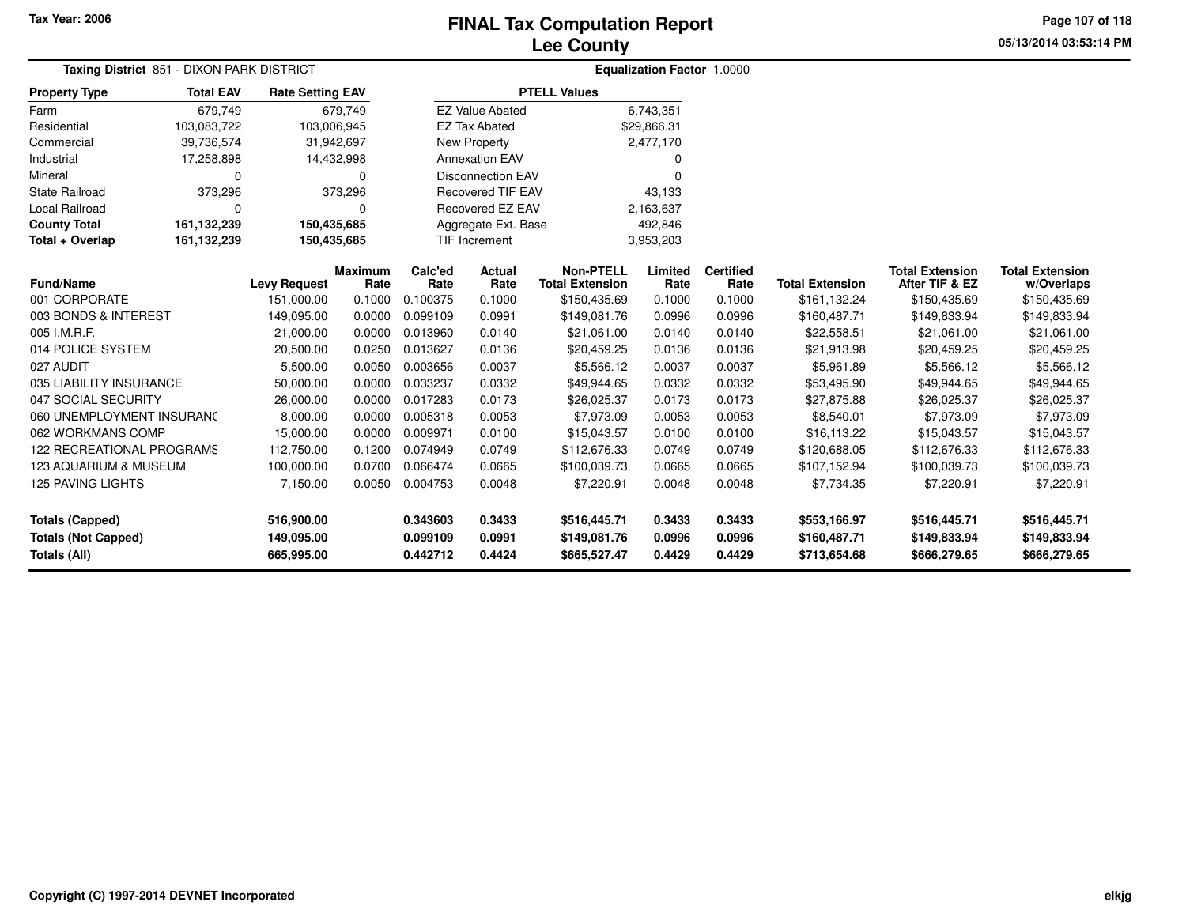125 PAVING LIGHTS

**Totals (Not Capped)**

**Totals (Capped)**

**Totals (All)**

### **Lee CountyFINAL Tax Computation Report**

**05/13/2014 03:53:14 PMPage 107 of 118**

|                           | Taxing District 851 - DIXON PARK DISTRICT |                         |                 |                 |                          |                                            | <b>Equalization Factor 1.0000</b> |                          |                        |                                          |                                      |
|---------------------------|-------------------------------------------|-------------------------|-----------------|-----------------|--------------------------|--------------------------------------------|-----------------------------------|--------------------------|------------------------|------------------------------------------|--------------------------------------|
| <b>Property Type</b>      | <b>Total EAV</b>                          | <b>Rate Setting EAV</b> |                 |                 |                          | <b>PTELL Values</b>                        |                                   |                          |                        |                                          |                                      |
| Farm                      | 679,749                                   |                         | 679,749         |                 | <b>EZ Value Abated</b>   |                                            | 6,743,351                         |                          |                        |                                          |                                      |
| Residential               | 103,083,722                               | 103,006,945             |                 |                 | <b>EZ Tax Abated</b>     |                                            | \$29,866.31                       |                          |                        |                                          |                                      |
| Commercial                | 39,736,574                                | 31,942,697              |                 |                 | New Property             |                                            | 2,477,170                         |                          |                        |                                          |                                      |
| Industrial                | 17,258,898                                | 14,432,998              |                 |                 | <b>Annexation EAV</b>    |                                            | <sup>0</sup>                      |                          |                        |                                          |                                      |
| Mineral                   | O                                         |                         | 0               |                 | <b>Disconnection EAV</b> |                                            |                                   |                          |                        |                                          |                                      |
| State Railroad            | 373,296                                   |                         | 373,296         |                 | <b>Recovered TIF EAV</b> |                                            | 43,133                            |                          |                        |                                          |                                      |
| Local Railroad            |                                           |                         | 0               |                 | Recovered EZ EAV         |                                            | 2,163,637                         |                          |                        |                                          |                                      |
| <b>County Total</b>       | 161,132,239                               | 150,435,685             |                 |                 | Aggregate Ext. Base      |                                            | 492,846                           |                          |                        |                                          |                                      |
| Total + Overlap           | 161,132,239                               | 150,435,685             |                 | TIF Increment   |                          |                                            | 3,953,203                         |                          |                        |                                          |                                      |
| <b>Fund/Name</b>          |                                           | <b>Levy Request</b>     | Maximum<br>Rate | Calc'ed<br>Rate | Actual<br>Rate           | <b>Non-PTELL</b><br><b>Total Extension</b> | Limited<br>Rate                   | <b>Certified</b><br>Rate | <b>Total Extension</b> | <b>Total Extension</b><br>After TIF & EZ | <b>Total Extension</b><br>w/Overlaps |
| 001 CORPORATE             |                                           | 151,000.00              | 0.1000          | 0.100375        | 0.1000                   | \$150,435.69                               | 0.1000                            | 0.1000                   | \$161,132.24           | \$150,435.69                             | \$150,435.69                         |
| 003 BONDS & INTEREST      |                                           | 149,095.00              | 0.0000          | 0.099109        | 0.0991                   | \$149,081.76                               | 0.0996                            | 0.0996                   | \$160,487.71           | \$149,833.94                             | \$149,833.94                         |
| 005 I.M.R.F.              |                                           | 21,000.00               | 0.0000          | 0.013960        | 0.0140                   | \$21,061.00                                | 0.0140                            | 0.0140                   | \$22,558.51            | \$21,061.00                              | \$21,061.00                          |
| 014 POLICE SYSTEM         |                                           | 20,500.00               | 0.0250          | 0.013627        | 0.0136                   | \$20,459.25                                | 0.0136                            | 0.0136                   | \$21,913.98            | \$20,459.25                              | \$20,459.25                          |
| 027 AUDIT                 |                                           | 5,500.00                | 0.0050          | 0.003656        | 0.0037                   | \$5,566.12                                 | 0.0037                            | 0.0037                   | \$5,961.89             | \$5,566.12                               | \$5,566.12                           |
| 035 LIABILITY INSURANCE   |                                           | 50,000.00               | 0.0000          | 0.033237        | 0.0332                   | \$49,944.65                                | 0.0332                            | 0.0332                   | \$53,495.90            | \$49,944.65                              | \$49,944.65                          |
| 047 SOCIAL SECURITY       |                                           | 26,000.00               | 0.0000          | 0.017283        | 0.0173                   | \$26,025.37                                | 0.0173                            | 0.0173                   | \$27,875.88            | \$26,025.37                              | \$26,025.37                          |
| 060 UNEMPLOYMENT INSURANC |                                           | 8,000.00                | 0.0000          | 0.005318        | 0.0053                   | \$7,973.09                                 | 0.0053                            | 0.0053                   | \$8,540.01             | \$7,973.09                               | \$7,973.09                           |
| 062 WORKMANS COMP         |                                           | 15,000.00               | 0.0000          | 0.009971        | 0.0100                   | \$15,043.57                                | 0.0100                            | 0.0100                   | \$16,113.22            | \$15,043.57                              | \$15,043.57                          |
| 122 RECREATIONAL PROGRAMS |                                           | 112,750.00              | 0.1200          | 0.074949        | 0.0749                   | \$112,676.33                               | 0.0749                            | 0.0749                   | \$120,688.05           | \$112,676.33                             | \$112,676.33                         |
| 123 AQUARIUM & MUSEUM     |                                           | 100,000.00              | 0.0700          | 0.066474        | 0.0665                   | \$100,039.73                               | 0.0665                            | 0.0665                   | \$107,152.94           | \$100,039.73                             | \$100,039.73                         |
|                           |                                           | - .-- - -               | $\cdots$        |                 |                          |                                            | $\sim$ $\sim$ $\sim$              |                          |                        |                                          |                                      |

7,150.00 0.0050 0.004753 0.0048 \$7,220.91 0.0048 0.0048 \$7,734.35 \$7,220.91 \$7,220.91

**0.343603 0.3433 \$516,445.71 0.3433 0.3433 \$553,166.97 \$516,445.71 \$516,445.71**

**0.099109 0.0991 \$149,081.76 0.0996 0.0996 \$160,487.71 \$149,833.94 \$149,833.94**

**0.442712 0.4424 \$665,527.47 0.4429 0.4429 \$713,654.68 \$666,279.65 \$666,279.65**

**516,900.00**

**149,095.00**

**665,995.00**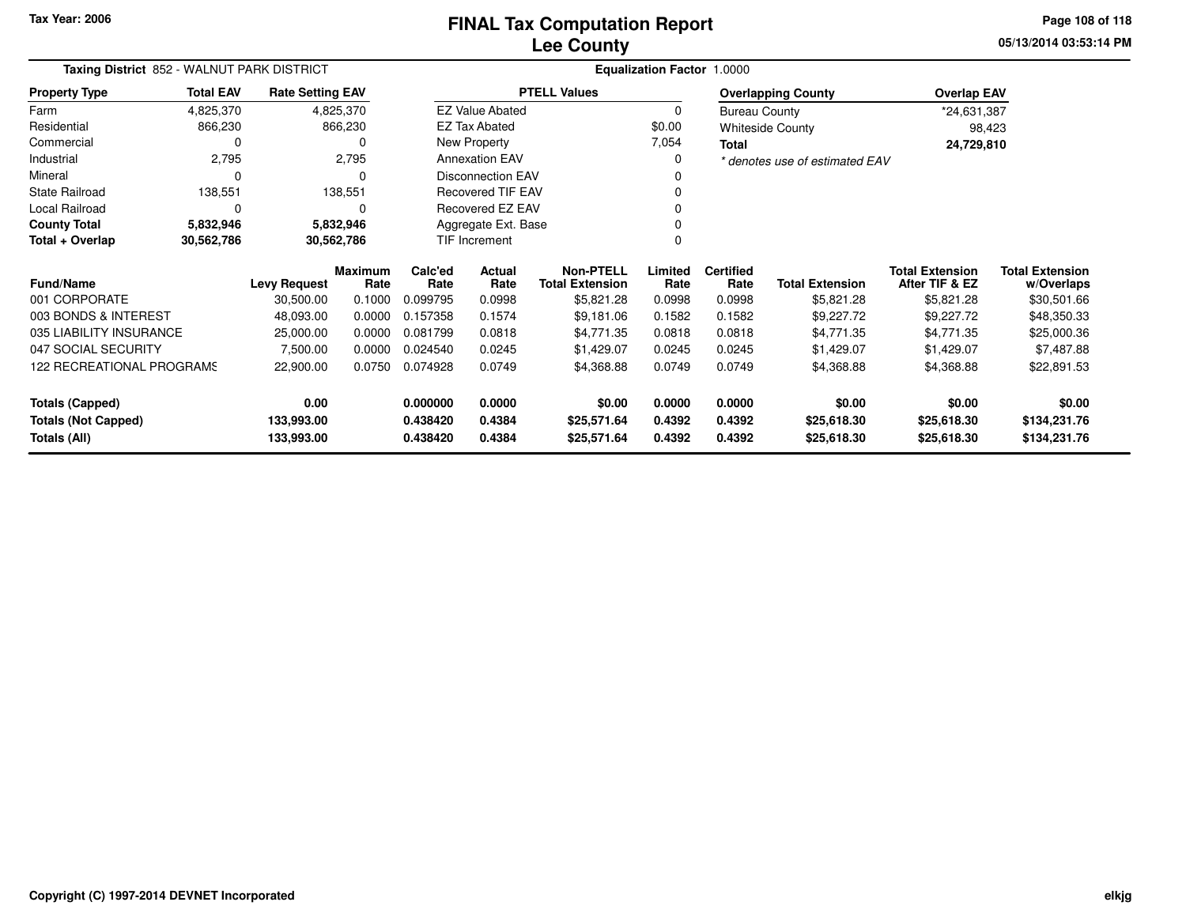**05/13/2014 03:53:14 PMPage 108 of 118**

| Taxing District 852 - WALNUT PARK DISTRICT |                  |                         |                        |                          | <b>Equalization Factor 1.0000</b> |                                            |                 |                                |                        |                                          |                                      |  |
|--------------------------------------------|------------------|-------------------------|------------------------|--------------------------|-----------------------------------|--------------------------------------------|-----------------|--------------------------------|------------------------|------------------------------------------|--------------------------------------|--|
| <b>Property Type</b>                       | <b>Total EAV</b> | <b>Rate Setting EAV</b> |                        | <b>PTELL Values</b>      |                                   |                                            |                 | <b>Overlapping County</b>      |                        | <b>Overlap EAV</b>                       |                                      |  |
| Farm                                       | 4,825,370        | 4,825,370               |                        | <b>EZ Value Abated</b>   |                                   |                                            | 0               | <b>Bureau County</b>           |                        | *24,631,387                              |                                      |  |
| Residential                                | 866,230          | 866,230                 |                        | <b>EZ Tax Abated</b>     |                                   |                                            | \$0.00          | <b>Whiteside County</b>        |                        | 98,423                                   |                                      |  |
| Commercial                                 | 0                |                         |                        |                          | New Property                      |                                            | 7,054           | Total                          |                        | 24,729,810                               |                                      |  |
| Industrial                                 | 2,795            | 2,795                   |                        | <b>Annexation EAV</b>    |                                   |                                            | 0               | * denotes use of estimated EAV |                        |                                          |                                      |  |
| Mineral                                    | $\Omega$         | $\Omega$                |                        | <b>Disconnection EAV</b> |                                   |                                            | 0               |                                |                        |                                          |                                      |  |
| State Railroad                             | 138,551          | 138,551                 |                        | <b>Recovered TIF EAV</b> |                                   |                                            | $\Omega$        |                                |                        |                                          |                                      |  |
| Local Railroad                             | $\Omega$         |                         |                        | Recovered EZ EAV         |                                   |                                            | $\Omega$        |                                |                        |                                          |                                      |  |
| <b>County Total</b>                        | 5,832,946        | 5,832,946               |                        | Aggregate Ext. Base      |                                   |                                            | 0               |                                |                        |                                          |                                      |  |
| Total + Overlap                            | 30,562,786       | 30,562,786              |                        | TIF Increment            |                                   |                                            | $\Omega$        |                                |                        |                                          |                                      |  |
| <b>Fund/Name</b>                           |                  | <b>Levy Request</b>     | <b>Maximum</b><br>Rate | Calc'ed<br>Rate          | Actual<br>Rate                    | <b>Non-PTELL</b><br><b>Total Extension</b> | Limited<br>Rate | <b>Certified</b><br>Rate       | <b>Total Extension</b> | <b>Total Extension</b><br>After TIF & EZ | <b>Total Extension</b><br>w/Overlaps |  |
| 001 CORPORATE                              |                  | 30,500.00               | 0.1000                 | 0.099795                 | 0.0998                            | \$5,821.28                                 | 0.0998          | 0.0998                         | \$5,821.28             | \$5,821.28                               | \$30,501.66                          |  |
| 003 BONDS & INTEREST                       |                  | 48,093.00               | 0.0000                 | 0.157358                 | 0.1574                            | \$9,181.06                                 | 0.1582          | 0.1582                         | \$9,227.72             | \$9,227.72                               | \$48,350.33                          |  |
| 035 LIABILITY INSURANCE                    |                  | 25,000.00               | 0.0000                 | 0.081799                 | 0.0818                            | \$4,771.35                                 | 0.0818          | 0.0818                         | \$4,771.35             | \$4,771.35                               | \$25,000.36                          |  |
| 047 SOCIAL SECURITY                        |                  | 7,500.00                | 0.0000                 | 0.024540                 | 0.0245                            | \$1,429.07                                 | 0.0245          | 0.0245                         | \$1,429.07             | \$1,429.07                               | \$7,487.88                           |  |
| <b>122 RECREATIONAL PROGRAMS</b>           |                  | 22,900.00               | 0.0750                 | 0.074928                 | 0.0749                            | \$4,368.88                                 | 0.0749          | 0.0749                         | \$4,368.88             | \$4,368.88                               | \$22,891.53                          |  |
| <b>Totals (Capped)</b>                     |                  | 0.00                    |                        | 0.000000                 | 0.0000                            | \$0.00                                     | 0.0000          | 0.0000                         | \$0.00                 | \$0.00                                   | \$0.00                               |  |
| <b>Totals (Not Capped)</b>                 |                  | 133,993.00              |                        | 0.438420                 | 0.4384                            | \$25,571.64                                | 0.4392          | 0.4392                         | \$25,618.30            | \$25,618.30                              | \$134,231.76                         |  |
| Totals (All)                               |                  | 133,993.00              |                        | 0.438420                 | 0.4384                            | \$25,571.64                                | 0.4392          | 0.4392                         | \$25,618.30            | \$25,618.30                              | \$134,231.76                         |  |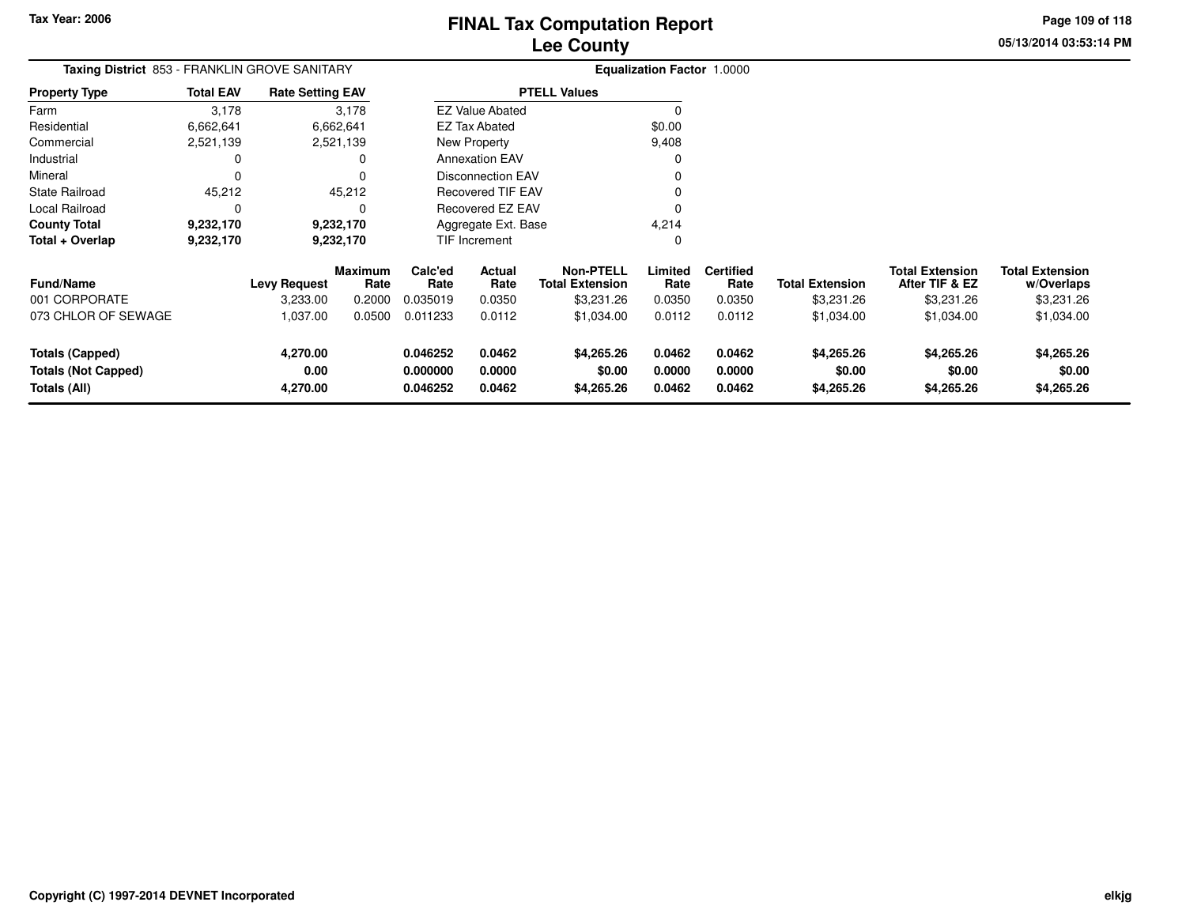**Page 109 of 118**

**05/13/2014 03:53:14 PM**

**w/Overlaps**\$3,231.26

| <b>Taxing District</b> 853 - FRANKLIN GROVE SANITARY |           |                     |                                                                                                             |                          |                                     |                                               |                          |                                   |                                          |                                      |
|------------------------------------------------------|-----------|---------------------|-------------------------------------------------------------------------------------------------------------|--------------------------|-------------------------------------|-----------------------------------------------|--------------------------|-----------------------------------|------------------------------------------|--------------------------------------|
| <b>Total EAV</b>                                     |           |                     |                                                                                                             |                          |                                     |                                               |                          |                                   |                                          |                                      |
| 3,178                                                |           |                     |                                                                                                             |                          |                                     |                                               |                          |                                   |                                          |                                      |
| 6,662,641                                            |           |                     |                                                                                                             |                          |                                     | \$0.00                                        |                          |                                   |                                          |                                      |
| 2,521,139                                            |           |                     | New Property                                                                                                |                          |                                     | 9,408                                         |                          |                                   |                                          |                                      |
|                                                      |           |                     |                                                                                                             | <b>Annexation EAV</b>    |                                     |                                               |                          |                                   |                                          |                                      |
|                                                      |           |                     |                                                                                                             | <b>Disconnection EAV</b> |                                     |                                               |                          |                                   |                                          |                                      |
| 45,212                                               |           |                     | <b>Recovered TIF EAV</b><br>Recovered EZ EAV<br>Aggregate Ext. Base                                         |                          |                                     |                                               |                          |                                   |                                          |                                      |
| 0                                                    |           |                     |                                                                                                             |                          |                                     |                                               |                          |                                   |                                          |                                      |
| 9,232,170                                            |           |                     |                                                                                                             |                          |                                     | 4,214                                         |                          |                                   |                                          |                                      |
| 9,232,170                                            | 9,232,170 |                     | TIF Increment                                                                                               |                          |                                     |                                               |                          |                                   |                                          |                                      |
|                                                      |           |                     | Calc'ed<br>Rate                                                                                             | Actual<br>Rate           | Non-PTELL<br><b>Total Extension</b> | Limited<br>Rate                               | <b>Certified</b><br>Rate | <b>Total Extension</b>            | <b>Total Extension</b><br>After TIF & EZ | <b>Total Extension</b><br>w/Overlaps |
|                                                      | 3,233.00  | 0.2000              | 0.035019                                                                                                    | 0.0350                   | \$3,231.26                          | 0.0350                                        | 0.0350                   | \$3,231.26                        | \$3,231.26                               | \$3,231.26                           |
|                                                      | 1,037.00  | 0.0500              | 0.011233                                                                                                    | 0.0112                   | \$1,034.00                          | 0.0112                                        | 0.0112                   | \$1,034.00                        | \$1,034.00                               | \$1,034.00                           |
|                                                      | 4,270.00  |                     | 0.046252                                                                                                    | 0.0462                   | \$4,265.26                          | 0.0462                                        | 0.0462                   | \$4,265.26                        | \$4,265.26                               | \$4,265.26                           |
|                                                      | 0.00      |                     | 0.000000                                                                                                    | 0.0000                   | \$0.00                              | 0.0000                                        | 0.0000                   | \$0.00                            | \$0.00                                   | \$0.00                               |
|                                                      | 4,270.00  |                     | 0.046252                                                                                                    | 0.0462                   | \$4,265.26                          | 0.0462                                        | 0.0462                   | \$4,265.26                        | \$4,265.26                               | \$4,265.26                           |
|                                                      |           | <b>Levy Request</b> | <b>Rate Setting EAV</b><br>3,178<br>6,662,641<br>2,521,139<br>45,212<br>9,232,170<br><b>Maximum</b><br>Rate |                          | <b>EZ Tax Abated</b>                | <b>PTELL Values</b><br><b>EZ Value Abated</b> |                          | <b>Equalization Factor 1.0000</b> |                                          |                                      |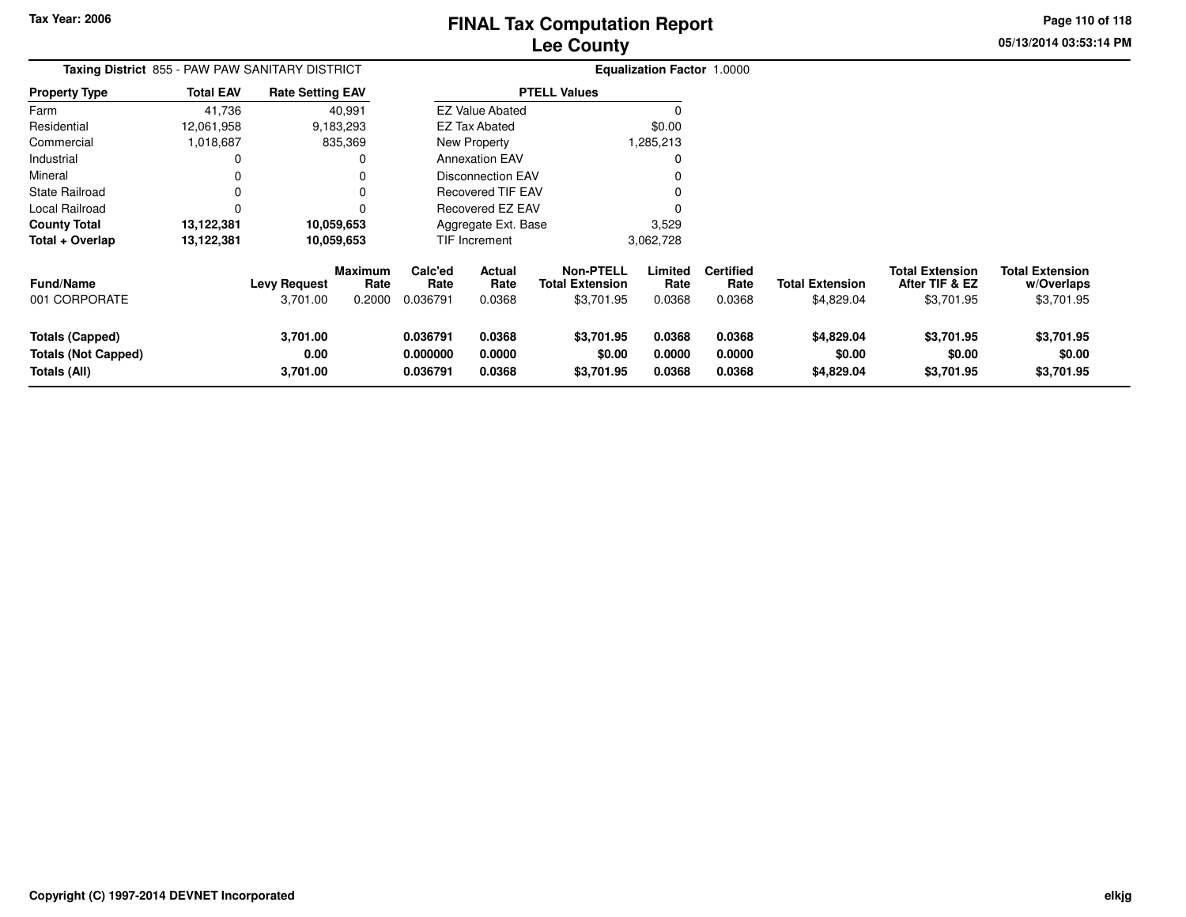**Page 110 of 118**

**w/Overlaps**\$3,701.95

| Taxing District 855 - PAW PAW SANITARY DISTRICT                      |                  |                                 |                                  |                                  |                                                                     |                                                          | Equalization Factor 1.0000 |                                    |                                      |                                                        |                                                    |
|----------------------------------------------------------------------|------------------|---------------------------------|----------------------------------|----------------------------------|---------------------------------------------------------------------|----------------------------------------------------------|----------------------------|------------------------------------|--------------------------------------|--------------------------------------------------------|----------------------------------------------------|
| <b>Property Type</b>                                                 | <b>Total EAV</b> | <b>Rate Setting EAV</b>         |                                  |                                  |                                                                     | <b>PTELL Values</b>                                      |                            |                                    |                                      |                                                        |                                                    |
| Farm                                                                 | 41,736           |                                 | 40,991                           |                                  | <b>EZ Value Abated</b>                                              |                                                          |                            |                                    |                                      |                                                        |                                                    |
| Residential                                                          | 12,061,958       |                                 | 9,183,293                        |                                  | EZ Tax Abated                                                       |                                                          | \$0.00                     |                                    |                                      |                                                        |                                                    |
| Commercial                                                           | 1,018,687        |                                 | 835,369                          | New Property                     |                                                                     |                                                          | 1,285,213                  |                                    |                                      |                                                        |                                                    |
| Industrial                                                           |                  |                                 | 0                                |                                  | <b>Annexation EAV</b>                                               |                                                          |                            |                                    |                                      |                                                        |                                                    |
| Mineral                                                              |                  |                                 |                                  |                                  | <b>Disconnection EAV</b>                                            |                                                          |                            |                                    |                                      |                                                        |                                                    |
| State Railroad                                                       |                  |                                 |                                  |                                  | <b>Recovered TIF EAV</b><br>Recovered EZ EAV<br>Aggregate Ext. Base |                                                          |                            |                                    |                                      |                                                        |                                                    |
| Local Railroad                                                       |                  |                                 |                                  |                                  |                                                                     |                                                          |                            |                                    |                                      |                                                        |                                                    |
| <b>County Total</b>                                                  | 13,122,381       |                                 | 10,059,653                       |                                  |                                                                     |                                                          | 3,529                      |                                    |                                      |                                                        |                                                    |
| Total + Overlap                                                      | 13,122,381       | 10,059,653                      |                                  | TIF Increment                    |                                                                     |                                                          | 3,062,728                  |                                    |                                      |                                                        |                                                    |
| Fund/Name<br>001 CORPORATE                                           |                  | <b>Levy Request</b><br>3,701.00 | <b>Maximum</b><br>Rate<br>0.2000 | Calc'ed<br>Rate<br>0.036791      | Actual<br>Rate<br>0.0368                                            | <b>Non-PTELL</b><br><b>Total Extension</b><br>\$3,701.95 | Limited<br>Rate<br>0.0368  | <b>Certified</b><br>Rate<br>0.0368 | <b>Total Extension</b><br>\$4,829.04 | <b>Total Extension</b><br>After TIF & EZ<br>\$3,701.95 | <b>Total Extension</b><br>w/Overlaps<br>\$3,701.95 |
| <b>Totals (Capped)</b><br><b>Totals (Not Capped)</b><br>Totals (All) |                  | 3,701.00<br>0.00<br>3,701.00    |                                  | 0.036791<br>0.000000<br>0.036791 | 0.0368<br>0.0000<br>0.0368                                          | \$3,701.95<br>\$0.00<br>\$3,701.95                       | 0.0368<br>0.0000<br>0.0368 | 0.0368<br>0.0000<br>0.0368         | \$4,829.04<br>\$0.00<br>\$4,829.04   | \$3,701.95<br>\$0.00<br>\$3,701.95                     | \$3,701.95<br>\$0.00<br>\$3,701.95                 |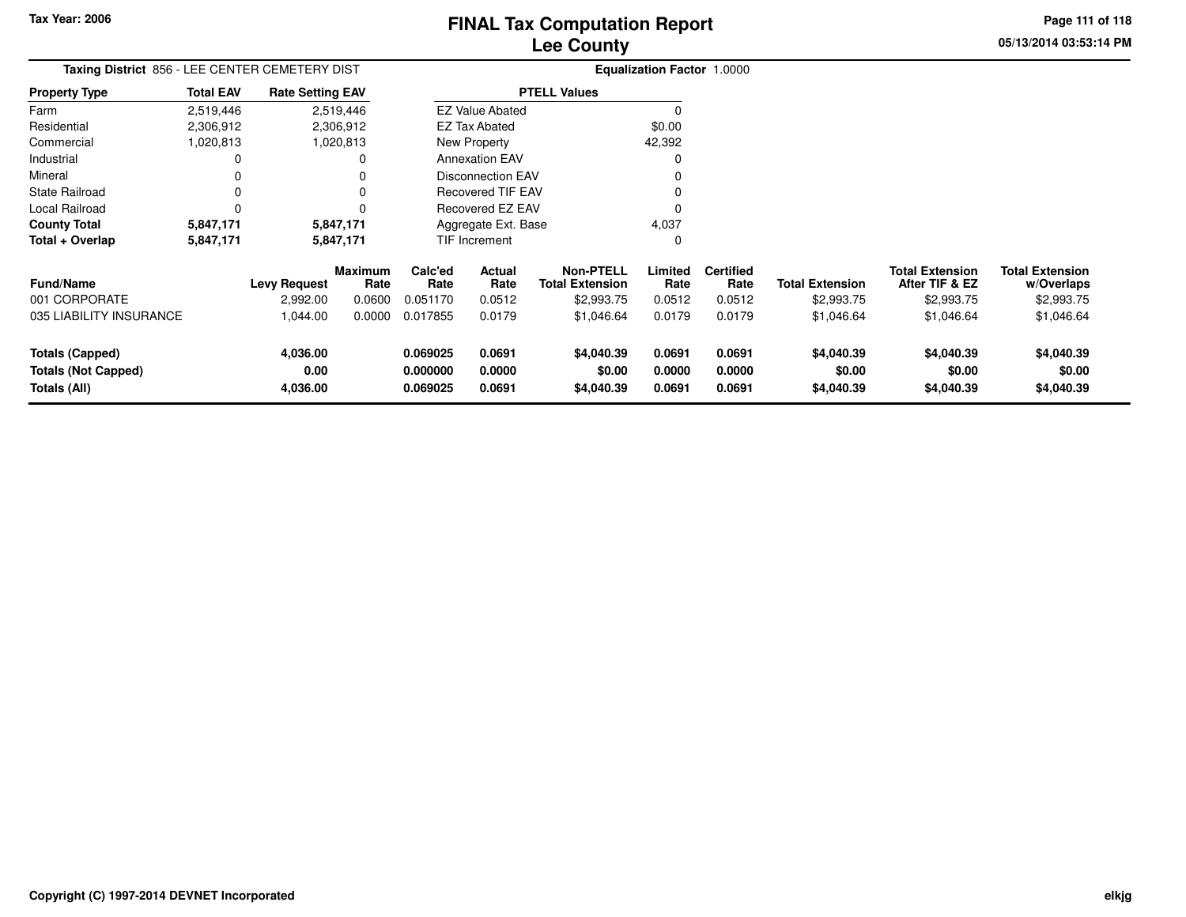**05/13/2014 03:53:14 PMPage 111 of 118**

| Taxing District 856 - LEE CENTER CEMETERY DIST                       |                  |                              |                        |                                  |                            |                                            | <b>Equalization Factor 1.0000</b> |                            |                                    |                                          |                                      |
|----------------------------------------------------------------------|------------------|------------------------------|------------------------|----------------------------------|----------------------------|--------------------------------------------|-----------------------------------|----------------------------|------------------------------------|------------------------------------------|--------------------------------------|
| Property Type                                                        | <b>Total EAV</b> | <b>Rate Setting EAV</b>      |                        | <b>PTELL Values</b>              |                            |                                            |                                   |                            |                                    |                                          |                                      |
| Farm                                                                 | 2,519,446        |                              | 2,519,446              |                                  | <b>EZ Value Abated</b>     |                                            |                                   |                            |                                    |                                          |                                      |
| Residential                                                          | 2,306,912        |                              | 2,306,912              |                                  | <b>EZ Tax Abated</b>       |                                            | \$0.00                            |                            |                                    |                                          |                                      |
| Commercial                                                           | 1,020,813        |                              | 1,020,813              | New Property                     |                            |                                            | 42,392                            |                            |                                    |                                          |                                      |
| Industrial                                                           |                  |                              |                        |                                  | <b>Annexation EAV</b>      |                                            |                                   |                            |                                    |                                          |                                      |
| Mineral                                                              |                  |                              |                        |                                  | <b>Disconnection EAV</b>   |                                            |                                   |                            |                                    |                                          |                                      |
| State Railroad                                                       |                  |                              |                        |                                  | <b>Recovered TIF EAV</b>   |                                            |                                   |                            |                                    |                                          |                                      |
| Local Railroad                                                       | 0                |                              |                        | Recovered EZ EAV                 |                            |                                            |                                   |                            |                                    |                                          |                                      |
| <b>County Total</b>                                                  | 5,847,171        |                              | 5,847,171              | Aggregate Ext. Base              |                            |                                            | 4,037                             |                            |                                    |                                          |                                      |
| Total + Overlap                                                      | 5,847,171        |                              | 5,847,171              | TIF Increment                    |                            |                                            | 0                                 |                            |                                    |                                          |                                      |
| <b>Fund/Name</b>                                                     |                  | <b>Levy Request</b>          | <b>Maximum</b><br>Rate | Calc'ed<br>Rate                  | Actual<br>Rate             | <b>Non-PTELL</b><br><b>Total Extension</b> | Limited<br>Rate                   | <b>Certified</b><br>Rate   | <b>Total Extension</b>             | <b>Total Extension</b><br>After TIF & EZ | <b>Total Extension</b><br>w/Overlaps |
| 001 CORPORATE                                                        |                  | 2,992.00                     | 0.0600                 | 0.051170                         | 0.0512                     | \$2,993.75                                 | 0.0512                            | 0.0512                     | \$2,993.75                         | \$2,993.75                               | \$2,993.75                           |
| 035 LIABILITY INSURANCE                                              |                  | 1,044.00                     | 0.0000                 | 0.017855                         | 0.0179                     | \$1,046.64                                 | 0.0179                            | 0.0179                     | \$1,046.64                         | \$1,046.64                               | \$1,046.64                           |
| <b>Totals (Capped)</b><br><b>Totals (Not Capped)</b><br>Totals (All) |                  | 4,036.00<br>0.00<br>4,036.00 |                        | 0.069025<br>0.000000<br>0.069025 | 0.0691<br>0.0000<br>0.0691 | \$4,040.39<br>\$0.00<br>\$4,040.39         | 0.0691<br>0.0000<br>0.0691        | 0.0691<br>0.0000<br>0.0691 | \$4,040.39<br>\$0.00<br>\$4,040.39 | \$4,040.39<br>\$0.00<br>\$4,040.39       | \$4,040.39<br>\$0.00<br>\$4,040.39   |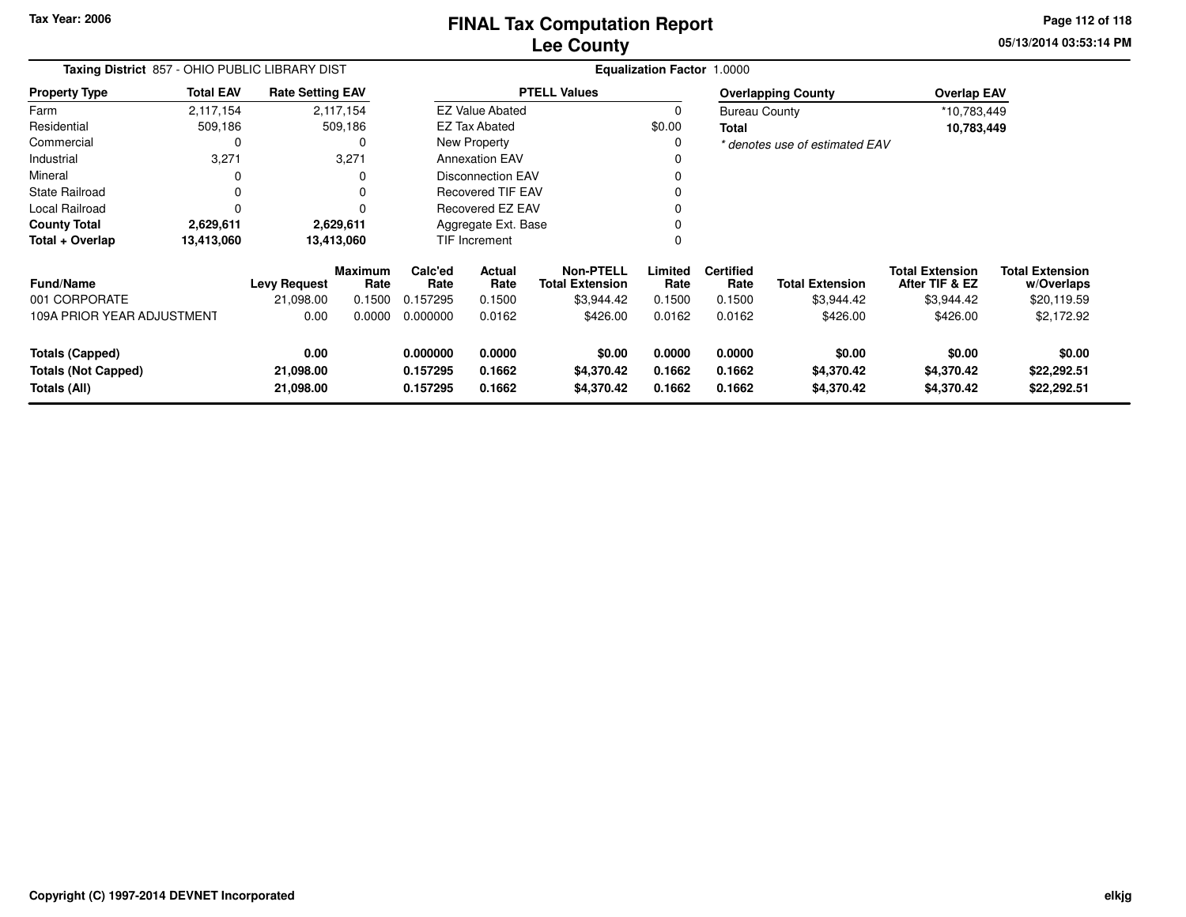**Tax Year: 2006**

### **Lee CountyFINAL Tax Computation Report** FINAL Tax Computation Report

**05/13/2014 03:53:14 PMPage 112 of 118**

| Taxing District 857 - OHIO PUBLIC LIBRARY DIST                       |                  |                                |                        | Equalization Factor 1.0000       |                            |                                            |                            |                                |                                    |                                          |                                      |  |
|----------------------------------------------------------------------|------------------|--------------------------------|------------------------|----------------------------------|----------------------------|--------------------------------------------|----------------------------|--------------------------------|------------------------------------|------------------------------------------|--------------------------------------|--|
| <b>Property Type</b>                                                 | <b>Total EAV</b> | <b>Rate Setting EAV</b>        |                        |                                  | <b>PTELL Values</b>        |                                            |                            |                                | <b>Overlapping County</b>          | <b>Overlap EAV</b>                       |                                      |  |
| Farm                                                                 | 2,117,154        |                                | 2,117,154              | <b>EZ Value Abated</b>           |                            |                                            | 0                          | <b>Bureau County</b>           |                                    | *10,783,449                              |                                      |  |
| Residential                                                          | 509,186          |                                | 509,186                | <b>EZ Tax Abated</b>             |                            | \$0.00                                     | Total                      |                                | 10,783,449                         |                                          |                                      |  |
| Commercial                                                           |                  |                                | 0                      | New Property                     |                            | 0                                          |                            | * denotes use of estimated EAV |                                    |                                          |                                      |  |
| Industrial                                                           | 3,271            |                                | 3,271                  | <b>Annexation EAV</b>            |                            |                                            |                            |                                |                                    |                                          |                                      |  |
| Mineral                                                              |                  |                                |                        |                                  | <b>Disconnection EAV</b>   |                                            |                            |                                |                                    |                                          |                                      |  |
| <b>State Railroad</b>                                                | 0                |                                |                        |                                  | <b>Recovered TIF EAV</b>   |                                            |                            |                                |                                    |                                          |                                      |  |
| Local Railroad                                                       | $\Omega$         |                                |                        |                                  | Recovered EZ EAV           |                                            | $\Omega$                   |                                |                                    |                                          |                                      |  |
| <b>County Total</b>                                                  | 2,629,611        |                                | 2,629,611              | Aggregate Ext. Base              |                            |                                            |                            |                                |                                    |                                          |                                      |  |
| Total + Overlap                                                      | 13,413,060       |                                | 13,413,060             |                                  | TIF Increment              |                                            | $\Omega$                   |                                |                                    |                                          |                                      |  |
| <b>Fund/Name</b>                                                     |                  | <b>Levy Request</b>            | <b>Maximum</b><br>Rate | Calc'ed<br>Rate                  | Actual<br>Rate             | <b>Non-PTELL</b><br><b>Total Extension</b> | Limited<br>Rate            | <b>Certified</b><br>Rate       | <b>Total Extension</b>             | <b>Total Extension</b><br>After TIF & EZ | <b>Total Extension</b><br>w/Overlaps |  |
| 001 CORPORATE                                                        |                  | 21,098.00                      | 0.1500                 | 0.157295                         | 0.1500                     | \$3,944.42                                 | 0.1500                     | 0.1500                         | \$3,944.42                         | \$3,944.42                               | \$20,119.59                          |  |
| 109A PRIOR YEAR ADJUSTMENT                                           |                  | 0.00                           | 0.0000                 | 0.000000                         | 0.0162                     | \$426.00                                   | 0.0162                     | 0.0162                         | \$426.00                           | \$426.00                                 | \$2,172.92                           |  |
| <b>Totals (Capped)</b><br><b>Totals (Not Capped)</b><br>Totals (All) |                  | 0.00<br>21,098.00<br>21,098.00 |                        | 0.000000<br>0.157295<br>0.157295 | 0.0000<br>0.1662<br>0.1662 | \$0.00<br>\$4,370.42<br>\$4,370.42         | 0.0000<br>0.1662<br>0.1662 | 0.0000<br>0.1662<br>0.1662     | \$0.00<br>\$4,370.42<br>\$4,370.42 | \$0.00<br>\$4,370.42<br>\$4,370.42       | \$0.00<br>\$22,292.51<br>\$22,292.51 |  |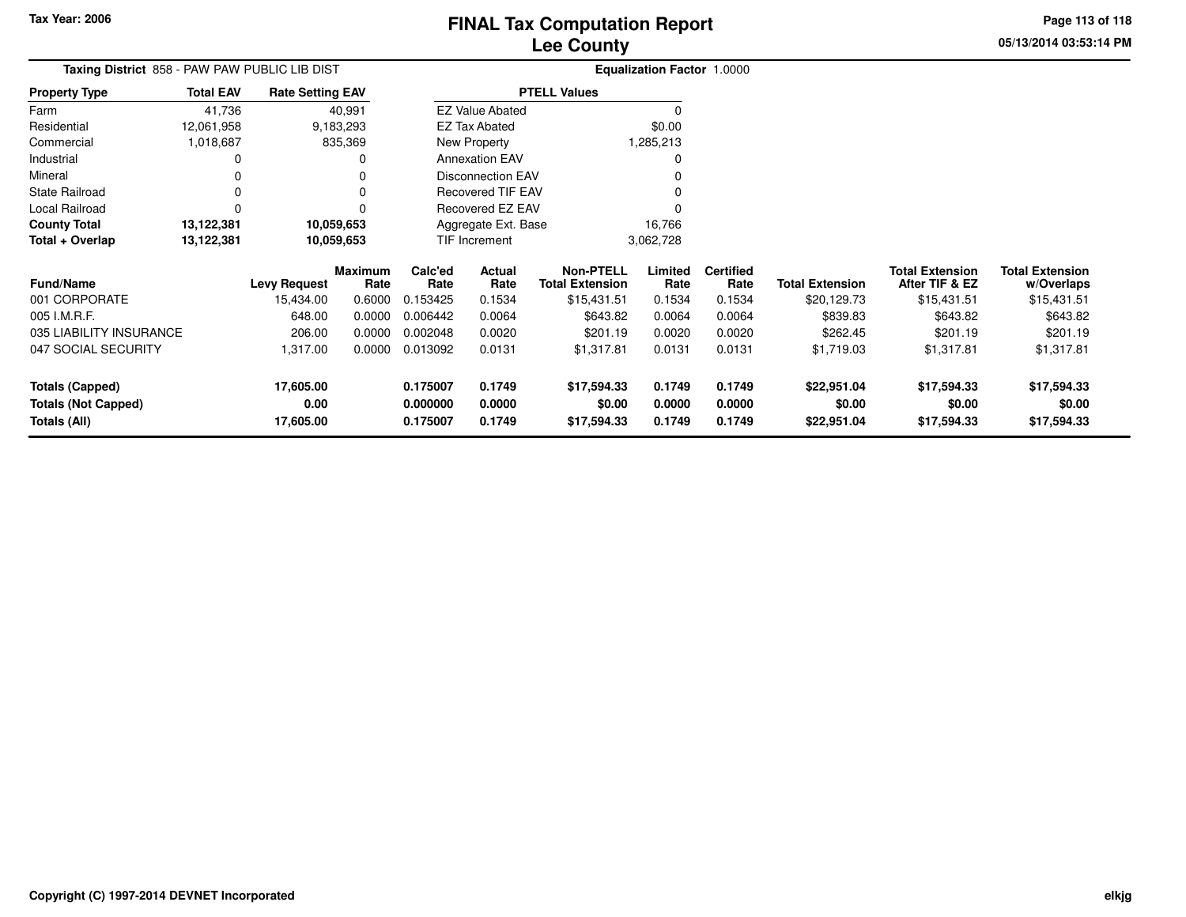**Tax Year: 2006**

# **Lee CountyFINAL Tax Computation Report**

**05/13/2014 03:53:14 PMPage 113 of 118**

| <b>THAL TAX COMPUTATION REPORT</b> |  |
|------------------------------------|--|
| <b>Lee County</b>                  |  |

| Taxing District 858 - PAW PAW PUBLIC LIB DIST |                  |                         |                        |                          |                        |                                            | Equalization Factor 1.0000 |                          |                        |                                          |                                      |
|-----------------------------------------------|------------------|-------------------------|------------------------|--------------------------|------------------------|--------------------------------------------|----------------------------|--------------------------|------------------------|------------------------------------------|--------------------------------------|
| <b>Property Type</b>                          | <b>Total EAV</b> | <b>Rate Setting EAV</b> |                        |                          |                        | <b>PTELL Values</b>                        |                            |                          |                        |                                          |                                      |
| Farm                                          | 41,736           |                         | 40,991                 |                          | <b>EZ Value Abated</b> |                                            |                            |                          |                        |                                          |                                      |
| Residential                                   | 12,061,958       |                         | 9,183,293              |                          | <b>EZ Tax Abated</b>   |                                            | \$0.00                     |                          |                        |                                          |                                      |
| Commercial                                    | 1,018,687        |                         | 835,369                | New Property             |                        |                                            | 1,285,213                  |                          |                        |                                          |                                      |
| Industrial                                    | 0                |                         | 0                      | <b>Annexation EAV</b>    |                        |                                            | 0                          |                          |                        |                                          |                                      |
| Mineral                                       |                  |                         | 0                      | <b>Disconnection EAV</b> |                        |                                            |                            |                          |                        |                                          |                                      |
| State Railroad                                | 0                |                         | 0                      | <b>Recovered TIF EAV</b> |                        |                                            |                            |                          |                        |                                          |                                      |
| Local Railroad                                | 0                |                         | $\Omega$               | Recovered EZ EAV         |                        |                                            | $\Omega$                   |                          |                        |                                          |                                      |
| <b>County Total</b>                           | 13,122,381       | 10,059,653              |                        | Aggregate Ext. Base      |                        |                                            | 16,766                     |                          |                        |                                          |                                      |
| Total + Overlap                               | 13,122,381       | 10,059,653              |                        | TIF Increment            |                        |                                            | 3,062,728                  |                          |                        |                                          |                                      |
| <b>Fund/Name</b>                              |                  | <b>Levy Request</b>     | <b>Maximum</b><br>Rate | Calc'ed<br>Rate          | Actual<br>Rate         | <b>Non-PTELL</b><br><b>Total Extension</b> | Limited<br>Rate            | <b>Certified</b><br>Rate | <b>Total Extension</b> | <b>Total Extension</b><br>After TIF & EZ | <b>Total Extension</b><br>w/Overlaps |
| 001 CORPORATE                                 |                  | 15,434.00               | 0.6000                 | 0.153425                 | 0.1534                 | \$15,431.51                                | 0.1534                     | 0.1534                   | \$20,129.73            | \$15,431.51                              | \$15,431.51                          |
| 005 I.M.R.F.                                  |                  | 648.00                  | 0.0000                 | 0.006442                 | 0.0064                 | \$643.82                                   | 0.0064                     | 0.0064                   | \$839.83               | \$643.82                                 | \$643.82                             |
| 035 LIABILITY INSURANCE                       |                  | 206.00                  | 0.0000                 | 0.002048                 | 0.0020                 | \$201.19                                   | 0.0020                     | 0.0020                   | \$262.45               | \$201.19                                 | \$201.19                             |
| 047 SOCIAL SECURITY                           |                  | 1,317.00                | 0.0000                 | 0.013092                 | 0.0131                 | \$1,317.81                                 | 0.0131                     | 0.0131                   | \$1,719.03             | \$1,317.81                               | \$1,317.81                           |
| <b>Totals (Capped)</b>                        |                  | 17,605.00               |                        | 0.175007                 | 0.1749                 | \$17,594.33                                | 0.1749                     | 0.1749                   | \$22,951.04            | \$17,594.33                              | \$17,594.33                          |
| <b>Totals (Not Capped)</b>                    |                  | 0.00                    |                        | 0.000000                 | 0.0000                 | \$0.00                                     | 0.0000                     | 0.0000                   | \$0.00                 | \$0.00                                   | \$0.00                               |
| Totals (All)                                  |                  | 17,605.00               |                        | 0.175007                 | 0.1749                 | \$17,594.33                                | 0.1749                     | 0.1749                   | \$22,951.04            | \$17,594.33                              | \$17,594.33                          |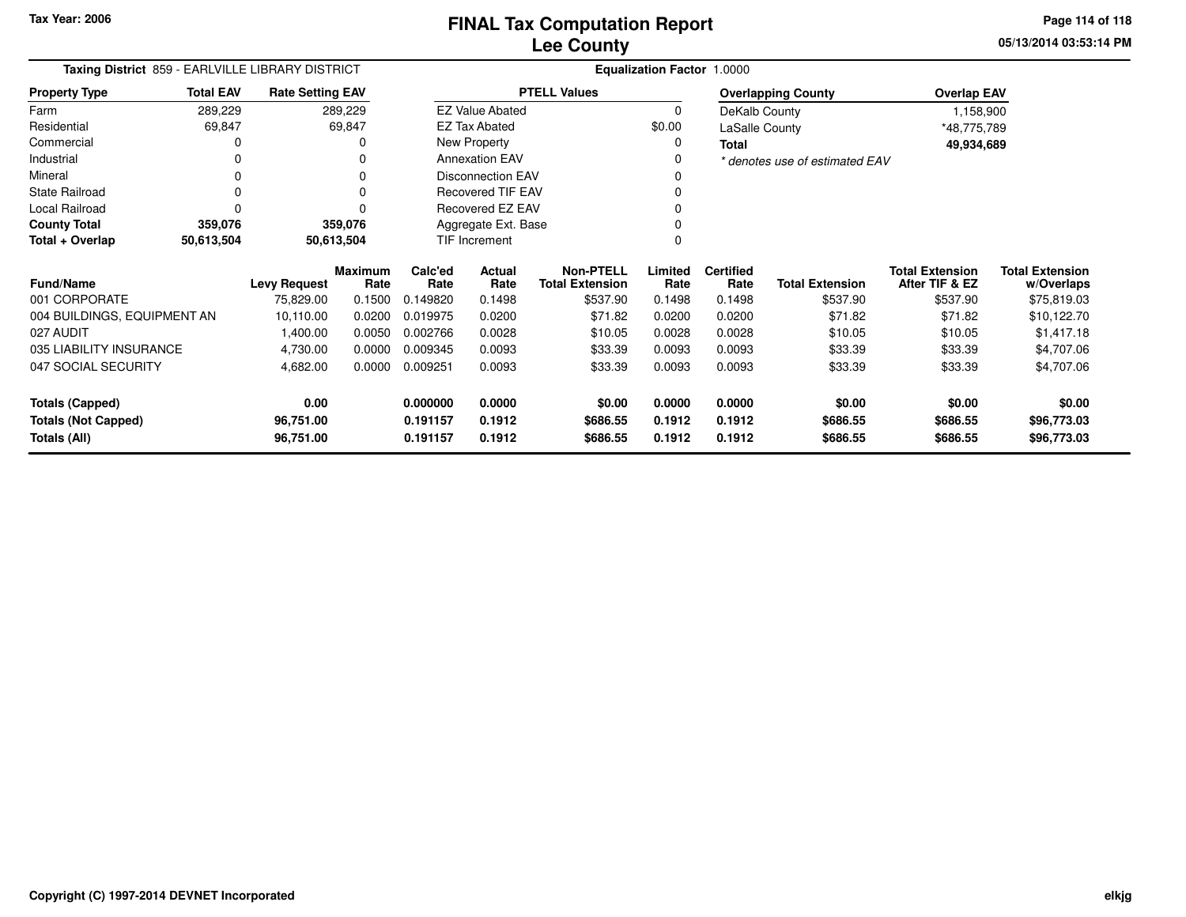**05/13/2014 03:53:14 PMPage 114 of 118**

| Taxing District 859 - EARLVILLE LIBRARY DISTRICT |                  |                         |                        | Equalization Factor 1.0000 |                          |                                            |                           |                          |                                |                                          |                                      |  |  |
|--------------------------------------------------|------------------|-------------------------|------------------------|----------------------------|--------------------------|--------------------------------------------|---------------------------|--------------------------|--------------------------------|------------------------------------------|--------------------------------------|--|--|
| <b>Property Type</b>                             | <b>Total EAV</b> | <b>Rate Setting EAV</b> |                        |                            |                          | <b>PTELL Values</b>                        | <b>Overlapping County</b> |                          |                                | <b>Overlap EAV</b>                       |                                      |  |  |
| Farm                                             | 289,229          |                         | 289,229                |                            | <b>EZ Value Abated</b>   |                                            | 0                         |                          | DeKalb County                  | 1,158,900                                |                                      |  |  |
| Residential                                      | 69,847           |                         | 69,847                 |                            | <b>EZ Tax Abated</b>     |                                            | \$0.00                    | LaSalle County           |                                | *48,775,789                              |                                      |  |  |
| Commercial                                       | 0                |                         |                        |                            | New Property             |                                            | 0                         | Total                    |                                | 49,934,689                               |                                      |  |  |
| Industrial                                       | $\Omega$         |                         |                        |                            | <b>Annexation EAV</b>    |                                            |                           |                          | * denotes use of estimated EAV |                                          |                                      |  |  |
| Mineral                                          | $\Omega$         |                         | $\Omega$               | <b>Disconnection EAV</b>   |                          |                                            |                           |                          |                                |                                          |                                      |  |  |
| <b>State Railroad</b>                            | $\Omega$         |                         |                        |                            | <b>Recovered TIF EAV</b> |                                            |                           |                          |                                |                                          |                                      |  |  |
| Local Railroad                                   | U                |                         | $\Omega$               |                            | Recovered EZ EAV         |                                            |                           |                          |                                |                                          |                                      |  |  |
| <b>County Total</b>                              | 359,076          |                         | 359,076                |                            | Aggregate Ext. Base      |                                            |                           |                          |                                |                                          |                                      |  |  |
| Total + Overlap                                  | 50,613,504       |                         | 50,613,504             |                            | <b>TIF Increment</b>     |                                            |                           |                          |                                |                                          |                                      |  |  |
| <b>Fund/Name</b>                                 |                  | <b>Levy Request</b>     | <b>Maximum</b><br>Rate | Calc'ed<br>Rate            | Actual<br>Rate           | <b>Non-PTELL</b><br><b>Total Extension</b> | Limited<br>Rate           | <b>Certified</b><br>Rate | <b>Total Extension</b>         | <b>Total Extension</b><br>After TIF & EZ | <b>Total Extension</b><br>w/Overlaps |  |  |
| 001 CORPORATE                                    |                  | 75,829.00               | 0.1500                 | 0.149820                   | 0.1498                   | \$537.90                                   | 0.1498                    | 0.1498                   | \$537.90                       | \$537.90                                 | \$75,819.03                          |  |  |
| 004 BUILDINGS, EQUIPMENT AN                      |                  | 10,110.00               | 0.0200                 | 0.019975                   | 0.0200                   | \$71.82                                    | 0.0200                    | 0.0200                   | \$71.82                        | \$71.82                                  | \$10,122.70                          |  |  |
| 027 AUDIT                                        |                  | 1,400.00                | 0.0050                 | 0.002766                   | 0.0028                   | \$10.05                                    | 0.0028                    | 0.0028                   | \$10.05                        | \$10.05                                  | \$1,417.18                           |  |  |
| 035 LIABILITY INSURANCE                          |                  | 4,730.00                | 0.0000                 | 0.009345                   | 0.0093                   | \$33.39                                    | 0.0093                    | 0.0093                   | \$33.39                        | \$33.39                                  | \$4,707.06                           |  |  |
| 047 SOCIAL SECURITY                              |                  | 4,682.00                | 0.0000                 | 0.009251                   | 0.0093                   | \$33.39                                    | 0.0093                    | 0.0093                   | \$33.39                        | \$33.39                                  | \$4,707.06                           |  |  |
| <b>Totals (Capped)</b>                           |                  | 0.00                    |                        | 0.000000                   | 0.0000                   | \$0.00                                     | 0.0000                    | 0.0000                   | \$0.00                         | \$0.00                                   | \$0.00                               |  |  |
| <b>Totals (Not Capped)</b>                       |                  | 96,751.00               |                        | 0.191157                   | 0.1912                   | \$686.55                                   | 0.1912                    | 0.1912                   | \$686.55                       | \$686.55                                 | \$96,773.03                          |  |  |
| Totals (All)                                     |                  | 96,751.00               |                        | 0.191157                   | 0.1912                   | \$686.55                                   | 0.1912                    | 0.1912                   | \$686.55                       | \$686.55                                 | \$96,773.03                          |  |  |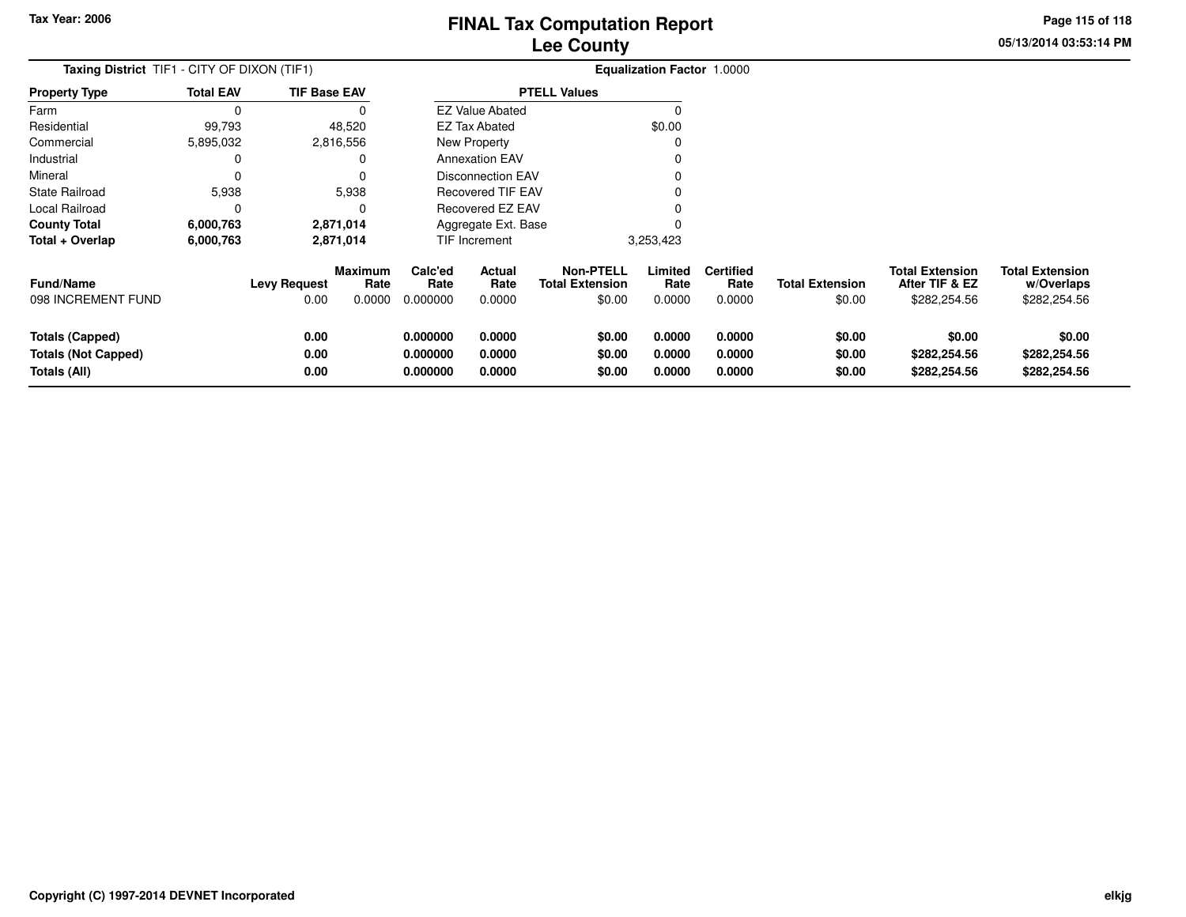**05/13/2014 03:53:14 PMPage 115 of 118**

| <b>Taxing District</b> TIF1 - CITY OF DIXON (TIF1)                   |                  |                      |                        |                                  |                            |                                            | <b>Equalization Factor 1.0000</b> |                            |                            |                                          |                                        |
|----------------------------------------------------------------------|------------------|----------------------|------------------------|----------------------------------|----------------------------|--------------------------------------------|-----------------------------------|----------------------------|----------------------------|------------------------------------------|----------------------------------------|
| <b>Property Type</b>                                                 | <b>Total EAV</b> | <b>TIF Base EAV</b>  |                        |                                  |                            | <b>PTELL Values</b>                        |                                   |                            |                            |                                          |                                        |
| Farm                                                                 | $\Omega$         |                      |                        |                                  | <b>EZ Value Abated</b>     |                                            |                                   |                            |                            |                                          |                                        |
| Residential                                                          | 99,793           |                      | 48,520                 |                                  | <b>EZ Tax Abated</b>       |                                            | \$0.00                            |                            |                            |                                          |                                        |
| Commercial                                                           | 5,895,032        |                      | 2,816,556              | New Property                     |                            |                                            |                                   |                            |                            |                                          |                                        |
| Industrial                                                           |                  |                      |                        |                                  | <b>Annexation EAV</b>      |                                            |                                   |                            |                            |                                          |                                        |
| Mineral                                                              |                  |                      |                        |                                  | <b>Disconnection EAV</b>   |                                            |                                   |                            |                            |                                          |                                        |
| State Railroad                                                       | 5,938            |                      | 5,938                  |                                  | <b>Recovered TIF EAV</b>   |                                            |                                   |                            |                            |                                          |                                        |
| Local Railroad                                                       | 0                |                      |                        | Recovered EZ EAV                 |                            |                                            |                                   |                            |                            |                                          |                                        |
| <b>County Total</b>                                                  | 6,000,763        |                      | 2,871,014              | Aggregate Ext. Base              |                            |                                            |                                   |                            |                            |                                          |                                        |
| Total + Overlap                                                      | 6,000,763        |                      | 2,871,014              | TIF Increment                    |                            |                                            | 3,253,423                         |                            |                            |                                          |                                        |
| <b>Fund/Name</b>                                                     |                  | Levy Request         | <b>Maximum</b><br>Rate | Calc'ed<br>Rate                  | Actual<br>Rate             | <b>Non-PTELL</b><br><b>Total Extension</b> | Limited<br>Rate                   | <b>Certified</b><br>Rate   | <b>Total Extension</b>     | <b>Total Extension</b><br>After TIF & EZ | <b>Total Extension</b><br>w/Overlaps   |
| 098 INCREMENT FUND                                                   |                  | 0.00                 | 0.0000                 | 0.000000                         | 0.0000                     | \$0.00                                     | 0.0000                            | 0.0000                     | \$0.00                     | \$282,254.56                             | \$282,254.56                           |
| <b>Totals (Capped)</b><br><b>Totals (Not Capped)</b><br>Totals (All) |                  | 0.00<br>0.00<br>0.00 |                        | 0.000000<br>0.000000<br>0.000000 | 0.0000<br>0.0000<br>0.0000 | \$0.00<br>\$0.00<br>\$0.00                 | 0.0000<br>0.0000<br>0.0000        | 0.0000<br>0.0000<br>0.0000 | \$0.00<br>\$0.00<br>\$0.00 | \$0.00<br>\$282,254.56<br>\$282,254.56   | \$0.00<br>\$282,254.56<br>\$282,254.56 |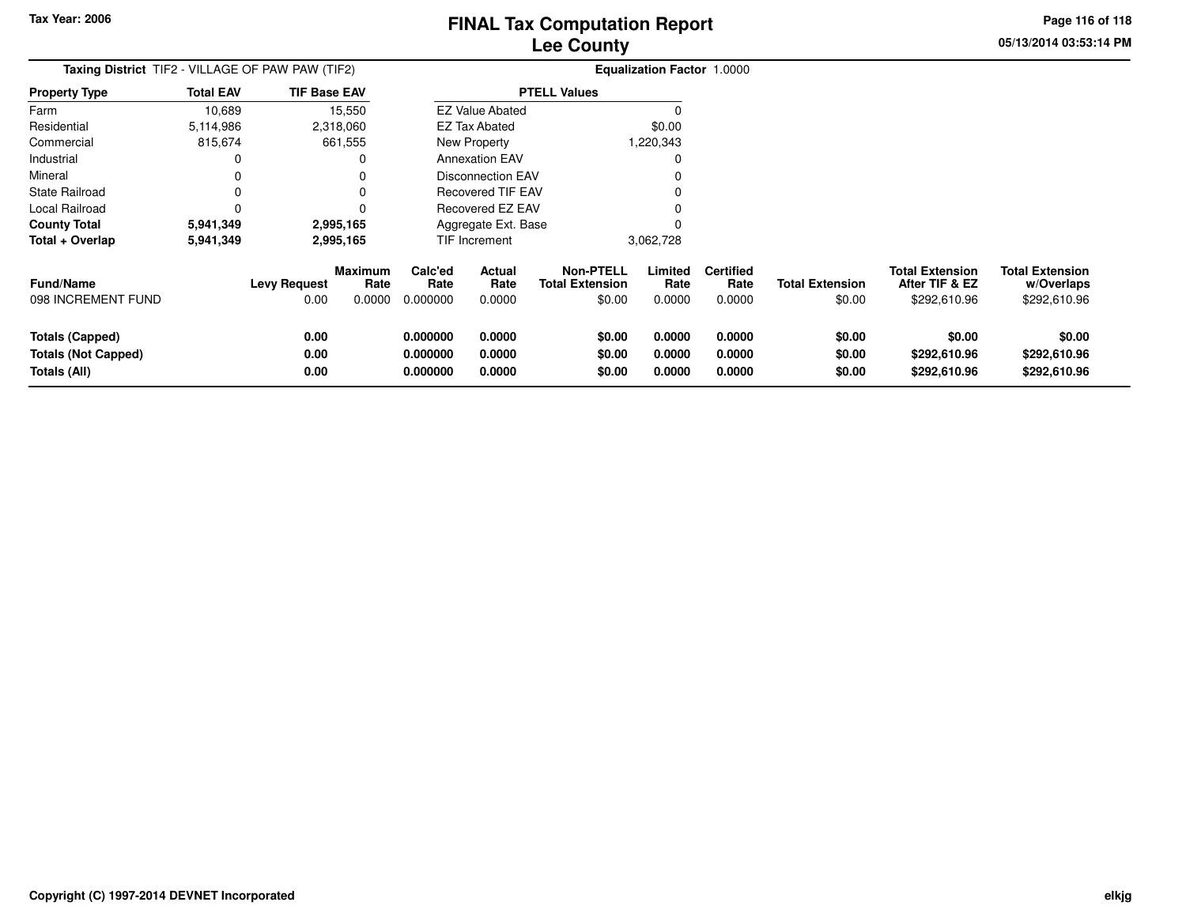**Property Type**

FarmResidential

Industrial Mineral

State Railroad

**Total + Overlap**

**Totals (Capped)**

**Totals (Not Capped)**

098 INCREMENT FUND

**Fund/Name**

**Totals (All)**

Local Railroad 0 0

**County Total 5,941,349 2,995,165**

**5,941,349 2,995,165**

**0.00**

**0.00**

# **Lee CountyFINAL Tax Computation Report**

**Limited**Rate

0

**Certified**

**0.000000 0.0000 \$0.00 0.0000 0.0000 \$0.00 \$0.00 \$0.00**

**0.000000 0.0000 \$0.00 0.0000 0.0000 \$0.00 \$292,610.96 \$292,610.96**

**0.000000 0.0000 \$0.00 0.0000 0.0000 \$0.00 \$292,610.96 \$292,610.96**

**That Extension**<br> **Total Extension**<br>  $0.0000$   $0.000000$   $0.00000$   $0.0000$   $0.0000$   $0.0000$   $0.0000$   $0.0000$   $0.0000$   $0.0000$   $0.0000$   $0.0000$   $0.0000$   $0.0000$   $0.0000$   $0.0000$   $0.0000$   $0.0000$   $0.0000$   $0.0000$   $0$ 

<sup>0</sup>

\$0.00

0.00 0.0000 0.000000 0.0000 \$0.00 0.0000 0.0000 \$0.00 \$292,610.96 \$292,610.96

**Non-PTELL**

3,062,728

**Rate Total Extension**

**05/13/2014 03:53:14 PMPage 116 of 118**

> **w/Overlaps** \$292,610.96

**Total Extension**

**After TIF & EZ** \$292,610.96

**Total Extension**

\$0.00

|                | Lee County                                              |                     |                                   |           |  |  |  |  |  |  |  |  |  |
|----------------|---------------------------------------------------------|---------------------|-----------------------------------|-----------|--|--|--|--|--|--|--|--|--|
|                | <b>Taxing District</b> TIF2 - VILLAGE OF PAW PAW (TIF2) |                     | <b>Equalization Factor 1.0000</b> |           |  |  |  |  |  |  |  |  |  |
| Property Type  | <b>Total EAV</b>                                        | <b>TIF Base EAV</b> | <b>PTELL Values</b>               |           |  |  |  |  |  |  |  |  |  |
| Farm           | 10.689                                                  | 15.550              | <b>EZ Value Abated</b>            |           |  |  |  |  |  |  |  |  |  |
| Residential    | 5,114,986                                               | 2,318,060           | EZ Tax Abated                     | \$0.00    |  |  |  |  |  |  |  |  |  |
| Commercial     | 815.674                                                 | 661,555             | New Property                      | 1,220,343 |  |  |  |  |  |  |  |  |  |
| Industrial     |                                                         |                     | <b>Annexation EAV</b>             |           |  |  |  |  |  |  |  |  |  |
| Mineral        |                                                         |                     | Disconnection EAV                 |           |  |  |  |  |  |  |  |  |  |
| State Railroad |                                                         | 0                   | Recovered TIF EAV                 |           |  |  |  |  |  |  |  |  |  |
|                |                                                         |                     |                                   |           |  |  |  |  |  |  |  |  |  |

 $\mathbf 0$ 

**Maximum**

**Levy Request Rate**

 **Calc'ed Rate**0.000000 **ActualRate**

Recovered EZ EAV

Aggregate Ext. BaseTIF Increment

**Rate**

2,995,165

2,995,165

**0.00**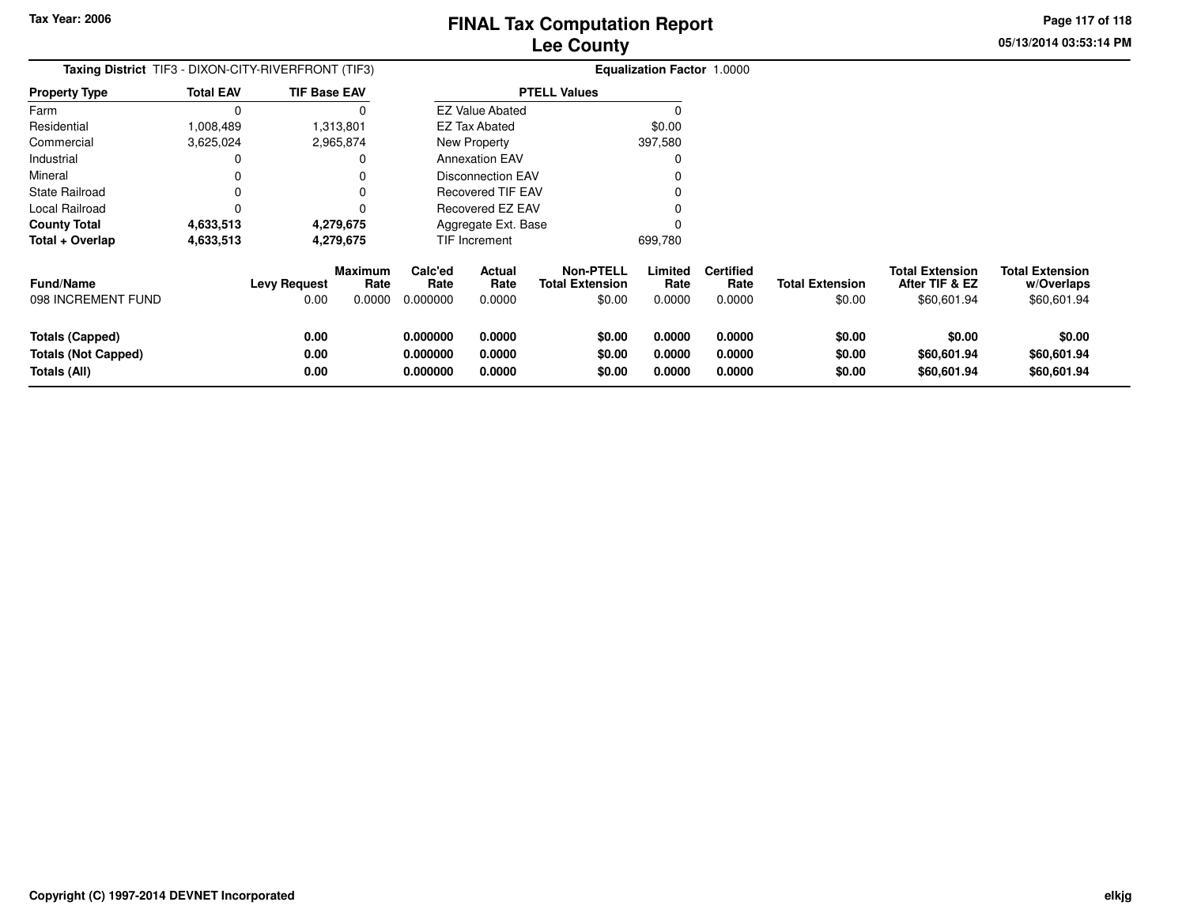**05/13/2014 03:53:14 PMPage 117 of 118**

| <b>Taxing District</b> TIF3 - DIXON-CITY-RIVERFRONT (TIF3)    |                  |                             |                           |                                  |                            |                                                      | <b>Equalization Factor 1.0000</b> |                                    |                                  |                                                         |                                                     |
|---------------------------------------------------------------|------------------|-----------------------------|---------------------------|----------------------------------|----------------------------|------------------------------------------------------|-----------------------------------|------------------------------------|----------------------------------|---------------------------------------------------------|-----------------------------------------------------|
| <b>Property Type</b>                                          | <b>Total EAV</b> | <b>TIF Base EAV</b>         |                           | <b>PTELL Values</b>              |                            |                                                      |                                   |                                    |                                  |                                                         |                                                     |
| Farm                                                          | $\Omega$         |                             | 0                         |                                  | <b>EZ Value Abated</b>     |                                                      |                                   |                                    |                                  |                                                         |                                                     |
| Residential                                                   | 1,008,489        |                             | 1,313,801                 | EZ Tax Abated                    |                            |                                                      | \$0.00                            |                                    |                                  |                                                         |                                                     |
| Commercial                                                    | 3,625,024        |                             | 2,965,874                 |                                  | New Property               |                                                      | 397,580                           |                                    |                                  |                                                         |                                                     |
| Industrial                                                    | 0                |                             | 0                         |                                  | <b>Annexation EAV</b>      |                                                      | 0                                 |                                    |                                  |                                                         |                                                     |
| Mineral                                                       | 0                |                             |                           |                                  | <b>Disconnection EAV</b>   |                                                      |                                   |                                    |                                  |                                                         |                                                     |
| <b>State Railroad</b>                                         |                  |                             |                           |                                  | <b>Recovered TIF EAV</b>   |                                                      |                                   |                                    |                                  |                                                         |                                                     |
| Local Railroad                                                | 0                |                             | 0                         | Recovered EZ EAV                 |                            |                                                      |                                   |                                    |                                  |                                                         |                                                     |
| <b>County Total</b>                                           | 4,633,513        |                             | 4,279,675                 | Aggregate Ext. Base              |                            |                                                      | 0                                 |                                    |                                  |                                                         |                                                     |
| Total + Overlap                                               | 4,633,513        |                             | 4,279,675                 | TIF Increment                    |                            |                                                      | 699,780                           |                                    |                                  |                                                         |                                                     |
| <b>Fund/Name</b><br>098 INCREMENT FUND                        |                  | <b>Levy Request</b><br>0.00 | Maximum<br>Rate<br>0.0000 | Calc'ed<br>Rate<br>0.000000      | Actual<br>Rate<br>0.0000   | <b>Non-PTELL</b><br><b>Total Extension</b><br>\$0.00 | Limited<br>Rate<br>0.0000         | <b>Certified</b><br>Rate<br>0.0000 | <b>Total Extension</b><br>\$0.00 | <b>Total Extension</b><br>After TIF & EZ<br>\$60,601.94 | <b>Total Extension</b><br>w/Overlaps<br>\$60,601.94 |
| Totals (Capped)<br><b>Totals (Not Capped)</b><br>Totals (All) |                  | 0.00<br>0.00<br>0.00        |                           | 0.000000<br>0.000000<br>0.000000 | 0.0000<br>0.0000<br>0.0000 | \$0.00<br>\$0.00<br>\$0.00                           | 0.0000<br>0.0000<br>0.0000        | 0.0000<br>0.0000<br>0.0000         | \$0.00<br>\$0.00<br>\$0.00       | \$0.00<br>\$60,601.94<br>\$60,601.94                    | \$0.00<br>\$60,601.94<br>\$60,601.94                |